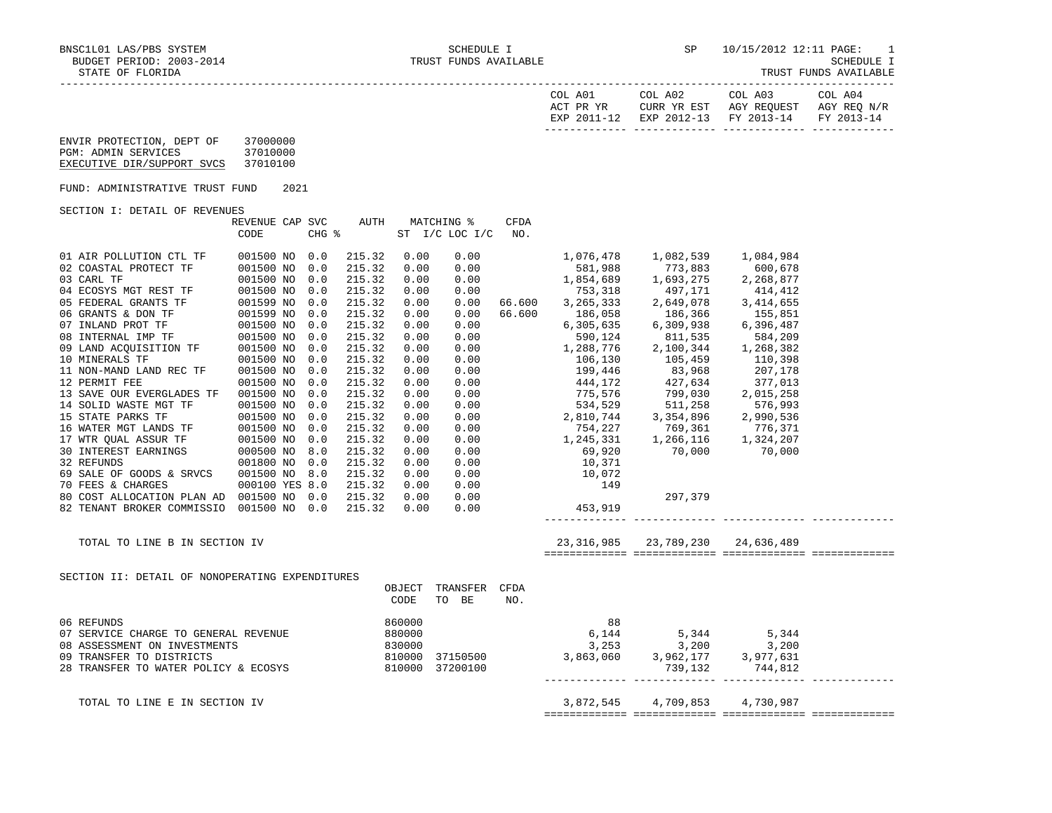| COL A01<br>ACT PR YR | COL A02<br>CURR YR EST | COL A03<br>AGY REOUEST            | COL A04<br>AGY REO N/R |
|----------------------|------------------------|-----------------------------------|------------------------|
| EXP 2011-12          |                        | EXP 2012-13 FY 2013-14 FY 2013-14 |                        |
|                      |                        |                                   |                        |

| ENVIR PROTECTION, DEPT OF  | 37000000 |
|----------------------------|----------|
| PGM: ADMIN SERVICES        | 37010000 |
| EXECUTIVE DIR/SUPPORT SVCS | 37010100 |

FUND: ADMINISTRATIVE TRUST FUND 2021

SECTION I: DETAIL OF REVENUES

|                                                                                                                                                                                                                               | REVENUE CAP SVC |       | AUTH   |        | MATCHING %     | CFDA |                                                                                            |                                                                                                                                                                                                                                                                                    |           |  |
|-------------------------------------------------------------------------------------------------------------------------------------------------------------------------------------------------------------------------------|-----------------|-------|--------|--------|----------------|------|--------------------------------------------------------------------------------------------|------------------------------------------------------------------------------------------------------------------------------------------------------------------------------------------------------------------------------------------------------------------------------------|-----------|--|
|                                                                                                                                                                                                                               | CODE            | CHG % |        |        | ST I/C LOC I/C | NO.  |                                                                                            |                                                                                                                                                                                                                                                                                    |           |  |
|                                                                                                                                                                                                                               |                 |       |        |        |                |      |                                                                                            |                                                                                                                                                                                                                                                                                    |           |  |
| 01 AIR POLLUTION CTL TF                                                                                                                                                                                                       | 001500 NO 0.0   |       | 215.32 | 0.00   | 0.00           |      |                                                                                            |                                                                                                                                                                                                                                                                                    |           |  |
| 02 COASTAL PROTECT TF                                                                                                                                                                                                         | 001500 NO       | 0.0   | 215.32 | 0.00   | 0.00           |      |                                                                                            | 581,988 773,883 600,678                                                                                                                                                                                                                                                            |           |  |
|                                                                                                                                                                                                                               | 001500 NO       | 0.0   | 215.32 | 0.00   | 0.00           |      |                                                                                            |                                                                                                                                                                                                                                                                                    |           |  |
|                                                                                                                                                                                                                               | 001500 NO       | 0.0   | 215.32 | 0.00   | 0.00           |      |                                                                                            |                                                                                                                                                                                                                                                                                    |           |  |
| 03 CARL TF<br>04 ECOSYS MGT REST TF<br>05 FEDERAL GRANTS TF                                                                                                                                                                   | 001599 NO       | 0.0   | 215.32 | 0.00   | 0.00           |      |                                                                                            | $1,854,689$<br>$1,693,275$<br>$753,318$<br>$497,171$<br>$414,412$<br>66.600<br>3,265,333<br>2,649,078<br>3,414,655                                                                                                                                                                 |           |  |
| 06 GRANTS & DON TF 001599 NO<br>06 GRANTS & DON TF 001500 NO<br>08 INTERNAL IMP TF 001500 NO                                                                                                                                  |                 | 0.0   | 215.32 | 0.00   | 0.00           |      |                                                                                            | 66.600 186,058 186,366 155,851<br>6,305,635 6,309,938 6,396,487<br>590,124 811,535 584,209<br>1,288,776 2,100,344 1,268,382                                                                                                                                                        |           |  |
|                                                                                                                                                                                                                               |                 | 0.0   | 215.32 | 0.00   | 0.00           |      |                                                                                            |                                                                                                                                                                                                                                                                                    |           |  |
|                                                                                                                                                                                                                               |                 | 0.0   | 215.32 | 0.00   | 0.00           |      |                                                                                            |                                                                                                                                                                                                                                                                                    |           |  |
| 09 LAND ACQUISITION TF 001500 NO                                                                                                                                                                                              |                 | 0.0   | 215.32 | 0.00   | 0.00           |      |                                                                                            |                                                                                                                                                                                                                                                                                    |           |  |
| 10 MINERALS TF                                                                                                                                                                                                                | 001500 NO       | 0.0   | 215.32 | 0.00   | 0.00           |      |                                                                                            |                                                                                                                                                                                                                                                                                    |           |  |
| 11 NON-MAND LAND REC TF                                                                                                                                                                                                       | 001500 NO       | 0.0   | 215.32 | 0.00   | 0.00           |      |                                                                                            | $106,130$ $105,459$ $110,398$<br>$199,446$ $83,968$ $207,178$<br>$444,172$ $427,634$ $377,013$                                                                                                                                                                                     |           |  |
| 12 PERMIT FEE                                                                                                                                                                                                                 | 001500 NO       | 0.0   | 215.32 | 0.00   | 0.00           |      |                                                                                            |                                                                                                                                                                                                                                                                                    |           |  |
| 13 SAVE OUR EVERGLADES TF                                                                                                                                                                                                     | 001500 NO       | 0.0   | 215.32 | 0.00   |                |      |                                                                                            |                                                                                                                                                                                                                                                                                    |           |  |
|                                                                                                                                                                                                                               | 001500 NO       | 0.0   | 215.32 | 0.00   |                |      |                                                                                            |                                                                                                                                                                                                                                                                                    |           |  |
| 14 SOLID WASTE MGT TF<br>15 STATE PARKS TF                                                                                                                                                                                    | 001500 NO       | 0.0   | 215.32 | 0.00   |                |      |                                                                                            |                                                                                                                                                                                                                                                                                    |           |  |
| 16 WATER MGT LANDS TF 001500 NO                                                                                                                                                                                               |                 | 0.0   | 215.32 | 0.00   |                |      |                                                                                            | $\begin{array}{ccccccccc} 0.00 && 444\,,172 && 427,634 && 377,013\ 0.00 && 775,576 && 799,030 && 2,015,258\ 0.00 && 534,529 && 511,258 && 576,993\ 0.00 && 2,810,744 && 3,354,896 && 2,990,536\ 0.00 && 754,227 && 769,361 && 776,371\ 0.00 && 1,245,331 && 1,266,116 && 1,324,20$ |           |  |
|                                                                                                                                                                                                                               |                 | 0.0   | 215.32 | 0.00   |                |      |                                                                                            |                                                                                                                                                                                                                                                                                    |           |  |
|                                                                                                                                                                                                                               |                 | 8.0   | 215.32 | 0.00   |                |      |                                                                                            |                                                                                                                                                                                                                                                                                    |           |  |
| 17 WTR QUAL ASSUR TF 001500 NO<br>30 INTEREST EARNINGS 000500 NO<br>32 REFUNDS 001800 NO                                                                                                                                      |                 | 0.0   | 215.32 | 0.00   |                |      |                                                                                            |                                                                                                                                                                                                                                                                                    |           |  |
| 69 SALE OF GOODS & SRVCS                                                                                                                                                                                                      | 001500 NO 8.0   |       | 215.32 | 0.00   |                |      |                                                                                            |                                                                                                                                                                                                                                                                                    |           |  |
| 70 FEES & CHARGES                                                                                                                                                                                                             | 000100 YES 8.0  |       | 215.32 | 0.00   |                |      |                                                                                            |                                                                                                                                                                                                                                                                                    |           |  |
| 80 COST ALLOCATION PLAN AD 001500 NO 0.0                                                                                                                                                                                      |                 |       | 215.32 | 0.00   |                |      |                                                                                            | 297,379                                                                                                                                                                                                                                                                            |           |  |
| 82 TENANT BROKER COMMISSIO 001500 NO 0.0                                                                                                                                                                                      |                 |       | 215.32 | 0.00   |                |      | $\begin{array}{ccc} 0.00 & 10,072 \ 0.00 & 149 \ 0.00 & 0.00 \ 0.00 & 453,919 \end{array}$ |                                                                                                                                                                                                                                                                                    |           |  |
|                                                                                                                                                                                                                               |                 |       |        |        |                |      |                                                                                            |                                                                                                                                                                                                                                                                                    |           |  |
|                                                                                                                                                                                                                               |                 |       |        |        |                |      |                                                                                            |                                                                                                                                                                                                                                                                                    |           |  |
| TOTAL TO LINE B IN SECTION IV                                                                                                                                                                                                 |                 |       |        |        |                |      |                                                                                            | 23, 316, 985 23, 789, 230 24, 636, 489                                                                                                                                                                                                                                             |           |  |
|                                                                                                                                                                                                                               |                 |       |        |        |                |      |                                                                                            |                                                                                                                                                                                                                                                                                    |           |  |
|                                                                                                                                                                                                                               |                 |       |        |        |                |      |                                                                                            |                                                                                                                                                                                                                                                                                    |           |  |
| SECTION II: DETAIL OF NONOPERATING EXPENDITURES                                                                                                                                                                               |                 |       |        |        |                |      |                                                                                            |                                                                                                                                                                                                                                                                                    |           |  |
|                                                                                                                                                                                                                               |                 |       |        | OBJECT | TRANSFER       | CFDA |                                                                                            |                                                                                                                                                                                                                                                                                    |           |  |
|                                                                                                                                                                                                                               |                 |       |        | CODE   | TO BE          | NO.  |                                                                                            |                                                                                                                                                                                                                                                                                    |           |  |
|                                                                                                                                                                                                                               |                 |       |        |        |                |      |                                                                                            |                                                                                                                                                                                                                                                                                    |           |  |
|                                                                                                                                                                                                                               |                 |       |        |        |                |      |                                                                                            |                                                                                                                                                                                                                                                                                    |           |  |
|                                                                                                                                                                                                                               |                 |       |        |        |                |      |                                                                                            |                                                                                                                                                                                                                                                                                    |           |  |
|                                                                                                                                                                                                                               |                 |       |        |        |                |      |                                                                                            |                                                                                                                                                                                                                                                                                    |           |  |
|                                                                                                                                                                                                                               |                 |       |        |        |                |      |                                                                                            |                                                                                                                                                                                                                                                                                    |           |  |
| 3 14 16 114 16 16 16 16 16 16 16 16 16 17 16 17 16 17 16 17 16 17 16 17 16 17 16 17 16 17 16 17 16 17 16 17 16 17 16 17 16 17 16 17 16 17 16 17 16 17 16 17 16 17 16 17 16 17 16 17 16 17 16 17 16 17 16 17 16 17 16 17 16 17 |                 |       |        |        |                |      |                                                                                            |                                                                                                                                                                                                                                                                                    |           |  |
|                                                                                                                                                                                                                               |                 |       |        |        |                |      |                                                                                            |                                                                                                                                                                                                                                                                                    |           |  |
| TOTAL TO LINE E IN SECTION IV                                                                                                                                                                                                 |                 |       |        |        |                |      | 3,872,545                                                                                  | 4,709,853                                                                                                                                                                                                                                                                          | 4,730,987 |  |
|                                                                                                                                                                                                                               |                 |       |        |        |                |      |                                                                                            |                                                                                                                                                                                                                                                                                    |           |  |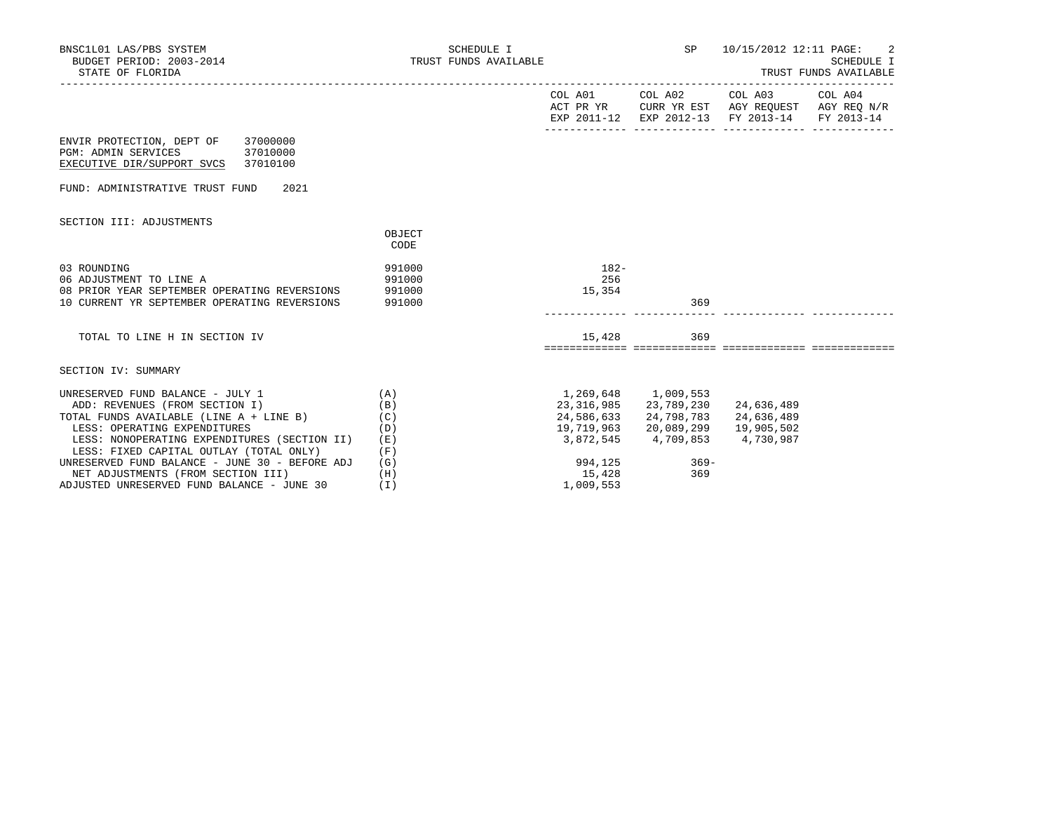| BNSC1L01 LAS/PBS SYSTEM<br>BUDGET PERIOD: 2003-2014<br>STATE OF FLORIDA                                                                                                                                                                         | SCHEDULE I<br>TRUST FUNDS AVAILABLE  |                                                 | <b>SP</b>                                                                              | 10/15/2012 12:11 PAGE:<br>SCHEDULE I<br>TRUST FUNDS AVAILABLE<br>-----------------------                               |            |  |
|-------------------------------------------------------------------------------------------------------------------------------------------------------------------------------------------------------------------------------------------------|--------------------------------------|-------------------------------------------------|----------------------------------------------------------------------------------------|------------------------------------------------------------------------------------------------------------------------|------------|--|
|                                                                                                                                                                                                                                                 |                                      |                                                 |                                                                                        | COL A01 COL A02 COL A03 COL A04<br>ACT PR YR CURR YR EST AGY REQUEST AGY REQ N/R<br>EXP 2011-12 EXP 2012-13 FY 2013-14 | FY 2013-14 |  |
| ENVIR PROTECTION, DEPT OF 37000000<br>PGM: ADMIN SERVICES 37010000<br>EXECUTIVE DIR/SUPPORT SVCS 37010100                                                                                                                                       |                                      |                                                 |                                                                                        |                                                                                                                        |            |  |
| FUND: ADMINISTRATIVE TRUST FUND<br>2021                                                                                                                                                                                                         |                                      |                                                 |                                                                                        |                                                                                                                        |            |  |
| SECTION III: ADJUSTMENTS                                                                                                                                                                                                                        | OBJECT<br>CODE                       |                                                 |                                                                                        |                                                                                                                        |            |  |
| 03 ROUNDING<br>06 ADJUSTMENT TO LINE A<br>08 PRIOR YEAR SEPTEMBER OPERATING REVERSIONS<br>10 CURRENT YR SEPTEMBER OPERATING REVERSIONS                                                                                                          | 991000<br>991000<br>991000<br>991000 | $182-$<br>256<br>15,354                         | 369                                                                                    |                                                                                                                        |            |  |
| TOTAL TO LINE H IN SECTION IV                                                                                                                                                                                                                   |                                      | 15,428                                          | 369                                                                                    |                                                                                                                        |            |  |
| SECTION IV: SUMMARY                                                                                                                                                                                                                             |                                      |                                                 |                                                                                        |                                                                                                                        |            |  |
| UNRESERVED FUND BALANCE - JULY 1<br>ADD: REVENUES (FROM SECTION I)<br>(C)<br>TOTAL FUNDS AVAILABLE (LINE A + LINE B)<br>LESS: OPERATING EXPENDITURES<br>LESS: NONOPERATING EXPENDITURES (SECTION II)<br>LESS: FIXED CAPITAL OUTLAY (TOTAL ONLY) | (A)<br>(B)<br>(D)<br>(E)<br>(F)      | 1,269,648 1,009,553<br>24,586,633<br>19,719,963 | 23, 316, 985 23, 789, 230<br>24,798,783<br>20,089,299<br>3,872,545 4,709,853 4,730,987 | 24,636,489<br>24,636,489<br>19,905,502                                                                                 |            |  |
| UNRESERVED FUND BALANCE - JUNE 30 - BEFORE ADJ<br>NET ADJUSTMENTS (FROM SECTION III)<br>ADJUSTED UNRESERVED FUND BALANCE - JUNE 30                                                                                                              | (G)<br>(H)<br>(1)                    | 15,428<br>1,009,553                             | 994,125 369-<br>369                                                                    |                                                                                                                        |            |  |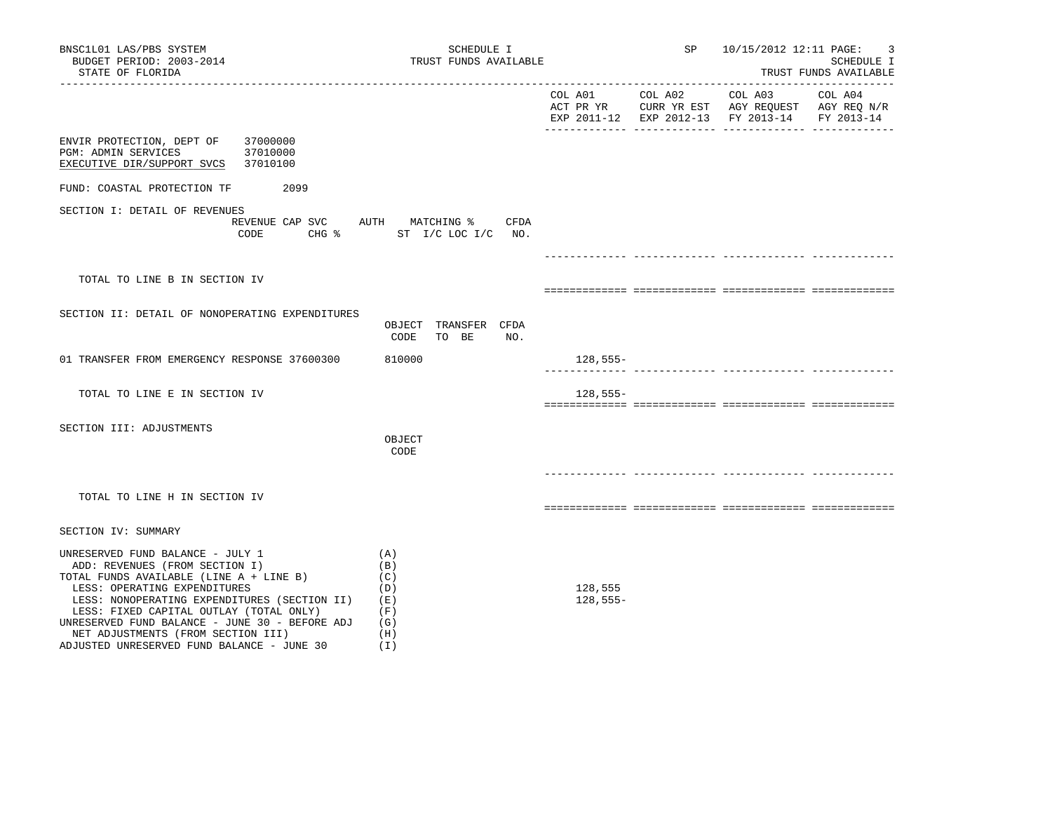| BNSC1L01 LAS/PBS SYSTEM<br>BUDGET PERIOD: 2003-2014<br>STATE OF FLORIDA                                                                                                                                                                                                                                                                                                        | SCHEDULE I<br>TRUST FUNDS AVAILABLE                           |                       | SP      | 10/15/2012 12:11 PAGE:                                                                                            | 3<br>SCHEDULE I<br>TRUST FUNDS AVAILABLE |
|--------------------------------------------------------------------------------------------------------------------------------------------------------------------------------------------------------------------------------------------------------------------------------------------------------------------------------------------------------------------------------|---------------------------------------------------------------|-----------------------|---------|-------------------------------------------------------------------------------------------------------------------|------------------------------------------|
|                                                                                                                                                                                                                                                                                                                                                                                |                                                               | COL A01               | COL A02 | COL A03 COL A04<br>ACT PR YR CURR YR EST AGY REOUEST AGY REO N/R<br>EXP 2011-12 EXP 2012-13 FY 2013-14 FY 2013-14 |                                          |
| ENVIR PROTECTION, DEPT OF<br>37000000<br>PGM: ADMIN SERVICES<br>37010000<br>37010100<br>EXECUTIVE DIR/SUPPORT SVCS                                                                                                                                                                                                                                                             |                                                               |                       |         |                                                                                                                   |                                          |
| 2099<br>FUND: COASTAL PROTECTION TF                                                                                                                                                                                                                                                                                                                                            |                                                               |                       |         |                                                                                                                   |                                          |
| SECTION I: DETAIL OF REVENUES<br>REVENUE CAP SVC AUTH MATCHING %<br>CODE                                                                                                                                                                                                                                                                                                       | CFDA<br>CHG % ST I/C LOC I/C NO.                              |                       |         |                                                                                                                   |                                          |
|                                                                                                                                                                                                                                                                                                                                                                                |                                                               |                       |         |                                                                                                                   |                                          |
| TOTAL TO LINE B IN SECTION IV                                                                                                                                                                                                                                                                                                                                                  |                                                               |                       |         |                                                                                                                   |                                          |
| SECTION II: DETAIL OF NONOPERATING EXPENDITURES                                                                                                                                                                                                                                                                                                                                | OBJECT TRANSFER CFDA<br>CODE<br>TO BE<br>NO.                  |                       |         |                                                                                                                   |                                          |
| 01 TRANSFER FROM EMERGENCY RESPONSE 37600300                                                                                                                                                                                                                                                                                                                                   | 810000                                                        | 128,555-              |         |                                                                                                                   |                                          |
| TOTAL TO LINE E IN SECTION IV                                                                                                                                                                                                                                                                                                                                                  |                                                               | $128,555-$            |         |                                                                                                                   |                                          |
| SECTION III: ADJUSTMENTS                                                                                                                                                                                                                                                                                                                                                       | OBJECT<br>CODE                                                |                       |         |                                                                                                                   |                                          |
|                                                                                                                                                                                                                                                                                                                                                                                |                                                               |                       |         |                                                                                                                   |                                          |
| TOTAL TO LINE H IN SECTION IV                                                                                                                                                                                                                                                                                                                                                  |                                                               |                       |         |                                                                                                                   |                                          |
| SECTION IV: SUMMARY                                                                                                                                                                                                                                                                                                                                                            |                                                               |                       |         |                                                                                                                   |                                          |
| UNRESERVED FUND BALANCE - JULY 1<br>ADD: REVENUES (FROM SECTION I)<br>TOTAL FUNDS AVAILABLE (LINE A + LINE B)<br>LESS: OPERATING EXPENDITURES<br>LESS: NONOPERATING EXPENDITURES (SECTION II)<br>LESS: FIXED CAPITAL OUTLAY (TOTAL ONLY)<br>UNRESERVED FUND BALANCE - JUNE 30 - BEFORE ADJ<br>NET ADJUSTMENTS (FROM SECTION III)<br>ADJUSTED UNRESERVED FUND BALANCE - JUNE 30 | (A)<br>(B)<br>(C)<br>(D)<br>(E)<br>(F)<br>(G)<br>(H)<br>( I ) | 128,555<br>$128,555-$ |         |                                                                                                                   |                                          |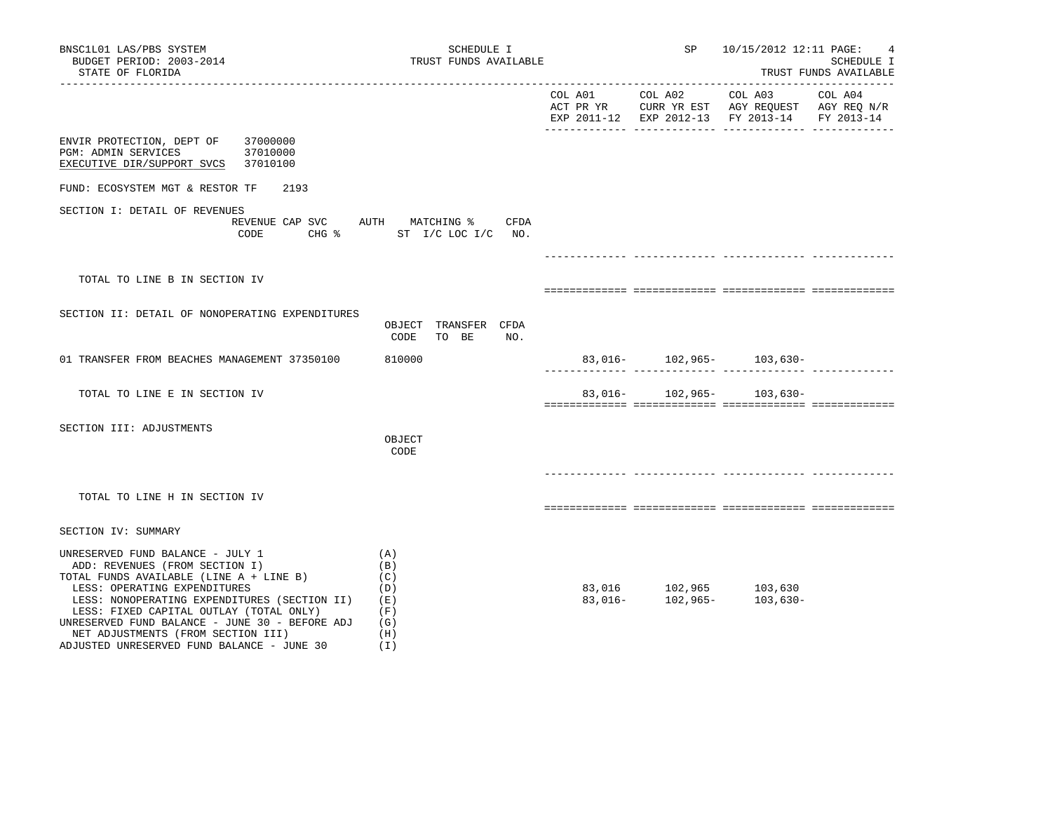| BNSC1L01 LAS/PBS SYSTEM<br>BUDGET PERIOD: 2003-2014<br>STATE OF FLORIDA                                                                                                                                                                                                                                                                                                        | SCHEDULE I<br>TRUST FUNDS AVAILABLE                         | SP and the set of the set of the set of the set of the set of the set of the set of the set of the set of the s | 10/15/2012 12:11 PAGE:<br>SCHEDULE I<br>TRUST FUNDS AVAILABLE |  |  |
|--------------------------------------------------------------------------------------------------------------------------------------------------------------------------------------------------------------------------------------------------------------------------------------------------------------------------------------------------------------------------------|-------------------------------------------------------------|-----------------------------------------------------------------------------------------------------------------|---------------------------------------------------------------|--|--|
|                                                                                                                                                                                                                                                                                                                                                                                |                                                             |                                                                                                                 | EXP 2011-12 EXP 2012-13 FY 2013-14 FY 2013-14                 |  |  |
| 37000000<br>ENVIR PROTECTION, DEPT OF<br>PGM: ADMIN SERVICES<br>37010000<br>EXECUTIVE DIR/SUPPORT SVCS<br>37010100                                                                                                                                                                                                                                                             |                                                             |                                                                                                                 |                                                               |  |  |
| FUND: ECOSYSTEM MGT & RESTOR TF<br>2193                                                                                                                                                                                                                                                                                                                                        |                                                             |                                                                                                                 |                                                               |  |  |
| SECTION I: DETAIL OF REVENUES<br>REVENUE CAP SVC<br>CODE                                                                                                                                                                                                                                                                                                                       | AUTH MATCHING %<br>CFDA<br>CHG % ST I/C LOC I/C NO.         |                                                                                                                 |                                                               |  |  |
| TOTAL TO LINE B IN SECTION IV                                                                                                                                                                                                                                                                                                                                                  |                                                             |                                                                                                                 |                                                               |  |  |
| SECTION II: DETAIL OF NONOPERATING EXPENDITURES                                                                                                                                                                                                                                                                                                                                | OBJECT TRANSFER CFDA<br>CODE<br>TO BE<br>NO.                |                                                                                                                 |                                                               |  |  |
| 01 TRANSFER FROM BEACHES MANAGEMENT 37350100                                                                                                                                                                                                                                                                                                                                   | 810000                                                      |                                                                                                                 | $83,016 - 102,965 - 103,630 -$                                |  |  |
| TOTAL TO LINE E IN SECTION IV                                                                                                                                                                                                                                                                                                                                                  |                                                             |                                                                                                                 | 83,016- 102,965- 103,630-                                     |  |  |
| SECTION III: ADJUSTMENTS                                                                                                                                                                                                                                                                                                                                                       | OBJECT<br>CODE                                              |                                                                                                                 |                                                               |  |  |
| TOTAL TO LINE H IN SECTION IV                                                                                                                                                                                                                                                                                                                                                  |                                                             |                                                                                                                 |                                                               |  |  |
| SECTION IV: SUMMARY                                                                                                                                                                                                                                                                                                                                                            |                                                             |                                                                                                                 |                                                               |  |  |
| UNRESERVED FUND BALANCE - JULY 1<br>ADD: REVENUES (FROM SECTION I)<br>TOTAL FUNDS AVAILABLE (LINE A + LINE B)<br>LESS: OPERATING EXPENDITURES<br>LESS: NONOPERATING EXPENDITURES (SECTION II)<br>LESS: FIXED CAPITAL OUTLAY (TOTAL ONLY)<br>UNRESERVED FUND BALANCE - JUNE 30 - BEFORE ADJ<br>NET ADJUSTMENTS (FROM SECTION III)<br>ADJUSTED UNRESERVED FUND BALANCE - JUNE 30 | (A)<br>(B)<br>(C)<br>(D)<br>(E)<br>(F)<br>(G)<br>(H)<br>(1) |                                                                                                                 | $83,016$ $102,965$ $103,630$<br>$83,016$ $102,965$ $103,630$  |  |  |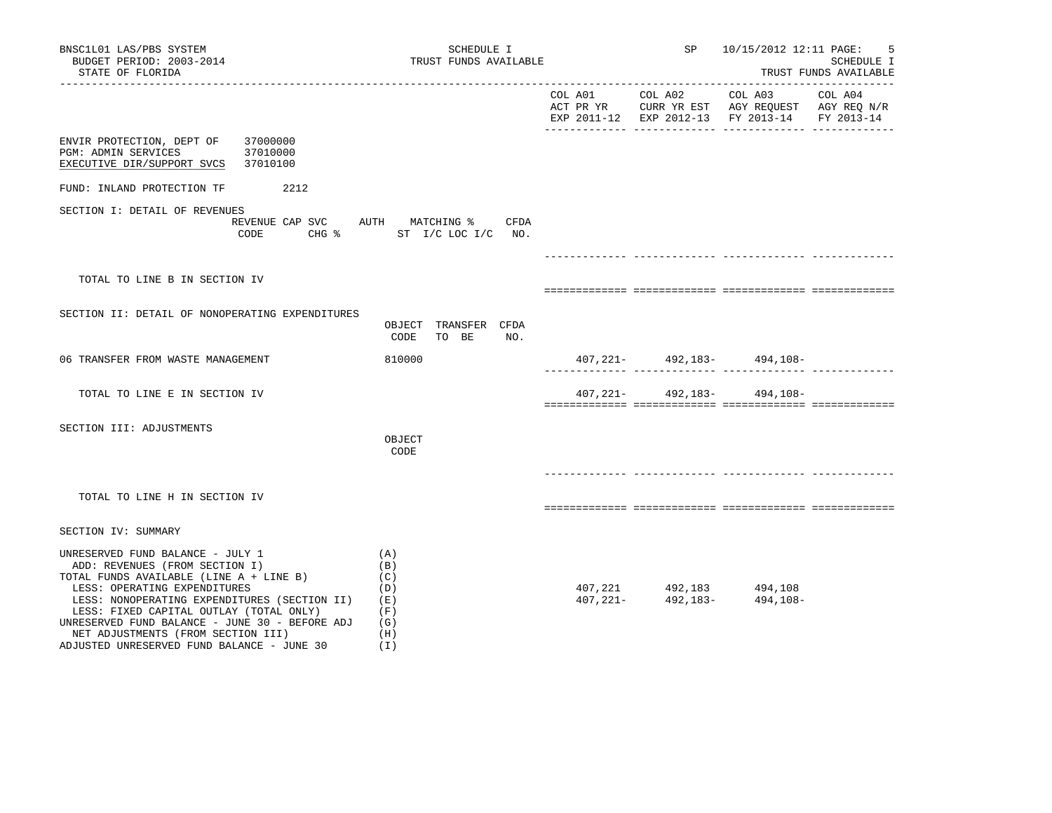| BNSC1L01 LAS/PBS SYSTEM<br>BUDGET PERIOD: 2003-2014<br>STATE OF FLORIDA                                                                                                                                                                                                                                                                                                                  | SCHEDULE I<br>TRUST FUNDS AVAILABLE                              |                                                     | SP 10/15/2012 12:11 PAGE:                     | 5<br>SCHEDULE I<br>TRUST FUNDS AVAILABLE |
|------------------------------------------------------------------------------------------------------------------------------------------------------------------------------------------------------------------------------------------------------------------------------------------------------------------------------------------------------------------------------------------|------------------------------------------------------------------|-----------------------------------------------------|-----------------------------------------------|------------------------------------------|
|                                                                                                                                                                                                                                                                                                                                                                                          |                                                                  |                                                     | EXP 2011-12 EXP 2012-13 FY 2013-14 FY 2013-14 |                                          |
| ENVIR PROTECTION, DEPT OF 37000000<br>37010000<br>PGM: ADMIN SERVICES<br>EXECUTIVE DIR/SUPPORT SVCS 37010100                                                                                                                                                                                                                                                                             |                                                                  |                                                     |                                               |                                          |
| FUND: INLAND PROTECTION TF<br>2212                                                                                                                                                                                                                                                                                                                                                       |                                                                  |                                                     |                                               |                                          |
| SECTION I: DETAIL OF REVENUES<br>CODE                                                                                                                                                                                                                                                                                                                                                    | REVENUE CAP SVC AUTH MATCHING % CFDA<br>CHG % ST I/C LOC I/C NO. |                                                     |                                               |                                          |
|                                                                                                                                                                                                                                                                                                                                                                                          |                                                                  |                                                     |                                               |                                          |
| TOTAL TO LINE B IN SECTION IV                                                                                                                                                                                                                                                                                                                                                            |                                                                  |                                                     |                                               |                                          |
| SECTION II: DETAIL OF NONOPERATING EXPENDITURES                                                                                                                                                                                                                                                                                                                                          | OBJECT TRANSFER CFDA<br>CODE TO BE NO.                           |                                                     |                                               |                                          |
| 06 TRANSFER FROM WASTE MANAGEMENT                                                                                                                                                                                                                                                                                                                                                        | 810000                                                           |                                                     | $407,221 - 492,183 - 494,108 -$               |                                          |
| TOTAL TO LINE E IN SECTION IV                                                                                                                                                                                                                                                                                                                                                            |                                                                  |                                                     | $407,221 - 492,183 - 494,108 -$               |                                          |
| SECTION III: ADJUSTMENTS                                                                                                                                                                                                                                                                                                                                                                 | OBJECT<br>CODE                                                   |                                                     |                                               |                                          |
|                                                                                                                                                                                                                                                                                                                                                                                          |                                                                  |                                                     |                                               |                                          |
| TOTAL TO LINE H IN SECTION IV                                                                                                                                                                                                                                                                                                                                                            |                                                                  |                                                     |                                               |                                          |
| SECTION IV: SUMMARY                                                                                                                                                                                                                                                                                                                                                                      |                                                                  |                                                     |                                               |                                          |
| UNRESERVED FUND BALANCE - JULY 1<br>ADD: REVENUES (FROM SECTION I)<br>TOTAL FUNDS AVAILABLE (LINE A + LINE B)<br>LESS: OPERATING EXPENDITURES<br>LESS: NONOPERATING EXPENDITURES (SECTION II) (E)<br>LESS: FIXED CAPITAL OUTLAY (TOTAL ONLY)<br>UNRESERVED FUND BALANCE - JUNE 30 - BEFORE ADJ $(G)$<br>NET ADJUSTMENTS (FROM SECTION III)<br>ADJUSTED UNRESERVED FUND BALANCE - JUNE 30 | (A)<br>(B)<br>(C)<br>(D)<br>(F)<br>(H)<br>(I)                    | 407, 221 492, 183 494, 108<br>407, 221 - 492, 183 - | 494,108-                                      |                                          |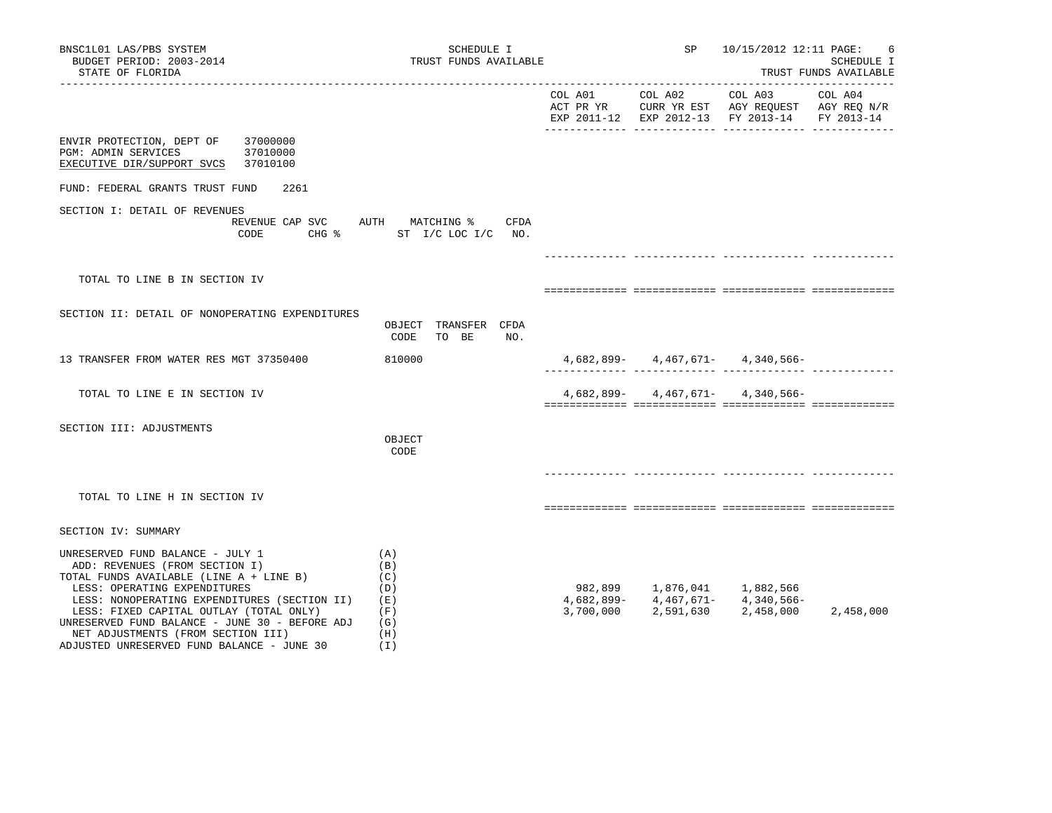| BNSC1L01 LAS/PBS SYSTEM<br>BUDGET PERIOD: 2003-2014<br>STATE OF FLORIDA                                                                                                                                                                                                                                                                                                        | SCHEDULE I<br>TRUST FUNDS AVAILABLE                         | SP              | 10/15/2012 12:11 PAGE: | SCHEDULE I<br>TRUST FUNDS AVAILABLE                                                                                                                                                         |            |
|--------------------------------------------------------------------------------------------------------------------------------------------------------------------------------------------------------------------------------------------------------------------------------------------------------------------------------------------------------------------------------|-------------------------------------------------------------|-----------------|------------------------|---------------------------------------------------------------------------------------------------------------------------------------------------------------------------------------------|------------|
|                                                                                                                                                                                                                                                                                                                                                                                |                                                             | COL A01 COL A02 |                        | COL A03 COL A04<br>ACT PR YR CURR YR EST AGY REQUEST AGY REQ N/R<br>EXP 2011-12 EXP 2012-13 FY 2013-14                                                                                      | FY 2013-14 |
| ENVIR PROTECTION, DEPT OF<br>37000000<br><b>PGM: ADMIN SERVICES</b><br>37010000<br>EXECUTIVE DIR/SUPPORT SVCS 37010100                                                                                                                                                                                                                                                         |                                                             |                 |                        |                                                                                                                                                                                             |            |
| FUND: FEDERAL GRANTS TRUST FUND<br>2261                                                                                                                                                                                                                                                                                                                                        |                                                             |                 |                        |                                                                                                                                                                                             |            |
| SECTION I: DETAIL OF REVENUES<br>REVENUE CAP SVC AUTH MATCHING %<br>CODE                                                                                                                                                                                                                                                                                                       | CFDA<br>CHG % ST I/C LOC I/C NO.                            |                 |                        |                                                                                                                                                                                             |            |
|                                                                                                                                                                                                                                                                                                                                                                                |                                                             |                 |                        |                                                                                                                                                                                             |            |
| TOTAL TO LINE B IN SECTION IV                                                                                                                                                                                                                                                                                                                                                  |                                                             |                 |                        |                                                                                                                                                                                             |            |
| SECTION II: DETAIL OF NONOPERATING EXPENDITURES                                                                                                                                                                                                                                                                                                                                | OBJECT TRANSFER CFDA<br>CODE<br>TO BE<br>NO.                |                 |                        |                                                                                                                                                                                             |            |
| 13 TRANSFER FROM WATER RES MGT 37350400                                                                                                                                                                                                                                                                                                                                        | 810000                                                      |                 |                        | $4,682,899 - 4,467,671 - 4,340,566 -$                                                                                                                                                       |            |
| TOTAL TO LINE E IN SECTION IV                                                                                                                                                                                                                                                                                                                                                  |                                                             |                 |                        | $4,682,899 - 4,467,671 - 4,340,566 -$                                                                                                                                                       |            |
| SECTION III: ADJUSTMENTS                                                                                                                                                                                                                                                                                                                                                       | OBJECT<br>CODE                                              |                 |                        |                                                                                                                                                                                             |            |
|                                                                                                                                                                                                                                                                                                                                                                                |                                                             |                 |                        |                                                                                                                                                                                             |            |
| TOTAL TO LINE H IN SECTION IV                                                                                                                                                                                                                                                                                                                                                  |                                                             |                 |                        |                                                                                                                                                                                             |            |
| SECTION IV: SUMMARY                                                                                                                                                                                                                                                                                                                                                            |                                                             |                 |                        |                                                                                                                                                                                             |            |
| UNRESERVED FUND BALANCE - JULY 1<br>ADD: REVENUES (FROM SECTION I)<br>TOTAL FUNDS AVAILABLE (LINE A + LINE B)<br>LESS: OPERATING EXPENDITURES<br>LESS: NONOPERATING EXPENDITURES (SECTION II)<br>LESS: FIXED CAPITAL OUTLAY (TOTAL ONLY)<br>UNRESERVED FUND BALANCE - JUNE 30 - BEFORE ADJ<br>NET ADJUSTMENTS (FROM SECTION III)<br>ADJUSTED UNRESERVED FUND BALANCE - JUNE 30 | (A)<br>(B)<br>(C)<br>(D)<br>(E)<br>(F)<br>(G)<br>(H)<br>(I) | 3,700,000       |                        | $\begin{array}{cccc} 982,899 & \hspace{1.5cm} 1,876,041 & \hspace{1.5cm} 1,882,566 \\ 4,682,899 - \hspace{1.5cm} 4,467,671 - \hspace{1.5cm} 4,340,566 - \end{array}$<br>2,591,630 2,458,000 | 2,458,000  |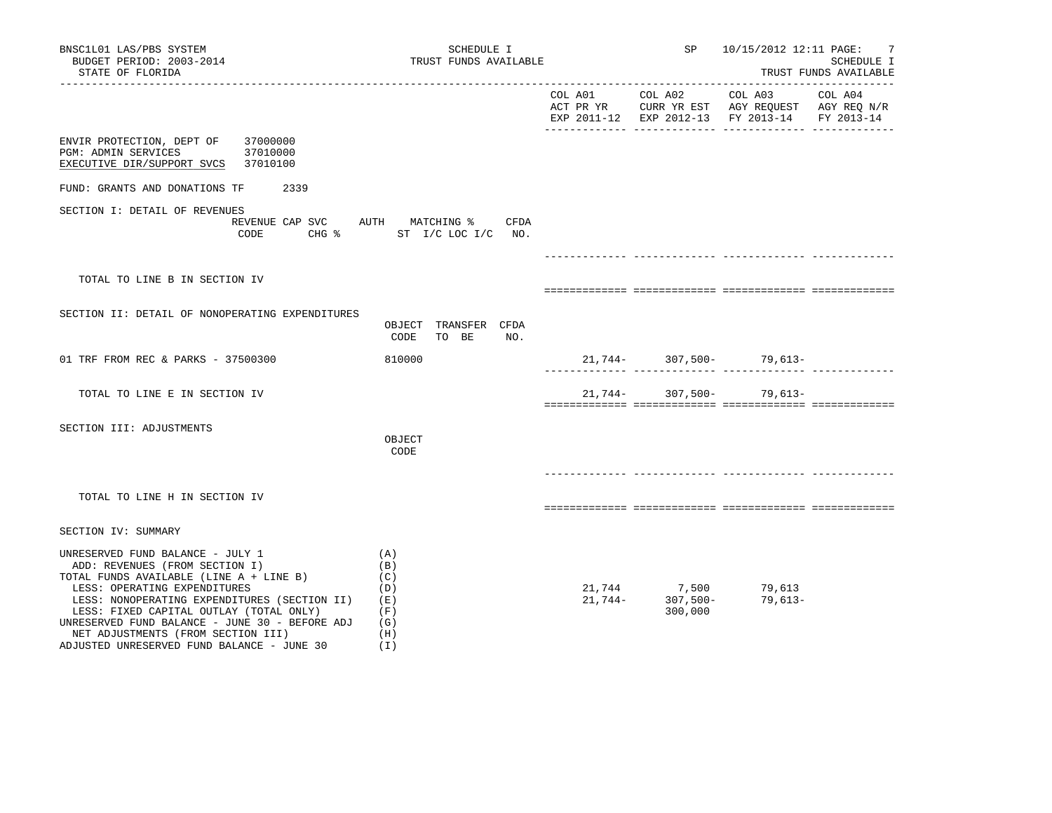| BNSC1L01 LAS/PBS SYSTEM<br>BUDGET PERIOD: 2003-2014<br>STATE OF FLORIDA                                                                                                                                                                                                                                                                                                               | TRUST FUNDS AVAILABLE                                | SP      | 10/15/2012 12:11 PAGE:                                  | -7<br>SCHEDULE I<br>TRUST FUNDS AVAILABLE                                                                 |         |
|---------------------------------------------------------------------------------------------------------------------------------------------------------------------------------------------------------------------------------------------------------------------------------------------------------------------------------------------------------------------------------------|------------------------------------------------------|---------|---------------------------------------------------------|-----------------------------------------------------------------------------------------------------------|---------|
|                                                                                                                                                                                                                                                                                                                                                                                       |                                                      | COL A01 | COL A02                                                 | COL A03<br>ACT PR YR CURR YR EST AGY REQUEST AGY REQ N/R<br>EXP 2011-12 EXP 2012-13 FY 2013-14 FY 2013-14 | COL A04 |
| 37000000<br>ENVIR PROTECTION, DEPT OF<br>PGM: ADMIN SERVICES<br>37010000<br>EXECUTIVE DIR/SUPPORT SVCS<br>37010100                                                                                                                                                                                                                                                                    |                                                      |         |                                                         |                                                                                                           |         |
| 2339<br>FUND: GRANTS AND DONATIONS TF                                                                                                                                                                                                                                                                                                                                                 |                                                      |         |                                                         |                                                                                                           |         |
| SECTION I: DETAIL OF REVENUES<br>REVENUE CAP SVC AUTH MATCHING % CFDA<br>CODE                                                                                                                                                                                                                                                                                                         | CHG % ST I/C LOC I/C NO.                             |         |                                                         |                                                                                                           |         |
| TOTAL TO LINE B IN SECTION IV                                                                                                                                                                                                                                                                                                                                                         |                                                      |         |                                                         |                                                                                                           |         |
| SECTION II: DETAIL OF NONOPERATING EXPENDITURES                                                                                                                                                                                                                                                                                                                                       | OBJECT TRANSFER CFDA<br>NO.<br>CODE TO BE            |         |                                                         |                                                                                                           |         |
| 01 TRF FROM REC & PARKS - 37500300                                                                                                                                                                                                                                                                                                                                                    | 810000                                               |         |                                                         | $21,744-307,500-79,613-$                                                                                  |         |
| TOTAL TO LINE E IN SECTION IV                                                                                                                                                                                                                                                                                                                                                         |                                                      | 21,744- | $307,500-$                                              | 79,613-                                                                                                   |         |
| SECTION III: ADJUSTMENTS                                                                                                                                                                                                                                                                                                                                                              | OBJECT<br>CODE                                       |         |                                                         |                                                                                                           |         |
| TOTAL TO LINE H IN SECTION IV                                                                                                                                                                                                                                                                                                                                                         |                                                      |         |                                                         |                                                                                                           |         |
| SECTION IV: SUMMARY                                                                                                                                                                                                                                                                                                                                                                   |                                                      |         |                                                         |                                                                                                           |         |
| UNRESERVED FUND BALANCE - JULY 1<br>ADD: REVENUES (FROM SECTION I)<br>TOTAL FUNDS AVAILABLE (LINE A + LINE B)<br>LESS: OPERATING EXPENDITURES<br>LESS: NONOPERATING EXPENDITURES (SECTION II)<br>(E)<br>LESS: FIXED CAPITAL OUTLAY (TOTAL ONLY)<br>UNRESERVED FUND BALANCE - JUNE 30 - BEFORE ADJ<br>NET ADJUSTMENTS (FROM SECTION III)<br>ADJUSTED UNRESERVED FUND BALANCE - JUNE 30 | (A)<br>(B)<br>(C)<br>(D)<br>(F)<br>(G)<br>(H)<br>(I) | 21,744- | 21,744 7,500<br>21,744- 307,500-<br>307,500-<br>300,000 | 79,613<br>79,613-                                                                                         |         |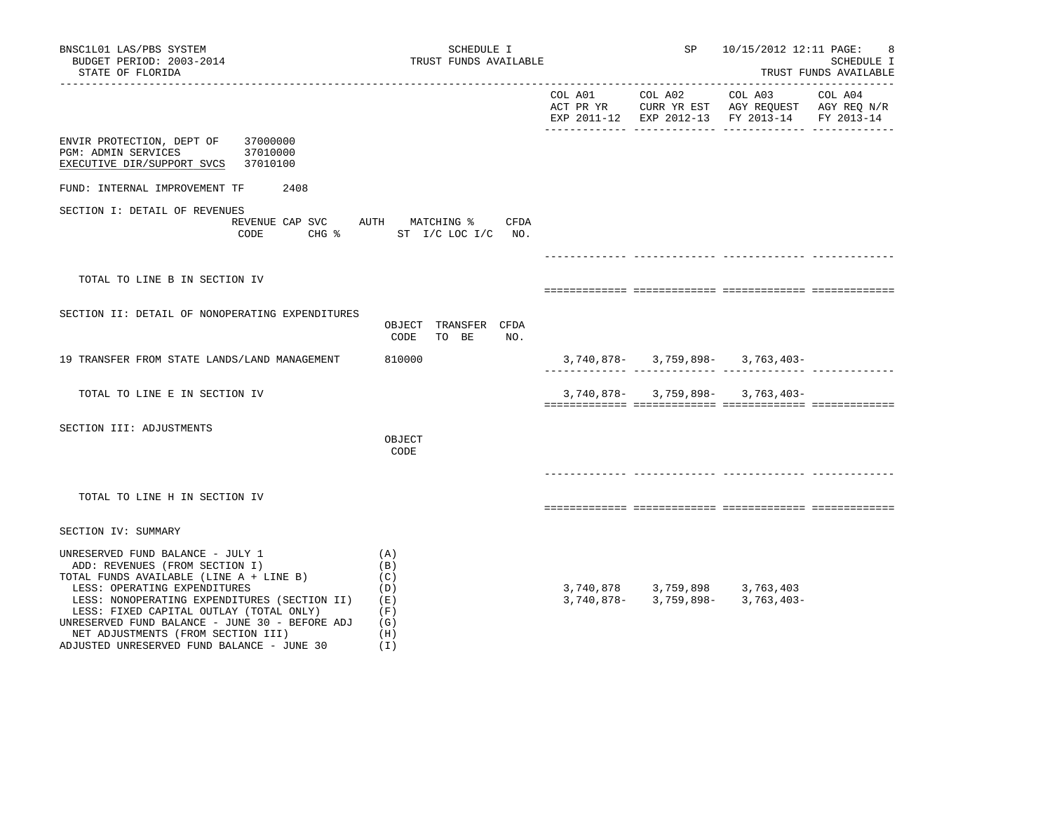| BNSC1L01 LAS/PBS SYSTEM<br>BUDGET PERIOD: 2003-2014<br>STATE OF FLORIDA                                                                                                                                                                                                                                                                                                                                                                       | SP<br>TRUST FUNDS AVAILABLE                  |         |                                                       | 10/15/2012 12:11 PAGE:<br>8<br>SCHEDULE I<br>TRUST FUNDS AVAILABLE                                                            |         |  |
|-----------------------------------------------------------------------------------------------------------------------------------------------------------------------------------------------------------------------------------------------------------------------------------------------------------------------------------------------------------------------------------------------------------------------------------------------|----------------------------------------------|---------|-------------------------------------------------------|-------------------------------------------------------------------------------------------------------------------------------|---------|--|
| ____________________                                                                                                                                                                                                                                                                                                                                                                                                                          |                                              | COL A01 | COL A02                                               | COL A03<br>ACT PR YR $\,$ CURR YR EST $\,$ AGY REQUEST $\,$ AGY REQ N/R $\,$<br>EXP 2011-12 EXP 2012-13 FY 2013-14 FY 2013-14 | COL A04 |  |
| ENVIR PROTECTION, DEPT OF<br>37000000<br>PGM: ADMIN SERVICES<br>37010000<br>EXECUTIVE DIR/SUPPORT SVCS<br>37010100                                                                                                                                                                                                                                                                                                                            |                                              |         |                                                       |                                                                                                                               |         |  |
| FUND: INTERNAL IMPROVEMENT TF<br>2408                                                                                                                                                                                                                                                                                                                                                                                                         |                                              |         |                                                       |                                                                                                                               |         |  |
| SECTION I: DETAIL OF REVENUES<br>REVENUE CAP SVC<br>CODE CHG % ST I/C LOC I/C NO.                                                                                                                                                                                                                                                                                                                                                             | AUTH MATCHING % CFDA                         |         |                                                       |                                                                                                                               |         |  |
|                                                                                                                                                                                                                                                                                                                                                                                                                                               |                                              |         |                                                       |                                                                                                                               |         |  |
| TOTAL TO LINE B IN SECTION IV                                                                                                                                                                                                                                                                                                                                                                                                                 |                                              |         |                                                       |                                                                                                                               |         |  |
| SECTION II: DETAIL OF NONOPERATING EXPENDITURES                                                                                                                                                                                                                                                                                                                                                                                               | OBJECT TRANSFER CFDA<br>CODE<br>TO BE<br>NO. |         |                                                       |                                                                                                                               |         |  |
| 19 TRANSFER FROM STATE LANDS/LAND MANAGEMENT                                                                                                                                                                                                                                                                                                                                                                                                  | 810000                                       |         |                                                       | $3,740,878-$ 3,759,898- 3,763,403-                                                                                            |         |  |
| TOTAL TO LINE E IN SECTION IV                                                                                                                                                                                                                                                                                                                                                                                                                 |                                              |         |                                                       | $3,740,878 - 3,759,898 - 3,763,403 -$                                                                                         |         |  |
| SECTION III: ADJUSTMENTS                                                                                                                                                                                                                                                                                                                                                                                                                      | OBJECT<br>CODE                               |         |                                                       |                                                                                                                               |         |  |
| TOTAL TO LINE H IN SECTION IV                                                                                                                                                                                                                                                                                                                                                                                                                 |                                              |         |                                                       |                                                                                                                               |         |  |
| SECTION IV: SUMMARY                                                                                                                                                                                                                                                                                                                                                                                                                           |                                              |         |                                                       |                                                                                                                               |         |  |
| UNRESERVED FUND BALANCE - JULY 1<br>(A)<br>ADD: REVENUES (FROM SECTION I)<br>(B)<br>TOTAL FUNDS AVAILABLE (LINE A + LINE B)<br>(C)<br>LESS: OPERATING EXPENDITURES<br>(D)<br>LESS: NONOPERATING EXPENDITURES (SECTION II)<br>(E)<br>LESS: FIXED CAPITAL OUTLAY (TOTAL ONLY)<br>(F)<br>UNRESERVED FUND BALANCE - JUNE 30 - BEFORE ADJ<br>(G)<br>NET ADJUSTMENTS (FROM SECTION III)<br>(H)<br>ADJUSTED UNRESERVED FUND BALANCE - JUNE 30<br>(I) |                                              |         | 3,740,878 3,759,898 3,763,403<br>3,740,878-3,759,898- | 3,763,403-                                                                                                                    |         |  |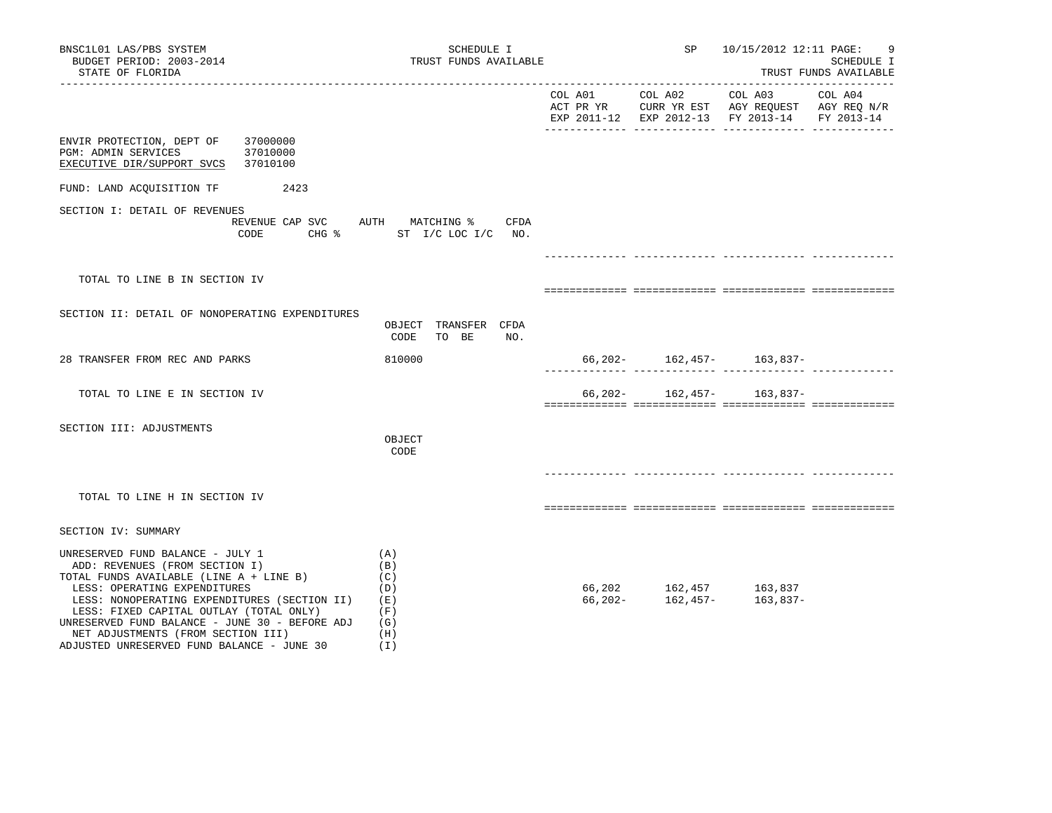| BNSC1L01 LAS/PBS SYSTEM<br>BUDGET PERIOD: 2003-2014<br>STATE OF FLORIDA                                                                                                                                                                                                                                                                                                        | SCHEDULE I<br>TRUST FUNDS AVAILABLE                           |         |                                                                    | SP 10/15/2012 12:11 PAGE:                                                                                 | 9<br>SCHEDULE I<br>TRUST FUNDS AVAILABLE |
|--------------------------------------------------------------------------------------------------------------------------------------------------------------------------------------------------------------------------------------------------------------------------------------------------------------------------------------------------------------------------------|---------------------------------------------------------------|---------|--------------------------------------------------------------------|-----------------------------------------------------------------------------------------------------------|------------------------------------------|
|                                                                                                                                                                                                                                                                                                                                                                                |                                                               | COL A01 | COL A02                                                            | COL A03<br>ACT PR YR CURR YR EST AGY REOUEST AGY REO N/R<br>EXP 2011-12 EXP 2012-13 FY 2013-14 FY 2013-14 | COL A04                                  |
| ENVIR PROTECTION, DEPT OF<br>37000000<br>PGM: ADMIN SERVICES<br>37010000<br>37010100<br>EXECUTIVE DIR/SUPPORT SVCS                                                                                                                                                                                                                                                             |                                                               |         |                                                                    |                                                                                                           |                                          |
| FUND: LAND ACQUISITION TF<br>2423                                                                                                                                                                                                                                                                                                                                              |                                                               |         |                                                                    |                                                                                                           |                                          |
| SECTION I: DETAIL OF REVENUES<br>REVENUE CAP SVC AUTH MATCHING %<br>CODE                                                                                                                                                                                                                                                                                                       | CFDA<br>CHG $\frac{1}{2}$ ST I/C LOC I/C NO.                  |         |                                                                    |                                                                                                           |                                          |
| TOTAL TO LINE B IN SECTION IV                                                                                                                                                                                                                                                                                                                                                  |                                                               |         |                                                                    |                                                                                                           |                                          |
| SECTION II: DETAIL OF NONOPERATING EXPENDITURES                                                                                                                                                                                                                                                                                                                                | OBJECT TRANSFER CFDA<br>CODE<br>TO BE<br>NO.                  |         |                                                                    |                                                                                                           |                                          |
| 28 TRANSFER FROM REC AND PARKS                                                                                                                                                                                                                                                                                                                                                 | 810000                                                        |         |                                                                    | $66, 202 - 162, 457 - 163, 837 -$                                                                         |                                          |
| TOTAL TO LINE E IN SECTION IV                                                                                                                                                                                                                                                                                                                                                  |                                                               | 66,202- |                                                                    | 162,457- 163,837-                                                                                         |                                          |
| SECTION III: ADJUSTMENTS                                                                                                                                                                                                                                                                                                                                                       | OBJECT<br>CODE                                                |         |                                                                    |                                                                                                           |                                          |
| TOTAL TO LINE H IN SECTION IV                                                                                                                                                                                                                                                                                                                                                  |                                                               |         |                                                                    |                                                                                                           |                                          |
| SECTION IV: SUMMARY                                                                                                                                                                                                                                                                                                                                                            |                                                               |         |                                                                    |                                                                                                           |                                          |
| UNRESERVED FUND BALANCE - JULY 1<br>ADD: REVENUES (FROM SECTION I)<br>TOTAL FUNDS AVAILABLE (LINE A + LINE B)<br>LESS: OPERATING EXPENDITURES<br>LESS: NONOPERATING EXPENDITURES (SECTION II)<br>LESS: FIXED CAPITAL OUTLAY (TOTAL ONLY)<br>UNRESERVED FUND BALANCE - JUNE 30 - BEFORE ADJ<br>NET ADJUSTMENTS (FROM SECTION III)<br>ADJUSTED UNRESERVED FUND BALANCE - JUNE 30 | (A)<br>(B)<br>(C)<br>(D)<br>(E)<br>(F)<br>(G)<br>(H)<br>( I ) |         | $66, 202$ $162, 457$ $163, 837$<br>$66, 202$ $162, 457$ $163, 837$ |                                                                                                           |                                          |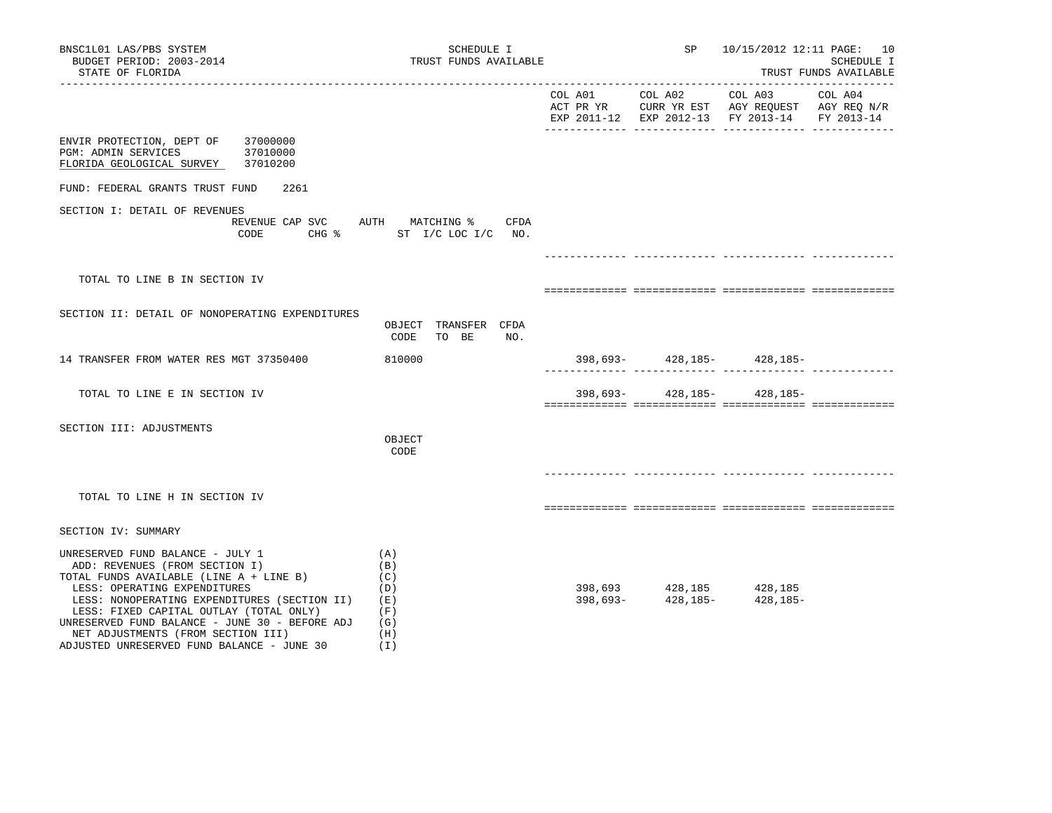| BNSC1L01 LAS/PBS SYSTEM<br>BUDGET PERIOD: 2003-2014<br>STATE OF FLORIDA                                                                                                                                                                                                                                                                                                        | SCHEDULE I<br>TRUST FUNDS AVAILABLE                           | SP                                                      | 10/15/2012 12:11 PAGE: 10                                                                                         | SCHEDULE I<br>TRUST FUNDS AVAILABLE |
|--------------------------------------------------------------------------------------------------------------------------------------------------------------------------------------------------------------------------------------------------------------------------------------------------------------------------------------------------------------------------------|---------------------------------------------------------------|---------------------------------------------------------|-------------------------------------------------------------------------------------------------------------------|-------------------------------------|
|                                                                                                                                                                                                                                                                                                                                                                                |                                                               | COL A01 COL A02                                         | COL A03 COL A04<br>ACT PR YR CURR YR EST AGY REQUEST AGY REQ N/R<br>EXP 2011-12 EXP 2012-13 FY 2013-14 FY 2013-14 |                                     |
| ENVIR PROTECTION, DEPT OF 37000000<br>37010000<br>PGM: ADMIN SERVICES<br>FLORIDA GEOLOGICAL SURVEY 37010200                                                                                                                                                                                                                                                                    |                                                               |                                                         |                                                                                                                   |                                     |
| FUND: FEDERAL GRANTS TRUST FUND<br>2261                                                                                                                                                                                                                                                                                                                                        |                                                               |                                                         |                                                                                                                   |                                     |
| SECTION I: DETAIL OF REVENUES<br>REVENUE CAP SVC AUTH MATCHING %<br>CODE                                                                                                                                                                                                                                                                                                       | CFDA<br>CHG % ST I/C LOC I/C NO.                              |                                                         |                                                                                                                   |                                     |
|                                                                                                                                                                                                                                                                                                                                                                                |                                                               |                                                         |                                                                                                                   |                                     |
| TOTAL TO LINE B IN SECTION IV                                                                                                                                                                                                                                                                                                                                                  |                                                               |                                                         |                                                                                                                   |                                     |
| SECTION II: DETAIL OF NONOPERATING EXPENDITURES                                                                                                                                                                                                                                                                                                                                | OBJECT TRANSFER CFDA<br>CODE<br>TO BE<br>NO.                  |                                                         |                                                                                                                   |                                     |
| 14 TRANSFER FROM WATER RES MGT 37350400                                                                                                                                                                                                                                                                                                                                        | 810000                                                        |                                                         | 398,693- 428,185- 428,185-                                                                                        |                                     |
| TOTAL TO LINE E IN SECTION IV                                                                                                                                                                                                                                                                                                                                                  |                                                               |                                                         | 398,693-428,185-428,185-                                                                                          |                                     |
| SECTION III: ADJUSTMENTS                                                                                                                                                                                                                                                                                                                                                       | OBJECT<br>CODE                                                |                                                         |                                                                                                                   |                                     |
| TOTAL TO LINE H IN SECTION IV                                                                                                                                                                                                                                                                                                                                                  |                                                               |                                                         |                                                                                                                   |                                     |
| SECTION IV: SUMMARY                                                                                                                                                                                                                                                                                                                                                            |                                                               |                                                         |                                                                                                                   |                                     |
| UNRESERVED FUND BALANCE - JULY 1<br>ADD: REVENUES (FROM SECTION I)<br>TOTAL FUNDS AVAILABLE (LINE A + LINE B)<br>LESS: OPERATING EXPENDITURES<br>LESS: NONOPERATING EXPENDITURES (SECTION II)<br>LESS: FIXED CAPITAL OUTLAY (TOTAL ONLY)<br>UNRESERVED FUND BALANCE - JUNE 30 - BEFORE ADJ<br>NET ADJUSTMENTS (FROM SECTION III)<br>ADJUSTED UNRESERVED FUND BALANCE - JUNE 30 | (A)<br>(B)<br>(C)<br>(D)<br>(E)<br>(F)<br>(G)<br>(H)<br>( I ) | $398,693$<br>398,693 - $428,185$<br>428,185 - $428,185$ | 428,185-                                                                                                          |                                     |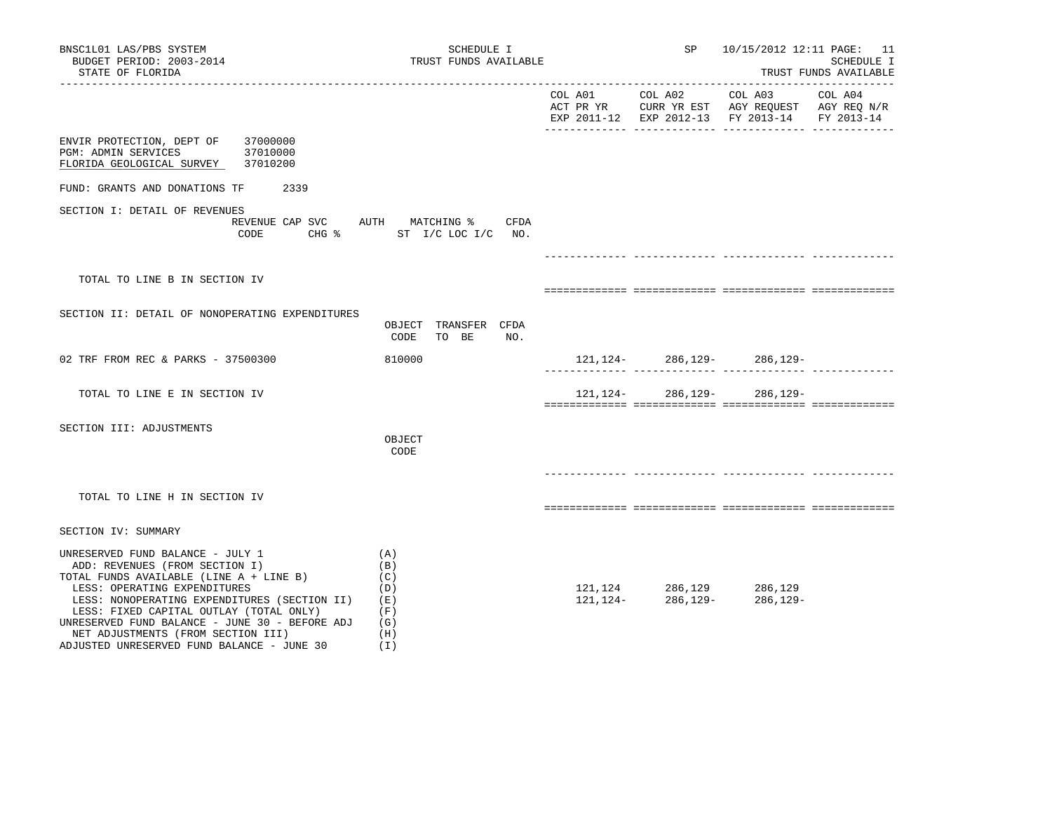| BNSC1L01 LAS/PBS SYSTEM<br>BUDGET PERIOD: 2003-2014<br>STATE OF FLORIDA                                                                                                                                                                                                                                                                                                        | SCHEDULE I<br>TRUST FUNDS AVAILABLE                           |         | SP                                                          | 10/15/2012 12:11 PAGE: 11                                                                                           | SCHEDULE I<br>TRUST FUNDS AVAILABLE |
|--------------------------------------------------------------------------------------------------------------------------------------------------------------------------------------------------------------------------------------------------------------------------------------------------------------------------------------------------------------------------------|---------------------------------------------------------------|---------|-------------------------------------------------------------|---------------------------------------------------------------------------------------------------------------------|-------------------------------------|
|                                                                                                                                                                                                                                                                                                                                                                                |                                                               | COL A01 | COL A02                                                     | COL A03<br>ACT PR YR $\,$ CURR YR EST $\,$ AGY REQUEST $\,$ AGY REQ $\rm N/R$<br>EXP 2011-12 EXP 2012-13 FY 2013-14 | COL A04<br>FY 2013-14               |
| ENVIR PROTECTION, DEPT OF 37000000<br>PGM: ADMIN SERVICES<br>37010000<br>FLORIDA GEOLOGICAL SURVEY 37010200                                                                                                                                                                                                                                                                    |                                                               |         |                                                             |                                                                                                                     |                                     |
| FUND: GRANTS AND DONATIONS TF 2339                                                                                                                                                                                                                                                                                                                                             |                                                               |         |                                                             |                                                                                                                     |                                     |
| SECTION I: DETAIL OF REVENUES<br>REVENUE CAP SVC AUTH MATCHING %<br>CODE                                                                                                                                                                                                                                                                                                       | CFDA<br>CHG % ST I/C LOC I/C NO.                              |         |                                                             |                                                                                                                     |                                     |
|                                                                                                                                                                                                                                                                                                                                                                                |                                                               |         |                                                             |                                                                                                                     |                                     |
| TOTAL TO LINE B IN SECTION IV                                                                                                                                                                                                                                                                                                                                                  |                                                               |         |                                                             |                                                                                                                     |                                     |
| SECTION II: DETAIL OF NONOPERATING EXPENDITURES                                                                                                                                                                                                                                                                                                                                | OBJECT TRANSFER CFDA<br>CODE<br>TO BE<br>NO.                  |         |                                                             |                                                                                                                     |                                     |
| 02 TRF FROM REC & PARKS - 37500300                                                                                                                                                                                                                                                                                                                                             | 810000                                                        |         |                                                             | $121, 124 - 286, 129 - 286, 129 -$                                                                                  |                                     |
| TOTAL TO LINE E IN SECTION IV                                                                                                                                                                                                                                                                                                                                                  |                                                               |         | 121, 124 - 286, 129 -                                       | 286,129-                                                                                                            |                                     |
| SECTION III: ADJUSTMENTS                                                                                                                                                                                                                                                                                                                                                       | OBJECT<br>CODE                                                |         |                                                             |                                                                                                                     |                                     |
| TOTAL TO LINE H IN SECTION IV                                                                                                                                                                                                                                                                                                                                                  |                                                               |         |                                                             |                                                                                                                     |                                     |
| SECTION IV: SUMMARY                                                                                                                                                                                                                                                                                                                                                            |                                                               |         |                                                             |                                                                                                                     |                                     |
| UNRESERVED FUND BALANCE - JULY 1<br>ADD: REVENUES (FROM SECTION I)<br>TOTAL FUNDS AVAILABLE (LINE A + LINE B)<br>LESS: OPERATING EXPENDITURES<br>LESS: NONOPERATING EXPENDITURES (SECTION II)<br>LESS: FIXED CAPITAL OUTLAY (TOTAL ONLY)<br>UNRESERVED FUND BALANCE - JUNE 30 - BEFORE ADJ<br>NET ADJUSTMENTS (FROM SECTION III)<br>ADJUSTED UNRESERVED FUND BALANCE - JUNE 30 | (A)<br>(B)<br>(C)<br>(D)<br>( E )<br>(F)<br>(G)<br>(H)<br>(1) |         | $121, 124121, 124 - 286, 129 - 286, 129286, 129 - 286, 129$ | 286,129-                                                                                                            |                                     |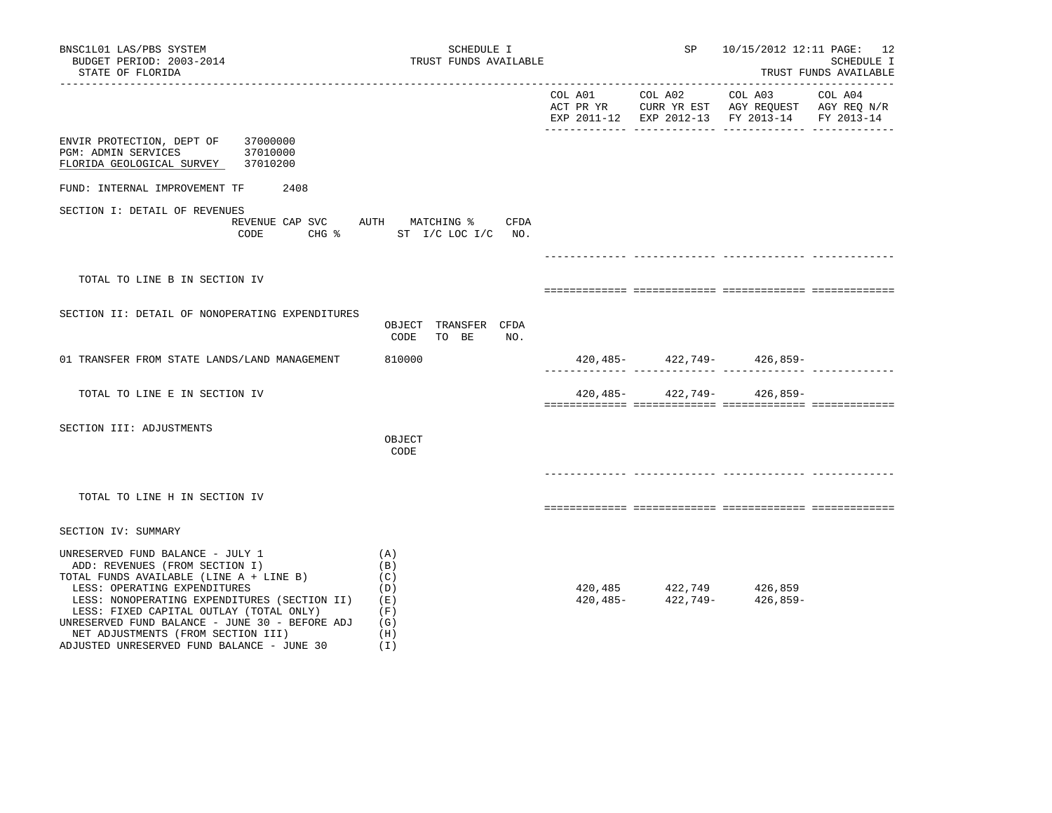| BNSC1L01 LAS/PBS SYSTEM<br>BUDGET PERIOD: 2003-2014<br>STATE OF FLORIDA                                                                                                                                                                                                                                                                                                        | SCHEDULE I<br>TRUST FUNDS AVAILABLE                         | SP              | 10/15/2012 12:11 PAGE: 12                                                                                                                          | SCHEDULE I<br>TRUST FUNDS AVAILABLE |
|--------------------------------------------------------------------------------------------------------------------------------------------------------------------------------------------------------------------------------------------------------------------------------------------------------------------------------------------------------------------------------|-------------------------------------------------------------|-----------------|----------------------------------------------------------------------------------------------------------------------------------------------------|-------------------------------------|
|                                                                                                                                                                                                                                                                                                                                                                                |                                                             | COL A01 COL A02 | COL A03<br>ACT PR YR $\,$ CURR YR EST $\,$ AGY REQUEST $\,$ AGY REQ $\rm N/R$<br>EXP 2011-12 EXP 2012-13 FY 2013-14 FY 2013-14                     | COL A04                             |
| ENVIR PROTECTION, DEPT OF 37000000<br>PGM: ADMIN SERVICES<br>37010000<br>FLORIDA GEOLOGICAL SURVEY 37010200                                                                                                                                                                                                                                                                    |                                                             |                 |                                                                                                                                                    |                                     |
| FUND: INTERNAL IMPROVEMENT TF 2408                                                                                                                                                                                                                                                                                                                                             |                                                             |                 |                                                                                                                                                    |                                     |
| SECTION I: DETAIL OF REVENUES<br>REVENUE CAP SVC AUTH MATCHING %<br>CODE                                                                                                                                                                                                                                                                                                       | CFDA<br>CHG % ST I/C LOC I/C NO.                            |                 |                                                                                                                                                    |                                     |
|                                                                                                                                                                                                                                                                                                                                                                                |                                                             |                 |                                                                                                                                                    |                                     |
| TOTAL TO LINE B IN SECTION IV                                                                                                                                                                                                                                                                                                                                                  |                                                             |                 |                                                                                                                                                    |                                     |
| SECTION II: DETAIL OF NONOPERATING EXPENDITURES                                                                                                                                                                                                                                                                                                                                | OBJECT TRANSFER CFDA<br>CODE<br>NO.<br>TO BE                |                 |                                                                                                                                                    |                                     |
| 01 TRANSFER FROM STATE LANDS/LAND MANAGEMENT                                                                                                                                                                                                                                                                                                                                   | 810000                                                      |                 | $420, 485 - 422, 749 - 426, 859 -$                                                                                                                 |                                     |
| TOTAL TO LINE E IN SECTION IV                                                                                                                                                                                                                                                                                                                                                  |                                                             |                 | $420, 485 - 422, 749 - 426, 859 -$                                                                                                                 |                                     |
| SECTION III: ADJUSTMENTS                                                                                                                                                                                                                                                                                                                                                       | OBJECT<br>CODE                                              |                 |                                                                                                                                                    |                                     |
| TOTAL TO LINE H IN SECTION IV                                                                                                                                                                                                                                                                                                                                                  |                                                             |                 |                                                                                                                                                    |                                     |
| SECTION IV: SUMMARY                                                                                                                                                                                                                                                                                                                                                            |                                                             |                 |                                                                                                                                                    |                                     |
| UNRESERVED FUND BALANCE - JULY 1<br>ADD: REVENUES (FROM SECTION I)<br>TOTAL FUNDS AVAILABLE (LINE A + LINE B)<br>LESS: OPERATING EXPENDITURES<br>LESS: NONOPERATING EXPENDITURES (SECTION II)<br>LESS: FIXED CAPITAL OUTLAY (TOTAL ONLY)<br>UNRESERVED FUND BALANCE - JUNE 30 - BEFORE ADJ<br>NET ADJUSTMENTS (FROM SECTION III)<br>ADJUSTED UNRESERVED FUND BALANCE - JUNE 30 | (A)<br>(B)<br>(C)<br>(D)<br>(E)<br>(F)<br>(G)<br>(H)<br>(I) |                 | $\begin{array}{lllll} 420\,, 485 & \quad & 422\,, 749 & \quad & 426\,, 859 \\ 420\,, 485- & \quad & 422\,, 749- & \quad & 426\,, 859- \end{array}$ |                                     |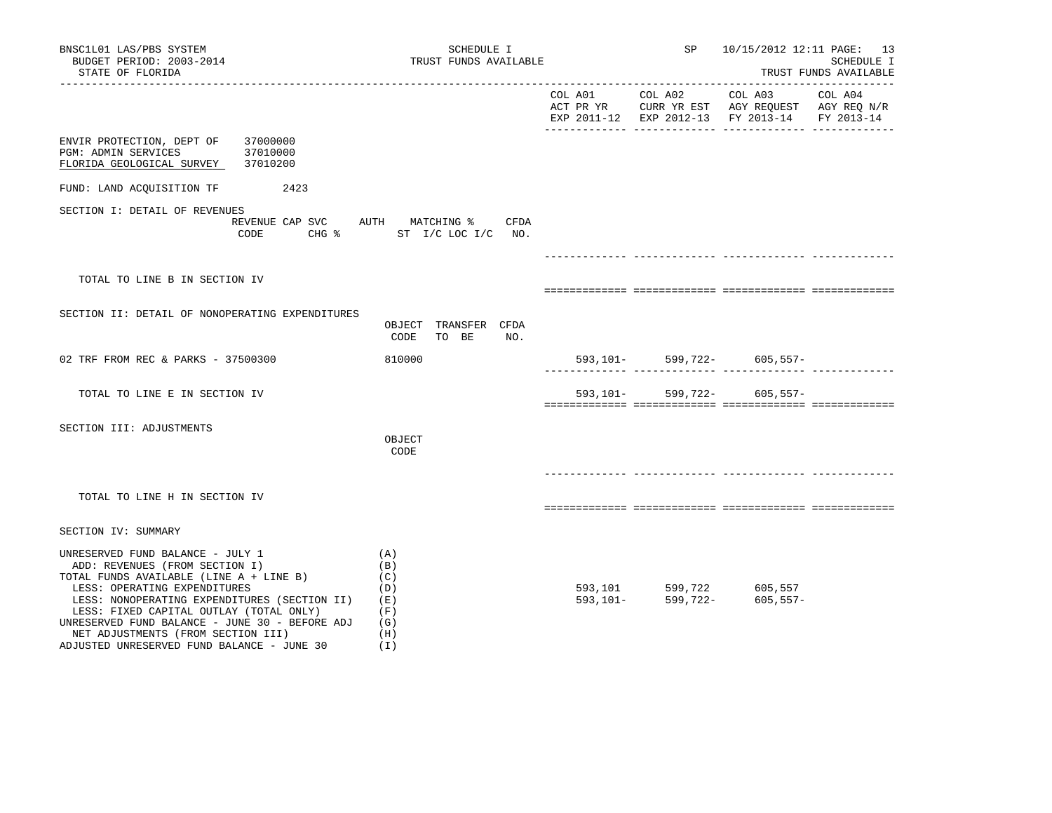| BNSC1L01 LAS/PBS SYSTEM<br>BUDGET PERIOD: 2003-2014<br>STATE OF FLORIDA                                                                                                                                                                                                                                                                                                        | SCHEDULE I<br>TRUST FUNDS AVAILABLE                                      |                 | SP 10/15/2012 12:11 PAGE: 13                                                                                      | SCHEDULE I<br>TRUST FUNDS AVAILABLE |
|--------------------------------------------------------------------------------------------------------------------------------------------------------------------------------------------------------------------------------------------------------------------------------------------------------------------------------------------------------------------------------|--------------------------------------------------------------------------|-----------------|-------------------------------------------------------------------------------------------------------------------|-------------------------------------|
|                                                                                                                                                                                                                                                                                                                                                                                |                                                                          | COL A01 COL A02 | COL A03 COL A04<br>ACT PR YR CURR YR EST AGY REQUEST AGY REQ N/R<br>EXP 2011-12 EXP 2012-13 FY 2013-14 FY 2013-14 |                                     |
| ENVIR PROTECTION, DEPT OF<br>37000000<br>37010000<br>PGM: ADMIN SERVICES<br>FLORIDA GEOLOGICAL SURVEY 37010200                                                                                                                                                                                                                                                                 |                                                                          |                 |                                                                                                                   |                                     |
| FUND: LAND ACQUISITION TF 2423                                                                                                                                                                                                                                                                                                                                                 |                                                                          |                 |                                                                                                                   |                                     |
| SECTION I: DETAIL OF REVENUES                                                                                                                                                                                                                                                                                                                                                  | REVENUE CAP SVC AUTH MATCHING %<br>CFDA<br>CODE CHG % ST I/C LOC I/C NO. |                 |                                                                                                                   |                                     |
|                                                                                                                                                                                                                                                                                                                                                                                |                                                                          |                 |                                                                                                                   |                                     |
| TOTAL TO LINE B IN SECTION IV                                                                                                                                                                                                                                                                                                                                                  |                                                                          |                 |                                                                                                                   |                                     |
| SECTION II: DETAIL OF NONOPERATING EXPENDITURES                                                                                                                                                                                                                                                                                                                                | OBJECT TRANSFER CFDA<br>CODE<br>TO BE<br>NO.                             |                 |                                                                                                                   |                                     |
| 02 TRF FROM REC & PARKS - 37500300                                                                                                                                                                                                                                                                                                                                             | 810000                                                                   |                 | 593, 101 - 599, 722 - 605, 557 -                                                                                  |                                     |
| TOTAL TO LINE E IN SECTION IV                                                                                                                                                                                                                                                                                                                                                  |                                                                          |                 | 593, 101- 599, 722- 605, 557-                                                                                     |                                     |
| SECTION III: ADJUSTMENTS                                                                                                                                                                                                                                                                                                                                                       | OBJECT<br>CODE                                                           |                 |                                                                                                                   |                                     |
| TOTAL TO LINE H IN SECTION IV                                                                                                                                                                                                                                                                                                                                                  |                                                                          |                 |                                                                                                                   |                                     |
| SECTION IV: SUMMARY                                                                                                                                                                                                                                                                                                                                                            |                                                                          |                 |                                                                                                                   |                                     |
| UNRESERVED FUND BALANCE - JULY 1<br>ADD: REVENUES (FROM SECTION I)<br>TOTAL FUNDS AVAILABLE (LINE A + LINE B)<br>LESS: OPERATING EXPENDITURES<br>LESS: NONOPERATING EXPENDITURES (SECTION II)<br>LESS: FIXED CAPITAL OUTLAY (TOTAL ONLY)<br>UNRESERVED FUND BALANCE - JUNE 30 - BEFORE ADJ<br>NET ADJUSTMENTS (FROM SECTION III)<br>ADJUSTED UNRESERVED FUND BALANCE - JUNE 30 | (A)<br>(B)<br>(C)<br>(D)<br>(E)<br>(F)<br>(G)<br>(H)<br>(1)              |                 | 593,101 599,722 605,557<br>593,101- 599,722- 605,557<br>$605, 557 -$                                              |                                     |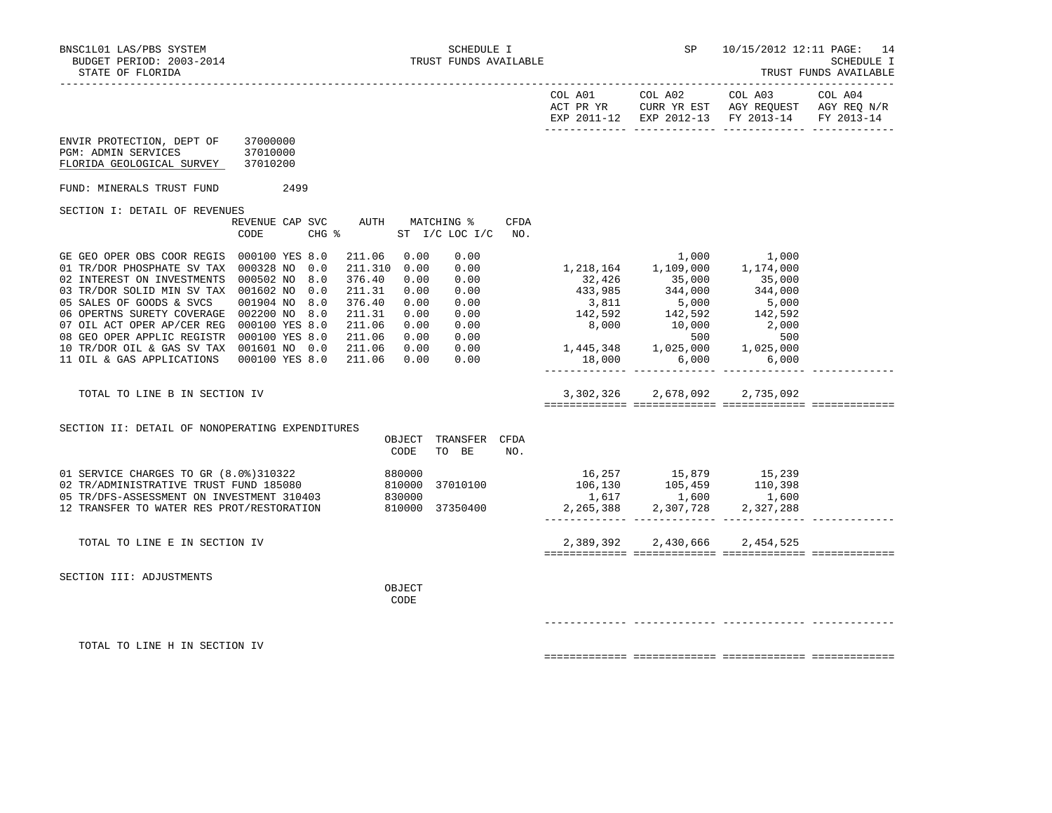|                                                                                                                                                                                                                                                                                                                                                                                                                                         |                                         |                                                                                                                                                                             |                                                                              |                                | EXP 2011-12 EXP 2012-13 FY 2013-14 FY 2013-14                                                                                                                                                                                                                                                                                                               |                |  |
|-----------------------------------------------------------------------------------------------------------------------------------------------------------------------------------------------------------------------------------------------------------------------------------------------------------------------------------------------------------------------------------------------------------------------------------------|-----------------------------------------|-----------------------------------------------------------------------------------------------------------------------------------------------------------------------------|------------------------------------------------------------------------------|--------------------------------|-------------------------------------------------------------------------------------------------------------------------------------------------------------------------------------------------------------------------------------------------------------------------------------------------------------------------------------------------------------|----------------|--|
| ENVIR PROTECTION, DEPT OF<br>PGM: ADMIN SERVICES<br>FLORIDA GEOLOGICAL SURVEY 37010200                                                                                                                                                                                                                                                                                                                                                  | 37000000<br>37010000                    |                                                                                                                                                                             |                                                                              |                                |                                                                                                                                                                                                                                                                                                                                                             |                |  |
| FUND: MINERALS TRUST FUND 2499                                                                                                                                                                                                                                                                                                                                                                                                          |                                         |                                                                                                                                                                             |                                                                              |                                |                                                                                                                                                                                                                                                                                                                                                             |                |  |
| SECTION I: DETAIL OF REVENUES                                                                                                                                                                                                                                                                                                                                                                                                           | REVENUE CAP SVC AUTH MATCHING %<br>CODE | CHG % ST I/C LOC I/C                                                                                                                                                        |                                                                              | <b>CFDA</b><br>NO <sub>z</sub> |                                                                                                                                                                                                                                                                                                                                                             |                |  |
| GE GEO OPER OBS COOR REGIS 000100 YES 8.0<br>01 TR/DOR PHOSPHATE SV TAX 000328 NO 0.0<br>02 INTEREST ON INVESTMENTS 000502 NO 8.0<br>03 TR/DOR SOLID MIN SV TAX 001602 NO 0.0<br>05 SALES OF GOODS & SVCS<br>06 OPERTNS SURETY COVERAGE 002200 NO 8.0<br>07 OIL ACT OPER AP/CER REG 000100 YES 8.0<br>08 GEO OPER APPLIC REGISTR 000100 YES 8.0<br>10 TR/DOR OIL & GAS SV TAX 001601 NO 0.0<br>11 OIL & GAS APPLICATIONS 000100 YES 8.0 | 001904 NO 8.0                           | 211.06 0.00<br>211.310 0.00<br>376.40<br>0.00<br>211.31<br>0.00<br>376.40<br>0.00<br>211.31<br>0.00<br>211.06<br>0.00<br>211.06<br>0.00<br>211.06<br>0.00<br>211.06<br>0.00 | 0.00<br>0.00<br>0.00<br>0.00<br>0.00<br>0.00<br>0.00<br>0.00<br>0.00<br>0.00 |                                | 1,000<br>1, 218, 164 1, 109, 000 1, 174, 000<br>$\begin{array}{cccccc} 1,11 & 1,12 & 1,13 & 1,000 & 1,14 & 1,000 \ 43 & 32,426 & 35,000 & 344,000 \ 43 & 38.985 & 344,000 & 344,000 \ 3,811 & 5,000 & 5,000 \ 142,592 & 142,592 & 142,592 \ 8,000 & 10,000 & 2,000 \end{array}$<br>$1,445,348$<br>$1,025,000$<br>$1,025,000$<br>$1,025,000$<br>18,000 6,000 | 1,000<br>6,000 |  |
| TOTAL TO LINE B IN SECTION IV                                                                                                                                                                                                                                                                                                                                                                                                           |                                         |                                                                                                                                                                             |                                                                              |                                | 3,302,326 2,678,092 2,735,092                                                                                                                                                                                                                                                                                                                               |                |  |
| SECTION II: DETAIL OF NONOPERATING EXPENDITURES                                                                                                                                                                                                                                                                                                                                                                                         |                                         | CODE                                                                                                                                                                        | OBJECT TRANSFER CFDA<br>TO BE                                                | NO.                            |                                                                                                                                                                                                                                                                                                                                                             |                |  |
| 01 SERVICE CHARGES TO GR (8.0%)310322 880000<br>02 TR/ADMINISTRATIVE TRUST FUND 185080 810000<br>05 TR/DFS-ASSESSMENT ON INVESTMENT 310403 830000<br>12 TRANSFER TO WATER RES PROT/RESTORATION                                                                                                                                                                                                                                          |                                         | 810000 37350400                                                                                                                                                             | 37010100                                                                     |                                | $\begin{array}{cccc} 16,257 & 15,879 & 15,239 \\ 106,130 & 105,459 & 110,398 \\ 1,617 & 1,600 & 1,600 \\ 2,265,388 & 2,307,728 & 2,327,288 \end{array}$                                                                                                                                                                                                     |                |  |
| TOTAL TO LINE E IN SECTION IV                                                                                                                                                                                                                                                                                                                                                                                                           |                                         |                                                                                                                                                                             |                                                                              |                                | 2,389,392 2,430,666 2,454,525                                                                                                                                                                                                                                                                                                                               |                |  |
| SECTION III: ADJUSTMENTS                                                                                                                                                                                                                                                                                                                                                                                                                |                                         | OBJECT<br>CODE                                                                                                                                                              |                                                                              |                                |                                                                                                                                                                                                                                                                                                                                                             |                |  |
| TOTAL TO LINE H IN SECTION IV                                                                                                                                                                                                                                                                                                                                                                                                           |                                         |                                                                                                                                                                             |                                                                              |                                |                                                                                                                                                                                                                                                                                                                                                             |                |  |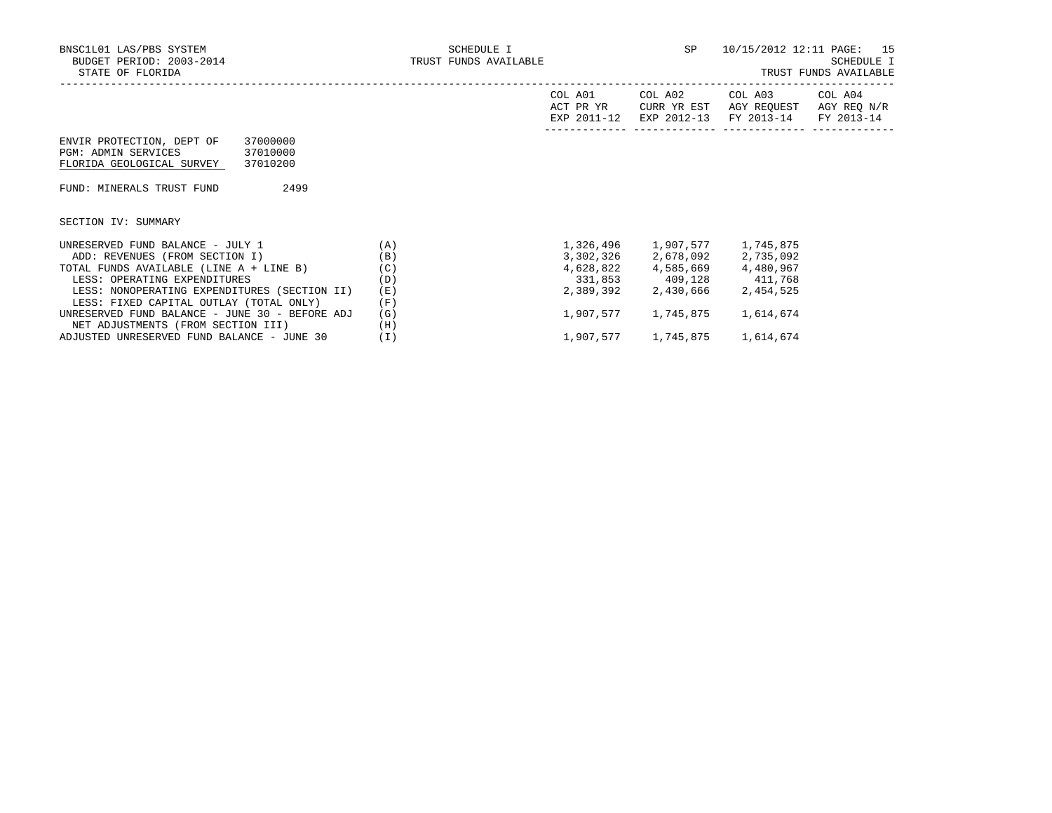|                                                                                                                          |     | COL A01<br>ACT PR YR<br>EXP 2011-12 | COL A02<br>CURR YR EST<br>EXP 2012-13 | COL A03<br>AGY REOUEST<br>FY 2013-14 | COL A04<br>AGY REQ N/R<br>FY 2013-14 |
|--------------------------------------------------------------------------------------------------------------------------|-----|-------------------------------------|---------------------------------------|--------------------------------------|--------------------------------------|
| ENVIR PROTECTION, DEPT OF<br>37000000<br><b>PGM: ADMIN SERVICES</b><br>37010000<br>FLORIDA GEOLOGICAL SURVEY<br>37010200 |     |                                     |                                       |                                      |                                      |
| 2499<br>FUND: MINERALS TRUST FUND                                                                                        |     |                                     |                                       |                                      |                                      |
| SECTION IV: SUMMARY                                                                                                      |     |                                     |                                       |                                      |                                      |
| UNRESERVED FUND BALANCE - JULY 1                                                                                         | (A) |                                     |                                       | 1,745,875                            |                                      |
| ADD: REVENUES (FROM SECTION I)                                                                                           | (B) |                                     | 3,302,326 2,678,092 2,735,092         |                                      |                                      |
| TOTAL FUNDS AVAILABLE (LINE A + LINE B)                                                                                  | (C) |                                     | 4,628,822 4,585,669 4,480,967         |                                      |                                      |
| LESS: OPERATING EXPENDITURES                                                                                             | (D) |                                     | 331,853 409,128 411,768               |                                      |                                      |
| LESS: NONOPERATING EXPENDITURES (SECTION II)                                                                             | (E) | 2,389,392                           | 2,430,666                             | 2,454,525                            |                                      |
| LESS: FIXED CAPITAL OUTLAY (TOTAL ONLY)                                                                                  | (F) |                                     |                                       |                                      |                                      |
| UNRESERVED FUND BALANCE - JUNE 30 - BEFORE ADJ                                                                           | (G) | 1,907,577                           | 1,745,875                             | 1,614,674                            |                                      |
| NET ADJUSTMENTS (FROM SECTION III)                                                                                       | (H) |                                     |                                       |                                      |                                      |
| ADJUSTED UNRESERVED FUND BALANCE - JUNE 30                                                                               | (I) |                                     | 1,907,577 1,745,875                   | 1,614,674                            |                                      |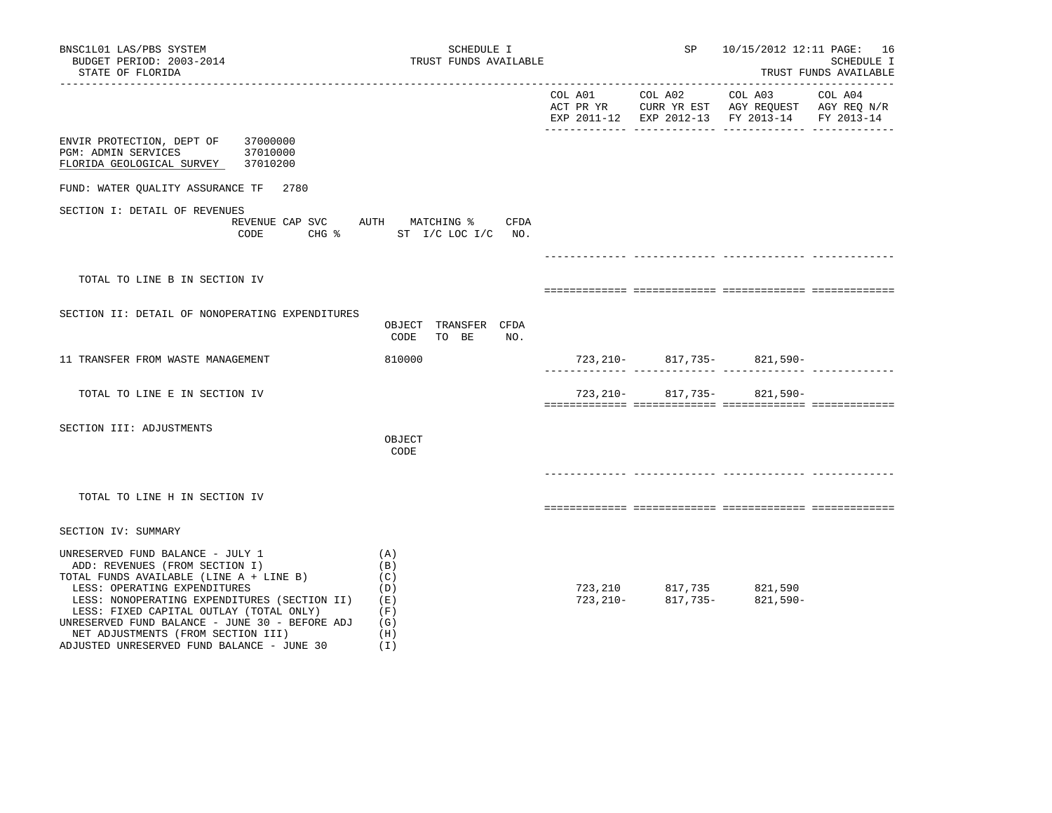| BNSC1L01 LAS/PBS SYSTEM<br>BUDGET PERIOD: 2003-2014<br>STATE OF FLORIDA                                                                                                                                                                                                                                                                                                        | SCHEDULE I<br>TRUST FUNDS AVAILABLE                              | SP | 10/15/2012 12:11 PAGE: 16                                                                                                                              | SCHEDULE I<br>TRUST FUNDS AVAILABLE |
|--------------------------------------------------------------------------------------------------------------------------------------------------------------------------------------------------------------------------------------------------------------------------------------------------------------------------------------------------------------------------------|------------------------------------------------------------------|----|--------------------------------------------------------------------------------------------------------------------------------------------------------|-------------------------------------|
|                                                                                                                                                                                                                                                                                                                                                                                |                                                                  |    | COL A01 COL A02 COL A03 COL A04<br>ACT PR YR $\,$ CURR YR EST $\,$ AGY REQUEST $\,$ AGY REQ $\rm N/R$<br>EXP 2011-12 EXP 2012-13 FY 2013-14 FY 2013-14 |                                     |
| ENVIR PROTECTION, DEPT OF 37000000<br>PGM: ADMIN SERVICES 37010000<br>FLORIDA GEOLOGICAL SURVEY 37010200                                                                                                                                                                                                                                                                       |                                                                  |    |                                                                                                                                                        |                                     |
| FUND: WATER QUALITY ASSURANCE TF 2780                                                                                                                                                                                                                                                                                                                                          |                                                                  |    |                                                                                                                                                        |                                     |
| SECTION I: DETAIL OF REVENUES<br>CODE                                                                                                                                                                                                                                                                                                                                          | REVENUE CAP SVC AUTH MATCHING % CFDA<br>CHG % ST I/C LOC I/C NO. |    |                                                                                                                                                        |                                     |
|                                                                                                                                                                                                                                                                                                                                                                                |                                                                  |    |                                                                                                                                                        |                                     |
| TOTAL TO LINE B IN SECTION IV                                                                                                                                                                                                                                                                                                                                                  |                                                                  |    |                                                                                                                                                        |                                     |
| SECTION II: DETAIL OF NONOPERATING EXPENDITURES                                                                                                                                                                                                                                                                                                                                |                                                                  |    |                                                                                                                                                        |                                     |
|                                                                                                                                                                                                                                                                                                                                                                                | OBJECT TRANSFER CFDA<br>CODE<br>TO BE<br>NO.                     |    |                                                                                                                                                        |                                     |
| 11 TRANSFER FROM WASTE MANAGEMENT                                                                                                                                                                                                                                                                                                                                              | 810000                                                           |    | 723, 210 - 817, 735 - 821, 590 -                                                                                                                       |                                     |
| TOTAL TO LINE E IN SECTION IV                                                                                                                                                                                                                                                                                                                                                  |                                                                  |    | 723, 210 - 817, 735 - 821, 590 -                                                                                                                       |                                     |
| SECTION III: ADJUSTMENTS                                                                                                                                                                                                                                                                                                                                                       | OBJECT<br>CODE                                                   |    |                                                                                                                                                        |                                     |
|                                                                                                                                                                                                                                                                                                                                                                                |                                                                  |    |                                                                                                                                                        |                                     |
| TOTAL TO LINE H IN SECTION IV                                                                                                                                                                                                                                                                                                                                                  |                                                                  |    |                                                                                                                                                        |                                     |
| SECTION IV: SUMMARY                                                                                                                                                                                                                                                                                                                                                            |                                                                  |    |                                                                                                                                                        |                                     |
| UNRESERVED FUND BALANCE - JULY 1<br>ADD: REVENUES (FROM SECTION I)<br>TOTAL FUNDS AVAILABLE (LINE A + LINE B)<br>LESS: OPERATING EXPENDITURES<br>LESS: NONOPERATING EXPENDITURES (SECTION II)<br>LESS: FIXED CAPITAL OUTLAY (TOTAL ONLY)<br>UNRESERVED FUND BALANCE - JUNE 30 - BEFORE ADJ<br>NET ADJUSTMENTS (FROM SECTION III)<br>ADJUSTED UNRESERVED FUND BALANCE - JUNE 30 | (A)<br>(B)<br>(C)<br>(D)<br>(E)<br>(F)<br>(G)<br>(H)<br>(1)      |    | 723, 210 817, 735 821, 590<br>723, 210 - 817, 735 - 821, 590 -                                                                                         |                                     |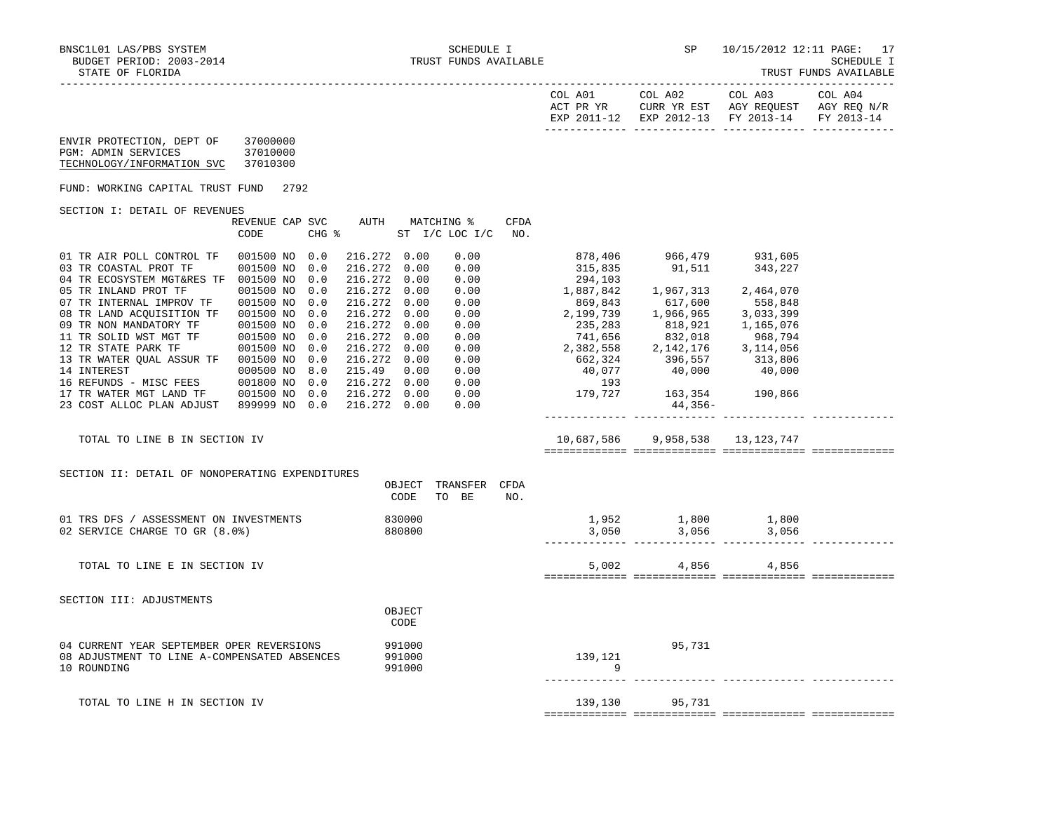|  | TRUST FUNDS |  | AVAILABLE |  |  |  |
|--|-------------|--|-----------|--|--|--|
|--|-------------|--|-----------|--|--|--|

| COL A01<br>ACT PR YR<br>$2011 - 12$<br><b>UYD</b> | $70L$ A02<br>CURR YR EST<br>$2012 - 13$<br><b>TYD</b> | COL A03<br>AGY REQUEST<br>FY 2013-14 | COL A04<br>AGY REQ N/R<br>FY 2013-14 |
|---------------------------------------------------|-------------------------------------------------------|--------------------------------------|--------------------------------------|
|                                                   |                                                       |                                      |                                      |

| ENVIR PROTECTION, DEPT OF  | 37000000 |
|----------------------------|----------|
| PGM: ADMIN SERVICES        | 37010000 |
| TECHNOLOGY/INFORMATION SVC | 37010300 |

FUND: WORKING CAPITAL TRUST FUND 2792

## SECTION I: DETAIL OF REVENUES

|                            | REVENUE CAP SVC<br>CODE | CHG % | AUTH    |      | MATCHING %<br>ST I/C LOC I/C | CFDA<br>NO. |           |           |           |  |
|----------------------------|-------------------------|-------|---------|------|------------------------------|-------------|-----------|-----------|-----------|--|
| 01 TR AIR POLL CONTROL TF  | 001500 NO               | 0.0   | 216.272 | 0.00 | 0.00                         |             | 878,406   | 966,479   | 931,605   |  |
| 03 TR COASTAL PROT TF      | 001500 NO               | 0.0   | 216.272 | 0.00 | 0.00                         |             | 315,835   | 91,511    | 343,227   |  |
| 04 TR ECOSYSTEM MGT&RES TF | 001500 NO               | 0.0   | 216.272 | 0.00 | 0.00                         |             | 294,103   |           |           |  |
| 05 TR INLAND PROT TF       | 001500 NO               | 0.0   | 216.272 | 0.00 | 0.00                         |             | 1,887,842 | 1,967,313 | 2,464,070 |  |
| 07 TR INTERNAL IMPROV TF   | 001500 NO               | 0.0   | 216.272 | 0.00 | 0.00                         |             | 869,843   | 617,600   | 558,848   |  |
| 08 TR LAND ACOUISITION TF  | 001500 NO               | 0.0   | 216.272 | 0.00 | 0.00                         |             | 2,199,739 | 1,966,965 | 3,033,399 |  |
| 09 TR NON MANDATORY TF     | 001500 NO               | 0.0   | 216.272 | 0.00 | 0.00                         |             | 235,283   | 818,921   | 1,165,076 |  |
| 11 TR SOLID WST MGT TF     | 001500 NO               | 0.0   | 216.272 | 0.00 | 0.00                         |             | 741,656   | 832,018   | 968,794   |  |
| 12 TR STATE PARK TF        | 001500 NO               | 0.0   | 216.272 | 0.00 | 0.00                         |             | 2,382,558 | 2,142,176 | 3,114,056 |  |
| 13 TR WATER OUAL ASSUR TF  | 001500 NO               | 0.0   | 216.272 | 0.00 | 0.00                         |             | 662,324   | 396,557   | 313,806   |  |
| 14 INTEREST                | 000500 NO               | 8.0   | 215.49  | 0.00 | 0.00                         |             | 40,077    | 40,000    | 40,000    |  |
| 16 REFUNDS - MISC FEES     | 001800 NO               | 0.0   | 216.272 | 0.00 | 0.00                         |             | 193       |           |           |  |
| 17 TR WATER MGT LAND TF    | 001500 NO               | 0.0   | 216.272 | 0.00 | 0.00                         |             | 179,727   | 163,354   | 190,866   |  |
| 23 COST ALLOC PLAN ADJUST  | 899999 NO               | 0.0   | 216.272 | 0.00 | 0.00                         |             |           | 44,356-   |           |  |
|                            |                         |       |         |      |                              |             |           |           |           |  |

TOTAL TO LINE B IN SECTION IV 10,687,586 9,958,538 13,123,747

============= ============= ============= =============

| SECTION II: DETAIL OF NONOPERATING EXPENDITURES                                                          | OBJECT<br>CODE             | TRANSFER<br>TO<br>BE | CFDA<br>NO. |                |                |                |  |
|----------------------------------------------------------------------------------------------------------|----------------------------|----------------------|-------------|----------------|----------------|----------------|--|
| 01 TRS DFS / ASSESSMENT ON INVESTMENTS<br>02 SERVICE CHARGE TO GR (8.0%)                                 | 830000<br>880800           |                      |             | 1,952<br>3,050 | 1,800<br>3,056 | 1,800<br>3,056 |  |
| TOTAL TO LINE E IN SECTION IV                                                                            |                            |                      |             | 5,002          | 4,856          | 4,856          |  |
| SECTION III: ADJUSTMENTS                                                                                 | OBJECT<br>CODE             |                      |             |                |                |                |  |
| 04 CURRENT YEAR SEPTEMBER OPER REVERSIONS<br>08 ADJUSTMENT TO LINE A-COMPENSATED ABSENCES<br>10 ROUNDING | 991000<br>991000<br>991000 |                      |             | 139,121<br>9   | 95,731         |                |  |
| TOTAL TO LINE H IN SECTION IV                                                                            |                            |                      |             | 139,130        | 95,731         |                |  |

============= ============= ============= =============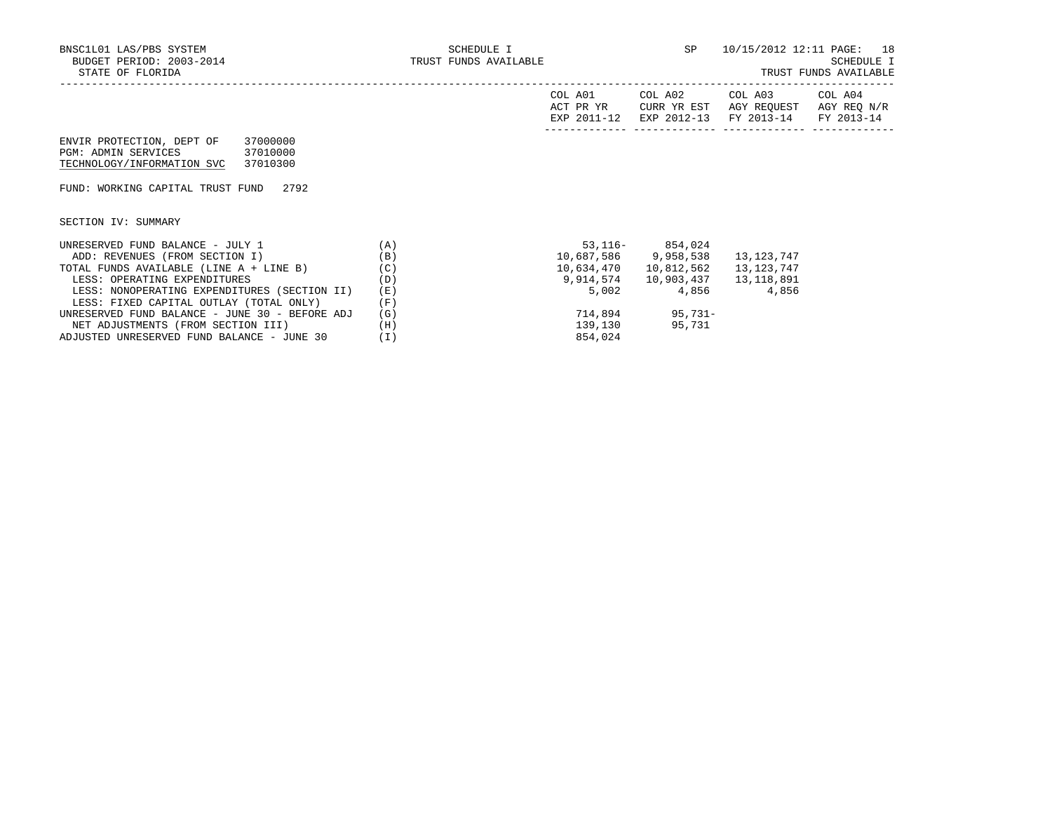| $\Delta \cap$ | ∆∩?    | ™∩ ב          | $\Delta$ $\Omega$ $\Delta$ |
|---------------|--------|---------------|----------------------------|
| $\sim$        | $\sim$ | $\sim$ $\sim$ | 701.                       |

|                                                                                |                                  | COL A01<br>ACT PR YR<br>EXP 2011-12 | COL A02<br>CURR YR EST<br>EXP 2012-13 | COL A03<br>AGY REOUEST<br>FY 2013-14 | COL A04<br>AGY REO N/R<br>FY 2013-14 |
|--------------------------------------------------------------------------------|----------------------------------|-------------------------------------|---------------------------------------|--------------------------------------|--------------------------------------|
| ENVIR PROTECTION, DEPT OF<br>PGM: ADMIN SERVICES<br>TECHNOLOGY/INFORMATION SVC | 37000000<br>37010000<br>37010300 |                                     |                                       |                                      |                                      |
| FUND: WORKING CAPITAL TRUST FUND                                               | 2792                             |                                     |                                       |                                      |                                      |
| SECTION IV: SUMMARY                                                            |                                  |                                     |                                       |                                      |                                      |

| UNRESERVED FUND BALANCE - JULY 1               | (A)  | $53,116-$  | 854,024    |            |
|------------------------------------------------|------|------------|------------|------------|
| ADD: REVENUES (FROM SECTION I)                 | (B)  | 10,687,586 | 9,958,538  | 13,123,747 |
| TOTAL FUNDS AVAILABLE (LINE A + LINE B)        | (C)  | 10,634,470 | 10,812,562 | 13,123,747 |
| LESS: OPERATING EXPENDITURES                   | (D)  | 9,914,574  | 10,903,437 | 13,118,891 |
| LESS: NONOPERATING EXPENDITURES (SECTION II)   | (E)  | 5.002      | 4,856      | 4,856      |
| LESS: FIXED CAPITAL OUTLAY (TOTAL ONLY)        | 'F ) |            |            |            |
| UNRESERVED FUND BALANCE - JUNE 30 - BEFORE ADJ | (G)  | 714,894    | $95.731 -$ |            |
| NET ADJUSTMENTS (FROM SECTION III)             | Ή)   | 139,130    | 95,731     |            |
| ADJUSTED UNRESERVED FUND BALANCE - JUNE 30     |      | 854,024    |            |            |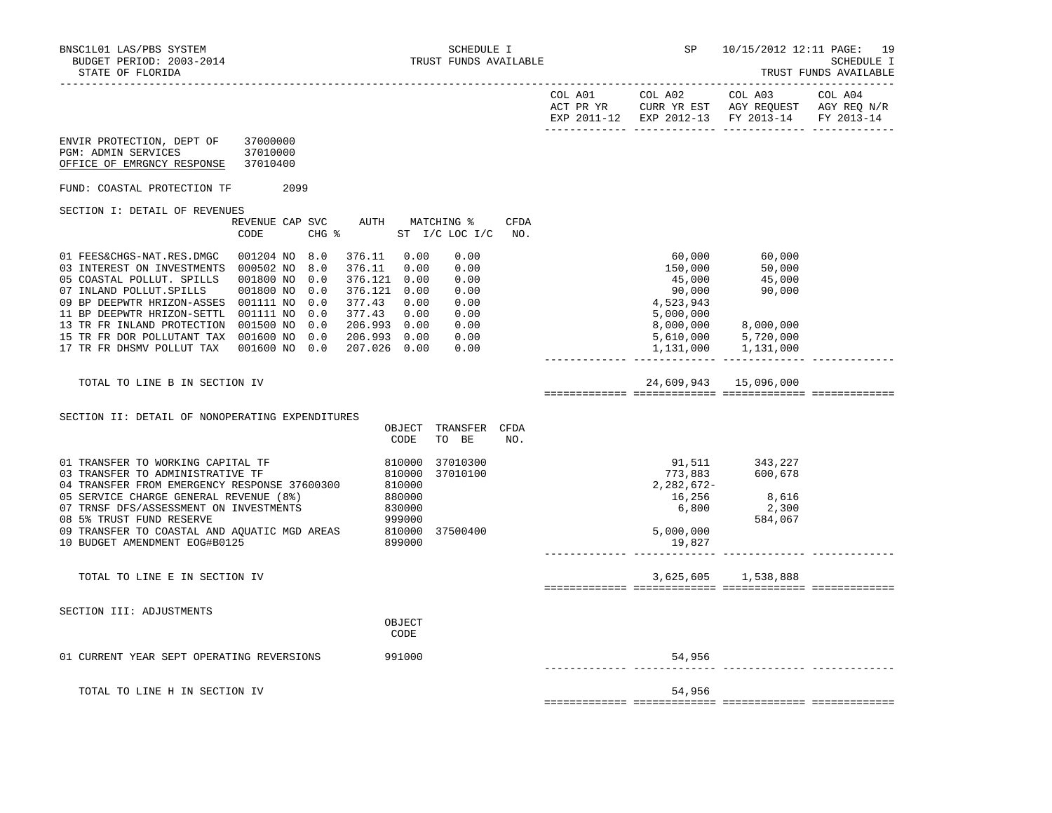|                                                                                                                                                                                                                                                                                                                                                            |                            |                          |                                                                                                                                          |                                                          |                                                                      |             | EXP 2011-12 EXP 2012-13 FY 2013-14 FY 2013-14                   |                                                                                                           |  |
|------------------------------------------------------------------------------------------------------------------------------------------------------------------------------------------------------------------------------------------------------------------------------------------------------------------------------------------------------------|----------------------------|--------------------------|------------------------------------------------------------------------------------------------------------------------------------------|----------------------------------------------------------|----------------------------------------------------------------------|-------------|-----------------------------------------------------------------|-----------------------------------------------------------------------------------------------------------|--|
| ENVIR PROTECTION, DEPT OF<br>PGM: ADMIN SERVICES<br>OFFICE OF EMRGNCY RESPONSE 37010400                                                                                                                                                                                                                                                                    | 37000000<br>37010000       |                          |                                                                                                                                          |                                                          |                                                                      |             |                                                                 |                                                                                                           |  |
| FUND: COASTAL PROTECTION TF                                                                                                                                                                                                                                                                                                                                | 2099                       |                          |                                                                                                                                          |                                                          |                                                                      |             |                                                                 |                                                                                                           |  |
| SECTION I: DETAIL OF REVENUES                                                                                                                                                                                                                                                                                                                              |                            |                          |                                                                                                                                          |                                                          |                                                                      |             |                                                                 |                                                                                                           |  |
|                                                                                                                                                                                                                                                                                                                                                            | REVENUE CAP SVC<br>CODE    |                          | $CHG$ $\approx$                                                                                                                          |                                                          | AUTH MATCHING %<br>ST I/C LOC I/C                                    | CFDA<br>NO. |                                                                 |                                                                                                           |  |
| 01 FEES&CHGS-NAT.RES.DMGC<br>03 INTEREST ON INVESTMENTS 000502 NO 8.0<br>05 COASTAL POLLUT. SPILLS 001800 NO<br>07 INLAND POLLUT.SPILLS<br>09 BP DEEPWTR HRIZON-ASSES 001111 NO<br>11 BP DEEPWTR HRIZON-SETTL 001111 NO<br>13 TR FR INLAND PROTECTION 001500 NO 0.0<br>15 TR FR DOR POLLUTANT TAX 001600 NO 0.0<br>17 TR FR DHSMV POLLUT TAX 001600 NO 0.0 | 001204 NO 8.0<br>001800 NO | 0.0<br>0.0<br>0.0<br>0.0 | 376.11 0.00<br>376.11 0.00<br>376.121 0.00<br>376.121 0.00<br>377.43 0.00<br>377.43 0.00<br>206.993 0.00<br>206.993 0.00<br>207.026 0.00 |                                                          | 0.00<br>0.00<br>0.00<br>0.00<br>0.00<br>0.00<br>0.00<br>0.00<br>0.00 |             | 60,000<br>150,000<br>45,000<br>90,000<br>4,523,943<br>5,000,000 | 60,000<br>50,000<br>45,000<br>90,000<br>8,000,000 8,000,000<br>5,610,000 5,720,000<br>1,131,000 1,131,000 |  |
| TOTAL TO LINE B IN SECTION IV                                                                                                                                                                                                                                                                                                                              |                            |                          |                                                                                                                                          |                                                          |                                                                      |             |                                                                 | 24,609,943 15,096,000                                                                                     |  |
| SECTION II: DETAIL OF NONOPERATING EXPENDITURES                                                                                                                                                                                                                                                                                                            |                            |                          |                                                                                                                                          | OBJECT<br>CODE                                           | TRANSFER CFDA<br>TO BE                                               | NO.         |                                                                 |                                                                                                           |  |
| 01 TRANSFER TO WORKING CAPITAL TF<br>03 TRANSFER TO ADMINISTRATIVE TF<br>04 TRANSFER FROM EMERGENCY RESPONSE 37600300<br>05 SERVICE CHARGE GENERAL REVENUE (8%)<br>07 TRNSF DFS/ASSESSMENT ON INVESTMENTS<br>08 5% TRUST FUND RESERVE                                                                                                                      |                            |                          |                                                                                                                                          | 810000<br>810000<br>810000<br>880000<br>830000<br>999000 | 37010300<br>37010100                                                 |             | 773,883<br>2,282,672-<br>$\frac{16}{6}$ , 256                   | 91,511 343,227<br>600,678<br>8,616<br>2,300<br>584,067                                                    |  |
| 09 TRANSFER TO COASTAL AND AQUATIC MGD AREAS<br>10 BUDGET AMENDMENT EOG#B0125                                                                                                                                                                                                                                                                              |                            |                          |                                                                                                                                          | 810000<br>899000                                         | 37500400                                                             |             | 5,000,000<br>19,827                                             |                                                                                                           |  |
| TOTAL TO LINE E IN SECTION IV                                                                                                                                                                                                                                                                                                                              |                            |                          |                                                                                                                                          |                                                          |                                                                      |             |                                                                 | 3,625,605 1,538,888                                                                                       |  |
| SECTION III: ADJUSTMENTS                                                                                                                                                                                                                                                                                                                                   |                            |                          |                                                                                                                                          | OBJECT<br>CODE                                           |                                                                      |             |                                                                 |                                                                                                           |  |
| 01 CURRENT YEAR SEPT OPERATING REVERSIONS                                                                                                                                                                                                                                                                                                                  |                            |                          | 991000                                                                                                                                   |                                                          |                                                                      |             | 54,956                                                          |                                                                                                           |  |
| TOTAL TO LINE H IN SECTION IV                                                                                                                                                                                                                                                                                                                              |                            |                          |                                                                                                                                          |                                                          |                                                                      |             | 54,956                                                          |                                                                                                           |  |

============= ============= ============= =============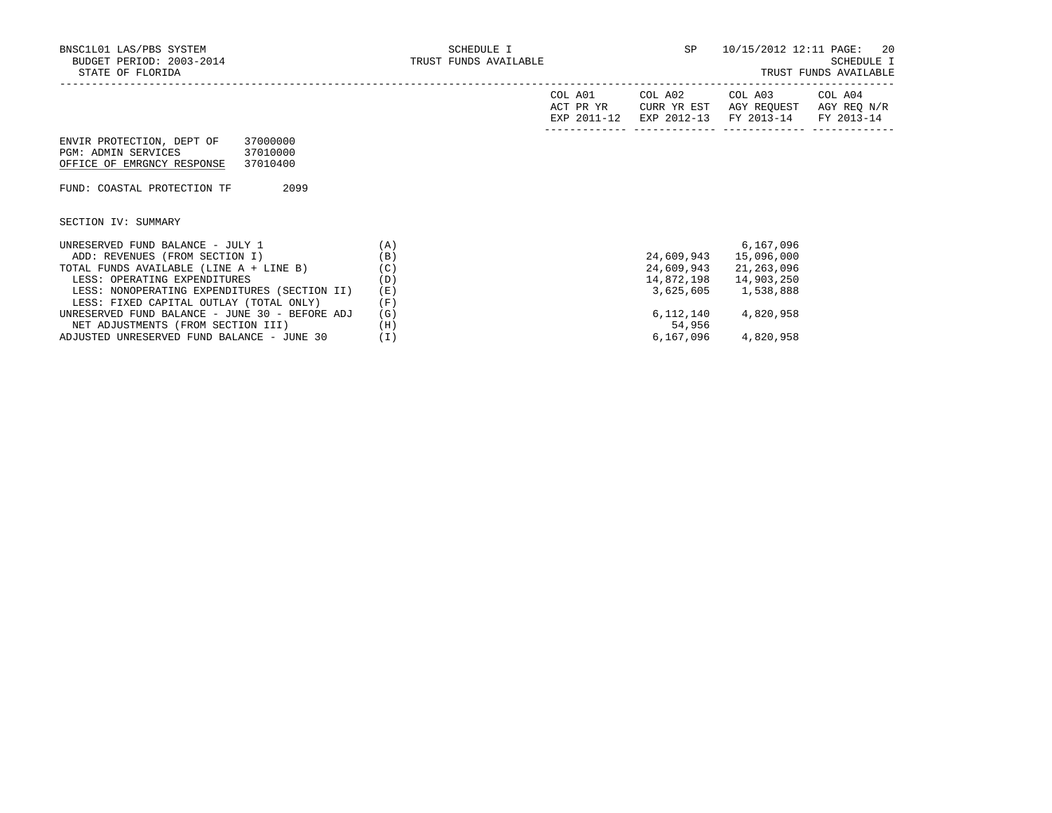|                                                                                                                           |     | COL A01<br>ACT PR YR<br>EXP 2011-12 | COL A02<br>CURR YR EST | COL A03<br>AGY REOUEST<br>EXP 2012-13 FY 2013-14 FY 2013-14 | COL A04<br>AGY REO N/R |
|---------------------------------------------------------------------------------------------------------------------------|-----|-------------------------------------|------------------------|-------------------------------------------------------------|------------------------|
| 37000000<br>ENVIR PROTECTION, DEPT OF<br><b>PGM: ADMIN SERVICES</b><br>37010000<br>37010400<br>OFFICE OF EMRGNCY RESPONSE |     |                                     |                        |                                                             |                        |
| 2099<br>FUND: COASTAL PROTECTION TF                                                                                       |     |                                     |                        |                                                             |                        |
| SECTION IV: SUMMARY                                                                                                       |     |                                     |                        |                                                             |                        |
| UNRESERVED FUND BALANCE - JULY 1                                                                                          | (A) |                                     |                        | 6,167,096                                                   |                        |
| ADD: REVENUES (FROM SECTION I)                                                                                            | (B) |                                     | 24,609,943             | 15,096,000                                                  |                        |
| TOTAL FUNDS AVAILABLE (LINE A + LINE B)                                                                                   | (C) |                                     | 24,609,943             | 21,263,096                                                  |                        |
| LESS: OPERATING EXPENDITURES                                                                                              | (D) |                                     | 14,872,198             | 14,903,250                                                  |                        |
| LESS: NONOPERATING EXPENDITURES (SECTION II)                                                                              | (E) |                                     | 3,625,605              | 1,538,888                                                   |                        |
| LESS: FIXED CAPITAL OUTLAY (TOTAL ONLY)                                                                                   | (F) |                                     |                        |                                                             |                        |
| UNRESERVED FUND BALANCE - JUNE 30 - BEFORE ADJ                                                                            | (G) |                                     | 6,112,140              | 4,820,958                                                   |                        |
| NET ADJUSTMENTS (FROM SECTION III)                                                                                        | (H) |                                     | 54,956                 |                                                             |                        |
| ADJUSTED UNRESERVED FUND BALANCE - JUNE 30                                                                                | (I) |                                     | 6,167,096              | 4,820,958                                                   |                        |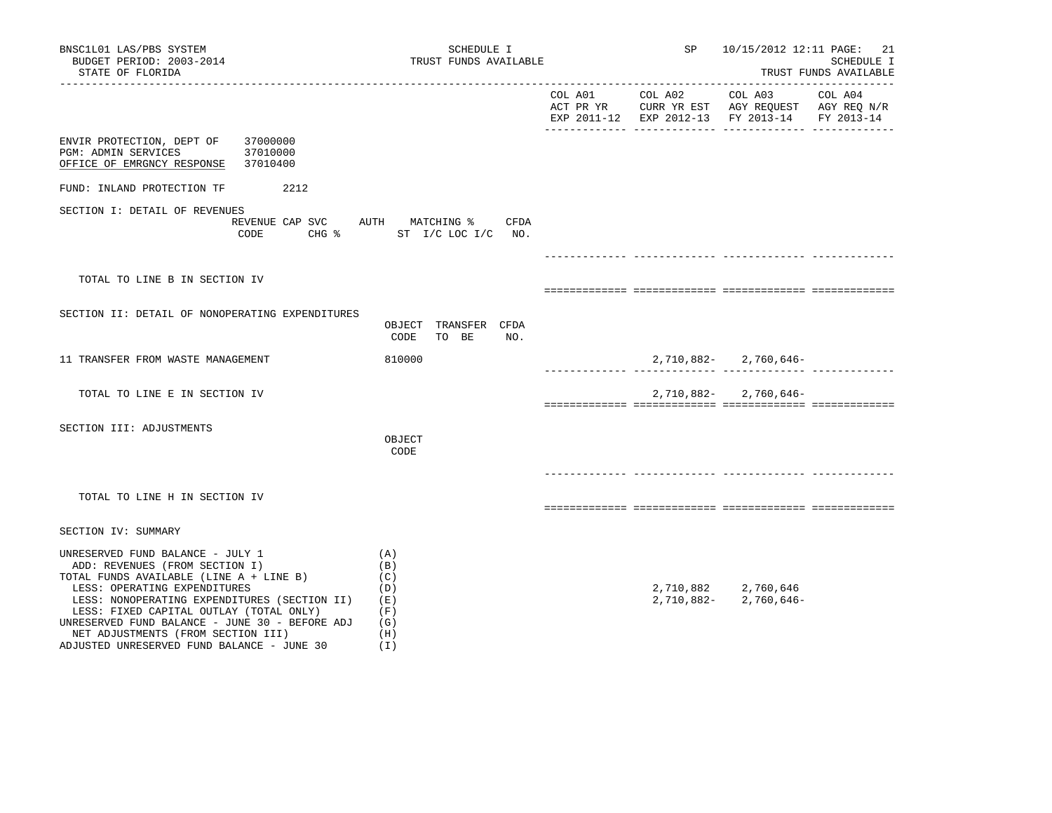| BNSC1L01 LAS/PBS SYSTEM<br>BUDGET PERIOD: 2003-2014<br>STATE OF FLORIDA                                                                                                                                                                                                                                                                                                        | SCHEDULE I<br>TRUST FUNDS AVAILABLE                           |                     | SP and the set of the set of the set of the set of the set of the set of the set of the set of the set of the s | 10/15/2012 12:11 PAGE: 21                     | <b>SCHEDULE I</b><br>TRUST FUNDS AVAILABLE |
|--------------------------------------------------------------------------------------------------------------------------------------------------------------------------------------------------------------------------------------------------------------------------------------------------------------------------------------------------------------------------------|---------------------------------------------------------------|---------------------|-----------------------------------------------------------------------------------------------------------------|-----------------------------------------------|--------------------------------------------|
|                                                                                                                                                                                                                                                                                                                                                                                |                                                               |                     |                                                                                                                 | EXP 2011-12 EXP 2012-13 FY 2013-14 FY 2013-14 |                                            |
| ENVIR PROTECTION, DEPT OF<br>37000000<br><b>PGM: ADMIN SERVICES</b><br>37010000<br>OFFICE OF EMRGNCY RESPONSE<br>37010400                                                                                                                                                                                                                                                      |                                                               |                     |                                                                                                                 |                                               |                                            |
| 2212<br>FUND: INLAND PROTECTION TF                                                                                                                                                                                                                                                                                                                                             |                                                               |                     |                                                                                                                 |                                               |                                            |
| SECTION I: DETAIL OF REVENUES<br>REVENUE CAP SVC AUTH MATCHING %<br>CODE                                                                                                                                                                                                                                                                                                       | CFDA<br>CHG % ST I/C LOC I/C NO.                              |                     |                                                                                                                 |                                               |                                            |
| TOTAL TO LINE B IN SECTION IV                                                                                                                                                                                                                                                                                                                                                  |                                                               |                     |                                                                                                                 |                                               |                                            |
| SECTION II: DETAIL OF NONOPERATING EXPENDITURES                                                                                                                                                                                                                                                                                                                                | OBJECT TRANSFER CFDA<br>CODE<br>TO BE<br>NO.                  |                     |                                                                                                                 |                                               |                                            |
| 11 TRANSFER FROM WASTE MANAGEMENT                                                                                                                                                                                                                                                                                                                                              | 810000                                                        | -------------- ---- |                                                                                                                 | $2,710,882 - 2,760,646 -$                     |                                            |
| TOTAL TO LINE E IN SECTION IV                                                                                                                                                                                                                                                                                                                                                  |                                                               |                     |                                                                                                                 | $2,710,882 - 2,760,646 -$                     |                                            |
| SECTION III: ADJUSTMENTS                                                                                                                                                                                                                                                                                                                                                       | OBJECT<br>CODE                                                |                     |                                                                                                                 |                                               |                                            |
| TOTAL TO LINE H IN SECTION IV                                                                                                                                                                                                                                                                                                                                                  |                                                               |                     |                                                                                                                 | __ _____________ ____________________         |                                            |
| SECTION IV: SUMMARY                                                                                                                                                                                                                                                                                                                                                            |                                                               |                     |                                                                                                                 |                                               |                                            |
| UNRESERVED FUND BALANCE - JULY 1<br>ADD: REVENUES (FROM SECTION I)<br>TOTAL FUNDS AVAILABLE (LINE A + LINE B)<br>LESS: OPERATING EXPENDITURES<br>LESS: NONOPERATING EXPENDITURES (SECTION II)<br>LESS: FIXED CAPITAL OUTLAY (TOTAL ONLY)<br>UNRESERVED FUND BALANCE - JUNE 30 - BEFORE ADJ<br>NET ADJUSTMENTS (FROM SECTION III)<br>ADJUSTED UNRESERVED FUND BALANCE - JUNE 30 | (A)<br>(B)<br>(C)<br>(D)<br>(E)<br>(F)<br>(G)<br>(H)<br>( I ) |                     | 2,710,882-                                                                                                      | 2,710,882 2,760,646<br>2,760,646-             |                                            |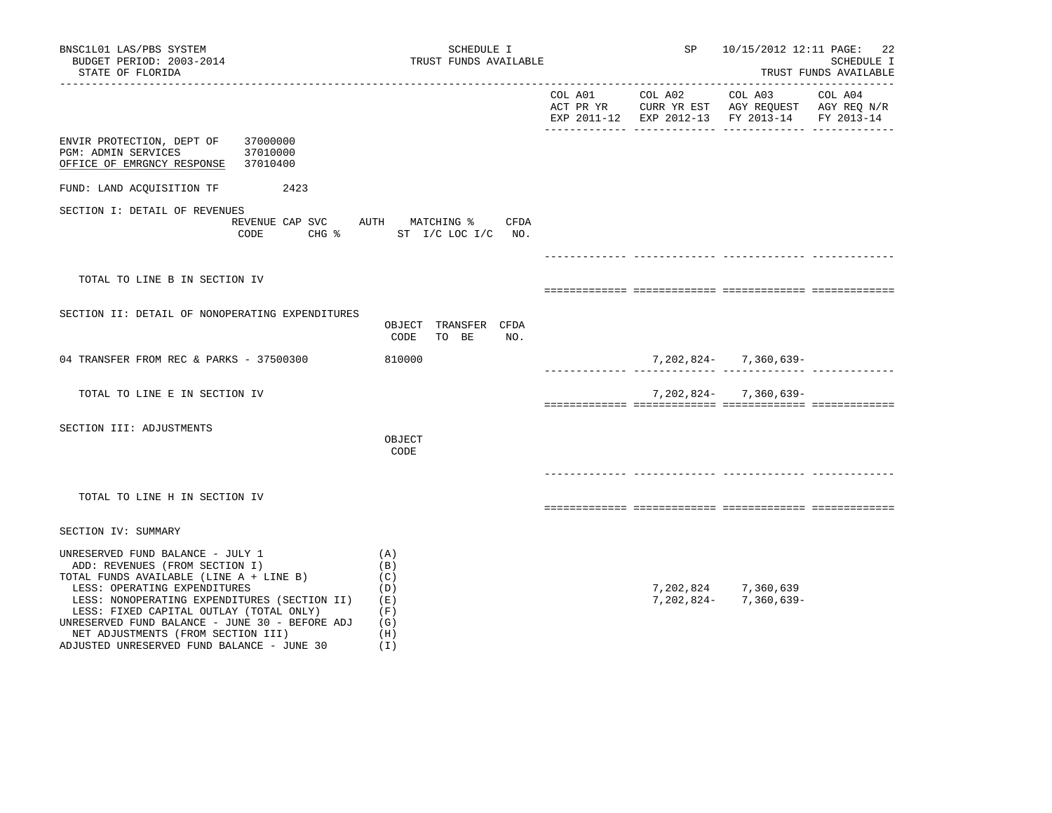| BNSC1L01 LAS/PBS SYSTEM<br>BUDGET PERIOD: 2003-2014<br>STATE OF FLORIDA                                                                                                                                                                                                                                                                                                        | SCHEDULE I<br>TRUST FUNDS AVAILABLE                              |               | SP         | 10/15/2012 12:11 PAGE: 22                                          | SCHEDULE I<br>TRUST FUNDS AVAILABLE |
|--------------------------------------------------------------------------------------------------------------------------------------------------------------------------------------------------------------------------------------------------------------------------------------------------------------------------------------------------------------------------------|------------------------------------------------------------------|---------------|------------|--------------------------------------------------------------------|-------------------------------------|
|                                                                                                                                                                                                                                                                                                                                                                                |                                                                  |               |            | EXP 2011-12 EXP 2012-13 FY 2013-14 FY 2013-14                      |                                     |
| ENVIR PROTECTION, DEPT OF<br>37000000<br><b>PGM: ADMIN SERVICES</b><br>37010000<br>OFFICE OF EMRGNCY RESPONSE<br>37010400                                                                                                                                                                                                                                                      |                                                                  |               |            |                                                                    |                                     |
| FUND: LAND ACQUISITION TF<br>2423                                                                                                                                                                                                                                                                                                                                              |                                                                  |               |            |                                                                    |                                     |
| SECTION I: DETAIL OF REVENUES<br>CODE                                                                                                                                                                                                                                                                                                                                          | REVENUE CAP SVC AUTH MATCHING % CFDA<br>CHG % ST I/C LOC I/C NO. |               |            |                                                                    |                                     |
| TOTAL TO LINE B IN SECTION IV                                                                                                                                                                                                                                                                                                                                                  |                                                                  |               |            |                                                                    |                                     |
| SECTION II: DETAIL OF NONOPERATING EXPENDITURES                                                                                                                                                                                                                                                                                                                                | OBJECT TRANSFER CFDA<br>CODE TO BE<br>NO.                        |               |            |                                                                    |                                     |
| 04 TRANSFER FROM REC & PARKS - 37500300                                                                                                                                                                                                                                                                                                                                        | 810000                                                           | --------- --- |            | 7, 202, 824 - 7, 360, 639 -<br>_________ ______________ __________ |                                     |
| TOTAL TO LINE E IN SECTION IV                                                                                                                                                                                                                                                                                                                                                  |                                                                  |               |            | $7,202,824 - 7,360,639 -$                                          |                                     |
| SECTION III: ADJUSTMENTS                                                                                                                                                                                                                                                                                                                                                       | OBJECT<br>CODE                                                   |               |            |                                                                    |                                     |
| TOTAL TO LINE H IN SECTION IV                                                                                                                                                                                                                                                                                                                                                  |                                                                  |               |            |                                                                    |                                     |
| SECTION IV: SUMMARY                                                                                                                                                                                                                                                                                                                                                            |                                                                  |               |            |                                                                    |                                     |
| UNRESERVED FUND BALANCE - JULY 1<br>ADD: REVENUES (FROM SECTION I)<br>TOTAL FUNDS AVAILABLE (LINE A + LINE B)<br>LESS: OPERATING EXPENDITURES<br>LESS: NONOPERATING EXPENDITURES (SECTION II)<br>LESS: FIXED CAPITAL OUTLAY (TOTAL ONLY)<br>UNRESERVED FUND BALANCE - JUNE 30 - BEFORE ADJ<br>NET ADJUSTMENTS (FROM SECTION III)<br>ADJUSTED UNRESERVED FUND BALANCE - JUNE 30 | (A)<br>(B)<br>(C)<br>(D)<br>(E)<br>(F)<br>(G)<br>(H)<br>(I)      |               | 7,202,824- | 7,202,824 7,360,639<br>7,360,639-                                  |                                     |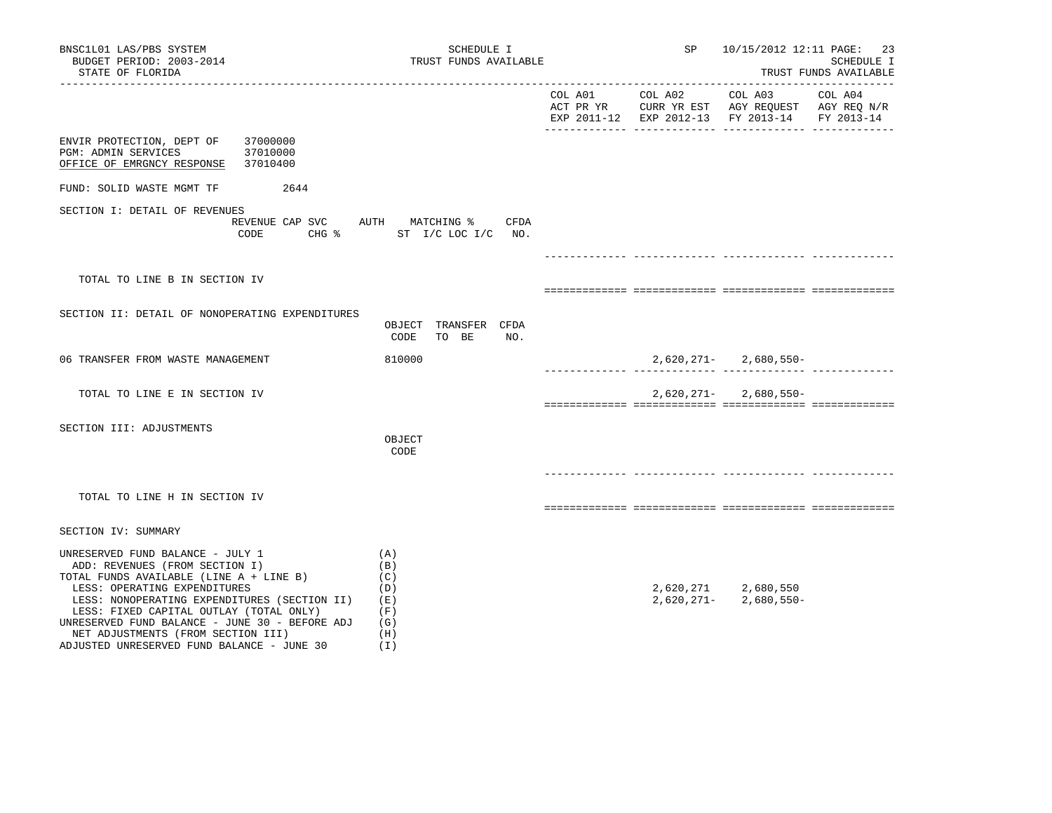| BNSC1L01 LAS/PBS SYSTEM<br>BUDGET PERIOD: 2003-2014<br>STATE OF FLORIDA                                                                                                                                                                                                                                                                                                                                                                       | SCHEDULE I<br>TRUST FUNDS AVAILABLE       |         | SP         | 10/15/2012 12:11 PAGE:                                                                                    | 23<br>SCHEDULE I<br>TRUST FUNDS AVAILABLE |
|-----------------------------------------------------------------------------------------------------------------------------------------------------------------------------------------------------------------------------------------------------------------------------------------------------------------------------------------------------------------------------------------------------------------------------------------------|-------------------------------------------|---------|------------|-----------------------------------------------------------------------------------------------------------|-------------------------------------------|
|                                                                                                                                                                                                                                                                                                                                                                                                                                               |                                           | COL A01 | COL A02    | COL A03<br>ACT PR YR CURR YR EST AGY REQUEST AGY REQ N/R<br>EXP 2011-12 EXP 2012-13 FY 2013-14 FY 2013-14 | COL A04                                   |
| ENVIR PROTECTION, DEPT OF<br>37000000<br>37010000<br>PGM: ADMIN SERVICES<br>OFFICE OF EMRGNCY RESPONSE<br>37010400                                                                                                                                                                                                                                                                                                                            |                                           |         |            |                                                                                                           |                                           |
| 2644<br>FUND: SOLID WASTE MGMT TF                                                                                                                                                                                                                                                                                                                                                                                                             |                                           |         |            |                                                                                                           |                                           |
| SECTION I: DETAIL OF REVENUES<br>REVENUE CAP SVC AUTH MATCHING % CFDA<br>CODE                                                                                                                                                                                                                                                                                                                                                                 | CHG % ST I/C LOC I/C NO.                  |         |            |                                                                                                           |                                           |
|                                                                                                                                                                                                                                                                                                                                                                                                                                               |                                           |         |            |                                                                                                           |                                           |
| TOTAL TO LINE B IN SECTION IV                                                                                                                                                                                                                                                                                                                                                                                                                 |                                           |         |            |                                                                                                           |                                           |
| SECTION II: DETAIL OF NONOPERATING EXPENDITURES                                                                                                                                                                                                                                                                                                                                                                                               | OBJECT TRANSFER CFDA<br>CODE TO BE<br>NO. |         |            |                                                                                                           |                                           |
| 06 TRANSFER FROM WASTE MANAGEMENT                                                                                                                                                                                                                                                                                                                                                                                                             | 810000                                    |         |            |                                                                                                           |                                           |
| TOTAL TO LINE E IN SECTION IV                                                                                                                                                                                                                                                                                                                                                                                                                 |                                           |         |            | $2,620,271 - 2,680,550 -$                                                                                 |                                           |
| SECTION III: ADJUSTMENTS                                                                                                                                                                                                                                                                                                                                                                                                                      | OBJECT<br>CODE                            |         |            |                                                                                                           |                                           |
| TOTAL TO LINE H IN SECTION IV                                                                                                                                                                                                                                                                                                                                                                                                                 |                                           |         |            |                                                                                                           |                                           |
| SECTION IV: SUMMARY                                                                                                                                                                                                                                                                                                                                                                                                                           |                                           |         |            |                                                                                                           |                                           |
| UNRESERVED FUND BALANCE - JULY 1<br>(A)<br>ADD: REVENUES (FROM SECTION I)<br>(B)<br>TOTAL FUNDS AVAILABLE (LINE A + LINE B)<br>(C)<br>LESS: OPERATING EXPENDITURES<br>(D)<br>LESS: NONOPERATING EXPENDITURES (SECTION II)<br>(E)<br>LESS: FIXED CAPITAL OUTLAY (TOTAL ONLY)<br>(F)<br>UNRESERVED FUND BALANCE - JUNE 30 - BEFORE ADJ<br>(G)<br>NET ADJUSTMENTS (FROM SECTION III)<br>(H)<br>ADJUSTED UNRESERVED FUND BALANCE - JUNE 30<br>(I) |                                           |         | 2,620,271- | 2,620,271 2,680,550<br>2,680,550-                                                                         |                                           |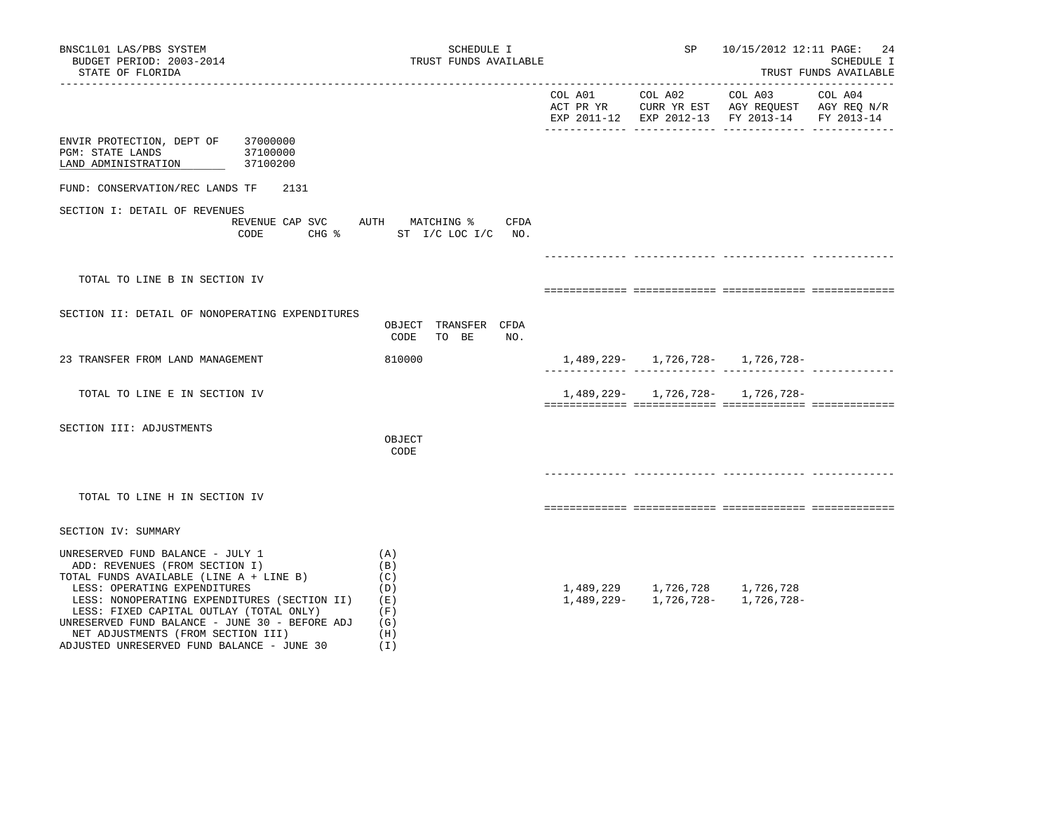| BNSC1L01 LAS/PBS SYSTEM<br>BUDGET PERIOD: 2003-2014<br>STATE OF FLORIDA                                                                                                                                                                                                                                                                                                        | SCHEDULE I<br>TRUST FUNDS AVAILABLE                           |         | SP                                      | 10/15/2012 12:11 PAGE: 24                                                                                                                             | SCHEDULE I<br>TRUST FUNDS AVAILABLE |
|--------------------------------------------------------------------------------------------------------------------------------------------------------------------------------------------------------------------------------------------------------------------------------------------------------------------------------------------------------------------------------|---------------------------------------------------------------|---------|-----------------------------------------|-------------------------------------------------------------------------------------------------------------------------------------------------------|-------------------------------------|
|                                                                                                                                                                                                                                                                                                                                                                                |                                                               | COL A01 | ____________________________<br>COL A02 | ______________________________<br>COL A03<br>ACT PR YR $\,$ CURR YR EST $\,$ AGY REQUEST $\,$ AGY REQ $\rm N/R$<br>EXP 2011-12 EXP 2012-13 FY 2013-14 | COL A04<br>FY 2013-14               |
| ENVIR PROTECTION, DEPT OF 37000000<br>PGM: STATE LANDS<br>37100000<br>37100200<br>LAND ADMINISTRATION                                                                                                                                                                                                                                                                          |                                                               |         |                                         |                                                                                                                                                       |                                     |
| FUND: CONSERVATION/REC LANDS TF<br>2131                                                                                                                                                                                                                                                                                                                                        |                                                               |         |                                         |                                                                                                                                                       |                                     |
| SECTION I: DETAIL OF REVENUES<br>REVENUE CAP SVC AUTH MATCHING %<br>CODE                                                                                                                                                                                                                                                                                                       | CFDA<br>CHG % ST I/C LOC I/C NO.                              |         |                                         |                                                                                                                                                       |                                     |
|                                                                                                                                                                                                                                                                                                                                                                                |                                                               |         |                                         |                                                                                                                                                       |                                     |
| TOTAL TO LINE B IN SECTION IV                                                                                                                                                                                                                                                                                                                                                  |                                                               |         |                                         |                                                                                                                                                       |                                     |
| SECTION II: DETAIL OF NONOPERATING EXPENDITURES                                                                                                                                                                                                                                                                                                                                | OBJECT TRANSFER CFDA<br>CODE<br>TO BE<br>NO.                  |         |                                         |                                                                                                                                                       |                                     |
| 23 TRANSFER FROM LAND MANAGEMENT                                                                                                                                                                                                                                                                                                                                               | 810000                                                        |         |                                         | 1,489,229- 1,726,728- 1,726,728-                                                                                                                      |                                     |
| TOTAL TO LINE E IN SECTION IV                                                                                                                                                                                                                                                                                                                                                  |                                                               |         |                                         | $1,489,229 - 1,726,728 - 1,726,728 -$                                                                                                                 |                                     |
| SECTION III: ADJUSTMENTS                                                                                                                                                                                                                                                                                                                                                       | OBJECT<br>CODE                                                |         |                                         |                                                                                                                                                       |                                     |
| TOTAL TO LINE H IN SECTION IV                                                                                                                                                                                                                                                                                                                                                  |                                                               |         |                                         |                                                                                                                                                       |                                     |
| SECTION IV: SUMMARY                                                                                                                                                                                                                                                                                                                                                            |                                                               |         |                                         |                                                                                                                                                       |                                     |
| UNRESERVED FUND BALANCE - JULY 1<br>ADD: REVENUES (FROM SECTION I)<br>TOTAL FUNDS AVAILABLE (LINE A + LINE B)<br>LESS: OPERATING EXPENDITURES<br>LESS: NONOPERATING EXPENDITURES (SECTION II)<br>LESS: FIXED CAPITAL OUTLAY (TOTAL ONLY)<br>UNRESERVED FUND BALANCE - JUNE 30 - BEFORE ADJ<br>NET ADJUSTMENTS (FROM SECTION III)<br>ADJUSTED UNRESERVED FUND BALANCE - JUNE 30 | (A)<br>(B)<br>(C)<br>(D)<br>( E )<br>(F)<br>(G)<br>(H)<br>(T) |         |                                         | $1,489,229 \qquad \quad 1,726\,,728 \qquad \quad 1,726\,,728 \\ 1,489,229- \qquad 1,726\,,728- \qquad 1,726\,,728-$                                   |                                     |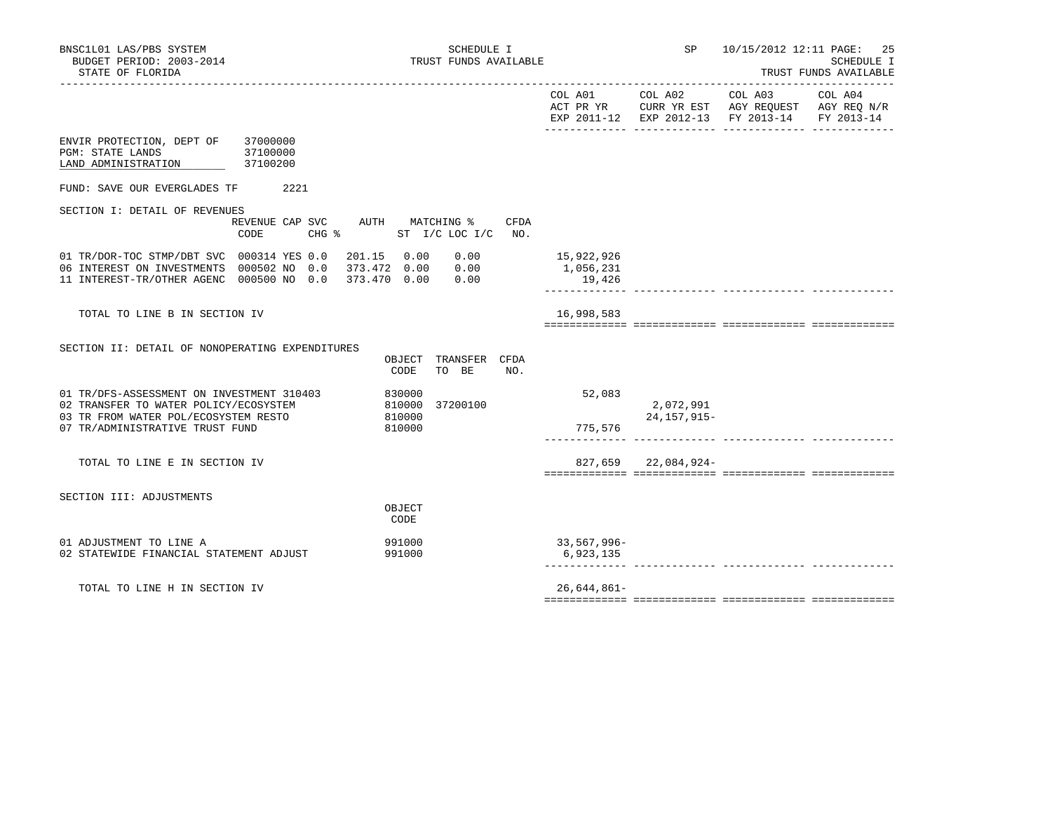|                                                                                                              |                 |                                                   |             |                            | COL A01 COL A02 COL A03 COL A04<br>ACT PR YR $\,$ CURR YR EST $\,$ AGY REQUEST $\,$ AGY REQ $\rm N/R$<br>EXP 2011-12 EXP 2012-13 FY 2013-14 FY 2013-14 |  |
|--------------------------------------------------------------------------------------------------------------|-----------------|---------------------------------------------------|-------------|----------------------------|--------------------------------------------------------------------------------------------------------------------------------------------------------|--|
| ENVIR PROTECTION, DEPT OF 37000000<br><b>PGM: STATE LANDS</b><br>37100000<br>LAND ADMINISTRATION<br>37100200 |                 |                                                   |             |                            |                                                                                                                                                        |  |
| FUND: SAVE OUR EVERGLADES TF                                                                                 | 2221            |                                                   |             |                            |                                                                                                                                                        |  |
| SECTION I: DETAIL OF REVENUES                                                                                |                 |                                                   |             |                            |                                                                                                                                                        |  |
| CODE                                                                                                         | $CHG$ $\approx$ | REVENUE CAP SVC AUTH MATCHING %<br>ST I/C LOC I/C | CFDA<br>NO. |                            |                                                                                                                                                        |  |
| 01 TR/DOR-TOC STMP/DBT SVC 000314 YES 0.0                                                                    |                 | 201.15 0.00<br>0.00                               |             | 15,922,926                 |                                                                                                                                                        |  |
| 06 INTEREST ON INVESTMENTS 000502 NO 0.0<br>11 INTEREST-TR/OTHER AGENC 000500 NO 0.0                         |                 | 373.472 0.00 0.00<br>373.470 0.00<br>0.00         |             | 1,056,231<br>19,426        |                                                                                                                                                        |  |
|                                                                                                              |                 |                                                   |             |                            |                                                                                                                                                        |  |
| TOTAL TO LINE B IN SECTION IV                                                                                |                 |                                                   |             | 16,998,583                 |                                                                                                                                                        |  |
|                                                                                                              |                 |                                                   |             |                            |                                                                                                                                                        |  |
| SECTION II: DETAIL OF NONOPERATING EXPENDITURES                                                              |                 | TRANSFER CFDA<br>OBJECT<br>TO BE<br>CODE          | NO.         |                            |                                                                                                                                                        |  |
| 01 TR/DFS-ASSESSMENT ON INVESTMENT 310403<br>02 TRANSFER TO WATER POLICY/ECOSYSTEM                           |                 | 830000<br>810000<br>37200100                      |             | 52,083                     | 2,072,991                                                                                                                                              |  |
| 03 TR FROM WATER POL/ECOSYSTEM RESTO                                                                         |                 | 810000                                            |             |                            | 24,157,915-                                                                                                                                            |  |
| 07 TR/ADMINISTRATIVE TRUST FUND                                                                              |                 | 810000                                            |             | 775,576                    |                                                                                                                                                        |  |
| TOTAL TO LINE E IN SECTION IV                                                                                |                 |                                                   |             |                            | 827,659 22,084,924-                                                                                                                                    |  |
|                                                                                                              |                 |                                                   |             |                            |                                                                                                                                                        |  |
| SECTION III: ADJUSTMENTS                                                                                     |                 |                                                   |             |                            |                                                                                                                                                        |  |
|                                                                                                              |                 | OBJECT<br>CODE                                    |             |                            |                                                                                                                                                        |  |
| 01 ADJUSTMENT TO LINE A                                                                                      |                 | 991000                                            |             | 33,567,996-                |                                                                                                                                                        |  |
| 02 STATEWIDE FINANCIAL STATEMENT ADJUST                                                                      |                 | 991000                                            |             | 6,923,135<br>------------- |                                                                                                                                                        |  |
| TOTAL TO LINE H IN SECTION IV                                                                                |                 |                                                   |             | $26,644,861-$              |                                                                                                                                                        |  |
|                                                                                                              |                 |                                                   |             |                            |                                                                                                                                                        |  |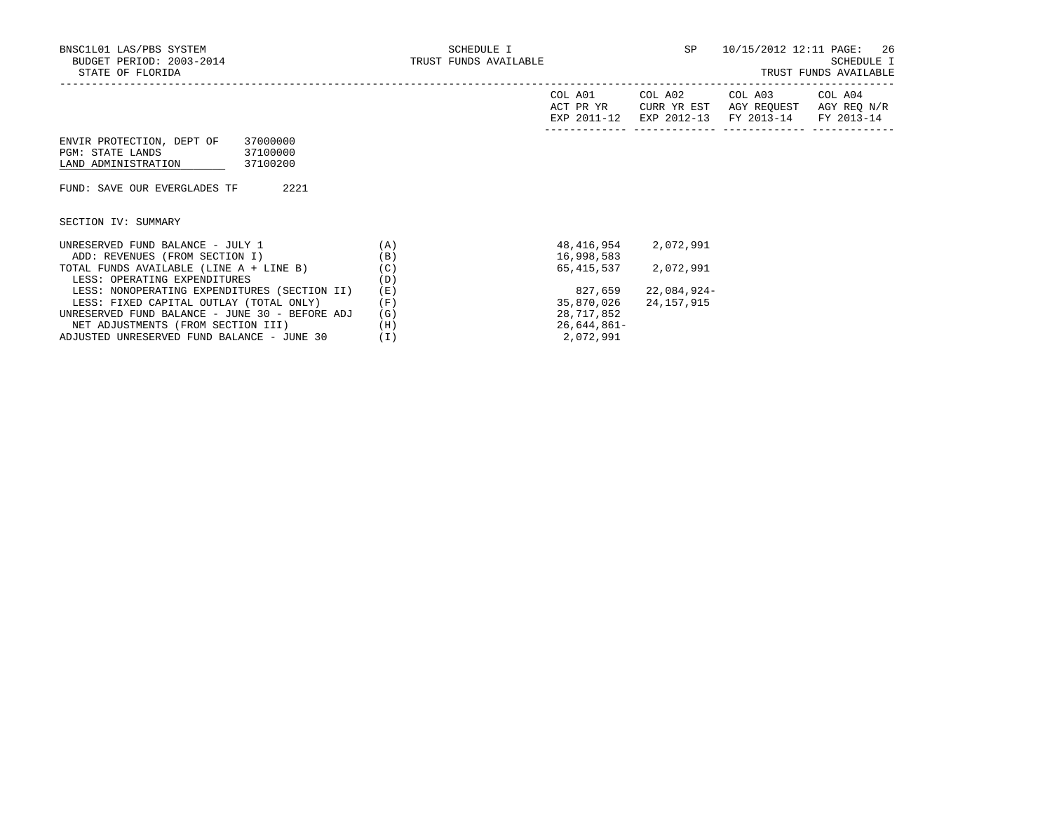|                                                |     | COL A01<br>ACT PR YR<br>EXP 2011-12 | COL A02<br>CURR YR EST<br>EXP 2012-13 | COL A03<br>AGY REOUEST<br>FY 2013-14 | COL A04<br>AGY REO N/R<br>FY 2013-14 |
|------------------------------------------------|-----|-------------------------------------|---------------------------------------|--------------------------------------|--------------------------------------|
| ENVIR PROTECTION, DEPT OF<br>37000000          |     |                                     |                                       |                                      |                                      |
| 37100000<br>PGM: STATE LANDS                   |     |                                     |                                       |                                      |                                      |
| 37100200<br>LAND ADMINISTRATION                |     |                                     |                                       |                                      |                                      |
|                                                |     |                                     |                                       |                                      |                                      |
| 2221<br>FUND: SAVE OUR EVERGLADES TF           |     |                                     |                                       |                                      |                                      |
|                                                |     |                                     |                                       |                                      |                                      |
| SECTION IV: SUMMARY                            |     |                                     |                                       |                                      |                                      |
|                                                |     |                                     |                                       |                                      |                                      |
| UNRESERVED FUND BALANCE - JULY 1               | (A) | 48,416,954                          | 2,072,991                             |                                      |                                      |
| ADD: REVENUES (FROM SECTION I)                 | (B) | 16,998,583                          |                                       |                                      |                                      |
| TOTAL FUNDS AVAILABLE (LINE A + LINE B)        | (C) |                                     | 65,415,537 2,072,991                  |                                      |                                      |
| LESS: OPERATING EXPENDITURES                   | (D) |                                     |                                       |                                      |                                      |
| LESS: NONOPERATING EXPENDITURES (SECTION II)   | (E) | 827,659                             | 22,084,924-                           |                                      |                                      |
| LESS: FIXED CAPITAL OUTLAY (TOTAL ONLY)        | (F) | 35,870,026                          | 24,157,915                            |                                      |                                      |
| UNRESERVED FUND BALANCE - JUNE 30 - BEFORE ADJ | (G) | 28,717,852                          |                                       |                                      |                                      |
| NET ADJUSTMENTS (FROM SECTION III)             | (H) | 26,644,861-                         |                                       |                                      |                                      |
| ADJUSTED UNRESERVED FUND BALANCE - JUNE 30     | (I) | 2,072,991                           |                                       |                                      |                                      |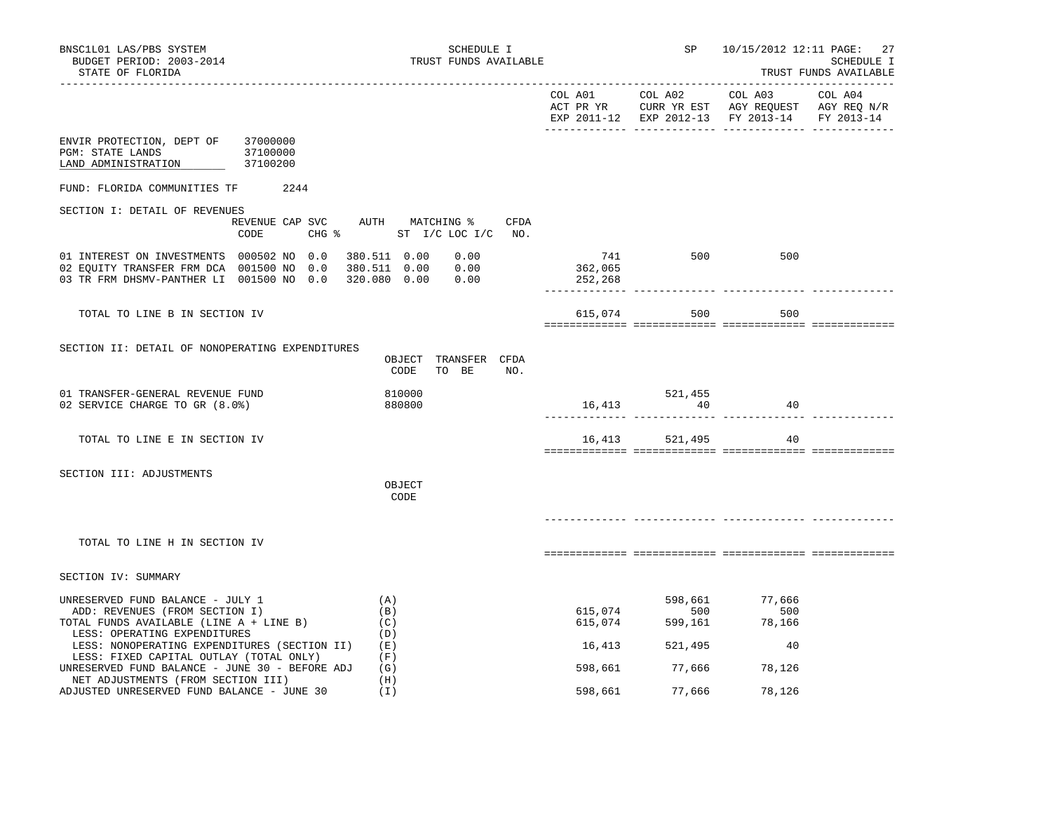| BNSC1L01 LAS/PBS SYSTEM<br>BUDGET PERIOD: 2003-2014<br>STATE OF FLORIDA                                                                                                                       | SCHEDULE I<br>TRUST FUNDS AVAILABLE          |         |                          | SP 10/15/2012 12:11 PAGE: 27                              | SCHEDULE I<br>TRUST FUNDS AVAILABLE |
|-----------------------------------------------------------------------------------------------------------------------------------------------------------------------------------------------|----------------------------------------------|---------|--------------------------|-----------------------------------------------------------|-------------------------------------|
|                                                                                                                                                                                               |                                              |         |                          | EXP 2011-12 EXP 2012-13 FY 2013-14 FY 2013-14             |                                     |
| ENVIR PROTECTION, DEPT OF<br>37000000<br>PGM: STATE LANDS<br>37100000<br>LAND ADMINISTRATION<br>37100200                                                                                      |                                              |         |                          |                                                           |                                     |
| FUND: FLORIDA COMMUNITIES TF 2244                                                                                                                                                             |                                              |         |                          |                                                           |                                     |
| SECTION I: DETAIL OF REVENUES<br>REVENUE CAP SVC AUTH MATCHING %                                                                                                                              | CFDA<br>CODE CHG % ST I/C LOC I/C NO.        |         |                          |                                                           |                                     |
| 01 INTEREST ON INVESTMENTS 000502 NO 0.0<br>02 EQUITY TRANSFER FRM DCA 001500 NO 0.0 380.511 0.00 0.00<br>03 TR FRM DHSMV-PANTHER LI 001500 NO 0.0 320.080 0.00 0.00                          | 380.511  0.00  0.00                          | 252,268 | $741$ 500<br>362,065     | 500                                                       |                                     |
| TOTAL TO LINE B IN SECTION IV                                                                                                                                                                 |                                              | 615,074 | 500                      | 500                                                       |                                     |
| SECTION II: DETAIL OF NONOPERATING EXPENDITURES                                                                                                                                               | OBJECT TRANSFER CFDA<br>CODE<br>TO BE<br>NO. |         |                          |                                                           |                                     |
| 01 TRANSFER-GENERAL REVENUE FUND<br>02 SERVICE CHARGE TO GR (8.0%)                                                                                                                            | 810000<br>880800                             |         | $521,455$<br>16,413 $40$ | 40                                                        |                                     |
| TOTAL TO LINE E IN SECTION IV                                                                                                                                                                 |                                              |         | 16,413 521,495           | 40                                                        |                                     |
| SECTION III: ADJUSTMENTS                                                                                                                                                                      | OBJECT<br>CODE                               |         |                          |                                                           |                                     |
| TOTAL TO LINE H IN SECTION IV                                                                                                                                                                 |                                              |         |                          |                                                           |                                     |
| SECTION IV: SUMMARY                                                                                                                                                                           |                                              |         |                          |                                                           |                                     |
| UNRESERVED FUND BALANCE - JULY 1<br>ADD: REVENUES (FROM SECTION I)<br>TOTAL FUNDS AVAILABLE (LINE A + LINE B)<br>LESS: OPERATING EXPENDITURES<br>LESS: NONOPERATING EXPENDITURES (SECTION II) | (A)<br>(B)<br>(C)<br>(D)<br>(E)              | 16,413  | 598,661<br>521,495       | 77,666<br>615,074 500 500<br>615,074 599,161 78,166<br>40 |                                     |
| LESS: FIXED CAPITAL OUTLAY (TOTAL ONLY)<br>UNRESERVED FUND BALANCE - JUNE 30 - BEFORE ADJ<br>NET ADJUSTMENTS (FROM SECTION III)                                                               | (F)<br>(G)<br>(H)                            |         | 598,661 77,666 78,126    |                                                           |                                     |
| ADJUSTED UNRESERVED FUND BALANCE - JUNE 30                                                                                                                                                    | (I)                                          | 598,661 | 77,666                   | 78,126                                                    |                                     |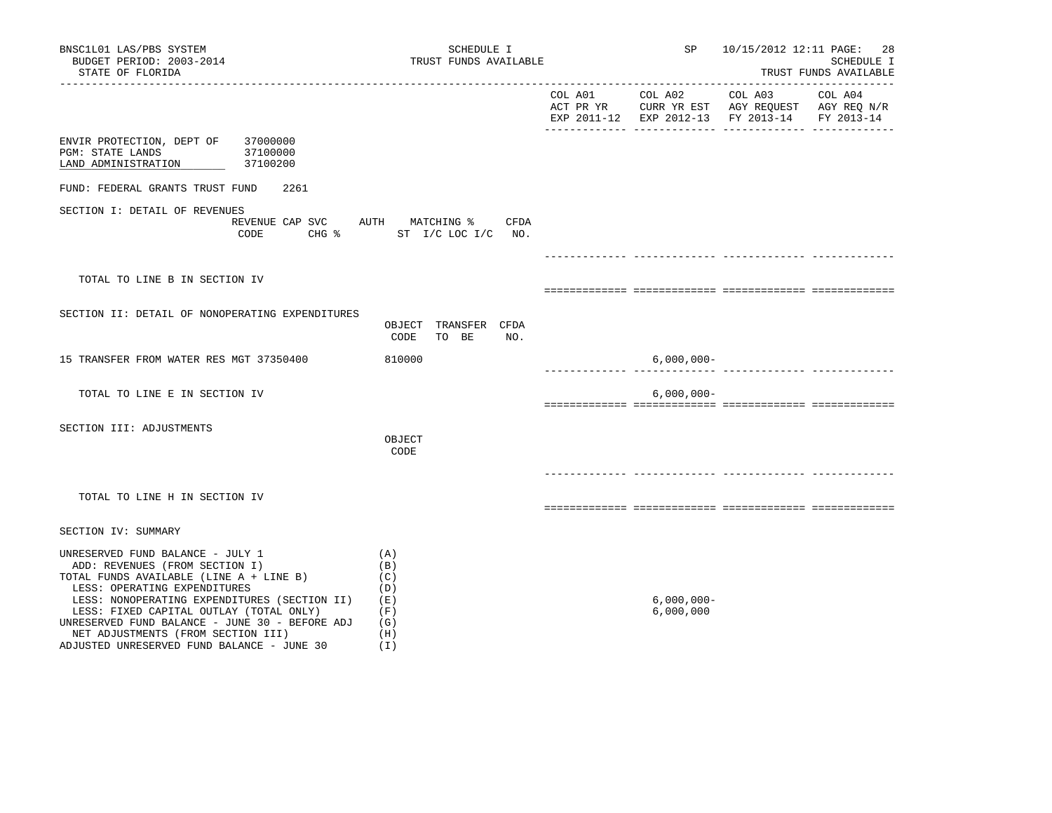| BNSC1L01 LAS/PBS SYSTEM<br>BUDGET PERIOD: 2003-2014<br>STATE OF FLORIDA                                                                                                                                                                                                                                                                                                        | SCHEDULE I<br>TRUST FUNDS AVAILABLE                         |                    | SP                         |                                                                                                                     | 10/15/2012 12:11 PAGE: 28<br>SCHEDULE I<br>TRUST FUNDS AVAILABLE |
|--------------------------------------------------------------------------------------------------------------------------------------------------------------------------------------------------------------------------------------------------------------------------------------------------------------------------------------------------------------------------------|-------------------------------------------------------------|--------------------|----------------------------|---------------------------------------------------------------------------------------------------------------------|------------------------------------------------------------------|
|                                                                                                                                                                                                                                                                                                                                                                                |                                                             | COL A01            | COL A02                    | COL A03<br>ACT PR YR $\,$ CURR YR EST $\,$ AGY REQUEST $\,$ AGY REQ $\rm N/R$<br>EXP 2011-12 EXP 2012-13 FY 2013-14 | COL A04<br>FY 2013-14                                            |
| ENVIR PROTECTION, DEPT OF 37000000<br>PGM: STATE LANDS<br>37100000<br>LAND ADMINISTRATION<br>37100200                                                                                                                                                                                                                                                                          |                                                             |                    |                            |                                                                                                                     |                                                                  |
| FUND: FEDERAL GRANTS TRUST FUND<br>2261                                                                                                                                                                                                                                                                                                                                        |                                                             |                    |                            |                                                                                                                     |                                                                  |
| SECTION I: DETAIL OF REVENUES<br>REVENUE CAP SVC AUTH MATCHING %<br>CODE                                                                                                                                                                                                                                                                                                       | CFDA<br>CHG % ST I/C LOC I/C NO.                            |                    |                            |                                                                                                                     |                                                                  |
|                                                                                                                                                                                                                                                                                                                                                                                |                                                             |                    |                            |                                                                                                                     |                                                                  |
| TOTAL TO LINE B IN SECTION IV                                                                                                                                                                                                                                                                                                                                                  |                                                             |                    |                            |                                                                                                                     |                                                                  |
| SECTION II: DETAIL OF NONOPERATING EXPENDITURES                                                                                                                                                                                                                                                                                                                                | OBJECT TRANSFER CFDA<br>CODE<br>TO BE<br>NO.                |                    |                            |                                                                                                                     |                                                                  |
| 15 TRANSFER FROM WATER RES MGT 37350400                                                                                                                                                                                                                                                                                                                                        | 810000                                                      | ------------- ---- | $6,000,000 -$              |                                                                                                                     |                                                                  |
| TOTAL TO LINE E IN SECTION IV                                                                                                                                                                                                                                                                                                                                                  |                                                             |                    | $6,000,000 -$              |                                                                                                                     |                                                                  |
| SECTION III: ADJUSTMENTS                                                                                                                                                                                                                                                                                                                                                       | OBJECT<br>CODE                                              |                    |                            |                                                                                                                     |                                                                  |
| TOTAL TO LINE H IN SECTION IV                                                                                                                                                                                                                                                                                                                                                  |                                                             |                    |                            |                                                                                                                     |                                                                  |
| SECTION IV: SUMMARY                                                                                                                                                                                                                                                                                                                                                            |                                                             |                    |                            |                                                                                                                     |                                                                  |
| UNRESERVED FUND BALANCE - JULY 1<br>ADD: REVENUES (FROM SECTION I)<br>TOTAL FUNDS AVAILABLE (LINE A + LINE B)<br>LESS: OPERATING EXPENDITURES<br>LESS: NONOPERATING EXPENDITURES (SECTION II)<br>LESS: FIXED CAPITAL OUTLAY (TOTAL ONLY)<br>UNRESERVED FUND BALANCE - JUNE 30 - BEFORE ADJ<br>NET ADJUSTMENTS (FROM SECTION III)<br>ADJUSTED UNRESERVED FUND BALANCE - JUNE 30 | (A)<br>(B)<br>(C)<br>(D)<br>(E)<br>(F)<br>(G)<br>(H)<br>(T) |                    | $6,000,000 -$<br>6,000,000 |                                                                                                                     |                                                                  |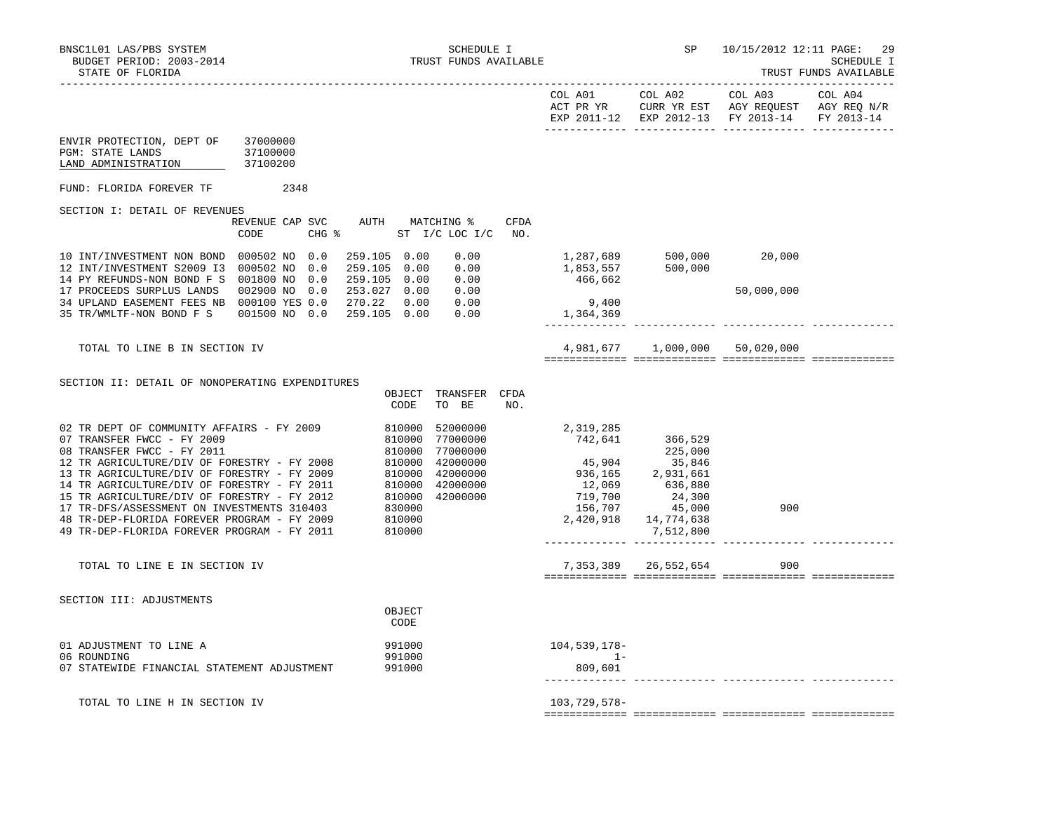| STATE OF FLORIDA                                                                                                                                                                                                                                                                                                                                                                                                                                                                                                                                                             | TRUST FUNDS AVAILABLE                                                                                                                                                                   |
|------------------------------------------------------------------------------------------------------------------------------------------------------------------------------------------------------------------------------------------------------------------------------------------------------------------------------------------------------------------------------------------------------------------------------------------------------------------------------------------------------------------------------------------------------------------------------|-----------------------------------------------------------------------------------------------------------------------------------------------------------------------------------------|
|                                                                                                                                                                                                                                                                                                                                                                                                                                                                                                                                                                              | COL A02<br>COL A03<br>COL A01<br>COL A04<br>ACT PR YR<br>CURR YR EST AGY REQUEST AGY REQ N/R<br>EXP 2011-12 EXP 2012-13 FY 2013-14<br>FY 2013-14                                        |
| ENVIR PROTECTION, DEPT OF<br>37000000<br>PGM: STATE LANDS<br>37100000<br>LAND ADMINISTRATION<br>37100200                                                                                                                                                                                                                                                                                                                                                                                                                                                                     |                                                                                                                                                                                         |
| FUND: FLORIDA FOREVER TF<br>2348                                                                                                                                                                                                                                                                                                                                                                                                                                                                                                                                             |                                                                                                                                                                                         |
| SECTION I: DETAIL OF REVENUES                                                                                                                                                                                                                                                                                                                                                                                                                                                                                                                                                |                                                                                                                                                                                         |
| REVENUE CAP SVC<br>AUTH<br>MATCHING %<br>CODE<br>CHG %<br>ST I/C LOC I/C                                                                                                                                                                                                                                                                                                                                                                                                                                                                                                     | CFDA<br>NO.                                                                                                                                                                             |
| 10 INT/INVESTMENT NON BOND 000502 NO<br>0.0<br>259.105 0.00<br>0.00<br>12 INT/INVESTMENT S2009 I3<br>000502 NO<br>0.0<br>259.105 0.00<br>0.00<br>0.0<br>259.105 0.00<br>14 PY REFUNDS-NON BOND F S<br>001800 NO<br>0.00<br>17 PROCEEDS SURPLUS LANDS<br>002900 NO<br>0.0<br>253.027 0.00<br>0.00                                                                                                                                                                                                                                                                             | 1,287,689<br>500,000<br>20,000<br>1,853,557<br>500,000<br>466,662<br>50,000,000                                                                                                         |
| 34 UPLAND EASEMENT FEES NB 000100 YES 0.0<br>270.22<br>0.00<br>0.00<br>259.105 0.00<br>35 TR/WMLTF-NON BOND F S<br>001500 NO 0.0<br>0.00                                                                                                                                                                                                                                                                                                                                                                                                                                     | 9,400<br>1,364,369                                                                                                                                                                      |
| TOTAL TO LINE B IN SECTION IV                                                                                                                                                                                                                                                                                                                                                                                                                                                                                                                                                | 4,981,677 1,000,000<br>50,020,000                                                                                                                                                       |
| SECTION II: DETAIL OF NONOPERATING EXPENDITURES<br>OBJECT TRANSFER CFDA<br>CODE<br>TO BE                                                                                                                                                                                                                                                                                                                                                                                                                                                                                     | NO.                                                                                                                                                                                     |
| 02 TR DEPT OF COMMUNITY AFFAIRS - FY 2009<br>810000<br>52000000<br>07 TRANSFER FWCC - FY 2009<br>810000<br>77000000<br>08 TRANSFER FWCC - FY 2011<br>810000<br>77000000<br>12 TR AGRICULTURE/DIV OF FORESTRY - FY 2008<br>810000<br>42000000<br>13 TR AGRICULTURE/DIV OF FORESTRY - FY 2009<br>810000<br>42000000<br>14 TR AGRICULTURE/DIV OF FORESTRY - FY 2011<br>810000<br>42000000<br>42000000<br>15 TR AGRICULTURE/DIV OF FORESTRY - FY 2012<br>810000<br>17 TR-DFS/ASSESSMENT ON INVESTMENTS 310403<br>830000<br>48 TR-DEP-FLORIDA FOREVER PROGRAM - FY 2009<br>810000 | 2,319,285<br>742,641<br>366,529<br>225,000<br>45,904<br>35,846<br>936,165<br>2,931,661<br>12,069<br>636,880<br>719,700<br>24,300<br>156,707<br>900<br>45,000<br>2,420,918<br>14,774,638 |
| 49 TR-DEP-FLORIDA FOREVER PROGRAM - FY 2011<br>810000                                                                                                                                                                                                                                                                                                                                                                                                                                                                                                                        | 7,512,800                                                                                                                                                                               |
| TOTAL TO LINE E IN SECTION IV                                                                                                                                                                                                                                                                                                                                                                                                                                                                                                                                                | 7,353,389<br>26,552,654<br>900                                                                                                                                                          |
| SECTION III: ADJUSTMENTS<br>OBJECT<br>CODE                                                                                                                                                                                                                                                                                                                                                                                                                                                                                                                                   |                                                                                                                                                                                         |
| 01 ADJUSTMENT TO LINE A<br>991000                                                                                                                                                                                                                                                                                                                                                                                                                                                                                                                                            | $104,539,178-$                                                                                                                                                                          |
| 06 ROUNDING<br>991000<br>07 STATEWIDE FINANCIAL STATEMENT ADJUSTMENT<br>991000                                                                                                                                                                                                                                                                                                                                                                                                                                                                                               | $1 -$<br>809,601                                                                                                                                                                        |
| TOTAL TO LINE H IN SECTION IV                                                                                                                                                                                                                                                                                                                                                                                                                                                                                                                                                | 103,729,578-                                                                                                                                                                            |

============= ============= ============= =============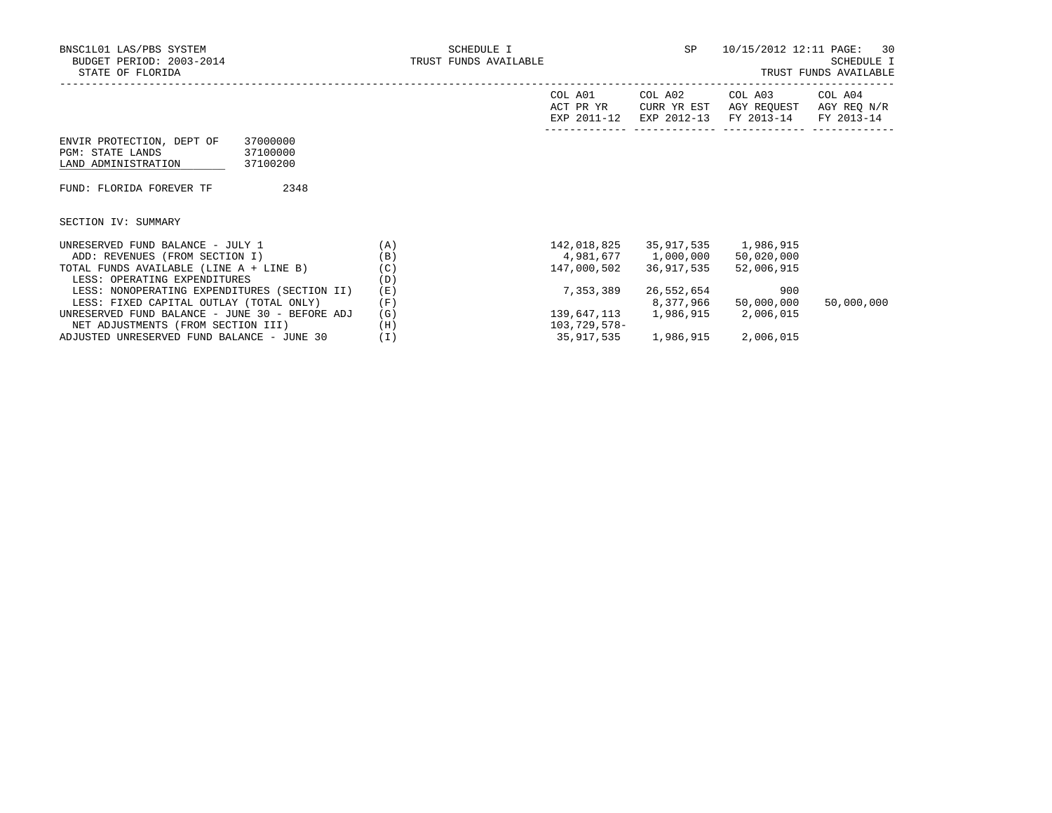|                                                                                                                 |     | COL A01<br>ACT PR YR<br>EXP 2011-12 | COL A02<br>CURR YR EST<br>EXP 2012-13 | COL A03<br>AGY REOUEST<br>FY 2013-14 | COL A04<br>AGY REO N/R<br>FY 2013-14 |
|-----------------------------------------------------------------------------------------------------------------|-----|-------------------------------------|---------------------------------------|--------------------------------------|--------------------------------------|
| 37000000<br>ENVIR PROTECTION, DEPT OF<br><b>PGM: STATE LANDS</b><br>37100000<br>LAND ADMINISTRATION<br>37100200 |     |                                     |                                       |                                      |                                      |
| 2348<br>FUND: FLORIDA FOREVER TF                                                                                |     |                                     |                                       |                                      |                                      |
| SECTION IV: SUMMARY                                                                                             |     |                                     |                                       |                                      |                                      |
| UNRESERVED FUND BALANCE - JULY 1                                                                                | (A) | 142,018,825                         | 35,917,535                            | 1,986,915                            |                                      |
| ADD: REVENUES (FROM SECTION I)                                                                                  | (B) |                                     | 4,981,677 1,000,000                   | 50,020,000                           |                                      |
| TOTAL FUNDS AVAILABLE (LINE A + LINE B)                                                                         | (C) | 147,000,502                         | 36,917,535                            | 52,006,915                           |                                      |
| LESS: OPERATING EXPENDITURES                                                                                    | (D) |                                     |                                       |                                      |                                      |
| LESS: NONOPERATING EXPENDITURES (SECTION II)                                                                    | (E) | 7,353,389                           | 26,552,654                            | 900                                  |                                      |
| LESS: FIXED CAPITAL OUTLAY (TOTAL ONLY)                                                                         | (F) |                                     | 8,377,966                             | 50,000,000                           | 50,000,000                           |
| UNRESERVED FUND BALANCE - JUNE 30 - BEFORE ADJ                                                                  | (G) |                                     | 139,647,113 1,986,915                 | 2,006,015                            |                                      |
| NET ADJUSTMENTS (FROM SECTION III)                                                                              | (H) | 103,729,578-                        |                                       |                                      |                                      |

ADJUSTED UNRESERVED FUND BALANCE - JUNE 30 (I) 35,917,535 1,986,915 2,006,015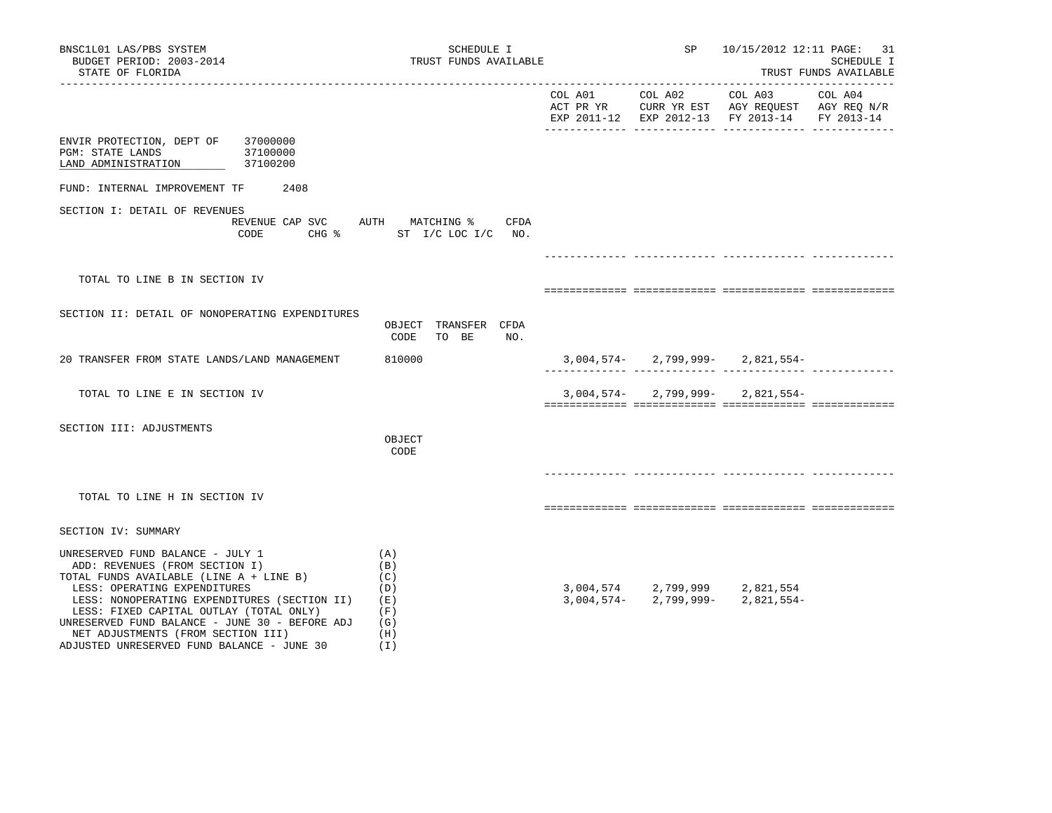| BNSC1L01 LAS/PBS SYSTEM<br>BUDGET PERIOD: 2003-2014<br>STATE OF FLORIDA                                                                                                                                                                                                                                                                                                        | SCHEDULE I<br>TRUST FUNDS AVAILABLE                                 | SP | 10/15/2012 12:11 PAGE: 31                                                                                                                      | SCHEDULE I<br>TRUST FUNDS AVAILABLE |
|--------------------------------------------------------------------------------------------------------------------------------------------------------------------------------------------------------------------------------------------------------------------------------------------------------------------------------------------------------------------------------|---------------------------------------------------------------------|----|------------------------------------------------------------------------------------------------------------------------------------------------|-------------------------------------|
|                                                                                                                                                                                                                                                                                                                                                                                |                                                                     |    | COL A01 COL A02 COL A03<br>ACT PR YR $\,$ CURR YR EST $\,$ AGY REQUEST $\,$ AGY REQ $\rm N/R$<br>EXP 2011-12 EXP 2012-13 FY 2013-14 FY 2013-14 | COL A04                             |
| ENVIR PROTECTION, DEPT OF 37000000<br>PGM: STATE LANDS<br>37100000<br>LAND ADMINISTRATION<br>37100200                                                                                                                                                                                                                                                                          |                                                                     |    |                                                                                                                                                |                                     |
| FUND: INTERNAL IMPROVEMENT TF 2408                                                                                                                                                                                                                                                                                                                                             |                                                                     |    |                                                                                                                                                |                                     |
| SECTION I: DETAIL OF REVENUES<br>CODE                                                                                                                                                                                                                                                                                                                                          | REVENUE CAP SVC AUTH MATCHING %<br>CFDA<br>CHG % ST I/C LOC I/C NO. |    |                                                                                                                                                |                                     |
|                                                                                                                                                                                                                                                                                                                                                                                |                                                                     |    |                                                                                                                                                |                                     |
| TOTAL TO LINE B IN SECTION IV                                                                                                                                                                                                                                                                                                                                                  |                                                                     |    |                                                                                                                                                |                                     |
| SECTION II: DETAIL OF NONOPERATING EXPENDITURES                                                                                                                                                                                                                                                                                                                                | OBJECT TRANSFER CFDA<br>CODE<br>TO BE<br>NO.                        |    |                                                                                                                                                |                                     |
| 20 TRANSFER FROM STATE LANDS/LAND MANAGEMENT                                                                                                                                                                                                                                                                                                                                   | 810000                                                              |    | $3,004,574 - 2,799,999 - 2,821,554 -$                                                                                                          |                                     |
| TOTAL TO LINE E IN SECTION IV                                                                                                                                                                                                                                                                                                                                                  |                                                                     |    | $3,004,574 - 2,799,999 - 2,821,554 -$                                                                                                          |                                     |
| SECTION III: ADJUSTMENTS                                                                                                                                                                                                                                                                                                                                                       | OBJECT<br>CODE                                                      |    |                                                                                                                                                |                                     |
| TOTAL TO LINE H IN SECTION IV                                                                                                                                                                                                                                                                                                                                                  |                                                                     |    |                                                                                                                                                |                                     |
| SECTION IV: SUMMARY                                                                                                                                                                                                                                                                                                                                                            |                                                                     |    |                                                                                                                                                |                                     |
| UNRESERVED FUND BALANCE - JULY 1<br>ADD: REVENUES (FROM SECTION I)<br>TOTAL FUNDS AVAILABLE (LINE A + LINE B)<br>LESS: OPERATING EXPENDITURES<br>LESS: NONOPERATING EXPENDITURES (SECTION II)<br>LESS: FIXED CAPITAL OUTLAY (TOTAL ONLY)<br>UNRESERVED FUND BALANCE - JUNE 30 - BEFORE ADJ<br>NET ADJUSTMENTS (FROM SECTION III)<br>ADJUSTED UNRESERVED FUND BALANCE - JUNE 30 | (A)<br>(B)<br>(C)<br>(D)<br>(E)<br>(F)<br>(G)<br>(H)<br>(1)         |    | $3,004,574$ $2,799,999$ $2,821,554$<br>$3,004,574$ $2,799,999$ $2,821,554$                                                                     |                                     |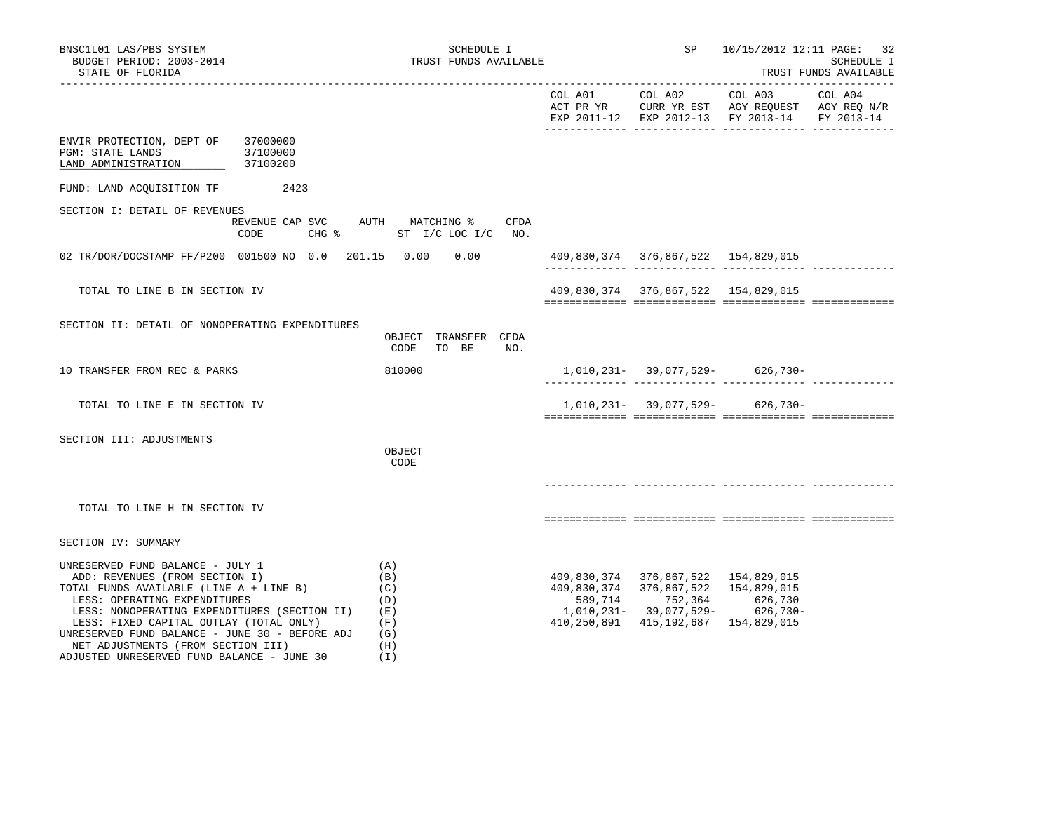| BNSC1L01 LAS/PBS SYSTEM<br>BUDGET PERIOD: 2003-2014<br>STATE OF FLORIDA                                                                                                                                                                                                                                                          | SCHEDULE I<br>TRUST FUNDS AVAILABLE                                 |                                     |                                                                | SP 10/15/2012 12:11 PAGE: 32                                                                                      | SCHEDULE I<br>TRUST FUNDS AVAILABLE |
|----------------------------------------------------------------------------------------------------------------------------------------------------------------------------------------------------------------------------------------------------------------------------------------------------------------------------------|---------------------------------------------------------------------|-------------------------------------|----------------------------------------------------------------|-------------------------------------------------------------------------------------------------------------------|-------------------------------------|
|                                                                                                                                                                                                                                                                                                                                  |                                                                     |                                     | COL A01 COL A02                                                | COL A03 COL A04<br>ACT PR YR CURR YR EST AGY REQUEST AGY REQ N/R<br>EXP 2011-12 EXP 2012-13 FY 2013-14 FY 2013-14 |                                     |
| ENVIR PROTECTION, DEPT OF 37000000<br>PGM: STATE LANDS<br>37100000<br>LAND ADMINISTRATION<br>37100200                                                                                                                                                                                                                            |                                                                     |                                     |                                                                |                                                                                                                   |                                     |
| FUND: LAND ACQUISITION TF 2423                                                                                                                                                                                                                                                                                                   |                                                                     |                                     |                                                                |                                                                                                                   |                                     |
| SECTION I: DETAIL OF REVENUES<br>CODE                                                                                                                                                                                                                                                                                            | REVENUE CAP SVC AUTH MATCHING %<br>CFDA<br>CHG % ST I/C LOC I/C NO. |                                     |                                                                |                                                                                                                   |                                     |
| 02 TR/DOR/DOCSTAMP FF/P200 001500 NO 0.0 201.15 0.00 0.00                                                                                                                                                                                                                                                                        |                                                                     | 409,830,374 376,867,522 154,829,015 |                                                                |                                                                                                                   |                                     |
| TOTAL TO LINE B IN SECTION IV                                                                                                                                                                                                                                                                                                    |                                                                     |                                     | 409,830,374 376,867,522 154,829,015                            |                                                                                                                   |                                     |
| SECTION II: DETAIL OF NONOPERATING EXPENDITURES                                                                                                                                                                                                                                                                                  | OBJECT TRANSFER CFDA<br>CODE<br>TO BE<br>NO.                        |                                     |                                                                |                                                                                                                   |                                     |
| 10 TRANSFER FROM REC & PARKS                                                                                                                                                                                                                                                                                                     | 810000                                                              |                                     |                                                                | $1,010,231-39,077,529-626,730-$                                                                                   |                                     |
| TOTAL TO LINE E IN SECTION IV                                                                                                                                                                                                                                                                                                    |                                                                     |                                     |                                                                | $1,010,231-39,077,529-626,730-$                                                                                   |                                     |
| SECTION III: ADJUSTMENTS                                                                                                                                                                                                                                                                                                         | OBJECT<br>CODE                                                      |                                     |                                                                |                                                                                                                   |                                     |
| TOTAL TO LINE H IN SECTION IV                                                                                                                                                                                                                                                                                                    |                                                                     |                                     |                                                                |                                                                                                                   |                                     |
| SECTION IV: SUMMARY                                                                                                                                                                                                                                                                                                              |                                                                     |                                     |                                                                |                                                                                                                   |                                     |
| UNRESERVED FUND BALANCE - JULY 1<br>ADD: REVENUES (FROM SECTION I)<br>TOTAL FUNDS AVAILABLE (LINE A + LINE B)<br>LESS: OPERATING EXPENDITURES<br>LESS: NONOPERATING EXPENDITURES (SECTION II)<br>LESS: FIXED CAPITAL OUTLAY (TOTAL ONLY)<br>UNRESERVED FUND BALANCE - JUNE 30 - BEFORE ADJ<br>NET ADJUSTMENTS (FROM SECTION III) | (A)<br>(B)<br>(C)<br>(D)<br>(E)<br>(F)<br>(G)<br>(H)                | 409,830,374<br>410,250,891          | 409,830,374 376,867,522 154,829,015<br>589,714 752,364 626,730 | 376,867,522 154,829,015<br>1,010,231- 39,077,529- 626,730-<br>415, 192, 687 154, 829, 015                         |                                     |

ADJUSTED UNRESERVED FUND BALANCE - JUNE 30 (I)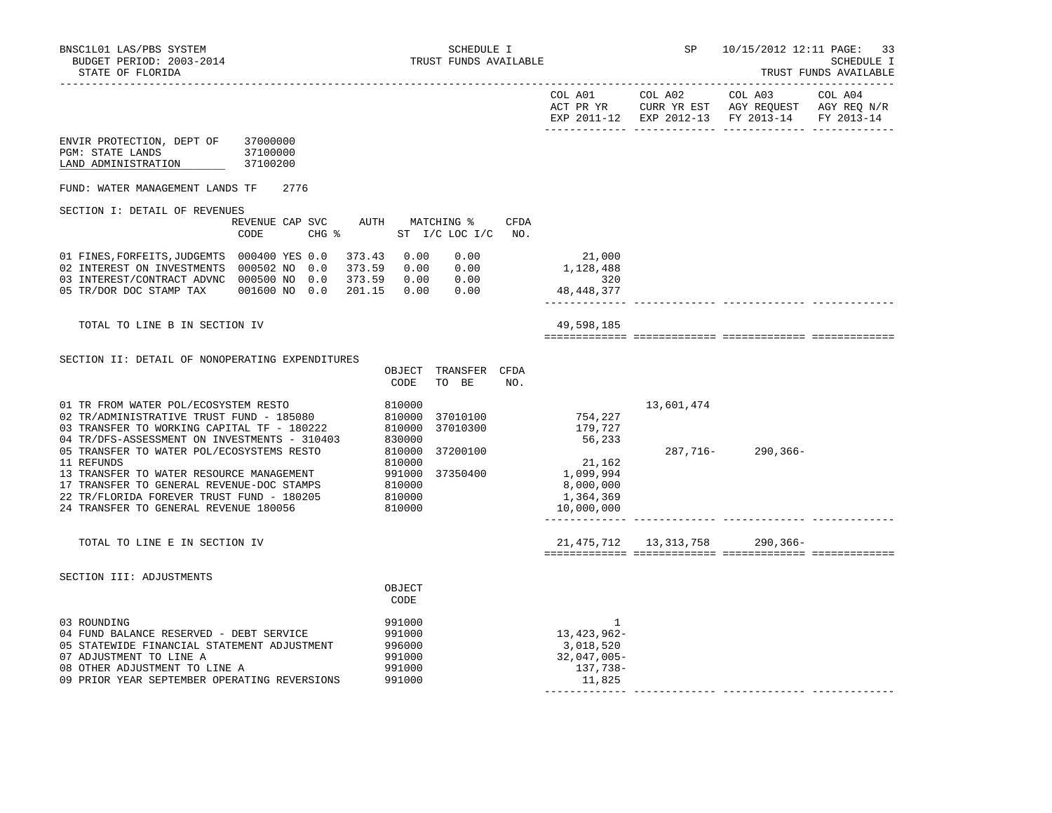|                                                                                                                                                                                                                                                                                                                                                                                                                          |                                            |                                                                                                            |                                              |             |                                                                                             | COL A01 COL A02           | COL A03<br>ACT PR YR CURR YR EST AGY REQUEST AGY REQ N/R<br>EXP 2011-12 EXP 2012-13 FY 2013-14 | COL A04<br>FY 2013-14 |
|--------------------------------------------------------------------------------------------------------------------------------------------------------------------------------------------------------------------------------------------------------------------------------------------------------------------------------------------------------------------------------------------------------------------------|--------------------------------------------|------------------------------------------------------------------------------------------------------------|----------------------------------------------|-------------|---------------------------------------------------------------------------------------------|---------------------------|------------------------------------------------------------------------------------------------|-----------------------|
| ENVIR PROTECTION, DEPT OF<br>PGM: STATE LANDS<br>LAND ADMINISTRATION                                                                                                                                                                                                                                                                                                                                                     | 37000000<br>37100000<br>37100200           |                                                                                                            |                                              |             |                                                                                             |                           |                                                                                                |                       |
| FUND: WATER MANAGEMENT LANDS TF                                                                                                                                                                                                                                                                                                                                                                                          | 2776                                       |                                                                                                            |                                              |             |                                                                                             |                           |                                                                                                |                       |
| SECTION I: DETAIL OF REVENUES                                                                                                                                                                                                                                                                                                                                                                                            | REVENUE CAP SVC<br>CODE<br>$CHG$ $\approx$ | AUTH MATCHING %                                                                                            | ST I/C LOC I/C                               | CFDA<br>NO. |                                                                                             |                           |                                                                                                |                       |
| 01 FINES, FORFEITS, JUDGEMTS 000400 YES 0.0<br>02 INTEREST ON INVESTMENTS 000502 NO 0.0<br>03 INTEREST/CONTRACT ADVNC 000500 NO 0.0 373.59 0.00 0.00<br>05 TR/DOR DOC STAMP TAX 001600 NO 0.0 201.15 0.00 0.00                                                                                                                                                                                                           | 373.59                                     |                                                                                                            | 373.43  0.00  0.00<br>0.00 0.00              |             | 21,000<br>1,128,488<br>320<br>48, 448, 377                                                  |                           |                                                                                                |                       |
| TOTAL TO LINE B IN SECTION IV                                                                                                                                                                                                                                                                                                                                                                                            |                                            |                                                                                                            |                                              |             | 49,598,185                                                                                  |                           |                                                                                                |                       |
| SECTION II: DETAIL OF NONOPERATING EXPENDITURES                                                                                                                                                                                                                                                                                                                                                                          |                                            | CODE                                                                                                       | OBJECT TRANSFER CFDA<br>TO BE                | NO.         |                                                                                             |                           |                                                                                                |                       |
| 01 TR FROM WATER POL/ECOSYSTEM RESTO<br>02 TR/ADMINISTRATIVE TRUST FUND - 185080<br>03 TRANSFER TO WORKING CAPITAL TF - 180222<br>04 TR/DFS-ASSESSMENT ON INVESTMENTS - 310403<br>05 TRANSFER TO WATER POL/ECOSYSTEMS RESTO<br>11 REFUNDS<br>13 TRANSFER TO WATER RESOURCE MANAGEMENT<br>17 TRANSFER TO GENERAL REVENUE-DOC STAMPS<br>22 TR/FLORIDA FOREVER TRUST FUND - 180205<br>24 TRANSFER TO GENERAL REVENUE 180056 |                                            | 810000<br>810000<br>810000<br>810000<br>830000<br>810000<br>810000<br>991000<br>810000<br>810000<br>810000 | 37010100<br>37010300<br>37200100<br>37350400 |             | 754,227<br>179,727<br>56,233<br>21,162<br>1,099,994<br>8,000,000<br>1,364,369<br>10,000,000 | 13,601,474<br>287,716-    | 290,366-                                                                                       |                       |
| TOTAL TO LINE E IN SECTION IV                                                                                                                                                                                                                                                                                                                                                                                            |                                            |                                                                                                            |                                              |             |                                                                                             | 21, 475, 712 13, 313, 758 | 290,366-                                                                                       |                       |
| SECTION III: ADJUSTMENTS                                                                                                                                                                                                                                                                                                                                                                                                 |                                            | OBJECT<br>CODE                                                                                             |                                              |             |                                                                                             |                           |                                                                                                |                       |
| 03 ROUNDING<br>04 FUND BALANCE RESERVED - DEBT SERVICE<br>05 STATEWIDE FINANCIAL STATEMENT ADJUSTMENT<br>07 ADJUSTMENT TO LINE A<br>08 OTHER ADJUSTMENT TO LINE A<br>09 PRIOR YEAR SEPTEMBER OPERATING REVERSIONS                                                                                                                                                                                                        |                                            | 991000<br>991000<br>996000<br>991000<br>991000<br>991000                                                   |                                              |             | 1<br>13,423,962-<br>3,018,520<br>$32,047,005 -$<br>137,738-<br>11,825                       |                           |                                                                                                |                       |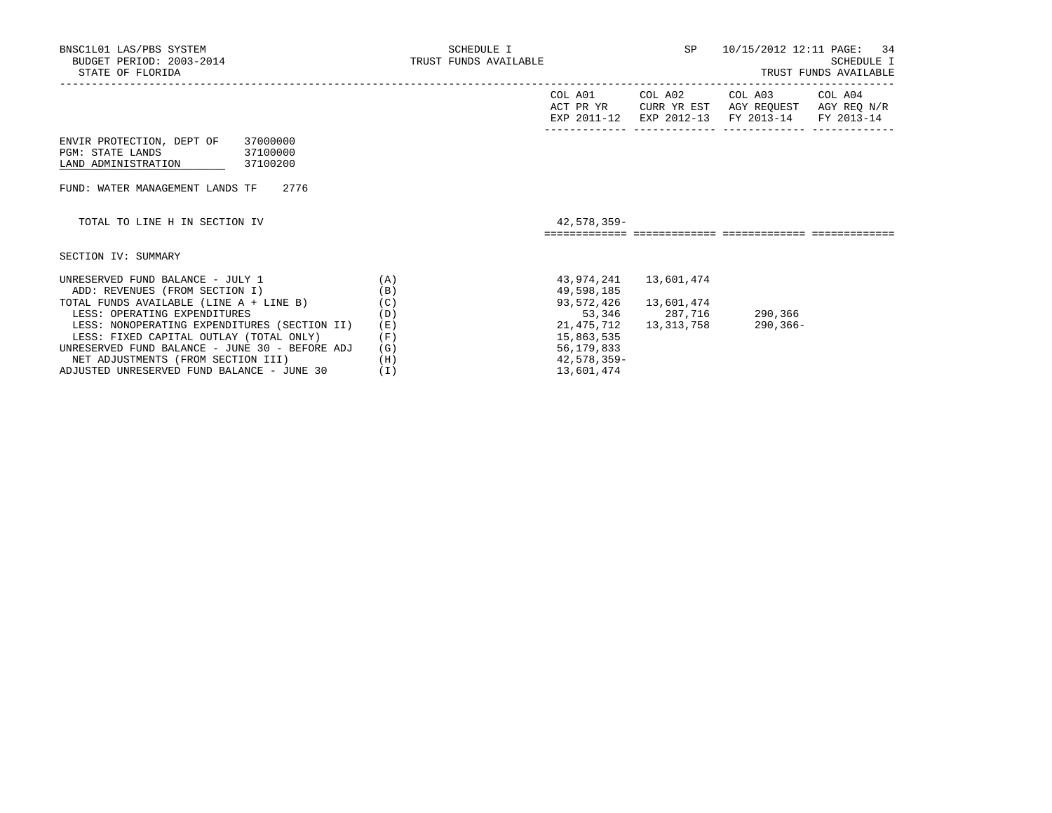|  | TRUST FUNDS AVAILABLE |  |
|--|-----------------------|--|
|  |                       |  |

|                                                                                                                 |            | COL A01<br>ACT PR YR<br>EXP 2011-12 | COL A02<br>CURR YR EST<br>EXP 2012-13 | COL A03<br>AGY REQUEST<br>FY 2013-14 | COL A04<br>AGY REQ N/R<br>FY 2013-14 |
|-----------------------------------------------------------------------------------------------------------------|------------|-------------------------------------|---------------------------------------|--------------------------------------|--------------------------------------|
| ENVIR PROTECTION, DEPT OF<br>37000000<br><b>PGM: STATE LANDS</b><br>37100000<br>LAND ADMINISTRATION<br>37100200 |            |                                     |                                       |                                      |                                      |
| 2776<br>FUND: WATER MANAGEMENT LANDS TF                                                                         |            |                                     |                                       |                                      |                                      |
| TOTAL TO LINE H IN SECTION IV                                                                                   |            | 42,578,359-                         |                                       |                                      |                                      |
| SECTION IV: SUMMARY                                                                                             |            |                                     |                                       |                                      |                                      |
| UNRESERVED FUND BALANCE - JULY 1<br>ADD: REVENUES (FROM SECTION I)                                              | (A)<br>(B) | 43,974,241<br>49,598,185            | 13,601,474                            |                                      |                                      |
| TOTAL FUNDS AVAILABLE (LINE A + LINE B)<br>LESS: OPERATING EXPENDITURES                                         | (C)<br>(D) | 93,572,426<br>53,346                | 13,601,474<br>287,716                 | 290,366                              |                                      |
| LESS: NONOPERATING EXPENDITURES (SECTION II)<br>LESS: FIXED CAPITAL OUTLAY (TOTAL ONLY)                         | (E)<br>(F) | 21,475,712<br>15,863,535            | 13,313,758                            | $290, 366 -$                         |                                      |
| UNRESERVED FUND BALANCE - JUNE 30 - BEFORE ADJ                                                                  | (G)        | 56, 179, 833                        |                                       |                                      |                                      |

 NET ADJUSTMENTS (FROM SECTION III) (H) 42,578,359- ADJUSTED UNRESERVED FUND BALANCE - JUNE 30 (I) 13,601,474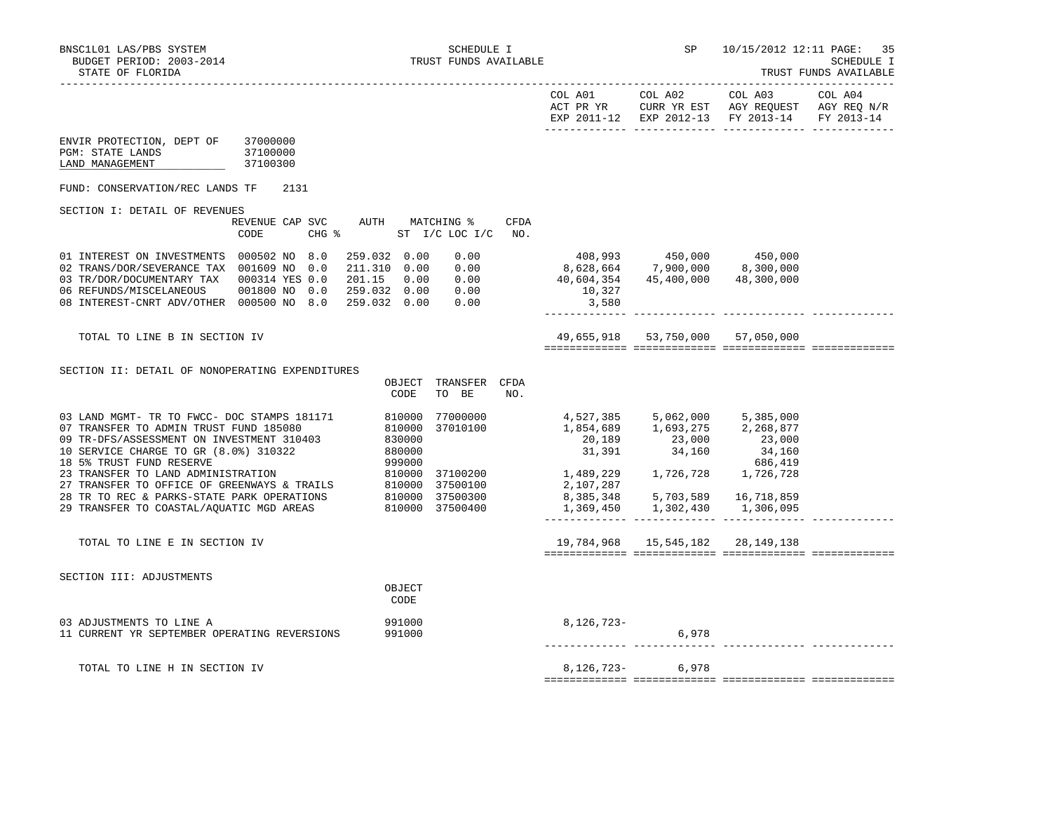|                                                                                                                                                                                               |                                               | COL A01<br>ACT PR YR                                                                                  | COL A02                                                                                                         | COL A03<br>CURR YR EST AGY REQUEST AGY REQ N/R<br>EXP 2011-12 EXP 2012-13 FY 2013-14 | COL A04<br>FY 2013-14 |
|-----------------------------------------------------------------------------------------------------------------------------------------------------------------------------------------------|-----------------------------------------------|-------------------------------------------------------------------------------------------------------|-----------------------------------------------------------------------------------------------------------------|--------------------------------------------------------------------------------------|-----------------------|
| ENVIR PROTECTION, DEPT OF<br>37000000<br>PGM: STATE LANDS<br>37100000<br>LAND MANAGEMENT<br>37100300                                                                                          |                                               |                                                                                                       |                                                                                                                 |                                                                                      |                       |
| FUND: CONSERVATION/REC LANDS TF<br>2131                                                                                                                                                       |                                               |                                                                                                       |                                                                                                                 |                                                                                      |                       |
| SECTION I: DETAIL OF REVENUES                                                                                                                                                                 |                                               |                                                                                                       |                                                                                                                 |                                                                                      |                       |
| REVENUE CAP SVC<br>CODE<br>$CHG$ $\approx$                                                                                                                                                    | AUTH MATCHING %<br>CFDA<br>ST I/C LOC I/C NO. |                                                                                                       |                                                                                                                 |                                                                                      |                       |
| 01 INTEREST ON INVESTMENTS 000502 NO 8.0<br>259.032 0.00<br>211.310  0.00  0.00<br>02 TRANS/DOR/SEVERANCE TAX 001609 NO 0.0<br>03 TR/DOR/DOCUMENTARY TAX 000314 YES 0.0<br>201.15  0.00  0.00 | 0.00                                          | 408,993    450,000    450,000<br>8,628,664    7,900,000    8,300,000<br>40,604,354<br>10,327<br>3,580 |                                                                                                                 | 45,400,000 48,300,000                                                                |                       |
| TOTAL TO LINE B IN SECTION IV                                                                                                                                                                 |                                               |                                                                                                       | 49,655,918 53,750,000 57,050,000                                                                                |                                                                                      |                       |
| SECTION II: DETAIL OF NONOPERATING EXPENDITURES<br>OBJECT<br>CODE                                                                                                                             | TRANSFER CFDA<br>TO BE<br>NO.                 |                                                                                                       |                                                                                                                 |                                                                                      |                       |
| 810000<br>03 LAND MGMT- TR TO FWCC- DOC STAMPS 181171<br>07 TRANSFER TO ADMIN TRUST FUND 185080<br>810000                                                                                     | 77000000<br>37010100                          | 20,189<br>31,391                                                                                      | 4,527,385 5,062,000<br>1,854,689 1,693,275 2,268,877<br>23,000<br>34,160                                        | 5,385,000<br>$23,000$<br>$34,160$<br>$686,419$                                       |                       |
|                                                                                                                                                                                               |                                               | 1,489,229 1,726,728 1,726,728<br>2,107,287                                                            | 8, 385, 348 5, 703, 589 16, 718, 859<br>1,369,450 1,302,430 1,306,095<br>______________ _______________ _______ |                                                                                      |                       |
| TOTAL TO LINE E IN SECTION IV                                                                                                                                                                 |                                               |                                                                                                       | 19,784,968  15,545,182  28,149,138                                                                              |                                                                                      |                       |
| SECTION III: ADJUSTMENTS<br>OBJECT<br>CODE                                                                                                                                                    |                                               |                                                                                                       |                                                                                                                 |                                                                                      |                       |
| 03 ADJUSTMENTS TO LINE A<br>991000<br>11 CURRENT YR SEPTEMBER OPERATING REVERSIONS<br>991000                                                                                                  |                                               | $8,126,723-$                                                                                          | 6,978                                                                                                           |                                                                                      |                       |
| TOTAL TO LINE H IN SECTION IV                                                                                                                                                                 |                                               |                                                                                                       | 8, 126, 723 - 6, 978                                                                                            |                                                                                      |                       |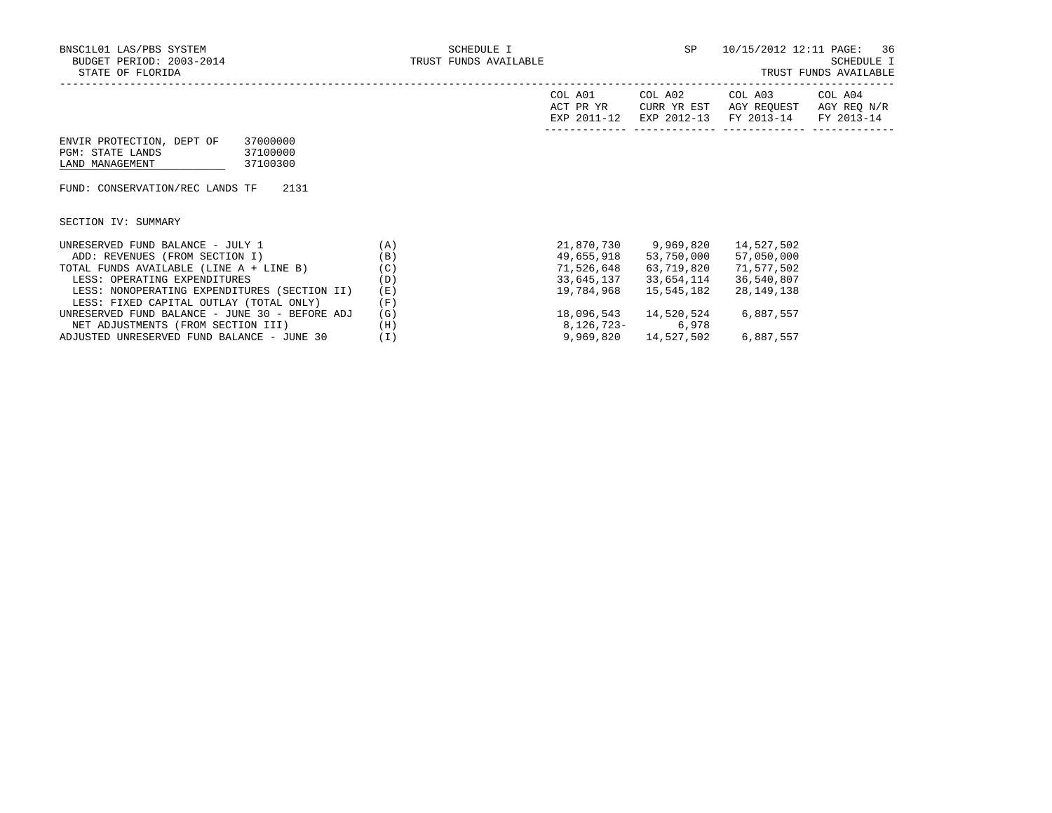| COL A01<br>ACT PR YR | COL A02<br>CURR YR EST | COL A03<br>AGY REOUEST            | COL A04<br>AGY REO N/R |
|----------------------|------------------------|-----------------------------------|------------------------|
| EXP 2011-12          |                        | EXP 2012-13 FY 2013-14 FY 2013-14 |                        |
|                      |                        |                                   |                        |

| ENVIR PROTECTION, DEPT OF | 37000000 |
|---------------------------|----------|
| PGM: STATE LANDS          | 37100000 |
| LAND MANAGEMENT           | 37100300 |

FUND: CONSERVATION/REC LANDS TF 2131

SECTION IV: SUMMARY

| UNRESERVED FUND BALANCE - JULY 1               | (A)   | 21,870,730 | 9,969,820  | 14,527,502   |
|------------------------------------------------|-------|------------|------------|--------------|
| ADD: REVENUES (FROM SECTION I)                 | (B)   | 49,655,918 | 53,750,000 | 57,050,000   |
| TOTAL FUNDS AVAILABLE (LINE A + LINE B)        | (C)   | 71,526,648 | 63,719,820 | 71,577,502   |
| LESS: OPERATING EXPENDITURES                   | (D)   | 33,645,137 | 33,654,114 | 36,540,807   |
| LESS: NONOPERATING EXPENDITURES (SECTION II)   | (E)   | 19,784,968 | 15,545,182 | 28, 149, 138 |
| LESS: FIXED CAPITAL OUTLAY (TOTAL ONLY)        | (F)   |            |            |              |
| UNRESERVED FUND BALANCE - JUNE 30 - BEFORE ADJ | (G)   | 18,096,543 | 14,520,524 | 6,887,557    |
| NET ADJUSTMENTS (FROM SECTION III)             | (H)   | 8,126,723- | 6,978      |              |
| ADJUSTED UNRESERVED FUND BALANCE - JUNE 30     | ( I ) | 9,969,820  | 14,527,502 | 6,887,557    |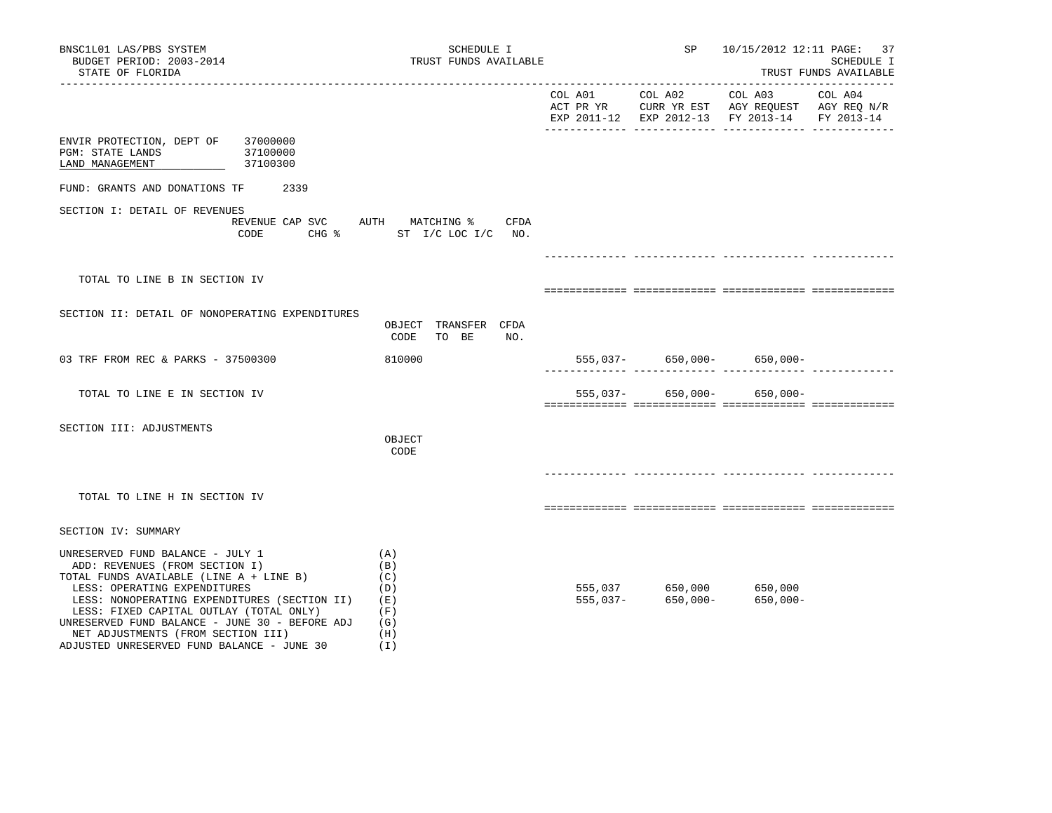| BNSC1L01 LAS/PBS SYSTEM<br>BUDGET PERIOD: 2003-2014<br>STATE OF FLORIDA                                                                                                                                                                                                                                                                                                            | SCHEDULE I<br>TRUST FUNDS AVAILABLE                              | SP                                                   | 10/15/2012 12:11 PAGE: 37                     | SCHEDULE I<br>TRUST FUNDS AVAILABLE |
|------------------------------------------------------------------------------------------------------------------------------------------------------------------------------------------------------------------------------------------------------------------------------------------------------------------------------------------------------------------------------------|------------------------------------------------------------------|------------------------------------------------------|-----------------------------------------------|-------------------------------------|
|                                                                                                                                                                                                                                                                                                                                                                                    |                                                                  |                                                      | EXP 2011-12 EXP 2012-13 FY 2013-14 FY 2013-14 |                                     |
| ENVIR PROTECTION, DEPT OF 37000000<br>PGM: STATE LANDS<br>37100000<br>37100300<br>LAND MANAGEMENT                                                                                                                                                                                                                                                                                  |                                                                  |                                                      |                                               |                                     |
| FUND: GRANTS AND DONATIONS TF 2339                                                                                                                                                                                                                                                                                                                                                 |                                                                  |                                                      |                                               |                                     |
| SECTION I: DETAIL OF REVENUES<br>CODE                                                                                                                                                                                                                                                                                                                                              | REVENUE CAP SVC AUTH MATCHING % CFDA<br>CHG % ST I/C LOC I/C NO. |                                                      |                                               |                                     |
|                                                                                                                                                                                                                                                                                                                                                                                    |                                                                  |                                                      |                                               |                                     |
| TOTAL TO LINE B IN SECTION IV                                                                                                                                                                                                                                                                                                                                                      |                                                                  |                                                      |                                               |                                     |
| SECTION II: DETAIL OF NONOPERATING EXPENDITURES                                                                                                                                                                                                                                                                                                                                    | OBJECT TRANSFER CFDA<br>CODE<br>TO BE<br>NO.                     |                                                      |                                               |                                     |
| 03 TRF FROM REC & PARKS - 37500300                                                                                                                                                                                                                                                                                                                                                 | 810000                                                           |                                                      | $555,037-$ 650,000- 650,000-                  |                                     |
| TOTAL TO LINE E IN SECTION IV                                                                                                                                                                                                                                                                                                                                                      |                                                                  |                                                      | $555,037 - 650,000 - 650,000 -$               |                                     |
| SECTION III: ADJUSTMENTS                                                                                                                                                                                                                                                                                                                                                           | OBJECT<br>CODE                                                   |                                                      |                                               |                                     |
| TOTAL TO LINE H IN SECTION IV                                                                                                                                                                                                                                                                                                                                                      |                                                                  |                                                      |                                               |                                     |
| SECTION IV: SUMMARY                                                                                                                                                                                                                                                                                                                                                                |                                                                  |                                                      |                                               |                                     |
| UNRESERVED FUND BALANCE - JULY 1<br>ADD: REVENUES (FROM SECTION I)<br>TOTAL FUNDS AVAILABLE (LINE A + LINE B)<br>LESS: OPERATING EXPENDITURES<br>LESS: NONOPERATING EXPENDITURES (SECTION II) (E)<br>LESS: FIXED CAPITAL OUTLAY (TOTAL ONLY)<br>UNRESERVED FUND BALANCE - JUNE 30 - BEFORE ADJ<br>NET ADJUSTMENTS (FROM SECTION III)<br>ADJUSTED UNRESERVED FUND BALANCE - JUNE 30 | (A)<br>(B)<br>(C)<br>(D)<br>(F)<br>(G)<br>(H)<br>(I)             | 555,037 650,000 650,000<br>555,037- 650,000- 650,000 | 650,000-                                      |                                     |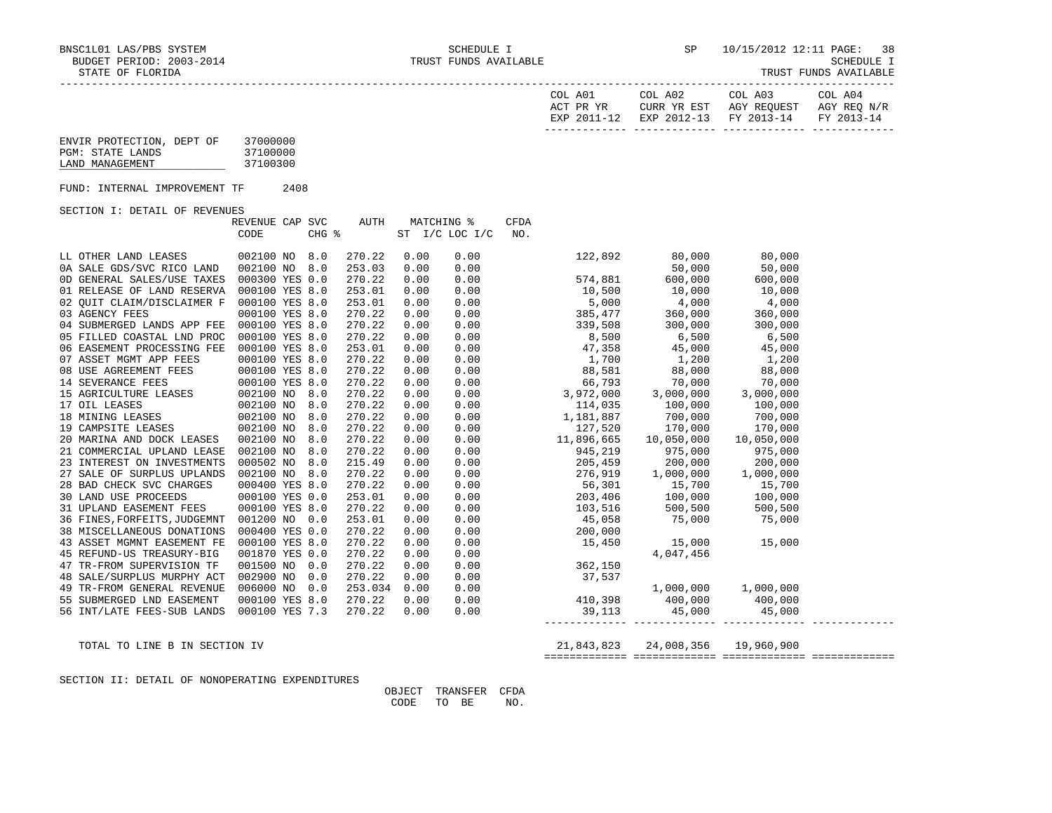| TRUST<br>FUNDS | AVAILABLE |
|----------------|-----------|
|----------------|-----------|

| COL A01<br>ACT PR YR | COL A02 | COL A03<br>CURR YR EST AGY REOUEST AGY REO N/R | COL A04 |
|----------------------|---------|------------------------------------------------|---------|
|                      |         | EXP 2011-12 EXP 2012-13 FY 2013-14 FY 2013-14  |         |
|                      |         |                                                |         |

| ENVIR PROTECTION, DEPT OF | 37000000 |
|---------------------------|----------|
| PGM: STATE LANDS          | 37100000 |
| LAND MANAGEMENT           | 37100300 |

FUND: INTERNAL IMPROVEMENT TF 2408

SECTION I: DETAIL OF REVENUES

|                                      | REVENUE CAP SVC | AUTH    | MATCHING % |                | CFDA |                                                                                                                                                                                                                                                                        |                       |            |  |
|--------------------------------------|-----------------|---------|------------|----------------|------|------------------------------------------------------------------------------------------------------------------------------------------------------------------------------------------------------------------------------------------------------------------------|-----------------------|------------|--|
|                                      | CHG %<br>CODE   |         |            | ST I/C LOC I/C | NO.  |                                                                                                                                                                                                                                                                        |                       |            |  |
|                                      |                 |         |            |                |      |                                                                                                                                                                                                                                                                        |                       |            |  |
| LL OTHER LAND LEASES                 | 002100 NO 8.0   | 270.22  | 0.00       | 0.00           |      |                                                                                                                                                                                                                                                                        | 122,892 80,000 80,000 |            |  |
| 0A SALE GDS/SVC RICO LAND            | 002100 NO 8.0   | 253.03  | 0.00       | 0.00           |      |                                                                                                                                                                                                                                                                        | 50,000                | 50,000     |  |
| OD GENERAL SALES/USE TAXES           | 000300 YES 0.0  | 270.22  | 0.00       | 0.00           |      | 574,881 600,000                                                                                                                                                                                                                                                        |                       | 600,000    |  |
| 01 RELEASE OF LAND RESERVA           | 000100 YES 8.0  | 253.01  | 0.00       | 0.00           |      | $10,500$ $10,000$                                                                                                                                                                                                                                                      |                       | 10,000     |  |
| 02 OUIT CLAIM/DISCLAIMER F           | 000100 YES 8.0  | 253.01  | 0.00       | 0.00           |      | $5,000$ $4,000$                                                                                                                                                                                                                                                        |                       | 4,000      |  |
| 03 AGENCY FEES                       | 000100 YES 8.0  | 270.22  | 0.00       |                |      | $0.00$ 385,477 360,000                                                                                                                                                                                                                                                 |                       | 360,000    |  |
| 04 SUBMERGED LANDS APP FEE           | 000100 YES 8.0  | 270.22  | 0.00       |                |      |                                                                                                                                                                                                                                                                        |                       |            |  |
| 05 FILLED COASTAL LND PROC           | 000100 YES 8.0  | 270.22  | 0.00       |                |      |                                                                                                                                                                                                                                                                        |                       |            |  |
| 06 EASEMENT PROCESSING FEE           | 000100 YES 8.0  | 253.01  | 0.00       |                |      | $\begin{array}{cccccc} 0.00 & 309,417 & 300,000 & 300,000 \ 0.00 & 339,508 & 300,000 & 300,000 \ 0.00 & 47,358 & 45,000 & 45,000 \ 0.00 & 1,700 & 1,200 & 1,200 \ 0.00 & 88,581 & 88,000 & 88,000 \ 0.00 & 6,5793 & 70,000 & 70,000 \ 0.00 & 3,972,000 & 3,000,000 & $ |                       |            |  |
| 07 ASSET MGMT APP FEES               | 000100 YES 8.0  | 270.22  | 0.00       |                |      |                                                                                                                                                                                                                                                                        |                       |            |  |
| 08 USE AGREEMENT FEES 000100 YES 8.0 |                 | 270.22  | 0.00       |                |      |                                                                                                                                                                                                                                                                        |                       |            |  |
|                                      |                 | 270.22  | 0.00       |                |      |                                                                                                                                                                                                                                                                        |                       |            |  |
| 15 AGRICULTURE LEASES                | 002100 NO 8.0   | 270.22  | 0.00       |                |      |                                                                                                                                                                                                                                                                        |                       |            |  |
| 17 OIL LEASES                        | 002100 NO 8.0   | 270.22  | 0.00       | 0.00           |      | 114,035 100,000 100,000                                                                                                                                                                                                                                                |                       |            |  |
| 18 MINING LEASES                     | 002100 NO 8.0   | 270.22  | 0.00       | 0.00           |      | 1,181,887 700,000                                                                                                                                                                                                                                                      |                       | 700,000    |  |
| 19 CAMPSITE LEASES                   | 002100 NO 8.0   | 270.22  | 0.00       | 0.00           |      | 127,520 170,000                                                                                                                                                                                                                                                        |                       | 170,000    |  |
| 20 MARINA AND DOCK LEASES            | 002100 NO 8.0   | 270.22  | 0.00       |                |      | $0.00$ 11,896,665 10,050,000                                                                                                                                                                                                                                           |                       | 10,050,000 |  |
| 21 COMMERCIAL UPLAND LEASE           | 002100 NO 8.0   | 270.22  | 0.00       | 0.00           |      | 945,219 975,000                                                                                                                                                                                                                                                        |                       | 975,000    |  |
| 23 INTEREST ON INVESTMENTS           | 000502 NO 8.0   | 215.49  | 0.00       | 0.00           |      | 205,459 200,000 200,000                                                                                                                                                                                                                                                |                       |            |  |
| 27 SALE OF SURPLUS UPLANDS           | 002100 NO 8.0   | 270.22  | 0.00       | 0.00           |      | $276,919$ 1,000,000 1,000,000                                                                                                                                                                                                                                          |                       |            |  |
| 28 BAD CHECK SVC CHARGES             | 000400 YES 8.0  | 270.22  | 0.00       | 0.00           |      | 56,301 15,700                                                                                                                                                                                                                                                          |                       | 15,700     |  |
| 30 LAND USE PROCEEDS                 | 000100 YES 0.0  | 253.01  | 0.00       | 0.00           |      |                                                                                                                                                                                                                                                                        |                       |            |  |
| 31 UPLAND EASEMENT FEES              | 000100 YES 8.0  | 270.22  | 0.00       | 0.00           |      | $\begin{array}{cccc} 50,301 & 15,700 & 15,700 \\ 203,406 & 100,000 & 100,000 \\ 103,516 & 500,500 & 500,500 \\ 45,058 & 75,000 & 75,000 \\ 200,000 & 15,000 & 15,000 \\ \end{array}$                                                                                   |                       |            |  |
| 36 FINES, FORFEITS, JUDGEMNT         | 001200 NO 0.0   | 253.01  | 0.00       | 0.00           |      |                                                                                                                                                                                                                                                                        |                       |            |  |
| 38 MISCELLANEOUS DONATIONS           | 000400 YES 0.0  | 270.22  | 0.00       | 0.00           |      |                                                                                                                                                                                                                                                                        |                       |            |  |
| 43 ASSET MGMNT EASEMENT FE           | 000100 YES 8.0  | 270.22  | 0.00       | 0.00           |      | 15,450 15,000 15,000                                                                                                                                                                                                                                                   |                       |            |  |
| 45 REFUND-US TREASURY-BIG            | 001870 YES 0.0  | 270.22  | 0.00       | 0.00           |      |                                                                                                                                                                                                                                                                        | 4,047,456             |            |  |
| 47 TR-FROM SUPERVISION TF            | 001500 NO 0.0   | 270.22  | 0.00       | 0.00           |      | 362,150                                                                                                                                                                                                                                                                |                       |            |  |
| 48 SALE/SURPLUS MURPHY ACT           | 002900 NO 0.0   | 270.22  | 0.00       | 0.00           |      | 37,537                                                                                                                                                                                                                                                                 |                       |            |  |
| 49 TR-FROM GENERAL REVENUE           | 006000 NO 0.0   | 253.034 | 0.00       | 0.00           |      | $1,000,000$<br>$410,398$<br>$400,000$<br>$400,000$<br>$400,000$                                                                                                                                                                                                        |                       |            |  |
| 55 SUBMERGED LND EASEMENT            | 000100 YES 8.0  | 270.22  | 0.00       | 0.00           |      |                                                                                                                                                                                                                                                                        |                       |            |  |
| 56 INT/LATE FEES-SUB LANDS           | 000100 YES 7.3  | 270.22  | 0.00       | 0.00           |      | 39,113 45,000 45,000                                                                                                                                                                                                                                                   |                       |            |  |
|                                      |                 |         |            |                |      |                                                                                                                                                                                                                                                                        |                       |            |  |

 TOTAL TO LINE B IN SECTION IV 21,843,823 24,008,356 19,960,900 ============= ============= ============= =============

SECTION II: DETAIL OF NONOPERATING EXPENDITURES

 OBJECT TRANSFER CFDA CODE TO BE NO.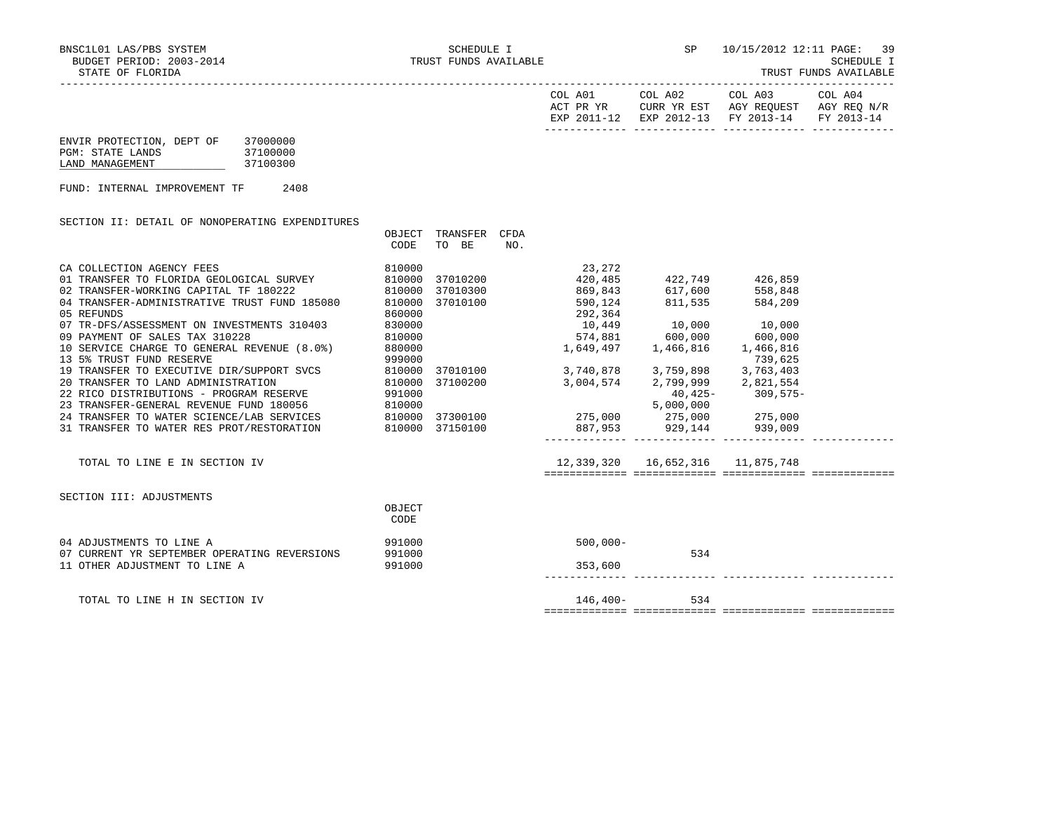| COL A01<br>ACT PR YR | COL A02<br>CURR YR EST | COL A03<br>AGY REOUEST            | COL A04<br>AGY REO N/R |
|----------------------|------------------------|-----------------------------------|------------------------|
| EXP 2011-12          |                        | EXP 2012-13 FY 2013-14 FY 2013-14 |                        |
|                      |                        |                                   |                        |

| ENVIR PROTECTION, DEPT OF | 37000000 |
|---------------------------|----------|
| PGM: STATE LANDS          | 37100000 |
| LAND MANAGEMENT           | 37100300 |

FUND: INTERNAL IMPROVEMENT TF 2408

| SECTION II: DETAIL OF NONOPERATING EXPENDITURES                                                                                                                                                    |                  |          |      |                                        |                                   |                      |  |
|----------------------------------------------------------------------------------------------------------------------------------------------------------------------------------------------------|------------------|----------|------|----------------------------------------|-----------------------------------|----------------------|--|
|                                                                                                                                                                                                    | OBJECT           | TRANSFER | CFDA |                                        |                                   |                      |  |
|                                                                                                                                                                                                    | CODE             | TO BE    | NO.  |                                        |                                   |                      |  |
| CA COLLECTION AGENCY FEES                                                                                                                                                                          | 810000           |          |      | 23,272                                 |                                   |                      |  |
| 01 TRANSFER TO FLORIDA GEOLOGICAL SURVEY 810000                                                                                                                                                    |                  | 37010200 |      |                                        | 420,485 422,749 426,859           |                      |  |
| 02 TRANSFER-WORKING CAPITAL TF 180222                                                                                                                                                              |                  | 37010300 |      |                                        | 869,843 617,600                   | 558,848              |  |
| 810000<br>04 TRANSFER-ADMINISTRATIVE TRUST FUND 185080 810000                                                                                                                                      |                  | 37010100 |      |                                        | 590,124 811,535                   | 584,209              |  |
| 05 REFUNDS                                                                                                                                                                                         | 860000           |          |      | 292,364                                |                                   |                      |  |
| 07 TR-DFS/ASSESSMENT ON INVESTMENTS 310403                                                                                                                                                         | 830000           |          |      | 10,449 10,000 10,000                   |                                   |                      |  |
| 09 PAYMENT OF SALES TAX 310228                                                                                                                                                                     | 810000           |          |      | 574,881 600,000 600,000                |                                   |                      |  |
| 10 SERVICE CHARGE TO GENERAL REVENUE (8.0%) 880000                                                                                                                                                 |                  |          |      |                                        | 1,649,497   1,466,816   1,466,816 |                      |  |
|                                                                                                                                                                                                    |                  |          |      |                                        |                                   |                      |  |
| 13 5% TRUST FUND RESERVE                                                                                                                                                                           | 999000           |          |      |                                        |                                   | 739,625              |  |
| 19 TRANSFER TO EXECUTIVE DIR/SUPPORT SVCS 810000                                                                                                                                                   |                  |          |      | 37010100 3,740,878 3,759,898 3,763,403 |                                   |                      |  |
| 810000<br>20 TRANSFER TO LAND ADMINISTRATION                                                                                                                                                       |                  | 37100200 |      | 3,004,574 2,799,999 2,821,554          |                                   |                      |  |
| 22 RICO DISTRIBUTIONS - PROGRAM RESERVE 991000                                                                                                                                                     |                  |          |      |                                        |                                   | $40,425 - 309,575 -$ |  |
| 23 TRANSFER-GENERAL REVENUE FUND 180056                810000<br>24 TRANSFER TO WATER SCIENCE/LAB SERVICES              810000 37300100                     275,000        275,000         275,000 |                  |          |      |                                        |                                   |                      |  |
|                                                                                                                                                                                                    |                  |          |      |                                        |                                   |                      |  |
| 31 TRANSFER TO WATER RES PROT/RESTORATION 810000 37150100                                                                                                                                          |                  |          |      |                                        | 887,953 929,144 939,009           |                      |  |
|                                                                                                                                                                                                    |                  |          |      |                                        |                                   |                      |  |
| TOTAL TO LINE E IN SECTION IV                                                                                                                                                                      |                  |          |      | 12,339,320  16,652,316  11,875,748     |                                   |                      |  |
|                                                                                                                                                                                                    |                  |          |      |                                        |                                   |                      |  |
| SECTION III: ADJUSTMENTS                                                                                                                                                                           |                  |          |      |                                        |                                   |                      |  |
|                                                                                                                                                                                                    | OBJECT           |          |      |                                        |                                   |                      |  |
|                                                                                                                                                                                                    | <b>CODE</b>      |          |      |                                        |                                   |                      |  |
|                                                                                                                                                                                                    |                  |          |      |                                        |                                   |                      |  |
| 04 ADJUSTMENTS TO LINE A<br>07 CURRENT YR SEPTEMBER OPERATING REVERSIONS                                                                                                                           | 991000<br>991000 |          |      | $500,000 -$                            | 534                               |                      |  |
| 11 OTHER ADJUSTMENT TO LINE A                                                                                                                                                                      | 991000           |          |      | 353,600                                |                                   |                      |  |
|                                                                                                                                                                                                    |                  |          |      |                                        |                                   |                      |  |
|                                                                                                                                                                                                    |                  |          |      |                                        |                                   |                      |  |
| TOTAL TO LINE H IN SECTION IV                                                                                                                                                                      |                  |          |      | 146,400-                               | 534                               |                      |  |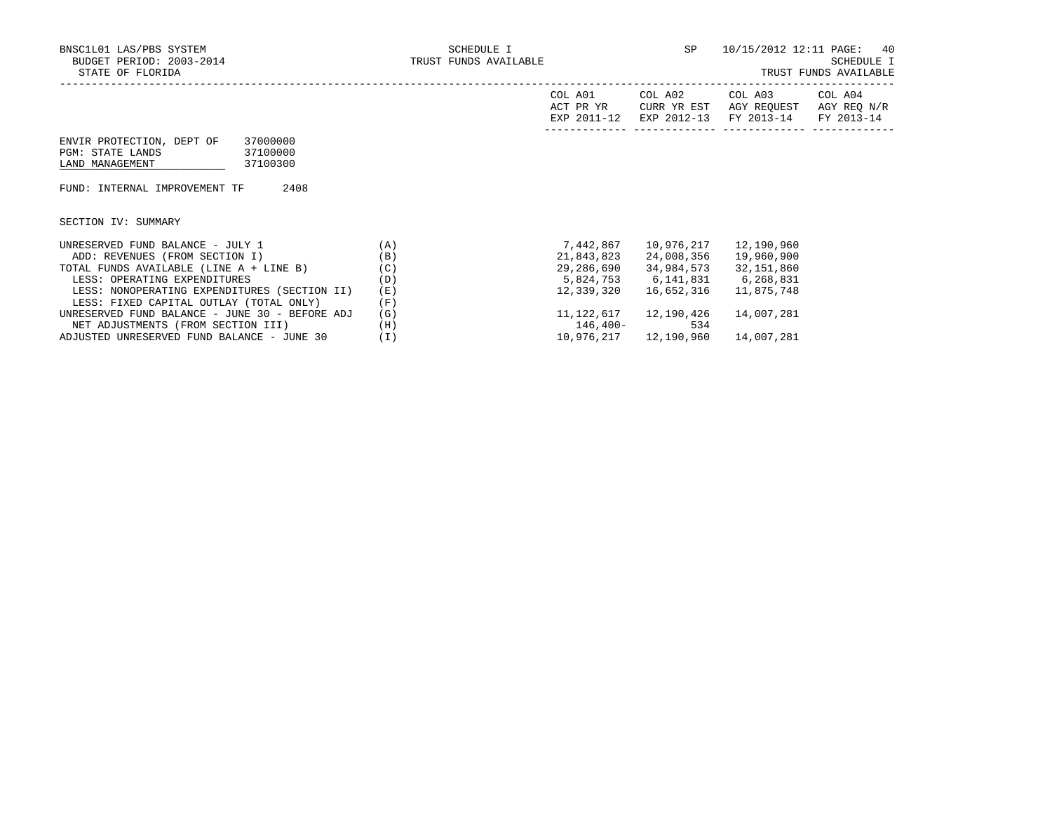| COL<br>A01<br>ACT PR YR<br>FYD | COL A02<br>YR EST<br>HTRR.<br>$2012 - 12$<br><b>EXP</b> | COL A03<br>AGY REQUEST<br>$2013 - 14$<br><b>FV</b> | COL A04<br>AGY REQ<br>N/R<br>$2013 - 14$<br><b>TRAZ</b> |
|--------------------------------|---------------------------------------------------------|----------------------------------------------------|---------------------------------------------------------|
|                                |                                                         |                                                    |                                                         |

| ENVIR PROTECTION, DEPT OF | 37000000 |
|---------------------------|----------|
| PGM: STATE LANDS          | 37100000 |
| LAND MANAGEMENT           | 37100300 |

FUND: INTERNAL IMPROVEMENT TF 2408

SECTION IV: SUMMARY

| UNRESERVED FUND BALANCE - JULY 1               | (A)   | 7,442,867   | 10,976,217 | 12,190,960   |
|------------------------------------------------|-------|-------------|------------|--------------|
| ADD: REVENUES (FROM SECTION I)                 | (B)   | 21,843,823  | 24,008,356 | 19,960,900   |
| TOTAL FUNDS AVAILABLE (LINE A + LINE B)        | (C)   | 29,286,690  | 34,984,573 | 32, 151, 860 |
| LESS: OPERATING EXPENDITURES                   | (D)   | 5,824,753   | 6,141,831  | 6,268,831    |
| LESS: NONOPERATING EXPENDITURES (SECTION II)   | (E)   | 12,339,320  | 16,652,316 | 11,875,748   |
| LESS: FIXED CAPITAL OUTLAY (TOTAL ONLY)        | (F)   |             |            |              |
| UNRESERVED FUND BALANCE - JUNE 30 - BEFORE ADJ | (G)   | 11,122,617  | 12,190,426 | 14,007,281   |
| NET ADJUSTMENTS (FROM SECTION III)             | (H)   | $146.400 -$ | 534        |              |
| ADJUSTED UNRESERVED FUND BALANCE - JUNE 30     | ( I ) | 10,976,217  | 12,190,960 | 14,007,281   |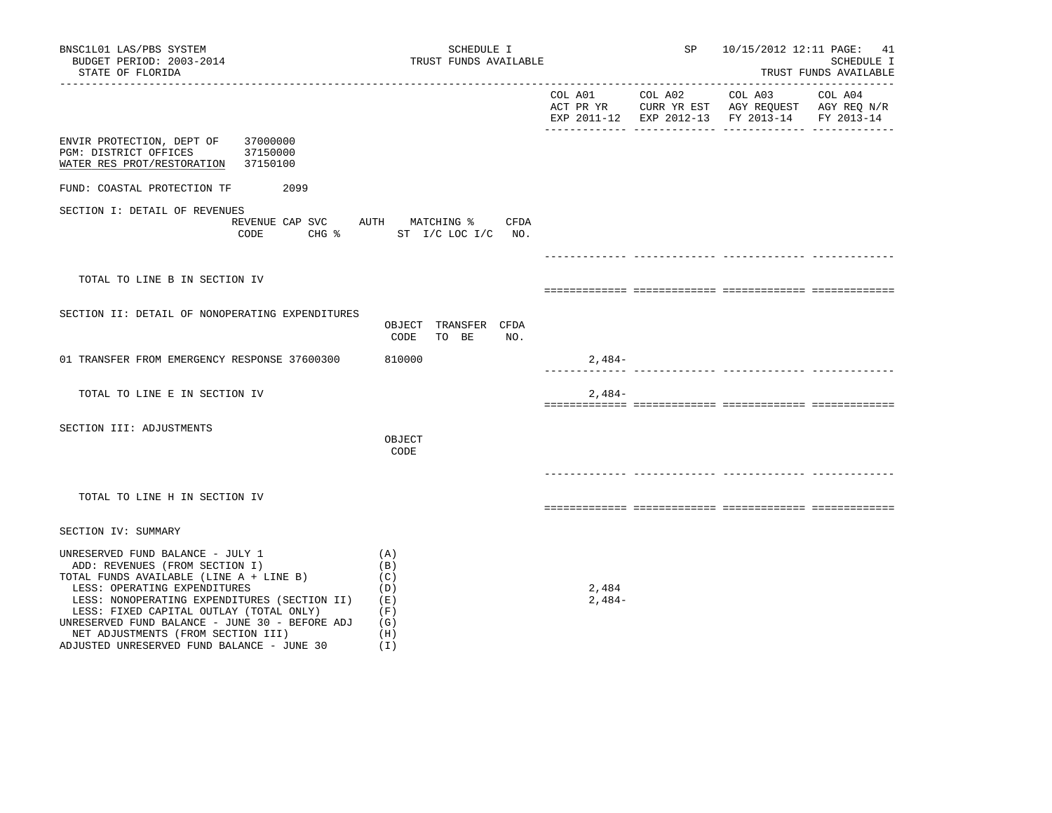| BNSC1L01 LAS/PBS SYSTEM<br>BUDGET PERIOD: 2003-2014<br>STATE OF FLORIDA                                                                                                                                                                                                                                                                                                        | SCHEDULE I<br>TRUST FUNDS AVAILABLE                           |                   |                 | 10/15/2012 12:11 PAGE: 41<br>SCHEDULE I<br>TRUST FUNDS AVAILABLE                                                    |                       |  |  |
|--------------------------------------------------------------------------------------------------------------------------------------------------------------------------------------------------------------------------------------------------------------------------------------------------------------------------------------------------------------------------------|---------------------------------------------------------------|-------------------|-----------------|---------------------------------------------------------------------------------------------------------------------|-----------------------|--|--|
|                                                                                                                                                                                                                                                                                                                                                                                |                                                               |                   | COL A01 COL A02 | COL A03<br>ACT PR YR $\,$ CURR YR EST $\,$ AGY REQUEST $\,$ AGY REQ $\rm N/R$<br>EXP 2011-12 EXP 2012-13 FY 2013-14 | COL A04<br>FY 2013-14 |  |  |
| 37000000<br>ENVIR PROTECTION, DEPT OF<br>PGM: DISTRICT OFFICES<br>37150000<br>WATER RES PROT/RESTORATION 37150100                                                                                                                                                                                                                                                              |                                                               |                   |                 |                                                                                                                     |                       |  |  |
| 2099<br>FUND: COASTAL PROTECTION TF                                                                                                                                                                                                                                                                                                                                            |                                                               |                   |                 |                                                                                                                     |                       |  |  |
| SECTION I: DETAIL OF REVENUES<br>REVENUE CAP SVC AUTH MATCHING %<br>CODE<br>CHG &                                                                                                                                                                                                                                                                                              | CFDA<br>ST I/C LOC I/C NO.                                    |                   |                 |                                                                                                                     |                       |  |  |
|                                                                                                                                                                                                                                                                                                                                                                                |                                                               |                   |                 | __________________________________                                                                                  |                       |  |  |
| TOTAL TO LINE B IN SECTION IV                                                                                                                                                                                                                                                                                                                                                  |                                                               |                   |                 |                                                                                                                     |                       |  |  |
| SECTION II: DETAIL OF NONOPERATING EXPENDITURES                                                                                                                                                                                                                                                                                                                                | OBJECT TRANSFER CFDA<br>TO BE<br>NO.<br>CODE                  |                   |                 |                                                                                                                     |                       |  |  |
| 01 TRANSFER FROM EMERGENCY RESPONSE 37600300                                                                                                                                                                                                                                                                                                                                   | 810000                                                        | $2,484-$          |                 |                                                                                                                     |                       |  |  |
| TOTAL TO LINE E IN SECTION IV                                                                                                                                                                                                                                                                                                                                                  |                                                               | $2,484-$          |                 |                                                                                                                     |                       |  |  |
| SECTION III: ADJUSTMENTS                                                                                                                                                                                                                                                                                                                                                       | OBJECT<br>CODE                                                |                   |                 |                                                                                                                     |                       |  |  |
| TOTAL TO LINE H IN SECTION IV                                                                                                                                                                                                                                                                                                                                                  |                                                               |                   |                 | ______________ ______________________                                                                               |                       |  |  |
| SECTION IV: SUMMARY                                                                                                                                                                                                                                                                                                                                                            |                                                               |                   |                 |                                                                                                                     |                       |  |  |
| UNRESERVED FUND BALANCE - JULY 1<br>ADD: REVENUES (FROM SECTION I)<br>TOTAL FUNDS AVAILABLE (LINE A + LINE B)<br>LESS: OPERATING EXPENDITURES<br>LESS: NONOPERATING EXPENDITURES (SECTION II)<br>LESS: FIXED CAPITAL OUTLAY (TOTAL ONLY)<br>UNRESERVED FUND BALANCE - JUNE 30 - BEFORE ADJ<br>NET ADJUSTMENTS (FROM SECTION III)<br>ADJUSTED UNRESERVED FUND BALANCE - JUNE 30 | (A)<br>(B)<br>(C)<br>(D)<br>(E)<br>(F)<br>(G)<br>(H)<br>( I ) | 2,484<br>$2,484-$ |                 |                                                                                                                     |                       |  |  |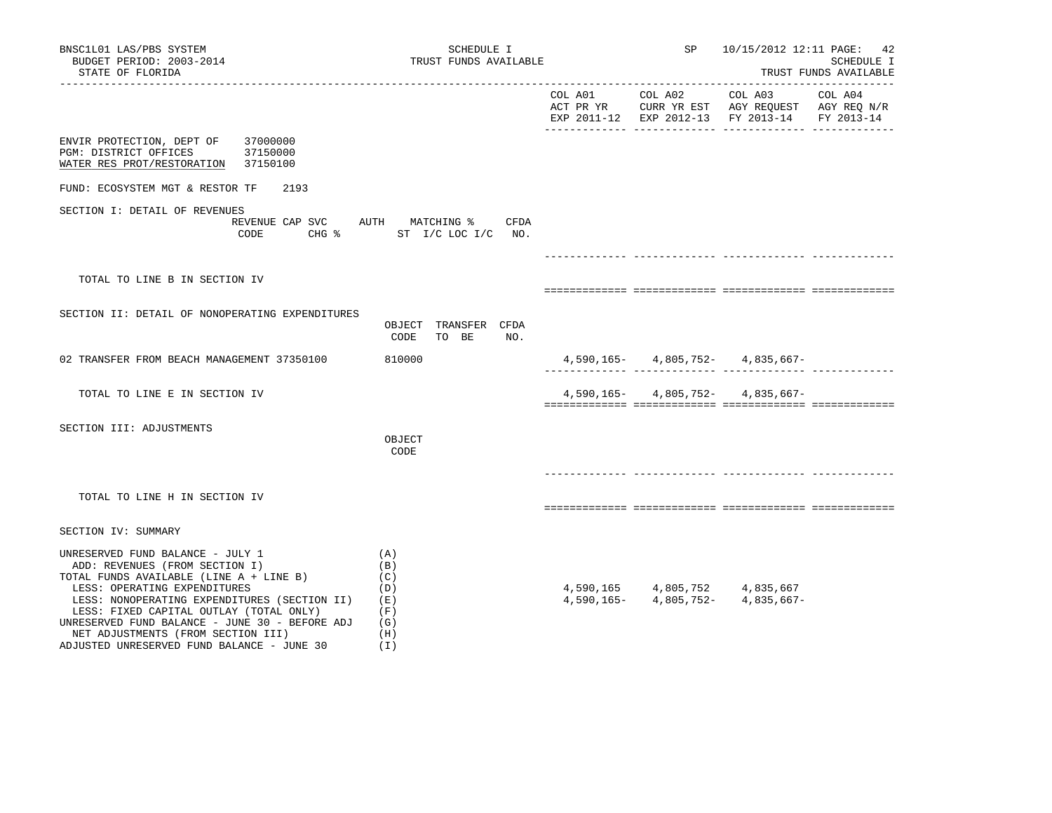| BNSC1L01 LAS/PBS SYSTEM<br>BUDGET PERIOD: 2003-2014<br>STATE OF FLORIDA                                                                                                                                                                                                                                                                                                        | SCHEDULE I<br>TRUST FUNDS AVAILABLE                         |         | SP                        | 10/15/2012 12:11 PAGE:                                                                                    | 42<br>SCHEDULE I<br>TRUST FUNDS AVAILABLE |
|--------------------------------------------------------------------------------------------------------------------------------------------------------------------------------------------------------------------------------------------------------------------------------------------------------------------------------------------------------------------------------|-------------------------------------------------------------|---------|---------------------------|-----------------------------------------------------------------------------------------------------------|-------------------------------------------|
|                                                                                                                                                                                                                                                                                                                                                                                |                                                             | COL A01 | COL A02                   | COL A03<br>ACT PR YR CURR YR EST AGY REQUEST AGY REQ N/R<br>EXP 2011-12 EXP 2012-13 FY 2013-14 FY 2013-14 | COL A04                                   |
| ENVIR PROTECTION, DEPT OF<br>37000000<br>PGM: DISTRICT OFFICES<br>37150000<br>WATER RES PROT/RESTORATION<br>37150100                                                                                                                                                                                                                                                           |                                                             |         |                           |                                                                                                           |                                           |
| FUND: ECOSYSTEM MGT & RESTOR TF<br>2193                                                                                                                                                                                                                                                                                                                                        |                                                             |         |                           |                                                                                                           |                                           |
| SECTION I: DETAIL OF REVENUES<br>REVENUE CAP SVC                                                                                                                                                                                                                                                                                                                               | AUTH MATCHING %<br>CFDA<br>CODE CHG % ST I/C LOC I/C NO.    |         |                           |                                                                                                           |                                           |
|                                                                                                                                                                                                                                                                                                                                                                                |                                                             |         |                           |                                                                                                           |                                           |
| TOTAL TO LINE B IN SECTION IV                                                                                                                                                                                                                                                                                                                                                  |                                                             |         |                           |                                                                                                           |                                           |
| SECTION II: DETAIL OF NONOPERATING EXPENDITURES                                                                                                                                                                                                                                                                                                                                | OBJECT TRANSFER CFDA<br>CODE<br>TO BE<br>NO.                |         |                           |                                                                                                           |                                           |
| 02 TRANSFER FROM BEACH MANAGEMENT 37350100                                                                                                                                                                                                                                                                                                                                     | 810000                                                      |         |                           | $4,590,165 - 4,805,752 - 4,835,667 -$                                                                     |                                           |
| TOTAL TO LINE E IN SECTION IV                                                                                                                                                                                                                                                                                                                                                  |                                                             |         |                           | $4,590,165 - 4,805,752 - 4,835,667 -$                                                                     |                                           |
| SECTION III: ADJUSTMENTS                                                                                                                                                                                                                                                                                                                                                       | OBJECT<br>CODE                                              |         |                           |                                                                                                           |                                           |
| TOTAL TO LINE H IN SECTION IV                                                                                                                                                                                                                                                                                                                                                  |                                                             |         |                           |                                                                                                           |                                           |
| SECTION IV: SUMMARY                                                                                                                                                                                                                                                                                                                                                            |                                                             |         |                           |                                                                                                           |                                           |
| UNRESERVED FUND BALANCE - JULY 1<br>ADD: REVENUES (FROM SECTION I)<br>TOTAL FUNDS AVAILABLE (LINE A + LINE B)<br>LESS: OPERATING EXPENDITURES<br>LESS: NONOPERATING EXPENDITURES (SECTION II)<br>LESS: FIXED CAPITAL OUTLAY (TOTAL ONLY)<br>UNRESERVED FUND BALANCE - JUNE 30 - BEFORE ADJ<br>NET ADJUSTMENTS (FROM SECTION III)<br>ADJUSTED UNRESERVED FUND BALANCE - JUNE 30 | (A)<br>(B)<br>(C)<br>(D)<br>(E)<br>(F)<br>(G)<br>(H)<br>(I) |         | $4,590,165 - 4,805,752 -$ | 4,590,165 4,805,752 4,835,667<br>4,835,667-                                                               |                                           |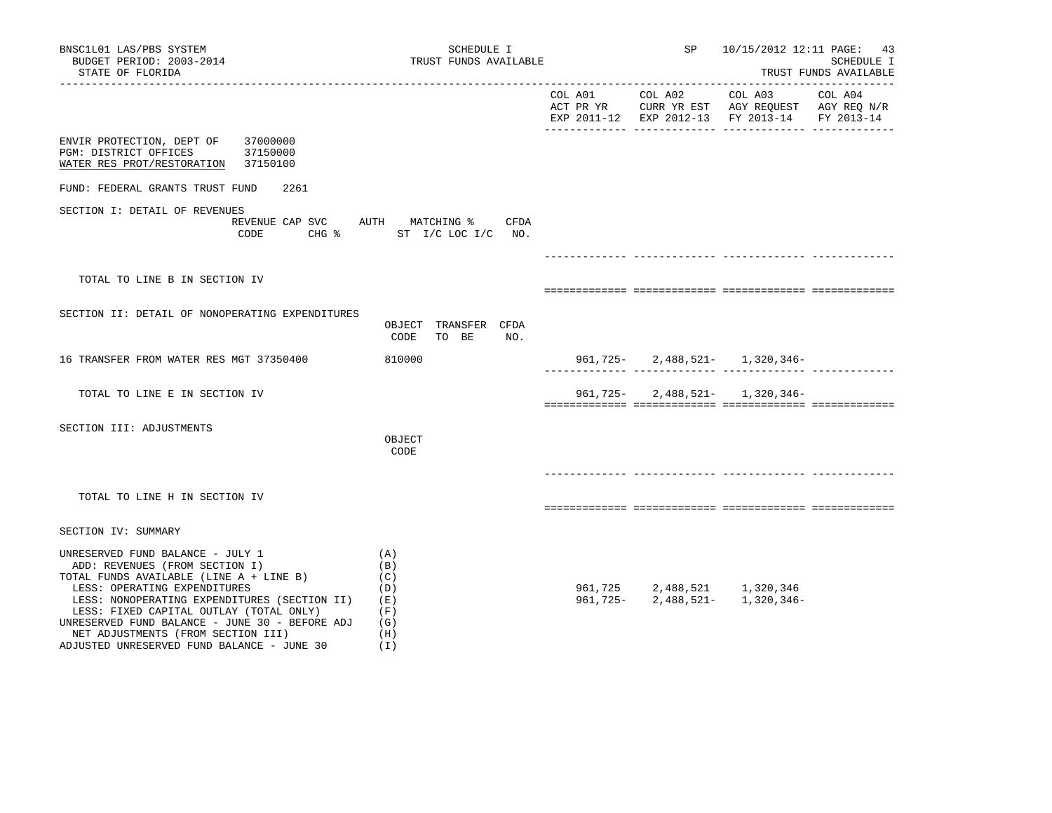| BNSC1L01 LAS/PBS SYSTEM<br>BUDGET PERIOD: 2003-2014<br>STATE OF FLORIDA                                                                                                                                                                                                                                                                                                        | SCHEDULE I<br>TRUST FUNDS AVAILABLE                         |                 | SP | 10/15/2012 12:11 PAGE: 43                                                                                         | SCHEDULE I<br>TRUST FUNDS AVAILABLE |
|--------------------------------------------------------------------------------------------------------------------------------------------------------------------------------------------------------------------------------------------------------------------------------------------------------------------------------------------------------------------------------|-------------------------------------------------------------|-----------------|----|-------------------------------------------------------------------------------------------------------------------|-------------------------------------|
|                                                                                                                                                                                                                                                                                                                                                                                |                                                             | COL A01 COL A02 |    | COL A03 COL A04<br>ACT PR YR CURR YR EST AGY REQUEST AGY REQ N/R<br>EXP 2011-12 EXP 2012-13 FY 2013-14 FY 2013-14 |                                     |
| ENVIR PROTECTION, DEPT OF<br>37000000<br>37150000<br>PGM: DISTRICT OFFICES<br>WATER RES PROT/RESTORATION 37150100                                                                                                                                                                                                                                                              |                                                             |                 |    |                                                                                                                   |                                     |
| FUND: FEDERAL GRANTS TRUST FUND<br>2261                                                                                                                                                                                                                                                                                                                                        |                                                             |                 |    |                                                                                                                   |                                     |
| SECTION I: DETAIL OF REVENUES<br>REVENUE CAP SVC AUTH MATCHING %<br>CODE                                                                                                                                                                                                                                                                                                       | CFDA<br>CHG % ST I/C LOC I/C NO.                            |                 |    |                                                                                                                   |                                     |
|                                                                                                                                                                                                                                                                                                                                                                                |                                                             |                 |    |                                                                                                                   |                                     |
| TOTAL TO LINE B IN SECTION IV                                                                                                                                                                                                                                                                                                                                                  |                                                             |                 |    |                                                                                                                   |                                     |
| SECTION II: DETAIL OF NONOPERATING EXPENDITURES                                                                                                                                                                                                                                                                                                                                | OBJECT TRANSFER CFDA<br>CODE<br>TO BE<br>NO.                |                 |    |                                                                                                                   |                                     |
| 16 TRANSFER FROM WATER RES MGT 37350400                                                                                                                                                                                                                                                                                                                                        | 810000                                                      |                 |    | 961, 725 - 2, 488, 521 - 1, 320, 346 -                                                                            |                                     |
| TOTAL TO LINE E IN SECTION IV                                                                                                                                                                                                                                                                                                                                                  |                                                             |                 |    | 961, 725 - 2, 488, 521 - 1, 320, 346 -                                                                            |                                     |
| SECTION III: ADJUSTMENTS                                                                                                                                                                                                                                                                                                                                                       | OBJECT<br>CODE                                              |                 |    |                                                                                                                   |                                     |
| TOTAL TO LINE H IN SECTION IV                                                                                                                                                                                                                                                                                                                                                  |                                                             |                 |    |                                                                                                                   |                                     |
| SECTION IV: SUMMARY                                                                                                                                                                                                                                                                                                                                                            |                                                             |                 |    |                                                                                                                   |                                     |
| UNRESERVED FUND BALANCE - JULY 1<br>ADD: REVENUES (FROM SECTION I)<br>TOTAL FUNDS AVAILABLE (LINE A + LINE B)<br>LESS: OPERATING EXPENDITURES<br>LESS: NONOPERATING EXPENDITURES (SECTION II)<br>LESS: FIXED CAPITAL OUTLAY (TOTAL ONLY)<br>UNRESERVED FUND BALANCE - JUNE 30 - BEFORE ADJ<br>NET ADJUSTMENTS (FROM SECTION III)<br>ADJUSTED UNRESERVED FUND BALANCE - JUNE 30 | (A)<br>(B)<br>(C)<br>(D)<br>(E)<br>(F)<br>(G)<br>(H)<br>(1) |                 |    | $\begin{array}{cccc} 961,725 & 2,488,521 & 1,320,346 \\ 961,725- & 2,488,521- & 1,320,346- \end{array}$           |                                     |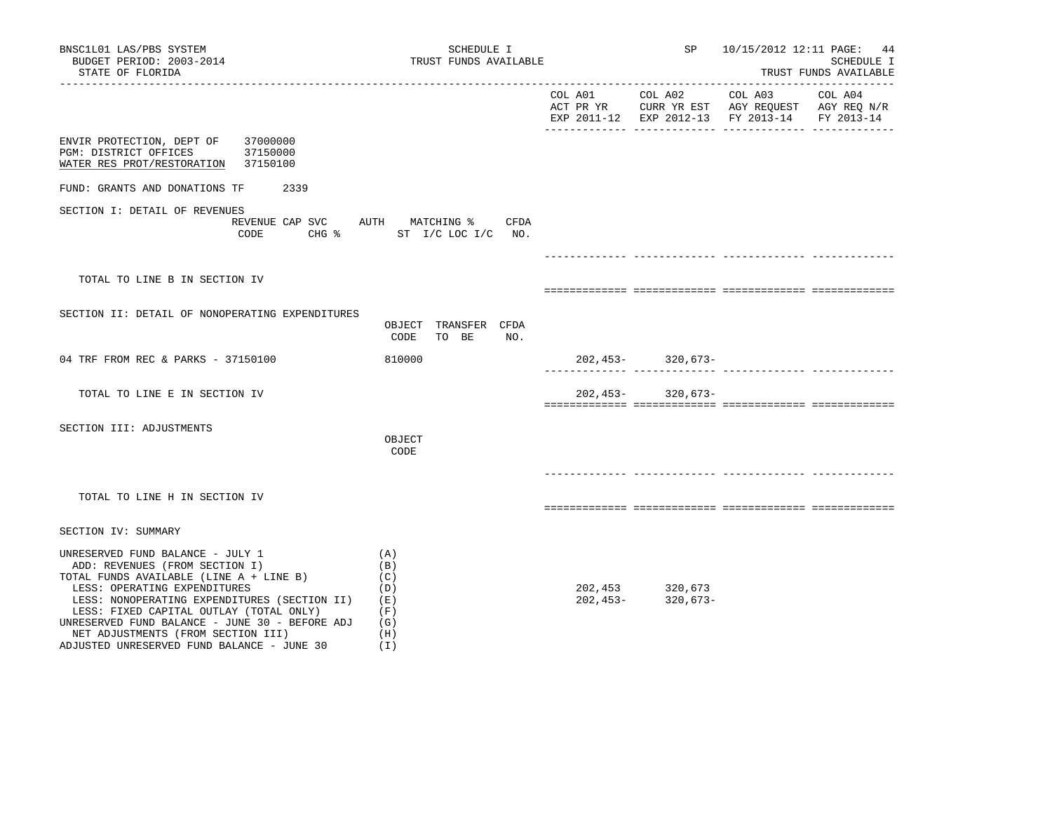| BNSC1L01 LAS/PBS SYSTEM<br>BUDGET PERIOD: 2003-2014<br>STATE OF FLORIDA<br>____________________                                                                                                                                                                                                                                                                                | SCHEDULE I<br>TRUST FUNDS AVAILABLE                         |                     | SP                      |                                                                                                                                | 10/15/2012 12:11 PAGE: 44<br>SCHEDULE I<br>TRUST FUNDS AVAILABLE |
|--------------------------------------------------------------------------------------------------------------------------------------------------------------------------------------------------------------------------------------------------------------------------------------------------------------------------------------------------------------------------------|-------------------------------------------------------------|---------------------|-------------------------|--------------------------------------------------------------------------------------------------------------------------------|------------------------------------------------------------------|
|                                                                                                                                                                                                                                                                                                                                                                                |                                                             | COL A01             | COL A02                 | COL A03<br>ACT PR YR $\,$ CURR YR EST $\,$ AGY REQUEST $\,$ AGY REQ $\rm N/R$<br>EXP 2011-12 EXP 2012-13 FY 2013-14 FY 2013-14 | COL A04                                                          |
| ENVIR PROTECTION, DEPT OF 37000000<br>PGM: DISTRICT OFFICES<br>37150000<br>WATER RES PROT/RESTORATION 37150100                                                                                                                                                                                                                                                                 |                                                             |                     |                         |                                                                                                                                |                                                                  |
| FUND: GRANTS AND DONATIONS TF<br>2339                                                                                                                                                                                                                                                                                                                                          |                                                             |                     |                         |                                                                                                                                |                                                                  |
| SECTION I: DETAIL OF REVENUES<br>REVENUE CAP SVC AUTH MATCHING %<br>CODE                                                                                                                                                                                                                                                                                                       | CFDA<br>CHG % ST I/C LOC I/C NO.                            |                     |                         |                                                                                                                                |                                                                  |
|                                                                                                                                                                                                                                                                                                                                                                                |                                                             |                     |                         |                                                                                                                                |                                                                  |
| TOTAL TO LINE B IN SECTION IV                                                                                                                                                                                                                                                                                                                                                  |                                                             |                     |                         |                                                                                                                                |                                                                  |
| SECTION II: DETAIL OF NONOPERATING EXPENDITURES                                                                                                                                                                                                                                                                                                                                | OBJECT TRANSFER CFDA<br>NO.<br>CODE<br>TO BE                |                     |                         |                                                                                                                                |                                                                  |
| 04 TRF FROM REC & PARKS - 37150100                                                                                                                                                                                                                                                                                                                                             | 810000                                                      |                     | $202, 453 - 320, 673 -$ |                                                                                                                                |                                                                  |
| TOTAL TO LINE E IN SECTION IV                                                                                                                                                                                                                                                                                                                                                  |                                                             |                     | $202, 453 - 320, 673 -$ |                                                                                                                                |                                                                  |
| SECTION III: ADJUSTMENTS                                                                                                                                                                                                                                                                                                                                                       | OBJECT<br>CODE                                              |                     |                         |                                                                                                                                |                                                                  |
| TOTAL TO LINE H IN SECTION IV                                                                                                                                                                                                                                                                                                                                                  |                                                             |                     |                         |                                                                                                                                |                                                                  |
| SECTION IV: SUMMARY                                                                                                                                                                                                                                                                                                                                                            |                                                             |                     |                         |                                                                                                                                |                                                                  |
| UNRESERVED FUND BALANCE - JULY 1<br>ADD: REVENUES (FROM SECTION I)<br>TOTAL FUNDS AVAILABLE (LINE A + LINE B)<br>LESS: OPERATING EXPENDITURES<br>LESS: NONOPERATING EXPENDITURES (SECTION II)<br>LESS: FIXED CAPITAL OUTLAY (TOTAL ONLY)<br>UNRESERVED FUND BALANCE - JUNE 30 - BEFORE ADJ<br>NET ADJUSTMENTS (FROM SECTION III)<br>ADJUSTED UNRESERVED FUND BALANCE - JUNE 30 | (A)<br>(B)<br>(C)<br>(D)<br>(E)<br>(F)<br>(G)<br>(H)<br>(1) | 202,453<br>202,453- | 320,673<br>$320,673-$   |                                                                                                                                |                                                                  |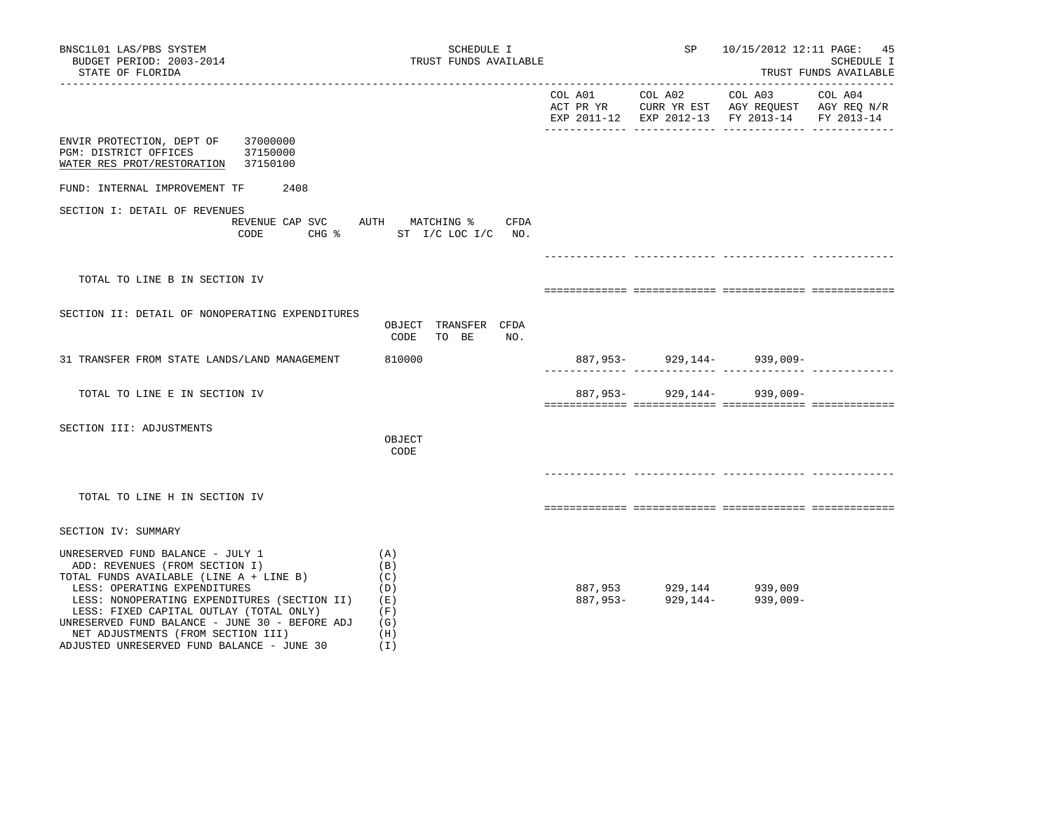| BNSC1L01 LAS/PBS SYSTEM<br>BUDGET PERIOD: 2003-2014<br>STATE OF FLORIDA                                                                                                                                                                                                                                                                                                        | SCHEDULE I<br>TRUST FUNDS AVAILABLE                         |                 | SP | 10/15/2012 12:11 PAGE: 45<br>SCHEDULE I<br>TRUST FUNDS AVAILABLE                                                               |         |  |
|--------------------------------------------------------------------------------------------------------------------------------------------------------------------------------------------------------------------------------------------------------------------------------------------------------------------------------------------------------------------------------|-------------------------------------------------------------|-----------------|----|--------------------------------------------------------------------------------------------------------------------------------|---------|--|
|                                                                                                                                                                                                                                                                                                                                                                                |                                                             | COL A01 COL A02 |    | COL A03<br>ACT PR YR $\,$ CURR YR EST $\,$ AGY REQUEST $\,$ AGY REQ $\rm N/R$<br>EXP 2011-12 EXP 2012-13 FY 2013-14 FY 2013-14 | COL A04 |  |
| 37000000<br>ENVIR PROTECTION, DEPT OF<br>37150000<br>PGM: DISTRICT OFFICES<br>WATER RES PROT/RESTORATION<br>37150100                                                                                                                                                                                                                                                           |                                                             |                 |    |                                                                                                                                |         |  |
| 2408<br>FUND: INTERNAL IMPROVEMENT TF                                                                                                                                                                                                                                                                                                                                          |                                                             |                 |    |                                                                                                                                |         |  |
| SECTION I: DETAIL OF REVENUES<br>REVENUE CAP SVC AUTH MATCHING %<br>CODE                                                                                                                                                                                                                                                                                                       | CFDA<br>CHG % ST I/C LOC I/C NO.                            |                 |    |                                                                                                                                |         |  |
|                                                                                                                                                                                                                                                                                                                                                                                |                                                             |                 |    |                                                                                                                                |         |  |
| TOTAL TO LINE B IN SECTION IV                                                                                                                                                                                                                                                                                                                                                  |                                                             |                 |    |                                                                                                                                |         |  |
| SECTION II: DETAIL OF NONOPERATING EXPENDITURES                                                                                                                                                                                                                                                                                                                                | OBJECT TRANSFER CFDA<br>CODE<br>TO BE<br>NO.                |                 |    |                                                                                                                                |         |  |
| 31 TRANSFER FROM STATE LANDS/LAND MANAGEMENT                                                                                                                                                                                                                                                                                                                                   | 810000                                                      |                 |    | 887,953-929,144-939,009-                                                                                                       |         |  |
| TOTAL TO LINE E IN SECTION IV                                                                                                                                                                                                                                                                                                                                                  |                                                             | 887,953-        |    | 929,144- 939,009-                                                                                                              |         |  |
| SECTION III: ADJUSTMENTS                                                                                                                                                                                                                                                                                                                                                       | OBJECT<br>CODE                                              |                 |    |                                                                                                                                |         |  |
| TOTAL TO LINE H IN SECTION IV                                                                                                                                                                                                                                                                                                                                                  |                                                             |                 |    |                                                                                                                                |         |  |
| SECTION IV: SUMMARY                                                                                                                                                                                                                                                                                                                                                            |                                                             |                 |    |                                                                                                                                |         |  |
| UNRESERVED FUND BALANCE - JULY 1<br>ADD: REVENUES (FROM SECTION I)<br>TOTAL FUNDS AVAILABLE (LINE A + LINE B)<br>LESS: OPERATING EXPENDITURES<br>LESS: NONOPERATING EXPENDITURES (SECTION II)<br>LESS: FIXED CAPITAL OUTLAY (TOTAL ONLY)<br>UNRESERVED FUND BALANCE - JUNE 30 - BEFORE ADJ<br>NET ADJUSTMENTS (FROM SECTION III)<br>ADJUSTED UNRESERVED FUND BALANCE - JUNE 30 | (A)<br>(B)<br>(C)<br>(D)<br>(E)<br>(F)<br>(G)<br>(H)<br>(I) |                 |    | 887,953 929,144 939,009<br>887,953- 929,144- 939,009-                                                                          |         |  |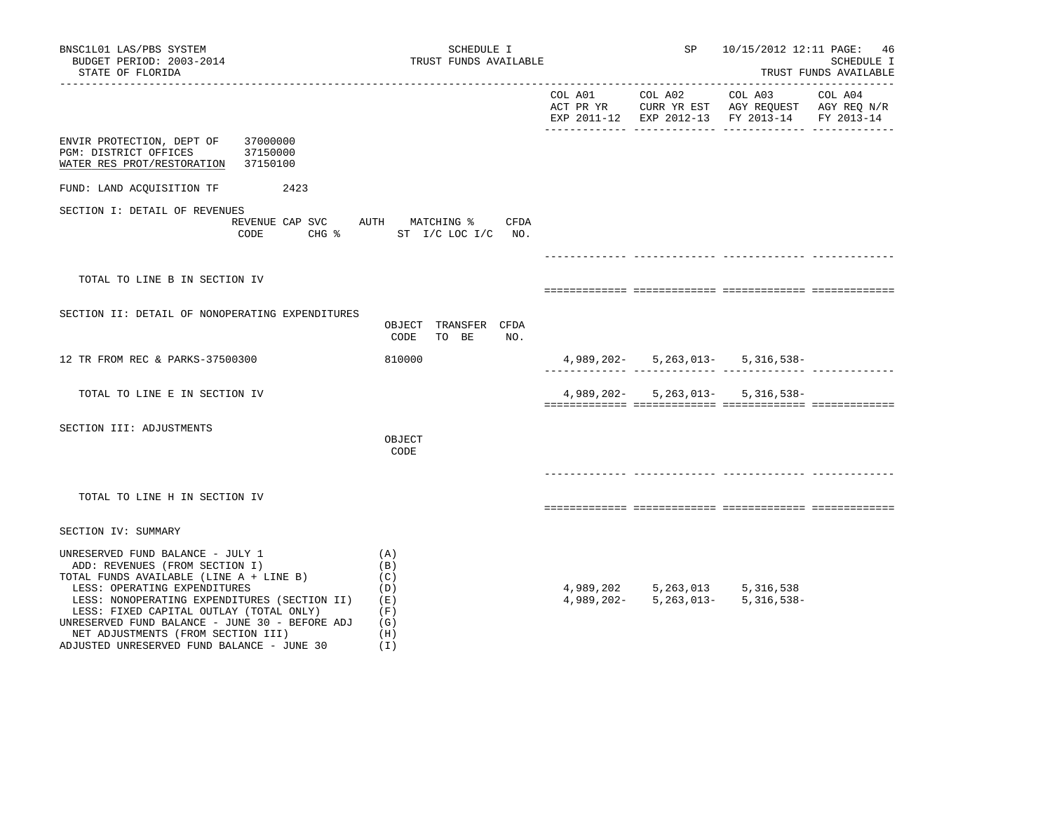| BNSC1L01 LAS/PBS SYSTEM<br>BUDGET PERIOD: 2003-2014<br>STATE OF FLORIDA                                                                                                                                                                                                                                                                                                        | SCHEDULE I<br>TRUST FUNDS AVAILABLE                         |                                                            | SP 10/15/2012 12:11 PAGE: 46                  | SCHEDULE I<br>TRUST FUNDS AVAILABLE |
|--------------------------------------------------------------------------------------------------------------------------------------------------------------------------------------------------------------------------------------------------------------------------------------------------------------------------------------------------------------------------------|-------------------------------------------------------------|------------------------------------------------------------|-----------------------------------------------|-------------------------------------|
|                                                                                                                                                                                                                                                                                                                                                                                |                                                             |                                                            | EXP 2011-12 EXP 2012-13 FY 2013-14 FY 2013-14 |                                     |
| ENVIR PROTECTION, DEPT OF<br>37000000<br>PGM: DISTRICT OFFICES<br>37150000<br>WATER RES PROT/RESTORATION<br>37150100                                                                                                                                                                                                                                                           |                                                             |                                                            |                                               |                                     |
| FUND: LAND ACQUISITION TF<br>2423                                                                                                                                                                                                                                                                                                                                              |                                                             |                                                            |                                               |                                     |
| SECTION I: DETAIL OF REVENUES<br>REVENUE CAP SVC AUTH MATCHING %<br>CODE                                                                                                                                                                                                                                                                                                       | CFDA<br>CHG % ST I/C LOC I/C NO.                            |                                                            |                                               |                                     |
| TOTAL TO LINE B IN SECTION IV                                                                                                                                                                                                                                                                                                                                                  |                                                             |                                                            |                                               |                                     |
|                                                                                                                                                                                                                                                                                                                                                                                |                                                             |                                                            |                                               |                                     |
| SECTION II: DETAIL OF NONOPERATING EXPENDITURES                                                                                                                                                                                                                                                                                                                                | OBJECT TRANSFER CFDA<br>CODE<br>TO BE<br>NO.                |                                                            |                                               |                                     |
| 12 TR FROM REC & PARKS-37500300                                                                                                                                                                                                                                                                                                                                                | 810000                                                      |                                                            | $4,989,202 - 5,263,013 - 5,316,538 -$         |                                     |
| TOTAL TO LINE E IN SECTION IV                                                                                                                                                                                                                                                                                                                                                  |                                                             | $4,989,202 - 5,263,013 - 5,316,538 -$                      |                                               |                                     |
| SECTION III: ADJUSTMENTS                                                                                                                                                                                                                                                                                                                                                       | OBJECT<br>CODE                                              |                                                            |                                               |                                     |
| TOTAL TO LINE H IN SECTION IV                                                                                                                                                                                                                                                                                                                                                  |                                                             |                                                            |                                               |                                     |
|                                                                                                                                                                                                                                                                                                                                                                                |                                                             |                                                            |                                               |                                     |
| SECTION IV: SUMMARY                                                                                                                                                                                                                                                                                                                                                            |                                                             |                                                            |                                               |                                     |
| UNRESERVED FUND BALANCE - JULY 1<br>ADD: REVENUES (FROM SECTION I)<br>TOTAL FUNDS AVAILABLE (LINE A + LINE B)<br>LESS: OPERATING EXPENDITURES<br>LESS: NONOPERATING EXPENDITURES (SECTION II)<br>LESS: FIXED CAPITAL OUTLAY (TOTAL ONLY)<br>UNRESERVED FUND BALANCE - JUNE 30 - BEFORE ADJ<br>NET ADJUSTMENTS (FROM SECTION III)<br>ADJUSTED UNRESERVED FUND BALANCE - JUNE 30 | (A)<br>(B)<br>(C)<br>(D)<br>(E)<br>(F)<br>(G)<br>(H)<br>(I) | 4,989,202 5,263,013 5,316,538<br>$4,989,202 - 5,263,013 -$ | 5, 316, 538-                                  |                                     |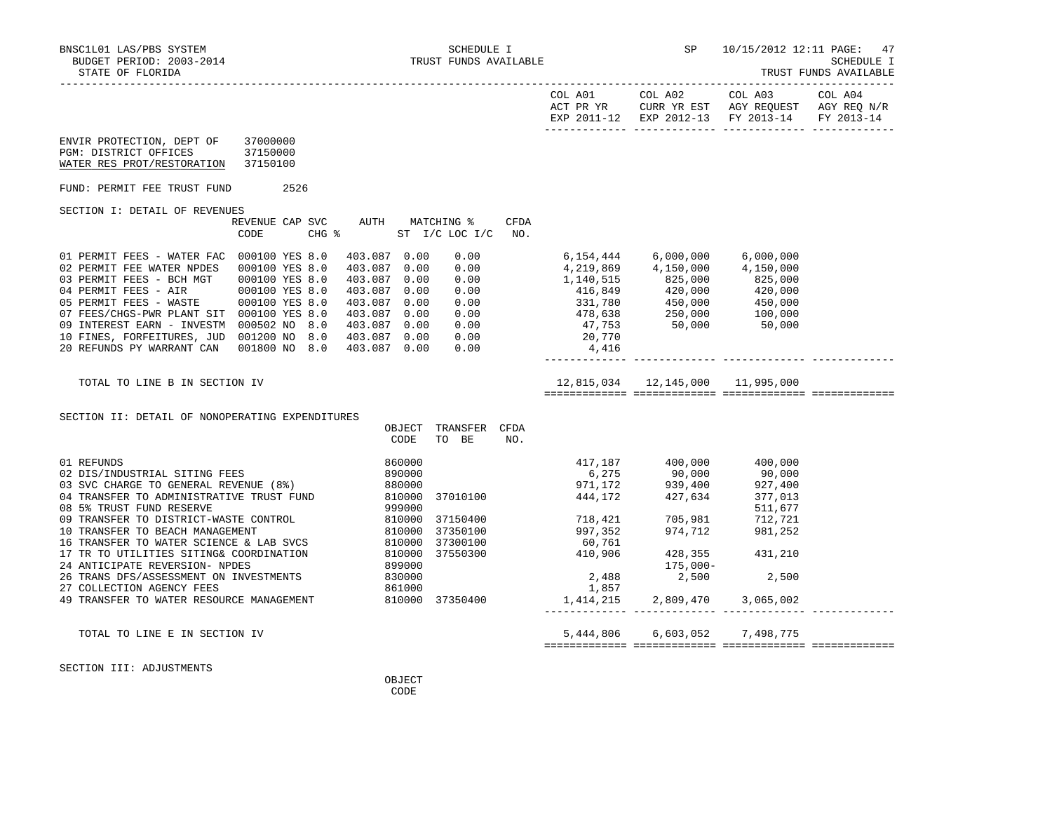| BNSC1L01 LAS/PBS SYSTEM<br>BUDGET PERIOD: 2003-2014<br>STATE OF FLORIDA                                                                                                                                                                                                                                    | TRUST FUNDS AVAILABLE                                                                                  |                                                                                                                                         |                  | SCHEDULE I                    |             |                        | SP and the set of the set of the set of the set of the set of the set of the set of the set of the set of the set of the set of the set of the set of the set of the set of the set of the set of the set of the set of the se                                                                                         | 10/15/2012 12:11 PAGE: 47                     | SCHEDULE I<br>TRUST FUNDS AVAILABLE |
|------------------------------------------------------------------------------------------------------------------------------------------------------------------------------------------------------------------------------------------------------------------------------------------------------------|--------------------------------------------------------------------------------------------------------|-----------------------------------------------------------------------------------------------------------------------------------------|------------------|-------------------------------|-------------|------------------------|------------------------------------------------------------------------------------------------------------------------------------------------------------------------------------------------------------------------------------------------------------------------------------------------------------------------|-----------------------------------------------|-------------------------------------|
|                                                                                                                                                                                                                                                                                                            |                                                                                                        |                                                                                                                                         |                  |                               |             |                        |                                                                                                                                                                                                                                                                                                                        | EXP 2011-12 EXP 2012-13 FY 2013-14 FY 2013-14 |                                     |
| ENVIR PROTECTION, DEPT OF 37000000<br>PGM: DISTRICT OFFICES 37150000<br>WATER RES PROT/RESTORATION 37150100                                                                                                                                                                                                |                                                                                                        |                                                                                                                                         |                  |                               |             |                        |                                                                                                                                                                                                                                                                                                                        |                                               |                                     |
| FUND: PERMIT FEE TRUST FUND 2526                                                                                                                                                                                                                                                                           |                                                                                                        |                                                                                                                                         |                  |                               |             |                        |                                                                                                                                                                                                                                                                                                                        |                                               |                                     |
| SECTION I: DETAIL OF REVENUES                                                                                                                                                                                                                                                                              | REVENUE CAP SVC AUTH MATCHING %<br>CODE                                                                | $CHG$ $\approx$                                                                                                                         |                  | ST I/C LOC I/C                | CFDA<br>NO. |                        |                                                                                                                                                                                                                                                                                                                        |                                               |                                     |
| 01 PERMIT FEES - WATER FAC $000100$ YES 8.0<br>02 PERMIT FEE WATER NPDES<br>03 PERMIT FEES - BCH MGT<br>04 PERMIT FEES - AIR<br>05 PERMIT FEES - WASTE<br>07 FEES/CHGS-PWR PLANT SIT 000100 YES 8.0<br>09 INTEREST EARN - INVESTM 000502 NO 8.0<br>10 FINES, FORFEITURES, JUD<br>20 REFUNDS PY WARRANT CAN | 000100 YES 8.0<br>000100 YES 8.0<br>000100 YES 8.0<br>000100 YES 8.0<br>001200 NO 8.0<br>001800 NO 8.0 | 403.087 0.00<br>403.087 0.00<br>403.087<br>403.087 0.00<br>403.087 0.00<br>403.087 0.00<br>403.087 0.00<br>403.087 0.00<br>403.087 0.00 | 0.00             | 0.00<br>0.00<br>0.00          |             | $0.00$ 20,770<br>4,416 | 4, 219, 869 4, 150, 000<br>$\begin{array}{cccccc} 0.00 & & & & 1,140,515 & & & 225,000 & & & 825,000 \ 0.00 & & & & 416,849 & & & 420,000 & & 420,000 \ 0.00 & & & & 331,780 & & & 450,000 & & 450,000 \ 0.00 & & & & 478,638 & & 250,000 & & & 100,000 \ 0.00 & & & & & 47,753 & & & 50,000 & & & 50,000 \end{array}$ | 4,150,000                                     |                                     |
| TOTAL TO LINE B IN SECTION IV                                                                                                                                                                                                                                                                              |                                                                                                        |                                                                                                                                         |                  |                               |             |                        | 12,815,034   12,145,000   11,995,000                                                                                                                                                                                                                                                                                   |                                               |                                     |
| SECTION II: DETAIL OF NONOPERATING EXPENDITURES                                                                                                                                                                                                                                                            |                                                                                                        |                                                                                                                                         | CODE             | OBJECT TRANSFER CFDA<br>TO BE | NO.         |                        |                                                                                                                                                                                                                                                                                                                        |                                               |                                     |
| 01 REFUNDS<br>02 DIS/INDUSTRIAL SITING FEES<br>03 SVC CHARGE TO GENERAL REVENUE (8%) 880000<br>04 TRANSFER TO ADMINISTRATIVE TRUST FUND<br>08 5% TRUST FUND RESERVE<br>09 TRANSFER TO DISTRICT-WASTE CONTROL                                                                                               |                                                                                                        | 890000<br>999000                                                                                                                        | 860000<br>810000 | 37010100<br>810000 37150400   |             | 718,421                | $939,400$<br>$444,172$<br>$427,634$<br>$377,013$<br>705,981                                                                                                                                                                                                                                                            | 511,677<br>712,721                            |                                     |

------------- ------------- ------------- -------------

============= ============= ============= =============

SECTION III: ADJUSTMENTS

24 ANTICIPATE REVERSION- NPDES

27 COLLECTION AGENCY FEES<br>
49 TRANSFER TO WATER RESOURCE MANAGEMENT 810000 37350400

**OBJECT CODE** 

16 TRANSFER TO WATER SCIENCE & LAB SVCS 810000 37300100 60,761 60,761<br>17 TR TO UTILITIES SITING& COORDINATION 810000 37550300 410,906 428,355

 09 TRANSFER TO DISTRICT-WASTE CONTROL 810000 37150400 718,421 705,981 712,721 10 TRANSFER TO BEACH MANAGEMENT 810000 37350100 997,352 974,712 981,252

17 TR TO UTILITIES SITING& COORDINATION 810000 37550300 410,906 428,355 431,210<br>24 ANTICIPATE REVERSION-NPDES 899000 899000 475,000-

26 TRANS DFS/ASSESSMENT ON INVESTMENTS 830000 8 2,488 2,500 2,500 2,500 2,500 2,500 2,500 2,500 2,500 2,500 2,500 2,500 2,500 2,500 2,500 2,500 2,500 2,500 2,500 2,500 2,500 2,500 2,500 2,500 2,500 2,500 2,500 2,500 2,500

49 TRANSFER TO WATER RESOURCE MANAGEMENT 810000 37350400 1,414,215 2,809,470 3,065,002

TOTAL TO LINE E IN SECTION IV 5,444,806 6,603,052 7,498,775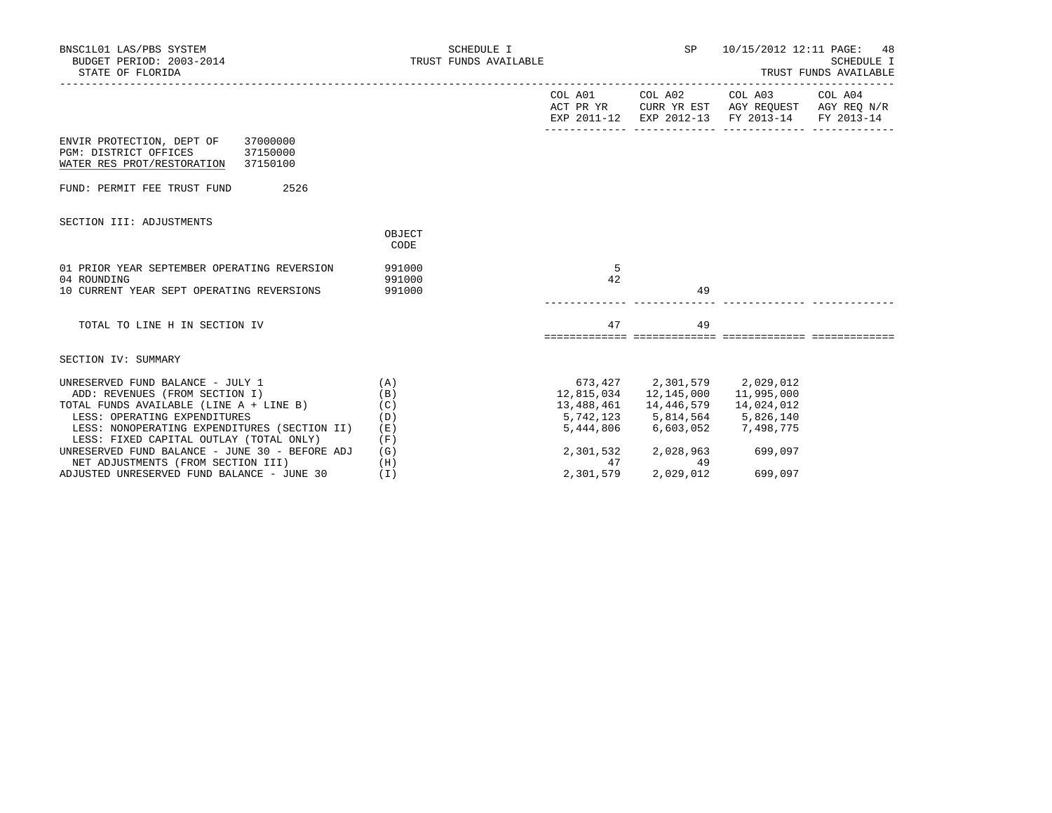| BNSC1L01 LAS/PBS SYSTEM<br>BUDGET PERIOD: $2003-2014$<br>STATE OF FLORIDA                                                                                                                                                                          | SCHEDULE I<br>TRUST FUNDS AVAILABLE |                                                              |                                           | SP 10/15/2012 12:11 PAGE: 48                                                     | SCHEDULE I<br>TRUST FUNDS AVAILABLE           |
|----------------------------------------------------------------------------------------------------------------------------------------------------------------------------------------------------------------------------------------------------|-------------------------------------|--------------------------------------------------------------|-------------------------------------------|----------------------------------------------------------------------------------|-----------------------------------------------|
|                                                                                                                                                                                                                                                    |                                     |                                                              |                                           | COL A01 COL A02 COL A03 COL A04<br>EXP 2011-12 EXP 2012-13 FY 2013-14 FY 2013-14 | ACT PR YR CURR YR EST AGY REQUEST AGY REQ N/R |
| ENVIR PROTECTION, DEPT OF 37000000<br>PGM: DISTRICT OFFICES<br>37150000<br>WATER RES PROT/RESTORATION 37150100                                                                                                                                     |                                     |                                                              |                                           |                                                                                  |                                               |
| FUND: PERMIT FEE TRUST FUND<br>2526                                                                                                                                                                                                                |                                     |                                                              |                                           |                                                                                  |                                               |
| SECTION III: ADJUSTMENTS                                                                                                                                                                                                                           | OBJECT<br>CODE                      |                                                              |                                           |                                                                                  |                                               |
| 01 PRIOR YEAR SEPTEMBER OPERATING REVERSION<br>04 ROUNDING<br>10 CURRENT YEAR SEPT OPERATING REVERSIONS 991000                                                                                                                                     | 991000<br>991000                    | - 5<br>42                                                    | 49                                        |                                                                                  |                                               |
| TOTAL TO LINE H IN SECTION IV                                                                                                                                                                                                                      |                                     | 47                                                           | 49                                        |                                                                                  |                                               |
| SECTION IV: SUMMARY                                                                                                                                                                                                                                |                                     |                                                              |                                           |                                                                                  |                                               |
| UNRESERVED FUND BALANCE - JULY 1 $(A)$<br>ADD: REVENUES (FROM SECTION I)<br>TOTAL FUNDS AVAILABLE (LINE A + LINE B) (C)<br>LESS: OPERATING EXPENDITURES<br>LESS: NONOPERATING EXPENDITURES (SECTION II)<br>LESS: FIXED CAPITAL OUTLAY (TOTAL ONLY) | (B)<br>(D)<br>(E)<br>(F)            | 673,427 2,301,579 2,029,012<br>5,742,123 5,814,564 5,826,140 | 5,444,806 6,603,052 7,498,775             | 14,024,012                                                                       |                                               |
| UNRESERVED FUND BALANCE - JUNE 30 - BEFORE ADJ<br>NET ADJUSTMENTS (FROM SECTION III)<br>ADJUSTED UNRESERVED FUND BALANCE - JUNE 30                                                                                                                 | (G)<br>(H)<br>(T)                   | 2,301,579                                                    | 2,301,532 2,028,963<br>47 49<br>2,029,012 | 699,097<br>699,097                                                               |                                               |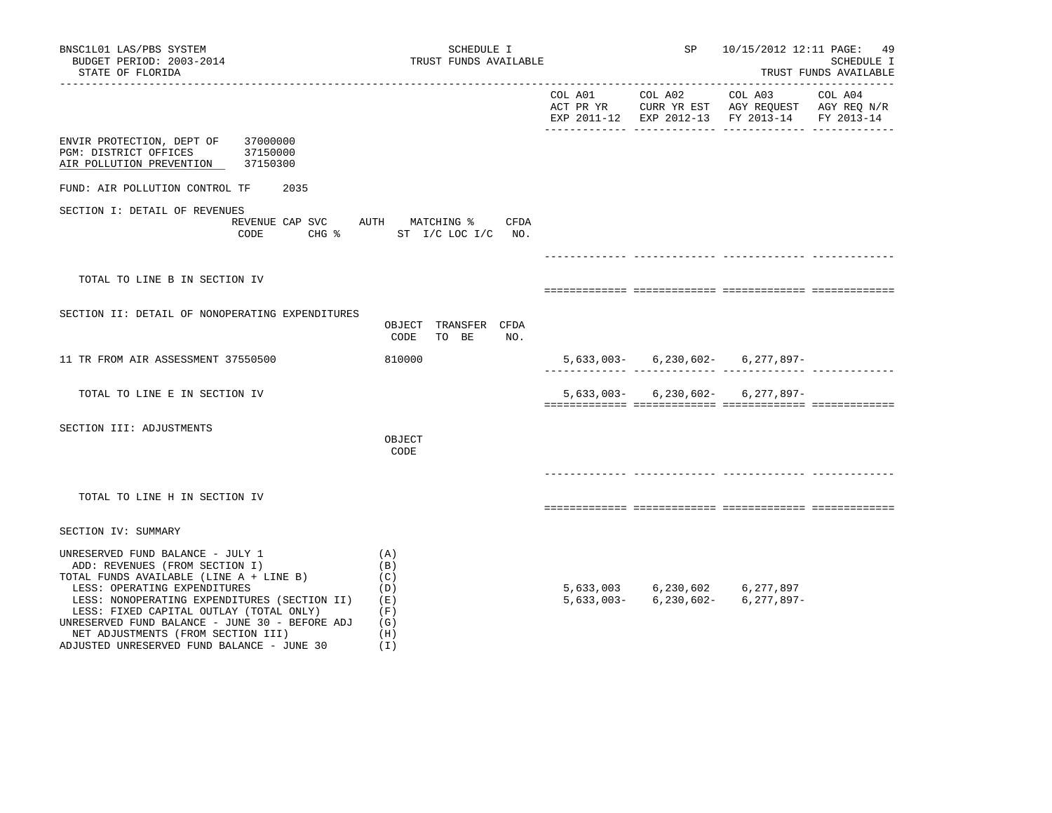| BNSC1L01 LAS/PBS SYSTEM<br>BUDGET PERIOD: 2003-2014<br>STATE OF FLORIDA                                                                                                                                                                                                                                                                                                        | SCHEDULE I<br>TRUST FUNDS AVAILABLE                                          |                 | SP                            | ----------------                                                                                                  | 10/15/2012 12:11 PAGE: 49<br>SCHEDULE I<br>TRUST FUNDS AVAILABLE |
|--------------------------------------------------------------------------------------------------------------------------------------------------------------------------------------------------------------------------------------------------------------------------------------------------------------------------------------------------------------------------------|------------------------------------------------------------------------------|-----------------|-------------------------------|-------------------------------------------------------------------------------------------------------------------|------------------------------------------------------------------|
|                                                                                                                                                                                                                                                                                                                                                                                |                                                                              | COL A01 COL A02 |                               | COL A03 COL A04<br>ACT PR YR CURR YR EST AGY REQUEST AGY REQ N/R<br>EXP 2011-12 EXP 2012-13 FY 2013-14 FY 2013-14 |                                                                  |
| ENVIR PROTECTION, DEPT OF 37000000<br>PGM: DISTRICT OFFICES 37150000<br>AIR POLLUTION PREVENTION 37150300                                                                                                                                                                                                                                                                      |                                                                              |                 |                               |                                                                                                                   |                                                                  |
| FUND: AIR POLLUTION CONTROL TF<br>2035                                                                                                                                                                                                                                                                                                                                         |                                                                              |                 |                               |                                                                                                                   |                                                                  |
| SECTION I: DETAIL OF REVENUES<br>CODE                                                                                                                                                                                                                                                                                                                                          | REVENUE CAP SVC AUTH MATCHING % CFDA<br>CHG $\frac{1}{2}$ ST I/C LOC I/C NO. |                 |                               |                                                                                                                   |                                                                  |
|                                                                                                                                                                                                                                                                                                                                                                                |                                                                              |                 |                               |                                                                                                                   |                                                                  |
| TOTAL TO LINE B IN SECTION IV                                                                                                                                                                                                                                                                                                                                                  |                                                                              |                 |                               |                                                                                                                   |                                                                  |
| SECTION II: DETAIL OF NONOPERATING EXPENDITURES                                                                                                                                                                                                                                                                                                                                | OBJECT TRANSFER CFDA<br>CODE<br>TO BE<br>NO.                                 |                 |                               |                                                                                                                   |                                                                  |
| 11 TR FROM AIR ASSESSMENT 37550500                                                                                                                                                                                                                                                                                                                                             | 810000                                                                       |                 |                               | $5,633,003-$ 6,230,602- 6,277,897-                                                                                |                                                                  |
| TOTAL TO LINE E IN SECTION IV                                                                                                                                                                                                                                                                                                                                                  |                                                                              |                 |                               | $5,633,003 - 6,230,602 - 6,277,897 -$                                                                             |                                                                  |
| SECTION III: ADJUSTMENTS                                                                                                                                                                                                                                                                                                                                                       | OBJECT<br>CODE                                                               |                 |                               |                                                                                                                   |                                                                  |
| TOTAL TO LINE H IN SECTION IV                                                                                                                                                                                                                                                                                                                                                  |                                                                              |                 |                               |                                                                                                                   |                                                                  |
| SECTION IV: SUMMARY                                                                                                                                                                                                                                                                                                                                                            |                                                                              |                 |                               |                                                                                                                   |                                                                  |
| UNRESERVED FUND BALANCE - JULY 1<br>ADD: REVENUES (FROM SECTION I)<br>TOTAL FUNDS AVAILABLE (LINE A + LINE B)<br>LESS: OPERATING EXPENDITURES<br>LESS: NONOPERATING EXPENDITURES (SECTION II)<br>LESS: FIXED CAPITAL OUTLAY (TOTAL ONLY)<br>UNRESERVED FUND BALANCE - JUNE 30 - BEFORE ADJ<br>NET ADJUSTMENTS (FROM SECTION III)<br>ADJUSTED UNRESERVED FUND BALANCE - JUNE 30 | (A)<br>(B)<br>(C)<br>(D)<br>( E )<br>(F)<br>(G)<br>(H)<br>(1)                |                 | 5,633,003 6,230,602 6,277,897 | $5,633,003 - 6,230,602 - 6,277,897 -$                                                                             |                                                                  |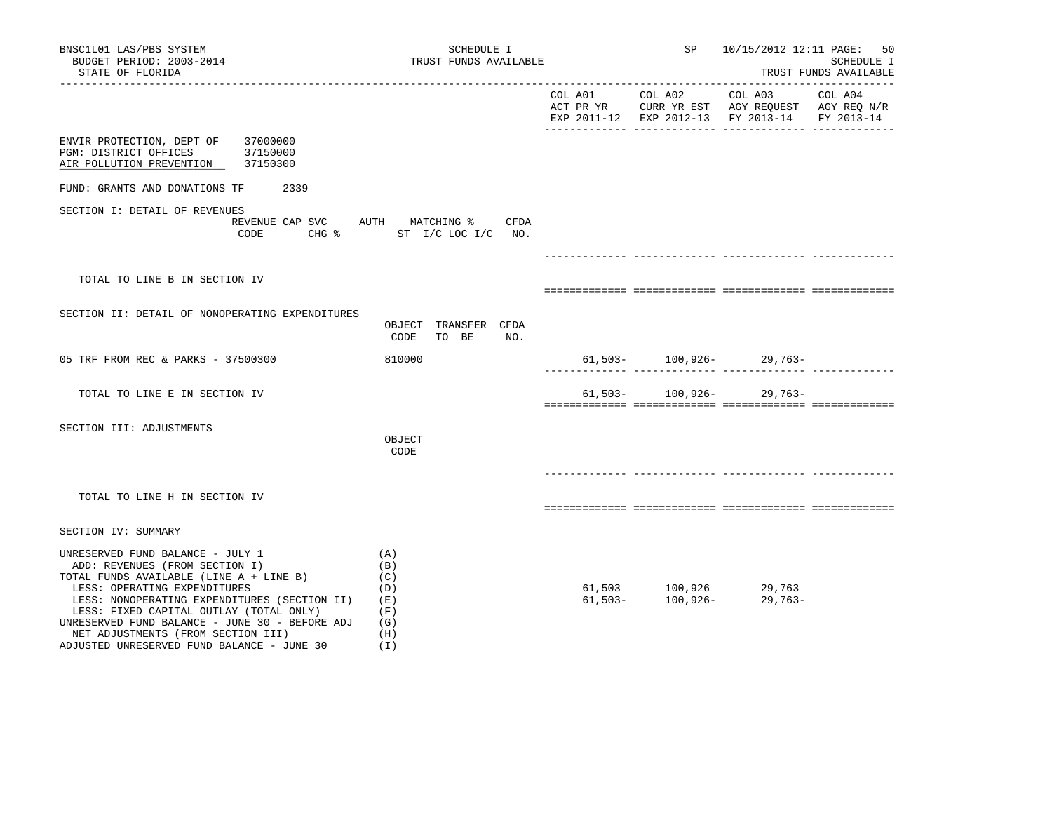| BNSC1L01 LAS/PBS SYSTEM<br>BUDGET PERIOD: 2003-2014<br>STATE OF FLORIDA                                                                                                                                                                                                                                                                                                        | SCHEDULE I<br>TRUST FUNDS AVAILABLE                         |                 | SP | 10/15/2012 12:11 PAGE:                                                                                            | 50<br>SCHEDULE I<br>TRUST FUNDS AVAILABLE |
|--------------------------------------------------------------------------------------------------------------------------------------------------------------------------------------------------------------------------------------------------------------------------------------------------------------------------------------------------------------------------------|-------------------------------------------------------------|-----------------|----|-------------------------------------------------------------------------------------------------------------------|-------------------------------------------|
|                                                                                                                                                                                                                                                                                                                                                                                |                                                             | COL A01 COL A02 |    | COL A03 COL A04<br>ACT PR YR CURR YR EST AGY REQUEST AGY REQ N/R<br>EXP 2011-12 EXP 2012-13 FY 2013-14 FY 2013-14 |                                           |
| ENVIR PROTECTION, DEPT OF<br>37000000<br>PGM: DISTRICT OFFICES 37150000<br>AIR POLLUTION PREVENTION 37150300                                                                                                                                                                                                                                                                   |                                                             |                 |    |                                                                                                                   |                                           |
| FUND: GRANTS AND DONATIONS TF 2339                                                                                                                                                                                                                                                                                                                                             |                                                             |                 |    |                                                                                                                   |                                           |
| SECTION I: DETAIL OF REVENUES<br>REVENUE CAP SVC AUTH MATCHING %<br>CODE                                                                                                                                                                                                                                                                                                       | CFDA<br>CHG % ST I/C LOC I/C NO.                            |                 |    |                                                                                                                   |                                           |
|                                                                                                                                                                                                                                                                                                                                                                                |                                                             |                 |    |                                                                                                                   |                                           |
| TOTAL TO LINE B IN SECTION IV                                                                                                                                                                                                                                                                                                                                                  |                                                             |                 |    |                                                                                                                   |                                           |
| SECTION II: DETAIL OF NONOPERATING EXPENDITURES                                                                                                                                                                                                                                                                                                                                | OBJECT TRANSFER CFDA<br>CODE<br>TO BE<br>NO.                |                 |    |                                                                                                                   |                                           |
| 05 TRF FROM REC & PARKS - 37500300                                                                                                                                                                                                                                                                                                                                             | 810000                                                      |                 |    | $61,503-100,926-29,763-$                                                                                          |                                           |
| TOTAL TO LINE E IN SECTION IV                                                                                                                                                                                                                                                                                                                                                  |                                                             |                 |    | $61,503-100,926-29,763-$                                                                                          |                                           |
| SECTION III: ADJUSTMENTS                                                                                                                                                                                                                                                                                                                                                       | OBJECT<br>CODE                                              |                 |    |                                                                                                                   |                                           |
| TOTAL TO LINE H IN SECTION IV                                                                                                                                                                                                                                                                                                                                                  |                                                             |                 |    |                                                                                                                   |                                           |
| SECTION IV: SUMMARY                                                                                                                                                                                                                                                                                                                                                            |                                                             |                 |    |                                                                                                                   |                                           |
| UNRESERVED FUND BALANCE - JULY 1<br>ADD: REVENUES (FROM SECTION I)<br>TOTAL FUNDS AVAILABLE (LINE A + LINE B)<br>LESS: OPERATING EXPENDITURES<br>LESS: NONOPERATING EXPENDITURES (SECTION II)<br>LESS: FIXED CAPITAL OUTLAY (TOTAL ONLY)<br>UNRESERVED FUND BALANCE - JUNE 30 - BEFORE ADJ<br>NET ADJUSTMENTS (FROM SECTION III)<br>ADJUSTED UNRESERVED FUND BALANCE - JUNE 30 | (A)<br>(B)<br>(C)<br>(D)<br>(E)<br>(F)<br>(G)<br>(H)<br>(I) |                 |    | $61,503$ $100,926$ $29,763$<br>$61,503$ $100,926$ $29,763$                                                        |                                           |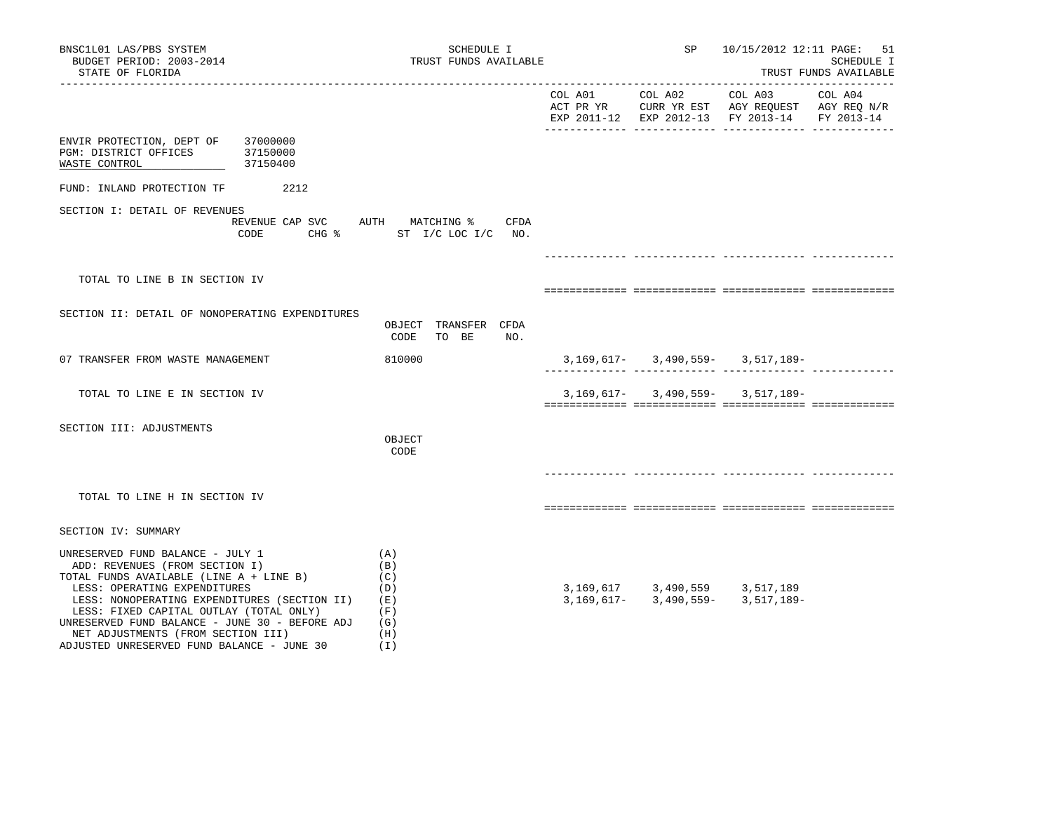| BNSC1L01 LAS/PBS SYSTEM<br>BUDGET PERIOD: 2003-2014                                                                                                                                                                                                                                                                                                                            | SCHEDULE I<br>TRUST FUNDS AVAILABLE                         |                         | SP |                                                  | 10/15/2012 12:11 PAGE: 51<br>SCHEDULE I |
|--------------------------------------------------------------------------------------------------------------------------------------------------------------------------------------------------------------------------------------------------------------------------------------------------------------------------------------------------------------------------------|-------------------------------------------------------------|-------------------------|----|--------------------------------------------------|-----------------------------------------|
| STATE OF FLORIDA                                                                                                                                                                                                                                                                                                                                                               |                                                             |                         |    |                                                  | TRUST FUNDS AVAILABLE                   |
|                                                                                                                                                                                                                                                                                                                                                                                |                                                             |                         |    | EXP 2011-12 EXP 2012-13 FY 2013-14               | FY 2013-14                              |
| 37000000<br>ENVIR PROTECTION, DEPT OF<br>PGM: DISTRICT OFFICES<br>37150000<br>WASTE CONTROL<br>37150400                                                                                                                                                                                                                                                                        |                                                             |                         |    |                                                  |                                         |
| 2212<br>FUND: INLAND PROTECTION TF                                                                                                                                                                                                                                                                                                                                             |                                                             |                         |    |                                                  |                                         |
| SECTION I: DETAIL OF REVENUES<br>REVENUE CAP SVC AUTH MATCHING %<br>CODE                                                                                                                                                                                                                                                                                                       | CFDA<br>CHG % ST I/C LOC I/C NO.                            |                         |    |                                                  |                                         |
| TOTAL TO LINE B IN SECTION IV                                                                                                                                                                                                                                                                                                                                                  |                                                             |                         |    |                                                  |                                         |
| SECTION II: DETAIL OF NONOPERATING EXPENDITURES                                                                                                                                                                                                                                                                                                                                | OBJECT TRANSFER CFDA<br>CODE<br>TO BE<br>NO.                |                         |    |                                                  |                                         |
| 07 TRANSFER FROM WASTE MANAGEMENT                                                                                                                                                                                                                                                                                                                                              | 810000                                                      |                         |    | $3,169,617 - 3,490,559 - 3,517,189 -$            | .                                       |
| TOTAL TO LINE E IN SECTION IV                                                                                                                                                                                                                                                                                                                                                  |                                                             |                         |    | $3,169,617 - 3,490,559 - 3,517,189 -$            |                                         |
| SECTION III: ADJUSTMENTS                                                                                                                                                                                                                                                                                                                                                       | OBJECT<br>CODE                                              |                         |    |                                                  |                                         |
| TOTAL TO LINE H IN SECTION IV                                                                                                                                                                                                                                                                                                                                                  |                                                             |                         |    |                                                  |                                         |
| SECTION IV: SUMMARY                                                                                                                                                                                                                                                                                                                                                            |                                                             |                         |    |                                                  |                                         |
| UNRESERVED FUND BALANCE - JULY 1<br>ADD: REVENUES (FROM SECTION I)<br>TOTAL FUNDS AVAILABLE (LINE A + LINE B)<br>LESS: OPERATING EXPENDITURES<br>LESS: NONOPERATING EXPENDITURES (SECTION II)<br>LESS: FIXED CAPITAL OUTLAY (TOTAL ONLY)<br>UNRESERVED FUND BALANCE - JUNE 30 - BEFORE ADJ<br>NET ADJUSTMENTS (FROM SECTION III)<br>ADJUSTED UNRESERVED FUND BALANCE - JUNE 30 | (A)<br>(B)<br>(C)<br>(D)<br>(E)<br>(F)<br>(G)<br>(H)<br>(T) | 3,169,617<br>3,169,617- |    | 3,490,559 3,517,189<br>$3,490,559 - 3,517,189 -$ |                                         |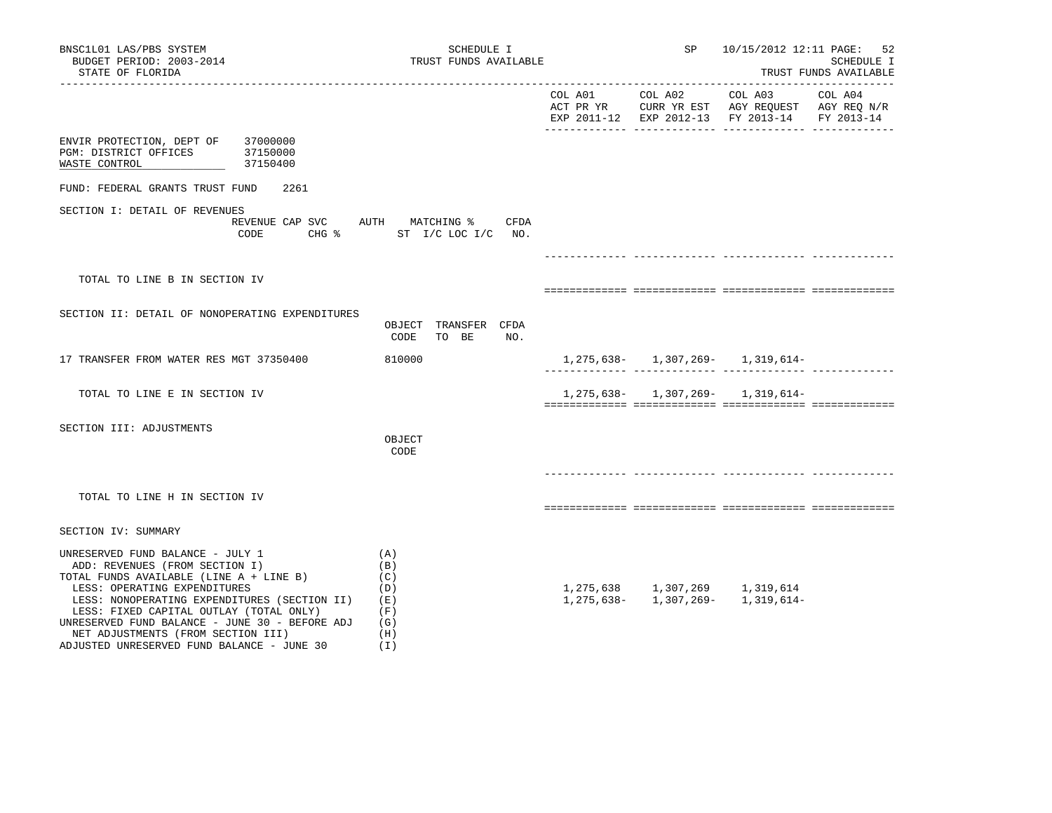| BNSC1L01 LAS/PBS SYSTEM<br>BUDGET PERIOD: 2003-2014<br>STATE OF FLORIDA                                                                                                                                                                                                                                                                                                        | SCHEDULE I<br>TRUST FUNDS AVAILABLE                                             |         | SP                                  | 10/15/2012 12:11 PAGE: 52                                                                                                      | SCHEDULE I<br>TRUST FUNDS AVAILABLE<br>______________________ |
|--------------------------------------------------------------------------------------------------------------------------------------------------------------------------------------------------------------------------------------------------------------------------------------------------------------------------------------------------------------------------------|---------------------------------------------------------------------------------|---------|-------------------------------------|--------------------------------------------------------------------------------------------------------------------------------|---------------------------------------------------------------|
|                                                                                                                                                                                                                                                                                                                                                                                |                                                                                 | COL A01 | COL A02                             | COL A03<br>ACT PR YR $\,$ CURR YR EST $\,$ AGY REQUEST $\,$ AGY REQ $\rm N/R$<br>EXP 2011-12 EXP 2012-13 FY 2013-14 FY 2013-14 | COL A04                                                       |
| ENVIR PROTECTION, DEPT OF 37000000<br>PGM: DISTRICT OFFICES 37150000<br>WASTE CONTROL<br>37150400                                                                                                                                                                                                                                                                              |                                                                                 |         |                                     |                                                                                                                                |                                                               |
| FUND: FEDERAL GRANTS TRUST FUND<br>2261                                                                                                                                                                                                                                                                                                                                        |                                                                                 |         |                                     |                                                                                                                                |                                                               |
| SECTION I: DETAIL OF REVENUES<br>CODE                                                                                                                                                                                                                                                                                                                                          | REVENUE CAP SVC AUTH MATCHING %<br>CFDA<br>CHG $\frac{1}{2}$ ST I/C LOC I/C NO. |         |                                     |                                                                                                                                |                                                               |
|                                                                                                                                                                                                                                                                                                                                                                                |                                                                                 |         |                                     |                                                                                                                                |                                                               |
| TOTAL TO LINE B IN SECTION IV                                                                                                                                                                                                                                                                                                                                                  |                                                                                 |         |                                     |                                                                                                                                |                                                               |
| SECTION II: DETAIL OF NONOPERATING EXPENDITURES                                                                                                                                                                                                                                                                                                                                | OBJECT TRANSFER CFDA<br>CODE<br>NO.<br>TO BE                                    |         |                                     |                                                                                                                                |                                                               |
| 17 TRANSFER FROM WATER RES MGT 37350400                                                                                                                                                                                                                                                                                                                                        | 810000                                                                          |         |                                     | 1, 275, 638 - 1, 307, 269 - 1, 319, 614 -                                                                                      |                                                               |
| TOTAL TO LINE E IN SECTION IV                                                                                                                                                                                                                                                                                                                                                  |                                                                                 |         |                                     | $1, 275, 638 - 1, 307, 269 - 1, 319, 614 -$                                                                                    |                                                               |
| SECTION III: ADJUSTMENTS                                                                                                                                                                                                                                                                                                                                                       | OBJECT<br>CODE                                                                  |         |                                     |                                                                                                                                |                                                               |
| TOTAL TO LINE H IN SECTION IV                                                                                                                                                                                                                                                                                                                                                  |                                                                                 |         |                                     |                                                                                                                                |                                                               |
| SECTION IV: SUMMARY                                                                                                                                                                                                                                                                                                                                                            |                                                                                 |         |                                     |                                                                                                                                |                                                               |
| UNRESERVED FUND BALANCE - JULY 1<br>ADD: REVENUES (FROM SECTION I)<br>TOTAL FUNDS AVAILABLE (LINE A + LINE B)<br>LESS: OPERATING EXPENDITURES<br>LESS: NONOPERATING EXPENDITURES (SECTION II)<br>LESS: FIXED CAPITAL OUTLAY (TOTAL ONLY)<br>UNRESERVED FUND BALANCE - JUNE 30 - BEFORE ADJ<br>NET ADJUSTMENTS (FROM SECTION III)<br>ADJUSTED UNRESERVED FUND BALANCE - JUNE 30 | (A)<br>(B)<br>(C)<br>(D)<br>(E)<br>(F)<br>(G)<br>(H)<br>(1)                     |         | 1, 275, 638 1, 307, 269 1, 319, 614 | $1, 275, 638 - 1, 307, 269 - 1, 319, 614 -$                                                                                    |                                                               |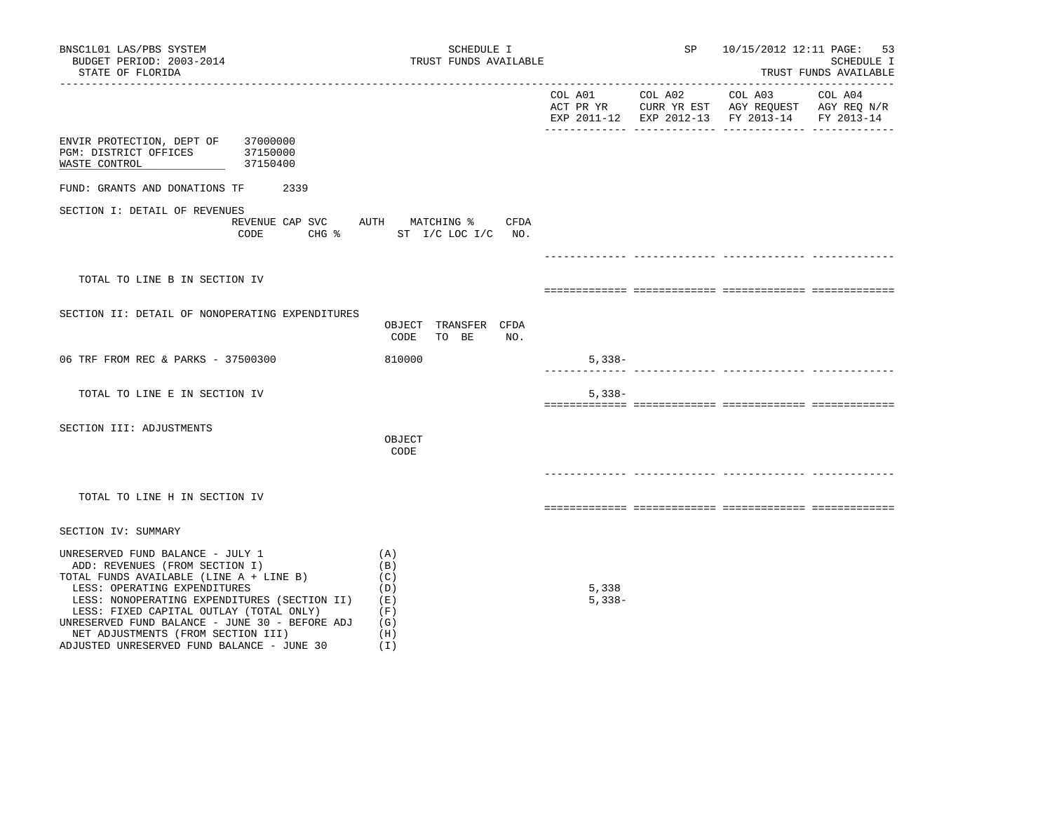| BNSC1L01 LAS/PBS SYSTEM<br>BUDGET PERIOD: 2003-2014<br>STATE OF FLORIDA                                                                                                                                                                                                                                                                                                        | SCHEDULE I<br>TRUST FUNDS AVAILABLE                         |                   | SP | 10/15/2012 12:11 PAGE:                                                                                 | 53<br>SCHEDULE I<br>TRUST FUNDS AVAILABLE |
|--------------------------------------------------------------------------------------------------------------------------------------------------------------------------------------------------------------------------------------------------------------------------------------------------------------------------------------------------------------------------------|-------------------------------------------------------------|-------------------|----|--------------------------------------------------------------------------------------------------------|-------------------------------------------|
|                                                                                                                                                                                                                                                                                                                                                                                |                                                             | COL A01 COL A02   |    | COL A03 COL A04<br>ACT PR YR CURR YR EST AGY REQUEST AGY REQ N/R<br>EXP 2011-12 EXP 2012-13 FY 2013-14 | FY 2013-14                                |
| ENVIR PROTECTION, DEPT OF<br>37000000<br>PGM: DISTRICT OFFICES 37150000<br>WASTE CONTROL<br>37150400                                                                                                                                                                                                                                                                           |                                                             |                   |    |                                                                                                        |                                           |
| FUND: GRANTS AND DONATIONS TF<br>2339                                                                                                                                                                                                                                                                                                                                          |                                                             |                   |    |                                                                                                        |                                           |
| SECTION I: DETAIL OF REVENUES<br>REVENUE CAP SVC AUTH MATCHING %<br>CODE                                                                                                                                                                                                                                                                                                       | CFDA<br>CHG % ST I/C LOC I/C NO.                            |                   |    |                                                                                                        |                                           |
|                                                                                                                                                                                                                                                                                                                                                                                |                                                             |                   |    |                                                                                                        |                                           |
| TOTAL TO LINE B IN SECTION IV                                                                                                                                                                                                                                                                                                                                                  |                                                             |                   |    |                                                                                                        |                                           |
| SECTION II: DETAIL OF NONOPERATING EXPENDITURES                                                                                                                                                                                                                                                                                                                                | OBJECT TRANSFER CFDA<br>CODE<br>TO BE<br>NO.                |                   |    |                                                                                                        |                                           |
| 06 TRF FROM REC & PARKS - 37500300                                                                                                                                                                                                                                                                                                                                             | 810000                                                      | $5,338-$          |    |                                                                                                        |                                           |
| TOTAL TO LINE E IN SECTION IV                                                                                                                                                                                                                                                                                                                                                  |                                                             | $5,338-$          |    |                                                                                                        |                                           |
| SECTION III: ADJUSTMENTS                                                                                                                                                                                                                                                                                                                                                       | OBJECT<br>CODE                                              |                   |    |                                                                                                        |                                           |
| TOTAL TO LINE H IN SECTION IV                                                                                                                                                                                                                                                                                                                                                  |                                                             |                   |    |                                                                                                        |                                           |
| SECTION IV: SUMMARY                                                                                                                                                                                                                                                                                                                                                            |                                                             |                   |    |                                                                                                        |                                           |
| UNRESERVED FUND BALANCE - JULY 1<br>ADD: REVENUES (FROM SECTION I)<br>TOTAL FUNDS AVAILABLE (LINE A + LINE B)<br>LESS: OPERATING EXPENDITURES<br>LESS: NONOPERATING EXPENDITURES (SECTION II)<br>LESS: FIXED CAPITAL OUTLAY (TOTAL ONLY)<br>UNRESERVED FUND BALANCE - JUNE 30 - BEFORE ADJ<br>NET ADJUSTMENTS (FROM SECTION III)<br>ADJUSTED UNRESERVED FUND BALANCE - JUNE 30 | (A)<br>(B)<br>(C)<br>(D)<br>(E)<br>(F)<br>(G)<br>(H)<br>(I) | 5,338<br>$5,338-$ |    |                                                                                                        |                                           |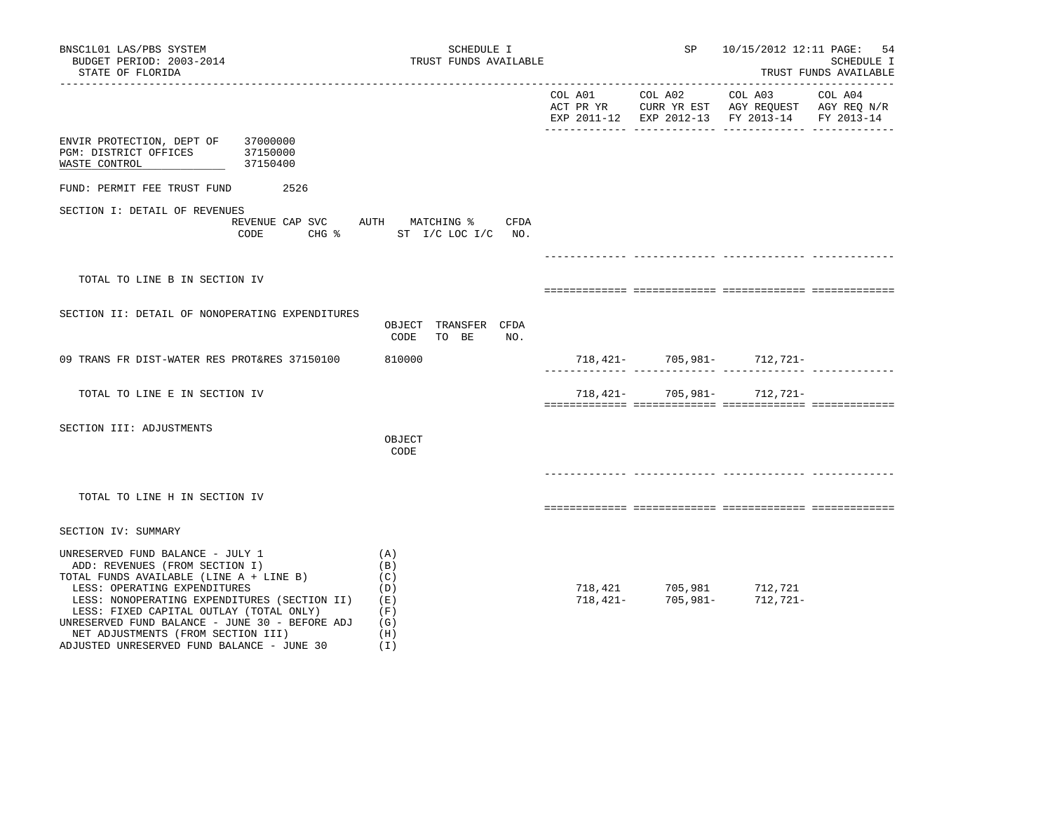| BNSC1L01 LAS/PBS SYSTEM<br>BUDGET PERIOD: 2003-2014<br>STATE OF FLORIDA                                                                                                                                                                                                                                                                                                        | SCHEDULE I                                                                           | TRUST FUNDS AVAILABLE |                                                      | SP<br>10/15/2012 12:11 PAGE: 54<br><b>SCHEDULE I</b><br>TRUST FUNDS AVAILABLE                                                 |         |
|--------------------------------------------------------------------------------------------------------------------------------------------------------------------------------------------------------------------------------------------------------------------------------------------------------------------------------------------------------------------------------|--------------------------------------------------------------------------------------|-----------------------|------------------------------------------------------|-------------------------------------------------------------------------------------------------------------------------------|---------|
|                                                                                                                                                                                                                                                                                                                                                                                |                                                                                      | COL A01 COL A02       |                                                      | COL A03<br>ACT PR YR $\,$ CURR YR EST $\,$ AGY REQUEST $\,$ AGY REQ N/R $\,$<br>EXP 2011-12 EXP 2012-13 FY 2013-14 FY 2013-14 | COL A04 |
| 37000000<br>ENVIR PROTECTION, DEPT OF<br>37150000<br>PGM: DISTRICT OFFICES<br>37150400<br>WASTE CONTROL                                                                                                                                                                                                                                                                        |                                                                                      |                       |                                                      |                                                                                                                               |         |
| FUND: PERMIT FEE TRUST FUND<br>2526                                                                                                                                                                                                                                                                                                                                            |                                                                                      |                       |                                                      |                                                                                                                               |         |
| SECTION I: DETAIL OF REVENUES<br>CODE                                                                                                                                                                                                                                                                                                                                          | REVENUE CAP SVC AUTH MATCHING %<br>CFDA<br>$CHG$ $\frac{1}{6}$<br>ST I/C LOC I/C NO. |                       |                                                      |                                                                                                                               |         |
|                                                                                                                                                                                                                                                                                                                                                                                |                                                                                      |                       |                                                      |                                                                                                                               |         |
| TOTAL TO LINE B IN SECTION IV                                                                                                                                                                                                                                                                                                                                                  |                                                                                      |                       |                                                      |                                                                                                                               |         |
| SECTION II: DETAIL OF NONOPERATING EXPENDITURES                                                                                                                                                                                                                                                                                                                                | OBJECT TRANSFER CFDA<br>NO.<br>CODE<br>TO BE                                         |                       |                                                      |                                                                                                                               |         |
| 09 TRANS FR DIST-WATER RES PROT&RES 37150100                                                                                                                                                                                                                                                                                                                                   | 810000                                                                               |                       |                                                      | $718,421-705,981-712,721-$                                                                                                    |         |
| TOTAL TO LINE E IN SECTION IV                                                                                                                                                                                                                                                                                                                                                  |                                                                                      | 718,421-              | 705,981-                                             | 712,721-                                                                                                                      |         |
| SECTION III: ADJUSTMENTS                                                                                                                                                                                                                                                                                                                                                       | OBJECT<br>CODE                                                                       |                       |                                                      |                                                                                                                               |         |
| TOTAL TO LINE H IN SECTION IV                                                                                                                                                                                                                                                                                                                                                  |                                                                                      |                       |                                                      |                                                                                                                               |         |
| SECTION IV: SUMMARY                                                                                                                                                                                                                                                                                                                                                            |                                                                                      |                       |                                                      |                                                                                                                               |         |
| UNRESERVED FUND BALANCE - JULY 1<br>ADD: REVENUES (FROM SECTION I)<br>TOTAL FUNDS AVAILABLE (LINE A + LINE B)<br>LESS: OPERATING EXPENDITURES<br>LESS: NONOPERATING EXPENDITURES (SECTION II)<br>LESS: FIXED CAPITAL OUTLAY (TOTAL ONLY)<br>UNRESERVED FUND BALANCE - JUNE 30 - BEFORE ADJ<br>NET ADJUSTMENTS (FROM SECTION III)<br>ADJUSTED UNRESERVED FUND BALANCE - JUNE 30 | (A)<br>(B)<br>(C)<br>(D)<br>(E)<br>(F)<br>(G)<br>(H)<br>(I)                          |                       | 718,421 705,981 712,721<br>718,421- 705,981- 712,721 | 712,721-                                                                                                                      |         |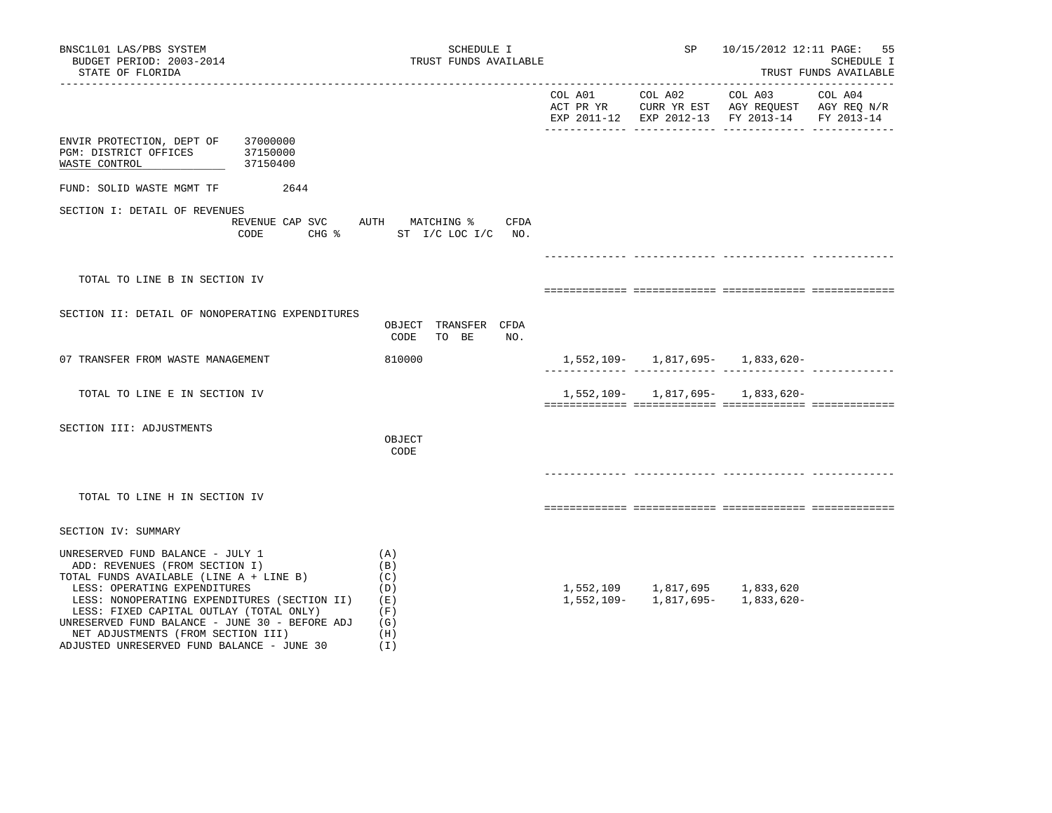| BNSC1L01 LAS/PBS SYSTEM<br>BUDGET PERIOD: 2003-2014<br>STATE OF FLORIDA                                                                                                                                                                                                                                                                                                        | SCHEDULE I<br>TRUST FUNDS AVAILABLE                         | SP                            |                                               | 10/15/2012 12:11 PAGE: 55<br>SCHEDULE I<br>TRUST FUNDS AVAILABLE |
|--------------------------------------------------------------------------------------------------------------------------------------------------------------------------------------------------------------------------------------------------------------------------------------------------------------------------------------------------------------------------------|-------------------------------------------------------------|-------------------------------|-----------------------------------------------|------------------------------------------------------------------|
|                                                                                                                                                                                                                                                                                                                                                                                |                                                             |                               | EXP 2011-12 EXP 2012-13 FY 2013-14 FY 2013-14 |                                                                  |
| 37000000<br>ENVIR PROTECTION, DEPT OF<br>PGM: DISTRICT OFFICES<br>37150000<br>WASTE CONTROL<br>37150400                                                                                                                                                                                                                                                                        |                                                             |                               |                                               |                                                                  |
| 2644<br>FUND: SOLID WASTE MGMT TF                                                                                                                                                                                                                                                                                                                                              |                                                             |                               |                                               |                                                                  |
| SECTION I: DETAIL OF REVENUES<br>REVENUE CAP SVC AUTH MATCHING %<br>CODE                                                                                                                                                                                                                                                                                                       | CFDA<br>CHG % ST I/C LOC I/C NO.                            |                               |                                               |                                                                  |
| TOTAL TO LINE B IN SECTION IV                                                                                                                                                                                                                                                                                                                                                  |                                                             |                               |                                               |                                                                  |
| SECTION II: DETAIL OF NONOPERATING EXPENDITURES                                                                                                                                                                                                                                                                                                                                | OBJECT TRANSFER CFDA<br>CODE<br>TO BE<br>NO.                |                               |                                               |                                                                  |
| 07 TRANSFER FROM WASTE MANAGEMENT                                                                                                                                                                                                                                                                                                                                              | 810000                                                      |                               | 1,552,109- 1,817,695- 1,833,620-              | --- -------------                                                |
| TOTAL TO LINE E IN SECTION IV                                                                                                                                                                                                                                                                                                                                                  |                                                             |                               | $1,552,109 - 1,817,695 - 1,833,620 -$         |                                                                  |
| SECTION III: ADJUSTMENTS                                                                                                                                                                                                                                                                                                                                                       | OBJECT<br>CODE                                              |                               |                                               |                                                                  |
| TOTAL TO LINE H IN SECTION IV                                                                                                                                                                                                                                                                                                                                                  |                                                             |                               |                                               |                                                                  |
| SECTION IV: SUMMARY                                                                                                                                                                                                                                                                                                                                                            |                                                             |                               |                                               |                                                                  |
| UNRESERVED FUND BALANCE - JULY 1<br>ADD: REVENUES (FROM SECTION I)<br>TOTAL FUNDS AVAILABLE (LINE A + LINE B)<br>LESS: OPERATING EXPENDITURES<br>LESS: NONOPERATING EXPENDITURES (SECTION II)<br>LESS: FIXED CAPITAL OUTLAY (TOTAL ONLY)<br>UNRESERVED FUND BALANCE - JUNE 30 - BEFORE ADJ<br>NET ADJUSTMENTS (FROM SECTION III)<br>ADJUSTED UNRESERVED FUND BALANCE - JUNE 30 | (A)<br>(B)<br>(C)<br>(D)<br>(E)<br>(F)<br>(G)<br>(H)<br>(T) | 1,552,109 1,817,695 1,833,620 | 1,552,109- 1,817,695- 1,833,620-              |                                                                  |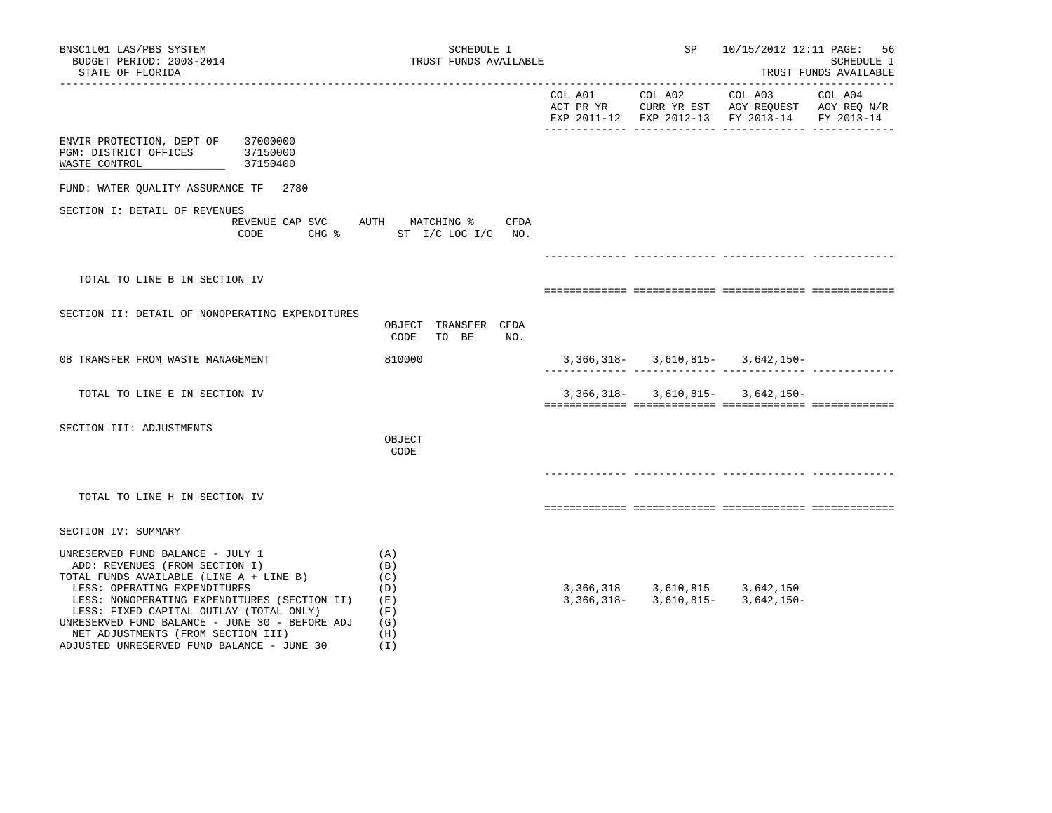| BNSC1L01 LAS/PBS SYSTEM<br>BUDGET PERIOD: 2003-2014<br>STATE OF FLORIDA                                                                                                                                                                                                                                                                                                        | SCHEDULE I<br>TRUST FUNDS AVAILABLE                         |         | SP      | 10/15/2012 12:11 PAGE: 56                                                                                                      | SCHEDULE I<br>TRUST FUNDS AVAILABLE |
|--------------------------------------------------------------------------------------------------------------------------------------------------------------------------------------------------------------------------------------------------------------------------------------------------------------------------------------------------------------------------------|-------------------------------------------------------------|---------|---------|--------------------------------------------------------------------------------------------------------------------------------|-------------------------------------|
|                                                                                                                                                                                                                                                                                                                                                                                |                                                             | COL A01 | COL A02 | COL A03<br>ACT PR YR $\,$ CURR YR EST $\,$ AGY REQUEST $\,$ AGY REQ $\rm N/R$<br>EXP 2011-12 EXP 2012-13 FY 2013-14 FY 2013-14 | COL A04                             |
| ENVIR PROTECTION, DEPT OF<br>37000000<br>PGM: DISTRICT OFFICES 37150000<br>37150400<br>WASTE CONTROL                                                                                                                                                                                                                                                                           |                                                             |         |         |                                                                                                                                |                                     |
| FUND: WATER QUALITY ASSURANCE TF 2780                                                                                                                                                                                                                                                                                                                                          |                                                             |         |         |                                                                                                                                |                                     |
| SECTION I: DETAIL OF REVENUES<br>REVENUE CAP SVC AUTH MATCHING %<br>CODE                                                                                                                                                                                                                                                                                                       | CFDA<br>CHG % ST I/C LOC I/C NO.                            |         |         |                                                                                                                                |                                     |
|                                                                                                                                                                                                                                                                                                                                                                                |                                                             |         |         |                                                                                                                                |                                     |
| TOTAL TO LINE B IN SECTION IV                                                                                                                                                                                                                                                                                                                                                  |                                                             |         |         |                                                                                                                                |                                     |
| SECTION II: DETAIL OF NONOPERATING EXPENDITURES                                                                                                                                                                                                                                                                                                                                | OBJECT TRANSFER CFDA<br>CODE<br>TO BE<br>NO.                |         |         |                                                                                                                                |                                     |
| 08 TRANSFER FROM WASTE MANAGEMENT                                                                                                                                                                                                                                                                                                                                              | 810000                                                      |         |         | $3,366,318 - 3,610,815 - 3,642,150 -$                                                                                          |                                     |
| TOTAL TO LINE E IN SECTION IV                                                                                                                                                                                                                                                                                                                                                  |                                                             |         |         | $3,366,318 3,610,815 3,642,150-$                                                                                               |                                     |
| SECTION III: ADJUSTMENTS                                                                                                                                                                                                                                                                                                                                                       | OBJECT<br>CODE                                              |         |         |                                                                                                                                |                                     |
| TOTAL TO LINE H IN SECTION IV                                                                                                                                                                                                                                                                                                                                                  |                                                             |         |         |                                                                                                                                |                                     |
| SECTION IV: SUMMARY                                                                                                                                                                                                                                                                                                                                                            |                                                             |         |         |                                                                                                                                |                                     |
| UNRESERVED FUND BALANCE - JULY 1<br>ADD: REVENUES (FROM SECTION I)<br>TOTAL FUNDS AVAILABLE (LINE A + LINE B)<br>LESS: OPERATING EXPENDITURES<br>LESS: NONOPERATING EXPENDITURES (SECTION II)<br>LESS: FIXED CAPITAL OUTLAY (TOTAL ONLY)<br>UNRESERVED FUND BALANCE - JUNE 30 - BEFORE ADJ<br>NET ADJUSTMENTS (FROM SECTION III)<br>ADJUSTED UNRESERVED FUND BALANCE - JUNE 30 | (A)<br>(B)<br>(C)<br>(D)<br>(E)<br>(F)<br>(G)<br>(H)<br>(1) |         |         | 3, 366, 318 3, 610, 815 3, 642, 150<br>3, 366, 318 - 3, 610, 815 - 3, 642, 150 -                                               |                                     |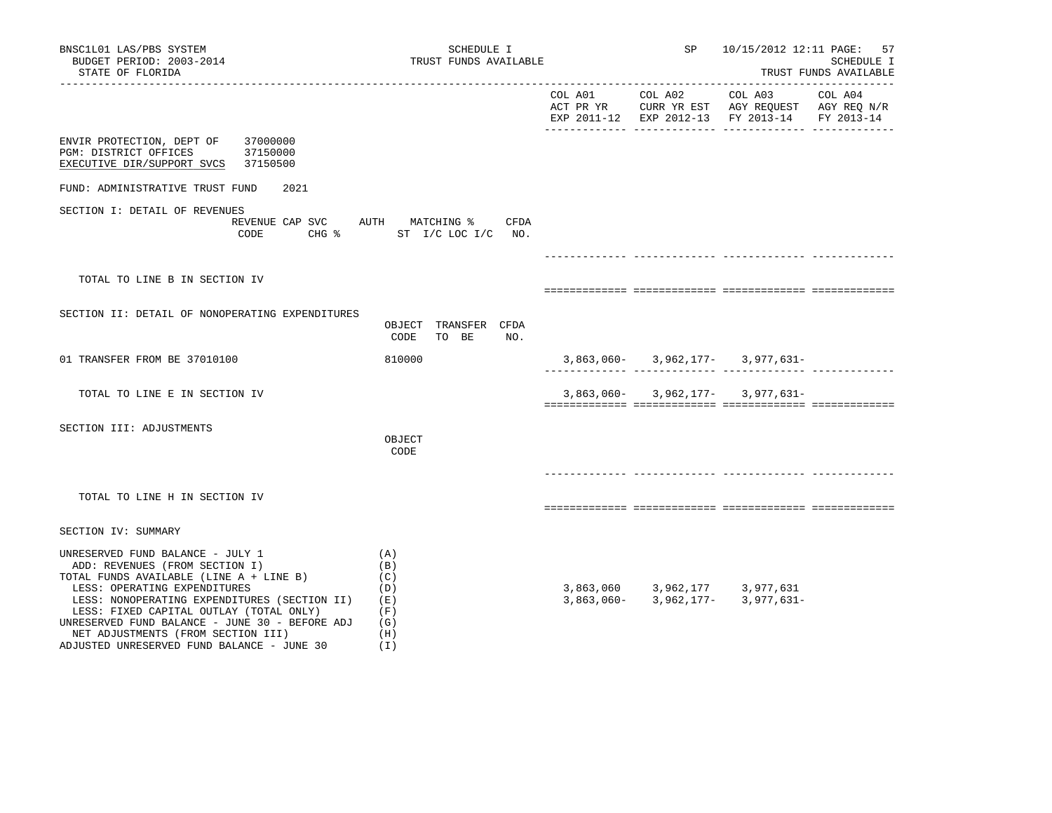| BNSC1L01 LAS/PBS SYSTEM<br>BUDGET PERIOD: 2003-2014<br>STATE OF FLORIDA                                                                                                                                                                                                                                                                                                        | SCHEDULE I<br>TRUST FUNDS AVAILABLE                             |         | SP | 10/15/2012 12:11 PAGE: 57                                                                                                              | SCHEDULE I<br>TRUST FUNDS AVAILABLE |
|--------------------------------------------------------------------------------------------------------------------------------------------------------------------------------------------------------------------------------------------------------------------------------------------------------------------------------------------------------------------------------|-----------------------------------------------------------------|---------|----|----------------------------------------------------------------------------------------------------------------------------------------|-------------------------------------|
|                                                                                                                                                                                                                                                                                                                                                                                |                                                                 | COL A01 |    | COL A02 COL A03<br>ACT PR YR $\,$ CURR YR EST $\,$ AGY REQUEST $\,$ AGY REQ $\rm N/R$<br>EXP 2011-12 EXP 2012-13 FY 2013-14 FY 2013-14 | COL A04                             |
| ENVIR PROTECTION, DEPT OF 37000000<br>PGM: DISTRICT OFFICES 37150000<br>EXECUTIVE DIR/SUPPORT SVCS 37150500                                                                                                                                                                                                                                                                    |                                                                 |         |    |                                                                                                                                        |                                     |
| FUND: ADMINISTRATIVE TRUST FUND<br>2021                                                                                                                                                                                                                                                                                                                                        |                                                                 |         |    |                                                                                                                                        |                                     |
| SECTION I: DETAIL OF REVENUES<br>REVENUE CAP SVC AUTH MATCHING %<br>CODE                                                                                                                                                                                                                                                                                                       | CFDA<br>CHG % ST I/C LOC I/C NO.                                |         |    |                                                                                                                                        |                                     |
|                                                                                                                                                                                                                                                                                                                                                                                |                                                                 |         |    |                                                                                                                                        |                                     |
| TOTAL TO LINE B IN SECTION IV                                                                                                                                                                                                                                                                                                                                                  |                                                                 |         |    |                                                                                                                                        |                                     |
| SECTION II: DETAIL OF NONOPERATING EXPENDITURES                                                                                                                                                                                                                                                                                                                                | OBJECT TRANSFER CFDA<br>CODE<br>TO BE<br>NO.                    |         |    |                                                                                                                                        |                                     |
| 01 TRANSFER FROM BE 37010100                                                                                                                                                                                                                                                                                                                                                   | 810000                                                          |         |    | $3,863,060 - 3,962,177 - 3,977,631 -$                                                                                                  |                                     |
| TOTAL TO LINE E IN SECTION IV                                                                                                                                                                                                                                                                                                                                                  |                                                                 |         |    | $3,863,060 - 3,962,177 - 3,977,631 -$                                                                                                  |                                     |
| SECTION III: ADJUSTMENTS                                                                                                                                                                                                                                                                                                                                                       | OBJECT<br>CODE                                                  |         |    |                                                                                                                                        |                                     |
| TOTAL TO LINE H IN SECTION IV                                                                                                                                                                                                                                                                                                                                                  |                                                                 |         |    |                                                                                                                                        |                                     |
| SECTION IV: SUMMARY                                                                                                                                                                                                                                                                                                                                                            |                                                                 |         |    |                                                                                                                                        |                                     |
| UNRESERVED FUND BALANCE - JULY 1<br>ADD: REVENUES (FROM SECTION I)<br>TOTAL FUNDS AVAILABLE (LINE A + LINE B)<br>LESS: OPERATING EXPENDITURES<br>LESS: NONOPERATING EXPENDITURES (SECTION II)<br>LESS: FIXED CAPITAL OUTLAY (TOTAL ONLY)<br>UNRESERVED FUND BALANCE - JUNE 30 - BEFORE ADJ<br>NET ADJUSTMENTS (FROM SECTION III)<br>ADJUSTED UNRESERVED FUND BALANCE - JUNE 30 | (A)<br>(B)<br>(C)<br>(D)<br>( E )<br>(F)<br>(G)<br>(H)<br>( I ) |         |    | $3,863,060 \qquad 3,962,177 \qquad 3,977,631$<br>$3,863,060- \qquad 3,962,177- \qquad 3,977,631-$                                      |                                     |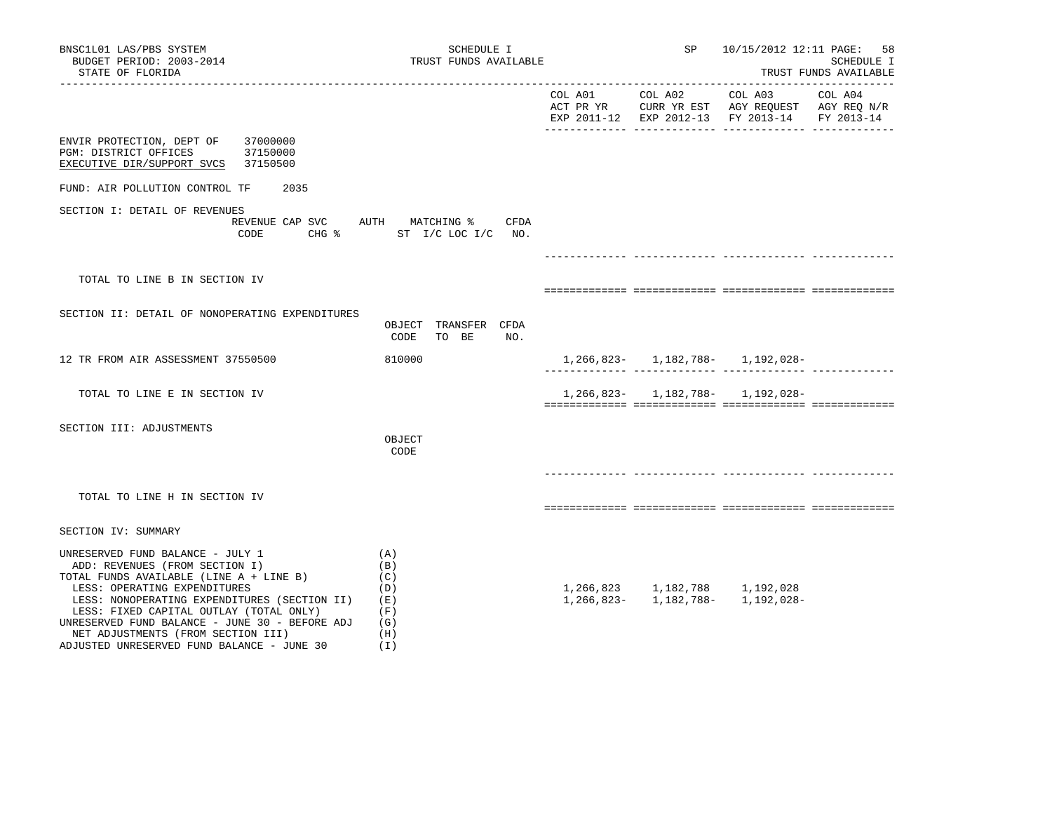| BNSC1L01 LAS/PBS SYSTEM<br>BUDGET PERIOD: 2003-2014<br>STATE OF FLORIDA                                                                                                                                                                                                                                                                                                        | SCHEDULE I<br>TRUST FUNDS AVAILABLE                         |                 | SP | 10/15/2012 12:11 PAGE:                                                                                           | 58<br>SCHEDULE I<br>TRUST FUNDS AVAILABLE |
|--------------------------------------------------------------------------------------------------------------------------------------------------------------------------------------------------------------------------------------------------------------------------------------------------------------------------------------------------------------------------------|-------------------------------------------------------------|-----------------|----|------------------------------------------------------------------------------------------------------------------|-------------------------------------------|
|                                                                                                                                                                                                                                                                                                                                                                                |                                                             | COL A01 COL A02 |    | COL A03 COL A04<br>ACT PR YR CURR YR EST AGY REQUEST AGY REQ N/R<br>EXP 2011-12 EXP 2012-13 FY 2013-14           | FY 2013-14                                |
| ENVIR PROTECTION, DEPT OF<br>37000000<br>37150000<br>PGM: DISTRICT OFFICES<br>EXECUTIVE DIR/SUPPORT SVCS 37150500                                                                                                                                                                                                                                                              |                                                             |                 |    |                                                                                                                  |                                           |
| FUND: AIR POLLUTION CONTROL TF<br>2035                                                                                                                                                                                                                                                                                                                                         |                                                             |                 |    |                                                                                                                  |                                           |
| SECTION I: DETAIL OF REVENUES<br>REVENUE CAP SVC AUTH MATCHING %<br>CODE                                                                                                                                                                                                                                                                                                       | CFDA<br>CHG % ST I/C LOC I/C NO.                            |                 |    |                                                                                                                  |                                           |
|                                                                                                                                                                                                                                                                                                                                                                                |                                                             |                 |    |                                                                                                                  |                                           |
| TOTAL TO LINE B IN SECTION IV                                                                                                                                                                                                                                                                                                                                                  |                                                             |                 |    |                                                                                                                  |                                           |
| SECTION II: DETAIL OF NONOPERATING EXPENDITURES                                                                                                                                                                                                                                                                                                                                | OBJECT TRANSFER CFDA<br>CODE<br>TO BE<br>NO.                |                 |    |                                                                                                                  |                                           |
| 12 TR FROM AIR ASSESSMENT 37550500                                                                                                                                                                                                                                                                                                                                             | 810000                                                      |                 |    | 1, 266, 823 - 1, 182, 788 - 1, 192, 028 -                                                                        |                                           |
| TOTAL TO LINE E IN SECTION IV                                                                                                                                                                                                                                                                                                                                                  |                                                             |                 |    | 1,266,823- 1,182,788- 1,192,028-                                                                                 |                                           |
| SECTION III: ADJUSTMENTS                                                                                                                                                                                                                                                                                                                                                       | OBJECT<br>CODE                                              |                 |    |                                                                                                                  |                                           |
| TOTAL TO LINE H IN SECTION IV                                                                                                                                                                                                                                                                                                                                                  |                                                             |                 |    |                                                                                                                  |                                           |
| SECTION IV: SUMMARY                                                                                                                                                                                                                                                                                                                                                            |                                                             |                 |    |                                                                                                                  |                                           |
| UNRESERVED FUND BALANCE - JULY 1<br>ADD: REVENUES (FROM SECTION I)<br>TOTAL FUNDS AVAILABLE (LINE A + LINE B)<br>LESS: OPERATING EXPENDITURES<br>LESS: NONOPERATING EXPENDITURES (SECTION II)<br>LESS: FIXED CAPITAL OUTLAY (TOTAL ONLY)<br>UNRESERVED FUND BALANCE - JUNE 30 - BEFORE ADJ<br>NET ADJUSTMENTS (FROM SECTION III)<br>ADJUSTED UNRESERVED FUND BALANCE - JUNE 30 | (A)<br>(B)<br>(C)<br>(D)<br>(E)<br>(F)<br>(G)<br>(H)<br>(T) |                 |    | $1, 266, 823 \qquad 1, 182, 788 \qquad 1, 192, 028$<br>$1, 266, 823 - \qquad 1, 182, 788 - \qquad 1, 192, 028 -$ |                                           |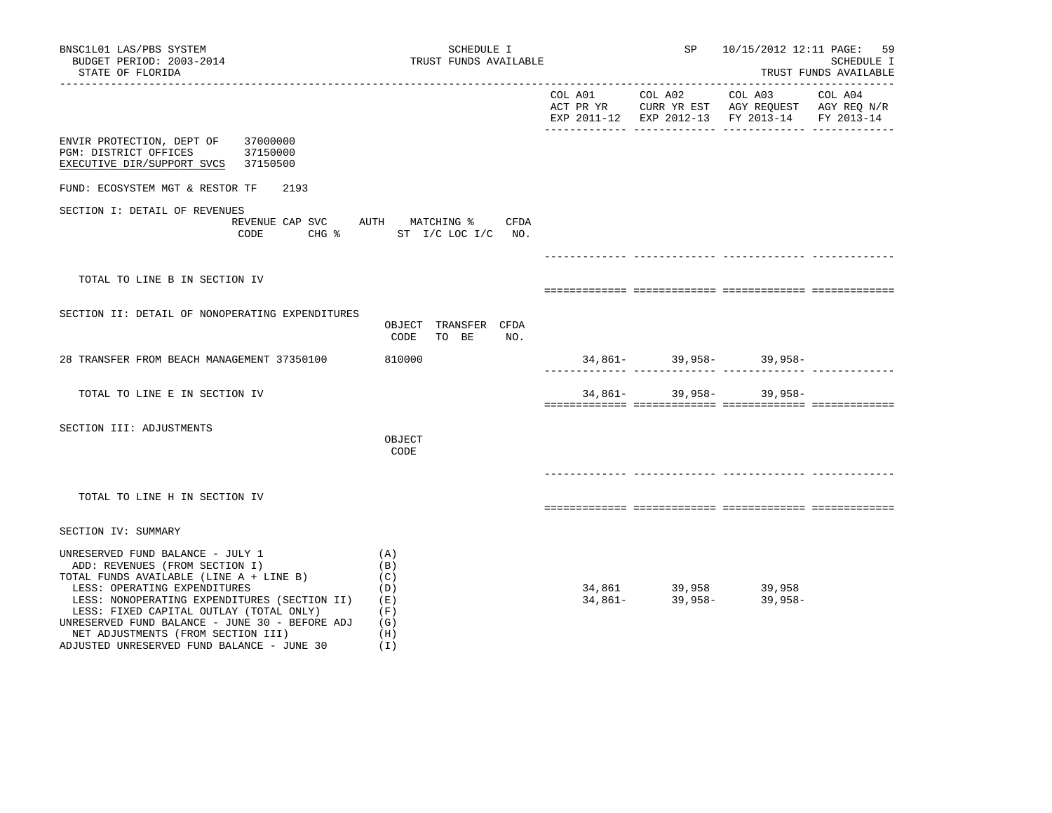| BNSC1L01 LAS/PBS SYSTEM<br>BUDGET PERIOD: 2003-2014<br>STATE OF FLORIDA                                                                                                                                                                                                                                                                                                        | SCHEDULE I<br>TRUST FUNDS AVAILABLE                              |                 | SP 10/15/2012 12:11 PAGE: 59                                                                                      | SCHEDULE I<br>TRUST FUNDS AVAILABLE |
|--------------------------------------------------------------------------------------------------------------------------------------------------------------------------------------------------------------------------------------------------------------------------------------------------------------------------------------------------------------------------------|------------------------------------------------------------------|-----------------|-------------------------------------------------------------------------------------------------------------------|-------------------------------------|
|                                                                                                                                                                                                                                                                                                                                                                                |                                                                  | COL A01 COL A02 | COL A03 COL A04<br>ACT PR YR CURR YR EST AGY REQUEST AGY REQ N/R<br>EXP 2011-12 EXP 2012-13 FY 2013-14 FY 2013-14 |                                     |
| ENVIR PROTECTION, DEPT OF<br>37000000<br>PGM: DISTRICT OFFICES 37150000<br>EXECUTIVE DIR/SUPPORT SVCS 37150500                                                                                                                                                                                                                                                                 |                                                                  |                 |                                                                                                                   |                                     |
| FUND: ECOSYSTEM MGT & RESTOR TF<br>2193                                                                                                                                                                                                                                                                                                                                        |                                                                  |                 |                                                                                                                   |                                     |
| SECTION I: DETAIL OF REVENUES<br>CODE                                                                                                                                                                                                                                                                                                                                          | REVENUE CAP SVC AUTH MATCHING % CFDA<br>CHG % ST I/C LOC I/C NO. |                 |                                                                                                                   |                                     |
|                                                                                                                                                                                                                                                                                                                                                                                |                                                                  |                 |                                                                                                                   |                                     |
| TOTAL TO LINE B IN SECTION IV                                                                                                                                                                                                                                                                                                                                                  |                                                                  |                 |                                                                                                                   |                                     |
| SECTION II: DETAIL OF NONOPERATING EXPENDITURES                                                                                                                                                                                                                                                                                                                                | OBJECT TRANSFER CFDA<br>CODE<br>TO BE<br>NO.                     |                 |                                                                                                                   |                                     |
| 28 TRANSFER FROM BEACH MANAGEMENT 37350100                                                                                                                                                                                                                                                                                                                                     | 810000                                                           |                 |                                                                                                                   |                                     |
| TOTAL TO LINE E IN SECTION IV                                                                                                                                                                                                                                                                                                                                                  |                                                                  |                 | $34,861 - 39,958 - 39,958 -$                                                                                      |                                     |
| SECTION III: ADJUSTMENTS                                                                                                                                                                                                                                                                                                                                                       | OBJECT<br>CODE                                                   |                 |                                                                                                                   |                                     |
| TOTAL TO LINE H IN SECTION IV                                                                                                                                                                                                                                                                                                                                                  |                                                                  |                 |                                                                                                                   |                                     |
| SECTION IV: SUMMARY                                                                                                                                                                                                                                                                                                                                                            |                                                                  |                 |                                                                                                                   |                                     |
| UNRESERVED FUND BALANCE - JULY 1<br>ADD: REVENUES (FROM SECTION I)<br>TOTAL FUNDS AVAILABLE (LINE A + LINE B)<br>LESS: OPERATING EXPENDITURES<br>LESS: NONOPERATING EXPENDITURES (SECTION II)<br>LESS: FIXED CAPITAL OUTLAY (TOTAL ONLY)<br>UNRESERVED FUND BALANCE - JUNE 30 - BEFORE ADJ<br>NET ADJUSTMENTS (FROM SECTION III)<br>ADJUSTED UNRESERVED FUND BALANCE - JUNE 30 | (A)<br>(B)<br>(C)<br>(D)<br>(E)<br>(F)<br>(G)<br>(H)<br>(1)      |                 | $34,861$ $39,958$ $39,958$<br>$34,861$ $39,958$ $39,958$                                                          |                                     |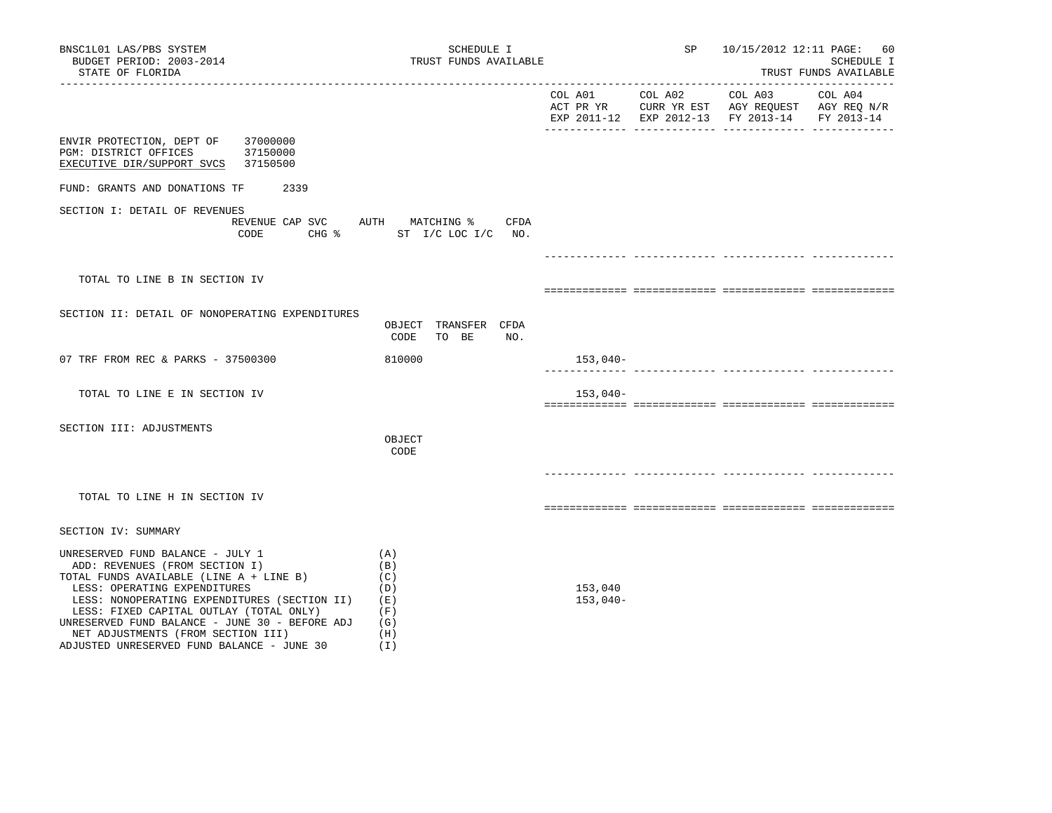| BNSC1L01 LAS/PBS SYSTEM<br>BUDGET PERIOD: 2003-2014<br>STATE OF FLORIDA                                                                                                                                                                                                                                                                                                        | SCHEDULE I<br>TRUST FUNDS AVAILABLE                         |                       | <b>SP</b>                     | 10/15/2012 12:11 PAGE: 60                     | SCHEDULE I<br>TRUST FUNDS AVAILABLE |
|--------------------------------------------------------------------------------------------------------------------------------------------------------------------------------------------------------------------------------------------------------------------------------------------------------------------------------------------------------------------------------|-------------------------------------------------------------|-----------------------|-------------------------------|-----------------------------------------------|-------------------------------------|
|                                                                                                                                                                                                                                                                                                                                                                                |                                                             |                       |                               | EXP 2011-12 EXP 2012-13 FY 2013-14 FY 2013-14 |                                     |
| ENVIR PROTECTION, DEPT OF 37000000<br>37150000<br>PGM: DISTRICT OFFICES<br>EXECUTIVE DIR/SUPPORT SVCS 37150500                                                                                                                                                                                                                                                                 |                                                             |                       |                               |                                               |                                     |
| FUND: GRANTS AND DONATIONS TF<br>2339                                                                                                                                                                                                                                                                                                                                          |                                                             |                       |                               |                                               |                                     |
| SECTION I: DETAIL OF REVENUES<br>REVENUE CAP SVC AUTH MATCHING %<br>CODE                                                                                                                                                                                                                                                                                                       | CFDA<br>CHG $\text{S}$ ST I/C LOC I/C NO.                   |                       | _____________________________ |                                               |                                     |
| TOTAL TO LINE B IN SECTION IV                                                                                                                                                                                                                                                                                                                                                  |                                                             |                       |                               |                                               |                                     |
| SECTION II: DETAIL OF NONOPERATING EXPENDITURES                                                                                                                                                                                                                                                                                                                                | OBJECT TRANSFER CFDA<br>CODE<br>TO BE<br>NO.                |                       |                               |                                               |                                     |
| 07 TRF FROM REC & PARKS - 37500300                                                                                                                                                                                                                                                                                                                                             | 810000                                                      | 153,040-              |                               |                                               |                                     |
| TOTAL TO LINE E IN SECTION IV                                                                                                                                                                                                                                                                                                                                                  |                                                             | $153,040-$            |                               |                                               |                                     |
| SECTION III: ADJUSTMENTS                                                                                                                                                                                                                                                                                                                                                       | OBJECT<br>CODE                                              |                       |                               |                                               |                                     |
| TOTAL TO LINE H IN SECTION IV                                                                                                                                                                                                                                                                                                                                                  |                                                             |                       |                               |                                               |                                     |
| SECTION IV: SUMMARY                                                                                                                                                                                                                                                                                                                                                            |                                                             |                       |                               |                                               |                                     |
| UNRESERVED FUND BALANCE - JULY 1<br>ADD: REVENUES (FROM SECTION I)<br>TOTAL FUNDS AVAILABLE (LINE A + LINE B)<br>LESS: OPERATING EXPENDITURES<br>LESS: NONOPERATING EXPENDITURES (SECTION II)<br>LESS: FIXED CAPITAL OUTLAY (TOTAL ONLY)<br>UNRESERVED FUND BALANCE - JUNE 30 - BEFORE ADJ<br>NET ADJUSTMENTS (FROM SECTION III)<br>ADJUSTED UNRESERVED FUND BALANCE - JUNE 30 | (A)<br>(B)<br>(C)<br>(D)<br>(E)<br>(F)<br>(G)<br>(H)<br>(I) | 153,040<br>$153,040-$ |                               |                                               |                                     |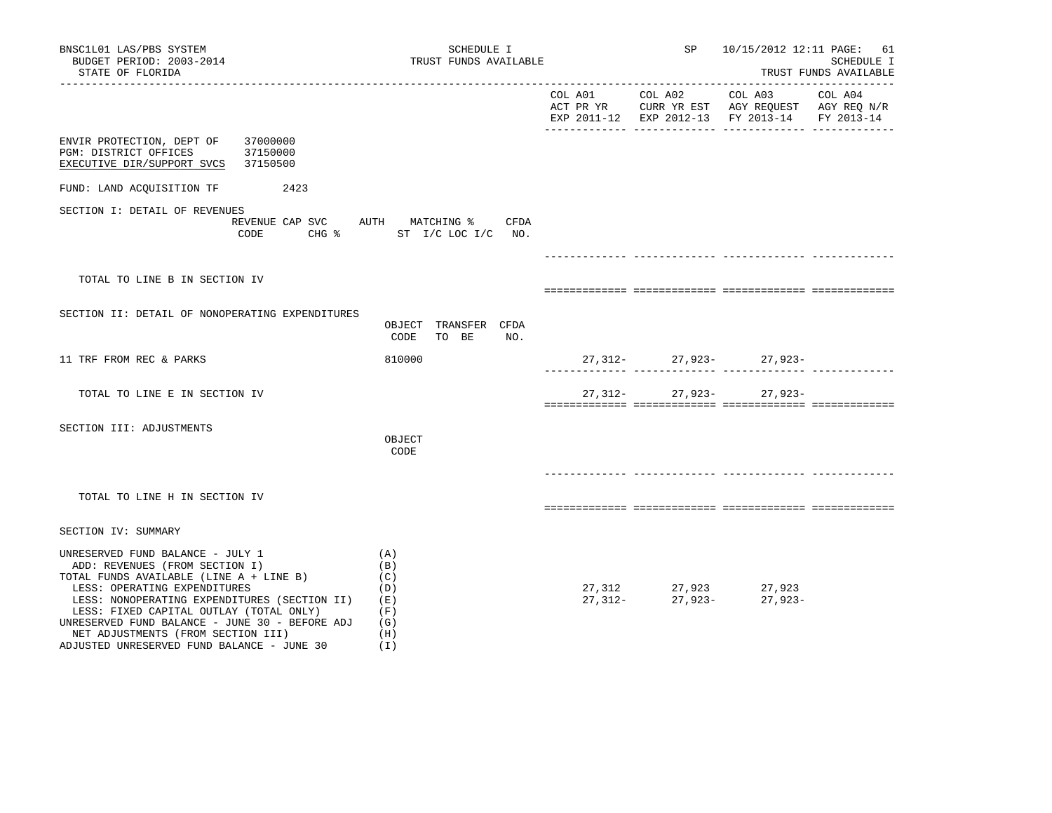| BNSC1L01 LAS/PBS SYSTEM<br>BUDGET PERIOD: 2003-2014<br>STATE OF FLORIDA                                                                                                                                                                                                                                                                                                        | SCHEDULE I<br>TRUST FUNDS AVAILABLE                         | SP <sub>3</sub> | 10/15/2012 12:11 PAGE: 61                                            | SCHEDULE I<br>TRUST FUNDS AVAILABLE |
|--------------------------------------------------------------------------------------------------------------------------------------------------------------------------------------------------------------------------------------------------------------------------------------------------------------------------------------------------------------------------------|-------------------------------------------------------------|-----------------|----------------------------------------------------------------------|-------------------------------------|
|                                                                                                                                                                                                                                                                                                                                                                                |                                                             |                 | EXP 2011-12 EXP 2012-13 FY 2013-14 FY 2013-14                        |                                     |
| ENVIR PROTECTION, DEPT OF<br>37000000<br>PGM: DISTRICT OFFICES<br>37150000<br>37150500<br>EXECUTIVE DIR/SUPPORT SVCS                                                                                                                                                                                                                                                           |                                                             |                 |                                                                      |                                     |
| FUND: LAND ACQUISITION TF<br>2423                                                                                                                                                                                                                                                                                                                                              |                                                             |                 |                                                                      |                                     |
| SECTION I: DETAIL OF REVENUES<br>REVENUE CAP SVC<br>CODE                                                                                                                                                                                                                                                                                                                       | AUTH MATCHING %<br>CFDA<br>CHG % ST I/C LOC I/C NO.         |                 |                                                                      |                                     |
| TOTAL TO LINE B IN SECTION IV                                                                                                                                                                                                                                                                                                                                                  |                                                             |                 |                                                                      |                                     |
| SECTION II: DETAIL OF NONOPERATING EXPENDITURES                                                                                                                                                                                                                                                                                                                                | OBJECT TRANSFER CFDA<br>CODE<br>TO BE<br>NO.                |                 |                                                                      |                                     |
| 11 TRF FROM REC & PARKS                                                                                                                                                                                                                                                                                                                                                        | 810000                                                      |                 | $27,312 - 27,923 - 27,923 -$                                         |                                     |
| TOTAL TO LINE E IN SECTION IV                                                                                                                                                                                                                                                                                                                                                  |                                                             |                 | $27,312 - 27,923 - 27,923 -$                                         |                                     |
| SECTION III: ADJUSTMENTS                                                                                                                                                                                                                                                                                                                                                       | OBJECT<br>CODE                                              |                 |                                                                      |                                     |
| TOTAL TO LINE H IN SECTION IV                                                                                                                                                                                                                                                                                                                                                  |                                                             |                 |                                                                      |                                     |
| SECTION IV: SUMMARY                                                                                                                                                                                                                                                                                                                                                            |                                                             |                 |                                                                      |                                     |
| UNRESERVED FUND BALANCE - JULY 1<br>ADD: REVENUES (FROM SECTION I)<br>TOTAL FUNDS AVAILABLE (LINE A + LINE B)<br>LESS: OPERATING EXPENDITURES<br>LESS: NONOPERATING EXPENDITURES (SECTION II)<br>LESS: FIXED CAPITAL OUTLAY (TOTAL ONLY)<br>UNRESERVED FUND BALANCE - JUNE 30 - BEFORE ADJ<br>NET ADJUSTMENTS (FROM SECTION III)<br>ADJUSTED UNRESERVED FUND BALANCE - JUNE 30 | (A)<br>(B)<br>(C)<br>(D)<br>(E)<br>(F)<br>(G)<br>(H)<br>(I) |                 | $27,312$<br>$27,312$<br>$27,923$<br>$27,312$<br>$27,923$<br>$27,923$ |                                     |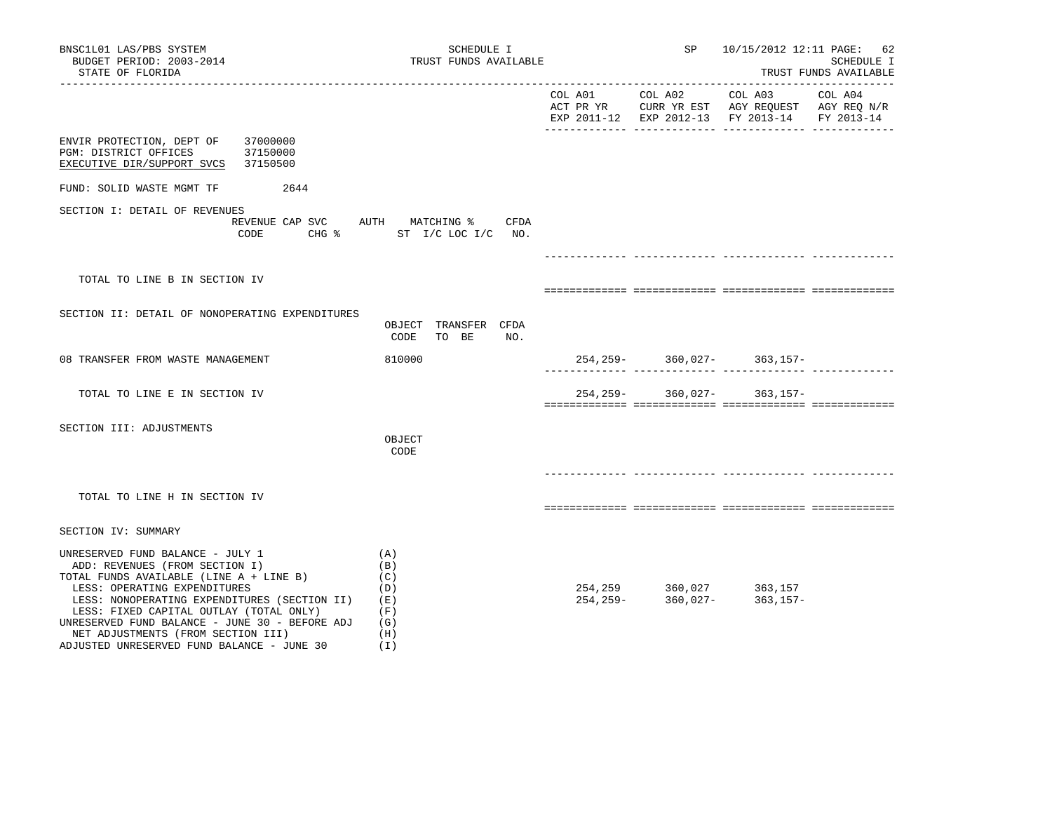| BNSC1L01 LAS/PBS SYSTEM<br>BUDGET PERIOD: 2003-2014<br>STATE OF FLORIDA                                                                                                                                                                                                                                                                                                        | SCHEDULE I<br>TRUST FUNDS AVAILABLE                         | SP                                                          |                                               | 10/15/2012 12:11 PAGE: 62<br>SCHEDULE I<br>TRUST FUNDS AVAILABLE |
|--------------------------------------------------------------------------------------------------------------------------------------------------------------------------------------------------------------------------------------------------------------------------------------------------------------------------------------------------------------------------------|-------------------------------------------------------------|-------------------------------------------------------------|-----------------------------------------------|------------------------------------------------------------------|
|                                                                                                                                                                                                                                                                                                                                                                                |                                                             |                                                             | EXP 2011-12 EXP 2012-13 FY 2013-14 FY 2013-14 |                                                                  |
| 37000000<br>ENVIR PROTECTION, DEPT OF<br>PGM: DISTRICT OFFICES<br>37150000<br>EXECUTIVE DIR/SUPPORT SVCS<br>37150500                                                                                                                                                                                                                                                           |                                                             |                                                             |                                               |                                                                  |
| FUND: SOLID WASTE MGMT TF<br>2644                                                                                                                                                                                                                                                                                                                                              |                                                             |                                                             |                                               |                                                                  |
| SECTION I: DETAIL OF REVENUES<br>REVENUE CAP SVC<br>CODE                                                                                                                                                                                                                                                                                                                       | AUTH MATCHING %<br>CFDA<br>CHG % ST I/C LOC I/C NO.         |                                                             |                                               |                                                                  |
|                                                                                                                                                                                                                                                                                                                                                                                |                                                             |                                                             |                                               |                                                                  |
| TOTAL TO LINE B IN SECTION IV                                                                                                                                                                                                                                                                                                                                                  |                                                             |                                                             |                                               |                                                                  |
| SECTION II: DETAIL OF NONOPERATING EXPENDITURES                                                                                                                                                                                                                                                                                                                                | OBJECT TRANSFER CFDA<br>CODE<br>TO BE<br>NO.                |                                                             |                                               |                                                                  |
| 08 TRANSFER FROM WASTE MANAGEMENT                                                                                                                                                                                                                                                                                                                                              | 810000                                                      |                                                             | $254, 259 - 360, 027 - 363, 157 -$            |                                                                  |
| TOTAL TO LINE E IN SECTION IV                                                                                                                                                                                                                                                                                                                                                  |                                                             |                                                             | $254, 259 - 360, 027 - 363, 157 -$            |                                                                  |
| SECTION III: ADJUSTMENTS                                                                                                                                                                                                                                                                                                                                                       | OBJECT<br>CODE                                              |                                                             |                                               |                                                                  |
|                                                                                                                                                                                                                                                                                                                                                                                |                                                             |                                                             |                                               |                                                                  |
| TOTAL TO LINE H IN SECTION IV                                                                                                                                                                                                                                                                                                                                                  |                                                             |                                                             |                                               |                                                                  |
| SECTION IV: SUMMARY                                                                                                                                                                                                                                                                                                                                                            |                                                             |                                                             |                                               |                                                                  |
| UNRESERVED FUND BALANCE - JULY 1<br>ADD: REVENUES (FROM SECTION I)<br>TOTAL FUNDS AVAILABLE (LINE A + LINE B)<br>LESS: OPERATING EXPENDITURES<br>LESS: NONOPERATING EXPENDITURES (SECTION II)<br>LESS: FIXED CAPITAL OUTLAY (TOTAL ONLY)<br>UNRESERVED FUND BALANCE - JUNE 30 - BEFORE ADJ<br>NET ADJUSTMENTS (FROM SECTION III)<br>ADJUSTED UNRESERVED FUND BALANCE - JUNE 30 | (A)<br>(B)<br>(C)<br>(D)<br>(E)<br>(F)<br>(G)<br>(H)<br>(T) | 254, 259 360, 027 363, 157<br>254, 259- 360, 027- 363, 157- | $363, 157 -$                                  |                                                                  |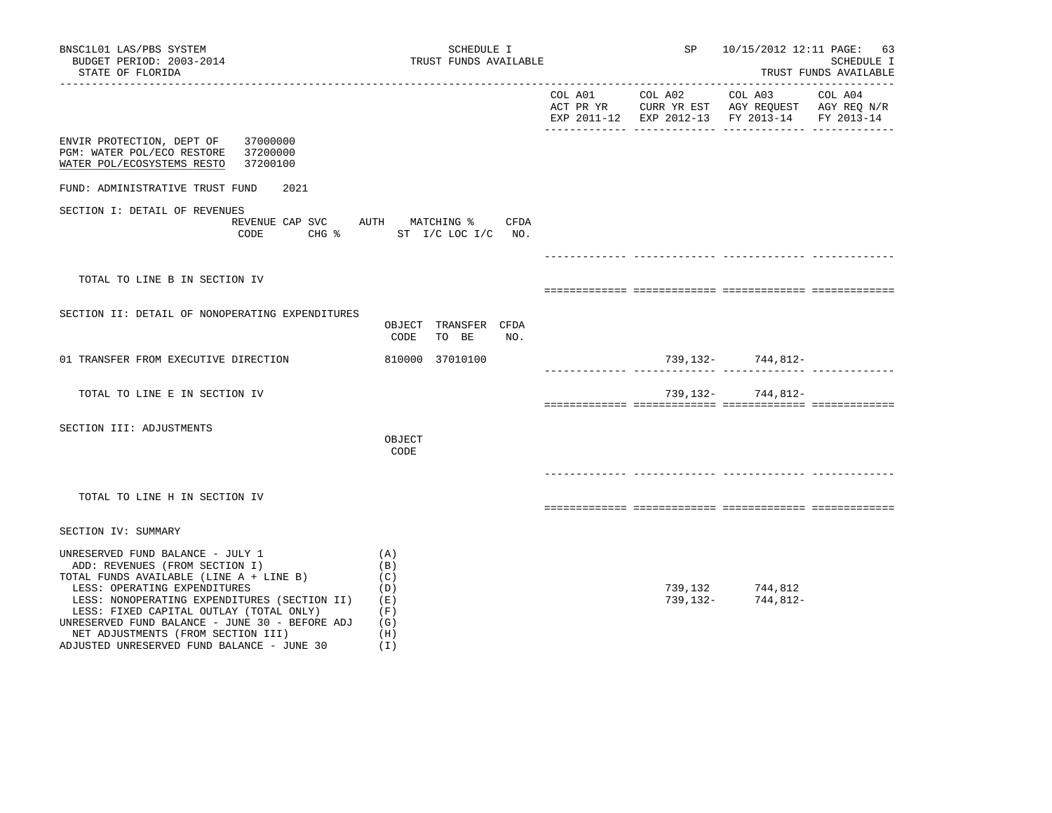| BNSC1L01 LAS/PBS SYSTEM<br>BUDGET PERIOD: 2003-2014<br>STATE OF FLORIDA                                                                                                                                                                                                                                                                                                        | SCHEDULE I<br>TRUST FUNDS AVAILABLE                              |         |         | SP 10/15/2012 12:11 PAGE: 63                                                                              | SCHEDULE I<br>TRUST FUNDS AVAILABLE |
|--------------------------------------------------------------------------------------------------------------------------------------------------------------------------------------------------------------------------------------------------------------------------------------------------------------------------------------------------------------------------------|------------------------------------------------------------------|---------|---------|-----------------------------------------------------------------------------------------------------------|-------------------------------------|
|                                                                                                                                                                                                                                                                                                                                                                                |                                                                  | COL A01 | COL A02 | COL A03<br>ACT PR YR CURR YR EST AGY REQUEST AGY REQ N/R<br>EXP 2011-12 EXP 2012-13 FY 2013-14 FY 2013-14 | COL A04                             |
| 37000000<br>ENVIR PROTECTION, DEPT OF<br>37200000<br>PGM: WATER POL/ECO RESTORE<br>WATER POL/ECOSYSTEMS RESTO<br>37200100                                                                                                                                                                                                                                                      |                                                                  |         |         |                                                                                                           |                                     |
| FUND: ADMINISTRATIVE TRUST FUND<br>2021                                                                                                                                                                                                                                                                                                                                        |                                                                  |         |         |                                                                                                           |                                     |
| SECTION I: DETAIL OF REVENUES<br>CODE                                                                                                                                                                                                                                                                                                                                          | REVENUE CAP SVC AUTH MATCHING % CFDA<br>CHG % ST I/C LOC I/C NO. |         |         |                                                                                                           |                                     |
|                                                                                                                                                                                                                                                                                                                                                                                |                                                                  |         |         |                                                                                                           |                                     |
| TOTAL TO LINE B IN SECTION IV                                                                                                                                                                                                                                                                                                                                                  |                                                                  |         |         |                                                                                                           |                                     |
|                                                                                                                                                                                                                                                                                                                                                                                |                                                                  |         |         |                                                                                                           |                                     |
| SECTION II: DETAIL OF NONOPERATING EXPENDITURES                                                                                                                                                                                                                                                                                                                                | OBJECT TRANSFER CFDA<br>CODE<br>TO BE<br>NO.                     |         |         |                                                                                                           |                                     |
| 01 TRANSFER FROM EXECUTIVE DIRECTION                                                                                                                                                                                                                                                                                                                                           | 810000 37010100                                                  |         |         | 739,132- 744,812-                                                                                         |                                     |
| TOTAL TO LINE E IN SECTION IV                                                                                                                                                                                                                                                                                                                                                  |                                                                  |         |         | 739, 132 - 744, 812 -                                                                                     |                                     |
| SECTION III: ADJUSTMENTS                                                                                                                                                                                                                                                                                                                                                       | OBJECT<br>CODE                                                   |         |         |                                                                                                           |                                     |
|                                                                                                                                                                                                                                                                                                                                                                                |                                                                  |         |         |                                                                                                           |                                     |
| TOTAL TO LINE H IN SECTION IV                                                                                                                                                                                                                                                                                                                                                  |                                                                  |         |         |                                                                                                           |                                     |
| SECTION IV: SUMMARY                                                                                                                                                                                                                                                                                                                                                            |                                                                  |         |         |                                                                                                           |                                     |
| UNRESERVED FUND BALANCE - JULY 1<br>ADD: REVENUES (FROM SECTION I)<br>TOTAL FUNDS AVAILABLE (LINE A + LINE B)<br>LESS: OPERATING EXPENDITURES<br>LESS: NONOPERATING EXPENDITURES (SECTION II)<br>LESS: FIXED CAPITAL OUTLAY (TOTAL ONLY)<br>UNRESERVED FUND BALANCE - JUNE 30 - BEFORE ADJ<br>NET ADJUSTMENTS (FROM SECTION III)<br>ADJUSTED UNRESERVED FUND BALANCE - JUNE 30 | (A)<br>(B)<br>(C)<br>(D)<br>(E)<br>(F)<br>(G)<br>(H)<br>(I)      |         |         | 739,132 744,812<br>$739,132 - 744,812 -$                                                                  |                                     |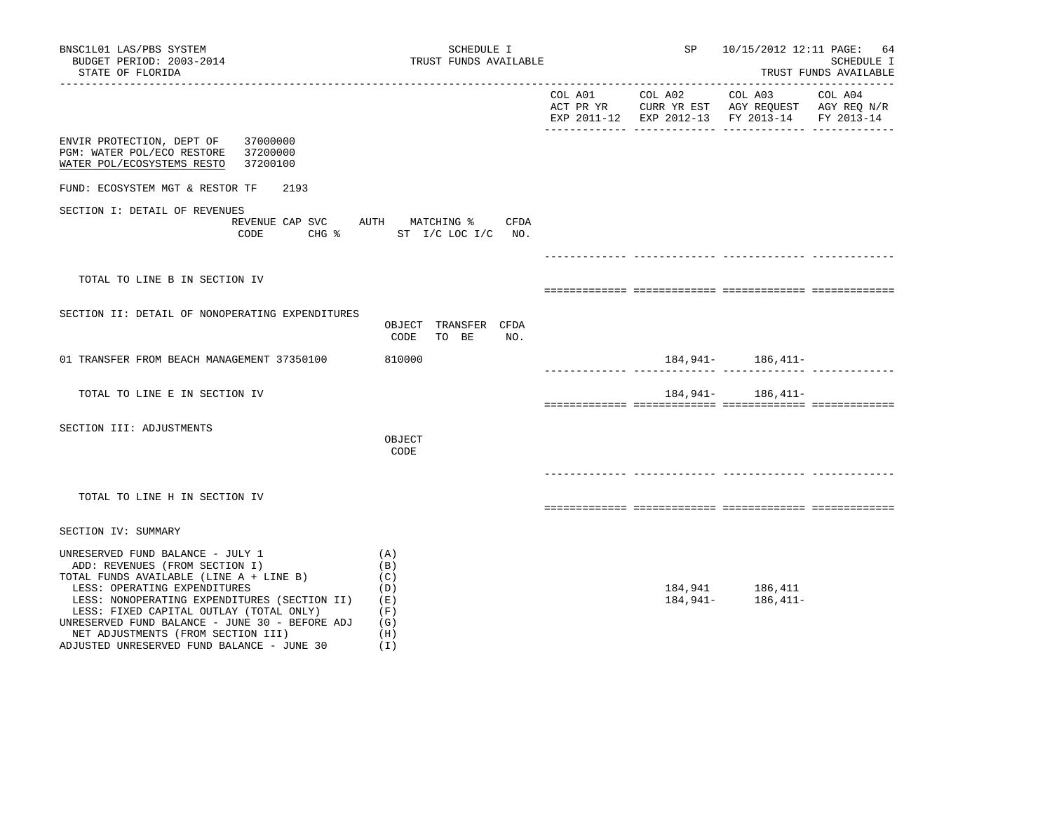| BNSC1L01 LAS/PBS SYSTEM<br>BUDGET PERIOD: 2003-2014<br>STATE OF FLORIDA                                                                                                                                                                                                                                                                                                        | SCHEDULE I<br>TRUST FUNDS AVAILABLE                         | SP              | 10/15/2012 12:11 PAGE: 64                                                                                         | SCHEDULE I<br>TRUST FUNDS AVAILABLE |
|--------------------------------------------------------------------------------------------------------------------------------------------------------------------------------------------------------------------------------------------------------------------------------------------------------------------------------------------------------------------------------|-------------------------------------------------------------|-----------------|-------------------------------------------------------------------------------------------------------------------|-------------------------------------|
|                                                                                                                                                                                                                                                                                                                                                                                |                                                             | COL A01 COL A02 | COL A03 COL A04<br>ACT PR YR CURR YR EST AGY REQUEST AGY REQ N/R<br>EXP 2011-12 EXP 2012-13 FY 2013-14 FY 2013-14 |                                     |
| 37000000<br>ENVIR PROTECTION, DEPT OF<br>PGM: WATER POL/ECO RESTORE<br>37200000<br>WATER POL/ECOSYSTEMS RESTO<br>37200100                                                                                                                                                                                                                                                      |                                                             |                 |                                                                                                                   |                                     |
| FUND: ECOSYSTEM MGT & RESTOR TF<br>2193                                                                                                                                                                                                                                                                                                                                        |                                                             |                 |                                                                                                                   |                                     |
| SECTION I: DETAIL OF REVENUES<br>REVENUE CAP SVC AUTH MATCHING % CFDA<br>CODE                                                                                                                                                                                                                                                                                                  | CHG % ST I/C LOC I/C NO.                                    |                 |                                                                                                                   |                                     |
|                                                                                                                                                                                                                                                                                                                                                                                |                                                             |                 |                                                                                                                   |                                     |
| TOTAL TO LINE B IN SECTION IV                                                                                                                                                                                                                                                                                                                                                  |                                                             |                 |                                                                                                                   |                                     |
| SECTION II: DETAIL OF NONOPERATING EXPENDITURES                                                                                                                                                                                                                                                                                                                                | OBJECT TRANSFER CFDA<br>CODE<br>TO BE<br>NO.                |                 |                                                                                                                   |                                     |
| 01 TRANSFER FROM BEACH MANAGEMENT 37350100                                                                                                                                                                                                                                                                                                                                     | 810000                                                      |                 | $184,941 - 186,411 -$                                                                                             |                                     |
| TOTAL TO LINE E IN SECTION IV                                                                                                                                                                                                                                                                                                                                                  |                                                             |                 | 184, 941 - 186, 411 -                                                                                             |                                     |
| SECTION III: ADJUSTMENTS                                                                                                                                                                                                                                                                                                                                                       | OBJECT<br>CODE                                              |                 |                                                                                                                   |                                     |
| TOTAL TO LINE H IN SECTION IV                                                                                                                                                                                                                                                                                                                                                  |                                                             |                 |                                                                                                                   |                                     |
| SECTION IV: SUMMARY                                                                                                                                                                                                                                                                                                                                                            |                                                             |                 |                                                                                                                   |                                     |
| UNRESERVED FUND BALANCE - JULY 1<br>ADD: REVENUES (FROM SECTION I)<br>TOTAL FUNDS AVAILABLE (LINE A + LINE B)<br>LESS: OPERATING EXPENDITURES<br>LESS: NONOPERATING EXPENDITURES (SECTION II)<br>LESS: FIXED CAPITAL OUTLAY (TOTAL ONLY)<br>UNRESERVED FUND BALANCE - JUNE 30 - BEFORE ADJ<br>NET ADJUSTMENTS (FROM SECTION III)<br>ADJUSTED UNRESERVED FUND BALANCE - JUNE 30 | (A)<br>(B)<br>(C)<br>(D)<br>(E)<br>(F)<br>(G)<br>(H)<br>(1) | 184,941–        | 184,941 186,411<br>$186,411-$                                                                                     |                                     |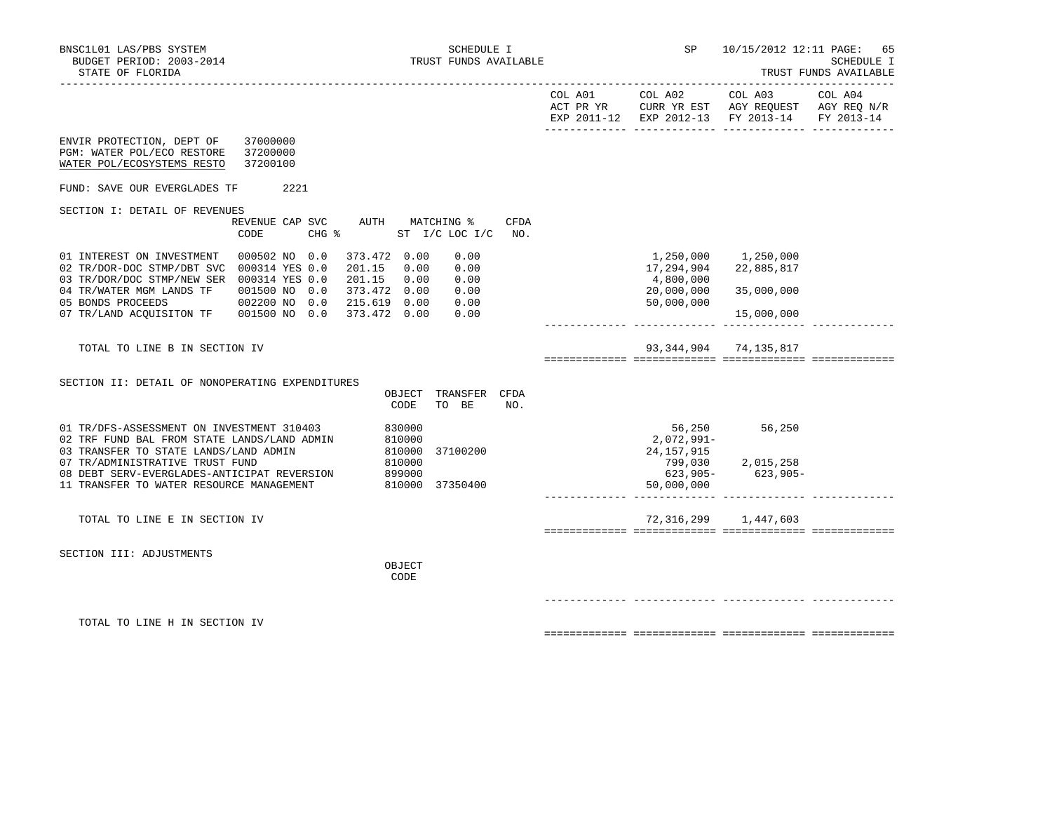|                                                                                                                                                                                                                                                                        |                                 |                                                                 |                               |             | EXP 2011-12 EXP 2012-13 FY 2013-14 FY 2013-14                                         |                                                             |  |
|------------------------------------------------------------------------------------------------------------------------------------------------------------------------------------------------------------------------------------------------------------------------|---------------------------------|-----------------------------------------------------------------|-------------------------------|-------------|---------------------------------------------------------------------------------------|-------------------------------------------------------------|--|
| ENVIR PROTECTION, DEPT OF 37000000<br>PGM: WATER POL/ECO RESTORE 37200000<br>WATER POL/ECOSYSTEMS RESTO                                                                                                                                                                | 37200100                        |                                                                 |                               |             |                                                                                       |                                                             |  |
| FUND: SAVE OUR EVERGLADES TF                                                                                                                                                                                                                                           | 2221                            |                                                                 |                               |             |                                                                                       |                                                             |  |
| SECTION I: DETAIL OF REVENUES<br>CODE                                                                                                                                                                                                                                  | REVENUE CAP SVC AUTH MATCHING % | $CHG$ $\approx$                                                 | ST I/C LOC I/C                | CFDA<br>NO. |                                                                                       |                                                             |  |
| 01 INTEREST ON INVESTMENT  000502 NO  0.0<br>02 TR/DOR-DOC STMP/DBT SVC 000314 YES 0.0<br>03 TR/DOR/DOC STMP/NEW SER 000314 YES 0.0<br>04 TR/WATER MGM LANDS TF   001500 NO   0.0<br>05 BONDS PROCEEDS                                                                 | 002200 NO 0.0 215.619 0.00 0.00 | 373.472 0.00<br>201.15 0.00<br>201.15 0.00<br>373.472 0.00 0.00 | 0.00<br>0.00<br>0.00<br>0.00  |             | 1,250,000 1,250,000<br>17,294,904 22,885,817<br>4,800,000<br>20,000,000<br>50,000,000 | 35,000,000<br>15,000,000                                    |  |
| TOTAL TO LINE B IN SECTION IV                                                                                                                                                                                                                                          |                                 |                                                                 |                               |             |                                                                                       | 93, 344, 904 74, 135, 817                                   |  |
| SECTION II: DETAIL OF NONOPERATING EXPENDITURES                                                                                                                                                                                                                        |                                 | CODE                                                            | OBJECT TRANSFER CFDA<br>TO BE | NO.         |                                                                                       |                                                             |  |
| 01 TR/DFS-ASSESSMENT ON INVESTMENT 310403 830000<br>02 TRF FUND BAL FROM STATE LANDS/LAND ADMIN<br>03 TRANSFER TO STATE LANDS/LAND ADMIN<br>07 TR/ADMINISTRATIVE TRUST FUND<br>08 DEBT SERV-EVERGLADES-ANTICIPAT REVERSION<br>11 TRANSFER TO WATER RESOURCE MANAGEMENT |                                 | 810000<br>810000<br>810000<br>899000<br>810000 37350400         | 37100200                      |             | 2,072,991-<br>24,157,915<br>50,000,000                                                | 56,250 56,250<br>799,030 2,015,258<br>$623,905 - 623,905 -$ |  |
| TOTAL TO LINE E IN SECTION IV                                                                                                                                                                                                                                          |                                 |                                                                 |                               |             |                                                                                       | 72,316,299 1,447,603                                        |  |
| SECTION III: ADJUSTMENTS                                                                                                                                                                                                                                               |                                 | OBJECT<br>CODE                                                  |                               |             |                                                                                       |                                                             |  |
| TOTAL TO LINE H IN SECTION IV                                                                                                                                                                                                                                          |                                 |                                                                 |                               |             |                                                                                       |                                                             |  |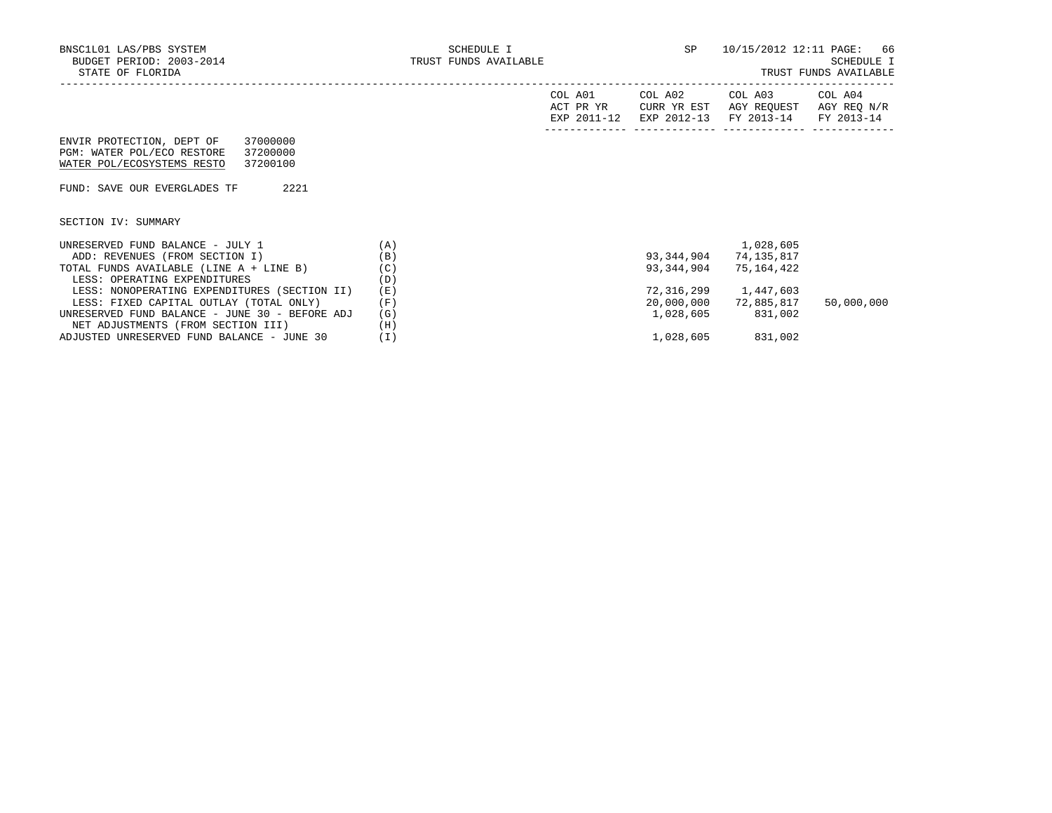TRUST FUNDS AVAILABLE

|                                                |     | COL A01<br>ACT PR YR<br>EXP 2011-12 | COL A02<br>CURR YR EST<br>EXP 2012-13 | COL A03<br>AGY REOUEST<br>FY 2013-14 | COL A04<br>AGY REO N/R<br>FY 2013-14 |
|------------------------------------------------|-----|-------------------------------------|---------------------------------------|--------------------------------------|--------------------------------------|
| 37000000<br>ENVIR PROTECTION, DEPT OF          |     |                                     |                                       |                                      |                                      |
| PGM: WATER POL/ECO RESTORE<br>37200000         |     |                                     |                                       |                                      |                                      |
| WATER POL/ECOSYSTEMS RESTO<br>37200100         |     |                                     |                                       |                                      |                                      |
|                                                |     |                                     |                                       |                                      |                                      |
| 2221<br>FUND: SAVE OUR EVERGLADES TF           |     |                                     |                                       |                                      |                                      |
|                                                |     |                                     |                                       |                                      |                                      |
| SECTION IV: SUMMARY                            |     |                                     |                                       |                                      |                                      |
| UNRESERVED FUND BALANCE - JULY 1               | (A) |                                     |                                       | 1,028,605                            |                                      |
| ADD: REVENUES (FROM SECTION I)                 | (B) |                                     | 93,344,904                            | 74,135,817                           |                                      |
| TOTAL FUNDS AVAILABLE (LINE A + LINE B)        | (C) |                                     | 93,344,904                            | 75,164,422                           |                                      |
| LESS: OPERATING EXPENDITURES                   | (D) |                                     |                                       |                                      |                                      |
| LESS: NONOPERATING EXPENDITURES (SECTION II)   | (E) |                                     | 72,316,299                            | 1,447,603                            |                                      |
| LESS: FIXED CAPITAL OUTLAY (TOTAL ONLY)        | (F) |                                     | 20,000,000                            | 72,885,817                           | 50,000,000                           |
| UNRESERVED FUND BALANCE - JUNE 30 - BEFORE ADJ | (G) |                                     | 1,028,605                             | 831,002                              |                                      |
| NET ADJUSTMENTS (FROM SECTION III)             | (H) |                                     |                                       |                                      |                                      |
| ADJUSTED UNRESERVED FUND BALANCE - JUNE 30     | (I) |                                     | 1,028,605                             | 831,002                              |                                      |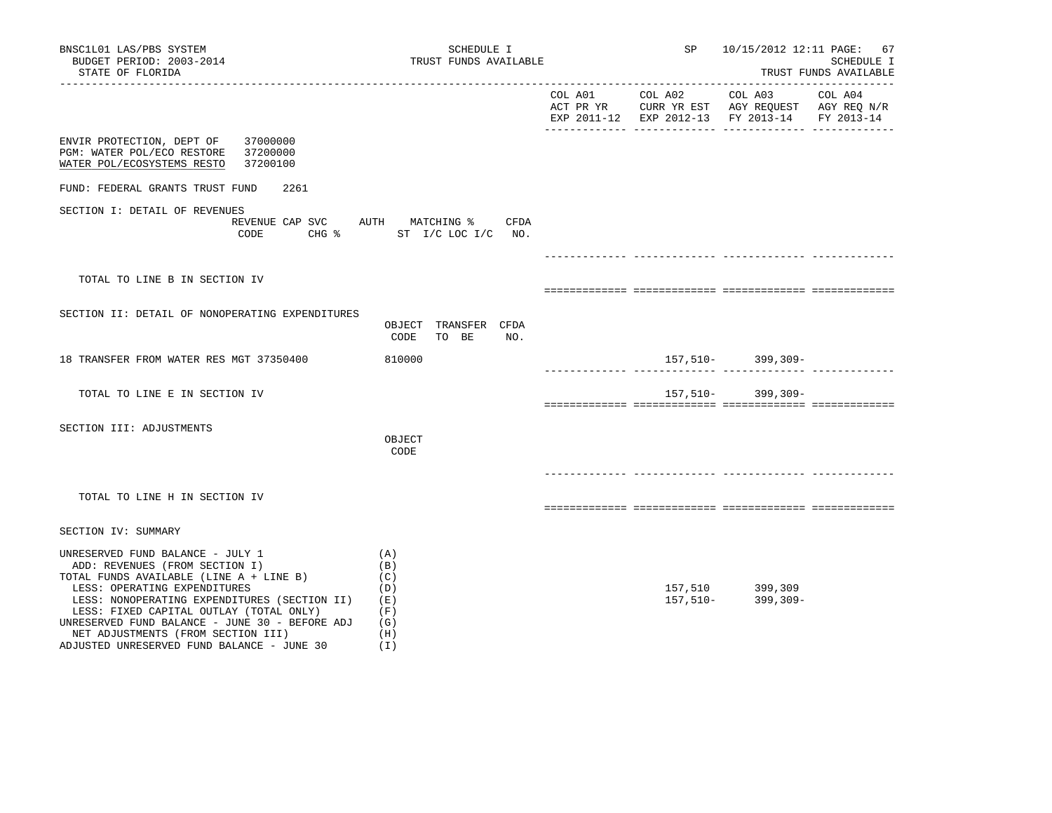| BNSC1L01 LAS/PBS SYSTEM<br>BUDGET PERIOD: 2003-2014<br>STATE OF FLORIDA                                                                                                                                                                                                                                                                                                        | TRUST FUNDS AVAILABLE                                                 | SP      | 10/15/2012 12:11 PAGE:<br>67<br>SCHEDULE I<br>TRUST FUNDS AVAILABLE |                                                                                                           |         |
|--------------------------------------------------------------------------------------------------------------------------------------------------------------------------------------------------------------------------------------------------------------------------------------------------------------------------------------------------------------------------------|-----------------------------------------------------------------------|---------|---------------------------------------------------------------------|-----------------------------------------------------------------------------------------------------------|---------|
|                                                                                                                                                                                                                                                                                                                                                                                |                                                                       | COL A01 | COL A02                                                             | COL A03<br>ACT PR YR CURR YR EST AGY REQUEST AGY REQ N/R<br>EXP 2011-12 EXP 2012-13 FY 2013-14 FY 2013-14 | COL A04 |
| 37000000<br>ENVIR PROTECTION, DEPT OF<br>37200000<br>PGM: WATER POL/ECO RESTORE<br>WATER POL/ECOSYSTEMS RESTO<br>37200100                                                                                                                                                                                                                                                      |                                                                       |         |                                                                     |                                                                                                           |         |
| FUND: FEDERAL GRANTS TRUST FUND<br>2261                                                                                                                                                                                                                                                                                                                                        |                                                                       |         |                                                                     |                                                                                                           |         |
| SECTION I: DETAIL OF REVENUES                                                                                                                                                                                                                                                                                                                                                  | REVENUE CAP SVC AUTH MATCHING % CFDA<br>CODE CHG % ST I/C LOC I/C NO. |         |                                                                     |                                                                                                           |         |
|                                                                                                                                                                                                                                                                                                                                                                                |                                                                       |         |                                                                     |                                                                                                           |         |
| TOTAL TO LINE B IN SECTION IV                                                                                                                                                                                                                                                                                                                                                  |                                                                       |         |                                                                     |                                                                                                           |         |
|                                                                                                                                                                                                                                                                                                                                                                                |                                                                       |         |                                                                     |                                                                                                           |         |
| SECTION II: DETAIL OF NONOPERATING EXPENDITURES                                                                                                                                                                                                                                                                                                                                | OBJECT TRANSFER CFDA<br>CODE<br>TO BE<br>NO.                          |         |                                                                     |                                                                                                           |         |
| 18 TRANSFER FROM WATER RES MGT 37350400                                                                                                                                                                                                                                                                                                                                        | 810000                                                                |         |                                                                     | $157,510-$ 399,309-                                                                                       |         |
| TOTAL TO LINE E IN SECTION IV                                                                                                                                                                                                                                                                                                                                                  |                                                                       |         |                                                                     | $157,510-$ 399,309-                                                                                       |         |
| SECTION III: ADJUSTMENTS                                                                                                                                                                                                                                                                                                                                                       | OBJECT<br>CODE                                                        |         |                                                                     |                                                                                                           |         |
|                                                                                                                                                                                                                                                                                                                                                                                |                                                                       |         |                                                                     |                                                                                                           |         |
| TOTAL TO LINE H IN SECTION IV                                                                                                                                                                                                                                                                                                                                                  |                                                                       |         |                                                                     |                                                                                                           |         |
| SECTION IV: SUMMARY                                                                                                                                                                                                                                                                                                                                                            |                                                                       |         |                                                                     |                                                                                                           |         |
| UNRESERVED FUND BALANCE - JULY 1<br>ADD: REVENUES (FROM SECTION I)<br>TOTAL FUNDS AVAILABLE (LINE A + LINE B)<br>LESS: OPERATING EXPENDITURES<br>LESS: NONOPERATING EXPENDITURES (SECTION II)<br>LESS: FIXED CAPITAL OUTLAY (TOTAL ONLY)<br>UNRESERVED FUND BALANCE - JUNE 30 - BEFORE ADJ<br>NET ADJUSTMENTS (FROM SECTION III)<br>ADJUSTED UNRESERVED FUND BALANCE - JUNE 30 | (A)<br>(B)<br>(C)<br>(D)<br>(E)<br>(F)<br>(G)<br>(H)<br>(I)           |         | 157,510<br>157,510-                                                 | 399,309<br>399,309-                                                                                       |         |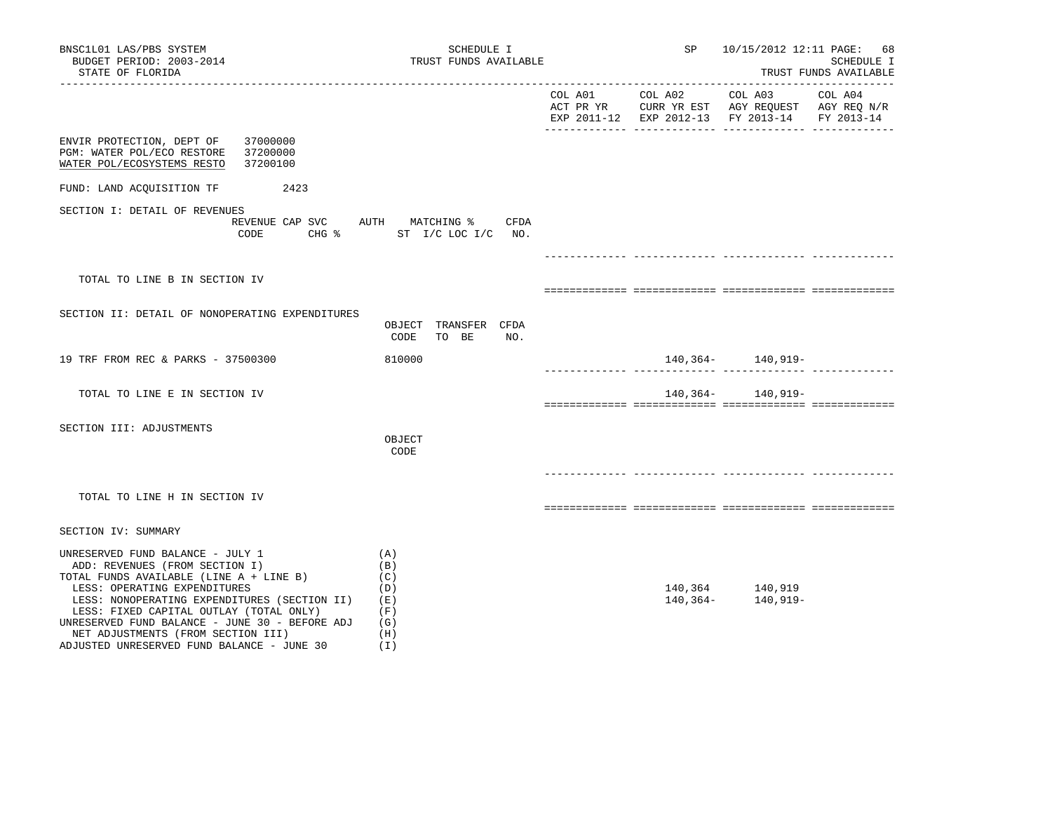| BNSC1L01 LAS/PBS SYSTEM<br>BUDGET PERIOD: 2003-2014<br>STATE OF FLORIDA                                                                                                                                                                                                                                                                                                        | SCHEDULE I<br>TRUST FUNDS AVAILABLE                         |  | SP 10/15/2012 12:11 PAGE: 68                  | SCHEDULE I<br>TRUST FUNDS AVAILABLE |
|--------------------------------------------------------------------------------------------------------------------------------------------------------------------------------------------------------------------------------------------------------------------------------------------------------------------------------------------------------------------------------|-------------------------------------------------------------|--|-----------------------------------------------|-------------------------------------|
|                                                                                                                                                                                                                                                                                                                                                                                |                                                             |  | EXP 2011-12 EXP 2012-13 FY 2013-14 FY 2013-14 |                                     |
| ENVIR PROTECTION, DEPT OF<br>37000000<br>PGM: WATER POL/ECO RESTORE<br>37200000<br>WATER POL/ECOSYSTEMS RESTO<br>37200100                                                                                                                                                                                                                                                      |                                                             |  |                                               |                                     |
| FUND: LAND ACQUISITION TF<br>2423                                                                                                                                                                                                                                                                                                                                              |                                                             |  |                                               |                                     |
| SECTION I: DETAIL OF REVENUES<br>REVENUE CAP SVC AUTH MATCHING % CFDA<br>CODE                                                                                                                                                                                                                                                                                                  | CHG % ST I/C LOC I/C NO.                                    |  |                                               |                                     |
| TOTAL TO LINE B IN SECTION IV                                                                                                                                                                                                                                                                                                                                                  |                                                             |  |                                               |                                     |
| SECTION II: DETAIL OF NONOPERATING EXPENDITURES                                                                                                                                                                                                                                                                                                                                | OBJECT TRANSFER CFDA<br>CODE TO BE<br>NO.                   |  |                                               |                                     |
| 19 TRF FROM REC & PARKS - 37500300                                                                                                                                                                                                                                                                                                                                             | 810000                                                      |  | 140,364- 140,919-                             |                                     |
| TOTAL TO LINE E IN SECTION IV                                                                                                                                                                                                                                                                                                                                                  |                                                             |  | 140,364- 140,919-                             |                                     |
| SECTION III: ADJUSTMENTS                                                                                                                                                                                                                                                                                                                                                       | OBJECT<br>CODE                                              |  |                                               |                                     |
| TOTAL TO LINE H IN SECTION IV                                                                                                                                                                                                                                                                                                                                                  |                                                             |  |                                               |                                     |
| SECTION IV: SUMMARY                                                                                                                                                                                                                                                                                                                                                            |                                                             |  |                                               |                                     |
| UNRESERVED FUND BALANCE - JULY 1<br>ADD: REVENUES (FROM SECTION I)<br>TOTAL FUNDS AVAILABLE (LINE A + LINE B)<br>LESS: OPERATING EXPENDITURES<br>LESS: NONOPERATING EXPENDITURES (SECTION II)<br>LESS: FIXED CAPITAL OUTLAY (TOTAL ONLY)<br>UNRESERVED FUND BALANCE - JUNE 30 - BEFORE ADJ<br>NET ADJUSTMENTS (FROM SECTION III)<br>ADJUSTED UNRESERVED FUND BALANCE - JUNE 30 | (A)<br>(B)<br>(C)<br>(D)<br>(E)<br>(F)<br>(G)<br>(H)<br>(I) |  | 140,364 140,919<br>140,364- 140,919-          |                                     |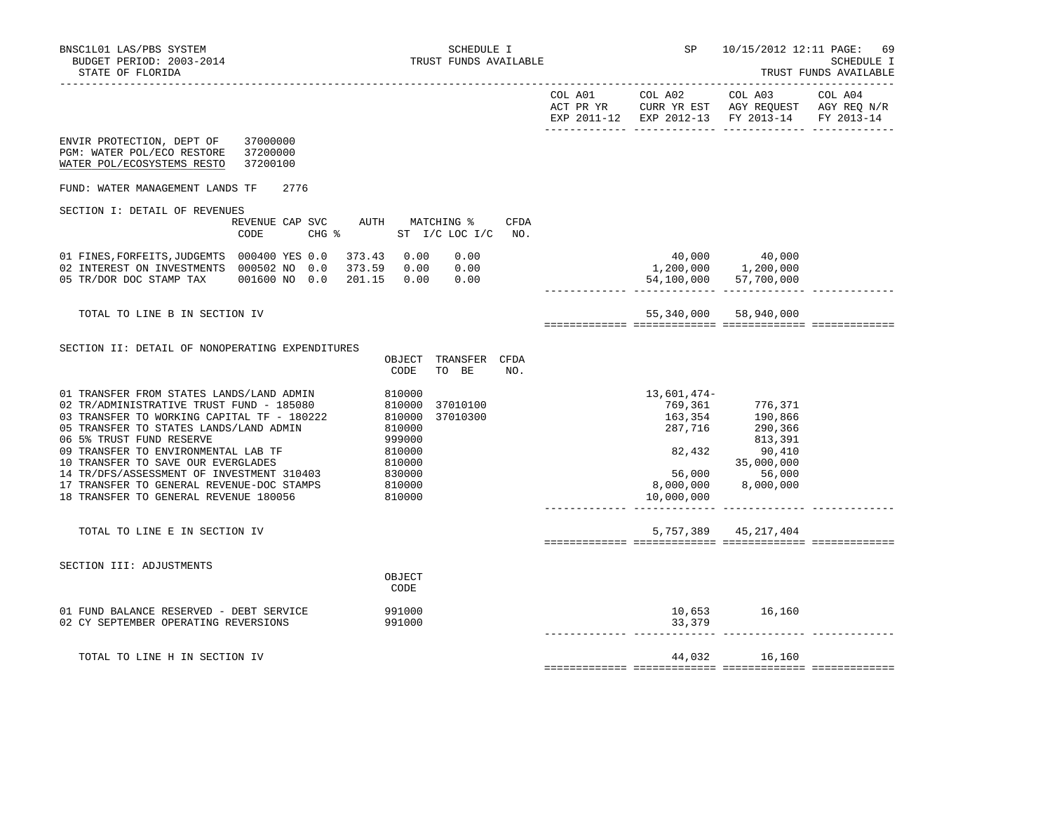|                                                                                                                                                                                                                                                                                                                                                                                                                                                                                                                                                      |      | EXP 2011-12 EXP 2012-13 FY 2013-14                                            |                                                                                                                 | FY 2013-14 |
|------------------------------------------------------------------------------------------------------------------------------------------------------------------------------------------------------------------------------------------------------------------------------------------------------------------------------------------------------------------------------------------------------------------------------------------------------------------------------------------------------------------------------------------------------|------|-------------------------------------------------------------------------------|-----------------------------------------------------------------------------------------------------------------|------------|
| 37000000<br>ENVIR PROTECTION, DEPT OF<br>PGM: WATER POL/ECO RESTORE<br>37200000<br>WATER POL/ECOSYSTEMS RESTO<br>37200100                                                                                                                                                                                                                                                                                                                                                                                                                            |      |                                                                               |                                                                                                                 |            |
| FUND: WATER MANAGEMENT LANDS TF<br>2776                                                                                                                                                                                                                                                                                                                                                                                                                                                                                                              |      |                                                                               |                                                                                                                 |            |
| SECTION I: DETAIL OF REVENUES                                                                                                                                                                                                                                                                                                                                                                                                                                                                                                                        |      |                                                                               |                                                                                                                 |            |
| REVENUE CAP SVC<br>AUTH MATCHING %<br>CODE<br>CHG % ST I/C LOC I/C NO.                                                                                                                                                                                                                                                                                                                                                                                                                                                                               | CFDA |                                                                               |                                                                                                                 |            |
| 01 FINES, FORFEITS, JUDGEMTS 000400 YES 0.0 373.43 0.00 0.00<br>02 INTEREST ON INVESTMENTS 000502 NO 0.0 373.59 0.00 0.00<br>201.15  0.00  0.00<br>05 TR/DOR DOC STAMP TAX 001600 NO 0.0                                                                                                                                                                                                                                                                                                                                                             |      | $40,000$ $40,000$<br>$1,200,000$ $1,200,000$<br>. 2222222222222 2222222222222 | 54,100,000 57,700,000                                                                                           |            |
| TOTAL TO LINE B IN SECTION IV                                                                                                                                                                                                                                                                                                                                                                                                                                                                                                                        |      |                                                                               | 55,340,000 58,940,000                                                                                           |            |
|                                                                                                                                                                                                                                                                                                                                                                                                                                                                                                                                                      |      |                                                                               |                                                                                                                 |            |
| SECTION II: DETAIL OF NONOPERATING EXPENDITURES                                                                                                                                                                                                                                                                                                                                                                                                                                                                                                      |      |                                                                               |                                                                                                                 |            |
| OBJECT<br>TRANSFER CFDA<br>CODE<br>TO BE<br>NO.                                                                                                                                                                                                                                                                                                                                                                                                                                                                                                      |      |                                                                               |                                                                                                                 |            |
| 810000<br>01 TRANSFER FROM STATES LANDS/LAND ADMIN<br>02 TR/ADMINISTRATIVE TRUST FUND - 185080<br>37010100<br>810000<br>810000<br>37010300<br>03 TRANSFER TO WORKING CAPITAL TF - 180222<br>810000<br>05 TRANSFER TO STATES LANDS/LAND ADMIN<br>999000<br>810000<br>06 5% TRUST FUND RESERVE<br>09 TRANSFER TO ENVIRONMENTAL LAB TF<br>10 TRANSFER TO SAVE OUR EVERGLADES<br>810000<br>830000<br>14 TR/DFS/ASSESSMENT OF INVESTMENT 310403<br>17 TRANSFER TO GENERAL REVENUE-DOC STAMPS<br>810000<br>18 TRANSFER TO GENERAL REVENUE 180056<br>810000 |      | 13,601,474-<br>769,361<br>163,354<br>287,716<br>8,000,000<br>10,000,000       | 776,371<br>190,866<br>290,366<br>813,391<br>82,432 90,410<br>35,000,000<br>56,000 56,000<br>3,000,000 8,000,000 |            |
| TOTAL TO LINE E IN SECTION IV                                                                                                                                                                                                                                                                                                                                                                                                                                                                                                                        |      |                                                                               | 5, 757, 389 45, 217, 404                                                                                        |            |
| SECTION III: ADJUSTMENTS                                                                                                                                                                                                                                                                                                                                                                                                                                                                                                                             |      |                                                                               |                                                                                                                 |            |
| OBJECT<br>CODE                                                                                                                                                                                                                                                                                                                                                                                                                                                                                                                                       |      |                                                                               |                                                                                                                 |            |
| 01 FUND BALANCE RESERVED - DEBT SERVICE<br>991000<br>991000<br>02 CY SEPTEMBER OPERATING REVERSIONS                                                                                                                                                                                                                                                                                                                                                                                                                                                  |      | 33,379                                                                        | 10,653 16,160                                                                                                   |            |
| TOTAL TO LINE H IN SECTION IV                                                                                                                                                                                                                                                                                                                                                                                                                                                                                                                        |      |                                                                               | 44,032 16,160                                                                                                   |            |
|                                                                                                                                                                                                                                                                                                                                                                                                                                                                                                                                                      |      |                                                                               |                                                                                                                 |            |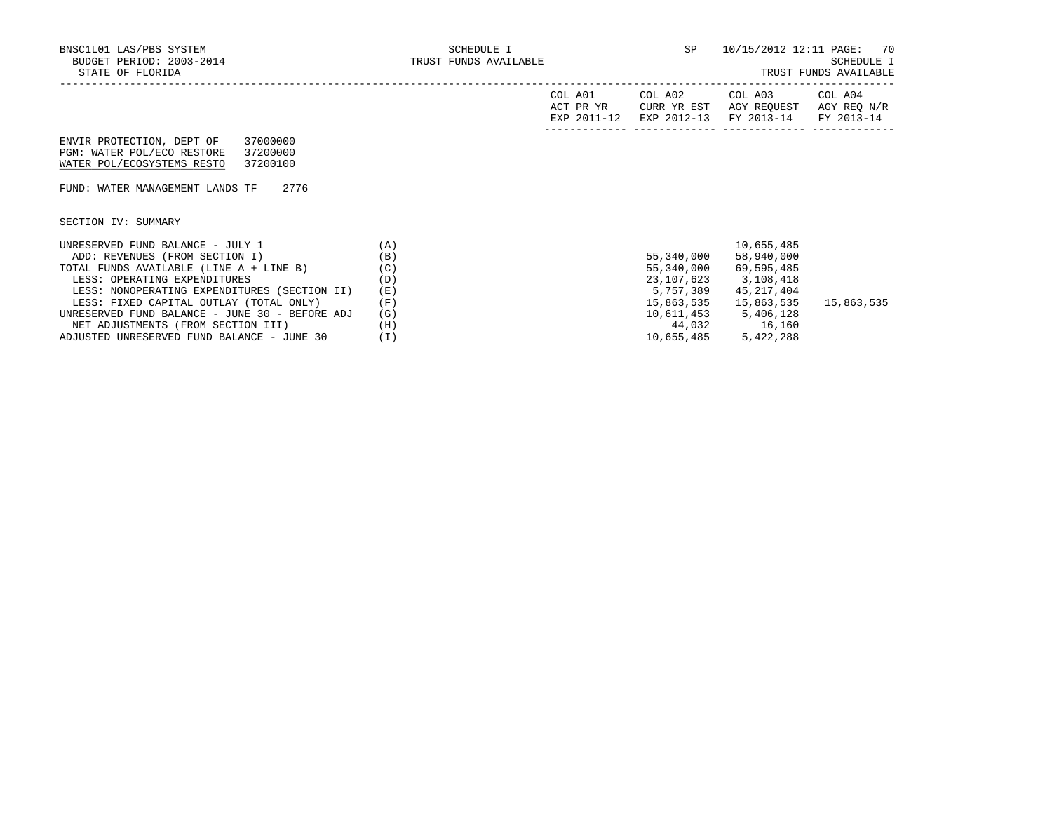| A01<br>COL<br>ACT PR YR<br>201<br>FYD | COL A02<br>CURR YR EST<br>$2012 - 12$<br>FYL | COL A03<br>AGY<br>REOUEST<br>$2013 - 14$<br><b>FV</b> | A04<br>∩П.<br>AGY REQ N/R<br>$2013 - 14$<br><b>FV</b> |
|---------------------------------------|----------------------------------------------|-------------------------------------------------------|-------------------------------------------------------|
|                                       |                                              |                                                       |                                                       |

 ENVIR PROTECTION, DEPT OF 37000000 PGM: WATER POL/ECO RESTORE 37200000 WATER POL/ECOSYSTEMS RESTO 37200100

FUND: WATER MANAGEMENT LANDS TF 2776

SECTION IV: SUMMARY

| UNRESERVED FUND BALANCE - JULY 1               | $\mathbf{A}$ |            | 10,655,485 |            |
|------------------------------------------------|--------------|------------|------------|------------|
| ADD: REVENUES (FROM SECTION I)                 | (B)          | 55,340,000 | 58,940,000 |            |
| TOTAL FUNDS AVAILABLE (LINE A + LINE B)        | (C)          | 55,340,000 | 69,595,485 |            |
| LESS: OPERATING EXPENDITURES                   | (D)          | 23,107,623 | 3,108,418  |            |
| LESS: NONOPERATING EXPENDITURES (SECTION II)   | (E)          | 5,757,389  | 45,217,404 |            |
| LESS: FIXED CAPITAL OUTLAY (TOTAL ONLY)        | (F)          | 15,863,535 | 15,863,535 | 15,863,535 |
| UNRESERVED FUND BALANCE - JUNE 30 - BEFORE ADJ | (G)          | 10,611,453 | 5,406,128  |            |
| NET ADJUSTMENTS (FROM SECTION III)             | (H)          | 44,032     | 16,160     |            |
| ADJUSTED UNRESERVED FUND BALANCE - JUNE 30     |              | 10,655,485 | 5,422,288  |            |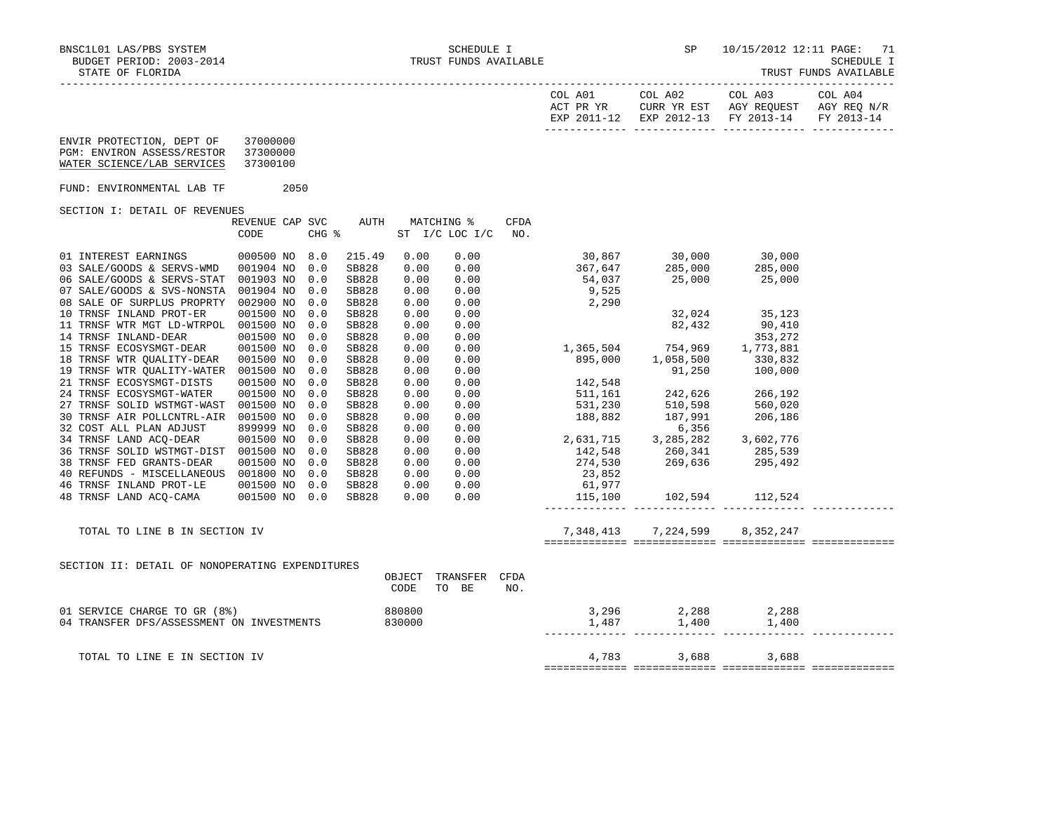|                                                                                                                                                                                                                                                                                                                                                                                                                                                                                                                                                                                                                                                                                                                                                                                                                                                                                                                                                                                           |                                         |                                                                                         |                                                                                                                                                                                                     |                                                                                              |                                                                                                                                                                                                                                |      |       | EXP 2011-12 EXP 2012-13 FY 2013-14 FY 2013-14                                                                                                                                                                                                                                                                                                                                                                                                                                                                                                                                                                                                                               |  |
|-------------------------------------------------------------------------------------------------------------------------------------------------------------------------------------------------------------------------------------------------------------------------------------------------------------------------------------------------------------------------------------------------------------------------------------------------------------------------------------------------------------------------------------------------------------------------------------------------------------------------------------------------------------------------------------------------------------------------------------------------------------------------------------------------------------------------------------------------------------------------------------------------------------------------------------------------------------------------------------------|-----------------------------------------|-----------------------------------------------------------------------------------------|-----------------------------------------------------------------------------------------------------------------------------------------------------------------------------------------------------|----------------------------------------------------------------------------------------------|--------------------------------------------------------------------------------------------------------------------------------------------------------------------------------------------------------------------------------|------|-------|-----------------------------------------------------------------------------------------------------------------------------------------------------------------------------------------------------------------------------------------------------------------------------------------------------------------------------------------------------------------------------------------------------------------------------------------------------------------------------------------------------------------------------------------------------------------------------------------------------------------------------------------------------------------------------|--|
| ENVIR PROTECTION, DEPT OF 37000000<br>PGM: ENVIRON ASSESS/RESTOR 37300000<br>WATER SCIENCE/LAB SERVICES                                                                                                                                                                                                                                                                                                                                                                                                                                                                                                                                                                                                                                                                                                                                                                                                                                                                                   | 37300100                                |                                                                                         |                                                                                                                                                                                                     |                                                                                              |                                                                                                                                                                                                                                |      |       |                                                                                                                                                                                                                                                                                                                                                                                                                                                                                                                                                                                                                                                                             |  |
| FUND: ENVIRONMENTAL LAB TF 2050                                                                                                                                                                                                                                                                                                                                                                                                                                                                                                                                                                                                                                                                                                                                                                                                                                                                                                                                                           |                                         |                                                                                         |                                                                                                                                                                                                     |                                                                                              |                                                                                                                                                                                                                                |      |       |                                                                                                                                                                                                                                                                                                                                                                                                                                                                                                                                                                                                                                                                             |  |
| SECTION I: DETAIL OF REVENUES                                                                                                                                                                                                                                                                                                                                                                                                                                                                                                                                                                                                                                                                                                                                                                                                                                                                                                                                                             |                                         |                                                                                         |                                                                                                                                                                                                     |                                                                                              |                                                                                                                                                                                                                                |      |       |                                                                                                                                                                                                                                                                                                                                                                                                                                                                                                                                                                                                                                                                             |  |
|                                                                                                                                                                                                                                                                                                                                                                                                                                                                                                                                                                                                                                                                                                                                                                                                                                                                                                                                                                                           | REVENUE CAP SVC AUTH MATCHING %<br>CODE | CHG %                                                                                   |                                                                                                                                                                                                     |                                                                                              | ST I/C LOC I/C NO.                                                                                                                                                                                                             | CFDA |       |                                                                                                                                                                                                                                                                                                                                                                                                                                                                                                                                                                                                                                                                             |  |
| 01 INTEREST EARNINGS 000500 NO 8.0<br>03 SALE/GOODS & SERVS-WMD 001904 NO 0.0<br>06 SALE/GOODS & SERVS-STAT 001903 NO 0.0<br>07 SALE/GOODS & SVS-NONSTA 001904 NO<br>08 SALE OF SURPLUS PROPRTY 002900 NO<br>10 TRNSF INLAND PROT-ER<br>11 TRNSF WTR MGT LD-WTRPOL 001500 NO<br>$\begin{tabular}{llll} 14 & \texttt{TRNSF} & \texttt{INLAND-DEAR} & & 001500 & \texttt{NO}\\ 15 & \texttt{TRNSF} & \texttt{ECOSYSMGT-DEAR} & & 001500 & \texttt{NO} \end{tabular}$<br>18 TRNSF WTR QUALITY-DEAR 001500 NO<br>19 TRNSF WTR QUALITY-WATER 001500 NO<br>21 TRNSF ECOSYSMGT-DISTS<br>24 TRNSF ECOSYSMGT-WATER<br>27 TRNSF SOLID WSTMGT-WAST 001500 NO<br>30 TRNSF AIR POLLCNTRL-AIR 001500 NO<br>32 COST ALL PLAN ADJUST 899999 NO<br>34 TRNSF LAND ACQ-DEAR 001500 NO 0.0<br>36 TRNSF SOLID WSTMGT-DIST 001500 NO 0.0<br>38 TRNSF FED GRANTS-DEAR 001500 NO 0.0<br>40 REFUNDS - MISCELLANEOUS 001800 NO 0.0<br>46 TRNSF INLAND PROT-LE 001500 NO 0.0<br>48 TRNSF LAND ACQ-CAMA 001500 NO 0.0 | 001500 NO<br>001500 NO<br>001500 NO     | 0.0<br>0.0<br>0.0<br>0.0<br>0.0<br>0.0<br>0.0<br>0.0<br>0.0<br>0.0<br>0.0<br>0.0<br>0.0 | 215.49<br>SB828<br>SB828<br>SB828<br>SB828<br>SB828<br>SB828<br>SB828<br>SB828<br>SB828<br>SB828<br>SB828<br>SB828<br>SB828<br>SB828<br>SB828<br>SB828<br>SB828<br>SB828<br>SB828<br>SB828<br>SB828 | 0.00<br>0.00<br>0.00<br>0.00<br>0.00<br>0.00<br>0.00<br>0.00<br>0.00<br>0.00<br>0.00<br>0.00 | 0.00<br>$\begin{array}{cccc} 0.00 & 0.00 \ 0.00 & 0.00 \ 0.00 & 0.00 \ 0.00 & 0.00 \end{array}$<br>0.00<br>$\begin{array}{cccc} 0.00 & 0.00 \ 0.00 & 0.00 \ 0.00 & 0.00 \ 0.00 & 0.00 \ 0.00 & 0.00 \ 0.00 & 0.00 \end{array}$ |      | 2,290 | $30,867$ $30,000$ $30,000$<br>$367,647$ $285,000$ $285,000$<br>$54,037$ $25,000$ $25,000$<br>$9,525$<br>$\begin{array}{cccc} 0.00 & 2,290 \\ 0.00 & 32,024 & 35,123 \\ 0.00 & 82,432 & 90,410 \\ 0.00 & 353,272 \\ 0.00 & 353,272 \\ 0.00 & 895,000 & 1,058,500 & 330,832 \\ 0.00 & 91,250 & 100,000 \\ 0.00 & 142,548 & 900 \\ 0.00 & 142,548 & 242,626 & 266,192 \\ 0.00 & 531,230 &$<br>$\begin{array}{cccccccc} 0.00 & 0.00 & 0.00 & 0.00 & 0.00 & 0.00 & 0.00 & 0.00 & 0.00 & 0.00 & 0.00 & 0.00 & 0.00 & 0.00 & 0.00 & 0.00 & 0.00 & 0.00 & 0.00 & 0.00 & 0.00 & 0.00 & 0.00 & 0.00 & 0.00 & 0.00 & 0.00 & 0.00 & 0.00 & 0.00 & 0.00 & 0.00 & 0.00 & 0.00 & 0.00 & 0$ |  |
| TOTAL TO LINE B IN SECTION IV                                                                                                                                                                                                                                                                                                                                                                                                                                                                                                                                                                                                                                                                                                                                                                                                                                                                                                                                                             |                                         |                                                                                         |                                                                                                                                                                                                     |                                                                                              |                                                                                                                                                                                                                                |      |       | 7,348,413 7,224,599 8,352,247                                                                                                                                                                                                                                                                                                                                                                                                                                                                                                                                                                                                                                               |  |
|                                                                                                                                                                                                                                                                                                                                                                                                                                                                                                                                                                                                                                                                                                                                                                                                                                                                                                                                                                                           |                                         |                                                                                         |                                                                                                                                                                                                     |                                                                                              |                                                                                                                                                                                                                                |      |       |                                                                                                                                                                                                                                                                                                                                                                                                                                                                                                                                                                                                                                                                             |  |
| SECTION II: DETAIL OF NONOPERATING EXPENDITURES                                                                                                                                                                                                                                                                                                                                                                                                                                                                                                                                                                                                                                                                                                                                                                                                                                                                                                                                           |                                         |                                                                                         |                                                                                                                                                                                                     | CODE                                                                                         | OBJECT TRANSFER CFDA<br>TO BE                                                                                                                                                                                                  | NO.  |       |                                                                                                                                                                                                                                                                                                                                                                                                                                                                                                                                                                                                                                                                             |  |
| 01 SERVICE CHARGE TO GR (8%)<br>04 TRANSFER DFS/ASSESSMENT ON INVESTMENTS 830000                                                                                                                                                                                                                                                                                                                                                                                                                                                                                                                                                                                                                                                                                                                                                                                                                                                                                                          |                                         |                                                                                         | 880800                                                                                                                                                                                              |                                                                                              |                                                                                                                                                                                                                                |      |       | $\begin{array}{ccc} 3\,,296 & \quad & 2\,,288 & \quad & 2\,,288 \\ 1\,,487 & \quad & 1\,,400 & \quad & 1\,,400 \end{array}$                                                                                                                                                                                                                                                                                                                                                                                                                                                                                                                                                 |  |
| TOTAL TO LINE E IN SECTION IV                                                                                                                                                                                                                                                                                                                                                                                                                                                                                                                                                                                                                                                                                                                                                                                                                                                                                                                                                             |                                         |                                                                                         |                                                                                                                                                                                                     |                                                                                              |                                                                                                                                                                                                                                |      |       | 4,783 3,688 3,688                                                                                                                                                                                                                                                                                                                                                                                                                                                                                                                                                                                                                                                           |  |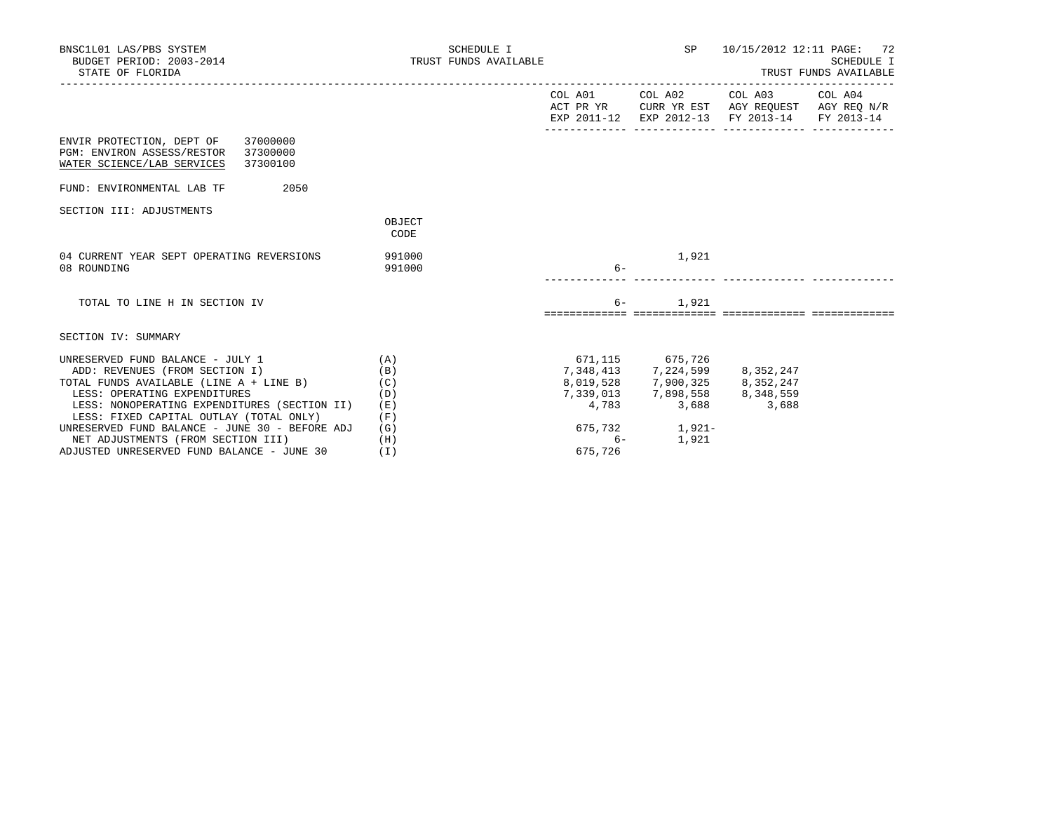| BNSC1L01 LAS/PBS SYSTEM<br>BUDGET PERIOD: 2003-2014<br>STATE OF FLORIDA                                                                                                                                                                         | SCHEDULE I                      | TRUST FUNDS AVAILABLE    |                                                                                                          |                                                                                                                                   | 10/15/2012 12:11 PAGE: 72<br>SCHEDULE I<br>TRUST FUNDS AVAILABLE |  |  |
|-------------------------------------------------------------------------------------------------------------------------------------------------------------------------------------------------------------------------------------------------|---------------------------------|--------------------------|----------------------------------------------------------------------------------------------------------|-----------------------------------------------------------------------------------------------------------------------------------|------------------------------------------------------------------|--|--|
|                                                                                                                                                                                                                                                 |                                 |                          |                                                                                                          | COL A01 COL A02 COL A03 COL A04<br>ACT PR YR CURR YR EST AGY REQUEST AGY REQ N/R<br>EXP 2011-12 EXP 2012-13 FY 2013-14 FY 2013-14 |                                                                  |  |  |
| ENVIR PROTECTION, DEPT OF 37000000<br>PGM: ENVIRON ASSESS/RESTOR 37300000<br>WATER SCIENCE/LAB SERVICES<br>37300100                                                                                                                             |                                 |                          |                                                                                                          |                                                                                                                                   |                                                                  |  |  |
| FUND: ENVIRONMENTAL LAB TF<br>2050                                                                                                                                                                                                              |                                 |                          |                                                                                                          |                                                                                                                                   |                                                                  |  |  |
| SECTION III: ADJUSTMENTS                                                                                                                                                                                                                        | OBJECT<br>CODE                  |                          |                                                                                                          |                                                                                                                                   |                                                                  |  |  |
| 04 CURRENT YEAR SEPT OPERATING REVERSIONS<br>08 ROUNDING                                                                                                                                                                                        | 991000<br>991000                | $6-$                     | 1,921                                                                                                    |                                                                                                                                   |                                                                  |  |  |
| TOTAL TO LINE H IN SECTION IV                                                                                                                                                                                                                   |                                 | $6-$                     | 1,921                                                                                                    |                                                                                                                                   |                                                                  |  |  |
| SECTION IV: SUMMARY                                                                                                                                                                                                                             |                                 |                          |                                                                                                          |                                                                                                                                   |                                                                  |  |  |
| UNRESERVED FUND BALANCE - JULY 1<br>ADD: REVENUES (FROM SECTION I)<br>TOTAL FUNDS AVAILABLE (LINE $A + LINE B$ ) (C)<br>LESS: OPERATING EXPENDITURES<br>LESS: NONOPERATING EXPENDITURES (SECTION II)<br>LESS: FIXED CAPITAL OUTLAY (TOTAL ONLY) | (A)<br>(B)<br>(D)<br>(E)<br>(F) | 671,115 675,726<br>4,783 | 7,348,413 7,224,599 8,352,247<br>8,019,528 7,900,325 8,352,247<br>7,339,013 7,898,558 8,348,559<br>3,688 | 3,688                                                                                                                             |                                                                  |  |  |
| UNRESERVED FUND BALANCE - JUNE 30 - BEFORE ADJ<br>NET ADJUSTMENTS (FROM SECTION III)<br>ADJUSTED UNRESERVED FUND BALANCE - JUNE 30                                                                                                              | (G)<br>(H)<br>(1)               | $6-$<br>675,726          | 675,732 1,921-<br>1,921                                                                                  |                                                                                                                                   |                                                                  |  |  |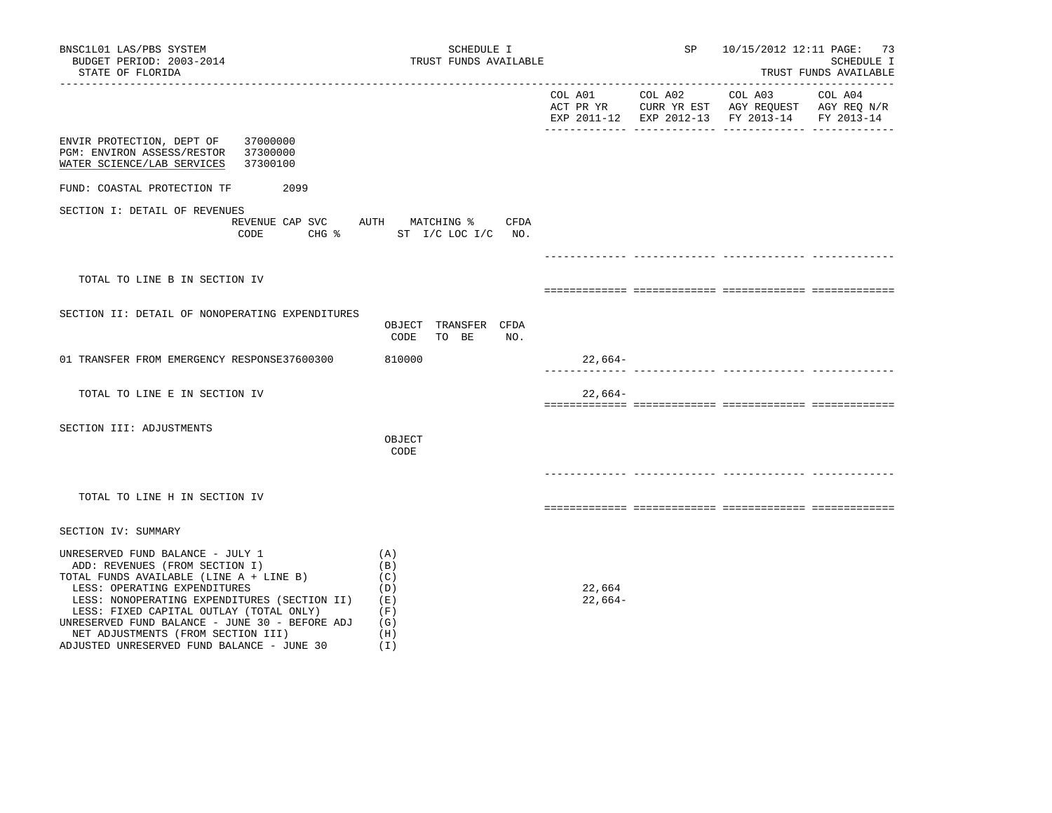| BNSC1L01 LAS/PBS SYSTEM<br>BUDGET PERIOD: 2003-2014<br>STATE OF FLORIDA                                                                                                                                                                                                                                                                                                        | SCHEDULE I<br>TRUST FUNDS AVAILABLE                         |                     | SP      | 10/15/2012 12:11 PAGE: 73                                                                                           | SCHEDULE I<br>TRUST FUNDS AVAILABLE |
|--------------------------------------------------------------------------------------------------------------------------------------------------------------------------------------------------------------------------------------------------------------------------------------------------------------------------------------------------------------------------------|-------------------------------------------------------------|---------------------|---------|---------------------------------------------------------------------------------------------------------------------|-------------------------------------|
|                                                                                                                                                                                                                                                                                                                                                                                |                                                             | COL A01             | COL A02 | COL A03<br>ACT PR YR $\,$ CURR YR EST $\,$ AGY REQUEST $\,$ AGY REQ $\rm N/R$<br>EXP 2011-12 EXP 2012-13 FY 2013-14 | COL A04<br>FY 2013-14               |
| ENVIR PROTECTION, DEPT OF<br>37000000<br>PGM: ENVIRON ASSESS/RESTOR<br>37300000<br>WATER SCIENCE/LAB SERVICES<br>37300100                                                                                                                                                                                                                                                      |                                                             |                     |         |                                                                                                                     |                                     |
| FUND: COASTAL PROTECTION TF<br>2099                                                                                                                                                                                                                                                                                                                                            |                                                             |                     |         |                                                                                                                     |                                     |
| SECTION I: DETAIL OF REVENUES<br>REVENUE CAP SVC<br>CODE                                                                                                                                                                                                                                                                                                                       | AUTH MATCHING %<br>CFDA<br>CHG % ST I/C LOC I/C NO.         |                     |         |                                                                                                                     |                                     |
|                                                                                                                                                                                                                                                                                                                                                                                |                                                             |                     |         |                                                                                                                     |                                     |
| TOTAL TO LINE B IN SECTION IV                                                                                                                                                                                                                                                                                                                                                  |                                                             |                     |         |                                                                                                                     |                                     |
| SECTION II: DETAIL OF NONOPERATING EXPENDITURES                                                                                                                                                                                                                                                                                                                                | OBJECT TRANSFER CFDA<br>CODE<br>TO BE<br>NO.                |                     |         |                                                                                                                     |                                     |
| 01 TRANSFER FROM EMERGENCY RESPONSE37600300                                                                                                                                                                                                                                                                                                                                    | 810000                                                      | $22,664-$           |         |                                                                                                                     |                                     |
| TOTAL TO LINE E IN SECTION IV                                                                                                                                                                                                                                                                                                                                                  |                                                             | $22,664-$           |         |                                                                                                                     |                                     |
| SECTION III: ADJUSTMENTS                                                                                                                                                                                                                                                                                                                                                       | OBJECT<br>CODE                                              |                     |         |                                                                                                                     |                                     |
| TOTAL TO LINE H IN SECTION IV                                                                                                                                                                                                                                                                                                                                                  |                                                             |                     |         |                                                                                                                     |                                     |
| SECTION IV: SUMMARY                                                                                                                                                                                                                                                                                                                                                            |                                                             |                     |         |                                                                                                                     |                                     |
| UNRESERVED FUND BALANCE - JULY 1<br>ADD: REVENUES (FROM SECTION I)<br>TOTAL FUNDS AVAILABLE (LINE A + LINE B)<br>LESS: OPERATING EXPENDITURES<br>LESS: NONOPERATING EXPENDITURES (SECTION II)<br>LESS: FIXED CAPITAL OUTLAY (TOTAL ONLY)<br>UNRESERVED FUND BALANCE - JUNE 30 - BEFORE ADJ<br>NET ADJUSTMENTS (FROM SECTION III)<br>ADJUSTED UNRESERVED FUND BALANCE - JUNE 30 | (A)<br>(B)<br>(C)<br>(D)<br>(E)<br>(F)<br>(G)<br>(H)<br>(1) | 22,664<br>$22,664-$ |         |                                                                                                                     |                                     |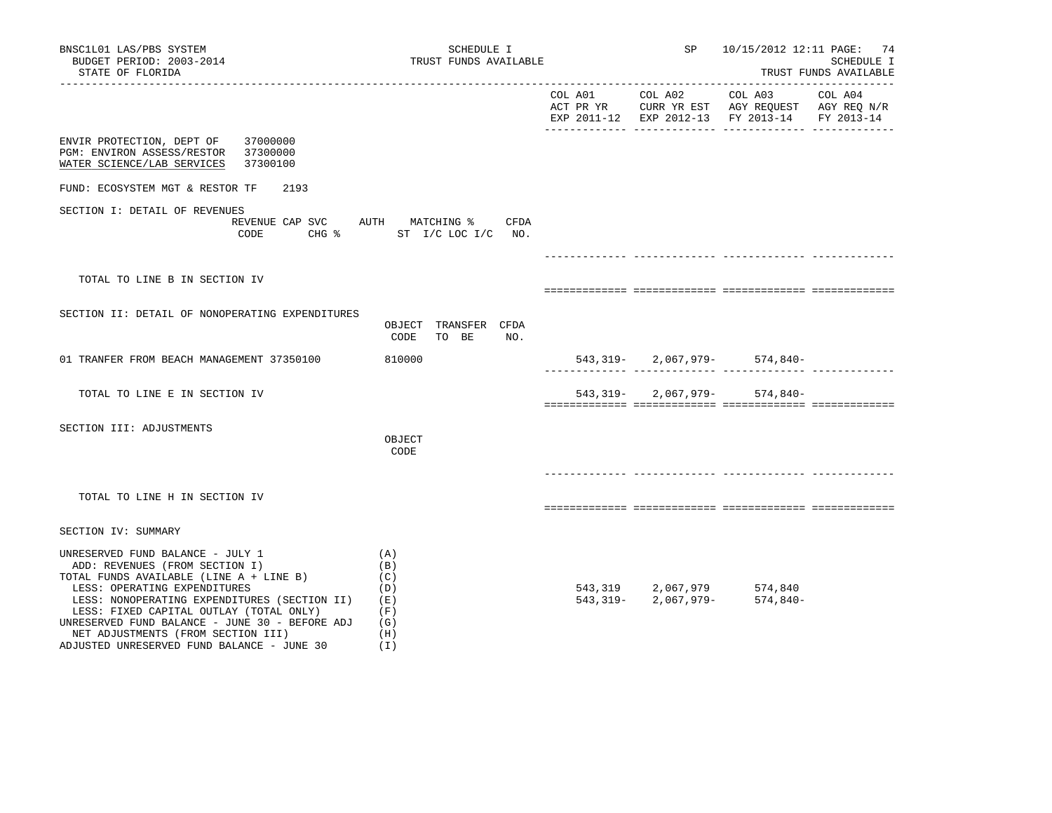| BNSC1L01 LAS/PBS SYSTEM<br>BUDGET PERIOD: 2003-2014<br>STATE OF FLORIDA                                                                                                                                                                                                                                                                                                        | SCHEDULE I<br>TRUST FUNDS AVAILABLE                         |                 | SP                                                                | 10/15/2012 12:11 PAGE: 74<br>SCHEDULE I<br>TRUST FUNDS AVAILABLE<br>---------------------------                               |         |  |
|--------------------------------------------------------------------------------------------------------------------------------------------------------------------------------------------------------------------------------------------------------------------------------------------------------------------------------------------------------------------------------|-------------------------------------------------------------|-----------------|-------------------------------------------------------------------|-------------------------------------------------------------------------------------------------------------------------------|---------|--|
|                                                                                                                                                                                                                                                                                                                                                                                |                                                             | COL A01 COL A02 | _____________________________                                     | COL A03<br>ACT PR YR $\,$ CURR YR EST $\,$ AGY REQUEST $\,$ AGY REQ N/R $\,$<br>EXP 2011-12 EXP 2012-13 FY 2013-14 FY 2013-14 | COL A04 |  |
| 37000000<br>ENVIR PROTECTION, DEPT OF<br>PGM: ENVIRON ASSESS/RESTOR<br>37300000<br>WATER SCIENCE/LAB SERVICES<br>37300100                                                                                                                                                                                                                                                      |                                                             |                 |                                                                   |                                                                                                                               |         |  |
| FUND: ECOSYSTEM MGT & RESTOR TF<br>2193                                                                                                                                                                                                                                                                                                                                        |                                                             |                 |                                                                   |                                                                                                                               |         |  |
| SECTION I: DETAIL OF REVENUES<br>REVENUE CAP SVC AUTH MATCHING %<br>CODE                                                                                                                                                                                                                                                                                                       | CFDA<br>CHG % ST I/C LOC I/C NO.                            |                 |                                                                   |                                                                                                                               |         |  |
|                                                                                                                                                                                                                                                                                                                                                                                |                                                             |                 |                                                                   |                                                                                                                               |         |  |
| TOTAL TO LINE B IN SECTION IV                                                                                                                                                                                                                                                                                                                                                  |                                                             |                 |                                                                   |                                                                                                                               |         |  |
| SECTION II: DETAIL OF NONOPERATING EXPENDITURES                                                                                                                                                                                                                                                                                                                                | OBJECT TRANSFER CFDA<br>CODE<br>TO BE<br>NO.                |                 |                                                                   |                                                                                                                               |         |  |
| 01 TRANFER FROM BEACH MANAGEMENT 37350100                                                                                                                                                                                                                                                                                                                                      | 810000                                                      |                 |                                                                   | $543, 319 - 2, 067, 979 - 574, 840 -$                                                                                         |         |  |
| TOTAL TO LINE E IN SECTION IV                                                                                                                                                                                                                                                                                                                                                  |                                                             | 543,319-        | 2,067,979-                                                        | 574,840-                                                                                                                      |         |  |
| SECTION III: ADJUSTMENTS                                                                                                                                                                                                                                                                                                                                                       | OBJECT<br>CODE                                              |                 |                                                                   |                                                                                                                               |         |  |
| TOTAL TO LINE H IN SECTION IV                                                                                                                                                                                                                                                                                                                                                  |                                                             |                 |                                                                   |                                                                                                                               |         |  |
| SECTION IV: SUMMARY                                                                                                                                                                                                                                                                                                                                                            |                                                             |                 |                                                                   |                                                                                                                               |         |  |
| UNRESERVED FUND BALANCE - JULY 1<br>ADD: REVENUES (FROM SECTION I)<br>TOTAL FUNDS AVAILABLE (LINE A + LINE B)<br>LESS: OPERATING EXPENDITURES<br>LESS: NONOPERATING EXPENDITURES (SECTION II)<br>LESS: FIXED CAPITAL OUTLAY (TOTAL ONLY)<br>UNRESERVED FUND BALANCE - JUNE 30 - BEFORE ADJ<br>NET ADJUSTMENTS (FROM SECTION III)<br>ADJUSTED UNRESERVED FUND BALANCE - JUNE 30 | (A)<br>(B)<br>(C)<br>(D)<br>(E)<br>(F)<br>(G)<br>(H)<br>(I) |                 | $543,319$ $2,067,979$ $574,840$<br>543,319- $2,067,979$ - 574,840 | 574,840-                                                                                                                      |         |  |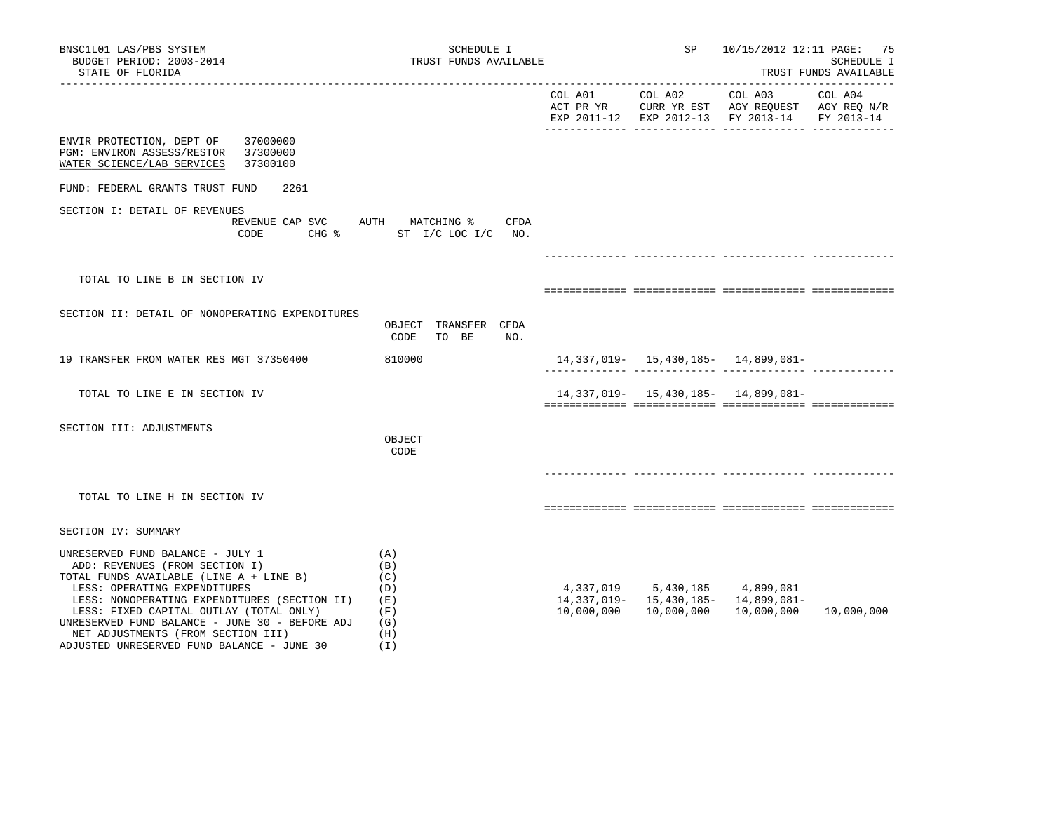| BNSC1L01 LAS/PBS SYSTEM<br>BUDGET PERIOD: 2003-2014<br>STATE OF FLORIDA                                                                                                                                                                                                                                                                                                        | SCHEDULE I<br>TRUST FUNDS AVAILABLE                         |            | <b>SP</b> SP                                | 10/15/2012 12:11 PAGE: 75                                  | SCHEDULE I<br>TRUST FUNDS AVAILABLE |
|--------------------------------------------------------------------------------------------------------------------------------------------------------------------------------------------------------------------------------------------------------------------------------------------------------------------------------------------------------------------------------|-------------------------------------------------------------|------------|---------------------------------------------|------------------------------------------------------------|-------------------------------------|
|                                                                                                                                                                                                                                                                                                                                                                                |                                                             |            |                                             | EXP 2011-12 EXP 2012-13 FY 2013-14 FY 2013-14              |                                     |
| ENVIR PROTECTION, DEPT OF 37000000<br>PGM: ENVIRON ASSESS/RESTOR 37300000<br>37300100<br>WATER SCIENCE/LAB SERVICES                                                                                                                                                                                                                                                            |                                                             |            |                                             |                                                            |                                     |
| FUND: FEDERAL GRANTS TRUST FUND<br>2261                                                                                                                                                                                                                                                                                                                                        |                                                             |            |                                             |                                                            |                                     |
| SECTION I: DETAIL OF REVENUES<br>REVENUE CAP SVC AUTH MATCHING %<br>CODE                                                                                                                                                                                                                                                                                                       | CFDA<br>CHG $\text{\$}$ ST I/C LOC I/C NO.                  |            |                                             |                                                            |                                     |
| TOTAL TO LINE B IN SECTION IV                                                                                                                                                                                                                                                                                                                                                  |                                                             |            |                                             |                                                            |                                     |
| SECTION II: DETAIL OF NONOPERATING EXPENDITURES                                                                                                                                                                                                                                                                                                                                | OBJECT TRANSFER CFDA<br>TO BE<br>CODE<br>NO.                |            |                                             |                                                            |                                     |
| 19 TRANSFER FROM WATER RES MGT 37350400                                                                                                                                                                                                                                                                                                                                        | 810000                                                      |            |                                             | 14,337,019- 15,430,185- 14,899,081-                        |                                     |
| TOTAL TO LINE E IN SECTION IV                                                                                                                                                                                                                                                                                                                                                  |                                                             |            |                                             | 14, 337, 019 - 15, 430, 185 - 14, 899, 081 -               |                                     |
| SECTION III: ADJUSTMENTS                                                                                                                                                                                                                                                                                                                                                       | OBJECT<br>CODE                                              |            |                                             |                                                            |                                     |
| TOTAL TO LINE H IN SECTION IV                                                                                                                                                                                                                                                                                                                                                  |                                                             |            |                                             |                                                            |                                     |
| SECTION IV: SUMMARY                                                                                                                                                                                                                                                                                                                                                            |                                                             |            |                                             |                                                            |                                     |
| UNRESERVED FUND BALANCE - JULY 1<br>ADD: REVENUES (FROM SECTION I)<br>TOTAL FUNDS AVAILABLE (LINE A + LINE B)<br>LESS: OPERATING EXPENDITURES<br>LESS: NONOPERATING EXPENDITURES (SECTION II)<br>LESS: FIXED CAPITAL OUTLAY (TOTAL ONLY)<br>UNRESERVED FUND BALANCE - JUNE 30 - BEFORE ADJ<br>NET ADJUSTMENTS (FROM SECTION III)<br>ADJUSTED UNRESERVED FUND BALANCE - JUNE 30 | (A)<br>(B)<br>(C)<br>(D)<br>(E)<br>(F)<br>(G)<br>(H)<br>(1) | 10,000,000 | 4,337,019 5,430,185 4,899,081<br>10,000,000 | 14, 337, 019 - 15, 430, 185 - 14, 899, 081 -<br>10,000,000 | 10,000,000                          |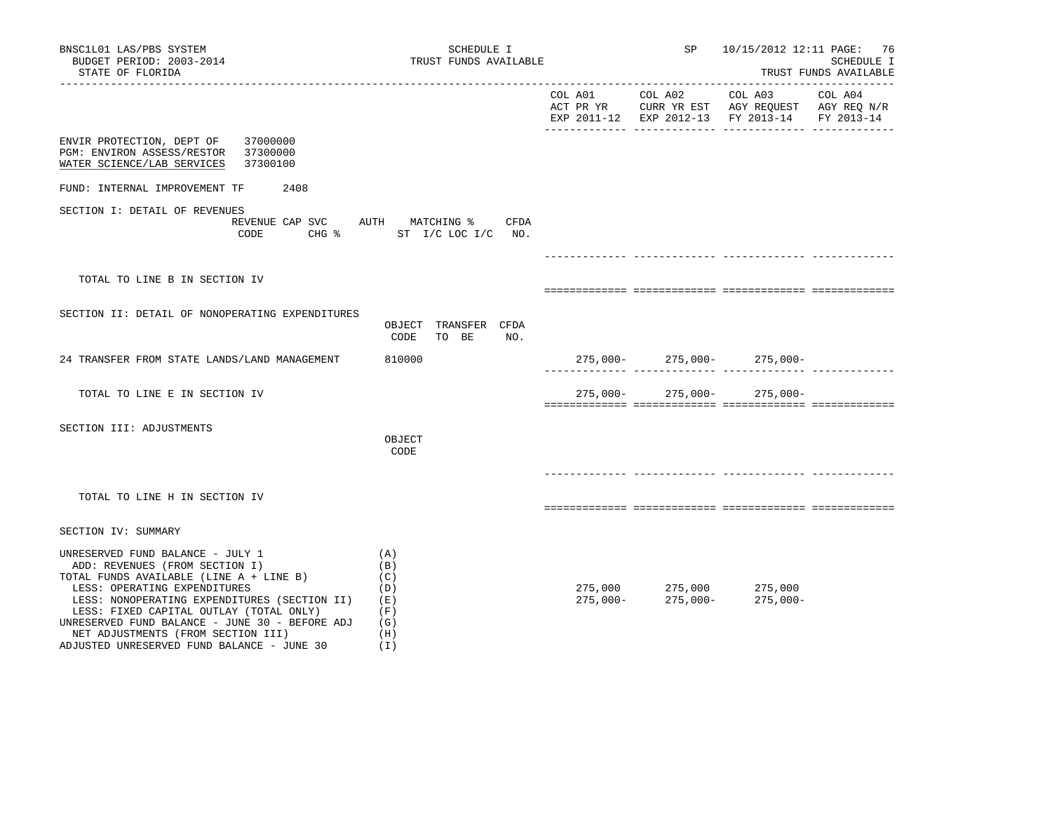| BNSC1L01 LAS/PBS SYSTEM<br>BUDGET PERIOD: 2003-2014<br>STATE OF FLORIDA                                                                                                                                                                                                                                                                                                        | SCHEDULE I                                                  | TRUST FUNDS AVAILABLE |                                                                                                               | 10/15/2012 12:11 PAGE: 76<br>SCHEDULE I<br>TRUST FUNDS AVAILABLE<br>_____________________________                              |         |  |
|--------------------------------------------------------------------------------------------------------------------------------------------------------------------------------------------------------------------------------------------------------------------------------------------------------------------------------------------------------------------------------|-------------------------------------------------------------|-----------------------|---------------------------------------------------------------------------------------------------------------|--------------------------------------------------------------------------------------------------------------------------------|---------|--|
|                                                                                                                                                                                                                                                                                                                                                                                |                                                             | COL A01 COL A02       | _____________________________                                                                                 | COL A03<br>ACT PR YR $\,$ CURR YR EST $\,$ AGY REQUEST $\,$ AGY REQ $\rm N/R$<br>EXP 2011-12 EXP 2012-13 FY 2013-14 FY 2013-14 | COL A04 |  |
| 37000000<br>ENVIR PROTECTION, DEPT OF<br>PGM: ENVIRON ASSESS/RESTOR<br>37300000<br>WATER SCIENCE/LAB SERVICES<br>37300100                                                                                                                                                                                                                                                      |                                                             |                       |                                                                                                               |                                                                                                                                |         |  |
| 2408<br>FUND: INTERNAL IMPROVEMENT TF                                                                                                                                                                                                                                                                                                                                          |                                                             |                       |                                                                                                               |                                                                                                                                |         |  |
| SECTION I: DETAIL OF REVENUES<br>REVENUE CAP SVC AUTH MATCHING %<br>CODE                                                                                                                                                                                                                                                                                                       | CFDA<br>CHG $\frac{1}{2}$ ST I/C LOC I/C NO.                |                       |                                                                                                               |                                                                                                                                |         |  |
|                                                                                                                                                                                                                                                                                                                                                                                |                                                             |                       |                                                                                                               |                                                                                                                                |         |  |
| TOTAL TO LINE B IN SECTION IV                                                                                                                                                                                                                                                                                                                                                  |                                                             |                       |                                                                                                               |                                                                                                                                |         |  |
| SECTION II: DETAIL OF NONOPERATING EXPENDITURES                                                                                                                                                                                                                                                                                                                                | OBJECT TRANSFER CFDA<br>CODE<br>TO BE<br>NO.                |                       |                                                                                                               |                                                                                                                                |         |  |
| 24 TRANSFER FROM STATE LANDS/LAND MANAGEMENT                                                                                                                                                                                                                                                                                                                                   | 810000                                                      |                       |                                                                                                               | $275,000-275,000-275,000-$                                                                                                     |         |  |
| TOTAL TO LINE E IN SECTION IV                                                                                                                                                                                                                                                                                                                                                  |                                                             | $275,000-$            |                                                                                                               | $275,000 - 275,000 -$                                                                                                          |         |  |
| SECTION III: ADJUSTMENTS                                                                                                                                                                                                                                                                                                                                                       | OBJECT<br>CODE                                              |                       |                                                                                                               |                                                                                                                                |         |  |
| TOTAL TO LINE H IN SECTION IV                                                                                                                                                                                                                                                                                                                                                  |                                                             |                       |                                                                                                               |                                                                                                                                |         |  |
| SECTION IV: SUMMARY                                                                                                                                                                                                                                                                                                                                                            |                                                             |                       |                                                                                                               |                                                                                                                                |         |  |
| UNRESERVED FUND BALANCE - JULY 1<br>ADD: REVENUES (FROM SECTION I)<br>TOTAL FUNDS AVAILABLE (LINE A + LINE B)<br>LESS: OPERATING EXPENDITURES<br>LESS: NONOPERATING EXPENDITURES (SECTION II)<br>LESS: FIXED CAPITAL OUTLAY (TOTAL ONLY)<br>UNRESERVED FUND BALANCE - JUNE 30 - BEFORE ADJ<br>NET ADJUSTMENTS (FROM SECTION III)<br>ADJUSTED UNRESERVED FUND BALANCE - JUNE 30 | (A)<br>(B)<br>(C)<br>(D)<br>(E)<br>(F)<br>(G)<br>(H)<br>(I) |                       | $\begin{array}{lll} 275\,,000 && 275\,,000 && 275\,,000 \\ 275\,,000- && 275\,,000- && 275\,,000 \end{array}$ | $275,000-$                                                                                                                     |         |  |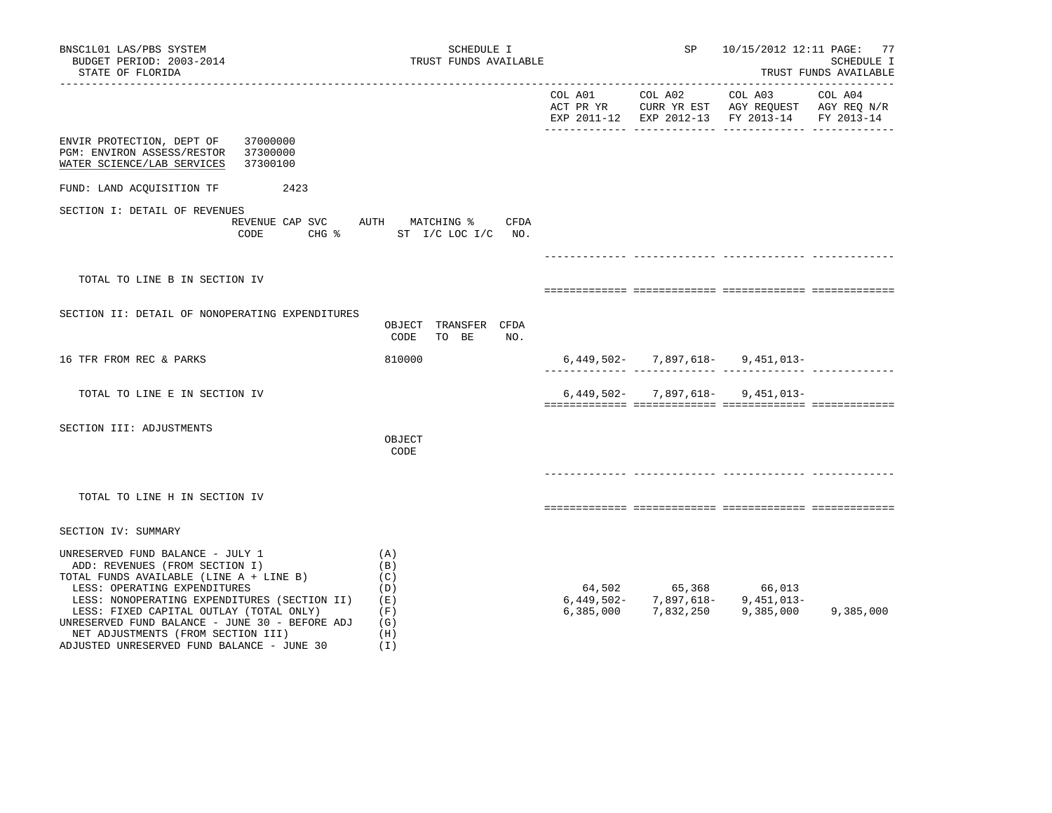| BNSC1L01 LAS/PBS SYSTEM<br>BUDGET PERIOD: 2003-2014<br>STATE OF FLORIDA                                                                                                                                                                                                                                                                                                        |                                                  |                                                             | SCHEDULE I<br>TRUST FUNDS AVAILABLE  |           | SP      | 10/15/2012 12:11 PAGE: 77                                                                                                      | SCHEDULE I<br>TRUST FUNDS AVAILABLE |
|--------------------------------------------------------------------------------------------------------------------------------------------------------------------------------------------------------------------------------------------------------------------------------------------------------------------------------------------------------------------------------|--------------------------------------------------|-------------------------------------------------------------|--------------------------------------|-----------|---------|--------------------------------------------------------------------------------------------------------------------------------|-------------------------------------|
|                                                                                                                                                                                                                                                                                                                                                                                |                                                  |                                                             |                                      | COL A01   | COL A02 | COL A03<br>ACT PR YR $\,$ CURR YR EST $\,$ AGY REQUEST $\,$ AGY REQ $\rm N/R$<br>EXP 2011-12 EXP 2012-13 FY 2013-14 FY 2013-14 | --------------------<br>COL A04     |
| 37000000<br>ENVIR PROTECTION, DEPT OF<br>37300000<br>PGM: ENVIRON ASSESS/RESTOR<br>WATER SCIENCE/LAB SERVICES<br>37300100                                                                                                                                                                                                                                                      |                                                  |                                                             |                                      |           |         |                                                                                                                                |                                     |
| FUND: LAND ACQUISITION TF 2423                                                                                                                                                                                                                                                                                                                                                 |                                                  |                                                             |                                      |           |         |                                                                                                                                |                                     |
| SECTION I: DETAIL OF REVENUES                                                                                                                                                                                                                                                                                                                                                  | REVENUE CAP SVC<br>CODE CHG % ST I/C LOC I/C NO. |                                                             | AUTH MATCHING % CFDA                 |           |         |                                                                                                                                |                                     |
|                                                                                                                                                                                                                                                                                                                                                                                |                                                  |                                                             |                                      |           |         |                                                                                                                                |                                     |
| TOTAL TO LINE B IN SECTION IV                                                                                                                                                                                                                                                                                                                                                  |                                                  |                                                             |                                      |           |         |                                                                                                                                |                                     |
| SECTION II: DETAIL OF NONOPERATING EXPENDITURES                                                                                                                                                                                                                                                                                                                                |                                                  | CODE                                                        | OBJECT TRANSFER CFDA<br>TO BE<br>NO. |           |         |                                                                                                                                |                                     |
| 16 TFR FROM REC & PARKS                                                                                                                                                                                                                                                                                                                                                        |                                                  | 810000                                                      |                                      |           |         | $6,449,502 - 7,897,618 - 9,451,013 -$                                                                                          |                                     |
| TOTAL TO LINE E IN SECTION IV                                                                                                                                                                                                                                                                                                                                                  |                                                  |                                                             |                                      |           |         | $6,449,502 - 7,897,618 - 9,451,013 -$                                                                                          |                                     |
| SECTION III: ADJUSTMENTS                                                                                                                                                                                                                                                                                                                                                       |                                                  | OBJECT<br>CODE                                              |                                      |           |         |                                                                                                                                |                                     |
| TOTAL TO LINE H IN SECTION IV                                                                                                                                                                                                                                                                                                                                                  |                                                  |                                                             |                                      |           |         |                                                                                                                                |                                     |
| SECTION IV: SUMMARY                                                                                                                                                                                                                                                                                                                                                            |                                                  |                                                             |                                      |           |         |                                                                                                                                |                                     |
| UNRESERVED FUND BALANCE - JULY 1<br>ADD: REVENUES (FROM SECTION I)<br>TOTAL FUNDS AVAILABLE (LINE A + LINE B)<br>LESS: OPERATING EXPENDITURES<br>LESS: NONOPERATING EXPENDITURES (SECTION II)<br>LESS: FIXED CAPITAL OUTLAY (TOTAL ONLY)<br>UNRESERVED FUND BALANCE - JUNE 30 - BEFORE ADJ<br>NET ADJUSTMENTS (FROM SECTION III)<br>ADJUSTED UNRESERVED FUND BALANCE - JUNE 30 |                                                  | (A)<br>(B)<br>(C)<br>(D)<br>(E)<br>(F)<br>(G)<br>(H)<br>(I) |                                      | 6,385,000 |         | $64,502$ $65,368$ $66,013$<br>$6,449,502$ $7,897,618$ $9,451,013$<br>7,832,250 9,385,000                                       | 9,385,000                           |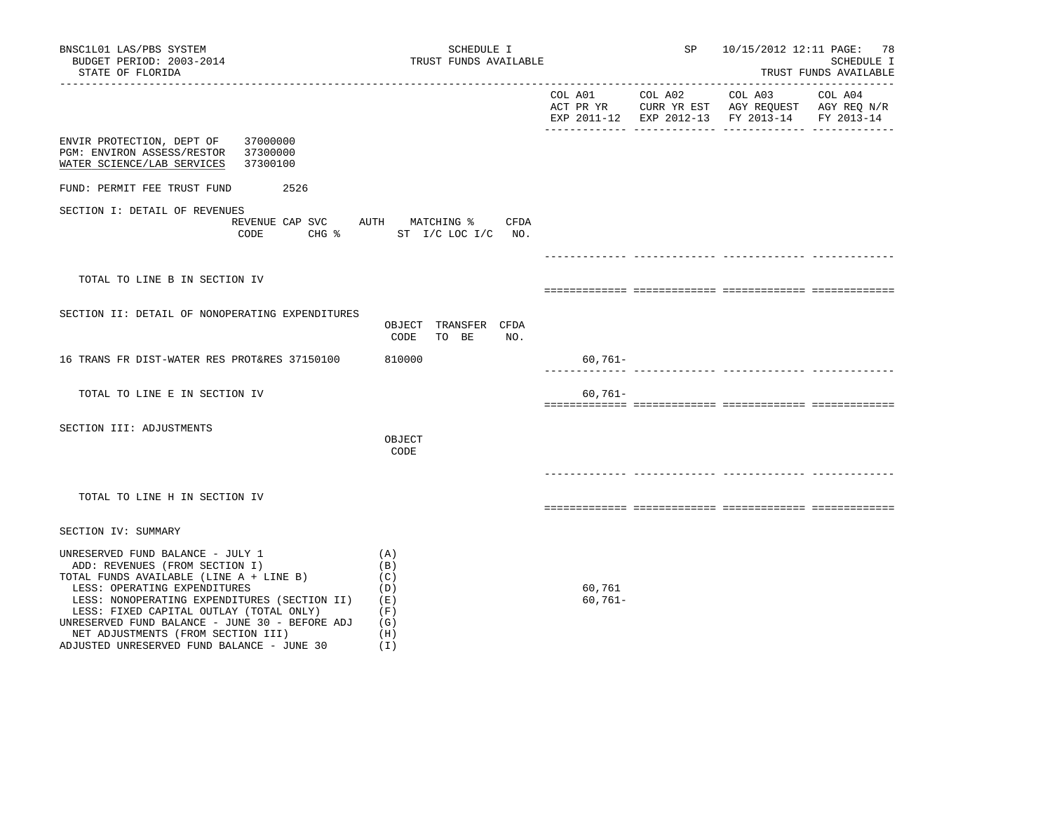| BNSC1L01 LAS/PBS SYSTEM<br>BUDGET PERIOD: 2003-2014<br>STATE OF FLORIDA                                                                                                                                                                                                                                                                                                        | SCHEDULE I<br>TRUST FUNDS AVAILABLE                         |                     | SP              | 10/15/2012 12:11 PAGE: 78                                                                                | SCHEDULE I<br>TRUST FUNDS AVAILABLE |
|--------------------------------------------------------------------------------------------------------------------------------------------------------------------------------------------------------------------------------------------------------------------------------------------------------------------------------------------------------------------------------|-------------------------------------------------------------|---------------------|-----------------|----------------------------------------------------------------------------------------------------------|-------------------------------------|
| ------------------------                                                                                                                                                                                                                                                                                                                                                       |                                                             | COL A01             | COL A02 COL A03 | ACT PR YR $\,$ CURR YR EST $\,$ AGY REQUEST $\,$ AGY REQ $\rm N/R$<br>EXP 2011-12 EXP 2012-13 FY 2013-14 | COL A04<br>FY 2013-14               |
| ENVIR PROTECTION, DEPT OF<br>37000000<br>PGM: ENVIRON ASSESS/RESTOR<br>37300000<br>WATER SCIENCE/LAB SERVICES<br>37300100                                                                                                                                                                                                                                                      |                                                             |                     |                 |                                                                                                          |                                     |
| FUND: PERMIT FEE TRUST FUND<br>2526                                                                                                                                                                                                                                                                                                                                            |                                                             |                     |                 |                                                                                                          |                                     |
| SECTION I: DETAIL OF REVENUES<br>REVENUE CAP SVC<br>CODE                                                                                                                                                                                                                                                                                                                       | AUTH MATCHING %<br>CFDA<br>CHG % ST I/C LOC I/C NO.         |                     |                 |                                                                                                          |                                     |
|                                                                                                                                                                                                                                                                                                                                                                                |                                                             |                     |                 |                                                                                                          |                                     |
| TOTAL TO LINE B IN SECTION IV                                                                                                                                                                                                                                                                                                                                                  |                                                             |                     |                 |                                                                                                          |                                     |
| SECTION II: DETAIL OF NONOPERATING EXPENDITURES                                                                                                                                                                                                                                                                                                                                | OBJECT TRANSFER CFDA<br>CODE<br>TO BE<br>NO.                |                     |                 |                                                                                                          |                                     |
| 16 TRANS FR DIST-WATER RES PROT&RES 37150100                                                                                                                                                                                                                                                                                                                                   | 810000                                                      | $60,761-$           |                 |                                                                                                          |                                     |
| TOTAL TO LINE E IN SECTION IV                                                                                                                                                                                                                                                                                                                                                  |                                                             | $60,761 -$          |                 |                                                                                                          |                                     |
| SECTION III: ADJUSTMENTS                                                                                                                                                                                                                                                                                                                                                       | OBJECT<br>CODE                                              |                     |                 |                                                                                                          |                                     |
| TOTAL TO LINE H IN SECTION IV                                                                                                                                                                                                                                                                                                                                                  |                                                             |                     |                 |                                                                                                          |                                     |
| SECTION IV: SUMMARY                                                                                                                                                                                                                                                                                                                                                            |                                                             |                     |                 |                                                                                                          |                                     |
| UNRESERVED FUND BALANCE - JULY 1<br>ADD: REVENUES (FROM SECTION I)<br>TOTAL FUNDS AVAILABLE (LINE A + LINE B)<br>LESS: OPERATING EXPENDITURES<br>LESS: NONOPERATING EXPENDITURES (SECTION II)<br>LESS: FIXED CAPITAL OUTLAY (TOTAL ONLY)<br>UNRESERVED FUND BALANCE - JUNE 30 - BEFORE ADJ<br>NET ADJUSTMENTS (FROM SECTION III)<br>ADJUSTED UNRESERVED FUND BALANCE - JUNE 30 | (A)<br>(B)<br>(C)<br>(D)<br>(E)<br>(F)<br>(G)<br>(H)<br>(I) | 60,761<br>$60,761-$ |                 |                                                                                                          |                                     |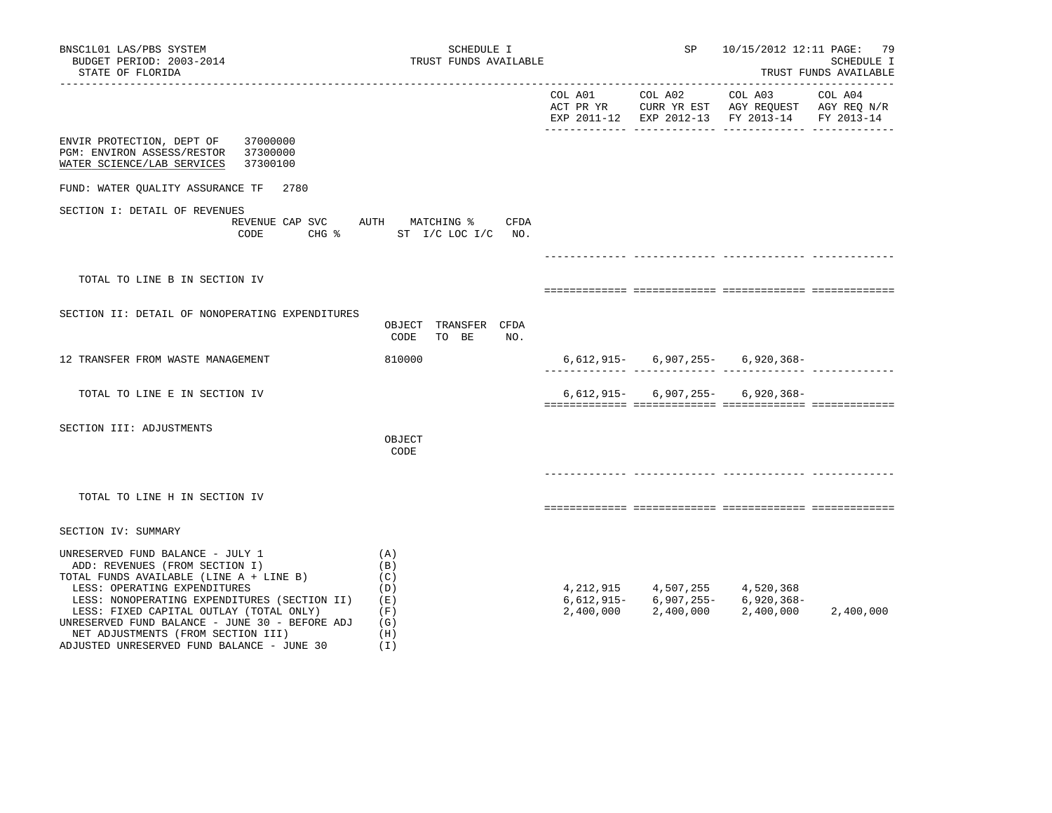| BNSC1L01 LAS/PBS SYSTEM<br>BUDGET PERIOD: 2003-2014<br>STATE OF FLORIDA                                                                                                                                                                                                                                                                                                        | SCHEDULE I<br>TRUST FUNDS AVAILABLE                         |                 | SP                                               |                                                                                                | 10/15/2012 12:11 PAGE: 79<br>SCHEDULE I<br>TRUST FUNDS AVAILABLE |
|--------------------------------------------------------------------------------------------------------------------------------------------------------------------------------------------------------------------------------------------------------------------------------------------------------------------------------------------------------------------------------|-------------------------------------------------------------|-----------------|--------------------------------------------------|------------------------------------------------------------------------------------------------|------------------------------------------------------------------|
|                                                                                                                                                                                                                                                                                                                                                                                |                                                             | COL A01 COL A02 |                                                  | COL A03<br>ACT PR YR CURR YR EST AGY REQUEST AGY REQ N/R<br>EXP 2011-12 EXP 2012-13 FY 2013-14 | COL A04<br>FY 2013-14                                            |
| ENVIR PROTECTION, DEPT OF<br>37000000<br>PGM: ENVIRON ASSESS/RESTOR 37300000<br>WATER SCIENCE/LAB SERVICES<br>37300100                                                                                                                                                                                                                                                         |                                                             |                 |                                                  |                                                                                                |                                                                  |
| FUND: WATER OUALITY ASSURANCE TF<br>2780                                                                                                                                                                                                                                                                                                                                       |                                                             |                 |                                                  |                                                                                                |                                                                  |
| SECTION I: DETAIL OF REVENUES<br>REVENUE CAP SVC AUTH MATCHING %<br>CODE                                                                                                                                                                                                                                                                                                       | CFDA<br>CHG % ST I/C LOC I/C NO.                            |                 |                                                  |                                                                                                |                                                                  |
|                                                                                                                                                                                                                                                                                                                                                                                |                                                             |                 |                                                  |                                                                                                |                                                                  |
| TOTAL TO LINE B IN SECTION IV                                                                                                                                                                                                                                                                                                                                                  |                                                             |                 |                                                  |                                                                                                |                                                                  |
| SECTION II: DETAIL OF NONOPERATING EXPENDITURES                                                                                                                                                                                                                                                                                                                                | OBJECT TRANSFER CFDA<br>CODE<br>TO BE<br>NO.                |                 |                                                  |                                                                                                |                                                                  |
| 12 TRANSFER FROM WASTE MANAGEMENT                                                                                                                                                                                                                                                                                                                                              | 810000                                                      |                 |                                                  | $6,612,915 - 6,907,255 - 6,920,368 -$                                                          |                                                                  |
| TOTAL TO LINE E IN SECTION IV                                                                                                                                                                                                                                                                                                                                                  |                                                             |                 |                                                  | $6,612,915 - 6,907,255 - 6,920,368 -$                                                          |                                                                  |
| SECTION III: ADJUSTMENTS                                                                                                                                                                                                                                                                                                                                                       | OBJECT<br>CODE                                              |                 |                                                  |                                                                                                |                                                                  |
| TOTAL TO LINE H IN SECTION IV                                                                                                                                                                                                                                                                                                                                                  |                                                             |                 |                                                  |                                                                                                |                                                                  |
| SECTION IV: SUMMARY                                                                                                                                                                                                                                                                                                                                                            |                                                             |                 |                                                  |                                                                                                |                                                                  |
| UNRESERVED FUND BALANCE - JULY 1<br>ADD: REVENUES (FROM SECTION I)<br>TOTAL FUNDS AVAILABLE (LINE A + LINE B)<br>LESS: OPERATING EXPENDITURES<br>LESS: NONOPERATING EXPENDITURES (SECTION II)<br>LESS: FIXED CAPITAL OUTLAY (TOTAL ONLY)<br>UNRESERVED FUND BALANCE - JUNE 30 - BEFORE ADJ<br>NET ADJUSTMENTS (FROM SECTION III)<br>ADJUSTED UNRESERVED FUND BALANCE - JUNE 30 | (A)<br>(B)<br>(C)<br>(D)<br>(E)<br>(F)<br>(G)<br>(H)<br>(T) | 2,400,000       | 4, 212, 915 4, 507, 255 4, 520, 368<br>2,400,000 | $6,612,915 - 6,907,255 - 6,920,368 -$<br>2,400,000                                             | 2,400,000                                                        |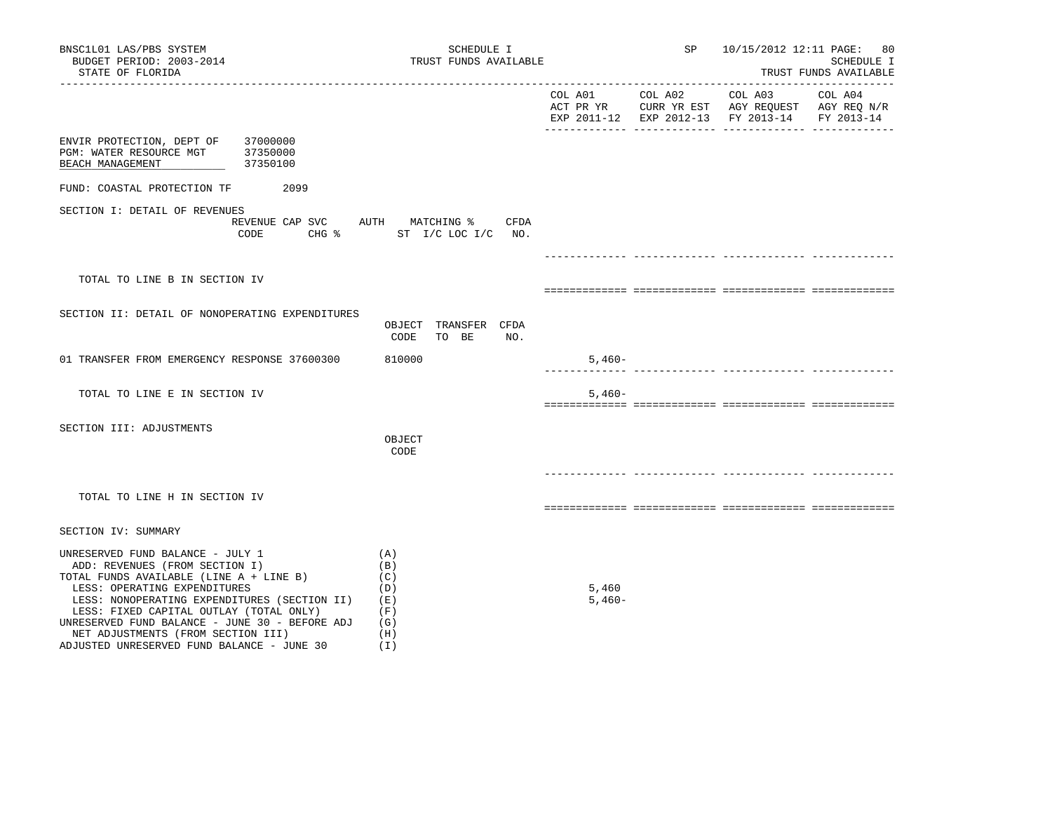| BNSC1L01 LAS/PBS SYSTEM<br>BUDGET PERIOD: 2003-2014<br>STATE OF FLORIDA                                                                                                                                                                                                                                                                                                        | SCHEDULE I<br>TRUST FUNDS AVAILABLE                         |                   | SP      | 10/15/2012 12:11 PAGE:                                                                                              | 80<br>SCHEDULE I<br>TRUST FUNDS AVAILABLE |
|--------------------------------------------------------------------------------------------------------------------------------------------------------------------------------------------------------------------------------------------------------------------------------------------------------------------------------------------------------------------------------|-------------------------------------------------------------|-------------------|---------|---------------------------------------------------------------------------------------------------------------------|-------------------------------------------|
| -----------------------                                                                                                                                                                                                                                                                                                                                                        |                                                             | COL A01           | COL A02 | COL A03<br>ACT PR YR $\,$ CURR YR EST $\,$ AGY REQUEST $\,$ AGY REQ $\rm N/R$<br>EXP 2011-12 EXP 2012-13 FY 2013-14 | COL A04<br>FY 2013-14                     |
| ENVIR PROTECTION, DEPT OF<br>37000000<br>PGM: WATER RESOURCE MGT<br>37350000<br>37350100<br>BEACH MANAGEMENT                                                                                                                                                                                                                                                                   |                                                             |                   |         |                                                                                                                     |                                           |
| FUND: COASTAL PROTECTION TF<br>2099                                                                                                                                                                                                                                                                                                                                            |                                                             |                   |         |                                                                                                                     |                                           |
| SECTION I: DETAIL OF REVENUES<br>REVENUE CAP SVC<br>CODE                                                                                                                                                                                                                                                                                                                       | <b>CFDA</b><br>AUTH MATCHING %<br>CHG % ST I/C LOC I/C NO.  |                   |         |                                                                                                                     |                                           |
|                                                                                                                                                                                                                                                                                                                                                                                |                                                             |                   |         |                                                                                                                     |                                           |
| TOTAL TO LINE B IN SECTION IV                                                                                                                                                                                                                                                                                                                                                  |                                                             |                   |         |                                                                                                                     |                                           |
| SECTION II: DETAIL OF NONOPERATING EXPENDITURES                                                                                                                                                                                                                                                                                                                                | OBJECT TRANSFER CFDA<br>NO.<br>CODE<br>TO BE                |                   |         |                                                                                                                     |                                           |
| 01 TRANSFER FROM EMERGENCY RESPONSE 37600300                                                                                                                                                                                                                                                                                                                                   | 810000                                                      | $5,460-$          |         |                                                                                                                     |                                           |
| TOTAL TO LINE E IN SECTION IV                                                                                                                                                                                                                                                                                                                                                  |                                                             | $5,460-$          |         |                                                                                                                     |                                           |
| SECTION III: ADJUSTMENTS                                                                                                                                                                                                                                                                                                                                                       | OBJECT<br>CODE                                              |                   |         |                                                                                                                     |                                           |
| TOTAL TO LINE H IN SECTION IV                                                                                                                                                                                                                                                                                                                                                  |                                                             |                   |         |                                                                                                                     |                                           |
| SECTION IV: SUMMARY                                                                                                                                                                                                                                                                                                                                                            |                                                             |                   |         |                                                                                                                     |                                           |
| UNRESERVED FUND BALANCE - JULY 1<br>ADD: REVENUES (FROM SECTION I)<br>TOTAL FUNDS AVAILABLE (LINE A + LINE B)<br>LESS: OPERATING EXPENDITURES<br>LESS: NONOPERATING EXPENDITURES (SECTION II)<br>LESS: FIXED CAPITAL OUTLAY (TOTAL ONLY)<br>UNRESERVED FUND BALANCE - JUNE 30 - BEFORE ADJ<br>NET ADJUSTMENTS (FROM SECTION III)<br>ADJUSTED UNRESERVED FUND BALANCE - JUNE 30 | (A)<br>(B)<br>(C)<br>(D)<br>(E)<br>(F)<br>(G)<br>(H)<br>(I) | 5,460<br>$5,460-$ |         |                                                                                                                     |                                           |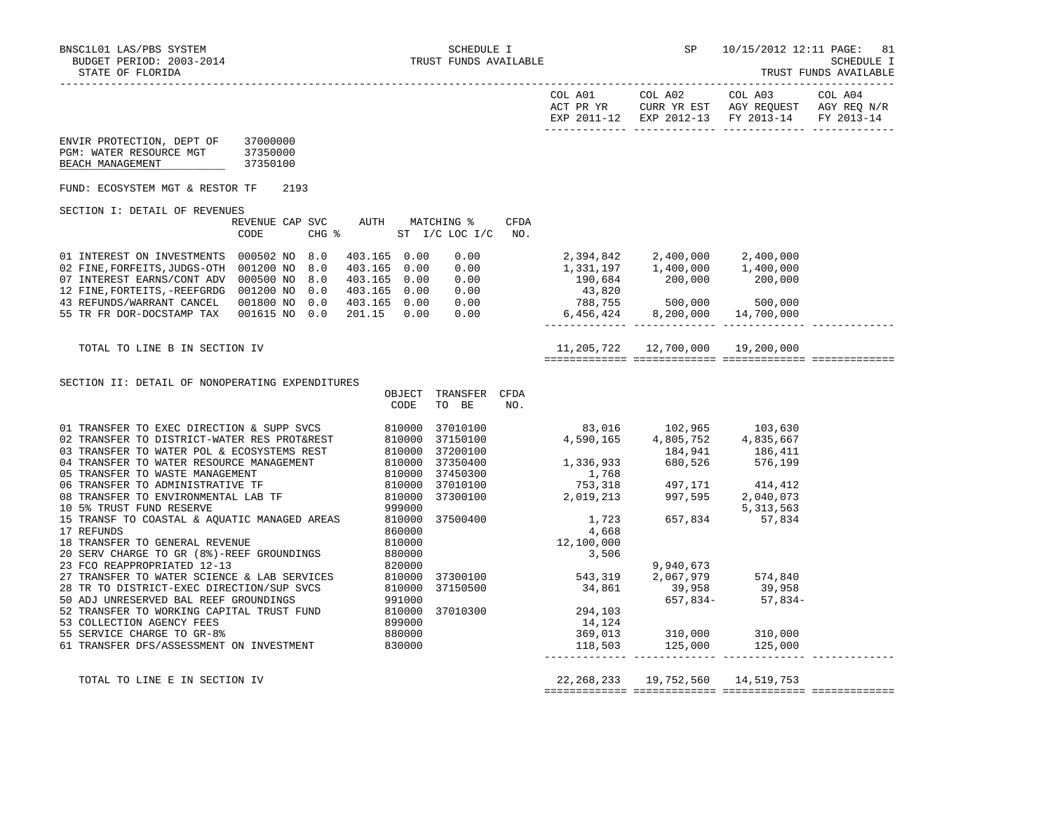| BUDGET PERIOD: 2003-2014<br>STATE OF FLORIDA                                                                                                                                                                                                         |                                  |                                                                                               | TRUST FUNDS AVAILABLE                                                                                    |                    |                                                                                                                | --------------------                                                                                                                                                                                                                                                                                                                     |                                                                                | SCHEDULE I<br>TRUST FUNDS AVAILABLE   |
|------------------------------------------------------------------------------------------------------------------------------------------------------------------------------------------------------------------------------------------------------|----------------------------------|-----------------------------------------------------------------------------------------------|----------------------------------------------------------------------------------------------------------|--------------------|----------------------------------------------------------------------------------------------------------------|------------------------------------------------------------------------------------------------------------------------------------------------------------------------------------------------------------------------------------------------------------------------------------------------------------------------------------------|--------------------------------------------------------------------------------|---------------------------------------|
|                                                                                                                                                                                                                                                      |                                  |                                                                                               |                                                                                                          |                    | COL A01<br>ACT PR YR                                                                                           | COL A02<br>EXP 2011-12 EXP 2012-13 FY 2013-14<br>______________ _____________                                                                                                                                                                                                                                                            | COL A03<br>CURR YR EST AGY REQUEST AGY REQ N/R<br>_____________                | COL A04<br>FY 2013-14<br>____________ |
| ENVIR PROTECTION, DEPT OF<br>PGM: WATER RESOURCE MGT<br>BEACH MANAGEMENT                                                                                                                                                                             | 37000000<br>37350000<br>37350100 |                                                                                               |                                                                                                          |                    |                                                                                                                |                                                                                                                                                                                                                                                                                                                                          |                                                                                |                                       |
| FUND: ECOSYSTEM MGT & RESTOR TF                                                                                                                                                                                                                      | 2193                             |                                                                                               |                                                                                                          |                    |                                                                                                                |                                                                                                                                                                                                                                                                                                                                          |                                                                                |                                       |
| SECTION I: DETAIL OF REVENUES                                                                                                                                                                                                                        |                                  |                                                                                               |                                                                                                          |                    |                                                                                                                |                                                                                                                                                                                                                                                                                                                                          |                                                                                |                                       |
|                                                                                                                                                                                                                                                      | REVENUE CAP SVC<br>CODE          | AUTH<br>$CHG$ $\approx$                                                                       | MATCHING %<br>ST I/C LOC I/C                                                                             | <b>CFDA</b><br>NO. |                                                                                                                |                                                                                                                                                                                                                                                                                                                                          |                                                                                |                                       |
| 01 INTEREST ON INVESTMENTS 000502 NO 8.0<br>02 FINE, FORFEITS, JUDGS-OTH 001200 NO 8.0<br>07 INTEREST EARNS/CONT ADV 000500 NO 8.0<br>12 FINE, FORTEITS, -REEFGRDG 001200 NO<br>43 REFUNDS/WARRANT CANCEL 001800 NO 0.0<br>55 TR FR DOR-DOCSTAMP TAX | 0.0<br>001615 NO 0.0             | 403.165 0.00<br>403.165 0.00<br>403.165 0.00<br>403.165 0.00<br>403.165  0.00<br>201.15  0.00 | 0.00<br>0.00<br>0.00<br>0.00<br>0.00<br>0.00                                                             |                    |                                                                                                                | 1,331,197   1,400,000<br>190,684 200,000<br>$\begin{array}{cccc} -43,820 \ 788,755 & 500,000 & 500,000 \ 6,456,424 & 8,200,000 & 14,700,000 \end{array}$                                                                                                                                                                                 | 1,400,000<br>200,000                                                           |                                       |
| TOTAL TO LINE B IN SECTION IV                                                                                                                                                                                                                        |                                  |                                                                                               |                                                                                                          |                    |                                                                                                                | 11,205,722  12,700,000  19,200,000                                                                                                                                                                                                                                                                                                       |                                                                                |                                       |
| SECTION II: DETAIL OF NONOPERATING EXPENDITURES                                                                                                                                                                                                      |                                  | OBJECT<br>CODE                                                                                | TRANSFER CFDA<br>TO BE                                                                                   | NO.                |                                                                                                                |                                                                                                                                                                                                                                                                                                                                          |                                                                                |                                       |
| 15 TRANSF TO COASTAL & AQUATIC MANAGED AREAS 810000<br>17 REFUNDS<br>18 TRANSFER TO GENERAL REVENUE<br>20 SERV CHARGE TO GR (8%)-REEF GROUNDINGS<br>53 COLLECTION AGENCY FEES                                                                        |                                  | 860000<br>810000<br>880000<br>899000                                                          | 37010100<br>37150100<br>37200100<br>37350400<br>37450300<br>37010100<br>37300100<br>37500400<br>37010300 |                    | 4,590,165<br>1,723<br>4,668<br>12,100,000<br>3,506<br>37300100 543,319<br>37150500 34,861<br>294,103<br>14,124 | 83,016 102,965 103,630<br>4,805,752<br>$1,336,933$<br>1,336,933<br>576,199<br>576,199<br>$\begin{array}{cccc} 1,768 \\ 753,318 \\ 2,019,213 \end{array}$ $\begin{array}{cccc} 497,171 \\ 997,595 \\ 2,313 \end{array}$ $\begin{array}{cccc} 414,412 \\ 2,040,073 \\ 5,313,563 \end{array}$<br>657,834<br>9,940,673<br>39,958<br>657,834- | 4,835,667<br>5, 313, 563<br>57,834<br>2,067,979 574,840<br>39,958<br>$57,834-$ |                                       |
| 55 SERVICE CHARGE TO GR-8%<br>61 TRANSFER DFS/ASSESSMENT ON INVESTMENT                                                                                                                                                                               |                                  | 880000<br>830000                                                                              |                                                                                                          |                    | 118,503                                                                                                        | 369,013 310,000<br>125,000                                                                                                                                                                                                                                                                                                               | 310,000<br>125,000                                                             |                                       |

TOTAL TO LINE E IN SECTION IV 22,268,233 19,752,560 14,519,753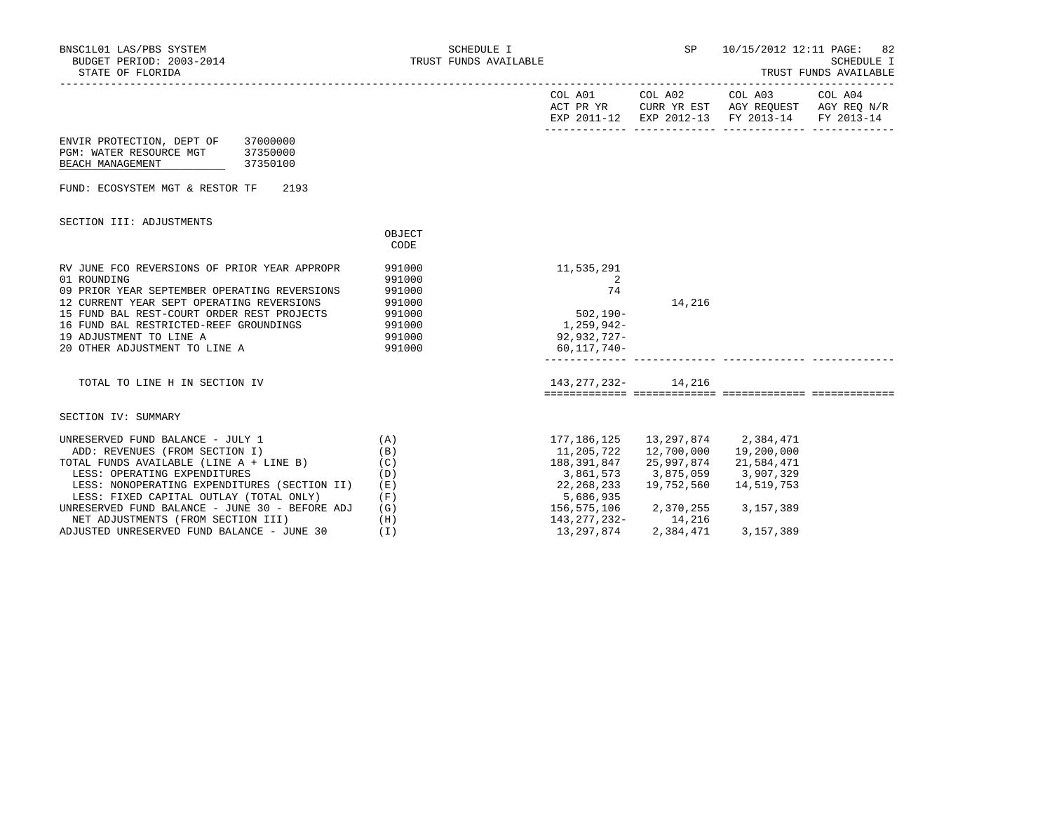| BNSC1L01 LAS/PBS SYSTEM<br>BUDGET PERIOD: 2003-2014<br>STATE OF FLORIDA                                                                                                                                                                                                                                                          | SCHEDULE I<br>TRUST FUNDS AVAILABLE                                |                                                                                                                                     | SP                                          | 10/15/2012 12:11 PAGE: 82                                                                                         | <b>SCHEDULE I</b><br>TRUST FUNDS AVAILABLE |
|----------------------------------------------------------------------------------------------------------------------------------------------------------------------------------------------------------------------------------------------------------------------------------------------------------------------------------|--------------------------------------------------------------------|-------------------------------------------------------------------------------------------------------------------------------------|---------------------------------------------|-------------------------------------------------------------------------------------------------------------------|--------------------------------------------|
|                                                                                                                                                                                                                                                                                                                                  |                                                                    | COL A01 COL A02                                                                                                                     |                                             | COL A03 COL A04<br>ACT PR YR CURR YR EST AGY REQUEST AGY REQ N/R<br>EXP 2011-12 EXP 2012-13 FY 2013-14 FY 2013-14 |                                            |
| ENVIR PROTECTION, DEPT OF<br>37000000<br>PGM: WATER RESOURCE MGT<br>37350000<br>37350100<br>BEACH MANAGEMENT                                                                                                                                                                                                                     |                                                                    |                                                                                                                                     |                                             |                                                                                                                   |                                            |
| FUND: ECOSYSTEM MGT & RESTOR TF<br>2193                                                                                                                                                                                                                                                                                          |                                                                    |                                                                                                                                     |                                             |                                                                                                                   |                                            |
| SECTION III: ADJUSTMENTS                                                                                                                                                                                                                                                                                                         | OBJECT<br>CODE                                                     |                                                                                                                                     |                                             |                                                                                                                   |                                            |
| RV JUNE FCO REVERSIONS OF PRIOR YEAR APPROPR<br>01 ROUNDING<br>09 PRIOR YEAR SEPTEMBER OPERATING REVERSIONS<br>12 CURRENT YEAR SEPT OPERATING REVERSIONS<br>15 FUND BAL REST-COURT ORDER REST PROJECTS 991000<br>16 FUND BAL RESTRICTED-REEF GROUNDINGS<br>19 ADJUSTMENT TO LINE A<br>20 OTHER ADJUSTMENT TO LINE A              | 991000<br>991000<br>991000<br>991000<br>991000<br>991000<br>991000 | 11,535,291<br>2<br>74<br>$502, 190 -$<br>1,259,942-<br>92,932,727-<br>$60.117.740 -$                                                | 14,216                                      |                                                                                                                   |                                            |
| TOTAL TO LINE H IN SECTION IV                                                                                                                                                                                                                                                                                                    |                                                                    | 143, 277, 232 - 14, 216                                                                                                             |                                             |                                                                                                                   |                                            |
| SECTION IV: SUMMARY                                                                                                                                                                                                                                                                                                              |                                                                    |                                                                                                                                     |                                             |                                                                                                                   |                                            |
| UNRESERVED FUND BALANCE - JULY 1<br>ADD: REVENUES (FROM SECTION I)<br>TOTAL FUNDS AVAILABLE (LINE A + LINE B)<br>LESS: OPERATING EXPENDITURES<br>LESS: NONOPERATING EXPENDITURES (SECTION II)<br>LESS: FIXED CAPITAL OUTLAY (TOTAL ONLY)<br>UNRESERVED FUND BALANCE - JUNE 30 - BEFORE ADJ<br>NET ADJUSTMENTS (FROM SECTION III) | (A)<br>(B)<br>(C)<br>(D)<br>(E)<br>(F)<br>(G)<br>(H)               | 177,186,125<br>11,205,722<br>188,391,847<br>3,861,573<br>22,268,233<br>5,686,935<br>156,575,106 2,370,255 3,157,389<br>143,277,232- | 3,875,059 3,907,329<br>19,752,560<br>14,216 | 13, 297, 874 2, 384, 471<br>12,700,000    19,200,000<br>25,997,874 21,584,471<br>14,519,753                       |                                            |

ADJUSTED UNRESERVED FUND BALANCE - JUNE 30 (I) 13,297,874 2,384,471 3,157,389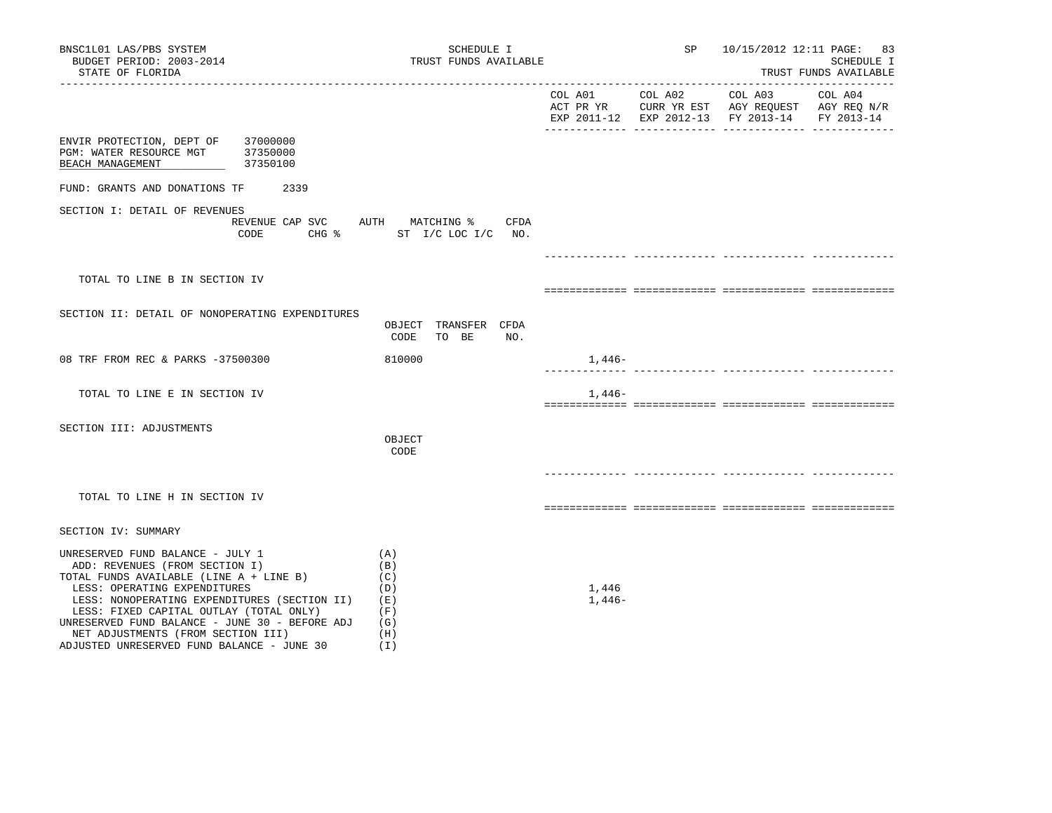| BNSC1L01 LAS/PBS SYSTEM<br>BUDGET PERIOD: 2003-2014<br>STATE OF FLORIDA                                                                                                                                                                                                                                                                                                        | SCHEDULE I<br>TRUST FUNDS AVAILABLE                         |                   | SP |                                                                                                | 10/15/2012 12:11 PAGE: 83<br>SCHEDULE I<br>TRUST FUNDS AVAILABLE |
|--------------------------------------------------------------------------------------------------------------------------------------------------------------------------------------------------------------------------------------------------------------------------------------------------------------------------------------------------------------------------------|-------------------------------------------------------------|-------------------|----|------------------------------------------------------------------------------------------------|------------------------------------------------------------------|
|                                                                                                                                                                                                                                                                                                                                                                                |                                                             | COL A01 COL A02   |    | COL A03<br>ACT PR YR CURR YR EST AGY REQUEST AGY REQ N/R<br>EXP 2011-12 EXP 2012-13 FY 2013-14 | COL A04<br>FY 2013-14                                            |
| 37000000<br>ENVIR PROTECTION, DEPT OF<br>37350000<br>PGM: WATER RESOURCE MGT<br>37350100<br>BEACH MANAGEMENT                                                                                                                                                                                                                                                                   |                                                             |                   |    |                                                                                                |                                                                  |
| FUND: GRANTS AND DONATIONS TF<br>2339                                                                                                                                                                                                                                                                                                                                          |                                                             |                   |    |                                                                                                |                                                                  |
| SECTION I: DETAIL OF REVENUES<br>REVENUE CAP SVC AUTH MATCHING %<br>CODE                                                                                                                                                                                                                                                                                                       | CFDA<br>CHG % ST I/C LOC I/C NO.                            |                   |    |                                                                                                |                                                                  |
|                                                                                                                                                                                                                                                                                                                                                                                |                                                             |                   |    |                                                                                                |                                                                  |
| TOTAL TO LINE B IN SECTION IV                                                                                                                                                                                                                                                                                                                                                  |                                                             |                   |    |                                                                                                |                                                                  |
| SECTION II: DETAIL OF NONOPERATING EXPENDITURES                                                                                                                                                                                                                                                                                                                                | OBJECT TRANSFER CFDA<br>CODE<br>TO BE<br>NO.                |                   |    |                                                                                                |                                                                  |
| 08 TRF FROM REC & PARKS -37500300                                                                                                                                                                                                                                                                                                                                              | 810000                                                      | 1,446-            |    |                                                                                                |                                                                  |
| TOTAL TO LINE E IN SECTION IV                                                                                                                                                                                                                                                                                                                                                  |                                                             | $1,446-$          |    |                                                                                                |                                                                  |
| SECTION III: ADJUSTMENTS                                                                                                                                                                                                                                                                                                                                                       | OBJECT<br>CODE                                              |                   |    |                                                                                                |                                                                  |
| TOTAL TO LINE H IN SECTION IV                                                                                                                                                                                                                                                                                                                                                  |                                                             |                   |    |                                                                                                |                                                                  |
| SECTION IV: SUMMARY                                                                                                                                                                                                                                                                                                                                                            |                                                             |                   |    |                                                                                                |                                                                  |
| UNRESERVED FUND BALANCE - JULY 1<br>ADD: REVENUES (FROM SECTION I)<br>TOTAL FUNDS AVAILABLE (LINE A + LINE B)<br>LESS: OPERATING EXPENDITURES<br>LESS: NONOPERATING EXPENDITURES (SECTION II)<br>LESS: FIXED CAPITAL OUTLAY (TOTAL ONLY)<br>UNRESERVED FUND BALANCE - JUNE 30 - BEFORE ADJ<br>NET ADJUSTMENTS (FROM SECTION III)<br>ADJUSTED UNRESERVED FUND BALANCE - JUNE 30 | (A)<br>(B)<br>(C)<br>(D)<br>(E)<br>(F)<br>(G)<br>(H)<br>(I) | 1,446<br>$1,446-$ |    |                                                                                                |                                                                  |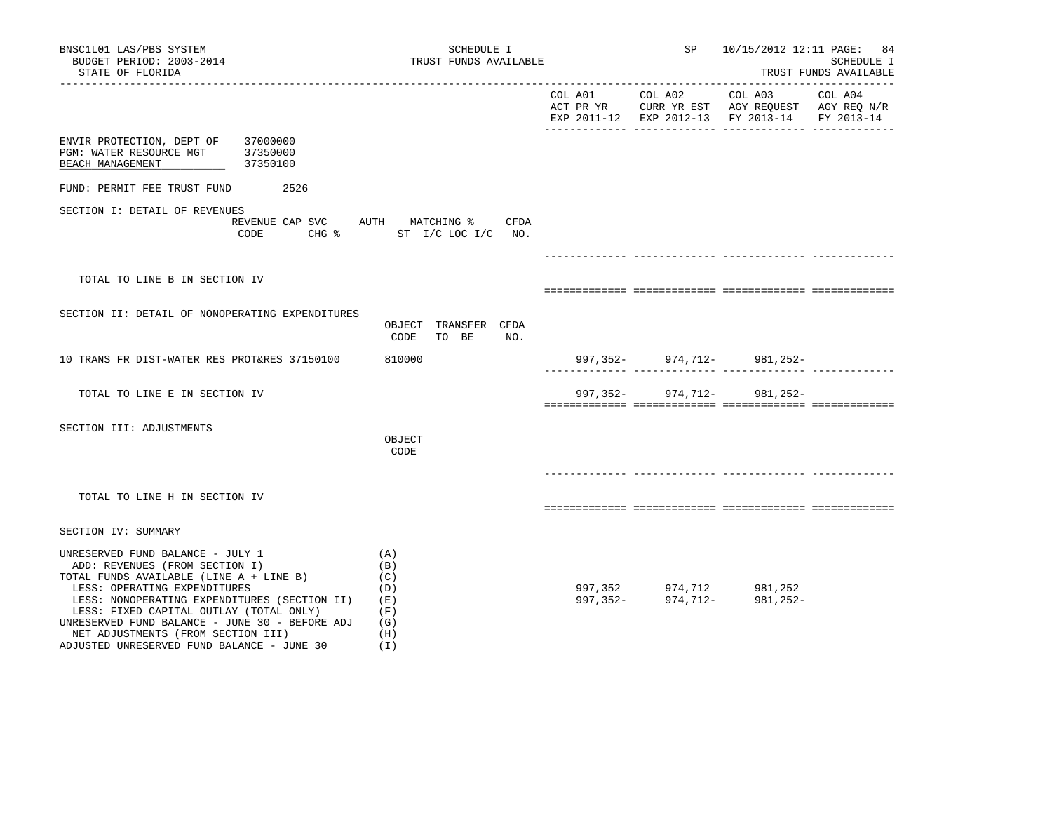| BNSC1L01 LAS/PBS SYSTEM<br>BUDGET PERIOD: 2003-2014<br>STATE OF FLORIDA                                                                                                                                                                                                                                                                                                        | SCHEDULE I                                                                           | TRUST FUNDS AVAILABLE |          | 10/15/2012 12:11 PAGE: 84<br><b>SCHEDULE I</b><br>TRUST FUNDS AVAILABLE                                                       |         |  |
|--------------------------------------------------------------------------------------------------------------------------------------------------------------------------------------------------------------------------------------------------------------------------------------------------------------------------------------------------------------------------------|--------------------------------------------------------------------------------------|-----------------------|----------|-------------------------------------------------------------------------------------------------------------------------------|---------|--|
|                                                                                                                                                                                                                                                                                                                                                                                |                                                                                      | COL A01 COL A02       |          | COL A03<br>ACT PR YR $\,$ CURR YR EST $\,$ AGY REQUEST $\,$ AGY REQ N/R $\,$<br>EXP 2011-12 EXP 2012-13 FY 2013-14 FY 2013-14 | COL A04 |  |
| 37000000<br>ENVIR PROTECTION, DEPT OF<br>PGM: WATER RESOURCE MGT<br>37350000<br>37350100<br>BEACH MANAGEMENT                                                                                                                                                                                                                                                                   |                                                                                      |                       |          |                                                                                                                               |         |  |
| FUND: PERMIT FEE TRUST FUND<br>2526                                                                                                                                                                                                                                                                                                                                            |                                                                                      |                       |          |                                                                                                                               |         |  |
| SECTION I: DETAIL OF REVENUES<br>CODE                                                                                                                                                                                                                                                                                                                                          | REVENUE CAP SVC AUTH MATCHING %<br>CFDA<br>$CHG$ $\frac{1}{6}$<br>ST I/C LOC I/C NO. |                       |          |                                                                                                                               |         |  |
|                                                                                                                                                                                                                                                                                                                                                                                |                                                                                      |                       |          |                                                                                                                               |         |  |
| TOTAL TO LINE B IN SECTION IV                                                                                                                                                                                                                                                                                                                                                  |                                                                                      |                       |          |                                                                                                                               |         |  |
| SECTION II: DETAIL OF NONOPERATING EXPENDITURES                                                                                                                                                                                                                                                                                                                                | OBJECT TRANSFER CFDA<br>NO.<br>CODE<br>TO BE                                         |                       |          |                                                                                                                               |         |  |
| 10 TRANS FR DIST-WATER RES PROT&RES 37150100                                                                                                                                                                                                                                                                                                                                   | 810000                                                                               |                       |          | 997, 352 - 974, 712 - 981, 252 -                                                                                              |         |  |
| TOTAL TO LINE E IN SECTION IV                                                                                                                                                                                                                                                                                                                                                  |                                                                                      | 997,352-              | 974,712- | 981,252-                                                                                                                      |         |  |
| SECTION III: ADJUSTMENTS                                                                                                                                                                                                                                                                                                                                                       | OBJECT<br>CODE                                                                       |                       |          |                                                                                                                               |         |  |
| TOTAL TO LINE H IN SECTION IV                                                                                                                                                                                                                                                                                                                                                  |                                                                                      |                       |          |                                                                                                                               |         |  |
| SECTION IV: SUMMARY                                                                                                                                                                                                                                                                                                                                                            |                                                                                      |                       |          |                                                                                                                               |         |  |
| UNRESERVED FUND BALANCE - JULY 1<br>ADD: REVENUES (FROM SECTION I)<br>TOTAL FUNDS AVAILABLE (LINE A + LINE B)<br>LESS: OPERATING EXPENDITURES<br>LESS: NONOPERATING EXPENDITURES (SECTION II)<br>LESS: FIXED CAPITAL OUTLAY (TOTAL ONLY)<br>UNRESERVED FUND BALANCE - JUNE 30 - BEFORE ADJ<br>NET ADJUSTMENTS (FROM SECTION III)<br>ADJUSTED UNRESERVED FUND BALANCE - JUNE 30 | (A)<br>(B)<br>(C)<br>(D)<br>(E)<br>(F)<br>(G)<br>(H)<br>(I)                          |                       |          | 997, 352 974, 712 981, 252<br>997, 352- 974, 712- 981, 252-                                                                   |         |  |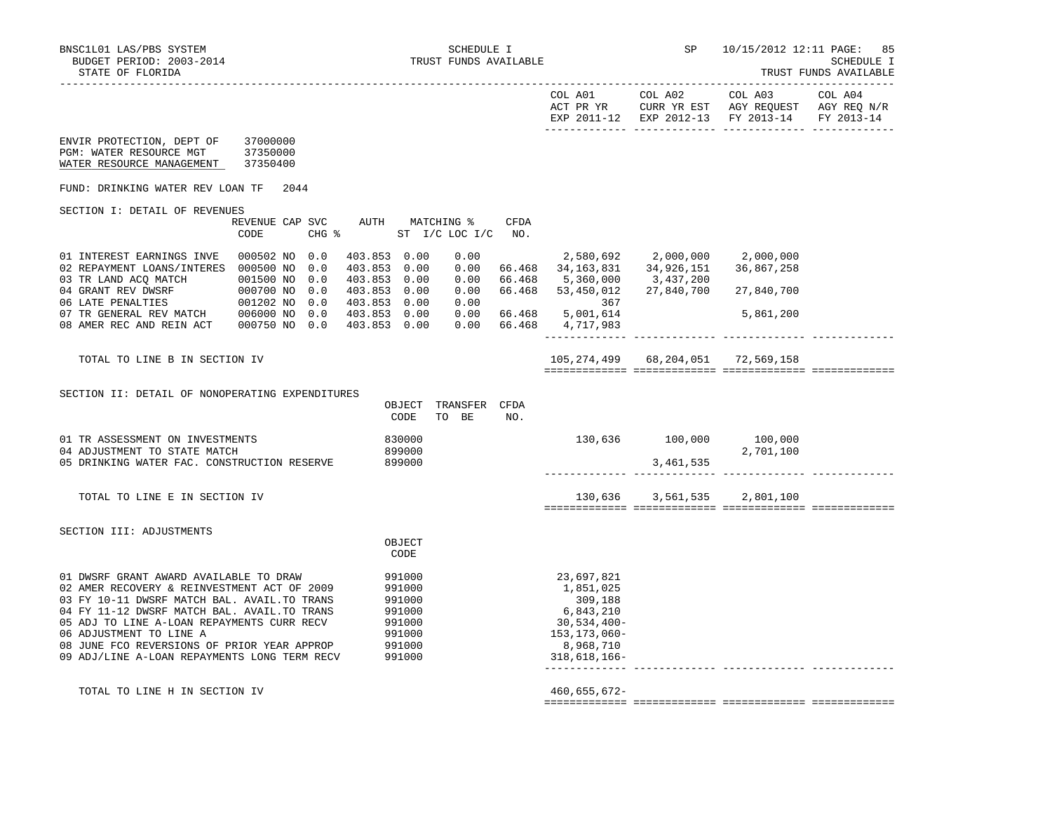TRUST FUNDS AVAILABLE

| A01<br>COL.<br>PR YR<br>አ ጦ<br>$2011$<br>FYE | COL A02<br>CURR YR EST<br>$2012 - 13$<br>FYD | COL A03<br>AGY REQUEST<br>$2013 - 14$<br><b>FV</b> | COL A04<br>AGY REQ<br>N/R<br><b>FV</b> |
|----------------------------------------------|----------------------------------------------|----------------------------------------------------|----------------------------------------|
|                                              |                                              |                                                    |                                        |

| ENVIR PROTECTION, DEPT OF<br>PGM: WATER RESOURCE MGT<br>WATER RESOURCE MANAGEMENT                                                                                                                                                                                                                                                                             | 37000000<br>37350000<br>37350400                          |                                                                              |                                      |                            |                                                                                                               |                                                                     |                                       |  |
|---------------------------------------------------------------------------------------------------------------------------------------------------------------------------------------------------------------------------------------------------------------------------------------------------------------------------------------------------------------|-----------------------------------------------------------|------------------------------------------------------------------------------|--------------------------------------|----------------------------|---------------------------------------------------------------------------------------------------------------|---------------------------------------------------------------------|---------------------------------------|--|
| FUND: DRINKING WATER REV LOAN TF                                                                                                                                                                                                                                                                                                                              | 2044                                                      |                                                                              |                                      |                            |                                                                                                               |                                                                     |                                       |  |
| SECTION I: DETAIL OF REVENUES                                                                                                                                                                                                                                                                                                                                 | REVENUE CAP SVC<br>CHG %<br>CODE                          | AUTH                                                                         | MATCHING %<br>ST I/C LOC I/C         | <b>CFDA</b><br>NO.         |                                                                                                               |                                                                     |                                       |  |
| 01 INTEREST EARNINGS INVE<br>02 REPAYMENT LOANS/INTERES 000500 NO<br>03 TR LAND ACO MATCH<br>04 GRANT REV DWSRF<br>06 LATE PENALTIES 001202 NO 0.0<br>07 TR GENERAL REV MATCH 006000 NO 0.0                                                                                                                                                                   | 000502 NO 0.0<br>0.0<br>001500 NO<br>0.0<br>000700 NO 0.0 | 403.853 0.00<br>403.853 0.00<br>403.853 0.00<br>403.853 0.00<br>403.853 0.00 | 0.00<br>0.00<br>0.00<br>0.00<br>0.00 | 66.468<br>66.468<br>66.468 | 34,163,831<br>5,360,000<br>53,450,012<br>367                                                                  | 2,580,692        2,000,000<br>34,926,151<br>3,437,200<br>27,840,700 | 2,000,000<br>36,867,258<br>27,840,700 |  |
| 08 AMER REC AND REIN ACT                                                                                                                                                                                                                                                                                                                                      | 000750 NO 0.0                                             | 403.853 0.00<br>403.853 0.00                                                 | 0.00<br>0.00                         | 66.468<br>66.468           | 5,001,614<br>4,717,983                                                                                        |                                                                     | 5,861,200                             |  |
| TOTAL TO LINE B IN SECTION IV                                                                                                                                                                                                                                                                                                                                 |                                                           |                                                                              |                                      |                            | 105,274,499 68,204,051 72,569,158                                                                             |                                                                     |                                       |  |
| SECTION II: DETAIL OF NONOPERATING EXPENDITURES                                                                                                                                                                                                                                                                                                               |                                                           | OBJECT<br>CODE                                                               | TRANSFER<br>TO BE                    | CFDA<br>NO.                |                                                                                                               |                                                                     |                                       |  |
| 01 TR ASSESSMENT ON INVESTMENTS<br>04 ADJUSTMENT TO STATE MATCH<br>05 DRINKING WATER FAC. CONSTRUCTION RESERVE                                                                                                                                                                                                                                                |                                                           | 830000<br>899000<br>899000                                                   |                                      |                            |                                                                                                               | 130,636 100,000 100,000<br>3, 461, 535                              | 2,701,100                             |  |
| TOTAL TO LINE E IN SECTION IV                                                                                                                                                                                                                                                                                                                                 |                                                           |                                                                              |                                      |                            |                                                                                                               | 130,636 3,561,535                                                   | 2,801,100                             |  |
| SECTION III: ADJUSTMENTS                                                                                                                                                                                                                                                                                                                                      |                                                           | OBJECT<br>CODE                                                               |                                      |                            |                                                                                                               |                                                                     |                                       |  |
| 01 DWSRF GRANT AWARD AVAILABLE TO DRAW<br>02 AMER RECOVERY & REINVESTMENT ACT OF 2009<br>03 FY 10-11 DWSRF MATCH BAL. AVAIL. TO TRANS<br>04 FY 11-12 DWSRF MATCH BAL. AVAIL. TO TRANS<br>05 ADJ TO LINE A-LOAN REPAYMENTS CURR RECV<br>06 ADJUSTMENT TO LINE A<br>08 JUNE FCO REVERSIONS OF PRIOR YEAR APPROP<br>09 ADJ/LINE A-LOAN REPAYMENTS LONG TERM RECV |                                                           | 991000<br>991000<br>991000<br>991000<br>991000<br>991000<br>991000<br>991000 |                                      |                            | 23,697,821<br>1,851,025<br>309,188<br>6,843,210<br>30,534,400-<br>153,173,060-<br>8,968,710<br>$318,618,166-$ |                                                                     |                                       |  |
| TOTAL TO LINE H IN SECTION IV                                                                                                                                                                                                                                                                                                                                 |                                                           |                                                                              |                                      |                            | 460,655,672-                                                                                                  |                                                                     |                                       |  |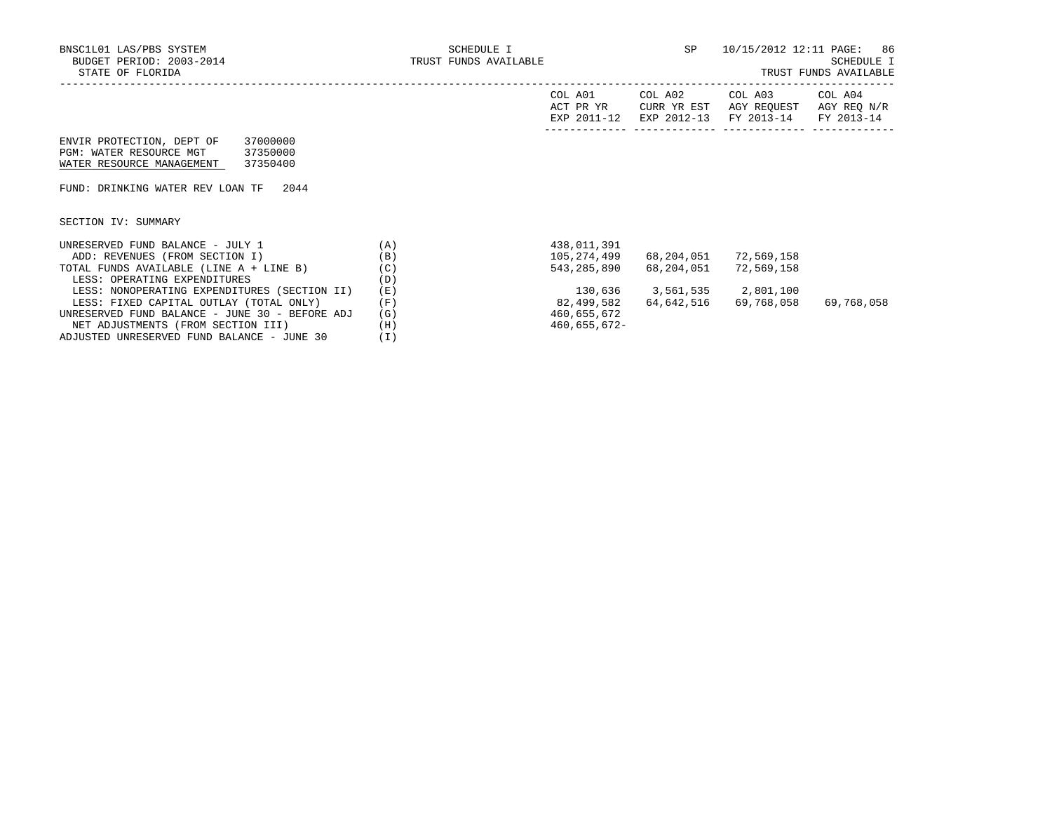|                                                |     | COL A01<br>ACT PR YR<br>EXP 2011-12 | COL A02<br>CURR YR EST<br>EXP 2012-13 | COL A03<br>AGY REOUEST<br>FY 2013-14 | COL A04<br>AGY REO N/R<br>FY 2013-14 |
|------------------------------------------------|-----|-------------------------------------|---------------------------------------|--------------------------------------|--------------------------------------|
| 37000000<br>ENVIR PROTECTION, DEPT OF          |     |                                     |                                       |                                      |                                      |
| PGM: WATER RESOURCE MGT<br>37350000            |     |                                     |                                       |                                      |                                      |
| WATER RESOURCE MANAGEMENT<br>37350400          |     |                                     |                                       |                                      |                                      |
|                                                |     |                                     |                                       |                                      |                                      |
| FUND: DRINKING WATER REV LOAN TF<br>2044       |     |                                     |                                       |                                      |                                      |
|                                                |     |                                     |                                       |                                      |                                      |
|                                                |     |                                     |                                       |                                      |                                      |
| SECTION IV: SUMMARY                            |     |                                     |                                       |                                      |                                      |
| UNRESERVED FUND BALANCE - JULY 1               | (A) | 438,011,391                         |                                       |                                      |                                      |
| ADD: REVENUES (FROM SECTION I)                 | (B) | 105,274,499                         | 68,204,051                            | 72,569,158                           |                                      |
|                                                |     |                                     |                                       |                                      |                                      |
| TOTAL FUNDS AVAILABLE (LINE A + LINE B)        | (C) | 543,285,890                         | 68,204,051                            | 72,569,158                           |                                      |
| LESS: OPERATING EXPENDITURES                   | (D) |                                     |                                       |                                      |                                      |
| LESS: NONOPERATING EXPENDITURES (SECTION II)   | (E) | 130,636                             | 3,561,535 2,801,100                   |                                      |                                      |
| LESS: FIXED CAPITAL OUTLAY (TOTAL ONLY)        | (F) | 82,499,582                          | 64,642,516                            | 69,768,058                           | 69,768,058                           |
| UNRESERVED FUND BALANCE - JUNE 30 - BEFORE ADJ | (G) | 460,655,672                         |                                       |                                      |                                      |
| NET ADJUSTMENTS (FROM SECTION III)             | (H) | 460,655,672-                        |                                       |                                      |                                      |
| ADJUSTED UNRESERVED FUND BALANCE - JUNE 30     | (I) |                                     |                                       |                                      |                                      |
|                                                |     |                                     |                                       |                                      |                                      |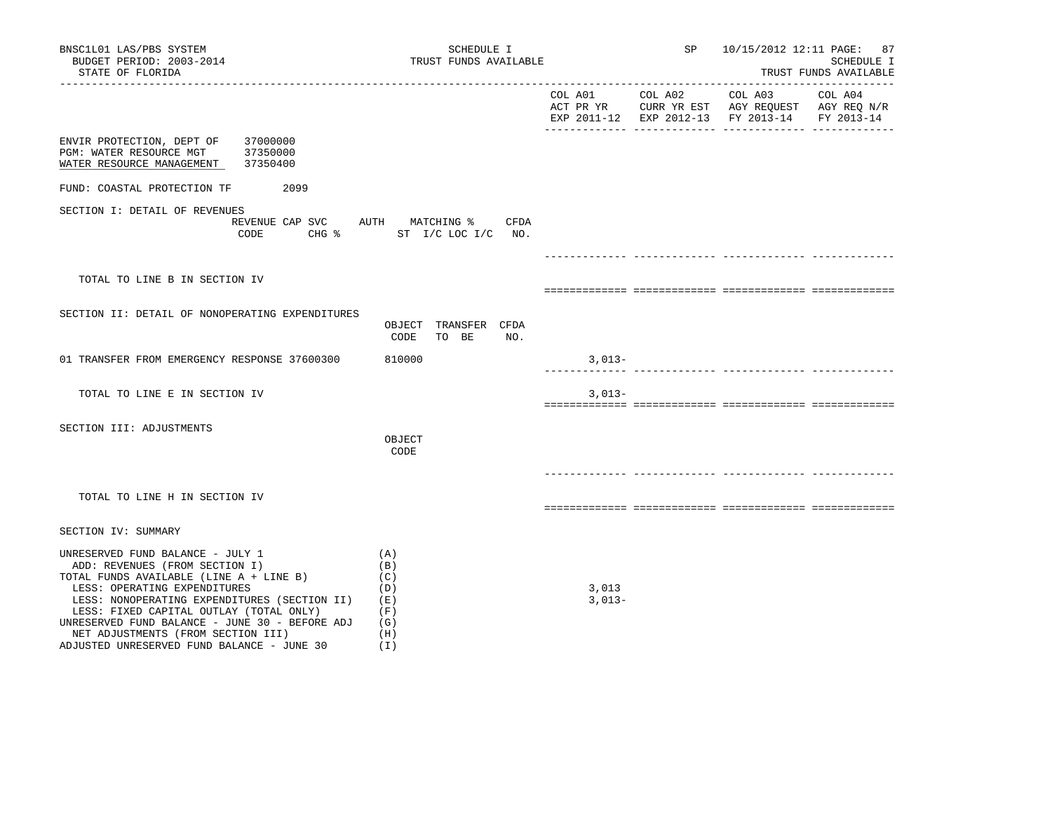| BNSC1L01 LAS/PBS SYSTEM<br>BUDGET PERIOD: 2003-2014<br>STATE OF FLORIDA                                                                                                                                                                                                                                                                                                        | SCHEDULE I<br>TRUST FUNDS AVAILABLE                         |                   | SP              | 10/15/2012 12:11 PAGE: 87<br>SCHEDULE I<br>TRUST FUNDS AVAILABLE                                                   |                       |  |
|--------------------------------------------------------------------------------------------------------------------------------------------------------------------------------------------------------------------------------------------------------------------------------------------------------------------------------------------------------------------------------|-------------------------------------------------------------|-------------------|-----------------|--------------------------------------------------------------------------------------------------------------------|-----------------------|--|
| ---------------------                                                                                                                                                                                                                                                                                                                                                          |                                                             |                   | COL A01 COL A02 | COL A03<br>ACT PR YR $\,$ CURR YR EST $\,$ AGY REQUEST $\,$ AGY REQ N/R $\,$<br>EXP 2011-12 EXP 2012-13 FY 2013-14 | COL A04<br>FY 2013-14 |  |
| ENVIR PROTECTION, DEPT OF<br>37000000<br>PGM: WATER RESOURCE MGT<br>37350000<br>37350400<br>WATER RESOURCE MANAGEMENT                                                                                                                                                                                                                                                          |                                                             |                   |                 |                                                                                                                    |                       |  |
| FUND: COASTAL PROTECTION TF<br>2099                                                                                                                                                                                                                                                                                                                                            |                                                             |                   |                 |                                                                                                                    |                       |  |
| SECTION I: DETAIL OF REVENUES<br>REVENUE CAP SVC<br>CODE                                                                                                                                                                                                                                                                                                                       | AUTH MATCHING %<br>CFDA<br>CHG % ST I/C LOC I/C NO.         |                   |                 |                                                                                                                    |                       |  |
|                                                                                                                                                                                                                                                                                                                                                                                |                                                             |                   |                 |                                                                                                                    |                       |  |
| TOTAL TO LINE B IN SECTION IV                                                                                                                                                                                                                                                                                                                                                  |                                                             |                   |                 |                                                                                                                    |                       |  |
| SECTION II: DETAIL OF NONOPERATING EXPENDITURES                                                                                                                                                                                                                                                                                                                                | OBJECT TRANSFER CFDA<br>NO.<br>CODE<br>TO BE                |                   |                 |                                                                                                                    |                       |  |
| 01 TRANSFER FROM EMERGENCY RESPONSE 37600300                                                                                                                                                                                                                                                                                                                                   | 810000                                                      | $3,013-$          |                 |                                                                                                                    |                       |  |
| TOTAL TO LINE E IN SECTION IV                                                                                                                                                                                                                                                                                                                                                  |                                                             | $3,013-$          |                 |                                                                                                                    |                       |  |
| SECTION III: ADJUSTMENTS                                                                                                                                                                                                                                                                                                                                                       | OBJECT<br>CODE                                              |                   |                 |                                                                                                                    |                       |  |
| TOTAL TO LINE H IN SECTION IV                                                                                                                                                                                                                                                                                                                                                  |                                                             |                   |                 |                                                                                                                    |                       |  |
| SECTION IV: SUMMARY                                                                                                                                                                                                                                                                                                                                                            |                                                             |                   |                 |                                                                                                                    |                       |  |
| UNRESERVED FUND BALANCE - JULY 1<br>ADD: REVENUES (FROM SECTION I)<br>TOTAL FUNDS AVAILABLE (LINE A + LINE B)<br>LESS: OPERATING EXPENDITURES<br>LESS: NONOPERATING EXPENDITURES (SECTION II)<br>LESS: FIXED CAPITAL OUTLAY (TOTAL ONLY)<br>UNRESERVED FUND BALANCE - JUNE 30 - BEFORE ADJ<br>NET ADJUSTMENTS (FROM SECTION III)<br>ADJUSTED UNRESERVED FUND BALANCE - JUNE 30 | (A)<br>(B)<br>(C)<br>(D)<br>(E)<br>(F)<br>(G)<br>(H)<br>(1) | 3,013<br>$3,013-$ |                 |                                                                                                                    |                       |  |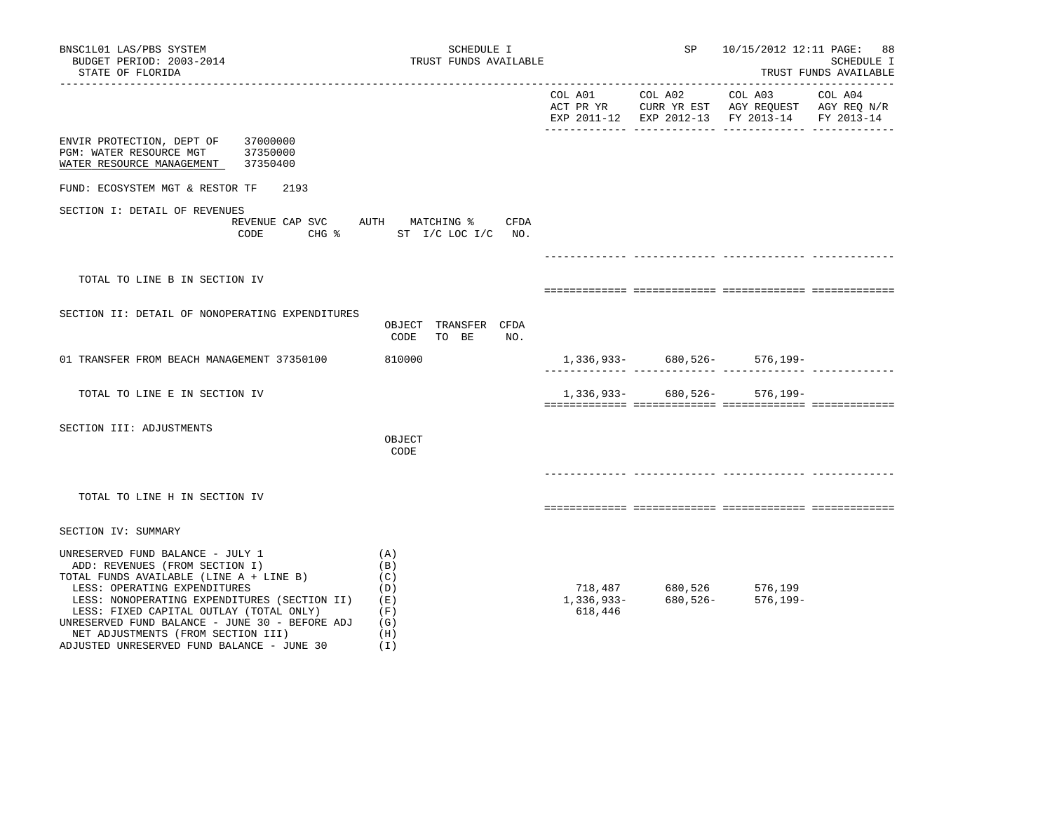| BNSC1L01 LAS/PBS SYSTEM<br>BUDGET PERIOD: 2003-2014<br>STATE OF FLORIDA                                                                                                                                                                                                                                                                                                            | SCHEDULE I<br>TRUST FUNDS AVAILABLE                                        |         |                            | SP 10/15/2012 12:11 PAGE: 88                            | SCHEDULE I<br>TRUST FUNDS AVAILABLE |
|------------------------------------------------------------------------------------------------------------------------------------------------------------------------------------------------------------------------------------------------------------------------------------------------------------------------------------------------------------------------------------|----------------------------------------------------------------------------|---------|----------------------------|---------------------------------------------------------|-------------------------------------|
|                                                                                                                                                                                                                                                                                                                                                                                    |                                                                            |         |                            | EXP 2011-12 EXP 2012-13 FY 2013-14 FY 2013-14           |                                     |
| ENVIR PROTECTION, DEPT OF 37000000<br>PGM: WATER RESOURCE MGT 37350000<br>WATER RESOURCE MANAGEMENT 37350400                                                                                                                                                                                                                                                                       |                                                                            |         |                            |                                                         |                                     |
| FUND: ECOSYSTEM MGT & RESTOR TF<br>2193                                                                                                                                                                                                                                                                                                                                            |                                                                            |         |                            |                                                         |                                     |
| SECTION I: DETAIL OF REVENUES<br>CODE                                                                                                                                                                                                                                                                                                                                              | REVENUE CAP SVC AUTH MATCHING % CFDA<br>CHG $\text{\$}$ ST I/C LOC I/C NO. |         | __________________________ |                                                         |                                     |
| TOTAL TO LINE B IN SECTION IV                                                                                                                                                                                                                                                                                                                                                      |                                                                            |         |                            |                                                         |                                     |
| SECTION II: DETAIL OF NONOPERATING EXPENDITURES                                                                                                                                                                                                                                                                                                                                    | OBJECT TRANSFER CFDA<br>CODE<br>TO BE NO.                                  |         |                            |                                                         |                                     |
| 01 TRANSFER FROM BEACH MANAGEMENT 37350100                                                                                                                                                                                                                                                                                                                                         | 810000                                                                     |         |                            |                                                         |                                     |
| TOTAL TO LINE E IN SECTION IV                                                                                                                                                                                                                                                                                                                                                      |                                                                            |         |                            | 1,336,933- 680,526- 576,199-                            |                                     |
| SECTION III: ADJUSTMENTS                                                                                                                                                                                                                                                                                                                                                           | OBJECT<br>CODE                                                             |         |                            |                                                         |                                     |
| TOTAL TO LINE H IN SECTION IV                                                                                                                                                                                                                                                                                                                                                      |                                                                            |         |                            | __ ______________ _________                             |                                     |
| SECTION IV: SUMMARY                                                                                                                                                                                                                                                                                                                                                                |                                                                            |         |                            |                                                         |                                     |
| UNRESERVED FUND BALANCE - JULY 1<br>ADD: REVENUES (FROM SECTION I)<br>TOTAL FUNDS AVAILABLE (LINE A + LINE B)<br>LESS: OPERATING EXPENDITURES<br>LESS: NONOPERATING EXPENDITURES (SECTION II) (E)<br>LESS: FIXED CAPITAL OUTLAY (TOTAL ONLY)<br>UNRESERVED FUND BALANCE - JUNE 30 - BEFORE ADJ<br>NET ADJUSTMENTS (FROM SECTION III)<br>ADJUSTED UNRESERVED FUND BALANCE - JUNE 30 | (A)<br>(B)<br>(C)<br>(D)<br>(F)<br>(G)<br>(H)<br>(I)                       | 618,446 |                            | 718,487 680,526 576,199<br>1,336,933- 680,526- 576,199- |                                     |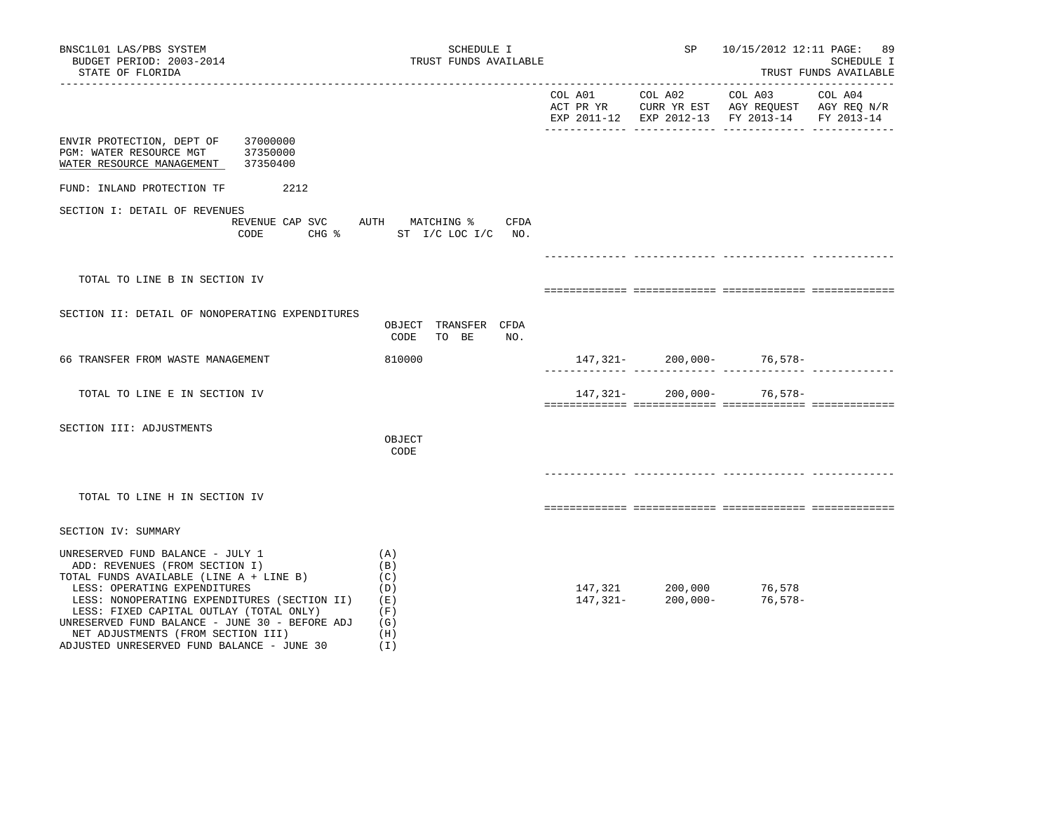| BNSC1L01 LAS/PBS SYSTEM<br>BUDGET PERIOD: 2003-2014<br>STATE OF FLORIDA                                                                                                                                                                                                                                                                                                        | SCHEDULE I<br>TRUST FUNDS AVAILABLE                         |  |                                                              | 10/15/2012 12:11 PAGE:                                                                                                              | -89<br>SCHEDULE I<br>TRUST FUNDS AVAILABLE |
|--------------------------------------------------------------------------------------------------------------------------------------------------------------------------------------------------------------------------------------------------------------------------------------------------------------------------------------------------------------------------------|-------------------------------------------------------------|--|--------------------------------------------------------------|-------------------------------------------------------------------------------------------------------------------------------------|--------------------------------------------|
|                                                                                                                                                                                                                                                                                                                                                                                |                                                             |  |                                                              | COL A01 COL A02 COL A03<br>ACT PR YR $\,$ CURR YR EST $\,$ AGY REQUEST $\,$ AGY REQ $\rm N/R$<br>EXP 2011-12 EXP 2012-13 FY 2013-14 | COL A04<br>FY 2013-14                      |
| ENVIR PROTECTION, DEPT OF<br>37000000<br>PGM: WATER RESOURCE MGT<br>37350000<br>WATER RESOURCE MANAGEMENT<br>37350400                                                                                                                                                                                                                                                          |                                                             |  |                                                              |                                                                                                                                     |                                            |
| FUND: INLAND PROTECTION TF<br>2212                                                                                                                                                                                                                                                                                                                                             |                                                             |  |                                                              |                                                                                                                                     |                                            |
| SECTION I: DETAIL OF REVENUES<br>REVENUE CAP SVC AUTH MATCHING %                                                                                                                                                                                                                                                                                                               | CFDA<br>CODE CHG % ST I/C LOC I/C NO.                       |  |                                                              |                                                                                                                                     |                                            |
|                                                                                                                                                                                                                                                                                                                                                                                |                                                             |  |                                                              |                                                                                                                                     |                                            |
| TOTAL TO LINE B IN SECTION IV                                                                                                                                                                                                                                                                                                                                                  |                                                             |  |                                                              |                                                                                                                                     |                                            |
| SECTION II: DETAIL OF NONOPERATING EXPENDITURES                                                                                                                                                                                                                                                                                                                                | OBJECT TRANSFER CFDA<br>NO.<br>CODE<br>TO BE                |  |                                                              |                                                                                                                                     |                                            |
| 66 TRANSFER FROM WASTE MANAGEMENT                                                                                                                                                                                                                                                                                                                                              | 810000                                                      |  |                                                              | $147,321-200,000-76,578-$                                                                                                           |                                            |
| TOTAL TO LINE E IN SECTION IV                                                                                                                                                                                                                                                                                                                                                  |                                                             |  |                                                              | 147, 321-200, 000-76, 578-                                                                                                          |                                            |
| SECTION III: ADJUSTMENTS                                                                                                                                                                                                                                                                                                                                                       | OBJECT<br>CODE                                              |  |                                                              |                                                                                                                                     |                                            |
| TOTAL TO LINE H IN SECTION IV                                                                                                                                                                                                                                                                                                                                                  |                                                             |  |                                                              |                                                                                                                                     |                                            |
| SECTION IV: SUMMARY                                                                                                                                                                                                                                                                                                                                                            |                                                             |  |                                                              |                                                                                                                                     |                                            |
| UNRESERVED FUND BALANCE - JULY 1<br>ADD: REVENUES (FROM SECTION I)<br>TOTAL FUNDS AVAILABLE (LINE A + LINE B)<br>LESS: OPERATING EXPENDITURES<br>LESS: NONOPERATING EXPENDITURES (SECTION II)<br>LESS: FIXED CAPITAL OUTLAY (TOTAL ONLY)<br>UNRESERVED FUND BALANCE - JUNE 30 - BEFORE ADJ<br>NET ADJUSTMENTS (FROM SECTION III)<br>ADJUSTED UNRESERVED FUND BALANCE - JUNE 30 | (A)<br>(B)<br>(C)<br>(D)<br>(E)<br>(F)<br>(G)<br>(H)<br>(I) |  | $147,321$ $200,000$ $76,578$<br>$147,321$ $200,000$ $76,578$ | 76,578-                                                                                                                             |                                            |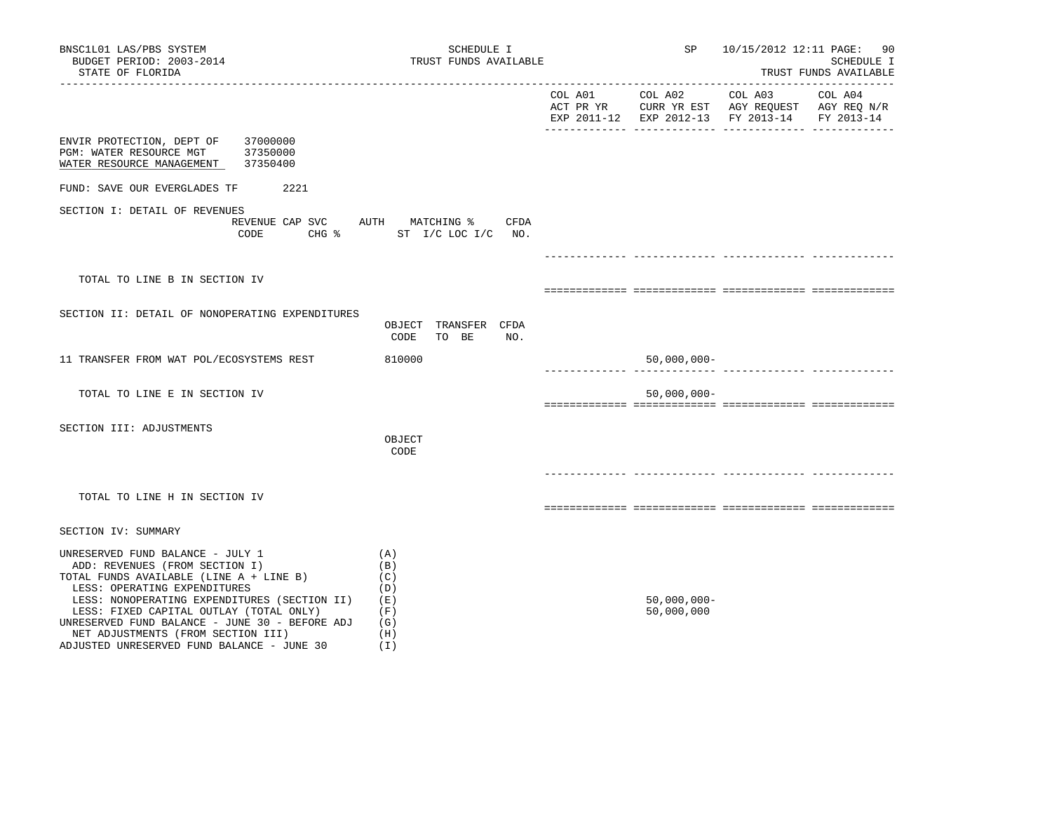| BNSC1L01 LAS/PBS SYSTEM<br>BUDGET PERIOD: 2003-2014<br>STATE OF FLORIDA                                                                                                                                                                                                                                                                                                        | SCHEDULE I<br>TRUST FUNDS AVAILABLE                         |         | SP                           | 10/15/2012 12:11 PAGE: 90                                                                                 | <b>SCHEDULE I</b><br>TRUST FUNDS AVAILABLE |
|--------------------------------------------------------------------------------------------------------------------------------------------------------------------------------------------------------------------------------------------------------------------------------------------------------------------------------------------------------------------------------|-------------------------------------------------------------|---------|------------------------------|-----------------------------------------------------------------------------------------------------------|--------------------------------------------|
|                                                                                                                                                                                                                                                                                                                                                                                |                                                             | COL A01 | COL A02                      | COL A03<br>ACT PR YR CURR YR EST AGY REQUEST AGY REQ N/R<br>EXP 2011-12 EXP 2012-13 FY 2013-14 FY 2013-14 | COL A04                                    |
| ENVIR PROTECTION, DEPT OF<br>37000000<br>37350000<br>PGM: WATER RESOURCE MGT<br>37350400<br>WATER RESOURCE MANAGEMENT                                                                                                                                                                                                                                                          |                                                             |         |                              |                                                                                                           |                                            |
| 2221<br>FUND: SAVE OUR EVERGLADES TF                                                                                                                                                                                                                                                                                                                                           |                                                             |         |                              |                                                                                                           |                                            |
| SECTION I: DETAIL OF REVENUES<br>REVENUE CAP SVC AUTH MATCHING %<br>$CHG$ $\frac{1}{6}$<br>CODE                                                                                                                                                                                                                                                                                | CFDA<br>ST I/C LOC I/C NO.                                  |         |                              |                                                                                                           |                                            |
|                                                                                                                                                                                                                                                                                                                                                                                |                                                             |         |                              |                                                                                                           |                                            |
| TOTAL TO LINE B IN SECTION IV                                                                                                                                                                                                                                                                                                                                                  |                                                             |         |                              |                                                                                                           |                                            |
| SECTION II: DETAIL OF NONOPERATING EXPENDITURES                                                                                                                                                                                                                                                                                                                                | OBJECT TRANSFER CFDA<br>NO.<br>CODE<br>TO BE                |         |                              |                                                                                                           |                                            |
| 11 TRANSFER FROM WAT POL/ECOSYSTEMS REST                                                                                                                                                                                                                                                                                                                                       | 810000                                                      |         | $50,000,000 -$               |                                                                                                           |                                            |
| TOTAL TO LINE E IN SECTION IV                                                                                                                                                                                                                                                                                                                                                  |                                                             |         | $50,000,000 -$               |                                                                                                           |                                            |
| SECTION III: ADJUSTMENTS                                                                                                                                                                                                                                                                                                                                                       | OBJECT<br>CODE                                              |         |                              |                                                                                                           |                                            |
|                                                                                                                                                                                                                                                                                                                                                                                |                                                             |         |                              |                                                                                                           |                                            |
| TOTAL TO LINE H IN SECTION IV                                                                                                                                                                                                                                                                                                                                                  |                                                             |         |                              |                                                                                                           |                                            |
| SECTION IV: SUMMARY                                                                                                                                                                                                                                                                                                                                                            |                                                             |         |                              |                                                                                                           |                                            |
| UNRESERVED FUND BALANCE - JULY 1<br>ADD: REVENUES (FROM SECTION I)<br>TOTAL FUNDS AVAILABLE (LINE A + LINE B)<br>LESS: OPERATING EXPENDITURES<br>LESS: NONOPERATING EXPENDITURES (SECTION II)<br>LESS: FIXED CAPITAL OUTLAY (TOTAL ONLY)<br>UNRESERVED FUND BALANCE - JUNE 30 - BEFORE ADJ<br>NET ADJUSTMENTS (FROM SECTION III)<br>ADJUSTED UNRESERVED FUND BALANCE - JUNE 30 | (A)<br>(B)<br>(C)<br>(D)<br>(E)<br>(F)<br>(G)<br>(H)<br>(1) |         | $50,000,000 -$<br>50,000,000 |                                                                                                           |                                            |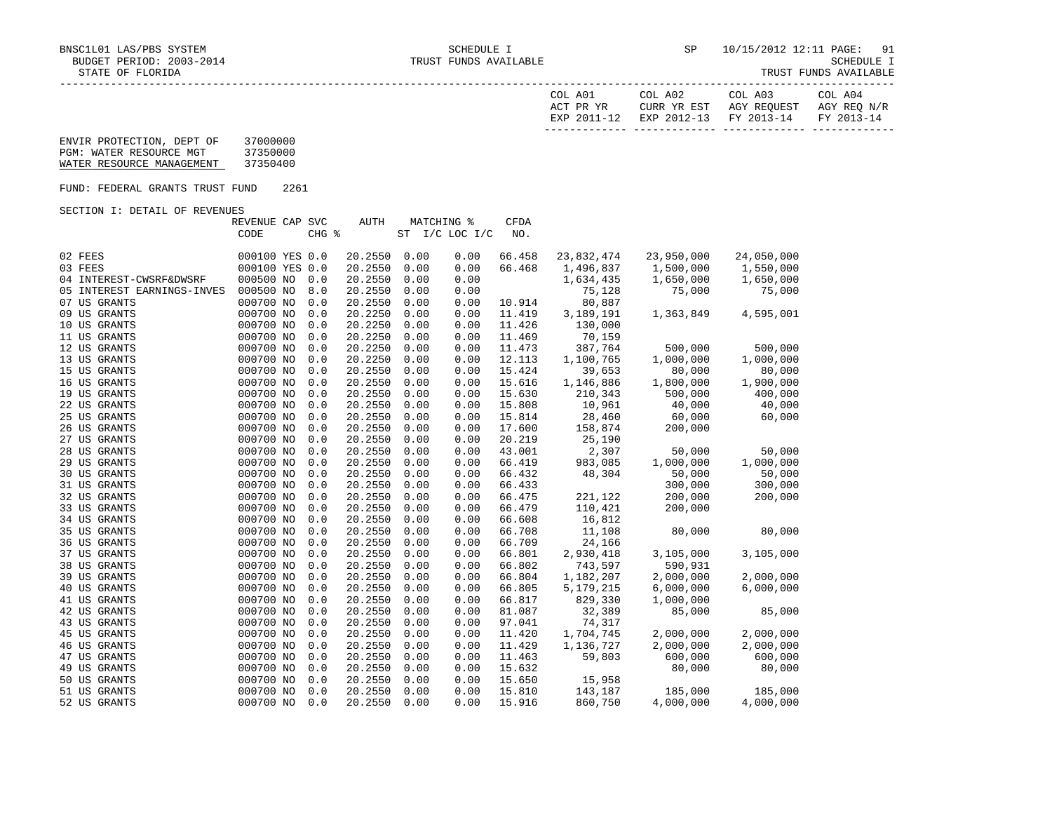| COL A01<br>ACT PR YR | COL A02<br>CURR YR EST            | COL A03<br>AGY REOUEST | COL A04<br>AGY REO N/R |
|----------------------|-----------------------------------|------------------------|------------------------|
| EXP 2011-12          | EXP 2012-13 FY 2013-14 FY 2013-14 |                        |                        |

## ENVIR PROTECTION, DEPT OF 37000000 PGM: WATER RESOURCE MGT 37350000 WATER RESOURCE MANAGEMENT 37350400

FUND: FEDERAL GRANTS TRUST FUND 2261

SECTION I: DETAIL OF REVENUES

|                            | REVENUE CAP SVC |       | <b>AUTH</b> |      | MATCHING %      | <b>CFDA</b> |            |            |            |
|----------------------------|-----------------|-------|-------------|------|-----------------|-------------|------------|------------|------------|
|                            | CODE            | CHG % |             | ST   | $I/C$ LOC $I/C$ | NO.         |            |            |            |
|                            |                 |       |             |      |                 |             |            |            |            |
| 02 FEES                    | 000100 YES 0.0  |       | 20.2550     | 0.00 | 0.00            | 66.458      | 23,832,474 | 23,950,000 | 24,050,000 |
| 03 FEES                    | 000100 YES 0.0  |       | 20.2550     | 0.00 | 0.00            | 66.468      | 1,496,837  | 1,500,000  | 1,550,000  |
| 04 INTEREST-CWSRF&DWSRF    | 000500 NO       | 0.0   | 20.2550     | 0.00 | 0.00            |             | 1,634,435  | 1,650,000  | 1,650,000  |
| 05 INTEREST EARNINGS-INVES | 000500 NO       | 8.0   | 20.2550     | 0.00 | 0.00            |             | 75,128     | 75,000     | 75,000     |
| 07 US GRANTS               | 000700 NO       | 0.0   | 20.2550     | 0.00 | 0.00            | 10.914      | 80,887     |            |            |
| 09 US GRANTS               | 000700 NO       | 0.0   | 20.2250     | 0.00 | 0.00            | 11.419      | 3,189,191  | 1,363,849  | 4,595,001  |
| 10 US GRANTS               | 000700 NO       | 0.0   | 20.2250     | 0.00 | 0.00            | 11.426      | 130,000    |            |            |
| 11 US GRANTS               | 000700 NO       | 0.0   | 20.2250     | 0.00 | 0.00            | 11.469      | 70,159     |            |            |
| 12 US GRANTS               | 000700 NO       | 0.0   | 20.2250     | 0.00 | 0.00            | 11.473      | 387,764    | 500,000    | 500,000    |
| 13 US GRANTS               | 000700 NO       | 0.0   | 20.2250     | 0.00 | 0.00            | 12.113      | 1,100,765  | 1,000,000  | 1,000,000  |
| 15 US GRANTS               | 000700 NO       | 0.0   | 20.2550     | 0.00 | 0.00            | 15.424      | 39,653     | 80,000     | 80,000     |
| 16 US GRANTS               | 000700 NO       | 0.0   | 20.2550     | 0.00 | 0.00            | 15.616      | 1,146,886  | 1,800,000  | 1,900,000  |
| 19 US GRANTS               | 000700 NO       | 0.0   | 20.2550     | 0.00 | 0.00            | 15.630      | 210,343    | 500,000    | 400,000    |
| 22 US GRANTS               | 000700 NO       | 0.0   | 20.2550     | 0.00 | 0.00            | 15.808      | 10,961     | 40,000     | 40,000     |
| 25 US GRANTS               | 000700 NO       | 0.0   | 20.2550     | 0.00 | 0.00            | 15.814      | 28,460     | 60,000     | 60,000     |
| 26 US GRANTS               | 000700 NO       | 0.0   | 20.2550     | 0.00 | 0.00            | 17.600      | 158,874    | 200,000    |            |
| 27 US GRANTS               | 000700 NO       | 0.0   | 20.2550     | 0.00 | 0.00            | 20.219      | 25,190     |            |            |
| 28 US GRANTS               | 000700 NO       | 0.0   | 20.2550     | 0.00 | 0.00            | 43.001      | 2,307      | 50,000     | 50,000     |
| 29 US GRANTS               | 000700 NO       | 0.0   | 20.2550     | 0.00 | 0.00            | 66.419      | 983,085    | 1,000,000  | 1,000,000  |
| 30 US GRANTS               | 000700 NO       | 0.0   | 20.2550     | 0.00 | 0.00            | 66.432      | 48,304     | 50,000     | 50,000     |
| 31 US GRANTS               | 000700 NO       | 0.0   | 20.2550     | 0.00 | 0.00            | 66.433      |            | 300,000    | 300,000    |
| 32 US GRANTS               | 000700 NO       | 0.0   | 20.2550     | 0.00 | 0.00            | 66.475      | 221,122    | 200,000    | 200,000    |
| 33 US GRANTS               | 000700 NO       | 0.0   | 20.2550     | 0.00 | 0.00            | 66.479      | 110,421    | 200,000    |            |
| 34 US GRANTS               | 000700 NO       | 0.0   | 20.2550     | 0.00 | 0.00            | 66.608      | 16,812     |            |            |
| 35 US GRANTS               | 000700 NO       | 0.0   | 20.2550     | 0.00 | 0.00            | 66.708      | 11,108     | 80,000     | 80,000     |
| 36 US GRANTS               | 000700 NO       | 0.0   | 20.2550     | 0.00 | 0.00            | 66.709      | 24,166     |            |            |
| 37 US GRANTS               | 000700 NO       | 0.0   | 20.2550     | 0.00 | 0.00            | 66.801      | 2,930,418  | 3,105,000  | 3,105,000  |
| 38 US GRANTS               | 000700 NO       | 0.0   | 20.2550     | 0.00 | 0.00            | 66.802      | 743,597    | 590,931    |            |
| 39 US GRANTS               | 000700 NO       | 0.0   | 20.2550     | 0.00 | 0.00            | 66.804      | 1,182,207  | 2,000,000  | 2,000,000  |
| 40 US GRANTS               | 000700 NO       | 0.0   | 20.2550     | 0.00 | 0.00            | 66.805      | 5,179,215  | 6,000,000  | 6,000,000  |
| 41 US GRANTS               | 000700 NO       | 0.0   | 20.2550     | 0.00 | 0.00            | 66.817      | 829,330    | 1,000,000  |            |
| 42 US GRANTS               | 000700 NO       | 0.0   | 20.2550     | 0.00 | 0.00            | 81.087      | 32,389     | 85,000     | 85,000     |
| 43 US GRANTS               | 000700 NO       | 0.0   | 20.2550     | 0.00 | 0.00            | 97.041      | 74,317     |            |            |
| 45 US GRANTS               | 000700 NO       | 0.0   | 20.2550     | 0.00 | 0.00            | 11.420      | 1,704,745  | 2,000,000  | 2,000,000  |
| 46 US GRANTS               | 000700 NO       | 0.0   | 20.2550     | 0.00 | 0.00            | 11.429      | 1,136,727  | 2,000,000  | 2,000,000  |
| 47 US GRANTS               | 000700 NO       | 0.0   | 20.2550     | 0.00 | 0.00            | 11.463      | 59,803     | 600,000    | 600,000    |
| 49 US GRANTS               | 000700 NO       | 0.0   | 20.2550     | 0.00 | 0.00            | 15.632      |            | 80,000     | 80,000     |
| 50 US GRANTS               | 000700 NO       | 0.0   | 20.2550     | 0.00 | 0.00            | 15.650      | 15,958     |            |            |
| 51 US GRANTS               | 000700 NO       | 0.0   | 20.2550     | 0.00 | 0.00            | 15.810      | 143,187    | 185,000    | 185,000    |
| 52 US GRANTS               | 000700 NO       | 0.0   | 20.2550     | 0.00 | 0.00            | 15.916      | 860,750    | 4,000,000  | 4,000,000  |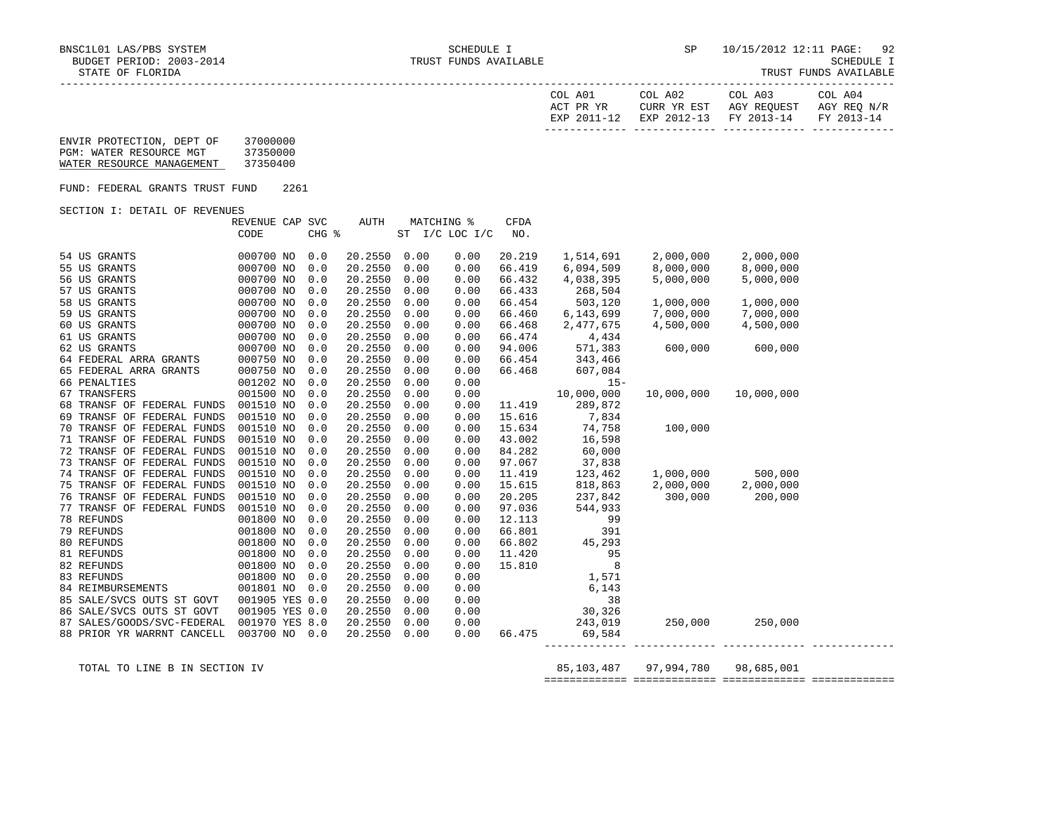| COL A01<br>ACT PR YR | COL A02 | COL A03<br>CURR YR EST AGY REOUEST AGY REO N/R | COL A04 |
|----------------------|---------|------------------------------------------------|---------|
|                      |         | EXP 2011-12 EXP 2012-13 FY 2013-14 FY 2013-14  |         |
|                      |         |                                                |         |

| ENVIR PROTECTION, DEPT OF | 37000000 |
|---------------------------|----------|
| PGM: WATER RESOURCE MGT   | 37350000 |
| WATER RESOURCE MANAGEMENT | 37350400 |

FUND: FEDERAL GRANTS TRUST FUND 2261

SECTION I: DETAIL OF REVENUES

|                            | REVENUE CAP SVC |       | <b>AUTH</b> |      | <b>MATCHING %</b> | <b>CFDA</b> |            |            |            |  |
|----------------------------|-----------------|-------|-------------|------|-------------------|-------------|------------|------------|------------|--|
|                            | CODE            | CHG % |             |      | ST I/C LOC I/C    | NO.         |            |            |            |  |
|                            |                 |       |             |      |                   |             |            |            |            |  |
| 54 US GRANTS               | 000700 NO       | 0.0   | 20.2550     | 0.00 | 0.00              | 20.219      | 1,514,691  | 2,000,000  | 2,000,000  |  |
| 55 US GRANTS               | 000700 NO       | 0.0   | 20.2550     | 0.00 | 0.00              | 66.419      | 6,094,509  | 8,000,000  | 8,000,000  |  |
| 56 US GRANTS               | 000700 NO       | 0.0   | 20.2550     | 0.00 | 0.00              | 66.432      | 4,038,395  | 5,000,000  | 5,000,000  |  |
| 57 US GRANTS               | 000700 NO       | 0.0   | 20.2550     | 0.00 | 0.00              | 66.433      | 268,504    |            |            |  |
| 58 US GRANTS               | 000700 NO       | 0.0   | 20.2550     | 0.00 | 0.00              | 66.454      | 503,120    | 1,000,000  | 1,000,000  |  |
| 59 US GRANTS               | 000700 NO       | 0.0   | 20.2550     | 0.00 | 0.00              | 66.460      | 6,143,699  | 7,000,000  | 7,000,000  |  |
| 60 US GRANTS               | 000700 NO       | 0.0   | 20.2550     | 0.00 | 0.00              | 66.468      | 2,477,675  | 4,500,000  | 4,500,000  |  |
| 61 US GRANTS               | 000700 NO       | 0.0   | 20.2550     | 0.00 | 0.00              | 66.474      | 4,434      |            |            |  |
| 62 US GRANTS               | 000700 NO       | 0.0   | 20.2550     | 0.00 | 0.00              | 94.006      | 571,383    | 600,000    | 600,000    |  |
| 64 FEDERAL ARRA GRANTS     | 000750 NO       | 0.0   | 20.2550     | 0.00 | 0.00              | 66.454      | 343,466    |            |            |  |
| 65 FEDERAL ARRA GRANTS     | 000750 NO       | 0.0   | 20.2550     | 0.00 | 0.00              | 66.468      | 607,084    |            |            |  |
| 66 PENALTIES               | 001202 NO       | 0.0   | 20.2550     | 0.00 | 0.00              |             | $15 -$     |            |            |  |
| 67 TRANSFERS               | 001500 NO       | 0.0   | 20.2550     | 0.00 | 0.00              |             | 10,000,000 | 10,000,000 | 10,000,000 |  |
| 68 TRANSF OF FEDERAL FUNDS | 001510 NO       | 0.0   | 20.2550     | 0.00 | 0.00              | 11.419      | 289,872    |            |            |  |
| 69 TRANSF OF FEDERAL FUNDS | 001510 NO       | 0.0   | 20.2550     | 0.00 | 0.00              | 15.616      | 7,834      |            |            |  |
| 70 TRANSF OF FEDERAL FUNDS | 001510 NO       | 0.0   | 20.2550     | 0.00 | 0.00              | 15.634      | 74,758     | 100,000    |            |  |
| 71 TRANSF OF FEDERAL FUNDS | 001510 NO       | 0.0   | 20.2550     | 0.00 | 0.00              | 43.002      | 16,598     |            |            |  |
| 72 TRANSF OF FEDERAL FUNDS | 001510 NO       | 0.0   | 20.2550     | 0.00 | 0.00              | 84.282      | 60,000     |            |            |  |
| 73 TRANSF OF FEDERAL FUNDS | 001510 NO       | 0.0   | 20.2550     | 0.00 | 0.00              | 97.067      | 37,838     |            |            |  |
| 74 TRANSF OF FEDERAL FUNDS | 001510 NO       | 0.0   | 20.2550     | 0.00 | 0.00              | 11.419      | 123,462    | 1,000,000  | 500,000    |  |
| 75 TRANSF OF FEDERAL FUNDS | 001510 NO       | 0.0   | 20.2550     | 0.00 | 0.00              | 15.615      | 818,863    | 2,000,000  | 2,000,000  |  |
| 76 TRANSF OF FEDERAL FUNDS | 001510 NO       | 0.0   | 20.2550     | 0.00 | 0.00              | 20.205      | 237,842    | 300,000    | 200,000    |  |
| 77 TRANSF OF FEDERAL FUNDS | 001510 NO       | 0.0   | 20.2550     | 0.00 | 0.00              | 97.036      | 544,933    |            |            |  |
| 78 REFUNDS                 | 001800 NO       | 0.0   | 20.2550     | 0.00 | 0.00              | 12.113      | 99         |            |            |  |
| 79 REFUNDS                 | 001800 NO       | 0.0   | 20.2550     | 0.00 | 0.00              | 66.801      | 391        |            |            |  |
| 80 REFUNDS                 | 001800 NO       | 0.0   | 20.2550     | 0.00 | 0.00              | 66.802      | 45,293     |            |            |  |
| 81 REFUNDS                 | 001800 NO       | 0.0   | 20.2550     | 0.00 | 0.00              | 11.420      | 95         |            |            |  |
| 82 REFUNDS                 | 001800 NO       | 0.0   | 20.2550     | 0.00 | 0.00              | 15.810      | 8          |            |            |  |
| 83 REFUNDS                 | 001800 NO       | 0.0   | 20.2550     | 0.00 | 0.00              |             | 1,571      |            |            |  |
| 84 REIMBURSEMENTS          | 001801 NO       | 0.0   | 20.2550     | 0.00 | 0.00              |             | 6,143      |            |            |  |
| 85 SALE/SVCS OUTS ST GOVT  | 001905 YES 0.0  |       | 20.2550     | 0.00 | 0.00              |             | 38         |            |            |  |
| 86 SALE/SVCS OUTS ST GOVT  | 001905 YES 0.0  |       | 20.2550     | 0.00 | 0.00              |             | 30,326     |            |            |  |
| 87 SALES/GOODS/SVC-FEDERAL | 001970 YES 8.0  |       | 20.2550     | 0.00 | 0.00              |             | 243,019    | 250,000    | 250,000    |  |
| 88 PRIOR YR WARRNT CANCELL | 003700 NO 0.0   |       | 20.2550     | 0.00 | 0.00              | 66.475      | 69,584     |            |            |  |
|                            |                 |       |             |      |                   |             |            |            |            |  |

TOTAL TO LINE B IN SECTION IV 85,103,487 97,994,780 98,685,001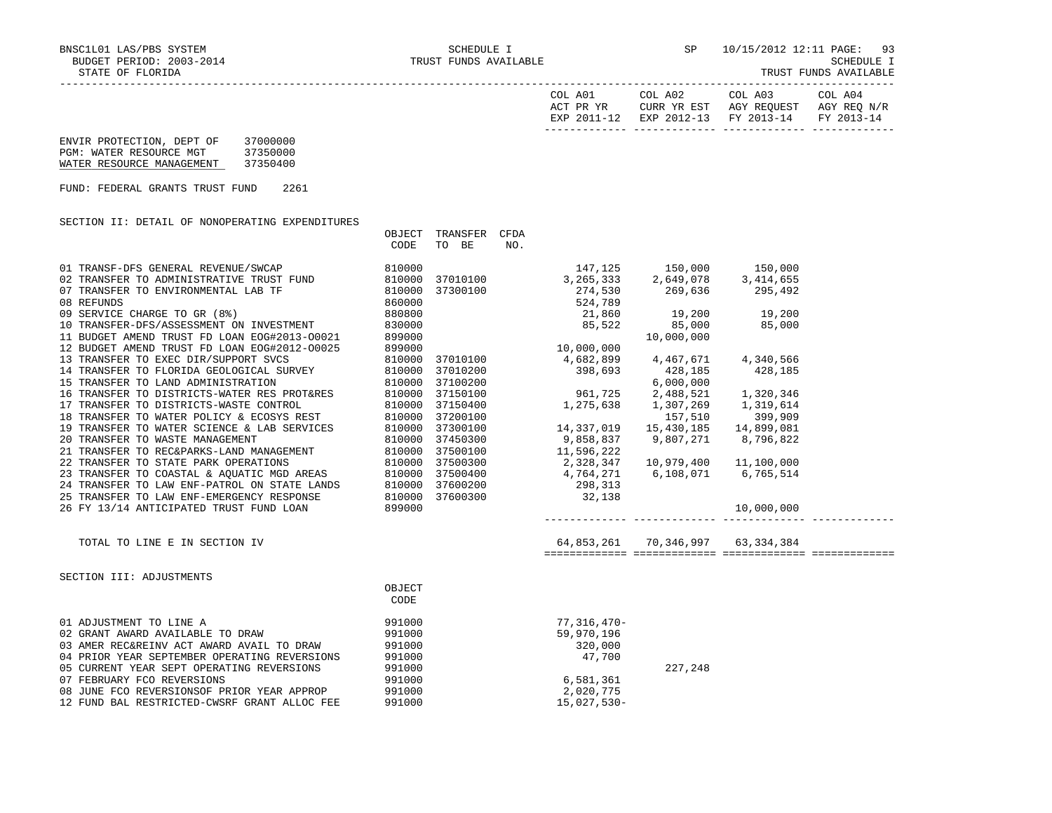OBJECT TRANSFER CFDA

SCHEDULE I<br>TRUST FUNDS AVAILABLE

|  |  | TRUST FUNDS AVAILABLE |
|--|--|-----------------------|
|--|--|-----------------------|

| COL A01<br>ACT PR YR | COL A02<br>CURR YR EST            | COL A03<br>AGY REOUEST | COL A04<br>AGY REO N/R |
|----------------------|-----------------------------------|------------------------|------------------------|
| EXP 2011-12          | EXP 2012-13 FY 2013-14 FY 2013-14 |                        |                        |

 ENVIR PROTECTION, DEPT OF 37000000 PGM: WATER RESOURCE MGT 37350000 WATER RESOURCE MANAGEMENT 37350400

FUND: FEDERAL GRANTS TRUST FUND 2261

| SECTION II: DETAIL OF NONOPERATING EXPENDITURES |  |  |  |
|-------------------------------------------------|--|--|--|
|-------------------------------------------------|--|--|--|

|                                                                                                                                                                                                                                                                                                                                                                                | CODE             | TO BE | NO. |                                                                                         |         |  |
|--------------------------------------------------------------------------------------------------------------------------------------------------------------------------------------------------------------------------------------------------------------------------------------------------------------------------------------------------------------------------------|------------------|-------|-----|-----------------------------------------------------------------------------------------|---------|--|
|                                                                                                                                                                                                                                                                                                                                                                                |                  |       |     |                                                                                         |         |  |
|                                                                                                                                                                                                                                                                                                                                                                                |                  |       |     |                                                                                         |         |  |
|                                                                                                                                                                                                                                                                                                                                                                                |                  |       |     |                                                                                         |         |  |
|                                                                                                                                                                                                                                                                                                                                                                                |                  |       |     |                                                                                         |         |  |
|                                                                                                                                                                                                                                                                                                                                                                                |                  |       |     |                                                                                         |         |  |
|                                                                                                                                                                                                                                                                                                                                                                                |                  |       |     |                                                                                         |         |  |
| TOTAL TO LINE E IN SECTION IV                                                                                                                                                                                                                                                                                                                                                  |                  |       |     | 64,853,261 70,346,997 63,334,384                                                        |         |  |
| SECTION III: ADJUSTMENTS                                                                                                                                                                                                                                                                                                                                                       | OBJECT<br>CODE   |       |     |                                                                                         |         |  |
| 01 ADJUSTMENT TO LINE A<br>991000<br>02 GRANT AWARD AVAILABLE TO DRAW<br>03 AMER REC&REINV ACT AWARD AVAIL TO DRAW 991000<br>04 PRIOR YEAR SEPTEMBER OPERATING REVERSIONS 991000<br>05 CURRENT YEAR SEPT OPERATING REVERSIONS 991000<br>07 FEBRUARY FCO REVERSIONS<br>08 JUNE FCO REVERSIONSOF PRIOR YEAR APPROP 991000<br>12 FUND BAL RESTRICTED-CWSRF GRANT ALLOC FEE 991000 | 991000<br>991000 |       |     | 77,316,470-<br>59,970,196<br>320,000<br>47,700<br>6,581,361<br>2,020,775<br>15,027,530- | 227,248 |  |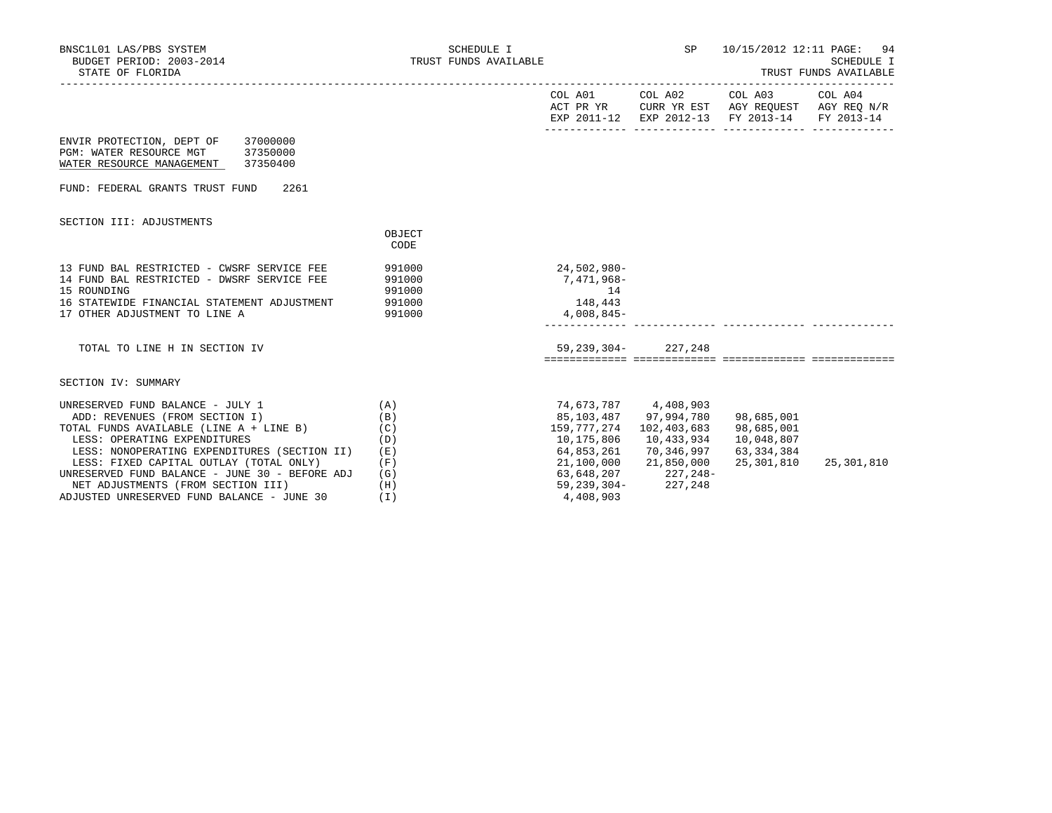| BNSC1L01 LAS/PBS SYSTEM<br>BUDGET PERIOD: 2003-2014<br>STATE OF FLORIDA                                                                                                                                                                                                                                                                                                        | SCHEDULE I<br>TRUST FUNDS AVAILABLE                         |                                                                                                                         | SP                                                                                                    | 10/15/2012 12:11 PAGE: 94<br>SCHEDULE I<br>TRUST FUNDS AVAILABLE                                                       |            |  |
|--------------------------------------------------------------------------------------------------------------------------------------------------------------------------------------------------------------------------------------------------------------------------------------------------------------------------------------------------------------------------------|-------------------------------------------------------------|-------------------------------------------------------------------------------------------------------------------------|-------------------------------------------------------------------------------------------------------|------------------------------------------------------------------------------------------------------------------------|------------|--|
|                                                                                                                                                                                                                                                                                                                                                                                |                                                             |                                                                                                                         |                                                                                                       | COL A01 COL A02 COL A03 COL A04<br>ACT PR YR CURR YR EST AGY REQUEST AGY REQ N/R<br>EXP 2011-12 EXP 2012-13 FY 2013-14 | FY 2013-14 |  |
| 37000000<br>ENVIR PROTECTION, DEPT OF<br>PGM: WATER RESOURCE MGT 37350000<br>WATER RESOURCE MANAGEMENT 37350400                                                                                                                                                                                                                                                                |                                                             |                                                                                                                         |                                                                                                       |                                                                                                                        |            |  |
| FUND: FEDERAL GRANTS TRUST FUND<br>2261                                                                                                                                                                                                                                                                                                                                        |                                                             |                                                                                                                         |                                                                                                       |                                                                                                                        |            |  |
| SECTION III: ADJUSTMENTS                                                                                                                                                                                                                                                                                                                                                       | OBJECT<br>CODE                                              |                                                                                                                         |                                                                                                       |                                                                                                                        |            |  |
| 13 FUND BAL RESTRICTED - CWSRF SERVICE FEE<br>14 FUND BAL RESTRICTED - DWSRF SERVICE FEE<br>15 ROUNDING<br>16 STATEWIDE FINANCIAL STATEMENT ADJUSTMENT<br>17 OTHER ADJUSTMENT TO LINE A                                                                                                                                                                                        | 991000<br>991000<br>991000<br>991000<br>991000              | 24,502,980-<br>7,471,968–<br>14<br>148,443<br>4,008,845-                                                                |                                                                                                       |                                                                                                                        |            |  |
| TOTAL TO LINE H IN SECTION IV                                                                                                                                                                                                                                                                                                                                                  |                                                             |                                                                                                                         | 59, 239, 304 - 227, 248                                                                               |                                                                                                                        |            |  |
| SECTION IV: SUMMARY                                                                                                                                                                                                                                                                                                                                                            |                                                             |                                                                                                                         |                                                                                                       |                                                                                                                        |            |  |
| UNRESERVED FUND BALANCE - JULY 1<br>ADD: REVENUES (FROM SECTION I)<br>TOTAL FUNDS AVAILABLE (LINE A + LINE B)<br>LESS: OPERATING EXPENDITURES<br>LESS: NONOPERATING EXPENDITURES (SECTION II)<br>LESS: FIXED CAPITAL OUTLAY (TOTAL ONLY)<br>UNRESERVED FUND BALANCE - JUNE 30 - BEFORE ADJ<br>NET ADJUSTMENTS (FROM SECTION III)<br>ADJUSTED UNRESERVED FUND BALANCE - JUNE 30 | (A)<br>(B)<br>(C)<br>(D)<br>(E)<br>(F)<br>(G)<br>(H)<br>(T) | 74,673,787 4,408,903<br>159,777,274<br>10,175,806<br>64,853,261<br>21,100,000<br>63,648,207<br>59,239,304-<br>4,408,903 | 85,103,487 97,994,780<br>102,403,683<br>10,433,934<br>70,346,997<br>21,850,000<br>227,248-<br>227,248 | 98,685,001<br>98,685,001<br>10,048,807<br>63,334,384<br>25,301,810                                                     | 25,301,810 |  |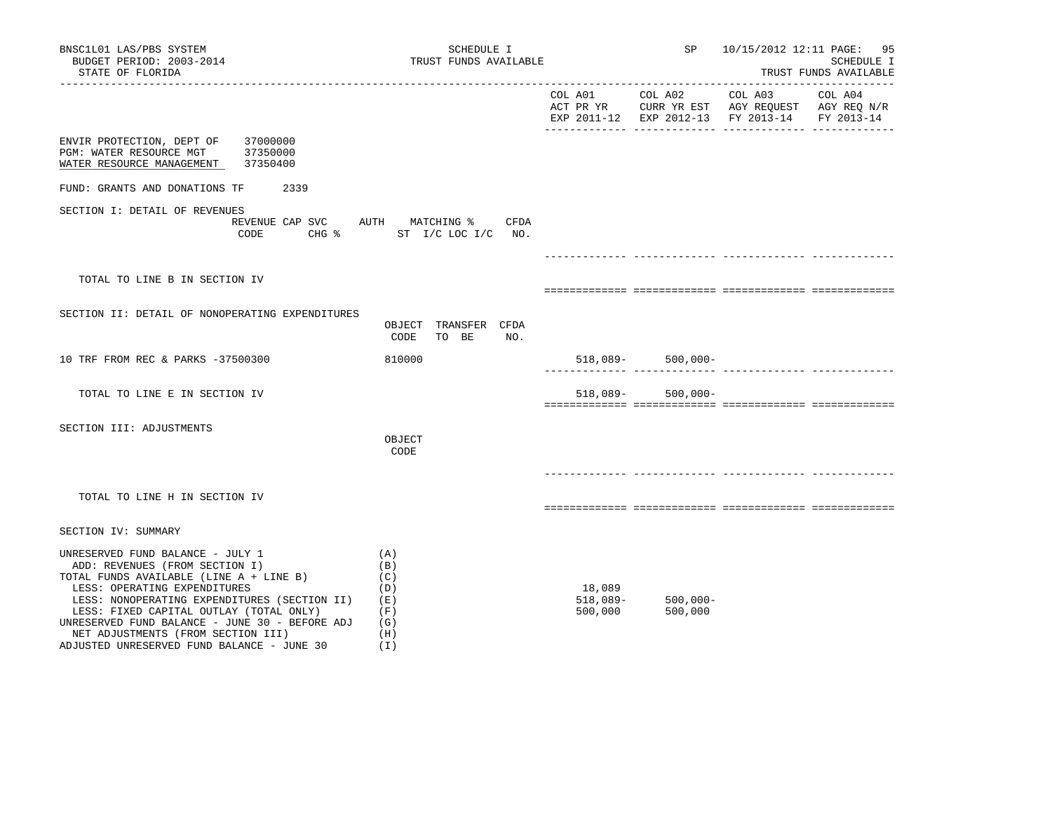| BNSC1L01 LAS/PBS SYSTEM<br>BUDGET PERIOD: 2003-2014<br>STATE OF FLORIDA                                                                                                                                                                                                                                                                                                        |                                  | SCHEDULE I<br>TRUST FUNDS AVAILABLE                         |                                 |                        | 10/15/2012 12:11 PAGE: 95<br>SCHEDULE I<br>TRUST FUNDS AVAILABLE                                                  |  |  |
|--------------------------------------------------------------------------------------------------------------------------------------------------------------------------------------------------------------------------------------------------------------------------------------------------------------------------------------------------------------------------------|----------------------------------|-------------------------------------------------------------|---------------------------------|------------------------|-------------------------------------------------------------------------------------------------------------------|--|--|
|                                                                                                                                                                                                                                                                                                                                                                                |                                  |                                                             | COL A01                         | COL A02                | COL A03 COL A04<br>ACT PR YR CURR YR EST AGY REQUEST AGY REQ N/R<br>EXP 2011-12 EXP 2012-13 FY 2013-14 FY 2013-14 |  |  |
| ENVIR PROTECTION, DEPT OF<br>PGM: WATER RESOURCE MGT<br>WATER RESOURCE MANAGEMENT                                                                                                                                                                                                                                                                                              | 37000000<br>37350000<br>37350400 |                                                             |                                 |                        |                                                                                                                   |  |  |
| FUND: GRANTS AND DONATIONS TF                                                                                                                                                                                                                                                                                                                                                  | 2339                             |                                                             |                                 |                        |                                                                                                                   |  |  |
| SECTION I: DETAIL OF REVENUES                                                                                                                                                                                                                                                                                                                                                  | REVENUE CAP SVC                  | AUTH MATCHING %<br>CFDA<br>CODE CHG % ST I/C LOC I/C NO.    |                                 |                        |                                                                                                                   |  |  |
|                                                                                                                                                                                                                                                                                                                                                                                |                                  |                                                             |                                 |                        |                                                                                                                   |  |  |
| TOTAL TO LINE B IN SECTION IV                                                                                                                                                                                                                                                                                                                                                  |                                  |                                                             |                                 |                        |                                                                                                                   |  |  |
| SECTION II: DETAIL OF NONOPERATING EXPENDITURES                                                                                                                                                                                                                                                                                                                                |                                  | OBJECT TRANSFER CFDA<br>CODE<br>TO BE<br>NO.                |                                 |                        |                                                                                                                   |  |  |
| 10 TRF FROM REC & PARKS -37500300                                                                                                                                                                                                                                                                                                                                              |                                  | 810000                                                      |                                 | $518,089-500,000-$     |                                                                                                                   |  |  |
| TOTAL TO LINE E IN SECTION IV                                                                                                                                                                                                                                                                                                                                                  |                                  |                                                             | 518,089-                        | $500,000 -$            |                                                                                                                   |  |  |
| SECTION III: ADJUSTMENTS                                                                                                                                                                                                                                                                                                                                                       |                                  | OBJECT<br>CODE                                              |                                 |                        |                                                                                                                   |  |  |
| TOTAL TO LINE H IN SECTION IV                                                                                                                                                                                                                                                                                                                                                  |                                  |                                                             |                                 |                        |                                                                                                                   |  |  |
| SECTION IV: SUMMARY                                                                                                                                                                                                                                                                                                                                                            |                                  |                                                             |                                 |                        |                                                                                                                   |  |  |
| UNRESERVED FUND BALANCE - JULY 1<br>ADD: REVENUES (FROM SECTION I)<br>TOTAL FUNDS AVAILABLE (LINE A + LINE B)<br>LESS: OPERATING EXPENDITURES<br>LESS: NONOPERATING EXPENDITURES (SECTION II)<br>LESS: FIXED CAPITAL OUTLAY (TOTAL ONLY)<br>UNRESERVED FUND BALANCE - JUNE 30 - BEFORE ADJ<br>NET ADJUSTMENTS (FROM SECTION III)<br>ADJUSTED UNRESERVED FUND BALANCE - JUNE 30 |                                  | (A)<br>(B)<br>(C)<br>(D)<br>(E)<br>(F)<br>(G)<br>(H)<br>(I) | 18,089<br>$518,089-$<br>500,000 | $500,000 -$<br>500,000 |                                                                                                                   |  |  |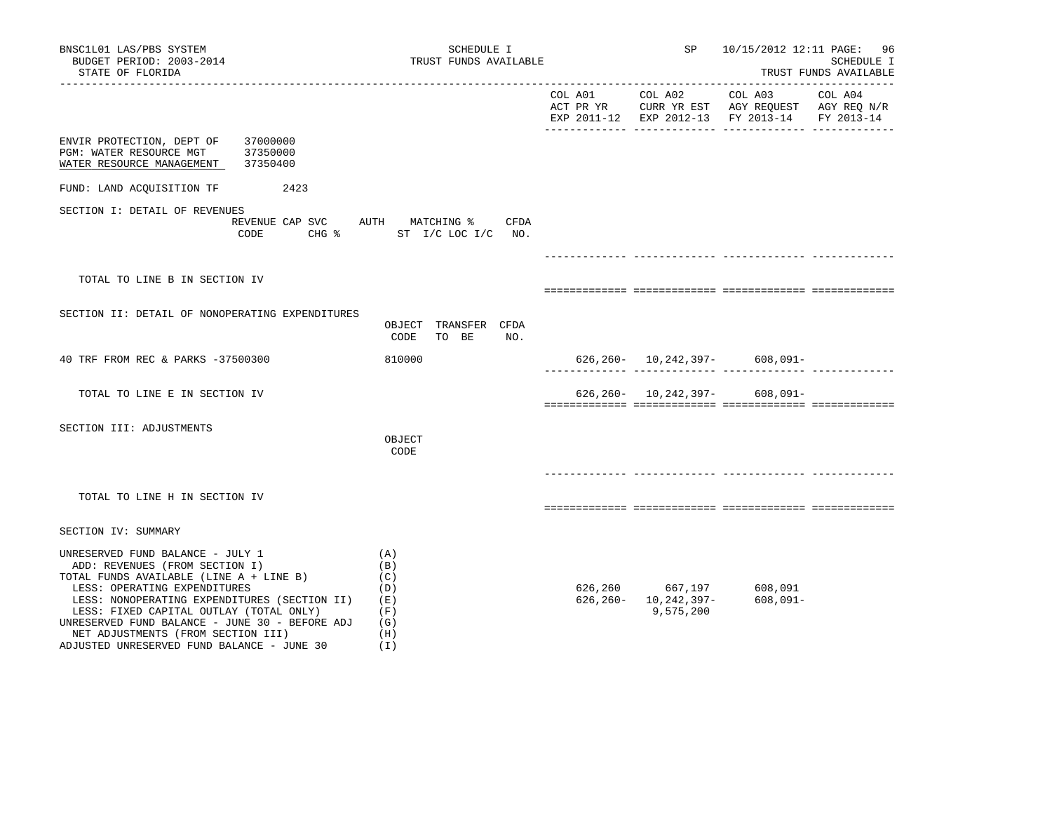| BNSC1L01 LAS/PBS SYSTEM<br>BUDGET PERIOD: 2003-2014<br>STATE OF FLORIDA                                                                                                                                                                                                                                                                                                        | SCHEDULE I<br>TRUST FUNDS AVAILABLE                         |         | SP                                                  |                                               | 10/15/2012 12:11 PAGE: 96<br>SCHEDULE I<br>TRUST FUNDS AVAILABLE |
|--------------------------------------------------------------------------------------------------------------------------------------------------------------------------------------------------------------------------------------------------------------------------------------------------------------------------------------------------------------------------------|-------------------------------------------------------------|---------|-----------------------------------------------------|-----------------------------------------------|------------------------------------------------------------------|
|                                                                                                                                                                                                                                                                                                                                                                                |                                                             |         |                                                     | EXP 2011-12 EXP 2012-13 FY 2013-14 FY 2013-14 |                                                                  |
| ENVIR PROTECTION, DEPT OF<br>37000000<br>PGM: WATER RESOURCE MGT<br>37350000<br>37350400<br>WATER RESOURCE MANAGEMENT                                                                                                                                                                                                                                                          |                                                             |         |                                                     |                                               |                                                                  |
| FUND: LAND ACQUISITION TF<br>2423                                                                                                                                                                                                                                                                                                                                              |                                                             |         |                                                     |                                               |                                                                  |
| SECTION I: DETAIL OF REVENUES<br>REVENUE CAP SVC AUTH MATCHING %<br>CODE                                                                                                                                                                                                                                                                                                       | CFDA<br>CHG % ST I/C LOC I/C NO.                            |         |                                                     |                                               |                                                                  |
| TOTAL TO LINE B IN SECTION IV                                                                                                                                                                                                                                                                                                                                                  |                                                             |         |                                                     |                                               |                                                                  |
| SECTION II: DETAIL OF NONOPERATING EXPENDITURES                                                                                                                                                                                                                                                                                                                                | OBJECT TRANSFER CFDA<br>CODE<br>TO BE<br>NO.                |         |                                                     |                                               |                                                                  |
| 40 TRF FROM REC & PARKS -37500300                                                                                                                                                                                                                                                                                                                                              | 810000                                                      |         |                                                     | $626, 260 - 10, 242, 397 - 608, 091 -$        |                                                                  |
| TOTAL TO LINE E IN SECTION IV                                                                                                                                                                                                                                                                                                                                                  |                                                             |         |                                                     | $626, 260 - 10, 242, 397 - 608, 091 -$        |                                                                  |
| SECTION III: ADJUSTMENTS                                                                                                                                                                                                                                                                                                                                                       | OBJECT<br>CODE                                              |         |                                                     |                                               |                                                                  |
| TOTAL TO LINE H IN SECTION IV                                                                                                                                                                                                                                                                                                                                                  |                                                             |         |                                                     |                                               |                                                                  |
| SECTION IV: SUMMARY                                                                                                                                                                                                                                                                                                                                                            |                                                             |         |                                                     |                                               |                                                                  |
| UNRESERVED FUND BALANCE - JULY 1<br>ADD: REVENUES (FROM SECTION I)<br>TOTAL FUNDS AVAILABLE (LINE A + LINE B)<br>LESS: OPERATING EXPENDITURES<br>LESS: NONOPERATING EXPENDITURES (SECTION II)<br>LESS: FIXED CAPITAL OUTLAY (TOTAL ONLY)<br>UNRESERVED FUND BALANCE - JUNE 30 - BEFORE ADJ<br>NET ADJUSTMENTS (FROM SECTION III)<br>ADJUSTED UNRESERVED FUND BALANCE - JUNE 30 | (A)<br>(B)<br>(C)<br>(D)<br>(E)<br>(F)<br>(G)<br>(H)<br>(I) | 626,260 | 667,197<br>$626, 260 - 10, 242, 397 -$<br>9,575,200 | 608,091<br>$608,091 -$                        |                                                                  |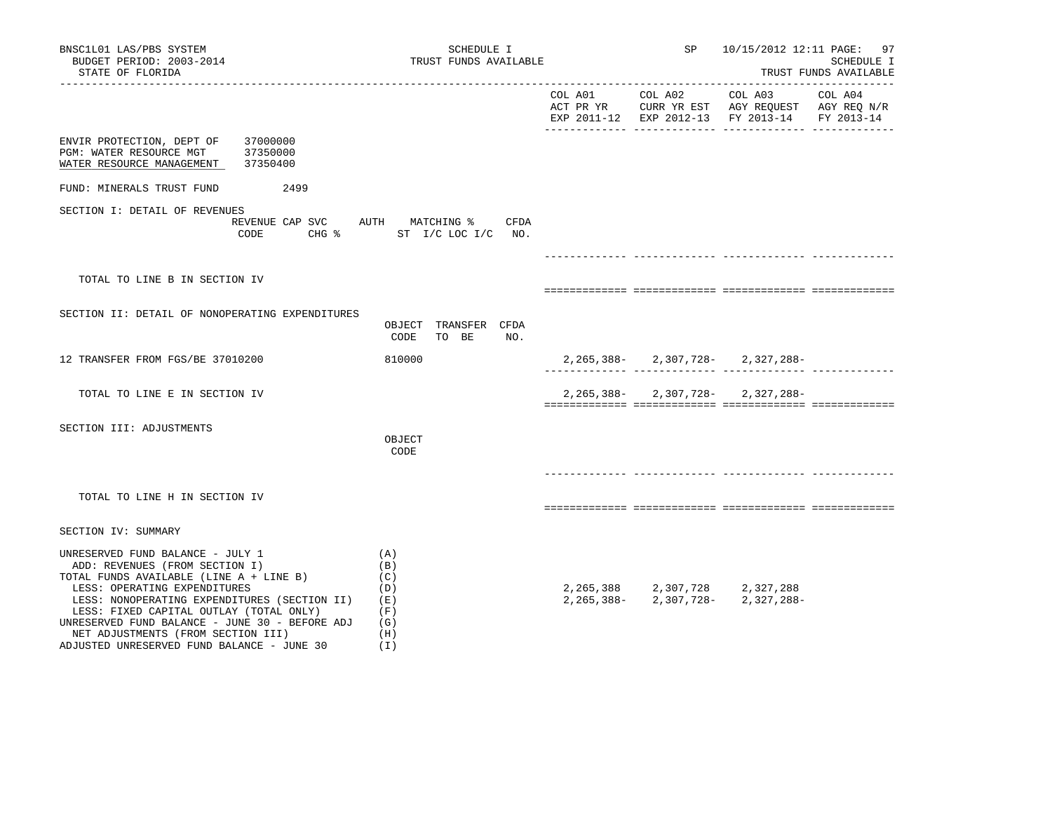| BNSC1L01 LAS/PBS SYSTEM<br>BUDGET PERIOD: 2003-2014<br>STATE OF FLORIDA                                                                                                                                                                                                                                                                                                        | SCHEDULE I<br>TRUST FUNDS AVAILABLE                           |         | SP                                                                   | 10/15/2012 12:11 PAGE: 97                                                                                 | SCHEDULE I<br>TRUST FUNDS AVAILABLE |
|--------------------------------------------------------------------------------------------------------------------------------------------------------------------------------------------------------------------------------------------------------------------------------------------------------------------------------------------------------------------------------|---------------------------------------------------------------|---------|----------------------------------------------------------------------|-----------------------------------------------------------------------------------------------------------|-------------------------------------|
|                                                                                                                                                                                                                                                                                                                                                                                |                                                               | COL A01 | COL A02                                                              | COL A03<br>ACT PR YR CURR YR EST AGY REQUEST AGY REQ N/R<br>EXP 2011-12 EXP 2012-13 FY 2013-14 FY 2013-14 | COL A04                             |
| 37000000<br>ENVIR PROTECTION, DEPT OF<br>PGM: WATER RESOURCE MGT<br>37350000<br>WATER RESOURCE MANAGEMENT<br>37350400                                                                                                                                                                                                                                                          |                                                               |         |                                                                      |                                                                                                           |                                     |
| FUND: MINERALS TRUST FUND<br>2499                                                                                                                                                                                                                                                                                                                                              |                                                               |         |                                                                      |                                                                                                           |                                     |
| SECTION I: DETAIL OF REVENUES<br>REVENUE CAP SVC AUTH MATCHING %<br>CODE                                                                                                                                                                                                                                                                                                       | CFDA<br>CHG $\frac{1}{2}$ ST I/C LOC I/C NO.                  |         |                                                                      |                                                                                                           |                                     |
|                                                                                                                                                                                                                                                                                                                                                                                |                                                               |         |                                                                      |                                                                                                           |                                     |
| TOTAL TO LINE B IN SECTION IV                                                                                                                                                                                                                                                                                                                                                  |                                                               |         |                                                                      |                                                                                                           |                                     |
| SECTION II: DETAIL OF NONOPERATING EXPENDITURES                                                                                                                                                                                                                                                                                                                                | OBJECT TRANSFER CFDA<br>CODE<br>TO BE<br>NO.                  |         |                                                                      |                                                                                                           |                                     |
| 12 TRANSFER FROM FGS/BE 37010200                                                                                                                                                                                                                                                                                                                                               | 810000                                                        |         |                                                                      | $2,265,388 - 2,307,728 - 2,327,288 -$                                                                     |                                     |
| TOTAL TO LINE E IN SECTION IV                                                                                                                                                                                                                                                                                                                                                  |                                                               |         |                                                                      | $2,265,388 - 2,307,728 - 2,327,288 -$                                                                     |                                     |
| SECTION III: ADJUSTMENTS                                                                                                                                                                                                                                                                                                                                                       | OBJECT<br>CODE                                                |         |                                                                      |                                                                                                           |                                     |
| TOTAL TO LINE H IN SECTION IV                                                                                                                                                                                                                                                                                                                                                  |                                                               |         |                                                                      |                                                                                                           |                                     |
| SECTION IV: SUMMARY                                                                                                                                                                                                                                                                                                                                                            |                                                               |         |                                                                      |                                                                                                           |                                     |
| UNRESERVED FUND BALANCE - JULY 1<br>ADD: REVENUES (FROM SECTION I)<br>TOTAL FUNDS AVAILABLE (LINE A + LINE B)<br>LESS: OPERATING EXPENDITURES<br>LESS: NONOPERATING EXPENDITURES (SECTION II)<br>LESS: FIXED CAPITAL OUTLAY (TOTAL ONLY)<br>UNRESERVED FUND BALANCE - JUNE 30 - BEFORE ADJ<br>NET ADJUSTMENTS (FROM SECTION III)<br>ADJUSTED UNRESERVED FUND BALANCE - JUNE 30 | (A)<br>(B)<br>(C)<br>(D)<br>(E)<br>(F)<br>(G)<br>(H)<br>( I ) |         | 2, 265, 388 2, 307, 728 2, 327, 288<br>$2, 265, 388 - 2, 307, 728 -$ | 2,327,288-                                                                                                |                                     |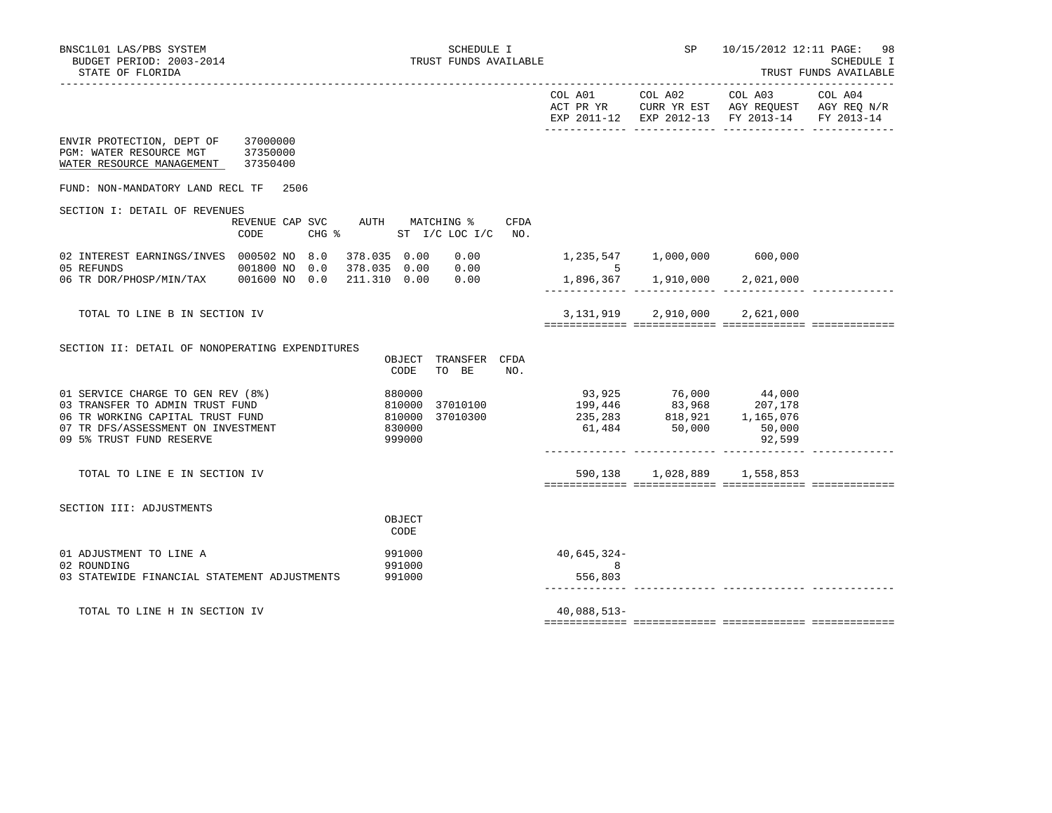|                                                                                                                                                                            |                                                            |                                                                        |                             |                                                                                                     | COL A01 COL A02 COL A03<br>ACT PR YR CURR YR EST AGY REQUEST AGY REQ N/R<br>EXP 2011-12 EXP 2012-13 FY 2013-14 | COL A04<br>FY 2013-14 |
|----------------------------------------------------------------------------------------------------------------------------------------------------------------------------|------------------------------------------------------------|------------------------------------------------------------------------|-----------------------------|-----------------------------------------------------------------------------------------------------|----------------------------------------------------------------------------------------------------------------|-----------------------|
| ENVIR PROTECTION, DEPT OF 37000000<br>PGM: WATER RESOURCE MGT 37350000<br>WATER RESOURCE MANAGEMENT 37350400                                                               |                                                            |                                                                        |                             |                                                                                                     |                                                                                                                |                       |
| FUND: NON-MANDATORY LAND RECL TF                                                                                                                                           | 2506                                                       |                                                                        |                             |                                                                                                     |                                                                                                                |                       |
| SECTION I: DETAIL OF REVENUES                                                                                                                                              |                                                            |                                                                        |                             |                                                                                                     |                                                                                                                |                       |
|                                                                                                                                                                            | REVENUE CAP SVC AUTH MATCHING %<br>$CHG$ $\approx$<br>CODE | CFDA<br>ST I/C LOC I/C NO.                                             |                             |                                                                                                     |                                                                                                                |                       |
| 02 INTEREST EARNINGS/INVES 000502 NO 8.0 378.035 0.00 0.00<br>05 REFUNDS                                                                                                   | 001800 NO 0.0 378.035 0.00 0.00                            |                                                                        | $\sim$ 5                    | 1,235,547 1,000,000 600,000                                                                         |                                                                                                                |                       |
|                                                                                                                                                                            |                                                            |                                                                        |                             | 1,896,367    1,910,000    2,021,000                                                                 |                                                                                                                |                       |
| TOTAL TO LINE B IN SECTION IV                                                                                                                                              |                                                            |                                                                        |                             | 3, 131, 919 2, 910, 000 2, 621, 000                                                                 |                                                                                                                |                       |
| SECTION II: DETAIL OF NONOPERATING EXPENDITURES                                                                                                                            |                                                            | TRANSFER CFDA<br>OBJECT<br>CODE<br>TO BE<br>NO.                        |                             |                                                                                                     |                                                                                                                |                       |
| 01 SERVICE CHARGE TO GEN REV (8%)<br>03 TRANSFER TO ADMIN TRUST FUND<br>06 TR WORKING CAPITAL TRUST FUND<br>07 TR DFS/ASSESSMENT ON INVESTMENT<br>09 5% TRUST FUND RESERVE |                                                            | 880000<br>810000<br>37010100<br>810000<br>37010300<br>830000<br>999000 |                             | 93,925 76,000 44,000<br>199,446 83,968 207,178<br>235,283 818,921 1,165,076<br>61,484 50,000 50,000 | 92,599                                                                                                         |                       |
| TOTAL TO LINE E IN SECTION IV                                                                                                                                              |                                                            |                                                                        |                             | 590,138 1,028,889 1,558,853                                                                         |                                                                                                                |                       |
| SECTION III: ADJUSTMENTS                                                                                                                                                   |                                                            | OBJECT<br>CODE                                                         |                             |                                                                                                     |                                                                                                                |                       |
| 01 ADJUSTMENT TO LINE A<br>02 ROUNDING<br>03 STATEWIDE FINANCIAL STATEMENT ADJUSTMENTS                                                                                     |                                                            | 991000<br>991000<br>991000                                             | 40,645,324-<br>8<br>556,803 |                                                                                                     |                                                                                                                |                       |
| TOTAL TO LINE H IN SECTION IV                                                                                                                                              |                                                            |                                                                        | $40,088,513-$               |                                                                                                     |                                                                                                                |                       |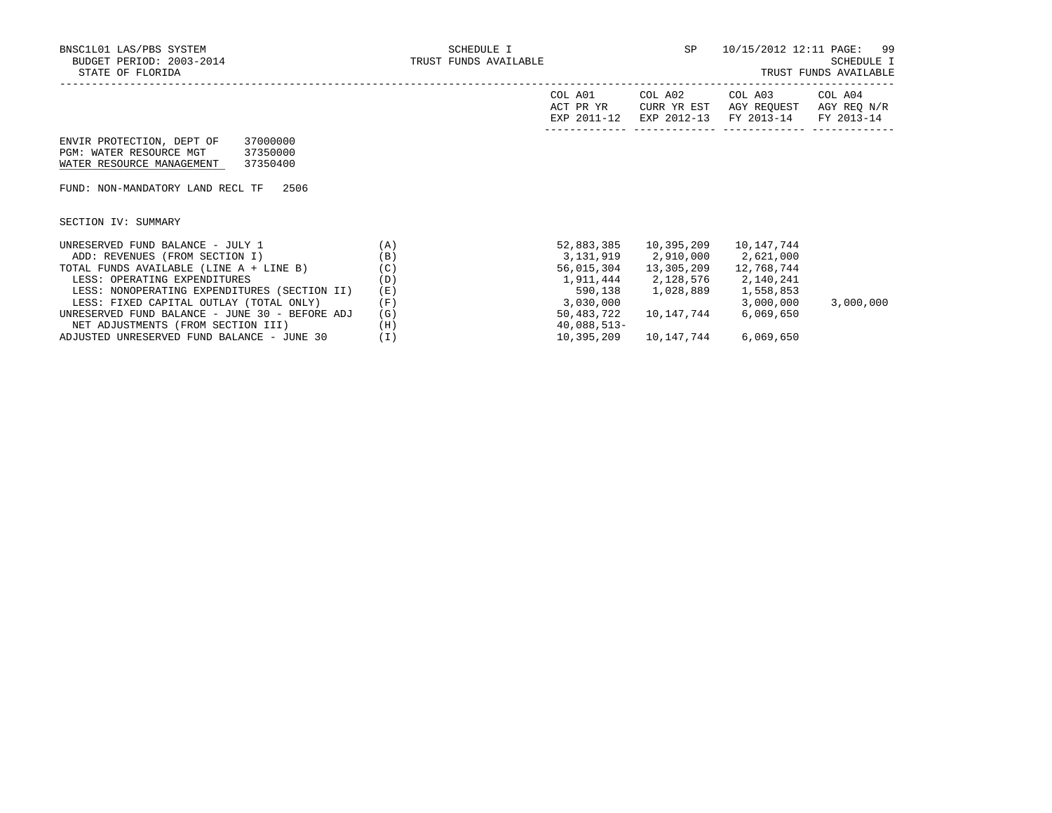| A01<br>COL<br>ACT PR YR<br>201<br>FYD | COL A02<br>CURR YR EST<br>$2012 - 12$<br>FYL | COL A03<br>AGY<br>REOUEST<br>$2013 - 14$<br><b>FV</b> | A04<br>∩П.<br>AGY REQ N/R<br>$2013 - 14$<br><b>FV</b> |
|---------------------------------------|----------------------------------------------|-------------------------------------------------------|-------------------------------------------------------|
|                                       |                                              |                                                       |                                                       |

| ENVIR PROTECTION, DEPT OF | 37000000 |
|---------------------------|----------|
| PGM: WATER RESOURCE MGT   | 37350000 |
| WATER RESOURCE MANAGEMENT | 37350400 |

FUND: NON-MANDATORY LAND RECL TF 2506

SECTION IV: SUMMARY

| UNRESERVED FUND BALANCE - JULY 1               | (A)   | 52,883,385    | 10,395,209 | 10,147,744 |           |
|------------------------------------------------|-------|---------------|------------|------------|-----------|
| ADD: REVENUES (FROM SECTION I)                 | (B)   | 3,131,919     | 2,910,000  | 2,621,000  |           |
| TOTAL FUNDS AVAILABLE (LINE A + LINE B)        | (C)   | 56,015,304    | 13,305,209 | 12,768,744 |           |
| LESS: OPERATING EXPENDITURES                   | (D)   | 1,911,444     | 2,128,576  | 2,140,241  |           |
| LESS: NONOPERATING EXPENDITURES (SECTION II)   | (E)   | 590,138       | 1,028,889  | 1,558,853  |           |
| LESS: FIXED CAPITAL OUTLAY (TOTAL ONLY)        | (F)   | 3,030,000     |            | 3,000,000  | 3,000,000 |
| UNRESERVED FUND BALANCE - JUNE 30 - BEFORE ADJ | (G)   | 50,483,722    | 10,147,744 | 6,069,650  |           |
| NET ADJUSTMENTS (FROM SECTION III)             | (H)   | $40,088,513-$ |            |            |           |
| ADJUSTED UNRESERVED FUND BALANCE - JUNE 30     | ' I ) | 10,395,209    | 10,147,744 | 6,069,650  |           |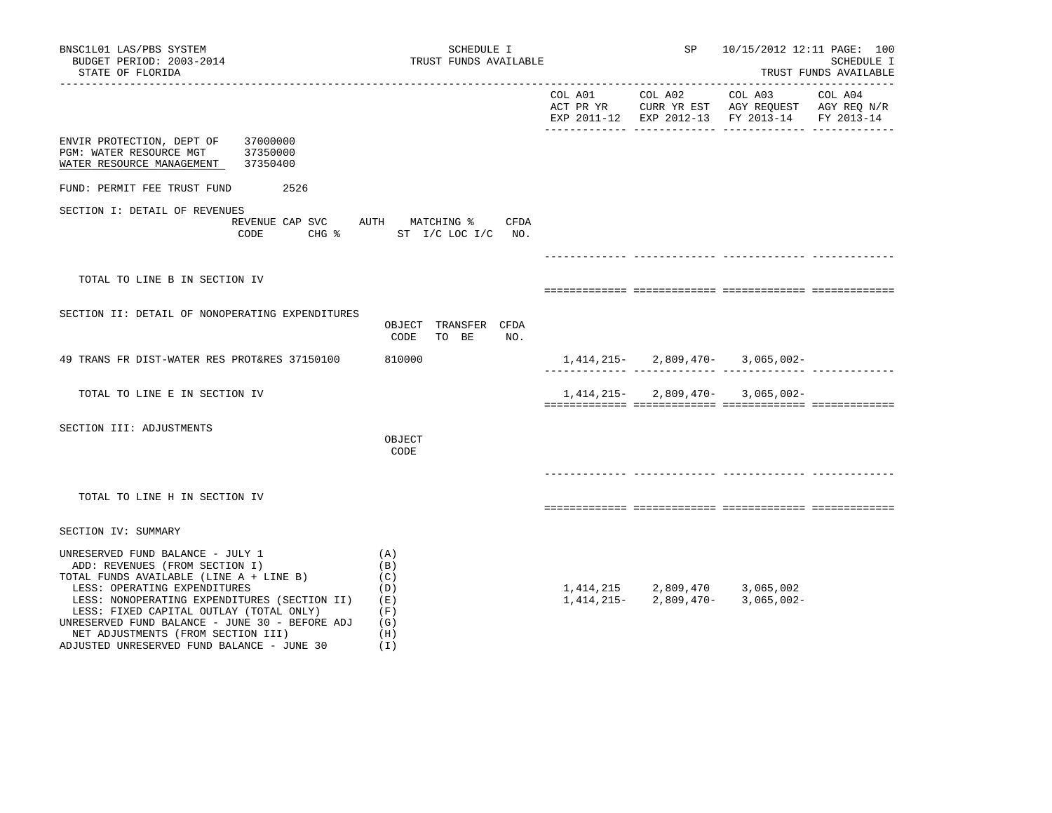| BNSC1L01 LAS/PBS SYSTEM<br>SCHEDULE I<br>BUDGET PERIOD: 2003-2014<br>TRUST FUNDS AVAILABLE<br>STATE OF FLORIDA                                                                                                                                                                                                                                                                                                                                |                                              |  | SP<br>10/15/2012 12:11 PAGE: 100<br>SCHEDULE I<br>TRUST FUNDS AVAILABLE |                                                                                                           |         |  |  |
|-----------------------------------------------------------------------------------------------------------------------------------------------------------------------------------------------------------------------------------------------------------------------------------------------------------------------------------------------------------------------------------------------------------------------------------------------|----------------------------------------------|--|-------------------------------------------------------------------------|-----------------------------------------------------------------------------------------------------------|---------|--|--|
|                                                                                                                                                                                                                                                                                                                                                                                                                                               |                                              |  | COL A01 COL A02                                                         | COL A03<br>ACT PR YR CURR YR EST AGY REQUEST AGY REQ N/R<br>EXP 2011-12 EXP 2012-13 FY 2013-14 FY 2013-14 | COL A04 |  |  |
| ENVIR PROTECTION, DEPT OF<br>37000000<br>37350000<br>PGM: WATER RESOURCE MGT<br>WATER RESOURCE MANAGEMENT<br>37350400                                                                                                                                                                                                                                                                                                                         |                                              |  |                                                                         |                                                                                                           |         |  |  |
| FUND: PERMIT FEE TRUST FUND<br>2526                                                                                                                                                                                                                                                                                                                                                                                                           |                                              |  |                                                                         |                                                                                                           |         |  |  |
| SECTION I: DETAIL OF REVENUES<br>REVENUE CAP SVC AUTH MATCHING %<br>CODE                                                                                                                                                                                                                                                                                                                                                                      | CFDA<br>CHG % ST I/C LOC I/C NO.             |  |                                                                         |                                                                                                           |         |  |  |
| TOTAL TO LINE B IN SECTION IV                                                                                                                                                                                                                                                                                                                                                                                                                 |                                              |  |                                                                         |                                                                                                           |         |  |  |
|                                                                                                                                                                                                                                                                                                                                                                                                                                               |                                              |  |                                                                         |                                                                                                           |         |  |  |
| SECTION II: DETAIL OF NONOPERATING EXPENDITURES                                                                                                                                                                                                                                                                                                                                                                                               | OBJECT TRANSFER CFDA<br>TO BE<br>NO.<br>CODE |  |                                                                         |                                                                                                           |         |  |  |
| 49 TRANS FR DIST-WATER RES PROT&RES 37150100                                                                                                                                                                                                                                                                                                                                                                                                  | 810000                                       |  | 1,414,215-2,809,470-                                                    | $3,065,002 -$                                                                                             |         |  |  |
| TOTAL TO LINE E IN SECTION IV                                                                                                                                                                                                                                                                                                                                                                                                                 |                                              |  | 1,414,215-2,809,470-                                                    | 3,065,002-                                                                                                |         |  |  |
| SECTION III: ADJUSTMENTS                                                                                                                                                                                                                                                                                                                                                                                                                      | OBJECT<br>CODE                               |  |                                                                         |                                                                                                           |         |  |  |
| TOTAL TO LINE H IN SECTION IV                                                                                                                                                                                                                                                                                                                                                                                                                 |                                              |  |                                                                         |                                                                                                           |         |  |  |
| SECTION IV: SUMMARY                                                                                                                                                                                                                                                                                                                                                                                                                           |                                              |  |                                                                         |                                                                                                           |         |  |  |
| UNRESERVED FUND BALANCE - JULY 1<br>(A)<br>ADD: REVENUES (FROM SECTION I)<br>(B)<br>TOTAL FUNDS AVAILABLE (LINE A + LINE B)<br>(C)<br>LESS: OPERATING EXPENDITURES<br>(D)<br>LESS: NONOPERATING EXPENDITURES (SECTION II)<br>(E)<br>(F)<br>LESS: FIXED CAPITAL OUTLAY (TOTAL ONLY)<br>UNRESERVED FUND BALANCE - JUNE 30 - BEFORE ADJ<br>(G)<br>NET ADJUSTMENTS (FROM SECTION III)<br>(H)<br>ADJUSTED UNRESERVED FUND BALANCE - JUNE 30<br>(I) |                                              |  | 1,414,215 2,809,470<br>1,414,215 - 2,809,470 -                          | 3,065,002<br>$3,065,002 -$                                                                                |         |  |  |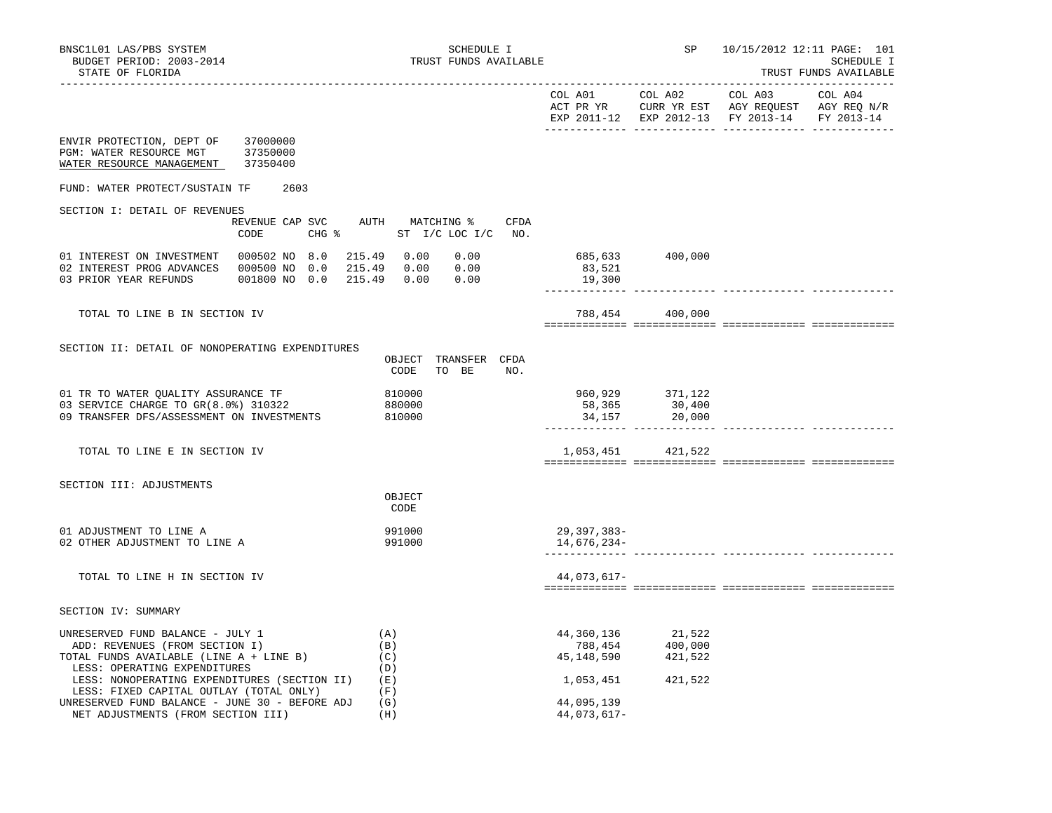|                                                                                                                                                                               |                                                                  |                                                                                                                                                              | EXP 2011-12 EXP 2012-13 FY 2013-14 FY 2013-14 |  |
|-------------------------------------------------------------------------------------------------------------------------------------------------------------------------------|------------------------------------------------------------------|--------------------------------------------------------------------------------------------------------------------------------------------------------------|-----------------------------------------------|--|
| ENVIR PROTECTION, DEPT OF 37000000<br>PGM: WATER RESOURCE MGT 37350000<br>WATER RESOURCE MANAGEMENT<br>37350400                                                               |                                                                  |                                                                                                                                                              |                                               |  |
| FUND: WATER PROTECT/SUSTAIN TF<br>2603                                                                                                                                        |                                                                  |                                                                                                                                                              |                                               |  |
| SECTION I: DETAIL OF REVENUES                                                                                                                                                 |                                                                  |                                                                                                                                                              |                                               |  |
| CODE                                                                                                                                                                          | REVENUE CAP SVC AUTH MATCHING % CFDA<br>CHG % ST I/C LOC I/C NO. |                                                                                                                                                              |                                               |  |
| 01 INTEREST ON INVESTMENT  000502 NO 8.0  215.49  0.00<br>02 INTEREST PROG ADVANCES  000500 NO  0.0  215.49  0.00  0.00<br>001800 NO 0.0 215.49 0.00<br>03 PRIOR YEAR REFUNDS | 0.00<br>0.00                                                     | 685,633 400,000<br>83,521<br>19,300                                                                                                                          |                                               |  |
| TOTAL TO LINE B IN SECTION IV                                                                                                                                                 |                                                                  |                                                                                                                                                              | 788,454 400,000                               |  |
| SECTION II: DETAIL OF NONOPERATING EXPENDITURES                                                                                                                               |                                                                  |                                                                                                                                                              |                                               |  |
|                                                                                                                                                                               | OBJECT TRANSFER CFDA<br>CODE<br>TO BE<br>NO.                     |                                                                                                                                                              |                                               |  |
| 01 TR TO WATER OUALITY ASSURANCE TF                                                                                                                                           | 810000                                                           |                                                                                                                                                              | 960,929 371,122                               |  |
| 03 SERVICE CHARGE TO GR(8.0%) 310322<br>09 TRANSFER DFS/ASSESSMENT ON INVESTMENTS                                                                                             | 880000<br>810000                                                 |                                                                                                                                                              | 58,365 30,400<br>34,157 20,000                |  |
| TOTAL TO LINE E IN SECTION IV                                                                                                                                                 |                                                                  |                                                                                                                                                              | 1,053,451 421,522                             |  |
| SECTION III: ADJUSTMENTS                                                                                                                                                      | OBJECT<br>CODE                                                   |                                                                                                                                                              |                                               |  |
| 01 ADJUSTMENT TO LINE A                                                                                                                                                       | 991000                                                           | 29,397,383-                                                                                                                                                  |                                               |  |
| 02 OTHER ADJUSTMENT TO LINE A                                                                                                                                                 | 991000                                                           | 14,676,234-                                                                                                                                                  |                                               |  |
| TOTAL TO LINE H IN SECTION IV                                                                                                                                                 |                                                                  | 44,073,617-                                                                                                                                                  |                                               |  |
| SECTION IV: SUMMARY                                                                                                                                                           |                                                                  |                                                                                                                                                              |                                               |  |
| UNRESERVED FUND BALANCE - JULY 1                                                                                                                                              | (A)                                                              |                                                                                                                                                              |                                               |  |
| ADD: REVENUES (FROM SECTION I)<br>TOTAL FUNDS AVAILABLE (LINE A + LINE B)                                                                                                     | (B)<br>(C)                                                       | $\begin{array}{llll} 44\,, 360\,, 136 & \qquad & 21\,, 522 \\ \hline 788\,, 454 & \qquad & 400\,, 000 \\ 45\,, 148\,, 590 & \qquad & 421\,, 522 \end{array}$ |                                               |  |
| LESS: OPERATING EXPENDITURES                                                                                                                                                  | (D)                                                              |                                                                                                                                                              |                                               |  |
| LESS: NONOPERATING EXPENDITURES (SECTION II)<br>LESS: FIXED CAPITAL OUTLAY (TOTAL ONLY)                                                                                       | ( E )<br>(F)                                                     | 1,053,451                                                                                                                                                    | 421,522                                       |  |
| UNRESERVED FUND BALANCE - JUNE 30 - BEFORE ADJ<br>NET ADJUSTMENTS (FROM SECTION III)                                                                                          | (G)<br>(H)                                                       | 44,095,139<br>44,073,617-                                                                                                                                    |                                               |  |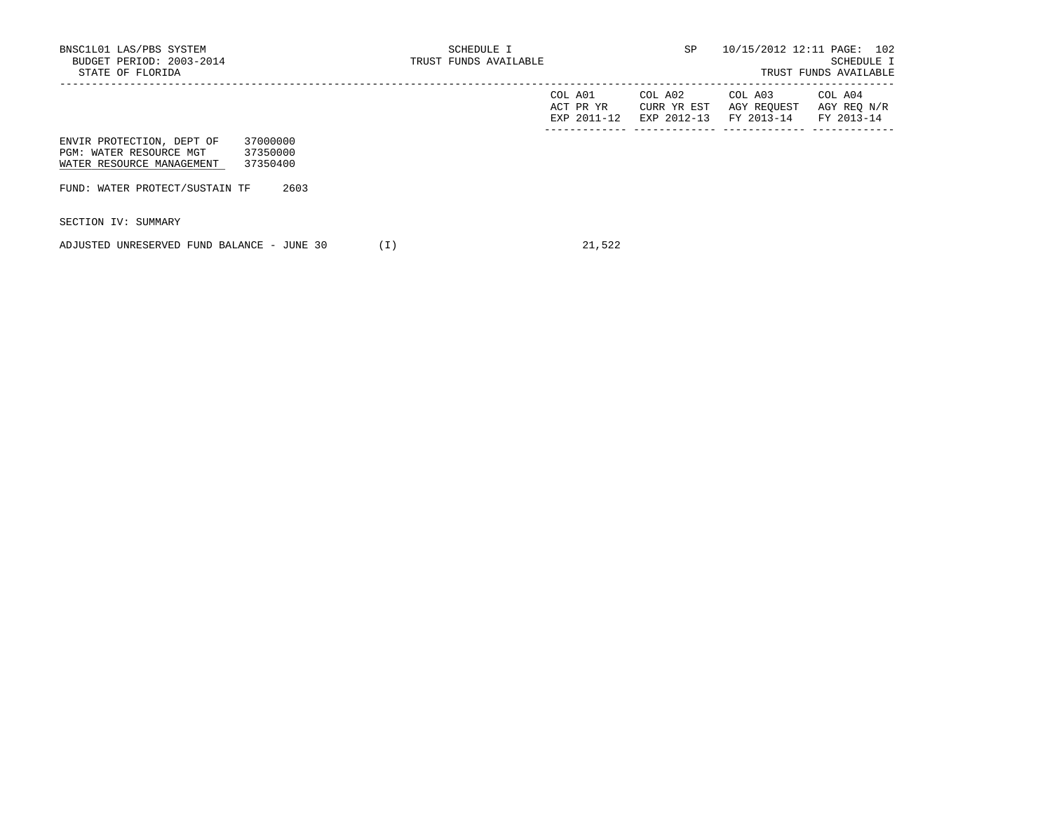TRUST FUNDS AVAILABLE

|                                                                                                                       | COL A01<br>ACT PR YR<br>EXP 2011-12 | COL A02<br>CURR YR EST<br>EXP 2012-13 | COL A03<br>AGY REQUEST<br>FY 2013-14 | COL A04<br>AGY REQ N/R<br>FY 2013-14 |
|-----------------------------------------------------------------------------------------------------------------------|-------------------------------------|---------------------------------------|--------------------------------------|--------------------------------------|
| 37000000<br>ENVIR PROTECTION, DEPT OF<br>37350000<br>PGM: WATER RESOURCE MGT<br>37350400<br>WATER RESOURCE MANAGEMENT |                                     |                                       |                                      |                                      |
| 2603<br>FUND: WATER PROTECT/SUSTAIN TF                                                                                |                                     |                                       |                                      |                                      |

SECTION IV: SUMMARY

ADJUSTED UNRESERVED FUND BALANCE - JUNE 30 (I) 21,522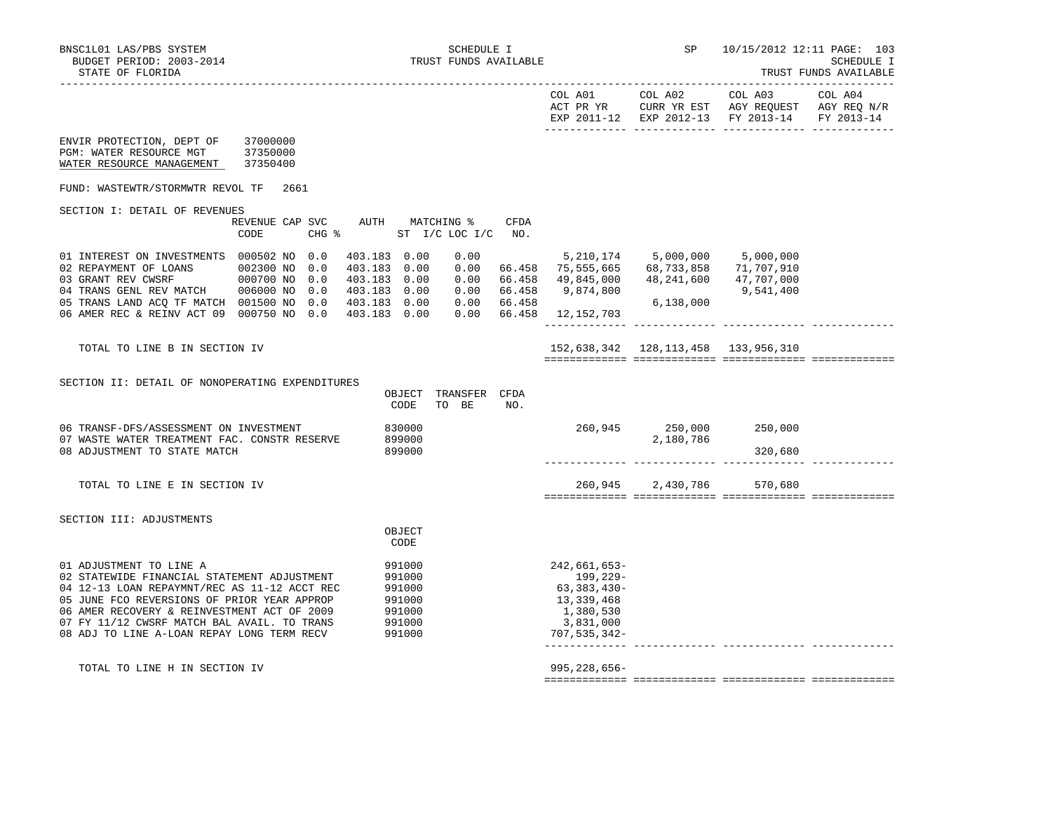| STATE OF FLORIDA                                                                                                                                                                                                                                                                                                                                                         |                                            |                                                                                              |                                      |             |                                                                                                              |                                            |                                                                                                | TRUST FUNDS AVAILABLE |
|--------------------------------------------------------------------------------------------------------------------------------------------------------------------------------------------------------------------------------------------------------------------------------------------------------------------------------------------------------------------------|--------------------------------------------|----------------------------------------------------------------------------------------------|--------------------------------------|-------------|--------------------------------------------------------------------------------------------------------------|--------------------------------------------|------------------------------------------------------------------------------------------------|-----------------------|
|                                                                                                                                                                                                                                                                                                                                                                          |                                            |                                                                                              |                                      |             | COL A01                                                                                                      | COL A02                                    | COL A03<br>ACT PR YR CURR YR EST AGY REQUEST AGY REQ N/R<br>EXP 2011-12 EXP 2012-13 FY 2013-14 | COL A04<br>FY 2013-14 |
| ENVIR PROTECTION, DEPT OF<br>PGM: WATER RESOURCE MGT<br>WATER RESOURCE MANAGEMENT                                                                                                                                                                                                                                                                                        | 37000000<br>37350000<br>37350400           |                                                                                              |                                      |             |                                                                                                              |                                            |                                                                                                |                       |
| FUND: WASTEWTR/STORMWTR REVOL TF                                                                                                                                                                                                                                                                                                                                         | 2661                                       |                                                                                              |                                      |             |                                                                                                              |                                            |                                                                                                |                       |
| SECTION I: DETAIL OF REVENUES                                                                                                                                                                                                                                                                                                                                            | REVENUE CAP SVC<br>$CHG$ $\approx$<br>CODE | AUTH MATCHING %                                                                              | ST I/C LOC I/C                       | CFDA<br>NO. |                                                                                                              |                                            |                                                                                                |                       |
| 01 INTEREST ON INVESTMENTS 000502 NO 0.0<br>02 REPAYMENT OF LOANS 002300 NO 0.0<br>$\begin{tabular}{lllllllllll} 03 \text{ GRANT REV CWSRF} & \hspace{0.5cm} 000700\text{ NO} & 0.0 \\ 04 \text{ TRANS GENL REV MATCH} & \hspace{0.5cm} 006000\text{ NO} & 0.0 \\ \end{tabular}$<br>05 TRANS LAND ACQ TF MATCH 001500 NO 0.0<br>06 AMER REC & REINV ACT 09 000750 NO 0.0 |                                            | 403.183 0.00<br>403.183 0.00<br>403.183 0.00<br>403.183 0.00<br>403.183 0.00<br>403.183 0.00 | 0.00<br>0.00<br>0.00<br>0.00<br>0.00 | 66.458      | 66.458 75,555,665<br>66.458 49,845,000 48,241,600 47,707,000<br>66.458 9,874,800<br>$0.00$ 66.458 12,152,703 | 5,210,174 5,000,000 5,000,000<br>6,138,000 | 68,733,858 71,707,910<br>9,541,400                                                             |                       |
| TOTAL TO LINE B IN SECTION IV                                                                                                                                                                                                                                                                                                                                            |                                            |                                                                                              |                                      |             |                                                                                                              | 152,638,342 128,113,458 133,956,310        |                                                                                                |                       |
| SECTION II: DETAIL OF NONOPERATING EXPENDITURES                                                                                                                                                                                                                                                                                                                          |                                            | OBJECT TRANSFER CFDA<br>CODE                                                                 | TO BE                                | NO.         |                                                                                                              |                                            |                                                                                                |                       |
| 06 TRANSF-DFS/ASSESSMENT ON INVESTMENT<br>07 WASTE WATER TREATMENT FAC. CONSTR RESERVE<br>08 ADJUSTMENT TO STATE MATCH                                                                                                                                                                                                                                                   |                                            | 830000<br>899000<br>899000                                                                   |                                      |             |                                                                                                              | 260,945 250,000<br>2,180,786               | 250,000<br>320,680                                                                             |                       |
| TOTAL TO LINE E IN SECTION IV                                                                                                                                                                                                                                                                                                                                            |                                            |                                                                                              |                                      |             |                                                                                                              | 260,945 2,430,786 570,680                  |                                                                                                |                       |
| SECTION III: ADJUSTMENTS                                                                                                                                                                                                                                                                                                                                                 |                                            | OBJECT<br>CODE                                                                               |                                      |             |                                                                                                              |                                            |                                                                                                |                       |
| 01 ADJUSTMENT TO LINE A<br>02 STATEWIDE FINANCIAL STATEMENT ADJUSTMENT<br>04 12-13 LOAN REPAYMNT/REC AS 11-12 ACCT REC<br>05 JUNE FCO REVERSIONS OF PRIOR YEAR APPROP<br>06 AMER RECOVERY & REINVESTMENT ACT OF 2009<br>07 FY 11/12 CWSRF MATCH BAL AVAIL. TO TRANS<br>08 ADJ TO LINE A-LOAN REPAY LONG TERM RECV                                                        |                                            | 991000<br>991000<br>991000<br>991000<br>991000<br>991000<br>991000                           |                                      |             | $242,661,653-$<br>199,229-<br>63,383,430-<br>13,339,468<br>1,380,530<br>3,831,000<br>$707, 535, 342 -$       |                                            |                                                                                                |                       |
| TOTAL TO LINE H IN SECTION IV                                                                                                                                                                                                                                                                                                                                            |                                            |                                                                                              |                                      |             | $995, 228, 656 -$                                                                                            |                                            |                                                                                                |                       |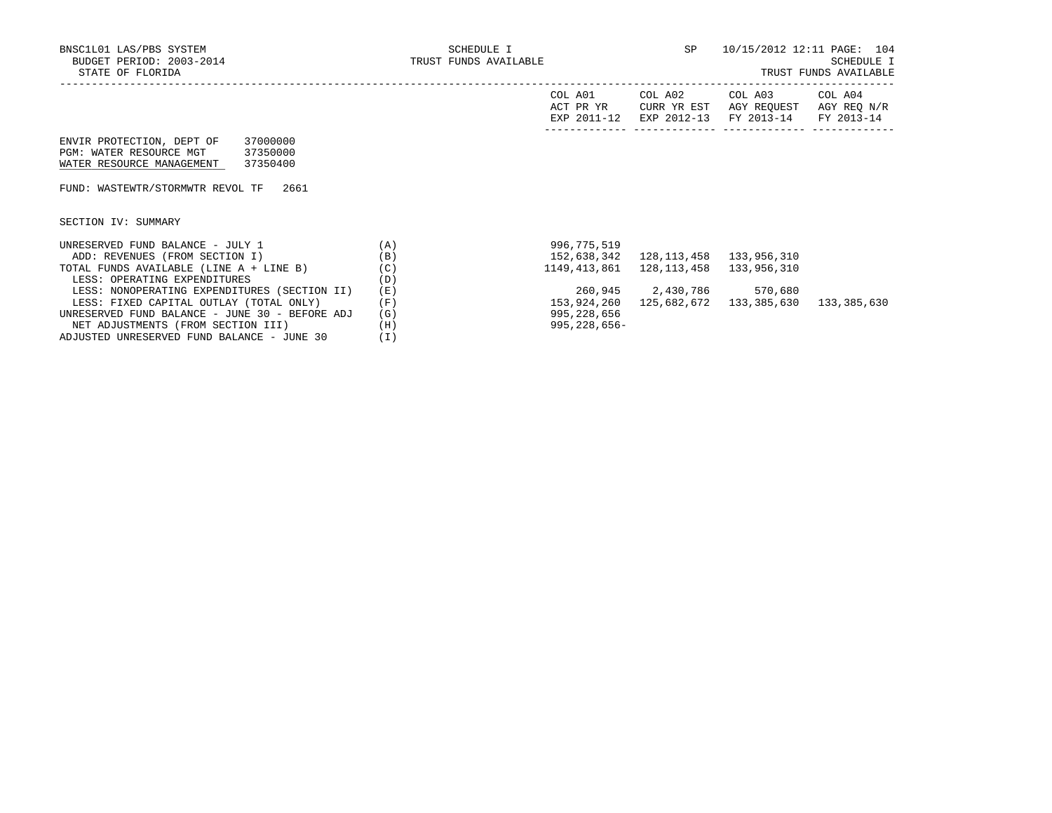|                                                |     | COL A01<br>ACT PR YR<br>EXP 2011-12 | COL A02<br>CURR YR EST<br>EXP 2012-13 | COL A03<br>AGY REOUEST<br>FY 2013-14 | COL A04<br>AGY REO N/R<br>FY 2013-14 |
|------------------------------------------------|-----|-------------------------------------|---------------------------------------|--------------------------------------|--------------------------------------|
| 37000000<br>ENVIR PROTECTION, DEPT OF          |     |                                     |                                       |                                      |                                      |
| PGM: WATER RESOURCE MGT<br>37350000            |     |                                     |                                       |                                      |                                      |
| WATER RESOURCE MANAGEMENT<br>37350400          |     |                                     |                                       |                                      |                                      |
|                                                |     |                                     |                                       |                                      |                                      |
| FUND: WASTEWTR/STORMWTR REVOL TF<br>2661       |     |                                     |                                       |                                      |                                      |
|                                                |     |                                     |                                       |                                      |                                      |
|                                                |     |                                     |                                       |                                      |                                      |
| SECTION IV: SUMMARY                            |     |                                     |                                       |                                      |                                      |
|                                                |     |                                     |                                       |                                      |                                      |
| UNRESERVED FUND BALANCE - JULY 1               | (A) | 996,775,519                         |                                       |                                      |                                      |
| ADD: REVENUES (FROM SECTION I)                 | (B) | 152,638,342                         | 128,113,458                           | 133,956,310                          |                                      |
| TOTAL FUNDS AVAILABLE (LINE A + LINE B)        | (C) | 1149,413,861                        | 128,113,458                           | 133,956,310                          |                                      |
| LESS: OPERATING EXPENDITURES                   | (D) |                                     |                                       |                                      |                                      |
| LESS: NONOPERATING EXPENDITURES (SECTION II)   | (E) |                                     | 260,945 2,430,786 570,680             |                                      |                                      |
| LESS: FIXED CAPITAL OUTLAY (TOTAL ONLY)        | (F) | 153,924,260                         | 125,682,672                           | 133,385,630                          | 133,385,630                          |
| UNRESERVED FUND BALANCE - JUNE 30 - BEFORE ADJ | (G) | 995,228,656                         |                                       |                                      |                                      |
| NET ADJUSTMENTS (FROM SECTION III)             | (H) | $995, 228, 656 -$                   |                                       |                                      |                                      |
| ADJUSTED UNRESERVED FUND BALANCE - JUNE 30     | (I) |                                     |                                       |                                      |                                      |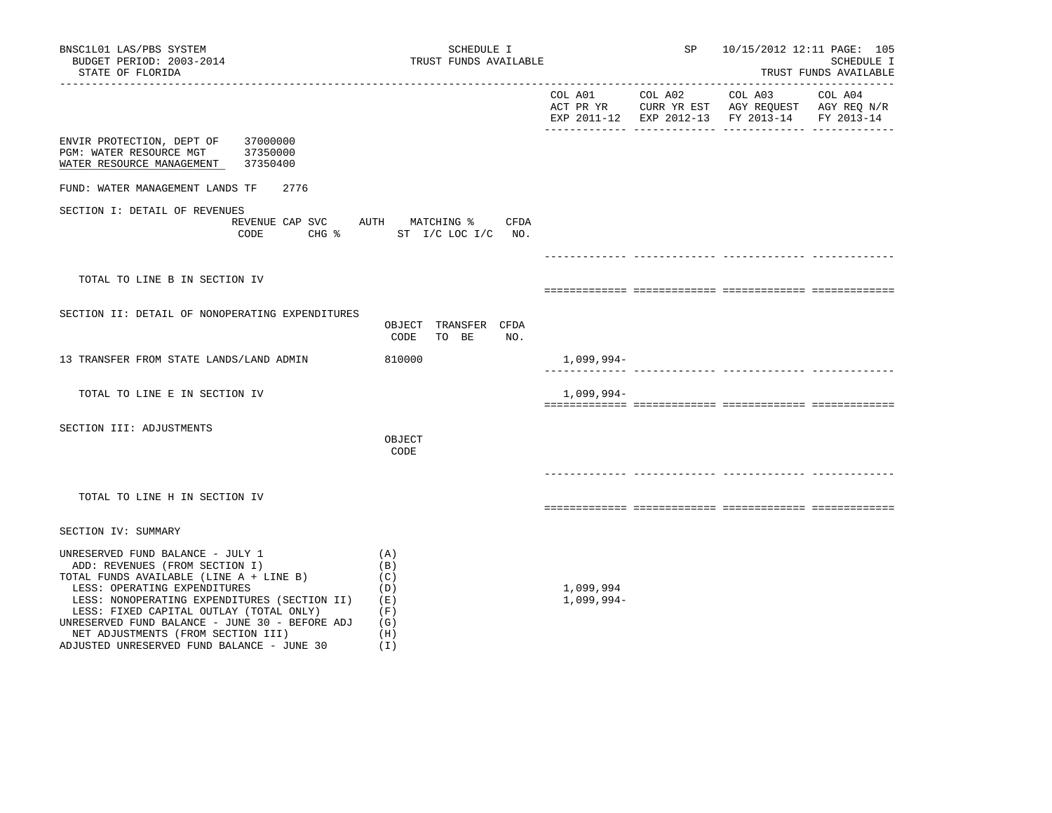| BNSC1L01 LAS/PBS SYSTEM<br>BUDGET PERIOD: 2003-2014<br>STATE OF FLORIDA                                                                                                                                                                                                                                                                                                            | SCHEDULE I<br>TRUST FUNDS AVAILABLE                                        |                           |  | SP 10/15/2012 12:11 PAGE: 105                 | SCHEDULE I<br>TRUST FUNDS AVAILABLE |
|------------------------------------------------------------------------------------------------------------------------------------------------------------------------------------------------------------------------------------------------------------------------------------------------------------------------------------------------------------------------------------|----------------------------------------------------------------------------|---------------------------|--|-----------------------------------------------|-------------------------------------|
|                                                                                                                                                                                                                                                                                                                                                                                    |                                                                            |                           |  | EXP 2011-12 EXP 2012-13 FY 2013-14 FY 2013-14 |                                     |
| ENVIR PROTECTION, DEPT OF 37000000<br>PGM: WATER RESOURCE MGT 37350000<br>WATER RESOURCE MANAGEMENT 37350400                                                                                                                                                                                                                                                                       |                                                                            |                           |  |                                               |                                     |
| FUND: WATER MANAGEMENT LANDS TF<br>2776                                                                                                                                                                                                                                                                                                                                            |                                                                            |                           |  |                                               |                                     |
| SECTION I: DETAIL OF REVENUES<br>CODE                                                                                                                                                                                                                                                                                                                                              | REVENUE CAP SVC AUTH MATCHING % CFDA<br>CHG $\text{\$}$ ST I/C LOC I/C NO. |                           |  |                                               |                                     |
|                                                                                                                                                                                                                                                                                                                                                                                    |                                                                            |                           |  |                                               |                                     |
| TOTAL TO LINE B IN SECTION IV                                                                                                                                                                                                                                                                                                                                                      |                                                                            |                           |  |                                               |                                     |
| SECTION II: DETAIL OF NONOPERATING EXPENDITURES                                                                                                                                                                                                                                                                                                                                    | OBJECT TRANSFER CFDA<br>CODE<br>TO BE<br>NO.                               |                           |  |                                               |                                     |
| 13 TRANSFER FROM STATE LANDS/LAND ADMIN                                                                                                                                                                                                                                                                                                                                            | 810000                                                                     | 1,099,994-                |  |                                               |                                     |
| TOTAL TO LINE E IN SECTION IV                                                                                                                                                                                                                                                                                                                                                      |                                                                            | $1,099,994-$              |  |                                               |                                     |
| SECTION III: ADJUSTMENTS                                                                                                                                                                                                                                                                                                                                                           | OBJECT<br>CODE                                                             |                           |  |                                               |                                     |
| TOTAL TO LINE H IN SECTION IV                                                                                                                                                                                                                                                                                                                                                      |                                                                            |                           |  |                                               |                                     |
| SECTION IV: SUMMARY                                                                                                                                                                                                                                                                                                                                                                |                                                                            |                           |  |                                               |                                     |
| UNRESERVED FUND BALANCE - JULY 1<br>ADD: REVENUES (FROM SECTION I)<br>TOTAL FUNDS AVAILABLE (LINE A + LINE B)<br>LESS: OPERATING EXPENDITURES<br>LESS: NONOPERATING EXPENDITURES (SECTION II) (E)<br>LESS: FIXED CAPITAL OUTLAY (TOTAL ONLY)<br>UNRESERVED FUND BALANCE - JUNE 30 - BEFORE ADJ<br>NET ADJUSTMENTS (FROM SECTION III)<br>ADJUSTED UNRESERVED FUND BALANCE - JUNE 30 | (A)<br>(B)<br>(C)<br>(D)<br>(F)<br>(G)<br>(H)<br>(I)                       | 1,099,994<br>$1,099,994-$ |  |                                               |                                     |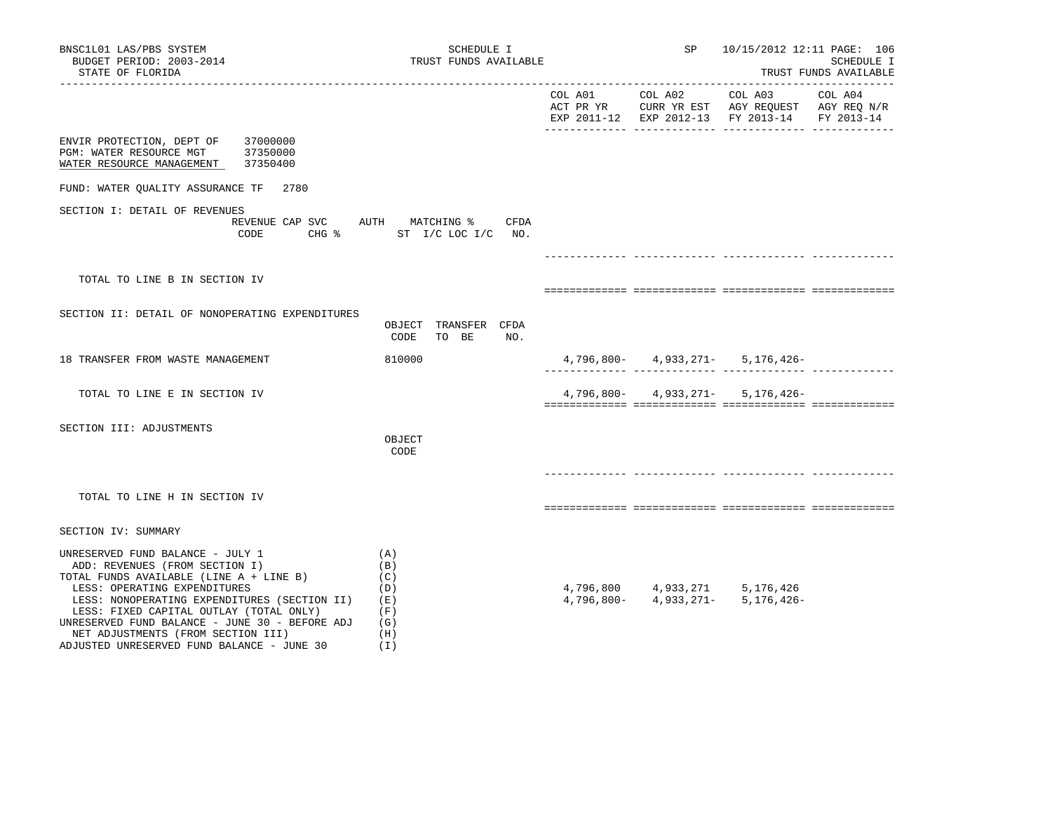| BNSC1L01 LAS/PBS SYSTEM<br>BUDGET PERIOD: 2003-2014<br>STATE OF FLORIDA                                                                                                                                                                                                                                                                                                        | SCHEDULE I                                                  |  | TRUST FUNDS AVAILABLE |                                                                                                                                | SP      | 10/15/2012 12:11 PAGE: 106<br>SCHEDULE I<br>TRUST FUNDS AVAILABLE |  |
|--------------------------------------------------------------------------------------------------------------------------------------------------------------------------------------------------------------------------------------------------------------------------------------------------------------------------------------------------------------------------------|-------------------------------------------------------------|--|-----------------------|--------------------------------------------------------------------------------------------------------------------------------|---------|-------------------------------------------------------------------|--|
|                                                                                                                                                                                                                                                                                                                                                                                |                                                             |  | COL A01 COL A02       | COL A03<br>ACT PR YR $\,$ CURR YR EST $\,$ AGY REQUEST $\,$ AGY REQ $\rm N/R$<br>EXP 2011-12 EXP 2012-13 FY 2013-14 FY 2013-14 | COL A04 |                                                                   |  |
| ENVIR PROTECTION, DEPT OF<br>37000000<br>PGM: WATER RESOURCE MGT<br>37350000<br>WATER RESOURCE MANAGEMENT 37350400                                                                                                                                                                                                                                                             |                                                             |  |                       |                                                                                                                                |         |                                                                   |  |
| FUND: WATER QUALITY ASSURANCE TF 2780                                                                                                                                                                                                                                                                                                                                          |                                                             |  |                       |                                                                                                                                |         |                                                                   |  |
| SECTION I: DETAIL OF REVENUES<br>REVENUE CAP SVC AUTH MATCHING %<br>CODE                                                                                                                                                                                                                                                                                                       | CFDA<br>CHG % ST I/C LOC I/C NO.                            |  |                       |                                                                                                                                |         |                                                                   |  |
|                                                                                                                                                                                                                                                                                                                                                                                |                                                             |  |                       |                                                                                                                                |         |                                                                   |  |
| TOTAL TO LINE B IN SECTION IV                                                                                                                                                                                                                                                                                                                                                  |                                                             |  |                       |                                                                                                                                |         |                                                                   |  |
| SECTION II: DETAIL OF NONOPERATING EXPENDITURES                                                                                                                                                                                                                                                                                                                                | OBJECT TRANSFER CFDA<br>CODE<br>TO BE<br>NO.                |  |                       |                                                                                                                                |         |                                                                   |  |
| 18 TRANSFER FROM WASTE MANAGEMENT                                                                                                                                                                                                                                                                                                                                              | 810000                                                      |  |                       | $4,796,800 - 4,933,271 - 5,176,426 -$                                                                                          |         |                                                                   |  |
| TOTAL TO LINE E IN SECTION IV                                                                                                                                                                                                                                                                                                                                                  |                                                             |  |                       | $4,796,800 - 4,933,271 - 5,176,426 -$                                                                                          |         |                                                                   |  |
| SECTION III: ADJUSTMENTS                                                                                                                                                                                                                                                                                                                                                       | OBJECT<br>CODE                                              |  |                       |                                                                                                                                |         |                                                                   |  |
| TOTAL TO LINE H IN SECTION IV                                                                                                                                                                                                                                                                                                                                                  |                                                             |  |                       |                                                                                                                                |         |                                                                   |  |
| SECTION IV: SUMMARY                                                                                                                                                                                                                                                                                                                                                            |                                                             |  |                       |                                                                                                                                |         |                                                                   |  |
| UNRESERVED FUND BALANCE - JULY 1<br>ADD: REVENUES (FROM SECTION I)<br>TOTAL FUNDS AVAILABLE (LINE A + LINE B)<br>LESS: OPERATING EXPENDITURES<br>LESS: NONOPERATING EXPENDITURES (SECTION II)<br>LESS: FIXED CAPITAL OUTLAY (TOTAL ONLY)<br>UNRESERVED FUND BALANCE - JUNE 30 - BEFORE ADJ<br>NET ADJUSTMENTS (FROM SECTION III)<br>ADJUSTED UNRESERVED FUND BALANCE - JUNE 30 | (A)<br>(B)<br>(C)<br>(D)<br>(E)<br>(F)<br>(G)<br>(H)<br>(I) |  |                       | $4,796,800$ $4,933,271$ $5,176,426$<br>$4,796,800$ $4,933,271$ $5,176,426$                                                     |         |                                                                   |  |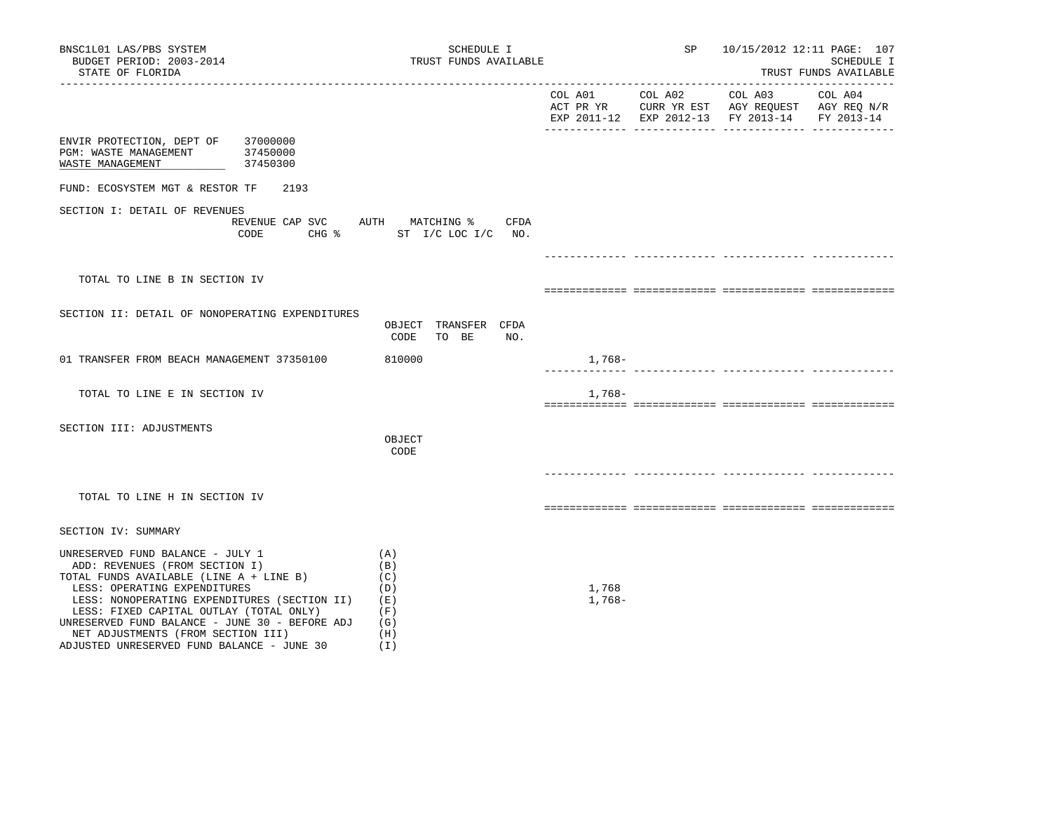| BNSC1L01 LAS/PBS SYSTEM<br>BUDGET PERIOD: 2003-2014<br>STATE OF FLORIDA                                                                                                                                                                                                                                                                                                        | SCHEDULE I<br>TRUST FUNDS AVAILABLE                                 |                   | SP              | 10/15/2012 12:11 PAGE: 107                                                                                        | SCHEDULE I<br>TRUST FUNDS AVAILABLE |
|--------------------------------------------------------------------------------------------------------------------------------------------------------------------------------------------------------------------------------------------------------------------------------------------------------------------------------------------------------------------------------|---------------------------------------------------------------------|-------------------|-----------------|-------------------------------------------------------------------------------------------------------------------|-------------------------------------|
|                                                                                                                                                                                                                                                                                                                                                                                |                                                                     |                   | COL A01 COL A02 | COL A03 COL A04<br>ACT PR YR CURR YR EST AGY REQUEST AGY REQ N/R<br>EXP 2011-12 EXP 2012-13 FY 2013-14 FY 2013-14 |                                     |
| ENVIR PROTECTION, DEPT OF<br>37000000<br>PGM: WASTE MANAGEMENT<br>37450000<br>WASTE MANAGEMENT<br>37450300                                                                                                                                                                                                                                                                     |                                                                     |                   |                 |                                                                                                                   |                                     |
| FUND: ECOSYSTEM MGT & RESTOR TF<br>2193                                                                                                                                                                                                                                                                                                                                        |                                                                     |                   |                 |                                                                                                                   |                                     |
| SECTION I: DETAIL OF REVENUES<br>CODE                                                                                                                                                                                                                                                                                                                                          | REVENUE CAP SVC AUTH MATCHING %<br>CFDA<br>CHG % ST I/C LOC I/C NO. |                   |                 |                                                                                                                   |                                     |
|                                                                                                                                                                                                                                                                                                                                                                                |                                                                     |                   |                 |                                                                                                                   |                                     |
| TOTAL TO LINE B IN SECTION IV                                                                                                                                                                                                                                                                                                                                                  |                                                                     |                   |                 |                                                                                                                   |                                     |
| SECTION II: DETAIL OF NONOPERATING EXPENDITURES                                                                                                                                                                                                                                                                                                                                | OBJECT TRANSFER CFDA<br>CODE<br>TO BE<br>NO.                        |                   |                 |                                                                                                                   |                                     |
| 01 TRANSFER FROM BEACH MANAGEMENT 37350100                                                                                                                                                                                                                                                                                                                                     | 810000                                                              | 1,768-            |                 |                                                                                                                   |                                     |
| TOTAL TO LINE E IN SECTION IV                                                                                                                                                                                                                                                                                                                                                  |                                                                     | 1,768-            |                 |                                                                                                                   |                                     |
| SECTION III: ADJUSTMENTS                                                                                                                                                                                                                                                                                                                                                       | OBJECT<br>CODE                                                      |                   |                 |                                                                                                                   |                                     |
| TOTAL TO LINE H IN SECTION IV                                                                                                                                                                                                                                                                                                                                                  |                                                                     |                   |                 |                                                                                                                   |                                     |
| SECTION IV: SUMMARY                                                                                                                                                                                                                                                                                                                                                            |                                                                     |                   |                 |                                                                                                                   |                                     |
| UNRESERVED FUND BALANCE - JULY 1<br>ADD: REVENUES (FROM SECTION I)<br>TOTAL FUNDS AVAILABLE (LINE A + LINE B)<br>LESS: OPERATING EXPENDITURES<br>LESS: NONOPERATING EXPENDITURES (SECTION II)<br>LESS: FIXED CAPITAL OUTLAY (TOTAL ONLY)<br>UNRESERVED FUND BALANCE - JUNE 30 - BEFORE ADJ<br>NET ADJUSTMENTS (FROM SECTION III)<br>ADJUSTED UNRESERVED FUND BALANCE - JUNE 30 | (A)<br>(B)<br>(C)<br>(D)<br>(E)<br>(F)<br>(G)<br>(H)<br>(I)         | 1,768<br>$1,768-$ |                 |                                                                                                                   |                                     |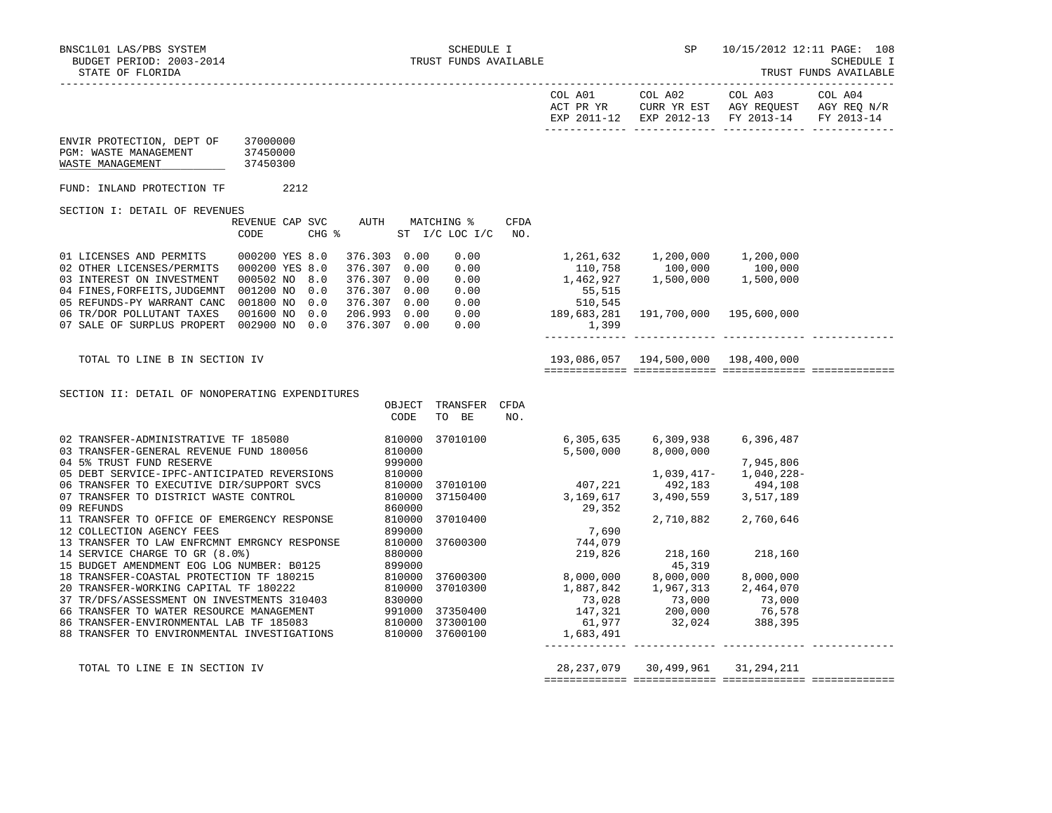|                                                                                                                                                                                                                                        |                                         |                      |                               |                    | EXP 2011-12 EXP 2012-13 FY 2013-14 FY 2013-14 |  |
|----------------------------------------------------------------------------------------------------------------------------------------------------------------------------------------------------------------------------------------|-----------------------------------------|----------------------|-------------------------------|--------------------|-----------------------------------------------|--|
| ENVIR PROTECTION, DEPT OF 37000000<br>PGM: WASTE MANAGEMENT<br>WASTE MANAGEMENT                                                                                                                                                        | 37450000<br>37450300                    |                      |                               |                    |                                               |  |
| FUND: INLAND PROTECTION TF                                                                                                                                                                                                             | 2212                                    |                      |                               |                    |                                               |  |
| SECTION I: DETAIL OF REVENUES                                                                                                                                                                                                          |                                         |                      |                               |                    |                                               |  |
|                                                                                                                                                                                                                                        | REVENUE CAP SVC AUTH MATCHING %<br>CODE | CHG % ST I/C LOC I/C |                               | <b>CFDA</b><br>NO. |                                               |  |
|                                                                                                                                                                                                                                        |                                         |                      |                               |                    |                                               |  |
|                                                                                                                                                                                                                                        |                                         |                      |                               |                    |                                               |  |
| TOTAL TO LINE B IN SECTION IV                                                                                                                                                                                                          |                                         |                      |                               |                    |                                               |  |
| SECTION II: DETAIL OF NONOPERATING EXPENDITURES                                                                                                                                                                                        |                                         | CODE                 | OBJECT TRANSFER CFDA<br>TO BE | NO.                |                                               |  |
| 02 TRANSFER-ADMINISTRATIVE TF 185080                       810000  37010100                      6,305,635      6,309,938      6,396,487<br>03 TRANSFER-GENERAL REVENUE FUND 180056                      810000<br>04 5% TRUST FUND    |                                         |                      |                               |                    |                                               |  |
| 05 DEBT SERVICE-IPC-ANTICIPATED REVERSIONS<br>06 TRANSFER TO EXECUTIVE DIR/SUPPORT SVCS<br>07 TRANSFER TO DISTRICT WASTE CONTROL 810000 37010100 407,221 492,183 494,108<br>860000 37150400 37150400 37150400 37150400 29,352<br>11 TR |                                         |                      |                               |                    |                                               |  |
|                                                                                                                                                                                                                                        |                                         |                      |                               |                    |                                               |  |
|                                                                                                                                                                                                                                        |                                         |                      |                               |                    |                                               |  |
|                                                                                                                                                                                                                                        |                                         |                      |                               |                    |                                               |  |
|                                                                                                                                                                                                                                        |                                         |                      |                               |                    |                                               |  |
| TOTAL TO LINE E IN SECTION IV                                                                                                                                                                                                          |                                         |                      |                               |                    | 28, 237, 079 30, 499, 961 31, 294, 211        |  |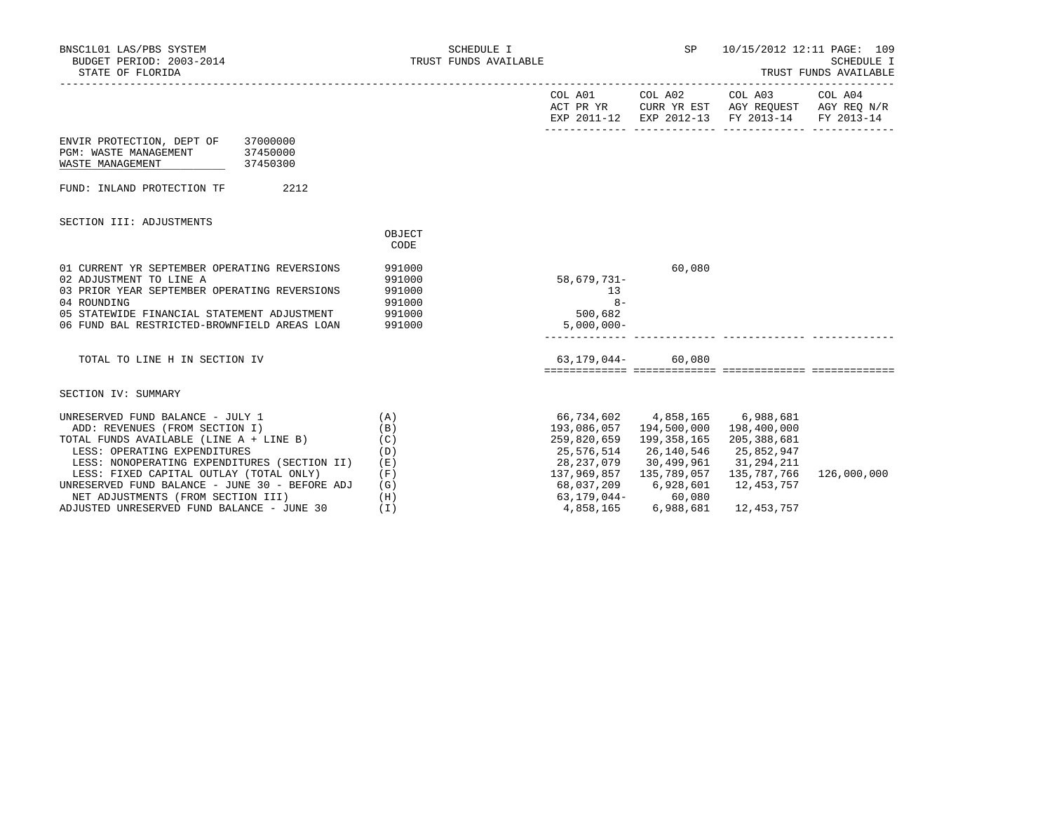| BNSC1L01 LAS/PBS SYSTEM<br>BUDGET PERIOD: 2003-2014<br>STATE OF FLORIDA                                                                                                                                                                                                                                                                                                        |                                                             | SCHEDULE I<br>TRUST FUNDS AVAILABLE |                                                                                                                                                                                   | SP <sub>2</sub> | 10/15/2012 12:11 PAGE: 109                                                                                                        | <b>SCHEDULE I</b><br>TRUST FUNDS AVAILABLE |
|--------------------------------------------------------------------------------------------------------------------------------------------------------------------------------------------------------------------------------------------------------------------------------------------------------------------------------------------------------------------------------|-------------------------------------------------------------|-------------------------------------|-----------------------------------------------------------------------------------------------------------------------------------------------------------------------------------|-----------------|-----------------------------------------------------------------------------------------------------------------------------------|--------------------------------------------|
|                                                                                                                                                                                                                                                                                                                                                                                |                                                             |                                     |                                                                                                                                                                                   |                 | COL A01 COL A02 COL A03 COL A04<br>ACT PR YR CURR YR EST AGY REQUEST AGY REQ N/R<br>EXP 2011-12 EXP 2012-13 FY 2013-14 FY 2013-14 |                                            |
| ENVIR PROTECTION, DEPT OF 37000000<br>37450000<br>PGM: WASTE MANAGEMENT<br>WASTE MANAGEMENT<br>37450300                                                                                                                                                                                                                                                                        |                                                             |                                     |                                                                                                                                                                                   |                 |                                                                                                                                   |                                            |
| 2212<br>FUND: INLAND PROTECTION TF                                                                                                                                                                                                                                                                                                                                             |                                                             |                                     |                                                                                                                                                                                   |                 |                                                                                                                                   |                                            |
| SECTION III: ADJUSTMENTS                                                                                                                                                                                                                                                                                                                                                       | OBJECT<br>CODE                                              |                                     |                                                                                                                                                                                   |                 |                                                                                                                                   |                                            |
| 01 CURRENT YR SEPTEMBER OPERATING REVERSIONS<br>02 ADJUSTMENT TO LINE A<br>03 PRIOR YEAR SEPTEMBER OPERATING REVERSIONS<br>04 ROUNDING<br>05 STATEWIDE FINANCIAL STATEMENT ADJUSTMENT<br>06 FUND BAL RESTRICTED-BROWNFIELD AREAS LOAN                                                                                                                                          | 991000<br>991000<br>991000<br>991000<br>991000<br>991000    |                                     | 58,679,731-<br>13<br>$8-$<br>500,682<br>$5,000,000 -$                                                                                                                             | 60,080          |                                                                                                                                   |                                            |
| TOTAL TO LINE H IN SECTION IV                                                                                                                                                                                                                                                                                                                                                  |                                                             |                                     | 63,179,044- 60,080                                                                                                                                                                |                 |                                                                                                                                   |                                            |
| SECTION IV: SUMMARY                                                                                                                                                                                                                                                                                                                                                            |                                                             |                                     |                                                                                                                                                                                   |                 |                                                                                                                                   |                                            |
| UNRESERVED FUND BALANCE - JULY 1<br>ADD: REVENUES (FROM SECTION I)<br>TOTAL FUNDS AVAILABLE (LINE A + LINE B)<br>LESS: OPERATING EXPENDITURES<br>LESS: NONOPERATING EXPENDITURES (SECTION II)<br>LESS: FIXED CAPITAL OUTLAY (TOTAL ONLY)<br>UNRESERVED FUND BALANCE - JUNE 30 - BEFORE ADJ<br>NET ADJUSTMENTS (FROM SECTION III)<br>ADJUSTED UNRESERVED FUND BALANCE - JUNE 30 | (A)<br>(B)<br>(C)<br>(D)<br>(E)<br>(F)<br>(G)<br>(H)<br>(I) |                                     | 66,734,602 4,858,165 6,988,681<br>193,086,057  194,500,000  198,400,000<br>259,820,659 199,358,165<br>25,576,514<br>28, 237, 079 30, 499, 961 31, 294, 211<br>4,858,165 6,988,681 | 26,140,546      | 205,388,681<br>25,852,947<br>135,787,766<br>12,453,757<br>12,453,757                                                              | 126,000,000                                |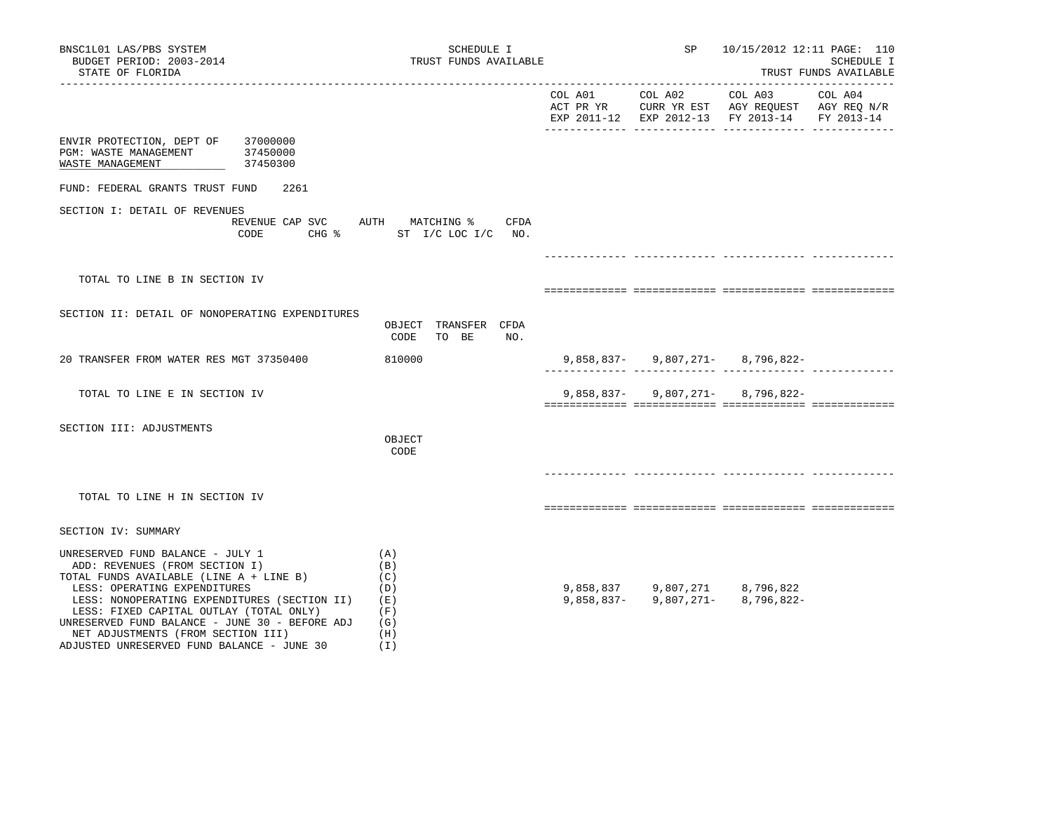| BNSC1L01 LAS/PBS SYSTEM<br>BUDGET PERIOD: 2003-2014<br>STATE OF FLORIDA                                                                                                                                                                                                                                                                                                        | SCHEDULE I<br>TRUST FUNDS AVAILABLE                                 |                 | SP | 10/15/2012 12:11 PAGE: 110                                                                                                     | SCHEDULE I<br>TRUST FUNDS AVAILABLE |
|--------------------------------------------------------------------------------------------------------------------------------------------------------------------------------------------------------------------------------------------------------------------------------------------------------------------------------------------------------------------------------|---------------------------------------------------------------------|-----------------|----|--------------------------------------------------------------------------------------------------------------------------------|-------------------------------------|
|                                                                                                                                                                                                                                                                                                                                                                                |                                                                     | COL A01 COL A02 |    | COL A03<br>ACT PR YR $\,$ CURR YR EST $\,$ AGY REQUEST $\,$ AGY REQ $\rm N/R$<br>EXP 2011-12 EXP 2012-13 FY 2013-14 FY 2013-14 | COL A04                             |
| ENVIR PROTECTION, DEPT OF 37000000<br>PGM: WASTE MANAGEMENT 37450000<br>WASTE MANAGEMENT<br>37450300                                                                                                                                                                                                                                                                           |                                                                     |                 |    |                                                                                                                                |                                     |
| FUND: FEDERAL GRANTS TRUST FUND<br>2261                                                                                                                                                                                                                                                                                                                                        |                                                                     |                 |    |                                                                                                                                |                                     |
| SECTION I: DETAIL OF REVENUES<br>CODE                                                                                                                                                                                                                                                                                                                                          | REVENUE CAP SVC AUTH MATCHING %<br>CFDA<br>CHG % ST I/C LOC I/C NO. |                 |    |                                                                                                                                |                                     |
|                                                                                                                                                                                                                                                                                                                                                                                |                                                                     |                 |    | ___________________________________                                                                                            |                                     |
| TOTAL TO LINE B IN SECTION IV                                                                                                                                                                                                                                                                                                                                                  |                                                                     |                 |    |                                                                                                                                |                                     |
| SECTION II: DETAIL OF NONOPERATING EXPENDITURES                                                                                                                                                                                                                                                                                                                                | OBJECT TRANSFER CFDA<br>CODE<br>TO BE<br>NO.                        |                 |    |                                                                                                                                |                                     |
| 20 TRANSFER FROM WATER RES MGT 37350400                                                                                                                                                                                                                                                                                                                                        | 810000                                                              |                 |    | $9,858,837 - 9,807,271 - 8,796,822 -$                                                                                          |                                     |
| TOTAL TO LINE E IN SECTION IV                                                                                                                                                                                                                                                                                                                                                  |                                                                     |                 |    | $9,858,837 - 9,807,271 - 8,796,822 -$                                                                                          |                                     |
| SECTION III: ADJUSTMENTS                                                                                                                                                                                                                                                                                                                                                       | OBJECT<br>CODE                                                      |                 |    |                                                                                                                                |                                     |
| TOTAL TO LINE H IN SECTION IV                                                                                                                                                                                                                                                                                                                                                  |                                                                     |                 |    |                                                                                                                                |                                     |
| SECTION IV: SUMMARY                                                                                                                                                                                                                                                                                                                                                            |                                                                     |                 |    |                                                                                                                                |                                     |
| UNRESERVED FUND BALANCE - JULY 1<br>ADD: REVENUES (FROM SECTION I)<br>TOTAL FUNDS AVAILABLE (LINE A + LINE B)<br>LESS: OPERATING EXPENDITURES<br>LESS: NONOPERATING EXPENDITURES (SECTION II)<br>LESS: FIXED CAPITAL OUTLAY (TOTAL ONLY)<br>UNRESERVED FUND BALANCE - JUNE 30 - BEFORE ADJ<br>NET ADJUSTMENTS (FROM SECTION III)<br>ADJUSTED UNRESERVED FUND BALANCE - JUNE 30 | (A)<br>(B)<br>(C)<br>(D)<br>(E)<br>(F)<br>(G)<br>(H)<br>(1)         |                 |    | $9,858,837$<br>$9,807,271$<br>$8,796,822$<br>$9,858,837$ -<br>$9,807,271$ -<br>$8,796,822$ -                                   |                                     |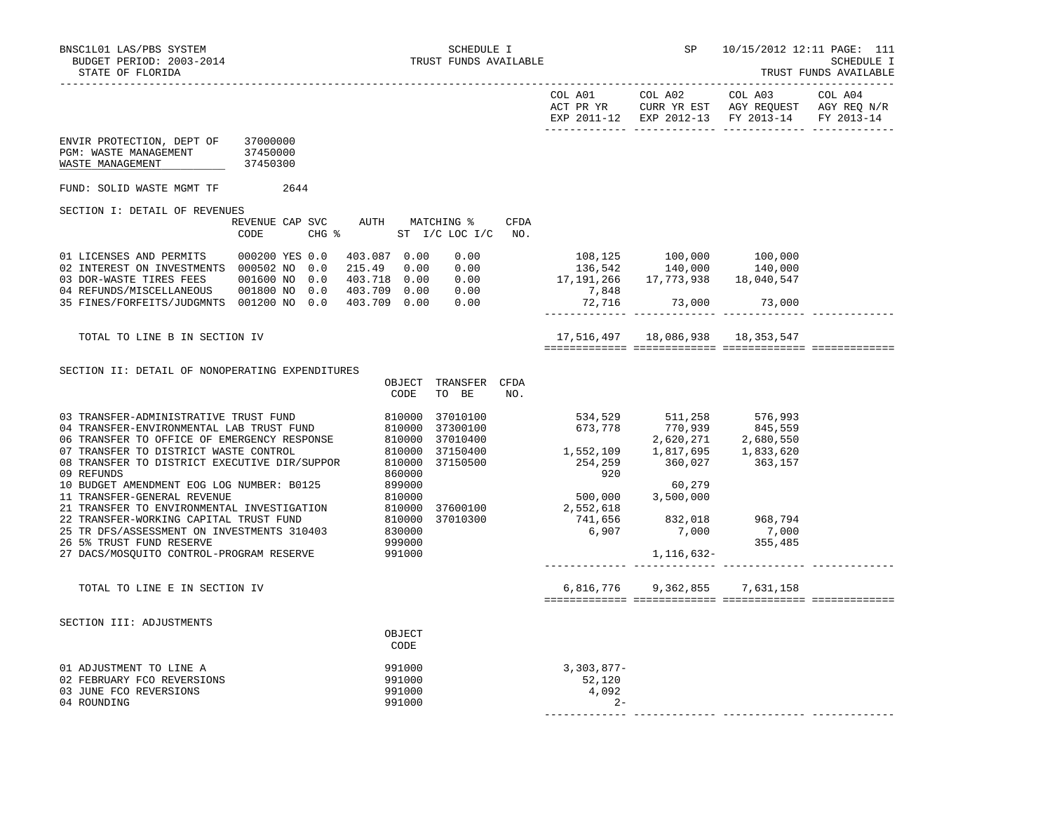|                                                                                                                                                                                                 |                                         |                          |                                    |      |                                                                                                                                                                                              |                                                                          | EXP 2011-12 EXP 2012-13 FY 2013-14 | FY 2013-14 |
|-------------------------------------------------------------------------------------------------------------------------------------------------------------------------------------------------|-----------------------------------------|--------------------------|------------------------------------|------|----------------------------------------------------------------------------------------------------------------------------------------------------------------------------------------------|--------------------------------------------------------------------------|------------------------------------|------------|
| ENVIR PROTECTION, DEPT OF 37000000<br>PGM: WASTE MANAGEMENT<br>WASTE MANAGEMENT                                                                                                                 | 37450000<br>37450300                    |                          |                                    |      |                                                                                                                                                                                              |                                                                          |                                    |            |
| FUND: SOLID WASTE MGMT TF 2644                                                                                                                                                                  |                                         |                          |                                    |      |                                                                                                                                                                                              |                                                                          |                                    |            |
| SECTION I: DETAIL OF REVENUES                                                                                                                                                                   |                                         |                          |                                    |      |                                                                                                                                                                                              |                                                                          |                                    |            |
|                                                                                                                                                                                                 | REVENUE CAP SVC AUTH MATCHING %<br>CODE | CHG % ST I/C LOC I/C NO. |                                    | CFDA |                                                                                                                                                                                              |                                                                          |                                    |            |
| 01 LICENSES AND PERMITS 000200 YES 0.0                                                                                                                                                          |                                         | 403.087 0.00             | 0.00                               |      | $108,125$<br>$136,542$<br>$140,000$<br>$136,542$<br>$140,000$<br>$140,000$<br>$140,000$<br>$140,000$<br>$140,000$<br>$140,000$<br>$140,000$<br>$140,000$<br>$140,000$<br>$140,000$           |                                                                          |                                    |            |
| 02 INTEREST ON INVESTMENTS 000502 NO 0.0                                                                                                                                                        |                                         | 215.49 0.00              | 0.00                               |      |                                                                                                                                                                                              |                                                                          |                                    |            |
|                                                                                                                                                                                                 |                                         |                          |                                    |      |                                                                                                                                                                                              |                                                                          |                                    |            |
| 04 REFUNDS/MISCELLANEOUS 001800 NO 0.0 403.718 0.00 0.00<br>35 FINES/FORFEITS/JUDGMNTS 001800 NO 0.0 403.709 0.00 0.00                                                                          |                                         |                          |                                    |      | 72,716                                                                                                                                                                                       | 73,000 73,000                                                            |                                    |            |
|                                                                                                                                                                                                 |                                         |                          |                                    |      |                                                                                                                                                                                              |                                                                          |                                    |            |
| TOTAL TO LINE B IN SECTION IV                                                                                                                                                                   |                                         |                          |                                    |      |                                                                                                                                                                                              | 17,516,497   18,086,938   18,353,547                                     |                                    |            |
|                                                                                                                                                                                                 |                                         |                          |                                    |      |                                                                                                                                                                                              |                                                                          |                                    |            |
| SECTION II: DETAIL OF NONOPERATING EXPENDITURES                                                                                                                                                 |                                         |                          |                                    |      |                                                                                                                                                                                              |                                                                          |                                    |            |
|                                                                                                                                                                                                 |                                         | CODE                     | OBJECT TRANSFER CFDA<br>TO BE      | NO.  |                                                                                                                                                                                              |                                                                          |                                    |            |
| 03 TRANSFER-ADMINISTRATIVE TRUST FUND<br>04 TRANSFER-ENVIRONMENTAL LAB TRUST FUND<br>04 TRANSFER-ENVIRONMENTAL LAB TRUST FUND<br>03 3710400<br>037150400<br>037150400<br>037150400<br>037150400 |                                         |                          |                                    |      | $\begin{array}{cccc} 534,529 & 511,258 & 576,993 \\ 673,778 & 770,939 & 845,559 \\ 2,620,271 & 2,680,550 \\ 1,552,109 & 1,817,695 & 1,833,620 \\ 254,259 & 360,027 & 363,157 \\ \end{array}$ |                                                                          |                                    |            |
|                                                                                                                                                                                                 |                                         |                          |                                    |      |                                                                                                                                                                                              |                                                                          |                                    |            |
|                                                                                                                                                                                                 |                                         |                          |                                    |      |                                                                                                                                                                                              |                                                                          |                                    |            |
| 08 TRANSFER TO DISTRICT EXECUTIVE DIR/SUPPOR                                                                                                                                                    |                                         |                          | 810000 37150400<br>810000 37150500 |      |                                                                                                                                                                                              |                                                                          |                                    |            |
| 09 REFUNDS                                                                                                                                                                                      |                                         | 860000                   |                                    |      | 920                                                                                                                                                                                          |                                                                          |                                    |            |
| 10 BUDGET AMENDMENT EOG LOG NUMBER: B0125                                                                                                                                                       |                                         | 899000                   |                                    |      |                                                                                                                                                                                              | 60,279                                                                   |                                    |            |
| 11 TRANSFER-GENERAL REVENUE                                                                                                                                                                     |                                         | 810000                   |                                    |      |                                                                                                                                                                                              | 500,000 3,500,000                                                        |                                    |            |
| 21 TRANSFER TO ENVIRONMENTAL INVESTIGATION<br>22 TRANSFER-WORKING CAPITAL TRUST FUND                                                                                                            |                                         |                          |                                    |      |                                                                                                                                                                                              |                                                                          |                                    |            |
| 25 TR DFS/ASSESSMENT ON INVESTMENTS 310403                                                                                                                                                      |                                         | 830000                   |                                    |      |                                                                                                                                                                                              | $\begin{array}{cccc} 7,000 & & & 7,000 \\ 6,907 & & & 7,000 \end{array}$ |                                    |            |
| 26 5% TRUST FUND RESERVE                                                                                                                                                                        |                                         | 999000                   |                                    |      |                                                                                                                                                                                              |                                                                          | 355,485                            |            |
| 27 DACS/MOSQUITO CONTROL-PROGRAM RESERVE                                                                                                                                                        |                                         | 991000                   |                                    |      |                                                                                                                                                                                              | 1,116,632-                                                               |                                    |            |
| TOTAL TO LINE E IN SECTION IV                                                                                                                                                                   |                                         |                          |                                    |      |                                                                                                                                                                                              | 6,816,776 9,362,855 7,631,158                                            |                                    |            |
|                                                                                                                                                                                                 |                                         |                          |                                    |      |                                                                                                                                                                                              |                                                                          |                                    |            |
| SECTION III: ADJUSTMENTS                                                                                                                                                                        |                                         | OBJECT                   |                                    |      |                                                                                                                                                                                              |                                                                          |                                    |            |
|                                                                                                                                                                                                 |                                         | CODE                     |                                    |      |                                                                                                                                                                                              |                                                                          |                                    |            |
| 01 ADJUSTMENT TO LINE A                                                                                                                                                                         |                                         | 991000                   |                                    |      | 3,303,877-                                                                                                                                                                                   |                                                                          |                                    |            |
| 02 FEBRUARY FCO REVERSIONS                                                                                                                                                                      |                                         | 991000                   |                                    |      | 52,120                                                                                                                                                                                       |                                                                          |                                    |            |
| 03 JUNE FCO REVERSIONS<br>04 ROUNDING                                                                                                                                                           |                                         | 991000<br>991000         |                                    |      | 4,092<br>$2 -$                                                                                                                                                                               |                                                                          |                                    |            |
|                                                                                                                                                                                                 |                                         |                          |                                    |      |                                                                                                                                                                                              |                                                                          |                                    |            |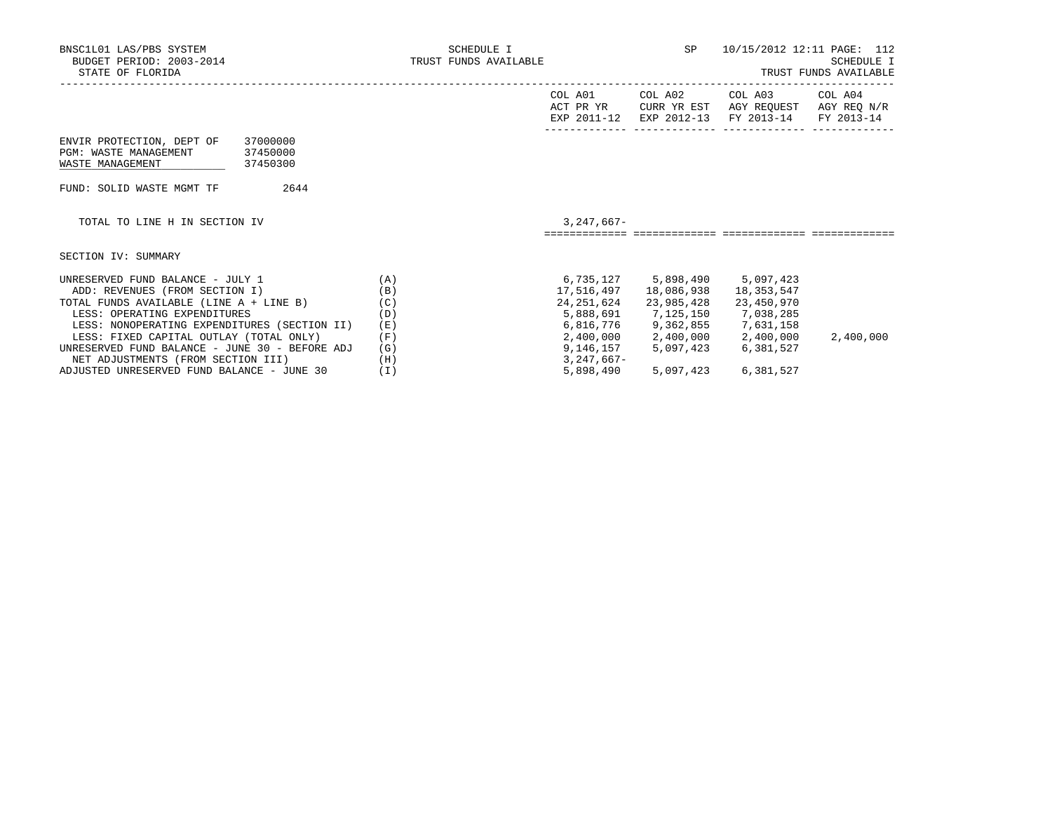| BNSC1L01 LAS/PBS SYSTEM<br>BUDGET PERIOD: 2003-2014<br>STATE OF FLORIDA                                    |     | SCHEDULE I<br>TRUST FUNDS AVAILABLE |                                     | SP                                    | 10/15/2012 12:11 PAGE: 112                       | <b>SCHEDULE I</b><br>TRUST FUNDS AVAILABLE |
|------------------------------------------------------------------------------------------------------------|-----|-------------------------------------|-------------------------------------|---------------------------------------|--------------------------------------------------|--------------------------------------------|
|                                                                                                            |     |                                     | COL A01<br>ACT PR YR<br>EXP 2011-12 | COL A02<br>CURR YR EST<br>EXP 2012-13 | COL A03<br>AGY REQUEST AGY REQ N/R<br>FY 2013-14 | COL A04<br>FY 2013-14                      |
| ENVIR PROTECTION, DEPT OF<br>37000000<br>PGM: WASTE MANAGEMENT<br>37450000<br>WASTE MANAGEMENT<br>37450300 |     |                                     |                                     |                                       |                                                  |                                            |
| 2644<br>FUND: SOLID WASTE MGMT TF                                                                          |     |                                     |                                     |                                       |                                                  |                                            |
| TOTAL TO LINE H IN SECTION IV                                                                              |     |                                     | $3,247,667-$                        |                                       |                                                  |                                            |
| SECTION IV: SUMMARY                                                                                        |     |                                     |                                     |                                       |                                                  |                                            |
| UNRESERVED FUND BALANCE - JULY 1                                                                           | (A) |                                     | 6,735,127                           | 5,898,490                             | 5,097,423                                        |                                            |
| ADD: REVENUES (FROM SECTION I)                                                                             | (B) |                                     | 17,516,497                          | 18,086,938                            | 18,353,547                                       |                                            |
| TOTAL FUNDS AVAILABLE (LINE A + LINE B)                                                                    | (C) |                                     | 24,251,624                          | 23,985,428                            | 23,450,970                                       |                                            |
| LESS: OPERATING EXPENDITURES                                                                               | (D) |                                     |                                     | 5,888,691 7,125,150 7,038,285         |                                                  |                                            |
| LESS: NONOPERATING EXPENDITURES (SECTION II)                                                               | (E) |                                     |                                     | 6,816,776 9,362,855 7,631,158         |                                                  |                                            |
| LESS: FIXED CAPITAL OUTLAY (TOTAL ONLY)                                                                    | (F) |                                     |                                     |                                       | 2,400,000 2,400,000 2,400,000                    | 2,400,000                                  |
| UNRESERVED FUND BALANCE - JUNE 30 - BEFORE ADJ                                                             | (G) |                                     | 9,146,157                           | 5,097,423                             | 6,381,527                                        |                                            |

ADJUSTED UNRESERVED FUND BALANCE - JUNE 30 (I) 5,898,490 5,097,423 6,381,527

NET ADJUSTMENTS (FROM SECTION III) (H) (H) 3,247,667-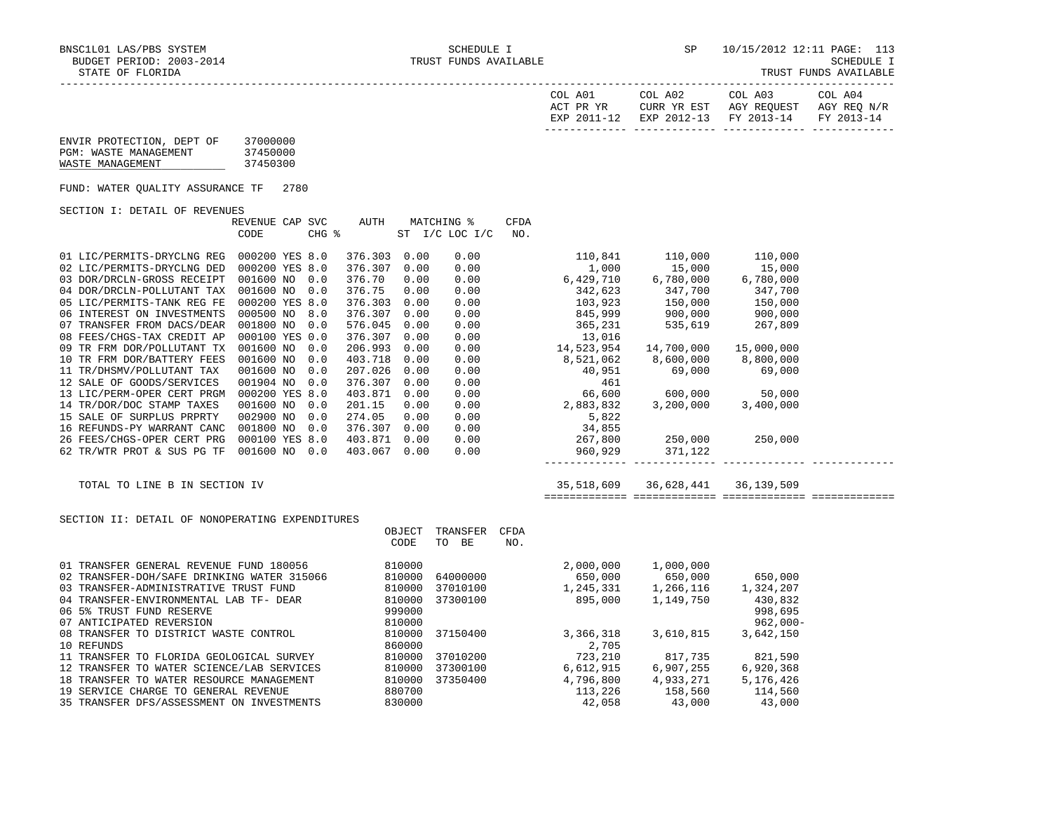TRUST FUNDS AVAILABLE

| COL A01<br>ACT PR YR<br>EXP 2011-12 | COL A02<br>CURR YR EST | COL A03<br>AGY REOUEST<br>EXP 2012-13 FY 2013-14 FY 2013-14 | COL A04<br>AGY REO N/R |
|-------------------------------------|------------------------|-------------------------------------------------------------|------------------------|
|                                     |                        |                                                             |                        |

| ENVIR PROTECTION, DEPT OF | 37000000 |
|---------------------------|----------|
| PGM: WASTE MANAGEMENT     | 37450000 |
| WASTE MANAGEMENT          | 37450300 |

FUND: WATER QUALITY ASSURANCE TF 2780

## SECTION I: DETAIL OF REVENUES

|                            | REVENUE CAP    | <b>SVC</b> | AUTH    |      | MATCHING %      | CFDA       |            |            |
|----------------------------|----------------|------------|---------|------|-----------------|------------|------------|------------|
|                            | CODE           | CHG %      |         | ST   | $I/C$ LOC $I/C$ | NO.        |            |            |
| 01 LIC/PERMITS-DRYCLNG REG | 000200 YES 8.0 |            | 376.303 | 0.00 | 0.00            | 110,841    | 110,000    | 110,000    |
| 02 LIC/PERMITS-DRYCLNG DED | 000200 YES 8.0 |            | 376.307 | 0.00 | 0.00            | 1,000      | 15,000     | 15,000     |
| 03 DOR/DRCLN-GROSS RECEIPT | 001600 NO      | 0.0        | 376.70  | 0.00 | 0.00            | 6,429,710  | 6,780,000  | 6,780,000  |
| 04 DOR/DRCLN-POLLUTANT TAX | 001600 NO      | 0.0        | 376.75  | 0.00 | 0.00            | 342,623    | 347,700    | 347,700    |
| 05 LIC/PERMITS-TANK REG FE | 000200 YES 8.0 |            | 376.303 | 0.00 | 0.00            | 103,923    | 150,000    | 150,000    |
| 06 INTEREST ON INVESTMENTS | 000500 NO      | 8.0        | 376.307 | 0.00 | 0.00            | 845,999    | 900,000    | 900,000    |
| 07 TRANSFER FROM DACS/DEAR | 001800 NO      | 0.0        | 576.045 | 0.00 | 0.00            | 365,231    | 535,619    | 267,809    |
| 08 FEES/CHGS-TAX CREDIT AP | 000100 YES 0.0 |            | 376.307 | 0.00 | 0.00            | 13,016     |            |            |
| 09 TR FRM DOR/POLLUTANT TX | 001600 NO      | 0.0        | 206.993 | 0.00 | 0.00            | 14,523,954 | 14,700,000 | 15,000,000 |
| 10 TR FRM DOR/BATTERY FEES | 001600 NO      | 0.0        | 403.718 | 0.00 | 0.00            | 8,521,062  | 8,600,000  | 8,800,000  |
| 11 TR/DHSMV/POLLUTANT TAX  | 001600 NO      | 0.0        | 207.026 | 0.00 | 0.00            | 40,951     | 69,000     | 69,000     |
| 12 SALE OF GOODS/SERVICES  | 001904 NO      | 0.0        | 376.307 | 0.00 | 0.00            | 461        |            |            |
| 13 LIC/PERM-OPER CERT PRGM | 000200 YES 8.0 |            | 403.871 | 0.00 | 0.00            | 66,600     | 600,000    | 50,000     |
| 14 TR/DOR/DOC STAMP TAXES  | 001600 NO      | 0.0        | 201.15  | 0.00 | 0.00            | 2,883,832  | 3,200,000  | 3,400,000  |
| 15 SALE OF SURPLUS PRPRTY  | 002900 NO      | 0.0        | 274.05  | 0.00 | 0.00            | 5,822      |            |            |
| 16 REFUNDS-PY WARRANT CANC | 001800 NO      | 0.0        | 376.307 | 0.00 | 0.00            | 34,855     |            |            |
| 26 FEES/CHGS-OPER CERT PRG | 000100 YES 8.0 |            | 403.871 | 0.00 | 0.00            | 267,800    | 250,000    | 250,000    |
| 62 TR/WTR PROT & SUS PG TF | 001600 NO      | 0.0        | 403.067 | 0.00 | 0.00            | 960,929    | 371,122    |            |

|  |  |  |  |  |  | TOTAL TO LINE B IN SECTION IV |  |
|--|--|--|--|--|--|-------------------------------|--|
|--|--|--|--|--|--|-------------------------------|--|

 $140,951$  69,000 69,000<br> $1461$ 

## $T_{\rm C}$  Total  $T_{\rm C}$  and  $T_{\rm C}$  is the section in Section 1 and  $T_{\rm C}$  36,628,441 36,139,509

## ============= ============= ============= =============

------------- ------------- ------------- -------------

## SECTION II: DETAIL OF NONOPERATING EXPENDITURES

|                                            | OBJECT | TRANSFER | <b>CFDA</b> |           |           |             |
|--------------------------------------------|--------|----------|-------------|-----------|-----------|-------------|
|                                            | CODE   | BE<br>TO | NO.         |           |           |             |
|                                            |        |          |             |           |           |             |
| 01 TRANSFER GENERAL REVENUE FUND 180056    | 810000 |          |             | 2,000,000 | 1,000,000 |             |
| 02 TRANSFER-DOH/SAFE DRINKING WATER 315066 | 810000 | 64000000 |             | 650,000   | 650,000   | 650,000     |
| 03 TRANSFER-ADMINISTRATIVE TRUST FUND      | 810000 | 37010100 |             | 1,245,331 | 1,266,116 | 1,324,207   |
| 04 TRANSFER-ENVIRONMENTAL LAB TF- DEAR     | 810000 | 37300100 |             | 895,000   | 1,149,750 | 430,832     |
| 06 5% TRUST FUND RESERVE                   | 999000 |          |             |           |           | 998,695     |
| 07 ANTICIPATED REVERSION                   | 810000 |          |             |           |           | $962,000 -$ |
| 08 TRANSFER TO DISTRICT WASTE CONTROL      | 810000 | 37150400 |             | 3,366,318 | 3,610,815 | 3,642,150   |
| 10 REFUNDS                                 | 860000 |          |             | 2,705     |           |             |
| 11 TRANSFER TO FLORIDA GEOLOGICAL SURVEY   | 810000 | 37010200 |             | 723,210   | 817,735   | 821,590     |
| 12 TRANSFER TO WATER SCIENCE/LAB SERVICES  | 810000 | 37300100 |             | 6.612.915 | 6,907,255 | 6,920,368   |
| 18 TRANSFER TO WATER RESOURCE MANAGEMENT   | 810000 | 37350400 |             | 4,796,800 | 4,933,271 | 5,176,426   |
| 19 SERVICE CHARGE TO GENERAL REVENUE       | 880700 |          |             | 113,226   | 158,560   | 114,560     |
| 35 TRANSFER DFS/ASSESSMENT ON INVESTMENTS  | 830000 |          |             | 42,058    | 43,000    | 43,000      |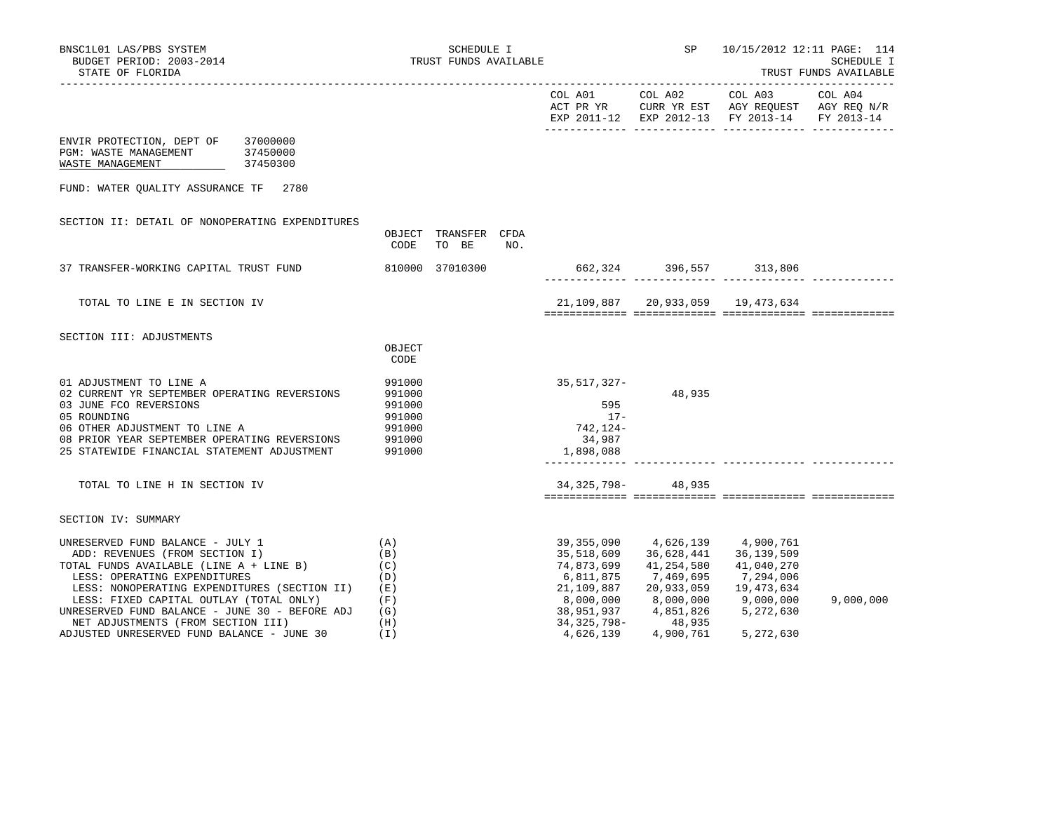|                                                                                                                                                                                                                                                  |                                                                    |                        |     |                                                                  |                                                                                                    | EXP 2011-12 EXP 2012-13 FY 2013-14                               | FY 2013-14 |
|--------------------------------------------------------------------------------------------------------------------------------------------------------------------------------------------------------------------------------------------------|--------------------------------------------------------------------|------------------------|-----|------------------------------------------------------------------|----------------------------------------------------------------------------------------------------|------------------------------------------------------------------|------------|
| ENVIR PROTECTION, DEPT OF<br>37000000<br>PGM: WASTE MANAGEMENT<br>37450000<br>WASTE MANAGEMENT<br>37450300                                                                                                                                       |                                                                    |                        |     |                                                                  |                                                                                                    |                                                                  |            |
| FUND: WATER OUALITY ASSURANCE TF 2780                                                                                                                                                                                                            |                                                                    |                        |     |                                                                  |                                                                                                    |                                                                  |            |
| SECTION II: DETAIL OF NONOPERATING EXPENDITURES                                                                                                                                                                                                  | OBJECT<br>CODE                                                     | TRANSFER CFDA<br>TO BE | NO. |                                                                  |                                                                                                    |                                                                  |            |
| 37 TRANSFER-WORKING CAPITAL TRUST FUND                                                                                                                                                                                                           |                                                                    | 810000 37010300        |     |                                                                  | 662, 324 396, 557 313, 806                                                                         |                                                                  |            |
| TOTAL TO LINE E IN SECTION IV                                                                                                                                                                                                                    |                                                                    |                        |     |                                                                  | 21, 109, 887 20, 933, 059 19, 473, 634                                                             |                                                                  |            |
| SECTION III: ADJUSTMENTS                                                                                                                                                                                                                         | OBJECT<br>CODE                                                     |                        |     |                                                                  |                                                                                                    |                                                                  |            |
| 01 ADJUSTMENT TO LINE A<br>02 CURRENT YR SEPTEMBER OPERATING REVERSIONS<br>03 JUNE FCO REVERSIONS<br>05 ROUNDING<br>06 OTHER ADJUSTMENT TO LINE A<br>08 PRIOR YEAR SEPTEMBER OPERATING REVERSIONS<br>25 STATEWIDE FINANCIAL STATEMENT ADJUSTMENT | 991000<br>991000<br>991000<br>991000<br>991000<br>991000<br>991000 |                        |     | 35,517,327-<br>595<br>$17-$<br>742,124-<br>34,987<br>1,898,088   | 48,935                                                                                             |                                                                  |            |
| TOTAL TO LINE H IN SECTION IV                                                                                                                                                                                                                    |                                                                    |                        |     |                                                                  | 34, 325, 798 - 48, 935                                                                             |                                                                  |            |
| SECTION IV: SUMMARY                                                                                                                                                                                                                              |                                                                    |                        |     |                                                                  |                                                                                                    |                                                                  |            |
| UNRESERVED FUND BALANCE - JULY 1<br>ADD: REVENUES (FROM SECTION I)<br>TOTAL FUNDS AVAILABLE (LINE A + LINE B)<br>LESS: OPERATING EXPENDITURES<br>LESS: NONOPERATING EXPENDITURES (SECTION II)<br>LESS: FIXED CAPITAL OUTLAY (TOTAL ONLY)         | (A)<br>(B)<br>(C)<br>(D)<br>(E)<br>(F)                             |                        |     | 35,518,609<br>74,873,699<br>6,811,875<br>21,109,887<br>8,000,000 | 39,355,090 4,626,139 4,900,761<br>36,628,441<br>41,254,580<br>7,469,695<br>20,933,059<br>8,000,000 | 36,139,509<br>41,040,270<br>7,294,006<br>19,473,634<br>9,000,000 | 9,000,000  |
| UNRESERVED FUND BALANCE - JUNE 30 - BEFORE ADJ<br>NET ADJUSTMENTS (FROM SECTION III)<br>ADJUSTED UNRESERVED FUND BALANCE - JUNE 30                                                                                                               | (G)<br>(H)<br>(I)                                                  |                        |     | 38,951,937<br>34,325,798-<br>4,626,139                           | 4,851,826<br>48,935<br>4,900,761                                                                   | 5,272,630<br>5,272,630                                           |            |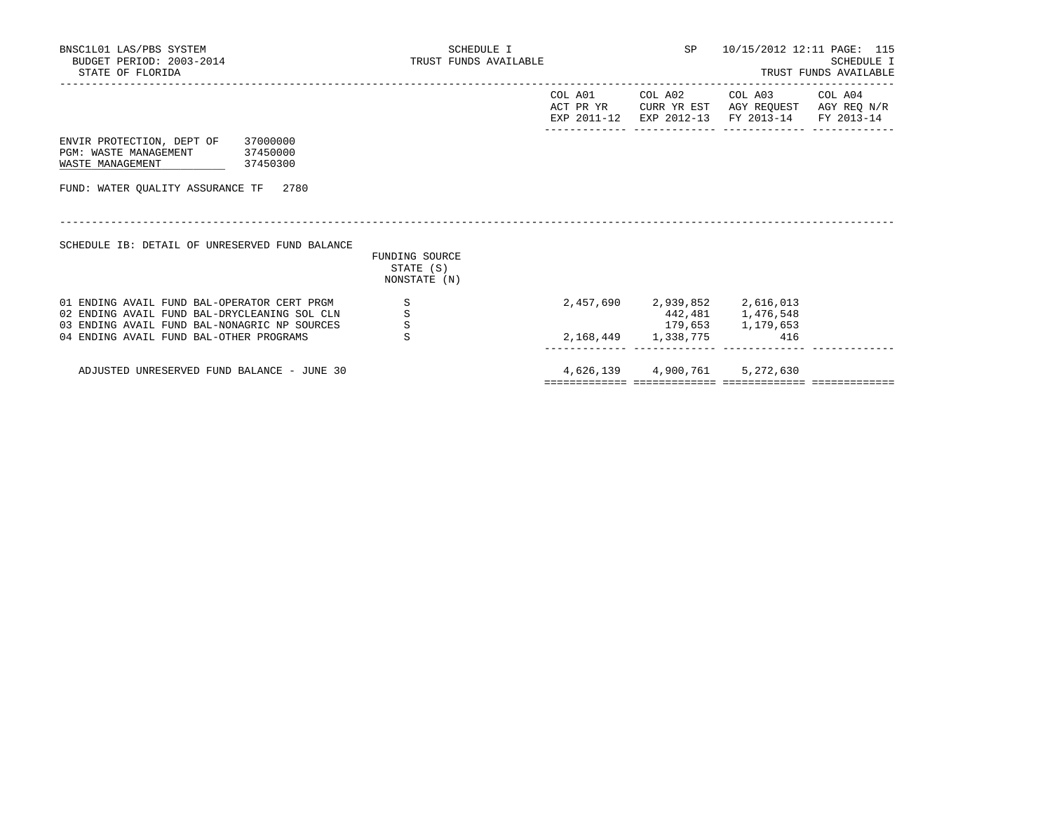| BNSC1L01 LAS/PBS SYSTEM<br>BUDGET PERIOD: 2003-2014<br>STATE OF FLORIDA                                                                                                                | SCHEDULE I<br>TRUST FUNDS AVAILABLE         |                                     | SP<br>10/15/2012 12:11 PAGE: 115<br>SCHEDULE I<br>TRUST FUNDS AVAILABLE |                                                                                             |  |  |
|----------------------------------------------------------------------------------------------------------------------------------------------------------------------------------------|---------------------------------------------|-------------------------------------|-------------------------------------------------------------------------|---------------------------------------------------------------------------------------------|--|--|
|                                                                                                                                                                                        |                                             | COL A01<br>ACT PR YR<br>EXP 2011-12 | COL A02                                                                 | COL A03 COL A04<br>CURR YR EST AGY REOUEST AGY REO N/R<br>EXP 2012-13 FY 2013-14 FY 2013-14 |  |  |
| ENVIR PROTECTION, DEPT OF<br>37000000<br>PGM: WASTE MANAGEMENT<br>37450000<br>WASTE MANAGEMENT<br>37450300                                                                             |                                             |                                     |                                                                         |                                                                                             |  |  |
| FUND: WATER OUALITY ASSURANCE TF 2780                                                                                                                                                  |                                             |                                     |                                                                         |                                                                                             |  |  |
| SCHEDULE IB: DETAIL OF UNRESERVED FUND BALANCE                                                                                                                                         | FUNDING SOURCE<br>STATE (S)<br>NONSTATE (N) |                                     |                                                                         |                                                                                             |  |  |
| 01 ENDING AVAIL FUND BAL-OPERATOR CERT PRGM<br>02 ENDING AVAIL FUND BAL-DRYCLEANING SOL CLN<br>03 ENDING AVAIL FUND BAL-NONAGRIC NP SOURCES<br>04 ENDING AVAIL FUND BAL-OTHER PROGRAMS | S<br>S<br>$\mbox{\bf S}$<br>S               |                                     | 2, 168, 449 1, 338, 775                                                 | 2,457,690 2,939,852 2,616,013<br>442,481 1,476,548<br>179,653 1,179,653<br>416              |  |  |
| ADJUSTED UNRESERVED FUND BALANCE - JUNE 30                                                                                                                                             |                                             |                                     |                                                                         | 4,626,139 4,900,761 5,272,630                                                               |  |  |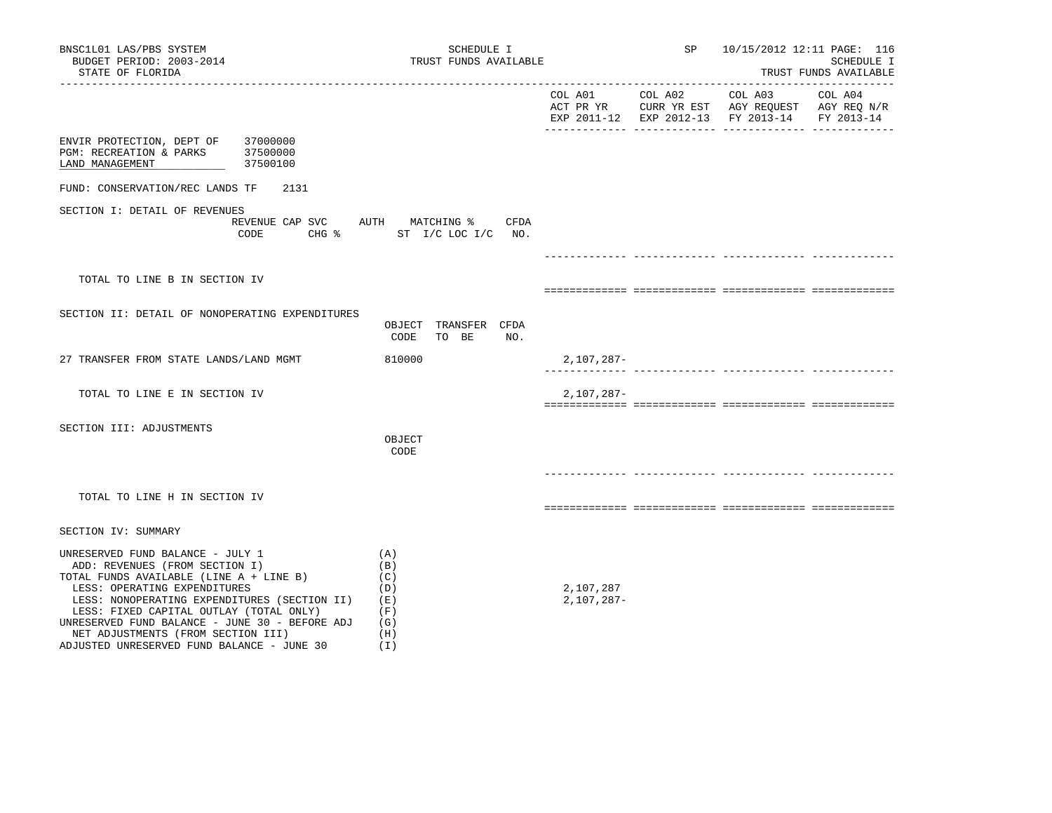| BNSC1L01 LAS/PBS SYSTEM<br>BUDGET PERIOD: 2003-2014<br>STATE OF FLORIDA                                                                                                                                                                                                                                                                                                        | SCHEDULE I<br>TRUST FUNDS AVAILABLE                                 |                           | SP      |                                                                                                | 10/15/2012 12:11 PAGE: 116<br>SCHEDULE I<br>TRUST FUNDS AVAILABLE |
|--------------------------------------------------------------------------------------------------------------------------------------------------------------------------------------------------------------------------------------------------------------------------------------------------------------------------------------------------------------------------------|---------------------------------------------------------------------|---------------------------|---------|------------------------------------------------------------------------------------------------|-------------------------------------------------------------------|
|                                                                                                                                                                                                                                                                                                                                                                                |                                                                     | COL A01                   | COL A02 | COL A03<br>ACT PR YR CURR YR EST AGY REQUEST AGY REQ N/R<br>EXP 2011-12 EXP 2012-13 FY 2013-14 | ____________________<br>COL A04<br>FY 2013-14                     |
| ENVIR PROTECTION, DEPT OF 37000000<br>PGM: RECREATION & PARKS<br>37500000<br>LAND MANAGEMENT<br>37500100                                                                                                                                                                                                                                                                       |                                                                     |                           |         |                                                                                                |                                                                   |
| FUND: CONSERVATION/REC LANDS TF<br>2131                                                                                                                                                                                                                                                                                                                                        |                                                                     |                           |         |                                                                                                |                                                                   |
| SECTION I: DETAIL OF REVENUES<br>CODE                                                                                                                                                                                                                                                                                                                                          | REVENUE CAP SVC AUTH MATCHING %<br>CFDA<br>CHG % ST I/C LOC I/C NO. |                           |         |                                                                                                |                                                                   |
|                                                                                                                                                                                                                                                                                                                                                                                |                                                                     |                           |         |                                                                                                |                                                                   |
| TOTAL TO LINE B IN SECTION IV                                                                                                                                                                                                                                                                                                                                                  |                                                                     |                           |         |                                                                                                |                                                                   |
| SECTION II: DETAIL OF NONOPERATING EXPENDITURES                                                                                                                                                                                                                                                                                                                                | OBJECT TRANSFER CFDA<br>CODE<br>TO BE<br>NO.                        |                           |         |                                                                                                |                                                                   |
| 27 TRANSFER FROM STATE LANDS/LAND MGMT                                                                                                                                                                                                                                                                                                                                         | 810000                                                              | 2,107,287-                |         |                                                                                                |                                                                   |
| TOTAL TO LINE E IN SECTION IV                                                                                                                                                                                                                                                                                                                                                  |                                                                     | $2,107,287-$              |         |                                                                                                |                                                                   |
| SECTION III: ADJUSTMENTS                                                                                                                                                                                                                                                                                                                                                       | OBJECT<br>CODE                                                      |                           |         |                                                                                                |                                                                   |
| TOTAL TO LINE H IN SECTION IV                                                                                                                                                                                                                                                                                                                                                  |                                                                     |                           |         |                                                                                                |                                                                   |
| SECTION IV: SUMMARY                                                                                                                                                                                                                                                                                                                                                            |                                                                     |                           |         |                                                                                                |                                                                   |
| UNRESERVED FUND BALANCE - JULY 1<br>ADD: REVENUES (FROM SECTION I)<br>TOTAL FUNDS AVAILABLE (LINE A + LINE B)<br>LESS: OPERATING EXPENDITURES<br>LESS: NONOPERATING EXPENDITURES (SECTION II)<br>LESS: FIXED CAPITAL OUTLAY (TOTAL ONLY)<br>UNRESERVED FUND BALANCE - JUNE 30 - BEFORE ADJ<br>NET ADJUSTMENTS (FROM SECTION III)<br>ADJUSTED UNRESERVED FUND BALANCE - JUNE 30 | (A)<br>(B)<br>(C)<br>(D)<br>(E)<br>(F)<br>(G)<br>(H)<br>(T)         | 2,107,287<br>$2,107,287-$ |         |                                                                                                |                                                                   |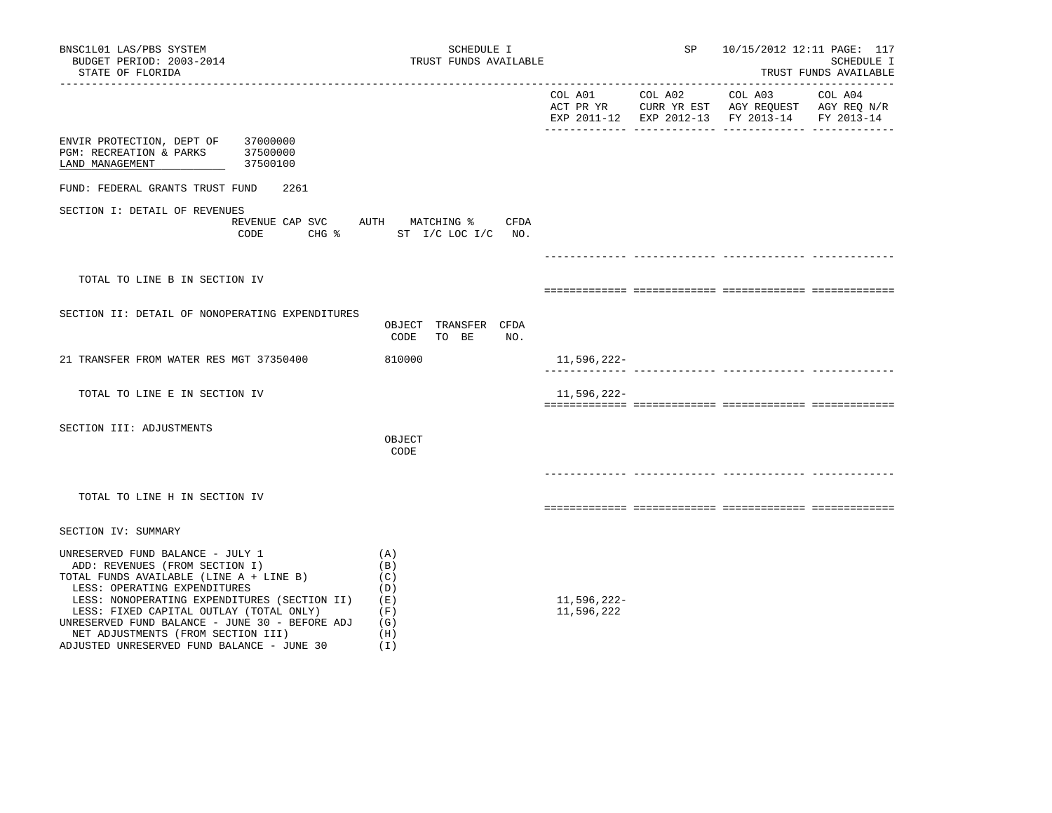| BNSC1L01 LAS/PBS SYSTEM<br>BUDGET PERIOD: 2003-2014<br>STATE OF FLORIDA                                                                                                                                                                                                                                                                                                        | SCHEDULE I<br>TRUST FUNDS AVAILABLE                         |                           | SP      | 10/15/2012 12:11 PAGE: 117<br>SCHEDULE I<br>TRUST FUNDS AVAILABLE<br>-------------                        |         |  |
|--------------------------------------------------------------------------------------------------------------------------------------------------------------------------------------------------------------------------------------------------------------------------------------------------------------------------------------------------------------------------------|-------------------------------------------------------------|---------------------------|---------|-----------------------------------------------------------------------------------------------------------|---------|--|
|                                                                                                                                                                                                                                                                                                                                                                                |                                                             | COL A01                   | COL A02 | COL A03<br>ACT PR YR CURR YR EST AGY REQUEST AGY REQ N/R<br>EXP 2011-12 EXP 2012-13 FY 2013-14 FY 2013-14 | COL A04 |  |
| ENVIR PROTECTION, DEPT OF<br>37000000<br>37500000<br>PGM: RECREATION & PARKS<br>37500100<br>LAND MANAGEMENT                                                                                                                                                                                                                                                                    |                                                             |                           |         |                                                                                                           |         |  |
| FUND: FEDERAL GRANTS TRUST FUND<br>2261                                                                                                                                                                                                                                                                                                                                        |                                                             |                           |         |                                                                                                           |         |  |
| SECTION I: DETAIL OF REVENUES<br>REVENUE CAP SVC<br>CODE                                                                                                                                                                                                                                                                                                                       | AUTH MATCHING %<br>CFDA<br>CHG % ST I/C LOC I/C NO.         |                           |         |                                                                                                           |         |  |
|                                                                                                                                                                                                                                                                                                                                                                                |                                                             |                           |         |                                                                                                           |         |  |
| TOTAL TO LINE B IN SECTION IV                                                                                                                                                                                                                                                                                                                                                  |                                                             |                           |         |                                                                                                           |         |  |
| SECTION II: DETAIL OF NONOPERATING EXPENDITURES                                                                                                                                                                                                                                                                                                                                | OBJECT TRANSFER CFDA<br>CODE<br>TO BE<br>NO.                |                           |         |                                                                                                           |         |  |
| 21 TRANSFER FROM WATER RES MGT 37350400                                                                                                                                                                                                                                                                                                                                        | 810000                                                      | 11,596,222-               |         |                                                                                                           |         |  |
| TOTAL TO LINE E IN SECTION IV                                                                                                                                                                                                                                                                                                                                                  |                                                             | 11,596,222-               |         |                                                                                                           |         |  |
| SECTION III: ADJUSTMENTS                                                                                                                                                                                                                                                                                                                                                       | OBJECT<br>CODE                                              |                           |         |                                                                                                           |         |  |
| TOTAL TO LINE H IN SECTION IV                                                                                                                                                                                                                                                                                                                                                  |                                                             |                           |         |                                                                                                           |         |  |
| SECTION IV: SUMMARY                                                                                                                                                                                                                                                                                                                                                            |                                                             |                           |         |                                                                                                           |         |  |
| UNRESERVED FUND BALANCE - JULY 1<br>ADD: REVENUES (FROM SECTION I)<br>TOTAL FUNDS AVAILABLE (LINE A + LINE B)<br>LESS: OPERATING EXPENDITURES<br>LESS: NONOPERATING EXPENDITURES (SECTION II)<br>LESS: FIXED CAPITAL OUTLAY (TOTAL ONLY)<br>UNRESERVED FUND BALANCE - JUNE 30 - BEFORE ADJ<br>NET ADJUSTMENTS (FROM SECTION III)<br>ADJUSTED UNRESERVED FUND BALANCE - JUNE 30 | (A)<br>(B)<br>(C)<br>(D)<br>(E)<br>(F)<br>(G)<br>(H)<br>(1) | 11,596,222-<br>11,596,222 |         |                                                                                                           |         |  |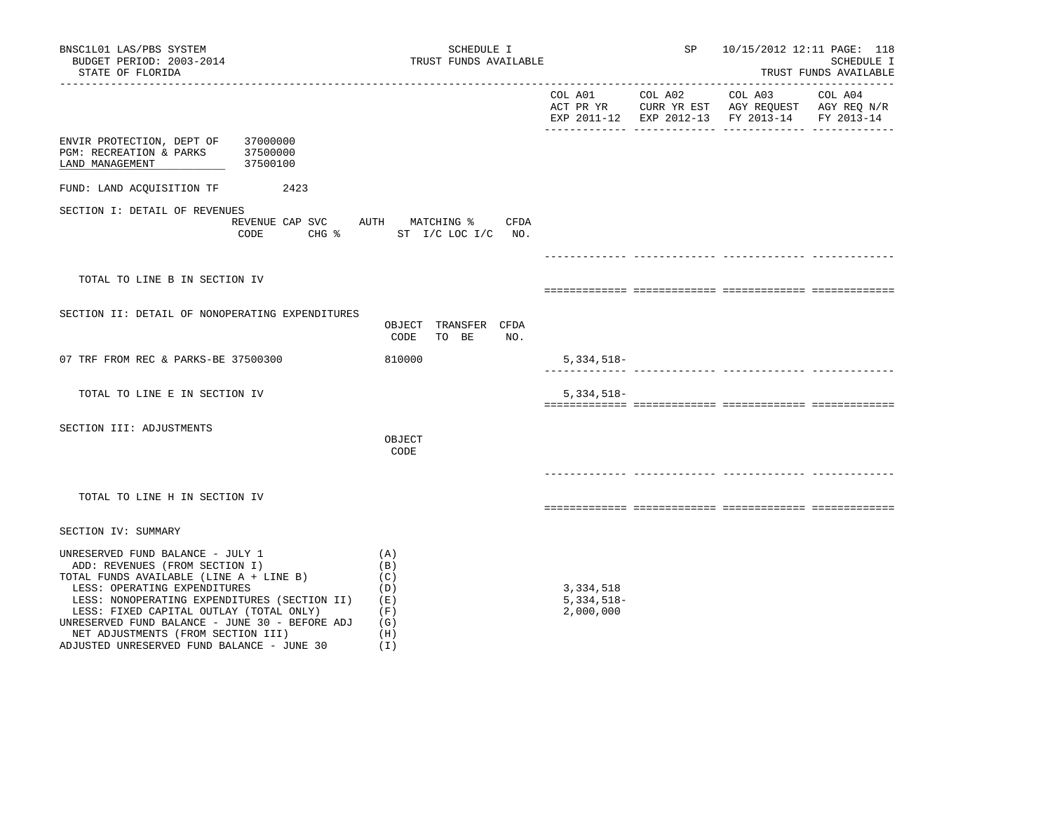| BNSC1L01 LAS/PBS SYSTEM<br>BUDGET PERIOD: 2003-2014<br>STATE OF FLORIDA                                                                                                                                                                                                                                                                                                        | SCHEDULE I<br>TRUST FUNDS AVAILABLE                                 |                                        | SP |                                                                                                        | 10/15/2012 12:11 PAGE: 118<br>SCHEDULE I<br>TRUST FUNDS AVAILABLE |
|--------------------------------------------------------------------------------------------------------------------------------------------------------------------------------------------------------------------------------------------------------------------------------------------------------------------------------------------------------------------------------|---------------------------------------------------------------------|----------------------------------------|----|--------------------------------------------------------------------------------------------------------|-------------------------------------------------------------------|
|                                                                                                                                                                                                                                                                                                                                                                                |                                                                     | COL A01 COL A02                        |    | COL A03 COL A04<br>ACT PR YR CURR YR EST AGY REQUEST AGY REQ N/R<br>EXP 2011-12 EXP 2012-13 FY 2013-14 | FY 2013-14                                                        |
| 37000000<br>ENVIR PROTECTION, DEPT OF<br>PGM: RECREATION & PARKS 37500000<br>LAND MANAGEMENT<br>37500100                                                                                                                                                                                                                                                                       |                                                                     |                                        |    |                                                                                                        |                                                                   |
| FUND: LAND ACQUISITION TF<br>2423                                                                                                                                                                                                                                                                                                                                              |                                                                     |                                        |    |                                                                                                        |                                                                   |
| SECTION I: DETAIL OF REVENUES<br>CODE                                                                                                                                                                                                                                                                                                                                          | REVENUE CAP SVC AUTH MATCHING %<br>CFDA<br>CHG % ST I/C LOC I/C NO. |                                        |    |                                                                                                        |                                                                   |
|                                                                                                                                                                                                                                                                                                                                                                                |                                                                     |                                        |    |                                                                                                        |                                                                   |
| TOTAL TO LINE B IN SECTION IV                                                                                                                                                                                                                                                                                                                                                  |                                                                     |                                        |    |                                                                                                        |                                                                   |
| SECTION II: DETAIL OF NONOPERATING EXPENDITURES                                                                                                                                                                                                                                                                                                                                | OBJECT TRANSFER CFDA<br>CODE<br>TO BE<br>NO.                        |                                        |    |                                                                                                        |                                                                   |
| 07 TRF FROM REC & PARKS-BE 37500300                                                                                                                                                                                                                                                                                                                                            | 810000                                                              | 5,334,518-                             |    |                                                                                                        |                                                                   |
| TOTAL TO LINE E IN SECTION IV                                                                                                                                                                                                                                                                                                                                                  |                                                                     | $5,334,518-$                           |    |                                                                                                        |                                                                   |
| SECTION III: ADJUSTMENTS                                                                                                                                                                                                                                                                                                                                                       | OBJECT<br>CODE                                                      |                                        |    |                                                                                                        |                                                                   |
| TOTAL TO LINE H IN SECTION IV                                                                                                                                                                                                                                                                                                                                                  |                                                                     |                                        |    |                                                                                                        |                                                                   |
| SECTION IV: SUMMARY                                                                                                                                                                                                                                                                                                                                                            |                                                                     |                                        |    |                                                                                                        |                                                                   |
| UNRESERVED FUND BALANCE - JULY 1<br>ADD: REVENUES (FROM SECTION I)<br>TOTAL FUNDS AVAILABLE (LINE A + LINE B)<br>LESS: OPERATING EXPENDITURES<br>LESS: NONOPERATING EXPENDITURES (SECTION II)<br>LESS: FIXED CAPITAL OUTLAY (TOTAL ONLY)<br>UNRESERVED FUND BALANCE - JUNE 30 - BEFORE ADJ<br>NET ADJUSTMENTS (FROM SECTION III)<br>ADJUSTED UNRESERVED FUND BALANCE - JUNE 30 | (A)<br>(B)<br>(C)<br>(D)<br>(E)<br>(F)<br>(G)<br>(H)<br>(1)         | 3,334,518<br>$5,334,518-$<br>2,000,000 |    |                                                                                                        |                                                                   |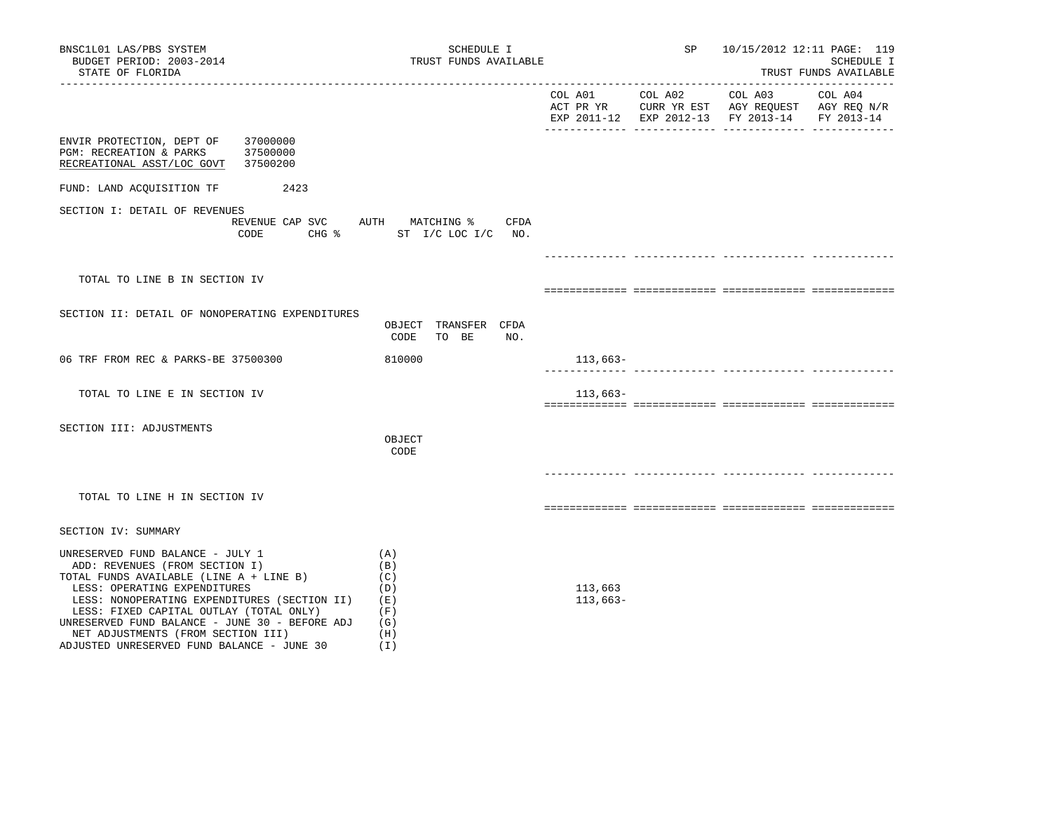| BNSC1L01 LAS/PBS SYSTEM<br>BUDGET PERIOD: 2003-2014<br>STATE OF FLORIDA                                                                                                                                                                                                                                                                                                                                                  | SCHEDULE I<br>TRUST FUNDS AVAILABLE          |                       | SP      | 10/15/2012 12:11 PAGE: 119<br>SCHEDULE I<br>TRUST FUNDS AVAILABLE                                         |         |
|--------------------------------------------------------------------------------------------------------------------------------------------------------------------------------------------------------------------------------------------------------------------------------------------------------------------------------------------------------------------------------------------------------------------------|----------------------------------------------|-----------------------|---------|-----------------------------------------------------------------------------------------------------------|---------|
|                                                                                                                                                                                                                                                                                                                                                                                                                          |                                              | COL A01               | COL A02 | COL A03<br>ACT PR YR CURR YR EST AGY REQUEST AGY REQ N/R<br>EXP 2011-12 EXP 2012-13 FY 2013-14 FY 2013-14 | COL A04 |
| ENVIR PROTECTION, DEPT OF<br>37000000<br>37500000<br>PGM: RECREATION & PARKS<br>RECREATIONAL ASST/LOC GOVT<br>37500200                                                                                                                                                                                                                                                                                                   |                                              |                       |         |                                                                                                           |         |
| FUND: LAND ACQUISITION TF<br>2423                                                                                                                                                                                                                                                                                                                                                                                        |                                              |                       |         |                                                                                                           |         |
| SECTION I: DETAIL OF REVENUES<br>REVENUE CAP SVC AUTH MATCHING %<br>CODE                                                                                                                                                                                                                                                                                                                                                 | CFDA<br>CHG $\frac{1}{2}$ ST I/C LOC I/C NO. |                       |         |                                                                                                           |         |
|                                                                                                                                                                                                                                                                                                                                                                                                                          |                                              |                       |         |                                                                                                           |         |
| TOTAL TO LINE B IN SECTION IV                                                                                                                                                                                                                                                                                                                                                                                            |                                              |                       |         |                                                                                                           |         |
| SECTION II: DETAIL OF NONOPERATING EXPENDITURES                                                                                                                                                                                                                                                                                                                                                                          | OBJECT TRANSFER CFDA<br>CODE<br>TO BE<br>NO. |                       |         |                                                                                                           |         |
| 06 TRF FROM REC & PARKS-BE 37500300                                                                                                                                                                                                                                                                                                                                                                                      | 810000                                       | $113,663-$            |         |                                                                                                           |         |
| TOTAL TO LINE E IN SECTION IV                                                                                                                                                                                                                                                                                                                                                                                            |                                              | 113,663–              |         |                                                                                                           |         |
| SECTION III: ADJUSTMENTS                                                                                                                                                                                                                                                                                                                                                                                                 | OBJECT<br>CODE                               |                       |         |                                                                                                           |         |
| TOTAL TO LINE H IN SECTION IV                                                                                                                                                                                                                                                                                                                                                                                            |                                              |                       |         |                                                                                                           |         |
| SECTION IV: SUMMARY                                                                                                                                                                                                                                                                                                                                                                                                      |                                              |                       |         |                                                                                                           |         |
| UNRESERVED FUND BALANCE - JULY 1<br>(A)<br>ADD: REVENUES (FROM SECTION I)<br>(B)<br>TOTAL FUNDS AVAILABLE (LINE A + LINE B)<br>(C)<br>LESS: OPERATING EXPENDITURES<br>LESS: NONOPERATING EXPENDITURES (SECTION II)<br>(E)<br>(F)<br>LESS: FIXED CAPITAL OUTLAY (TOTAL ONLY)<br>UNRESERVED FUND BALANCE - JUNE 30 - BEFORE ADJ<br>(G)<br>NET ADJUSTMENTS (FROM SECTION III)<br>ADJUSTED UNRESERVED FUND BALANCE - JUNE 30 | (D)<br>(H)<br>(I)                            | 113,663<br>$113,663-$ |         |                                                                                                           |         |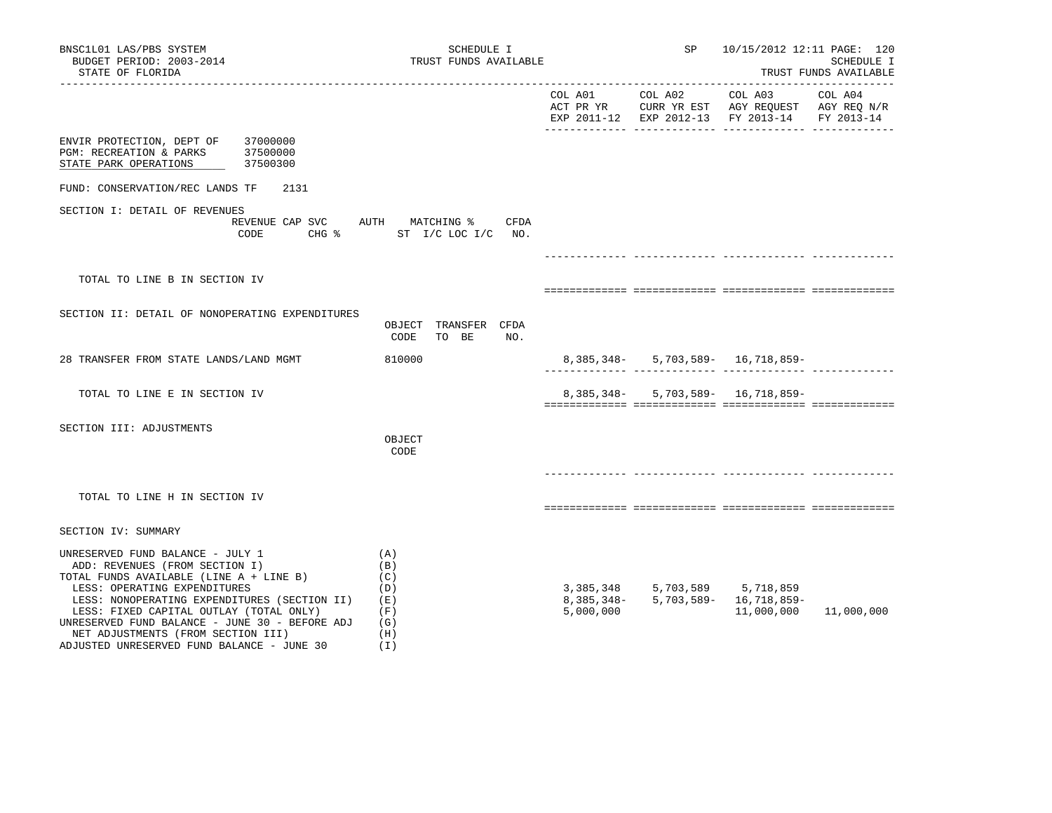| BNSC1L01 LAS/PBS SYSTEM<br>BUDGET PERIOD: 2003-2014<br>STATE OF FLORIDA                                                                                                                                                                                                                                                                                                        | SCHEDULE I<br>TRUST FUNDS AVAILABLE                              |           | SP                                  | 10/15/2012 12:11 PAGE: 120<br>SCHEDULE I<br>TRUST FUNDS AVAILABLE                                                   |                       |  |
|--------------------------------------------------------------------------------------------------------------------------------------------------------------------------------------------------------------------------------------------------------------------------------------------------------------------------------------------------------------------------------|------------------------------------------------------------------|-----------|-------------------------------------|---------------------------------------------------------------------------------------------------------------------|-----------------------|--|
|                                                                                                                                                                                                                                                                                                                                                                                |                                                                  | COL A01   | COL A02                             | COL A03<br>ACT PR YR $\,$ CURR YR EST $\,$ AGY REQUEST $\,$ AGY REQ $\rm N/R$<br>EXP 2011-12 EXP 2012-13 FY 2013-14 | COL A04<br>FY 2013-14 |  |
| ENVIR PROTECTION, DEPT OF 37000000<br>PGM: RECREATION & PARKS<br>37500000<br>STATE PARK OPERATIONS<br>37500300                                                                                                                                                                                                                                                                 |                                                                  |           |                                     |                                                                                                                     |                       |  |
| FUND: CONSERVATION/REC LANDS TF<br>2131                                                                                                                                                                                                                                                                                                                                        |                                                                  |           |                                     |                                                                                                                     |                       |  |
| SECTION I: DETAIL OF REVENUES<br>CODE                                                                                                                                                                                                                                                                                                                                          | REVENUE CAP SVC AUTH MATCHING % CFDA<br>CHG % ST I/C LOC I/C NO. |           |                                     |                                                                                                                     |                       |  |
|                                                                                                                                                                                                                                                                                                                                                                                |                                                                  |           |                                     |                                                                                                                     |                       |  |
| TOTAL TO LINE B IN SECTION IV                                                                                                                                                                                                                                                                                                                                                  |                                                                  |           |                                     |                                                                                                                     |                       |  |
| SECTION II: DETAIL OF NONOPERATING EXPENDITURES                                                                                                                                                                                                                                                                                                                                | OBJECT TRANSFER CFDA<br>CODE<br>TO BE<br>NO.                     |           |                                     |                                                                                                                     |                       |  |
| 28 TRANSFER FROM STATE LANDS/LAND MGMT                                                                                                                                                                                                                                                                                                                                         | 810000                                                           |           |                                     | 8, 385, 348 - 5, 703, 589 - 16, 718, 859 -                                                                          |                       |  |
| TOTAL TO LINE E IN SECTION IV                                                                                                                                                                                                                                                                                                                                                  |                                                                  |           |                                     | 8, 385, 348 - 5, 703, 589 - 16, 718, 859 -                                                                          |                       |  |
| SECTION III: ADJUSTMENTS                                                                                                                                                                                                                                                                                                                                                       | OBJECT<br>CODE                                                   |           |                                     |                                                                                                                     |                       |  |
| TOTAL TO LINE H IN SECTION IV                                                                                                                                                                                                                                                                                                                                                  |                                                                  |           |                                     |                                                                                                                     |                       |  |
| SECTION IV: SUMMARY                                                                                                                                                                                                                                                                                                                                                            |                                                                  |           |                                     |                                                                                                                     |                       |  |
| UNRESERVED FUND BALANCE - JULY 1<br>ADD: REVENUES (FROM SECTION I)<br>TOTAL FUNDS AVAILABLE (LINE A + LINE B)<br>LESS: OPERATING EXPENDITURES<br>LESS: NONOPERATING EXPENDITURES (SECTION II)<br>LESS: FIXED CAPITAL OUTLAY (TOTAL ONLY)<br>UNRESERVED FUND BALANCE - JUNE 30 - BEFORE ADJ<br>NET ADJUSTMENTS (FROM SECTION III)<br>ADJUSTED UNRESERVED FUND BALANCE - JUNE 30 | (A)<br>(B)<br>(C)<br>(D)<br>(E)<br>(F)<br>(G)<br>(H)<br>(I)      | 5,000,000 | 3, 385, 348 5, 703, 589 5, 718, 859 | 8, 385, 348 - 5, 703, 589 - 16, 718, 859 -<br>11,000,000                                                            | 11,000,000            |  |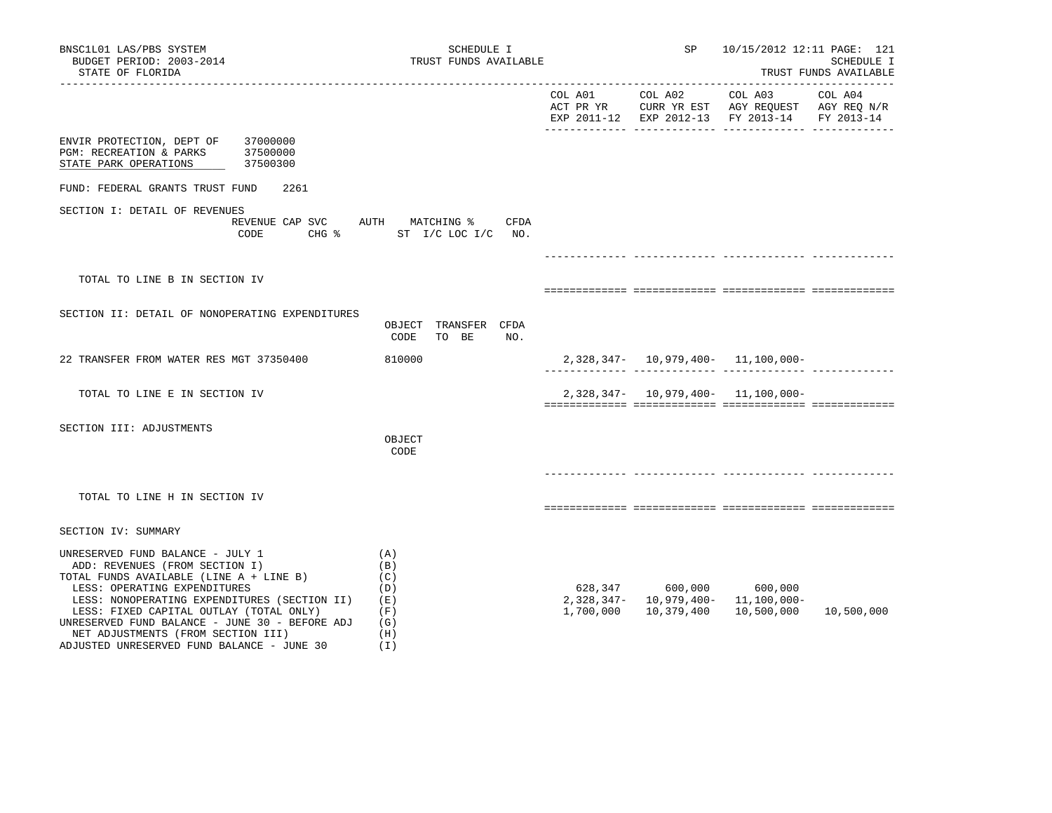| BNSC1L01 LAS/PBS SYSTEM<br>BUDGET PERIOD: 2003-2014<br>STATE OF FLORIDA                                                                                                                                                                                                                                                                                                        | SCHEDULE I<br>TRUST FUNDS AVAILABLE                         |           | SP                                                                          | 10/15/2012 12:11 PAGE: 121<br>SCHEDULE I<br>TRUST FUNDS AVAILABLE                              |                       |  |
|--------------------------------------------------------------------------------------------------------------------------------------------------------------------------------------------------------------------------------------------------------------------------------------------------------------------------------------------------------------------------------|-------------------------------------------------------------|-----------|-----------------------------------------------------------------------------|------------------------------------------------------------------------------------------------|-----------------------|--|
| ___________________                                                                                                                                                                                                                                                                                                                                                            |                                                             | COL A01   | COL A02                                                                     | COL A03<br>ACT PR YR CURR YR EST AGY REQUEST AGY REQ N/R<br>EXP 2011-12 EXP 2012-13 FY 2013-14 | COL A04<br>FY 2013-14 |  |
| ENVIR PROTECTION, DEPT OF 37000000<br>PGM: RECREATION & PARKS<br>37500000<br>STATE PARK OPERATIONS<br>37500300                                                                                                                                                                                                                                                                 |                                                             |           |                                                                             |                                                                                                |                       |  |
| FUND: FEDERAL GRANTS TRUST FUND<br>2261                                                                                                                                                                                                                                                                                                                                        |                                                             |           |                                                                             |                                                                                                |                       |  |
| SECTION I: DETAIL OF REVENUES<br>REVENUE CAP SVC AUTH MATCHING %<br>CODE                                                                                                                                                                                                                                                                                                       | CFDA<br>CHG % ST I/C LOC I/C NO.                            |           |                                                                             |                                                                                                |                       |  |
|                                                                                                                                                                                                                                                                                                                                                                                |                                                             |           |                                                                             |                                                                                                |                       |  |
| TOTAL TO LINE B IN SECTION IV                                                                                                                                                                                                                                                                                                                                                  |                                                             |           |                                                                             |                                                                                                |                       |  |
| SECTION II: DETAIL OF NONOPERATING EXPENDITURES                                                                                                                                                                                                                                                                                                                                | OBJECT TRANSFER CFDA<br>CODE<br>TO BE<br>NO.                |           |                                                                             |                                                                                                |                       |  |
| 22 TRANSFER FROM WATER RES MGT 37350400                                                                                                                                                                                                                                                                                                                                        | 810000                                                      |           |                                                                             | $2,328,347 - 10,979,400 - 11,100,000 -$                                                        |                       |  |
| TOTAL TO LINE E IN SECTION IV                                                                                                                                                                                                                                                                                                                                                  |                                                             |           | $2,328,347 - 10,979,400 - 11,100,000 -$                                     |                                                                                                |                       |  |
| SECTION III: ADJUSTMENTS                                                                                                                                                                                                                                                                                                                                                       | OBJECT<br>CODE                                              |           |                                                                             |                                                                                                |                       |  |
| TOTAL TO LINE H IN SECTION IV                                                                                                                                                                                                                                                                                                                                                  |                                                             |           |                                                                             |                                                                                                |                       |  |
| SECTION IV: SUMMARY                                                                                                                                                                                                                                                                                                                                                            |                                                             |           |                                                                             |                                                                                                |                       |  |
| UNRESERVED FUND BALANCE - JULY 1<br>ADD: REVENUES (FROM SECTION I)<br>TOTAL FUNDS AVAILABLE (LINE A + LINE B)<br>LESS: OPERATING EXPENDITURES<br>LESS: NONOPERATING EXPENDITURES (SECTION II)<br>LESS: FIXED CAPITAL OUTLAY (TOTAL ONLY)<br>UNRESERVED FUND BALANCE - JUNE 30 - BEFORE ADJ<br>NET ADJUSTMENTS (FROM SECTION III)<br>ADJUSTED UNRESERVED FUND BALANCE - JUNE 30 | (A)<br>(B)<br>(C)<br>(D)<br>(E)<br>(F)<br>(G)<br>(H)<br>(I) | 1,700,000 | 628,347 600,000 600,000<br>2,328,347- 10,979,400- 11,100,000-<br>10,379,400 | 10,500,000                                                                                     | 10,500,000            |  |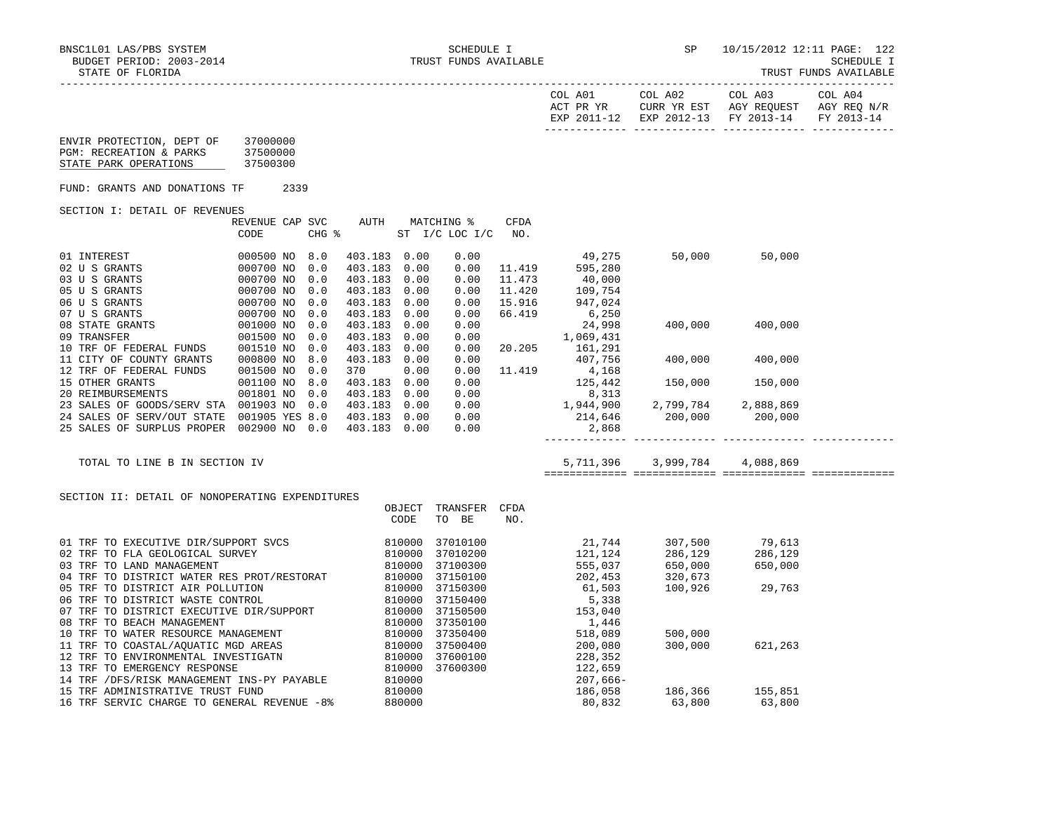-----------------------------------------------------------------------------------------------------------------------------------

|                                                                               |                                  |      |            |                         |        |                              |                  | COL A01<br>ACT PR YR     | COL A02<br>EXP 2011-12 EXP 2012-13 FY 2013-14 | COL A03<br>CURR YR EST AGY REQUEST AGY REQ N/R | COL A04<br>FY 2013-14 |
|-------------------------------------------------------------------------------|----------------------------------|------|------------|-------------------------|--------|------------------------------|------------------|--------------------------|-----------------------------------------------|------------------------------------------------|-----------------------|
| ENVIR PROTECTION, DEPT OF<br>PGM: RECREATION & PARKS<br>STATE PARK OPERATIONS | 37000000<br>37500000<br>37500300 |      |            |                         |        |                              |                  |                          |                                               |                                                |                       |
| FUND: GRANTS AND DONATIONS TF                                                 |                                  | 2339 |            |                         |        |                              |                  |                          |                                               |                                                |                       |
| SECTION I: DETAIL OF REVENUES                                                 |                                  |      |            |                         |        |                              |                  |                          |                                               |                                                |                       |
|                                                                               | REVENUE CAP SVC<br>CODE          |      | CHG %      | AUTH                    |        | MATCHING %<br>ST I/C LOC I/C | CFDA<br>NO.      |                          |                                               |                                                |                       |
| 01 INTEREST                                                                   | 000500 NO 8.0                    |      |            | 403.183 0.00            |        | 0.00                         |                  | 49,275                   | 50,000                                        | 50,000                                         |                       |
| 02 U S GRANTS                                                                 | 000700 NO                        |      | 0.0        | 403.183 0.00            |        | 0.00                         | 11.419           | 595,280                  |                                               |                                                |                       |
| 03 U S GRANTS                                                                 | 000700 NO                        |      | 0.0        | 403.183 0.00            |        | 0.00                         | 11.473           | 40,000                   |                                               |                                                |                       |
| 05 U S GRANTS                                                                 | 000700 NO                        |      | 0.0        | 403.183 0.00            |        | 0.00                         | 11.420           | 109,754                  |                                               |                                                |                       |
| 06 U S GRANTS<br>07 U S GRANTS                                                | 000700 NO<br>000700 NO           |      | 0.0<br>0.0 | 403.183 0.00<br>403.183 | 0.00   | 0.00<br>0.00                 | 15.916<br>66.419 | 947,024<br>6,250         |                                               |                                                |                       |
| 08 STATE GRANTS                                                               | 001000 NO                        |      | 0.0        | 403.183 0.00            |        | 0.00                         |                  | 24,998                   | 400,000                                       | 400,000                                        |                       |
| 09 TRANSFER                                                                   | 001500 NO                        |      | 0.0        | 403.183 0.00            |        | 0.00                         |                  | 1,069,431                |                                               |                                                |                       |
| 10 TRF OF FEDERAL FUNDS                                                       | 001510 NO                        |      | 0.0        | 403.183 0.00            |        | 0.00                         | 20.205           | 161,291                  |                                               |                                                |                       |
| 11 CITY OF COUNTY GRANTS                                                      | 000800 NO                        |      | 8.0        | 403.183 0.00            |        | 0.00                         |                  | 407,756                  | 400,000                                       | 400,000                                        |                       |
| 12 TRF OF FEDERAL FUNDS                                                       | 001500 NO                        |      | 0.0        | 370                     | 0.00   | 0.00                         | 11.419           | 4,168                    |                                               |                                                |                       |
| 15 OTHER GRANTS                                                               | 001100 NO 8.0                    |      |            | 403.183 0.00            |        | 0.00                         |                  | 125,442                  | 150,000                                       | 150,000                                        |                       |
| 20 REIMBURSEMENTS                                                             | 001801 NO                        |      | 0.0        | 403.183 0.00            |        | 0.00                         |                  | 8,313                    |                                               |                                                |                       |
| 23 SALES OF GOODS/SERV STA 001903 NO 0.0                                      |                                  |      |            | 403.183 0.00            |        | $0.00$<br>$0.00$             |                  |                          |                                               |                                                |                       |
| 24 SALES OF SERV/OUT STATE 001905 YES 8.0                                     |                                  |      |            | 403.183 0.00            |        |                              |                  | $1,944,900$<br>$214,646$ |                                               |                                                |                       |
| 25 SALES OF SURPLUS PROPER 002900 NO 0.0                                      |                                  |      |            | 403.183 0.00            |        | 0.00                         |                  | 2,868                    |                                               |                                                |                       |
| TOTAL TO LINE B IN SECTION IV                                                 |                                  |      |            |                         |        |                              |                  |                          | 5,711,396 3,999,784                           | 4,088,869                                      |                       |
|                                                                               |                                  |      |            |                         |        |                              |                  |                          |                                               |                                                |                       |
| SECTION II: DETAIL OF NONOPERATING EXPENDITURES                               |                                  |      |            |                         |        |                              |                  |                          |                                               |                                                |                       |
|                                                                               |                                  |      |            |                         | OBJECT | TRANSFER CFDA                |                  |                          |                                               |                                                |                       |
|                                                                               |                                  |      |            |                         | CODE   | TO BE                        | NO.              |                          |                                               |                                                |                       |
| 01 TRF TO EXECUTIVE DIR/SUPPORT SVCS                                          |                                  |      |            |                         | 810000 | 37010100                     |                  |                          | 21,744 307,500                                | 79,613                                         |                       |
|                                                                               |                                  |      |            |                         |        | 37010200                     |                  | 121,124                  |                                               |                                                |                       |
|                                                                               |                                  |      |            |                         |        | 37100300                     |                  | 141,147<br>555,037       |                                               | 286,129<br>650,000                             |                       |
|                                                                               |                                  |      |            |                         |        | 37150100                     |                  | 202,453                  |                                               |                                                |                       |
|                                                                               |                                  |      |            |                         |        | 37150300                     |                  | 61,503                   | 100,926                                       | 29,763                                         |                       |
|                                                                               |                                  |      |            |                         |        | 37150400                     |                  | 5,338                    |                                               |                                                |                       |
|                                                                               |                                  |      |            |                         |        | 37150500                     |                  | 153,040                  |                                               |                                                |                       |
|                                                                               |                                  |      |            |                         |        | 37350100                     |                  | 1,446                    |                                               |                                                |                       |
|                                                                               |                                  |      |            |                         |        | 37350400                     |                  | 518,089                  | 500,000                                       |                                                |                       |
|                                                                               |                                  |      |            |                         |        | 37500400                     |                  | 200,080                  | 300,000                                       | 621,263                                        |                       |
|                                                                               |                                  |      |            |                         |        | 37600100<br>37600300         |                  | 228,352<br>122,659       |                                               |                                                |                       |
|                                                                               |                                  |      |            |                         |        |                              |                  | $207,666-$               |                                               |                                                |                       |
| 15 TRF ADMINISTRATIVE TRUST FUND                                              |                                  |      |            |                         | 810000 |                              |                  | 186,058                  | 186,366                                       | 155,851                                        |                       |
| 16 TRF SERVIC CHARGE TO GENERAL REVENUE -8%                                   |                                  |      |            |                         | 880000 |                              |                  | 80,832                   | 63,800                                        | 63,800                                         |                       |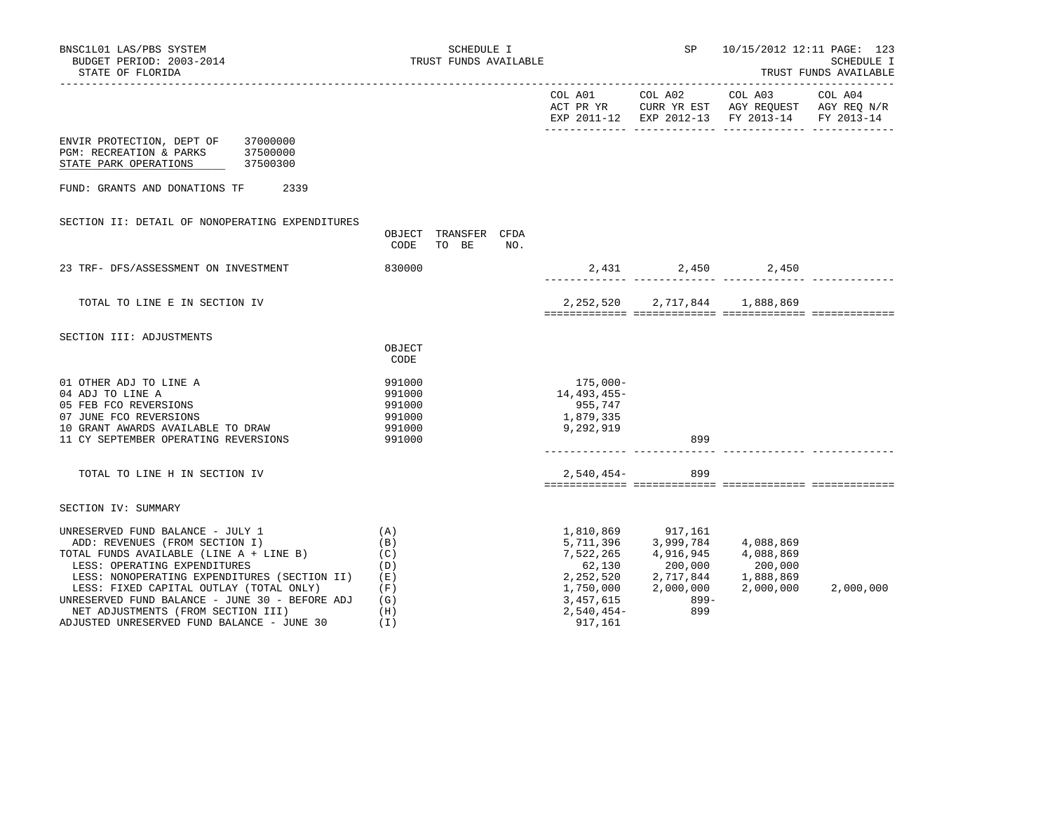| BNSC1L01 LAS/PBS SYSTEM<br>BUDGET PERIOD: 2003-2014<br>STATE OF FLORIDA                                                                                                                                                                                                                                                                                                        | SCHEDULE I<br>TRUST FUNDS AVAILABLE                         |                                                              | SP                                                                                                     | 10/15/2012 12:11 PAGE: 123<br>SCHEDULE I<br>TRUST FUNDS AVAILABLE                                                 |           |  |
|--------------------------------------------------------------------------------------------------------------------------------------------------------------------------------------------------------------------------------------------------------------------------------------------------------------------------------------------------------------------------------|-------------------------------------------------------------|--------------------------------------------------------------|--------------------------------------------------------------------------------------------------------|-------------------------------------------------------------------------------------------------------------------|-----------|--|
|                                                                                                                                                                                                                                                                                                                                                                                |                                                             | COL A01 COL A02                                              |                                                                                                        | COL A03 COL A04<br>ACT PR YR CURR YR EST AGY REQUEST AGY REQ N/R<br>EXP 2011-12 EXP 2012-13 FY 2013-14 FY 2013-14 |           |  |
| 37000000<br>ENVIR PROTECTION, DEPT OF<br>PGM: RECREATION & PARKS<br>37500000<br>STATE PARK OPERATIONS<br>37500300                                                                                                                                                                                                                                                              |                                                             |                                                              |                                                                                                        |                                                                                                                   |           |  |
| FUND: GRANTS AND DONATIONS TF<br>2339                                                                                                                                                                                                                                                                                                                                          |                                                             |                                                              |                                                                                                        |                                                                                                                   |           |  |
| SECTION II: DETAIL OF NONOPERATING EXPENDITURES                                                                                                                                                                                                                                                                                                                                | OBJECT TRANSFER CFDA<br>CODE<br>TO BE<br>NO.                |                                                              |                                                                                                        |                                                                                                                   |           |  |
| 23 TRF- DFS/ASSESSMENT ON INVESTMENT                                                                                                                                                                                                                                                                                                                                           | 830000                                                      |                                                              |                                                                                                        | 2,431 2,450 2,450                                                                                                 |           |  |
| TOTAL TO LINE E IN SECTION IV                                                                                                                                                                                                                                                                                                                                                  |                                                             |                                                              |                                                                                                        | 2, 252, 520 2, 717, 844 1, 888, 869                                                                               |           |  |
| SECTION III: ADJUSTMENTS                                                                                                                                                                                                                                                                                                                                                       |                                                             |                                                              |                                                                                                        |                                                                                                                   |           |  |
|                                                                                                                                                                                                                                                                                                                                                                                | OBJECT<br>CODE                                              |                                                              |                                                                                                        |                                                                                                                   |           |  |
| 01 OTHER ADJ TO LINE A<br>04 ADJ TO LINE A<br>05 FEB FCO REVERSIONS<br>07 JUNE FCO REVERSIONS<br>10 GRANT AWARDS AVAILABLE TO DRAW<br>11 CY SEPTEMBER OPERATING REVERSIONS                                                                                                                                                                                                     | 991000<br>991000<br>991000<br>991000<br>991000<br>991000    | 175,000-<br>14,493,455-<br>955,747<br>1,879,335<br>9,292,919 | 899                                                                                                    |                                                                                                                   |           |  |
| TOTAL TO LINE H IN SECTION IV                                                                                                                                                                                                                                                                                                                                                  |                                                             | $2,540,454-$                                                 | 899                                                                                                    |                                                                                                                   |           |  |
| SECTION IV: SUMMARY                                                                                                                                                                                                                                                                                                                                                            |                                                             |                                                              |                                                                                                        |                                                                                                                   |           |  |
| UNRESERVED FUND BALANCE - JULY 1<br>ADD: REVENUES (FROM SECTION I)<br>TOTAL FUNDS AVAILABLE (LINE A + LINE B)<br>LESS: OPERATING EXPENDITURES<br>LESS: NONOPERATING EXPENDITURES (SECTION II)<br>LESS: FIXED CAPITAL OUTLAY (TOTAL ONLY)<br>UNRESERVED FUND BALANCE - JUNE 30 - BEFORE ADJ<br>NET ADJUSTMENTS (FROM SECTION III)<br>ADJUSTED UNRESERVED FUND BALANCE - JUNE 30 | (A)<br>(B)<br>(C)<br>(D)<br>(E)<br>(F)<br>(G)<br>(H)<br>(I) | 7,522,265<br>62,130<br>3,457,615<br>2,540,454-<br>917,161    | 1,810,869 917,161<br>5,711,396 3,999,784<br>4,916,945<br>200,000<br>1,750,000 2,000,000<br>899-<br>899 | 4,088,869<br>4,088,869<br>200,000<br>2, 252, 520 2, 717, 844 1, 888, 869<br>2,000,000                             | 2,000,000 |  |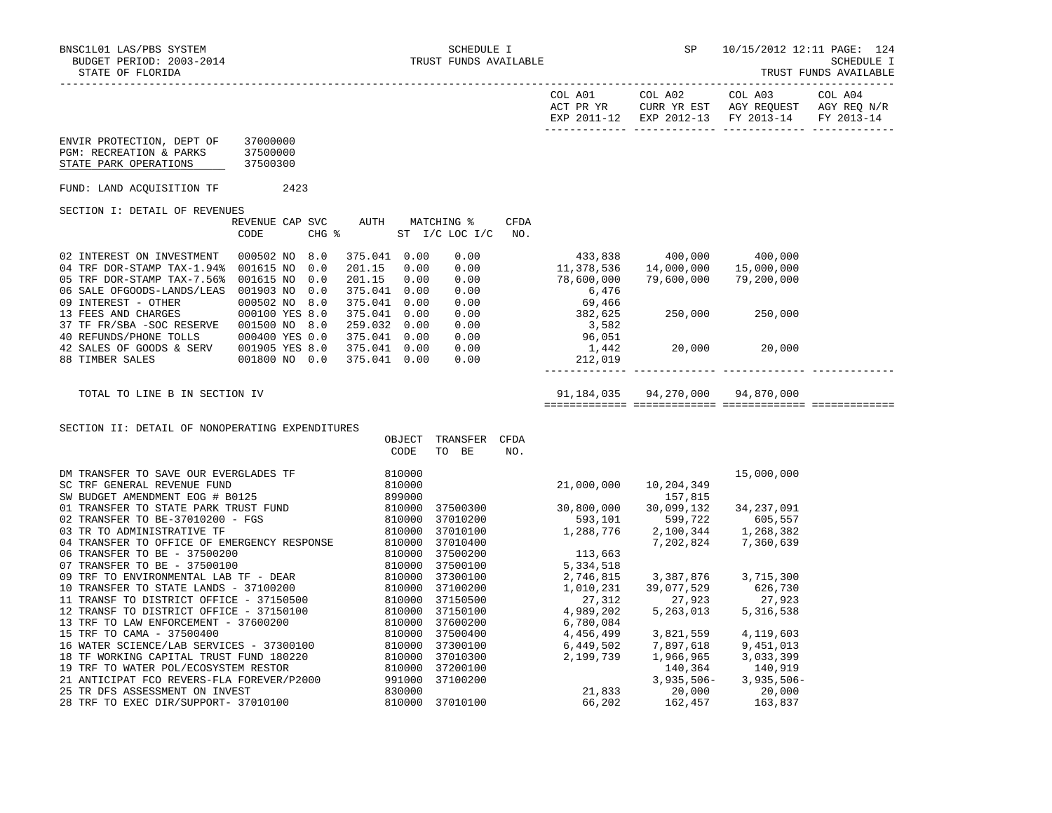-----------------------------------------------------------------------------------------------------------------------------------

|                                                                                                                                                                                  |                                       |                                                                                  |                                  |                                                     | COL A01                                                  | COL A02<br>ACT PR YR CURR YR EST AGY REQUEST AGY REQ N/R<br>EXP 2011-12 EXP 2012-13 FY 2013-14 | COL A03                             | COL A04<br>FY 2013-14 |
|----------------------------------------------------------------------------------------------------------------------------------------------------------------------------------|---------------------------------------|----------------------------------------------------------------------------------|----------------------------------|-----------------------------------------------------|----------------------------------------------------------|------------------------------------------------------------------------------------------------|-------------------------------------|-----------------------|
| ENVIR PROTECTION, DEPT OF<br>PGM: RECREATION & PARKS<br>STATE PARK OPERATIONS                                                                                                    | 37000000<br>37500000<br>37500300      |                                                                                  |                                  |                                                     |                                                          |                                                                                                |                                     |                       |
| FUND: LAND ACQUISITION TF                                                                                                                                                        | 2423                                  |                                                                                  |                                  |                                                     |                                                          |                                                                                                |                                     |                       |
| SECTION I: DETAIL OF REVENUES                                                                                                                                                    |                                       |                                                                                  |                                  |                                                     |                                                          |                                                                                                |                                     |                       |
|                                                                                                                                                                                  | REVENUE CAP SVC<br>CODE<br>CHG %      | AUTH                                                                             | MATCHING %<br>ST I/C LOC I/C NO. | CFDA                                                |                                                          |                                                                                                |                                     |                       |
| 02 INTEREST ON INVESTMENT<br>04 TRF DOR-STAMP TAX-1.94% 001615 NO<br>05 TRF DOR-STAMP TAX-7.56% 001615 NO 0.0<br>06 SALE OFGOODS-LANDS/LEAS 001903 NO 0.0<br>09 INTEREST - OTHER | 000502 NO 8.0<br>0.0<br>000502 NO 8.0 | 375.041 0.00<br>201.15<br>0.00<br>201.15<br>0.00<br>375.041 0.00<br>375.041 0.00 | 0.00<br>$0.00$<br>0.00<br>0.00   |                                                     | 433,838<br>11, 378, 536<br>78,600,000<br>6,476<br>69,466 | 400,000<br>14,000,000<br>79,600,000                                                            | 400,000<br>15,000,000<br>79,200,000 |                       |
| 13 FEES AND CHARGES<br>37 TF FR/SBA - SOC RESERVE  001500 NO 8.0<br>40 REFUNDS/PHONE TOLLS                                                                                       | 000100 YES 8.0<br>000400 YES 0.0      | 375.041 0.00<br>259.032 0.00<br>375.041 0.00                                     |                                  | $\begin{array}{c} 0.00 \\ 0.00 \\ 0.00 \end{array}$ | 382,625<br>3,582<br>96,051                               | 250,000 250,000                                                                                |                                     |                       |
| 42 SALES OF GOODS & SERV<br>88 TIMBER SALES                                                                                                                                      | 001905 YES 8.0<br>001800 NO 0.0       | 375.041 0.00<br>375.041 0.00                                                     | 0.00<br>0.00                     |                                                     | 1,442<br>212,019                                         | 20,000 20,000                                                                                  |                                     |                       |
| TOTAL TO LINE B IN SECTION IV                                                                                                                                                    |                                       |                                                                                  |                                  |                                                     |                                                          | 91,184,035  94,270,000  94,870,000                                                             |                                     |                       |
| SECTION II: DETAIL OF NONOPERATING EXPENDITURES                                                                                                                                  |                                       |                                                                                  |                                  |                                                     |                                                          |                                                                                                |                                     |                       |
|                                                                                                                                                                                  |                                       | OBJECT<br>CODE                                                                   | TRANSFER CFDA<br>TO BE           | NO.                                                 |                                                          |                                                                                                |                                     |                       |
|                                                                                                                                                                                  |                                       |                                                                                  |                                  |                                                     | 21,000,000                                               | 10,204,349                                                                                     | 15,000,000                          |                       |
|                                                                                                                                                                                  |                                       |                                                                                  |                                  |                                                     |                                                          | 157,815                                                                                        |                                     |                       |
|                                                                                                                                                                                  |                                       |                                                                                  |                                  |                                                     | 37500300 30,800,000                                      | 30,099,132                                                                                     | 34,237,091                          |                       |
|                                                                                                                                                                                  |                                       |                                                                                  | 37010200                         |                                                     | $593,101$<br>1,288,776                                   | 599,722<br>2,100,344                                                                           | $605, 557$<br>1,268.382             |                       |
|                                                                                                                                                                                  |                                       |                                                                                  | 37010100<br>37010400             |                                                     |                                                          | 2,100,344<br>7,202,824                                                                         | 7,360,639                           |                       |
|                                                                                                                                                                                  |                                       |                                                                                  | 37500200                         |                                                     |                                                          |                                                                                                |                                     |                       |
|                                                                                                                                                                                  |                                       |                                                                                  | 37500100                         |                                                     | 113,663<br>5,334,518                                     |                                                                                                |                                     |                       |
|                                                                                                                                                                                  |                                       |                                                                                  | 37300100                         |                                                     | 2,746,815                                                | 3, 387, 876 3, 715, 300                                                                        |                                     |                       |
|                                                                                                                                                                                  |                                       |                                                                                  | 37100200                         |                                                     | 1,010,231                                                | 39,077,529                                                                                     | 626,730                             |                       |
|                                                                                                                                                                                  |                                       |                                                                                  | 37150500                         |                                                     | 27,312                                                   | 27,923<br>27,923<br>5,263,013                                                                  | 27,923                              |                       |
|                                                                                                                                                                                  |                                       |                                                                                  | 37150100                         |                                                     | $4,989,202$<br>6,780,084                                 |                                                                                                | 5,316,538                           |                       |
|                                                                                                                                                                                  |                                       |                                                                                  | 37600200                         |                                                     |                                                          |                                                                                                |                                     |                       |
|                                                                                                                                                                                  |                                       |                                                                                  | 37500400                         |                                                     | 4,456,499                                                | 3,821,559                                                                                      | 4,119,603                           |                       |
|                                                                                                                                                                                  |                                       |                                                                                  | 37300100                         |                                                     |                                                          | 7,897,618<br>1,966,965                                                                         | 9,451,013                           |                       |
|                                                                                                                                                                                  |                                       |                                                                                  | 37010300<br>37200100             |                                                     |                                                          | 140,364                                                                                        | 3,033,399<br>140,919                |                       |
|                                                                                                                                                                                  |                                       |                                                                                  | 37100200                         |                                                     | $6,449,502$<br>$2,199,739$<br>$21,833$                   | 3,935,506-                                                                                     | $3,935,506-$                        |                       |
|                                                                                                                                                                                  |                                       |                                                                                  |                                  |                                                     |                                                          |                                                                                                | 20,000                              |                       |
| 28 TRF TO EXEC DIR/SUPPORT- 37010100                                                                                                                                             |                                       | 810000                                                                           | 37010100                         |                                                     | 66,202                                                   | 20,000<br>162,457                                                                              | 163,837                             |                       |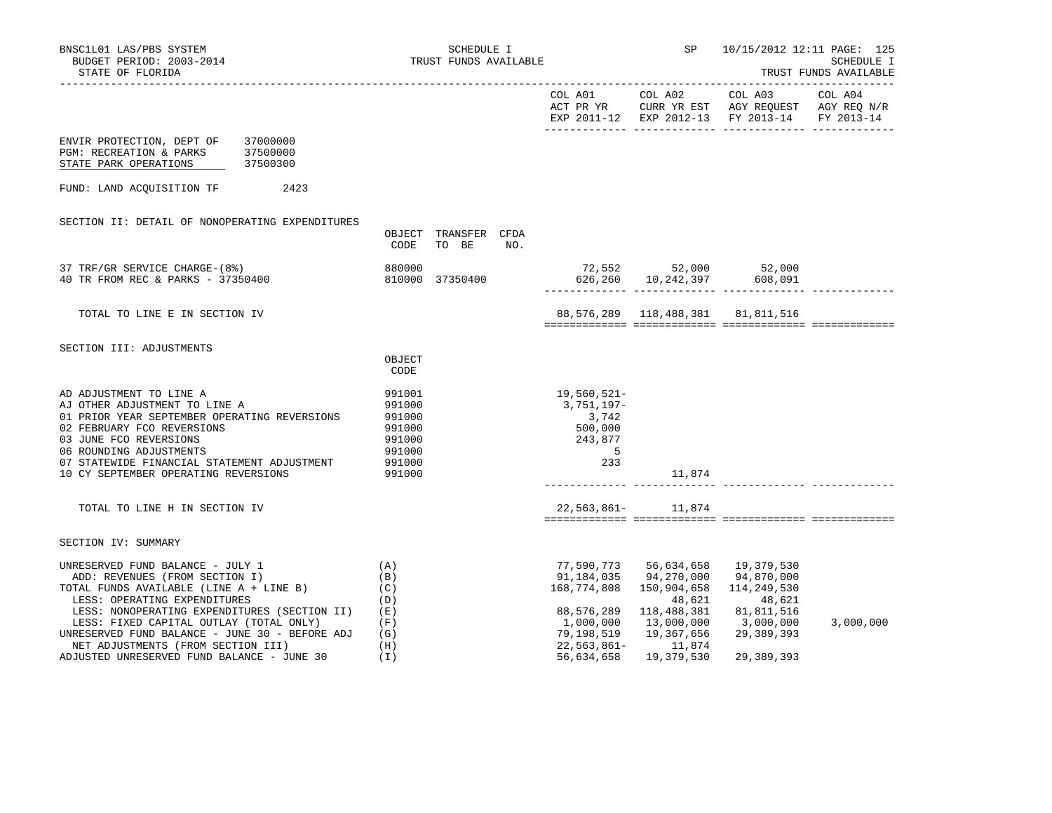| BNSC1L01 LAS/PBS SYSTEM<br>BUDGET PERIOD: 2003-2014<br>STATE OF FLORIDA                                                                                                                                                                                                                                                                                                        | SCHEDULE I<br>TRUST FUNDS AVAILABLE                                |                                                                                             | SP                                                                                                                                                    | 10/15/2012 12:11 PAGE: 125<br>SCHEDULE I<br>TRUST FUNDS AVAILABLE                                                 |           |  |
|--------------------------------------------------------------------------------------------------------------------------------------------------------------------------------------------------------------------------------------------------------------------------------------------------------------------------------------------------------------------------------|--------------------------------------------------------------------|---------------------------------------------------------------------------------------------|-------------------------------------------------------------------------------------------------------------------------------------------------------|-------------------------------------------------------------------------------------------------------------------|-----------|--|
|                                                                                                                                                                                                                                                                                                                                                                                |                                                                    |                                                                                             | COL A01 COL A02                                                                                                                                       | COL A03 COL A04<br>ACT PR YR CURR YR EST AGY REQUEST AGY REQ N/R<br>EXP 2011-12 EXP 2012-13 FY 2013-14 FY 2013-14 |           |  |
| ENVIR PROTECTION, DEPT OF<br>37000000<br>PGM: RECREATION & PARKS<br>37500000<br>STATE PARK OPERATIONS<br>37500300                                                                                                                                                                                                                                                              |                                                                    |                                                                                             |                                                                                                                                                       |                                                                                                                   |           |  |
| FUND: LAND ACQUISITION TF<br>2423                                                                                                                                                                                                                                                                                                                                              |                                                                    |                                                                                             |                                                                                                                                                       |                                                                                                                   |           |  |
| SECTION II: DETAIL OF NONOPERATING EXPENDITURES                                                                                                                                                                                                                                                                                                                                | OBJECT TRANSFER CFDA<br>CODE<br>TO BE<br>NO.                       |                                                                                             |                                                                                                                                                       |                                                                                                                   |           |  |
| 37 TRF/GR SERVICE CHARGE-(8%)<br>40 TR FROM REC & PARKS - 37350400                                                                                                                                                                                                                                                                                                             | 880000<br>810000 37350400                                          |                                                                                             |                                                                                                                                                       | 72,552 52,000 52,000<br>626,260 10,242,397 608,091                                                                |           |  |
| TOTAL TO LINE E IN SECTION IV                                                                                                                                                                                                                                                                                                                                                  |                                                                    |                                                                                             | 88,576,289 118,488,381 81,811,516                                                                                                                     |                                                                                                                   |           |  |
| SECTION III: ADJUSTMENTS                                                                                                                                                                                                                                                                                                                                                       | OBJECT<br>CODE                                                     |                                                                                             |                                                                                                                                                       |                                                                                                                   |           |  |
| AD ADJUSTMENT TO LINE A<br>AJ OTHER ADJUSTMENT TO LINE A<br>01 PRIOR YEAR SEPTEMBER OPERATING REVERSIONS<br>02 FEBRUARY FCO REVERSIONS<br>03 JUNE FCO REVERSIONS<br>06 ROUNDING ADJUSTMENTS<br>07 STATEWIDE FINANCIAL STATEMENT ADJUSTMENT                                                                                                                                     | 991001<br>991000<br>991000<br>991000<br>991000<br>991000<br>991000 | 19,560,521–<br>3,751,197–<br>3,742<br>500,000<br>243,877<br>$\overline{\phantom{0}}$<br>233 |                                                                                                                                                       |                                                                                                                   |           |  |
| 10 CY SEPTEMBER OPERATING REVERSIONS                                                                                                                                                                                                                                                                                                                                           | 991000                                                             |                                                                                             | 11,874                                                                                                                                                |                                                                                                                   |           |  |
| TOTAL TO LINE H IN SECTION IV                                                                                                                                                                                                                                                                                                                                                  |                                                                    |                                                                                             | 22,563,861- 11,874                                                                                                                                    |                                                                                                                   |           |  |
| SECTION IV: SUMMARY                                                                                                                                                                                                                                                                                                                                                            |                                                                    |                                                                                             |                                                                                                                                                       |                                                                                                                   |           |  |
| UNRESERVED FUND BALANCE - JULY 1<br>ADD: REVENUES (FROM SECTION I)<br>TOTAL FUNDS AVAILABLE (LINE A + LINE B)<br>LESS: OPERATING EXPENDITURES<br>LESS: NONOPERATING EXPENDITURES (SECTION II)<br>LESS: FIXED CAPITAL OUTLAY (TOTAL ONLY)<br>UNRESERVED FUND BALANCE - JUNE 30 - BEFORE ADJ<br>NET ADJUSTMENTS (FROM SECTION III)<br>ADJUSTED UNRESERVED FUND BALANCE - JUNE 30 | (A)<br>(B)<br>(C)<br>(D)<br>(E)<br>(F)<br>(G)<br>(H)<br>(T)        | 168,774,808<br>1,000,000<br>79,198,519<br>$22,563,861-$<br>56,634,658                       | 77,590,773 56,634,658<br>91,184,035 94,270,000<br>150,904,658<br>48,621<br>88,576,289 118,488,381<br>13,000,000<br>19,367,656<br>11,874<br>19,379,530 | 19,379,530<br>94,870,000<br>114,249,530<br>48,621<br>81,811,516<br>3,000,000<br>29,389,393<br>29,389,393          | 3,000,000 |  |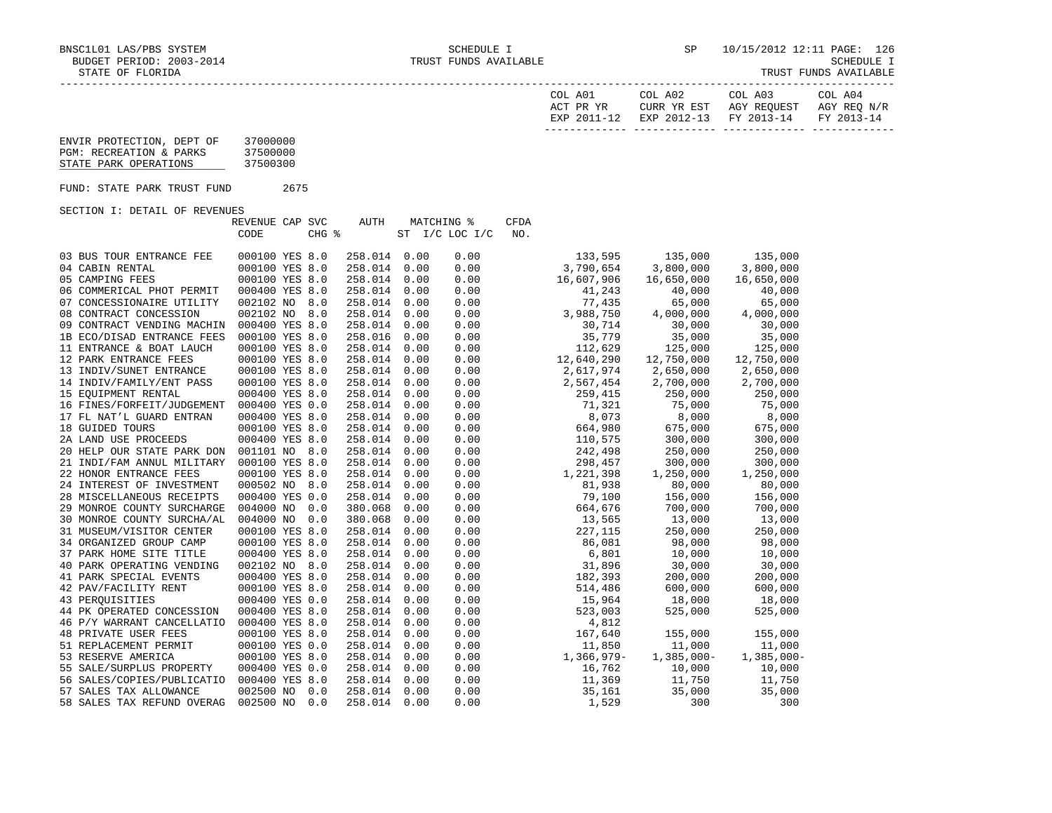TRUST FUNDS AVAILABLE

| COL A01<br>ACT PR YR | COL A02<br>CURR YR EST            | COL A03<br>AGY REOUEST | COL A04<br>AGY REO N/R |
|----------------------|-----------------------------------|------------------------|------------------------|
| EXP 2011-12          | EXP 2012-13 FY 2013-14 FY 2013-14 |                        |                        |

| ENVIR PROTECTION, DEPT OF | 37000000 |
|---------------------------|----------|
| PGM: RECREATION & PARKS   | 37500000 |
| STATE PARK OPERATIONS     | 37500300 |

FUND: STATE PARK TRUST FUND 2675

SECTION I: DETAIL OF REVENUES

|                             | REVENUE CAP SVC<br>CODE | CHG % | <b>AUTH</b> |      | MATCHING %<br>ST I/C LOC I/C | <b>CFDA</b><br>NO. |            |              |               |
|-----------------------------|-------------------------|-------|-------------|------|------------------------------|--------------------|------------|--------------|---------------|
|                             |                         |       |             |      |                              |                    |            |              |               |
| 03 BUS TOUR ENTRANCE FEE    | 000100 YES 8.0          |       | 258.014     | 0.00 | 0.00                         |                    | 133,595    | 135,000      | 135,000       |
| 04 CABIN RENTAL             | 000100 YES 8.0          |       | 258.014     | 0.00 | 0.00                         |                    | 3,790,654  | 3,800,000    | 3,800,000     |
| 05 CAMPING FEES             | 000100 YES 8.0          |       | 258.014     | 0.00 | 0.00                         |                    | 16,607,906 | 16,650,000   | 16,650,000    |
| 06 COMMERICAL PHOT PERMIT   | 000400 YES 8.0          |       | 258.014     | 0.00 | 0.00                         |                    | 41,243     | 40,000       | 40,000        |
| 07 CONCESSIONAIRE UTILITY   | 002102 NO 8.0           |       | 258.014     | 0.00 | 0.00                         |                    | 77,435     | 65,000       | 65,000        |
| 08 CONTRACT CONCESSION      | 002102 NO 8.0           |       | 258.014     | 0.00 | 0.00                         |                    | 3,988,750  | 4,000,000    | 4,000,000     |
| 09 CONTRACT VENDING MACHIN  | 000400 YES 8.0          |       | 258.014     | 0.00 | 0.00                         |                    | 30,714     | 30,000       | 30,000        |
| 1B ECO/DISAD ENTRANCE FEES  | 000100 YES 8.0          |       | 258.016     | 0.00 | 0.00                         |                    | 35,779     | 35,000       | 35,000        |
| 11 ENTRANCE & BOAT LAUCH    | 000100 YES 8.0          |       | 258.014     | 0.00 | 0.00                         |                    | 112,629    | 125,000      | 125,000       |
| 12 PARK ENTRANCE FEES       | 000100 YES 8.0          |       | 258.014     | 0.00 | 0.00                         |                    | 12,640,290 | 12,750,000   | 12,750,000    |
| 13 INDIV/SUNET ENTRANCE     | 000100 YES 8.0          |       | 258.014     | 0.00 | 0.00                         |                    | 2,617,974  | 2,650,000    | 2,650,000     |
| 14 INDIV/FAMILY/ENT PASS    | 000100 YES 8.0          |       | 258.014     | 0.00 | 0.00                         |                    | 2,567,454  | 2,700,000    | 2,700,000     |
| 15 EOUIPMENT RENTAL         | 000400 YES 8.0          |       | 258.014     | 0.00 | 0.00                         |                    | 259,415    | 250,000      | 250,000       |
| 16 FINES/FORFEIT/JUDGEMENT  | 000400 YES 0.0          |       | 258.014     | 0.00 | 0.00                         |                    | 71,321     | 75,000       | 75,000        |
| 17 FL NAT'L GUARD ENTRAN    | 000400 YES 8.0          |       | 258.014     | 0.00 | 0.00                         |                    | 8,073      | 8,000        | 8,000         |
| 18 GUIDED TOURS             | 000100 YES 8.0          |       | 258.014     | 0.00 | 0.00                         |                    | 664,980    | 675,000      | 675,000       |
| 2A LAND USE PROCEEDS        | 000400 YES 8.0          |       | 258.014     | 0.00 | 0.00                         |                    | 110,575    | 300,000      | 300,000       |
| 20 HELP OUR STATE PARK DON  | 001101 NO 8.0           |       | 258.014     | 0.00 | 0.00                         |                    | 242,498    | 250,000      | 250,000       |
| 21 INDI/FAM ANNUL MILITARY  | 000100 YES 8.0          |       | 258.014     | 0.00 | 0.00                         |                    | 298,457    | 300,000      | 300,000       |
| 22 HONOR ENTRANCE FEES      | 000100 YES 8.0          |       | 258.014     | 0.00 | 0.00                         |                    | 1,221,398  | 1,250,000    | 1,250,000     |
| 24 INTEREST OF INVESTMENT   | 000502 NO 8.0           |       | 258.014     | 0.00 | 0.00                         |                    | 81,938     | 80,000       | 80,000        |
| 28 MISCELLANEOUS RECEIPTS   | 000400 YES 0.0          |       | 258.014     | 0.00 | 0.00                         |                    | 79,100     | 156,000      | 156,000       |
| 29 MONROE COUNTY SURCHARGE  | 004000 NO               | 0.0   | 380.068     | 0.00 | 0.00                         |                    | 664,676    | 700,000      | 700,000       |
| 30 MONROE COUNTY SURCHA/AL  | 004000 NO               | 0.0   | 380.068     | 0.00 | 0.00                         |                    | 13,565     | 13,000       | 13,000        |
| 31 MUSEUM/VISITOR CENTER    | 000100 YES 8.0          |       | 258.014     | 0.00 | 0.00                         |                    | 227,115    | 250,000      | 250,000       |
| 34 ORGANIZED GROUP CAMP     | 000100 YES 8.0          |       | 258.014     | 0.00 | 0.00                         |                    | 86,081     | 98,000       | 98,000        |
| 37 PARK HOME SITE TITLE     | 000400 YES 8.0          |       | 258.014     | 0.00 | 0.00                         |                    | 6,801      | 10,000       | 10,000        |
| 40 PARK OPERATING VENDING   | 002102 NO 8.0           |       | 258.014     | 0.00 | 0.00                         |                    | 31,896     | 30,000       | 30,000        |
| 41 PARK SPECIAL EVENTS      | 000400 YES 8.0          |       | 258.014     | 0.00 | 0.00                         |                    | 182,393    | 200,000      | 200,000       |
| 42 PAV/FACILITY RENT        | 000100 YES 8.0          |       | 258.014     | 0.00 | 0.00                         |                    | 514,486    | 600,000      | 600,000       |
| 43 PEROUISITIES             | 000400 YES 0.0          |       | 258.014     | 0.00 | 0.00                         |                    | 15,964     | 18,000       | 18,000        |
| 44 PK OPERATED CONCESSION   | 000400 YES 8.0          |       | 258.014     | 0.00 | 0.00                         |                    | 523,003    | 525,000      | 525,000       |
| 46 P/Y WARRANT CANCELLATIO  | 000400 YES 8.0          |       | 258.014     | 0.00 | 0.00                         |                    | 4,812      |              |               |
| <b>48 PRIVATE USER FEES</b> | 000100 YES 8.0          |       | 258.014     | 0.00 | 0.00                         |                    | 167,640    | 155,000      | 155,000       |
| 51 REPLACEMENT PERMIT       | 000100 YES 0.0          |       | 258.014     | 0.00 | 0.00                         |                    | 11,850     | 11,000       | 11,000        |
| 53 RESERVE AMERICA          | 000100 YES 8.0          |       | 258.014     | 0.00 | 0.00                         |                    | 1,366,979- | $1,385,000-$ | $1,385,000 -$ |
| 55 SALE/SURPLUS PROPERTY    | 000400 YES 0.0          |       | 258.014     | 0.00 | 0.00                         |                    | 16,762     | 10,000       | 10,000        |
| 56 SALES/COPIES/PUBLICATIO  | 000400 YES 8.0          |       | 258.014     | 0.00 | 0.00                         |                    | 11,369     | 11,750       | 11,750        |
| 57 SALES TAX ALLOWANCE      | 002500 NO               | 0.0   | 258.014     | 0.00 | 0.00                         |                    | 35,161     | 35,000       | 35,000        |
| 58 SALES TAX REFUND OVERAG  | 002500 NO               | 0.0   | 258.014     | 0.00 | 0.00                         |                    | 1,529      | 300          | 300           |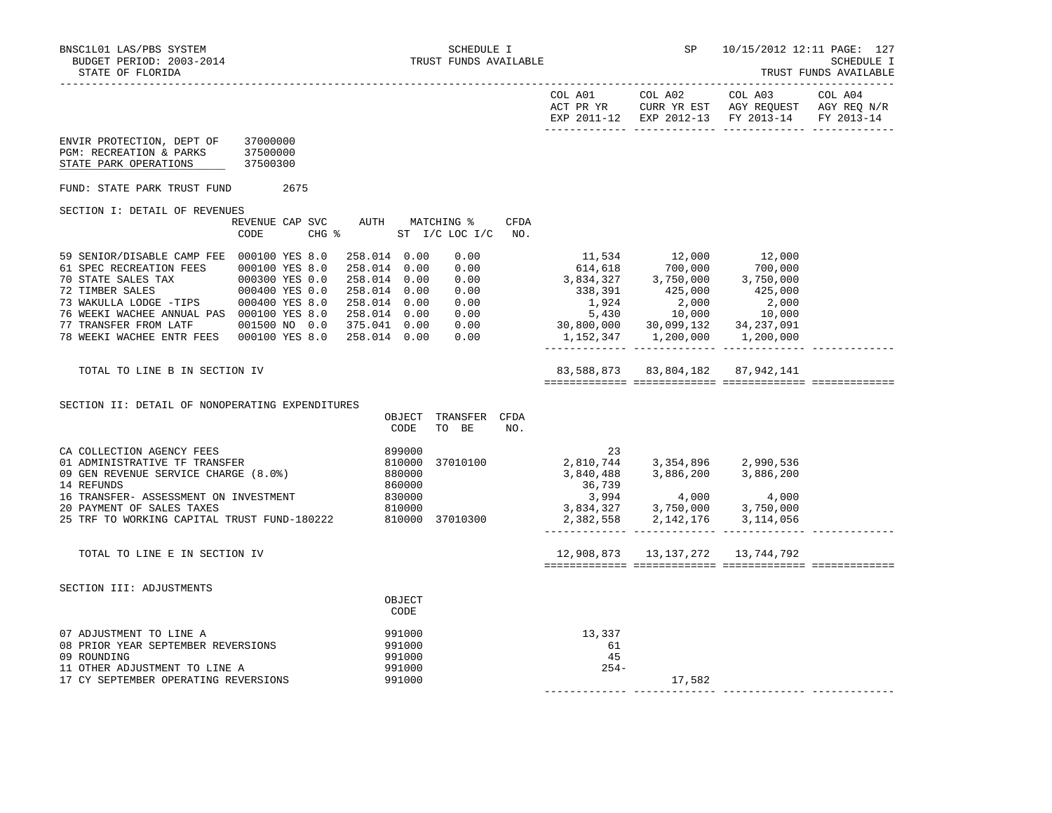|                                                                                                                                                                                                                                                                                                                                                                                                                  |                                  |                                                                     |                               |             |                              | EXP 2011-12 EXP 2012-13 FY 2013-14                                                                                                                                                                                                                                       |       | FY 2013-14 |
|------------------------------------------------------------------------------------------------------------------------------------------------------------------------------------------------------------------------------------------------------------------------------------------------------------------------------------------------------------------------------------------------------------------|----------------------------------|---------------------------------------------------------------------|-------------------------------|-------------|------------------------------|--------------------------------------------------------------------------------------------------------------------------------------------------------------------------------------------------------------------------------------------------------------------------|-------|------------|
| ENVIR PROTECTION, DEPT OF<br>PGM: RECREATION & PARKS<br>STATE PARK OPERATIONS                                                                                                                                                                                                                                                                                                                                    | 37000000<br>37500000<br>37500300 |                                                                     |                               |             |                              |                                                                                                                                                                                                                                                                          |       |            |
| FUND: STATE PARK TRUST FUND                                                                                                                                                                                                                                                                                                                                                                                      | 2675                             |                                                                     |                               |             |                              |                                                                                                                                                                                                                                                                          |       |            |
| SECTION I: DETAIL OF REVENUES                                                                                                                                                                                                                                                                                                                                                                                    |                                  |                                                                     |                               |             |                              |                                                                                                                                                                                                                                                                          |       |            |
|                                                                                                                                                                                                                                                                                                                                                                                                                  | REVENUE CAP SVC<br>CODE          | AUTH MATCHING %<br>CHG % ST I/C LOC I/C                             |                               | CFDA<br>NO. |                              |                                                                                                                                                                                                                                                                          |       |            |
| 59 SENIOR/DISABLE CAMP FEE 000100 YES 8.0<br>61 SPEC RECREATION FEES<br>70 STATE SALES TAX<br>72 TIMBER SALES 000400 YES 0.0<br>73 WAKULLA LODGE -TIPS 000400 YES 8.0<br>73 WAKULLA LODGE -TIPS 000400 YES 8.0 258.014 0.00 0.00<br>76 WEEKI WACHEE ANNUAL PAS 000100 YES 8.0 258.014 0.00 0.00<br>77 TRANSFER FROM LATF 001500 NO 0.0 375.041 0.00 0.00<br>78 WEEKI WACHEE ENTR FEES 000100 YES 8.0 258.014 0.0 | 000100 YES 8.0<br>000300 YES 0.0 | 258.014 0.00<br>258.014 0.00<br>258.014  0.00  0.00<br>258.014 0.00 | 0.00<br>0.00<br>0.00          |             |                              | $\begin{array}{cccc} 11,534 & 12,000 & 12,000 \\ 614,618 & 700,000 & 700,000 \\ 3,834,327 & 3,750,000 & 3,750,000 \\ 338,391 & 425,000 & 425,000 \\ 1,924 & 2,000 & 2,000 \\ 5,430 & 10,000 & 10,000 \\ 30,800,000 & 30,099,132 & 34,237,091 \\ 1,152,347 & 1,200,000 &$ |       |            |
| TOTAL TO LINE B IN SECTION IV                                                                                                                                                                                                                                                                                                                                                                                    |                                  |                                                                     |                               |             |                              | 83,588,873 83,804,182 87,942,141                                                                                                                                                                                                                                         |       |            |
| SECTION II: DETAIL OF NONOPERATING EXPENDITURES                                                                                                                                                                                                                                                                                                                                                                  |                                  | CODE                                                                | OBJECT TRANSFER CFDA<br>TO BE | NO.         |                              |                                                                                                                                                                                                                                                                          |       |            |
| CA COLLECTION AGENCY FEES<br>01 ADMINISTRATIVE TF TRANSFER<br>09 GEN REVENUE SERVICE CHARGE (8.0%)<br>14 REFUNDS<br>16 TRANSFER- ASSESSMENT ON INVESTMENT                                                                                                                                                                                                                                                        | INVESTMENT                       | 899000<br>810000<br>880000<br>860000<br>830000                      | 37010100                      |             | 23<br>36,739<br>3,994        | 2,810,744 3,354,896 2,990,536<br>$3,840,488$ $3,886,200$ $3,886,200$<br>4,000                                                                                                                                                                                            | 4,000 |            |
| 20 PAYMENT OF SALES TAXES<br>25 TRF TO WORKING CAPITAL TRUST FUND-180222 810000 37010300                                                                                                                                                                                                                                                                                                                         |                                  |                                                                     |                               |             |                              | 3,834,327 3,750,000 3,750,000<br>2,382,558 2,142,176 3,114,056                                                                                                                                                                                                           |       |            |
| TOTAL TO LINE E IN SECTION IV                                                                                                                                                                                                                                                                                                                                                                                    |                                  |                                                                     |                               |             |                              | 12,908,873   13,137,272   13,744,792                                                                                                                                                                                                                                     |       |            |
| SECTION III: ADJUSTMENTS                                                                                                                                                                                                                                                                                                                                                                                         |                                  | OBJECT<br>CODE                                                      |                               |             |                              |                                                                                                                                                                                                                                                                          |       |            |
| 07 ADJUSTMENT TO LINE A<br>08 PRIOR YEAR SEPTEMBER REVERSIONS<br>09 ROUNDING<br>11 OTHER ADJUSTMENT TO LINE A<br>17 CY SEPTEMBER OPERATING REVERSIONS                                                                                                                                                                                                                                                            |                                  | 991000<br>991000<br>991000<br>991000<br>991000                      |                               |             | 13,337<br>61<br>45<br>$254-$ | 17,582                                                                                                                                                                                                                                                                   |       |            |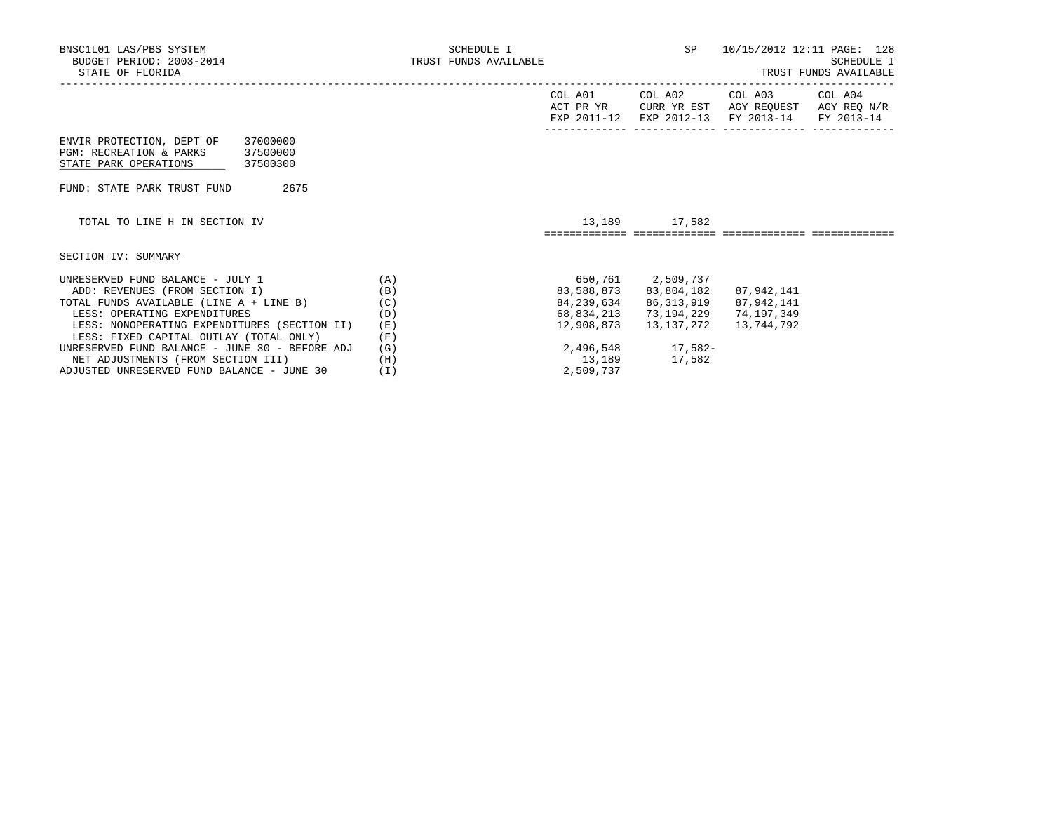| BNSC1L01 LAS/PBS SYSTEM<br>BUDGET PERIOD: 2003-2014<br>STATE OF FLORIDA                                                                                                                                                                                                                                                                                                                  | SCHEDULE I<br>TRUST FUNDS AVAILABLE           |                                                            |                                                                                                                                              | SP 10/15/2012 12:11 PAGE: 128                                                                                     | <b>SCHEDULE I</b><br>TRUST FUNDS AVAILABLE |
|------------------------------------------------------------------------------------------------------------------------------------------------------------------------------------------------------------------------------------------------------------------------------------------------------------------------------------------------------------------------------------------|-----------------------------------------------|------------------------------------------------------------|----------------------------------------------------------------------------------------------------------------------------------------------|-------------------------------------------------------------------------------------------------------------------|--------------------------------------------|
|                                                                                                                                                                                                                                                                                                                                                                                          |                                               | COL A01                                                    | COL A02                                                                                                                                      | COL A03 COL A04<br>ACT PR YR CURR YR EST AGY REQUEST AGY REQ N/R<br>EXP 2011-12 EXP 2012-13 FY 2013-14 FY 2013-14 |                                            |
| ENVIR PROTECTION, DEPT OF<br>37000000<br>PGM: RECREATION & PARKS 37500000<br>STATE PARK OPERATIONS 37500300                                                                                                                                                                                                                                                                              |                                               |                                                            |                                                                                                                                              |                                                                                                                   |                                            |
| FUND: STATE PARK TRUST FUND 2675                                                                                                                                                                                                                                                                                                                                                         |                                               |                                                            |                                                                                                                                              |                                                                                                                   |                                            |
| TOTAL TO LINE H IN SECTION IV                                                                                                                                                                                                                                                                                                                                                            |                                               |                                                            | 13,189 17,582                                                                                                                                |                                                                                                                   |                                            |
| SECTION IV: SUMMARY                                                                                                                                                                                                                                                                                                                                                                      |                                               |                                                            |                                                                                                                                              |                                                                                                                   |                                            |
| UNRESERVED FUND BALANCE - JULY 1 $(A)$<br>ADD: REVENUES (FROM SECTION I)<br>TOTAL FUNDS AVAILABLE (LINE A + LINE B)<br>LESS: OPERATING EXPENDITURES<br>LESS: NONOPERATING EXPENDITURES (SECTION II)<br>LESS: FIXED CAPITAL OUTLAY (TOTAL ONLY) (F)<br>UNRESERVED FUND BALANCE - JUNE 30 - BEFORE ADJ<br>NET ADJUSTMENTS (FROM SECTION III)<br>ADJUSTED UNRESERVED FUND BALANCE - JUNE 30 | (B)<br>(C)<br>(D)<br>(E)<br>(G)<br>(H)<br>(I) | 650,761 2,509,737<br>68,834,213<br>12,908,873<br>2,509,737 | 83,588,873 83,804,182 87,942,141<br>84, 239, 634 86, 313, 919 87, 942, 141<br>73,194,229<br>13,137,272<br>2,496,548 17,582-<br>13,189 17,582 | 74,197,349<br>13,744,792                                                                                          |                                            |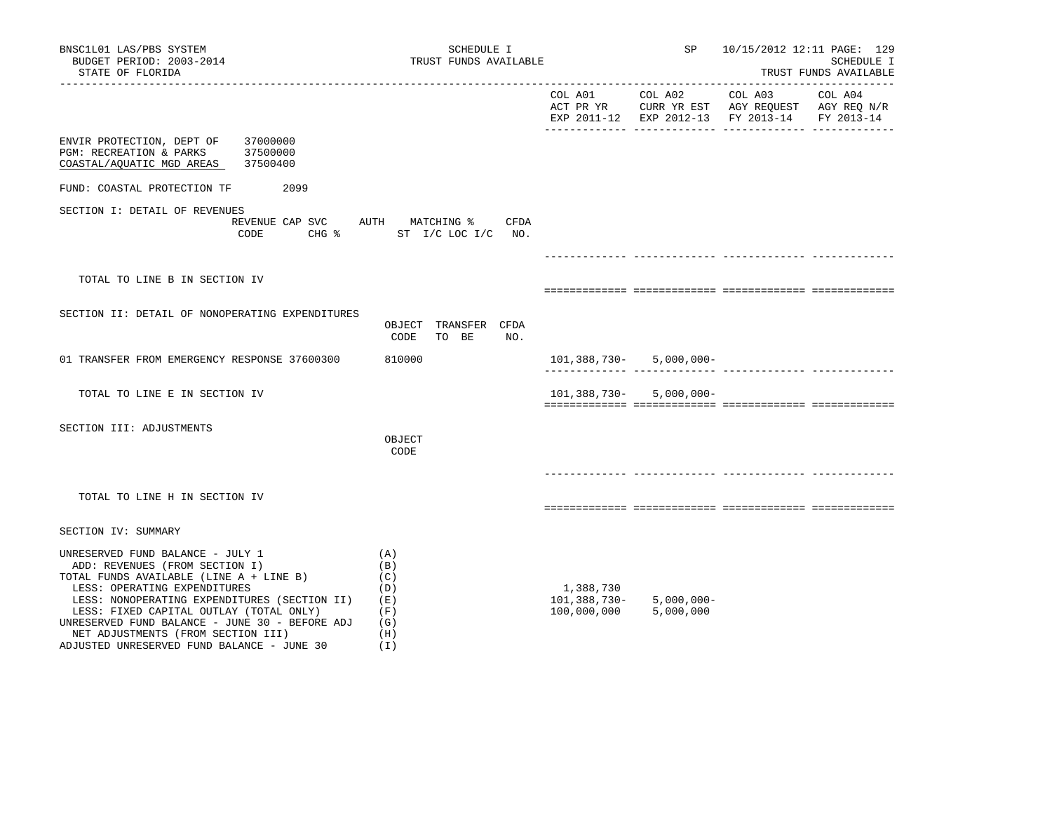| BNSC1L01 LAS/PBS SYSTEM<br>BUDGET PERIOD: 2003-2014<br>STATE OF FLORIDA                                                                                                                                                                                                                                                                                                        | SCHEDULE I<br>TRUST FUNDS AVAILABLE                         |                                          | SP.                         | 10/15/2012 12:11 PAGE: 129                                                                     | SCHEDULE I<br>TRUST FUNDS AVAILABLE<br>-------------------- |
|--------------------------------------------------------------------------------------------------------------------------------------------------------------------------------------------------------------------------------------------------------------------------------------------------------------------------------------------------------------------------------|-------------------------------------------------------------|------------------------------------------|-----------------------------|------------------------------------------------------------------------------------------------|-------------------------------------------------------------|
|                                                                                                                                                                                                                                                                                                                                                                                |                                                             | COL A01                                  | COL A02 COL A03             | ACT PR YR CURR YR EST AGY REQUEST AGY REQ N/R<br>EXP 2011-12 EXP 2012-13 FY 2013-14 FY 2013-14 | COL A04                                                     |
| 37000000<br>ENVIR PROTECTION, DEPT OF<br>PGM: RECREATION & PARKS<br>37500000<br>37500400<br>COASTAL/AQUATIC MGD AREAS                                                                                                                                                                                                                                                          |                                                             |                                          |                             |                                                                                                |                                                             |
| FUND: COASTAL PROTECTION TF<br>2099                                                                                                                                                                                                                                                                                                                                            |                                                             |                                          |                             |                                                                                                |                                                             |
| SECTION I: DETAIL OF REVENUES<br>REVENUE CAP SVC<br>CODE                                                                                                                                                                                                                                                                                                                       | AUTH MATCHING %<br>CFDA<br>CHG % ST I/C LOC I/C NO.         |                                          |                             |                                                                                                |                                                             |
|                                                                                                                                                                                                                                                                                                                                                                                |                                                             |                                          |                             |                                                                                                |                                                             |
| TOTAL TO LINE B IN SECTION IV                                                                                                                                                                                                                                                                                                                                                  |                                                             |                                          |                             |                                                                                                |                                                             |
| SECTION II: DETAIL OF NONOPERATING EXPENDITURES                                                                                                                                                                                                                                                                                                                                | OBJECT TRANSFER CFDA<br>CODE<br>TO BE<br>NO.                |                                          |                             |                                                                                                |                                                             |
| 01 TRANSFER FROM EMERGENCY RESPONSE 37600300                                                                                                                                                                                                                                                                                                                                   | 810000                                                      |                                          | $101,388,730 - 5,000,000 -$ |                                                                                                | -------------- --------------                               |
| TOTAL TO LINE E IN SECTION IV                                                                                                                                                                                                                                                                                                                                                  |                                                             |                                          | $101,388,730 - 5,000,000 -$ |                                                                                                |                                                             |
| SECTION III: ADJUSTMENTS                                                                                                                                                                                                                                                                                                                                                       | OBJECT<br>CODE                                              |                                          |                             |                                                                                                |                                                             |
| TOTAL TO LINE H IN SECTION IV                                                                                                                                                                                                                                                                                                                                                  |                                                             |                                          |                             |                                                                                                |                                                             |
| SECTION IV: SUMMARY                                                                                                                                                                                                                                                                                                                                                            |                                                             |                                          |                             |                                                                                                |                                                             |
| UNRESERVED FUND BALANCE - JULY 1<br>ADD: REVENUES (FROM SECTION I)<br>TOTAL FUNDS AVAILABLE (LINE A + LINE B)<br>LESS: OPERATING EXPENDITURES<br>LESS: NONOPERATING EXPENDITURES (SECTION II)<br>LESS: FIXED CAPITAL OUTLAY (TOTAL ONLY)<br>UNRESERVED FUND BALANCE - JUNE 30 - BEFORE ADJ<br>NET ADJUSTMENTS (FROM SECTION III)<br>ADJUSTED UNRESERVED FUND BALANCE - JUNE 30 | (A)<br>(B)<br>(C)<br>(D)<br>(E)<br>(F)<br>(G)<br>(H)<br>(I) | 1,388,730<br>101,388,730-<br>100,000,000 | $5,000,000 -$<br>5,000,000  |                                                                                                |                                                             |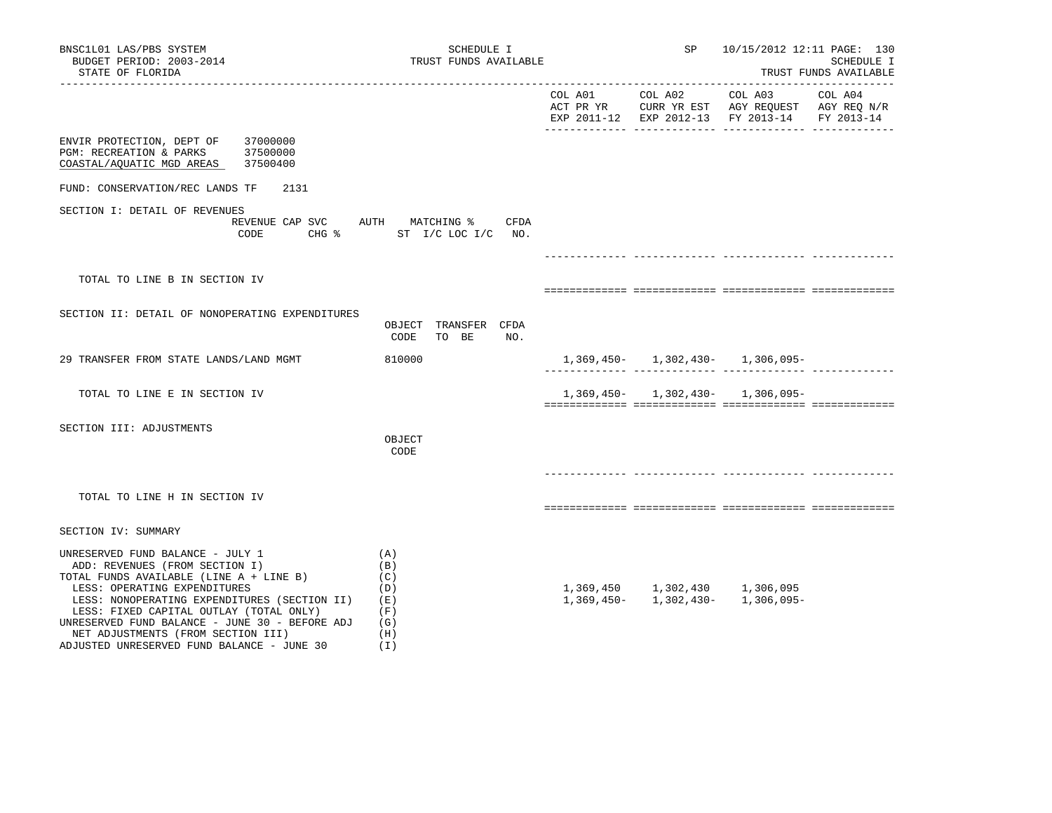| BNSC1L01 LAS/PBS SYSTEM<br>BUDGET PERIOD: 2003-2014<br>STATE OF FLORIDA                                                                                                                                                                                                                                                                                                        | SCHEDULE I<br>TRUST FUNDS AVAILABLE                           |         | SP      | 10/15/2012 12:11 PAGE: 130                                                                                                     | SCHEDULE I<br>TRUST FUNDS AVAILABLE |
|--------------------------------------------------------------------------------------------------------------------------------------------------------------------------------------------------------------------------------------------------------------------------------------------------------------------------------------------------------------------------------|---------------------------------------------------------------|---------|---------|--------------------------------------------------------------------------------------------------------------------------------|-------------------------------------|
|                                                                                                                                                                                                                                                                                                                                                                                |                                                               | COL A01 | COL A02 | COL A03<br>ACT PR YR $\,$ CURR YR EST $\,$ AGY REQUEST $\,$ AGY REQ $\rm N/R$<br>EXP 2011-12 EXP 2012-13 FY 2013-14 FY 2013-14 | COL A04                             |
| ENVIR PROTECTION, DEPT OF<br>37000000<br>PGM: RECREATION & PARKS 37500000<br>COASTAL/AQUATIC MGD AREAS 37500400                                                                                                                                                                                                                                                                |                                                               |         |         |                                                                                                                                |                                     |
| FUND: CONSERVATION/REC LANDS TF<br>2131                                                                                                                                                                                                                                                                                                                                        |                                                               |         |         |                                                                                                                                |                                     |
| SECTION I: DETAIL OF REVENUES<br>REVENUE CAP SVC AUTH MATCHING %<br>CODE                                                                                                                                                                                                                                                                                                       | CFDA<br>CHG % ST I/C LOC I/C NO.                              |         |         |                                                                                                                                |                                     |
|                                                                                                                                                                                                                                                                                                                                                                                |                                                               |         |         |                                                                                                                                |                                     |
| TOTAL TO LINE B IN SECTION IV                                                                                                                                                                                                                                                                                                                                                  |                                                               |         |         |                                                                                                                                |                                     |
| SECTION II: DETAIL OF NONOPERATING EXPENDITURES                                                                                                                                                                                                                                                                                                                                | OBJECT TRANSFER CFDA<br>CODE<br>TO BE<br>NO.                  |         |         |                                                                                                                                |                                     |
| 29 TRANSFER FROM STATE LANDS/LAND MGMT                                                                                                                                                                                                                                                                                                                                         | 810000                                                        |         |         | $1,369,450 - 1,302,430 - 1,306,095 -$                                                                                          |                                     |
| TOTAL TO LINE E IN SECTION IV                                                                                                                                                                                                                                                                                                                                                  |                                                               |         |         | $1,369,450 - 1,302,430 - 1,306,095 -$                                                                                          |                                     |
| SECTION III: ADJUSTMENTS                                                                                                                                                                                                                                                                                                                                                       | OBJECT<br>CODE                                                |         |         |                                                                                                                                |                                     |
| TOTAL TO LINE H IN SECTION IV                                                                                                                                                                                                                                                                                                                                                  |                                                               |         |         |                                                                                                                                |                                     |
| SECTION IV: SUMMARY                                                                                                                                                                                                                                                                                                                                                            |                                                               |         |         |                                                                                                                                |                                     |
| UNRESERVED FUND BALANCE - JULY 1<br>ADD: REVENUES (FROM SECTION I)<br>TOTAL FUNDS AVAILABLE (LINE A + LINE B)<br>LESS: OPERATING EXPENDITURES<br>LESS: NONOPERATING EXPENDITURES (SECTION II)<br>LESS: FIXED CAPITAL OUTLAY (TOTAL ONLY)<br>UNRESERVED FUND BALANCE - JUNE 30 - BEFORE ADJ<br>NET ADJUSTMENTS (FROM SECTION III)<br>ADJUSTED UNRESERVED FUND BALANCE - JUNE 30 | (A)<br>(B)<br>(C)<br>(D)<br>(E)<br>(F)<br>(G)<br>(H)<br>( I ) |         |         | $1,369,450$ $1,302,430$ $1,306,095$<br>$1,369,450$ $1,302,430$ $1,306,095$                                                     |                                     |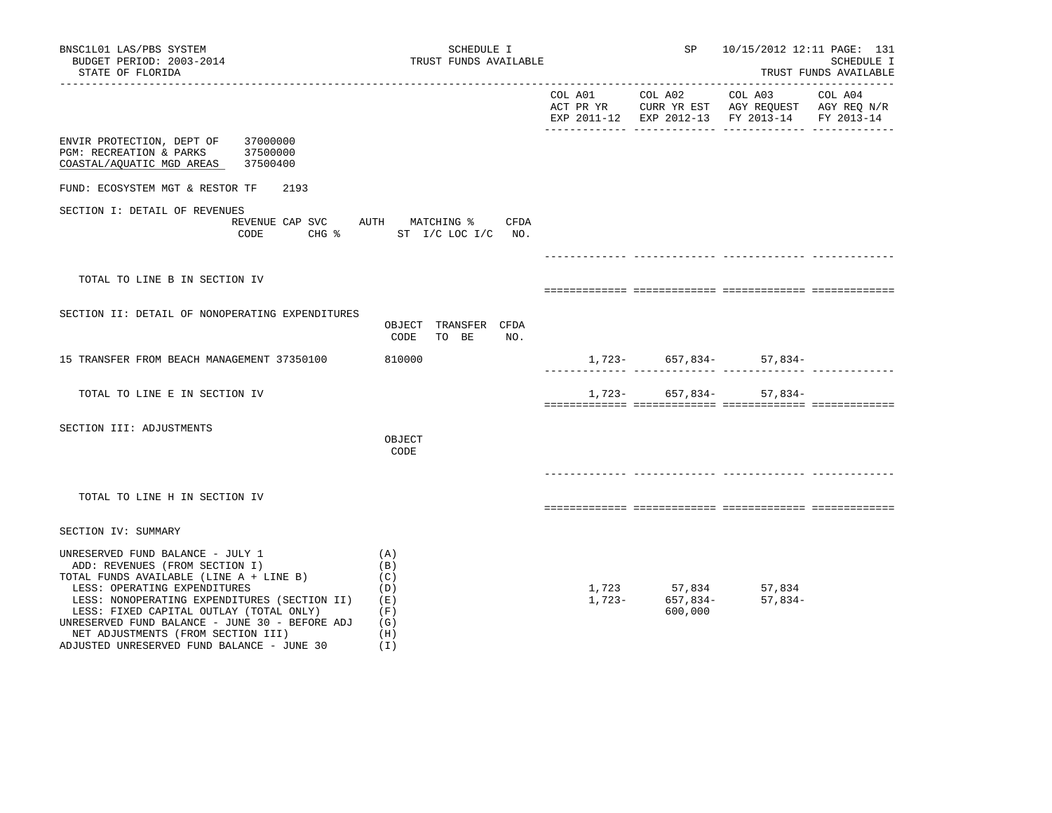| BNSC1L01 LAS/PBS SYSTEM<br>BUDGET PERIOD: 2003-2014<br>STATE OF FLORIDA                                                                                                                                                                                                                                                                                                        | SCHEDULE I<br>TRUST FUNDS AVAILABLE                              |                                                                    | SP 10/15/2012 12:11 PAGE: 131                 | SCHEDULE I<br>TRUST FUNDS AVAILABLE |
|--------------------------------------------------------------------------------------------------------------------------------------------------------------------------------------------------------------------------------------------------------------------------------------------------------------------------------------------------------------------------------|------------------------------------------------------------------|--------------------------------------------------------------------|-----------------------------------------------|-------------------------------------|
|                                                                                                                                                                                                                                                                                                                                                                                |                                                                  |                                                                    | EXP 2011-12 EXP 2012-13 FY 2013-14 FY 2013-14 |                                     |
| ENVIR PROTECTION, DEPT OF 37000000<br>PGM: RECREATION & PARKS 37500000<br>COASTAL/AQUATIC MGD AREAS 37500400                                                                                                                                                                                                                                                                   |                                                                  |                                                                    |                                               |                                     |
| FUND: ECOSYSTEM MGT & RESTOR TF<br>2193                                                                                                                                                                                                                                                                                                                                        |                                                                  |                                                                    |                                               |                                     |
| SECTION I: DETAIL OF REVENUES<br>CODE                                                                                                                                                                                                                                                                                                                                          | REVENUE CAP SVC AUTH MATCHING % CFDA<br>CHG % ST I/C LOC I/C NO. |                                                                    |                                               |                                     |
| TOTAL TO LINE B IN SECTION IV                                                                                                                                                                                                                                                                                                                                                  |                                                                  |                                                                    |                                               |                                     |
| SECTION II: DETAIL OF NONOPERATING EXPENDITURES                                                                                                                                                                                                                                                                                                                                | OBJECT TRANSFER CFDA<br>CODE<br>TO BE NO.                        |                                                                    |                                               |                                     |
| 15 TRANSFER FROM BEACH MANAGEMENT 37350100                                                                                                                                                                                                                                                                                                                                     | 810000                                                           |                                                                    | $1,723-$ 657,834- 57,834-                     |                                     |
| TOTAL TO LINE E IN SECTION IV                                                                                                                                                                                                                                                                                                                                                  |                                                                  |                                                                    | $1,723-$ 657,834- 57,834-                     |                                     |
| SECTION III: ADJUSTMENTS                                                                                                                                                                                                                                                                                                                                                       | OBJECT<br>CODE                                                   |                                                                    |                                               |                                     |
| TOTAL TO LINE H IN SECTION IV                                                                                                                                                                                                                                                                                                                                                  |                                                                  |                                                                    |                                               |                                     |
| SECTION IV: SUMMARY                                                                                                                                                                                                                                                                                                                                                            |                                                                  |                                                                    |                                               |                                     |
| UNRESERVED FUND BALANCE - JULY 1<br>ADD: REVENUES (FROM SECTION I)<br>TOTAL FUNDS AVAILABLE (LINE A + LINE B)<br>LESS: OPERATING EXPENDITURES<br>LESS: NONOPERATING EXPENDITURES (SECTION II)<br>LESS: FIXED CAPITAL OUTLAY (TOTAL ONLY)<br>UNRESERVED FUND BALANCE - JUNE 30 - BEFORE ADJ<br>NET ADJUSTMENTS (FROM SECTION III)<br>ADJUSTED UNRESERVED FUND BALANCE - JUNE 30 | (A)<br>(B)<br>(C)<br>(D)<br>( E )<br>(F)<br>(G)<br>(H)<br>(I)    | $1,723$ $57,834$ $57,834$<br>$1,723$ $657,834$ $57,834$<br>600,000 | $57,834-$                                     |                                     |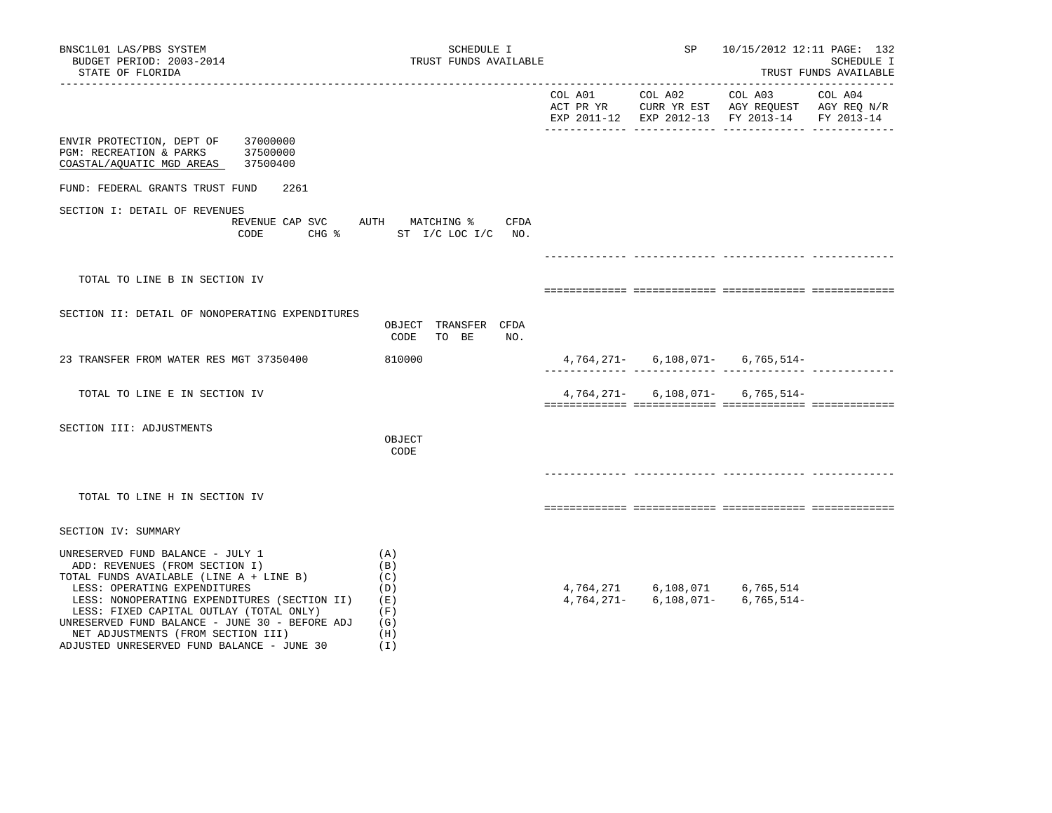| BNSC1L01 LAS/PBS SYSTEM<br>BUDGET PERIOD: 2003-2014<br>STATE OF FLORIDA                                                                                                                                                                                                                                                                                                        | <b>SCHEDULE I</b><br>TRUST FUNDS AVAILABLE                       | SP              | 10/15/2012 12:11 PAGE: 132                                                                                                                                                | SCHEDULE I<br>TRUST FUNDS AVAILABLE |
|--------------------------------------------------------------------------------------------------------------------------------------------------------------------------------------------------------------------------------------------------------------------------------------------------------------------------------------------------------------------------------|------------------------------------------------------------------|-----------------|---------------------------------------------------------------------------------------------------------------------------------------------------------------------------|-------------------------------------|
|                                                                                                                                                                                                                                                                                                                                                                                |                                                                  | COL A01 COL A02 | COL A03<br>ACT PR YR $\,$ CURR YR EST $\,$ AGY REQUEST $\,$ AGY REQ N/R $\,$<br>EXP 2011-12 EXP 2012-13 FY 2013-14 FY 2013-14                                             | COL A04                             |
| ENVIR PROTECTION, DEPT OF 37000000<br>PGM: RECREATION & PARKS<br>37500000<br>COASTAL/AQUATIC MGD AREAS 37500400                                                                                                                                                                                                                                                                |                                                                  |                 |                                                                                                                                                                           |                                     |
| FUND: FEDERAL GRANTS TRUST FUND<br>2261                                                                                                                                                                                                                                                                                                                                        |                                                                  |                 |                                                                                                                                                                           |                                     |
| SECTION I: DETAIL OF REVENUES<br>CODE                                                                                                                                                                                                                                                                                                                                          | REVENUE CAP SVC AUTH MATCHING % CFDA<br>CHG % ST I/C LOC I/C NO. |                 |                                                                                                                                                                           |                                     |
|                                                                                                                                                                                                                                                                                                                                                                                |                                                                  |                 |                                                                                                                                                                           |                                     |
| TOTAL TO LINE B IN SECTION IV                                                                                                                                                                                                                                                                                                                                                  |                                                                  |                 |                                                                                                                                                                           |                                     |
| SECTION II: DETAIL OF NONOPERATING EXPENDITURES                                                                                                                                                                                                                                                                                                                                | OBJECT TRANSFER CFDA<br>CODE<br>TO BE<br>NO.                     |                 |                                                                                                                                                                           |                                     |
| 23 TRANSFER FROM WATER RES MGT 37350400                                                                                                                                                                                                                                                                                                                                        | 810000                                                           |                 | $4,764,271-$ 6,108,071- 6,765,514-                                                                                                                                        |                                     |
| TOTAL TO LINE E IN SECTION IV                                                                                                                                                                                                                                                                                                                                                  |                                                                  |                 | $4,764,271-$ 6,108,071- 6,765,514-                                                                                                                                        |                                     |
| SECTION III: ADJUSTMENTS                                                                                                                                                                                                                                                                                                                                                       | OBJECT<br>CODE                                                   |                 |                                                                                                                                                                           |                                     |
| TOTAL TO LINE H IN SECTION IV                                                                                                                                                                                                                                                                                                                                                  |                                                                  |                 |                                                                                                                                                                           |                                     |
| SECTION IV: SUMMARY                                                                                                                                                                                                                                                                                                                                                            |                                                                  |                 |                                                                                                                                                                           |                                     |
| UNRESERVED FUND BALANCE - JULY 1<br>ADD: REVENUES (FROM SECTION I)<br>TOTAL FUNDS AVAILABLE (LINE A + LINE B)<br>LESS: OPERATING EXPENDITURES<br>LESS: NONOPERATING EXPENDITURES (SECTION II)<br>LESS: FIXED CAPITAL OUTLAY (TOTAL ONLY)<br>UNRESERVED FUND BALANCE - JUNE 30 - BEFORE ADJ<br>NET ADJUSTMENTS (FROM SECTION III)<br>ADJUSTED UNRESERVED FUND BALANCE - JUNE 30 | (A)<br>(B)<br>(C)<br>(D)<br>(E)<br>(F)<br>(G)<br>(H)<br>(1)      |                 | $\begin{array}{llll} 4\, , 764 \, , 271 & 6 \, , 108 \, , 071 & 6 \, , 765 \, , 514 \\ 4 \, , 764 \, , 271 - & 6 \, , 108 \, , 071 - & 6 \, , 765 \, , 514 - \end{array}$ |                                     |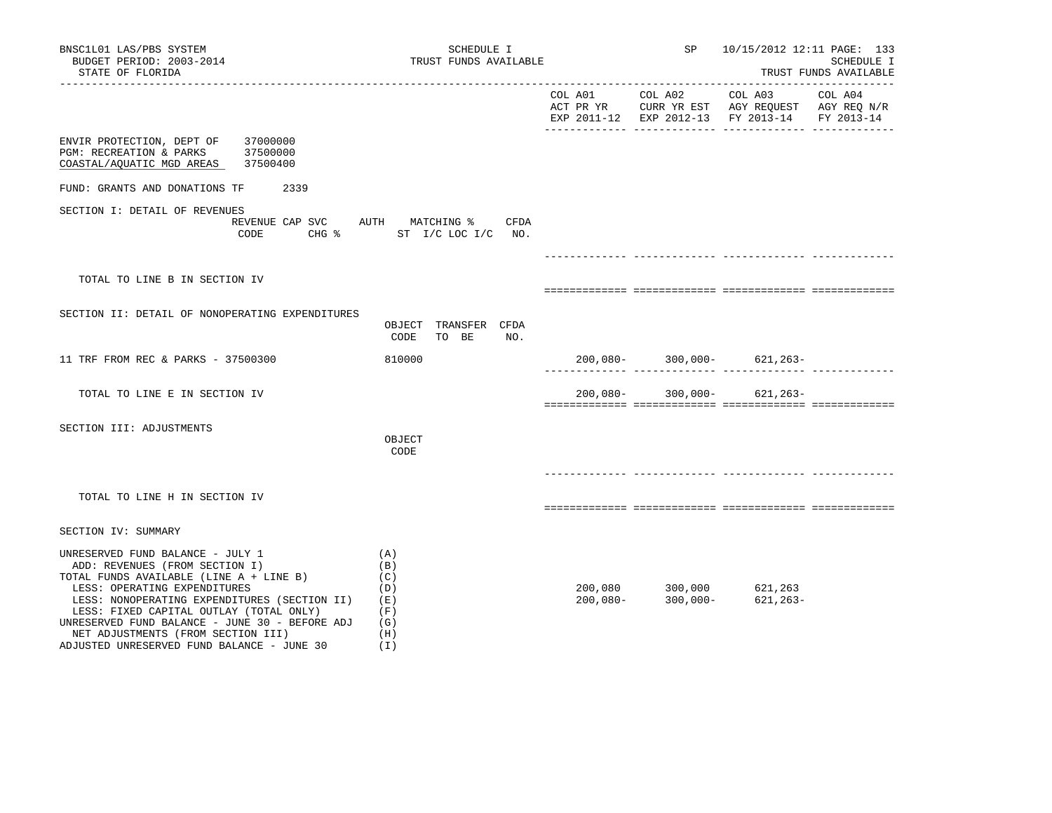| BNSC1L01 LAS/PBS SYSTEM<br>BUDGET PERIOD: 2003-2014<br>STATE OF FLORIDA                                                                                                                                                                                                                                                                                                        | SCHEDULE I<br>TRUST FUNDS AVAILABLE                         |            | SP                                                                            | 10/15/2012 12:11 PAGE: 133                                                                                                     | SCHEDULE I<br>TRUST FUNDS AVAILABLE |
|--------------------------------------------------------------------------------------------------------------------------------------------------------------------------------------------------------------------------------------------------------------------------------------------------------------------------------------------------------------------------------|-------------------------------------------------------------|------------|-------------------------------------------------------------------------------|--------------------------------------------------------------------------------------------------------------------------------|-------------------------------------|
|                                                                                                                                                                                                                                                                                                                                                                                |                                                             |            | COL A01 COL A02                                                               | COL A03<br>ACT PR YR $\,$ CURR YR EST $\,$ AGY REQUEST $\,$ AGY REQ $\rm N/R$<br>EXP 2011-12 EXP 2012-13 FY 2013-14 FY 2013-14 | COL A04                             |
| ENVIR PROTECTION, DEPT OF<br>37000000<br>PGM: RECREATION & PARKS 37500000<br>COASTAL/AQUATIC MGD AREAS 37500400                                                                                                                                                                                                                                                                |                                                             |            |                                                                               |                                                                                                                                |                                     |
| FUND: GRANTS AND DONATIONS TF<br>2339                                                                                                                                                                                                                                                                                                                                          |                                                             |            |                                                                               |                                                                                                                                |                                     |
| SECTION I: DETAIL OF REVENUES<br>REVENUE CAP SVC AUTH MATCHING %<br>CODE                                                                                                                                                                                                                                                                                                       | CFDA<br>CHG % ST I/C LOC I/C NO.                            |            |                                                                               |                                                                                                                                |                                     |
|                                                                                                                                                                                                                                                                                                                                                                                |                                                             |            |                                                                               |                                                                                                                                |                                     |
| TOTAL TO LINE B IN SECTION IV                                                                                                                                                                                                                                                                                                                                                  |                                                             |            |                                                                               |                                                                                                                                |                                     |
| SECTION II: DETAIL OF NONOPERATING EXPENDITURES                                                                                                                                                                                                                                                                                                                                | OBJECT TRANSFER CFDA<br>CODE<br>TO BE<br>NO.                |            |                                                                               |                                                                                                                                |                                     |
| 11 TRF FROM REC & PARKS - 37500300                                                                                                                                                                                                                                                                                                                                             | 810000                                                      |            |                                                                               | $200,080 - 300,000 - 621,263 -$                                                                                                |                                     |
| TOTAL TO LINE E IN SECTION IV                                                                                                                                                                                                                                                                                                                                                  |                                                             |            |                                                                               | $200,080 - 300,000 - 621,263 -$                                                                                                |                                     |
| SECTION III: ADJUSTMENTS                                                                                                                                                                                                                                                                                                                                                       | OBJECT<br>CODE                                              |            |                                                                               |                                                                                                                                |                                     |
| TOTAL TO LINE H IN SECTION IV                                                                                                                                                                                                                                                                                                                                                  |                                                             |            |                                                                               |                                                                                                                                |                                     |
| SECTION IV: SUMMARY                                                                                                                                                                                                                                                                                                                                                            |                                                             |            |                                                                               |                                                                                                                                |                                     |
| UNRESERVED FUND BALANCE - JULY 1<br>ADD: REVENUES (FROM SECTION I)<br>TOTAL FUNDS AVAILABLE (LINE A + LINE B)<br>LESS: OPERATING EXPENDITURES<br>LESS: NONOPERATING EXPENDITURES (SECTION II)<br>LESS: FIXED CAPITAL OUTLAY (TOTAL ONLY)<br>UNRESERVED FUND BALANCE - JUNE 30 - BEFORE ADJ<br>NET ADJUSTMENTS (FROM SECTION III)<br>ADJUSTED UNRESERVED FUND BALANCE - JUNE 30 | (A)<br>(B)<br>(C)<br>(D)<br>(E)<br>(F)<br>(G)<br>(H)<br>(I) | $200,080-$ | $200,080$ $300,000$ $621,263$<br>$200.080$ $300.000$ $621.263$<br>$300,000 -$ | $621, 263 -$                                                                                                                   |                                     |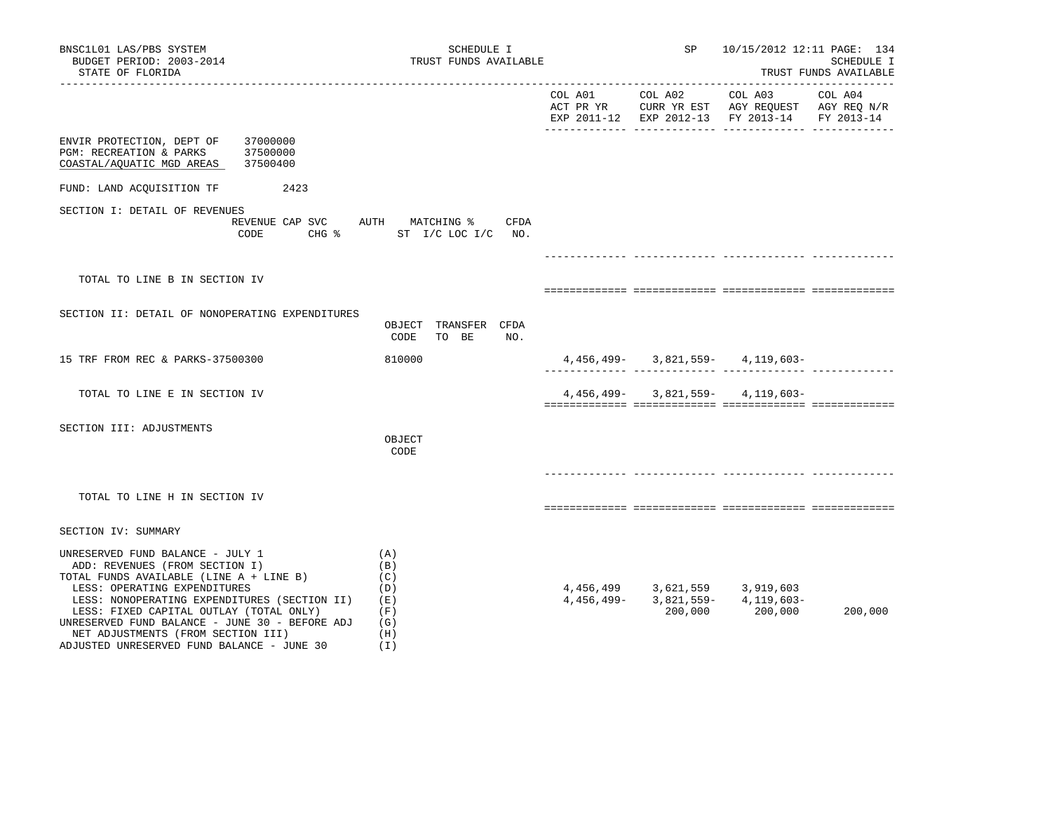| BNSC1L01 LAS/PBS SYSTEM<br>BUDGET PERIOD: 2003-2014<br>STATE OF FLORIDA                                                                                                                                                                                                                                                                                                        |                                  | SCHEDULE I<br>TRUST FUNDS AVAILABLE                             |            | SP                                       | 10/15/2012 12:11 PAGE: 134                                                                                | SCHEDULE I<br>TRUST FUNDS AVAILABLE |
|--------------------------------------------------------------------------------------------------------------------------------------------------------------------------------------------------------------------------------------------------------------------------------------------------------------------------------------------------------------------------------|----------------------------------|-----------------------------------------------------------------|------------|------------------------------------------|-----------------------------------------------------------------------------------------------------------|-------------------------------------|
|                                                                                                                                                                                                                                                                                                                                                                                |                                  |                                                                 | COL A01    | COL A02                                  | COL A03<br>ACT PR YR CURR YR EST AGY REQUEST AGY REQ N/R<br>EXP 2011-12 EXP 2012-13 FY 2013-14 FY 2013-14 | ________________________<br>COL A04 |
| ENVIR PROTECTION, DEPT OF<br>PGM: RECREATION & PARKS<br>COASTAL/AQUATIC MGD AREAS                                                                                                                                                                                                                                                                                              | 37000000<br>37500000<br>37500400 |                                                                 |            |                                          |                                                                                                           |                                     |
| FUND: LAND ACQUISITION TF                                                                                                                                                                                                                                                                                                                                                      | 2423                             |                                                                 |            |                                          |                                                                                                           |                                     |
| SECTION I: DETAIL OF REVENUES                                                                                                                                                                                                                                                                                                                                                  | REVENUE CAP SVC<br>CODE          | AUTH MATCHING %<br>CFDA<br>CHG $\frac{1}{2}$ ST I/C LOC I/C NO. |            |                                          |                                                                                                           |                                     |
|                                                                                                                                                                                                                                                                                                                                                                                |                                  |                                                                 |            |                                          |                                                                                                           |                                     |
| TOTAL TO LINE B IN SECTION IV                                                                                                                                                                                                                                                                                                                                                  |                                  |                                                                 |            |                                          |                                                                                                           |                                     |
| SECTION II: DETAIL OF NONOPERATING EXPENDITURES                                                                                                                                                                                                                                                                                                                                |                                  | OBJECT TRANSFER CFDA<br>CODE<br>TO BE<br>NO.                    |            |                                          |                                                                                                           |                                     |
| 15 TRF FROM REC & PARKS-37500300                                                                                                                                                                                                                                                                                                                                               |                                  | 810000                                                          |            |                                          | $4,456,499 - 3,821,559 - 4,119,603 -$                                                                     |                                     |
| TOTAL TO LINE E IN SECTION IV                                                                                                                                                                                                                                                                                                                                                  |                                  |                                                                 |            |                                          | $4,456,499 - 3,821,559 - 4,119,603 -$                                                                     |                                     |
| SECTION III: ADJUSTMENTS                                                                                                                                                                                                                                                                                                                                                       |                                  | OBJECT<br>CODE                                                  |            |                                          |                                                                                                           |                                     |
|                                                                                                                                                                                                                                                                                                                                                                                |                                  |                                                                 |            |                                          |                                                                                                           |                                     |
| TOTAL TO LINE H IN SECTION IV                                                                                                                                                                                                                                                                                                                                                  |                                  |                                                                 |            |                                          |                                                                                                           |                                     |
| SECTION IV: SUMMARY                                                                                                                                                                                                                                                                                                                                                            |                                  |                                                                 |            |                                          |                                                                                                           |                                     |
| UNRESERVED FUND BALANCE - JULY 1<br>ADD: REVENUES (FROM SECTION I)<br>TOTAL FUNDS AVAILABLE (LINE A + LINE B)<br>LESS: OPERATING EXPENDITURES<br>LESS: NONOPERATING EXPENDITURES (SECTION II)<br>LESS: FIXED CAPITAL OUTLAY (TOTAL ONLY)<br>UNRESERVED FUND BALANCE - JUNE 30 - BEFORE ADJ<br>NET ADJUSTMENTS (FROM SECTION III)<br>ADJUSTED UNRESERVED FUND BALANCE - JUNE 30 |                                  | (A)<br>(B)<br>(C)<br>(D)<br>(E)<br>(F)<br>(G)<br>(H)<br>( I )   | 4,456,499- | 4,456,499 3,621,559 3,919,603<br>200,000 | $3,821,559 - 4,119,603 -$<br>200,000                                                                      | 200,000                             |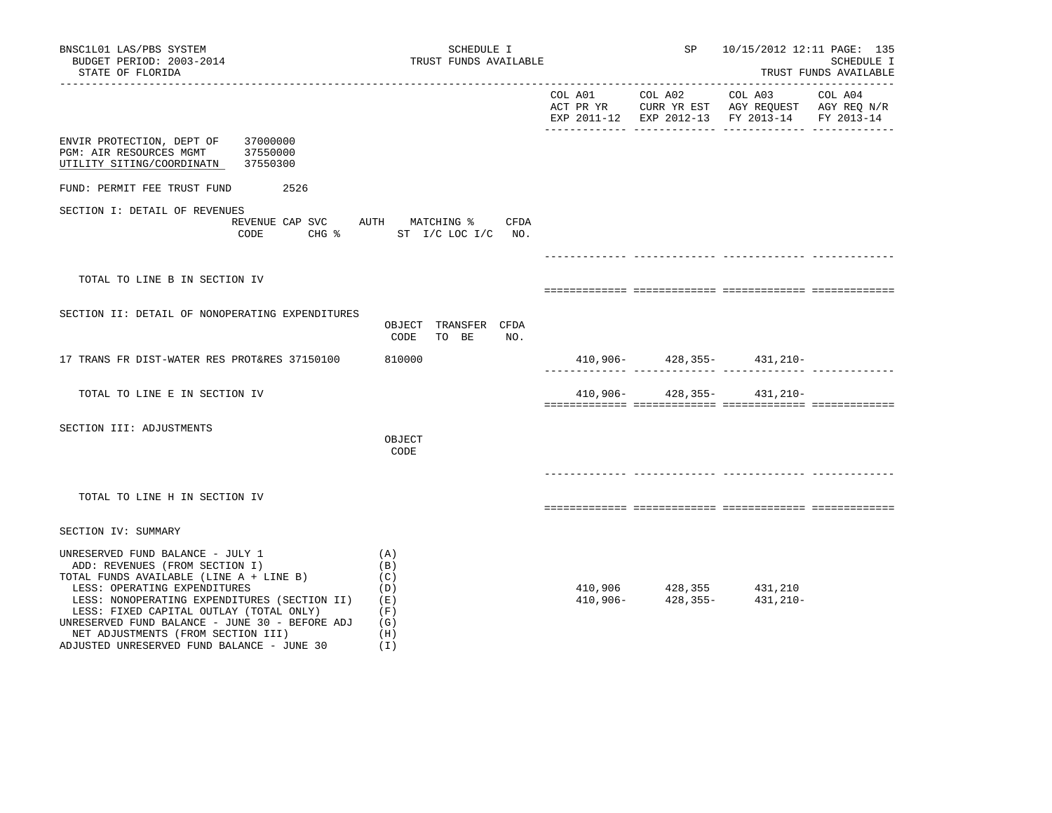| BNSC1L01 LAS/PBS SYSTEM<br>BUDGET PERIOD: 2003-2014<br>STATE OF FLORIDA                                                                                                                                                                                                                                                                                                        | SCHEDULE I<br>TRUST FUNDS AVAILABLE                         |          | SP <sub>3</sub> | 10/15/2012 12:11 PAGE: 135                                     | SCHEDULE I<br>TRUST FUNDS AVAILABLE |
|--------------------------------------------------------------------------------------------------------------------------------------------------------------------------------------------------------------------------------------------------------------------------------------------------------------------------------------------------------------------------------|-------------------------------------------------------------|----------|-----------------|----------------------------------------------------------------|-------------------------------------|
|                                                                                                                                                                                                                                                                                                                                                                                |                                                             |          |                 | EXP 2011-12 EXP 2012-13 FY 2013-14                             | FY 2013-14                          |
| ENVIR PROTECTION, DEPT OF<br>37000000<br>PGM: AIR RESOURCES MGMT<br>37550000<br>37550300<br>UTILITY SITING/COORDINATN                                                                                                                                                                                                                                                          |                                                             |          |                 |                                                                |                                     |
| 2526<br>FUND: PERMIT FEE TRUST FUND                                                                                                                                                                                                                                                                                                                                            |                                                             |          |                 |                                                                |                                     |
| SECTION I: DETAIL OF REVENUES<br>REVENUE CAP SVC<br>CODE                                                                                                                                                                                                                                                                                                                       | AUTH MATCHING %<br>CFDA<br>CHG % ST I/C LOC I/C NO.         |          |                 |                                                                |                                     |
| TOTAL TO LINE B IN SECTION IV                                                                                                                                                                                                                                                                                                                                                  |                                                             |          |                 |                                                                |                                     |
| SECTION II: DETAIL OF NONOPERATING EXPENDITURES                                                                                                                                                                                                                                                                                                                                | OBJECT TRANSFER CFDA<br>CODE<br>TO BE<br>NO.                |          |                 |                                                                |                                     |
| 17 TRANS FR DIST-WATER RES PROT&RES 37150100                                                                                                                                                                                                                                                                                                                                   | 810000                                                      |          |                 | $410,906 - 428,355 - 431,210 -$                                |                                     |
| TOTAL TO LINE E IN SECTION IV                                                                                                                                                                                                                                                                                                                                                  |                                                             | 410,906- |                 | 428,355- 431,210-                                              |                                     |
| SECTION III: ADJUSTMENTS                                                                                                                                                                                                                                                                                                                                                       | OBJECT<br>CODE                                              |          |                 |                                                                |                                     |
| TOTAL TO LINE H IN SECTION IV                                                                                                                                                                                                                                                                                                                                                  |                                                             |          |                 |                                                                |                                     |
| SECTION IV: SUMMARY                                                                                                                                                                                                                                                                                                                                                            |                                                             |          |                 |                                                                |                                     |
| UNRESERVED FUND BALANCE - JULY 1<br>ADD: REVENUES (FROM SECTION I)<br>TOTAL FUNDS AVAILABLE (LINE A + LINE B)<br>LESS: OPERATING EXPENDITURES<br>LESS: NONOPERATING EXPENDITURES (SECTION II)<br>LESS: FIXED CAPITAL OUTLAY (TOTAL ONLY)<br>UNRESERVED FUND BALANCE - JUNE 30 - BEFORE ADJ<br>NET ADJUSTMENTS (FROM SECTION III)<br>ADJUSTED UNRESERVED FUND BALANCE - JUNE 30 | (A)<br>(B)<br>(C)<br>(D)<br>(E)<br>(F)<br>(G)<br>(H)<br>(I) |          |                 | $410,906$ $428,355$ $431,210$<br>$410,906$ $428,355$ $431,210$ |                                     |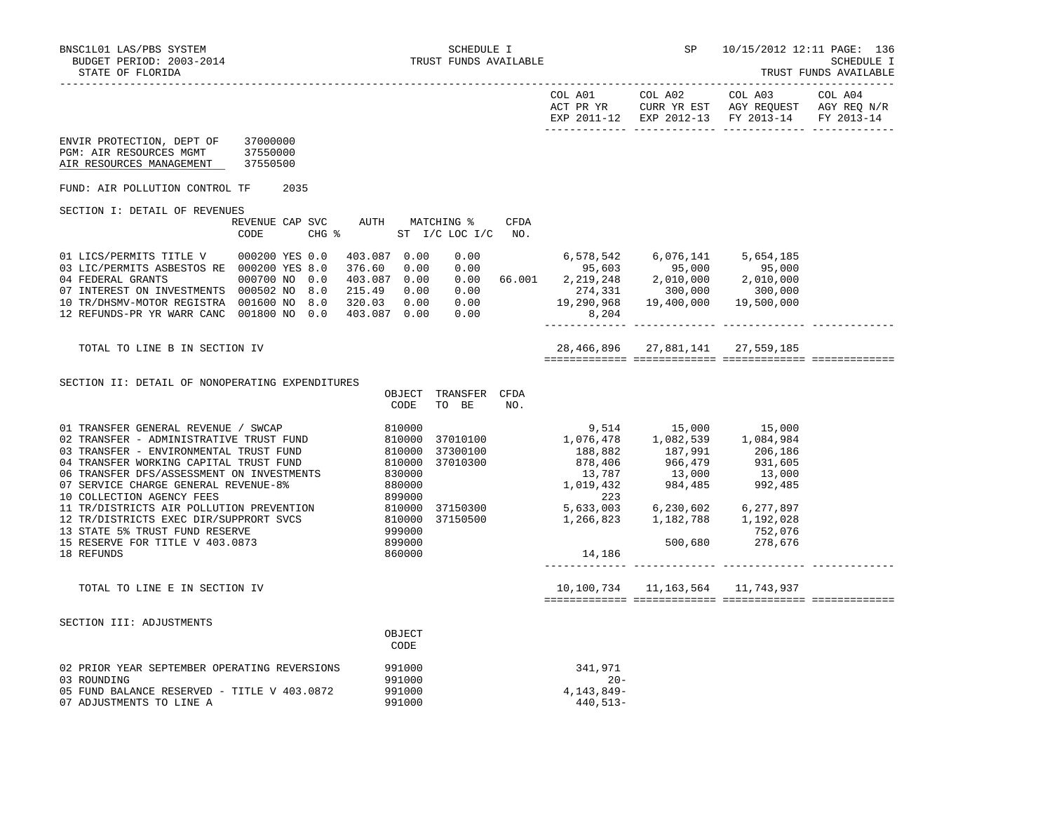|                                                                                                                                                                                                                                                                                                                                                                  |                                                                                                                                                                                                    |                                                                                                                                                                                                                           | COL A01 COL A02<br>ACT PR YR CURR YR EST AGY REQUEST AGY REQ N/R | COL A03 | COL A04    |
|------------------------------------------------------------------------------------------------------------------------------------------------------------------------------------------------------------------------------------------------------------------------------------------------------------------------------------------------------------------|----------------------------------------------------------------------------------------------------------------------------------------------------------------------------------------------------|---------------------------------------------------------------------------------------------------------------------------------------------------------------------------------------------------------------------------|------------------------------------------------------------------|---------|------------|
| ENVIR PROTECTION, DEPT OF<br>37000000<br>PGM: AIR RESOURCES MGMT<br>37550000<br>37550500<br>AIR RESOURCES MANAGEMENT                                                                                                                                                                                                                                             |                                                                                                                                                                                                    |                                                                                                                                                                                                                           | EXP 2011-12 EXP 2012-13 FY 2013-14                               |         | FY 2013-14 |
| 2035<br>FUND: AIR POLLUTION CONTROL TF                                                                                                                                                                                                                                                                                                                           |                                                                                                                                                                                                    |                                                                                                                                                                                                                           |                                                                  |         |            |
| SECTION I: DETAIL OF REVENUES                                                                                                                                                                                                                                                                                                                                    |                                                                                                                                                                                                    |                                                                                                                                                                                                                           |                                                                  |         |            |
| REVENUE CAP SVC AUTH MATCHING %<br>CODE                                                                                                                                                                                                                                                                                                                          | CFDA<br>CHG $\frac{1}{6}$ ST I/C LOC I/C NO.                                                                                                                                                       |                                                                                                                                                                                                                           |                                                                  |         |            |
| 01 LICS/PERMITS TITLE V 000200 YES 0.0<br>03 LIC/PERMITS ASBESTOS RE 000200 YES 8.0<br>04 FEDERAL GRANTS<br>000700 NO 0.0<br>07 INTEREST ON INVESTMENTS 000502 NO 8.0 215.49 0.00 0.00 274,331 300,000 300,000 300,000<br>10 TR/DHSMV-MOTOR REGISTRA 001600 NO 8.0 320.03 0.00 0.00 19,290,968 19,400,000 19,500,000<br>12 REFUNDS-PR YR WARR CANC 001800 NO 0.0 | 403.087 0.00<br>$0.00$ $($<br>$\begin{array}{cccccccc} 376.60 & 0.00 & 0.00 & 66.001 & 95,603 & 95,000 & 95,000 \\ 403.087 & 0.00 & 0.00 & 66.001 & 2,219,248 & 2,010,000 & 2,010,000 \end{array}$ | 6,578,542 6,076,141 5,654,185                                                                                                                                                                                             |                                                                  |         |            |
| TOTAL TO LINE B IN SECTION IV                                                                                                                                                                                                                                                                                                                                    |                                                                                                                                                                                                    |                                                                                                                                                                                                                           | 28, 466, 896 27, 881, 141 27, 559, 185                           |         |            |
| SECTION II: DETAIL OF NONOPERATING EXPENDITURES                                                                                                                                                                                                                                                                                                                  | OBJECT TRANSFER CFDA<br>CODE<br>TO BE<br>NO.                                                                                                                                                       |                                                                                                                                                                                                                           |                                                                  |         |            |
|                                                                                                                                                                                                                                                                                                                                                                  |                                                                                                                                                                                                    | $\begin{array}{cccc} 9,514 & 15,000 & 15,000 \\ 1,076,478 & 1,082,539 & 1,084,984 \\ 188,882 & 187,991 & 206,186 \\ 878,406 & 966,479 & 931,605 \\ 13,787 & 13,000 & 13,000 \\ 1,019,432 & 984,485 & 992,485 \end{array}$ |                                                                  |         |            |
| 18 REFUNDS                                                                                                                                                                                                                                                                                                                                                       | 860000                                                                                                                                                                                             | 14,186                                                                                                                                                                                                                    |                                                                  |         |            |
| TOTAL TO LINE E IN SECTION IV                                                                                                                                                                                                                                                                                                                                    |                                                                                                                                                                                                    |                                                                                                                                                                                                                           | 10, 100, 734 11, 163, 564 11, 743, 937                           |         |            |
| SECTION III: ADJUSTMENTS                                                                                                                                                                                                                                                                                                                                         | OBJECT<br>CODE                                                                                                                                                                                     |                                                                                                                                                                                                                           |                                                                  |         |            |
| 02 PRIOR YEAR SEPTEMBER OPERATING REVERSIONS<br>03 ROUNDING<br>05 FUND BALANCE RESERVED - TITLE V 403.0872<br>07 ADJUSTMENTS TO LINE A                                                                                                                                                                                                                           | 991000<br>991000<br>991000<br>991000                                                                                                                                                               | 341,971<br>$20 -$<br>4, 143, 849-<br>440,513-                                                                                                                                                                             |                                                                  |         |            |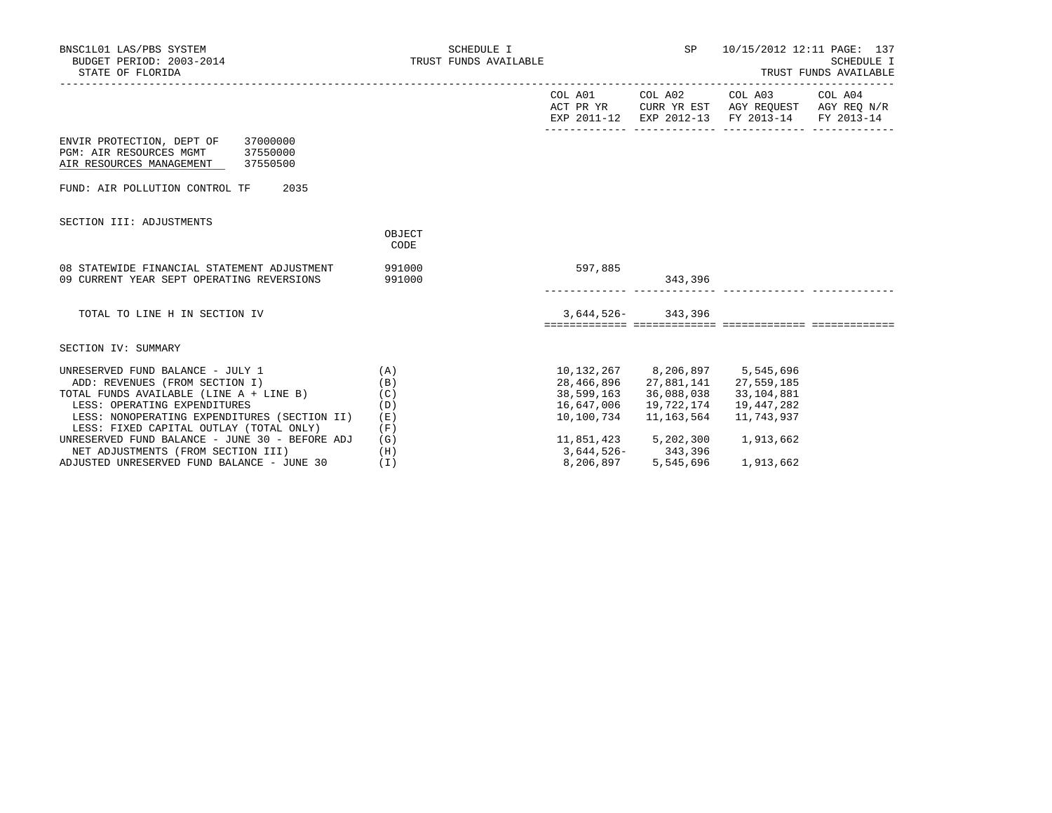| BNSC1L01 LAS/PBS SYSTEM<br>BUDGET PERIOD: 2003-2014<br>STATE OF FLORIDA                                     | SCHEDULE I<br>TRUST FUNDS AVAILABLE |            | SP and the set of the set of the set of the set of the set of the set of the set of the set of the set of the s | TRUST FUNDS AVAILABLE                                                                                                             | 10/15/2012 12:11 PAGE: 137<br>SCHEDULE I |
|-------------------------------------------------------------------------------------------------------------|-------------------------------------|------------|-----------------------------------------------------------------------------------------------------------------|-----------------------------------------------------------------------------------------------------------------------------------|------------------------------------------|
|                                                                                                             |                                     |            |                                                                                                                 | COL A01 COL A02 COL A03 COL A04<br>ACT PR YR CURR YR EST AGY REQUEST AGY REQ N/R<br>EXP 2011-12 EXP 2012-13 FY 2013-14 FY 2013-14 |                                          |
| ENVIR PROTECTION, DEPT OF 37000000<br>PGM: AIR RESOURCES MGMT 37550000<br>AIR RESOURCES MANAGEMENT 37550500 |                                     |            |                                                                                                                 |                                                                                                                                   |                                          |
| FUND: AIR POLLUTION CONTROL TF<br>2035                                                                      |                                     |            |                                                                                                                 |                                                                                                                                   |                                          |
| SECTION III: ADJUSTMENTS                                                                                    |                                     |            |                                                                                                                 |                                                                                                                                   |                                          |
|                                                                                                             | OBJECT<br>CODE                      |            |                                                                                                                 |                                                                                                                                   |                                          |
| 08 STATEWIDE FINANCIAL STATEMENT ADJUSTMENT<br>09 CURRENT YEAR SEPT OPERATING REVERSIONS                    | 991000<br>991000                    | 597,885    | 343,396                                                                                                         |                                                                                                                                   |                                          |
| TOTAL TO LINE H IN SECTION IV                                                                               |                                     |            | 3,644,526-343,396                                                                                               |                                                                                                                                   |                                          |
| SECTION IV: SUMMARY                                                                                         |                                     |            |                                                                                                                 |                                                                                                                                   |                                          |
| UNRESERVED FUND BALANCE - JULY 1                                                                            | (A)                                 |            | 10, 132, 267 8, 206, 897 5, 545, 696                                                                            |                                                                                                                                   |                                          |
| ADD: REVENUES (FROM SECTION I)                                                                              | (B)                                 |            |                                                                                                                 | 28, 466, 896 27, 881, 141 27, 559, 185                                                                                            |                                          |
| TOTAL FUNDS AVAILABLE (LINE A + LINE B)                                                                     | (C)                                 | 38,599,163 | 36,088,038                                                                                                      | 33,104,881                                                                                                                        |                                          |
| LESS: OPERATING EXPENDITURES                                                                                | (D)                                 | 16,647,006 | 19,722,174                                                                                                      | 19,447,282                                                                                                                        |                                          |
| LESS: NONOPERATING EXPENDITURES (SECTION II)                                                                | (E)                                 | 10,100,734 | 11,163,564                                                                                                      | 11,743,937                                                                                                                        |                                          |
| LESS: FIXED CAPITAL OUTLAY (TOTAL ONLY)                                                                     | (F)                                 |            |                                                                                                                 |                                                                                                                                   |                                          |
| UNRESERVED FUND BALANCE - JUNE 30 - BEFORE ADJ                                                              | (G)                                 |            | 11,851,423 5,202,300<br>3,644,526- 343,396                                                                      | 1,913,662                                                                                                                         |                                          |
| NET ADJUSTMENTS (FROM SECTION III)                                                                          | (H)                                 |            |                                                                                                                 |                                                                                                                                   |                                          |
| ADJUSTED UNRESERVED FUND BALANCE - JUNE 30                                                                  | (T)                                 | 8,206,897  | 5,545,696                                                                                                       | 1,913,662                                                                                                                         |                                          |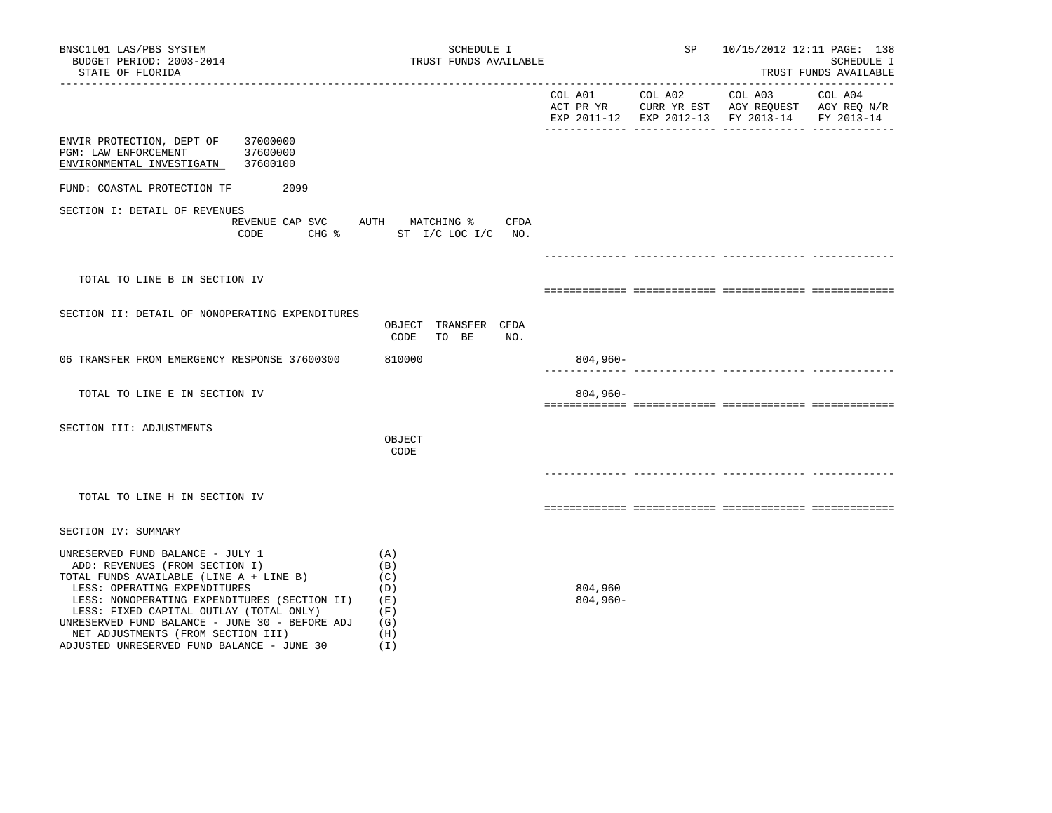| BNSC1L01 LAS/PBS SYSTEM<br>BUDGET PERIOD: 2003-2014<br>STATE OF FLORIDA                                                                                                                                                                                                                                                                                                        | SCHEDULE I<br>TRUST FUNDS AVAILABLE                         |                        | SP      |                                                                                                                               | 10/15/2012 12:11 PAGE: 138<br>SCHEDULE I<br>TRUST FUNDS AVAILABLE |
|--------------------------------------------------------------------------------------------------------------------------------------------------------------------------------------------------------------------------------------------------------------------------------------------------------------------------------------------------------------------------------|-------------------------------------------------------------|------------------------|---------|-------------------------------------------------------------------------------------------------------------------------------|-------------------------------------------------------------------|
| _______________                                                                                                                                                                                                                                                                                                                                                                |                                                             | COL A01                | COL A02 | COL A03<br>ACT PR YR $\,$ CURR YR EST $\,$ AGY REQUEST $\,$ AGY REQ N/R $\,$<br>EXP 2011-12 EXP 2012-13 FY 2013-14 FY 2013-14 | COL A04                                                           |
| ENVIR PROTECTION, DEPT OF<br>37000000<br>PGM: LAW ENFORCEMENT<br>37600000<br>ENVIRONMENTAL INVESTIGATN 37600100                                                                                                                                                                                                                                                                |                                                             |                        |         |                                                                                                                               |                                                                   |
| FUND: COASTAL PROTECTION TF 2099                                                                                                                                                                                                                                                                                                                                               |                                                             |                        |         |                                                                                                                               |                                                                   |
| SECTION I: DETAIL OF REVENUES<br>REVENUE CAP SVC AUTH MATCHING %<br>CODE                                                                                                                                                                                                                                                                                                       | CFDA<br>CHG % ST I/C LOC I/C NO.                            |                        |         |                                                                                                                               |                                                                   |
|                                                                                                                                                                                                                                                                                                                                                                                |                                                             |                        |         |                                                                                                                               |                                                                   |
| TOTAL TO LINE B IN SECTION IV                                                                                                                                                                                                                                                                                                                                                  |                                                             |                        |         |                                                                                                                               |                                                                   |
| SECTION II: DETAIL OF NONOPERATING EXPENDITURES                                                                                                                                                                                                                                                                                                                                | OBJECT TRANSFER CFDA<br>CODE<br>NO.<br>TO BE                |                        |         |                                                                                                                               |                                                                   |
| 06 TRANSFER FROM EMERGENCY RESPONSE 37600300                                                                                                                                                                                                                                                                                                                                   | 810000                                                      | $804,960-$             |         |                                                                                                                               |                                                                   |
| TOTAL TO LINE E IN SECTION IV                                                                                                                                                                                                                                                                                                                                                  |                                                             | $804,960-$             |         | . <u>- -------------- ------------- -</u> ----                                                                                |                                                                   |
| SECTION III: ADJUSTMENTS                                                                                                                                                                                                                                                                                                                                                       | OBJECT<br>CODE                                              |                        |         |                                                                                                                               |                                                                   |
| TOTAL TO LINE H IN SECTION IV                                                                                                                                                                                                                                                                                                                                                  |                                                             |                        |         |                                                                                                                               |                                                                   |
| SECTION IV: SUMMARY                                                                                                                                                                                                                                                                                                                                                            |                                                             |                        |         |                                                                                                                               |                                                                   |
| UNRESERVED FUND BALANCE - JULY 1<br>ADD: REVENUES (FROM SECTION I)<br>TOTAL FUNDS AVAILABLE (LINE A + LINE B)<br>LESS: OPERATING EXPENDITURES<br>LESS: NONOPERATING EXPENDITURES (SECTION II)<br>LESS: FIXED CAPITAL OUTLAY (TOTAL ONLY)<br>UNRESERVED FUND BALANCE - JUNE 30 - BEFORE ADJ<br>NET ADJUSTMENTS (FROM SECTION III)<br>ADJUSTED UNRESERVED FUND BALANCE - JUNE 30 | (A)<br>(B)<br>(C)<br>(D)<br>(E)<br>(F)<br>(G)<br>(H)<br>(T) | 804,960<br>$804,960 -$ |         |                                                                                                                               |                                                                   |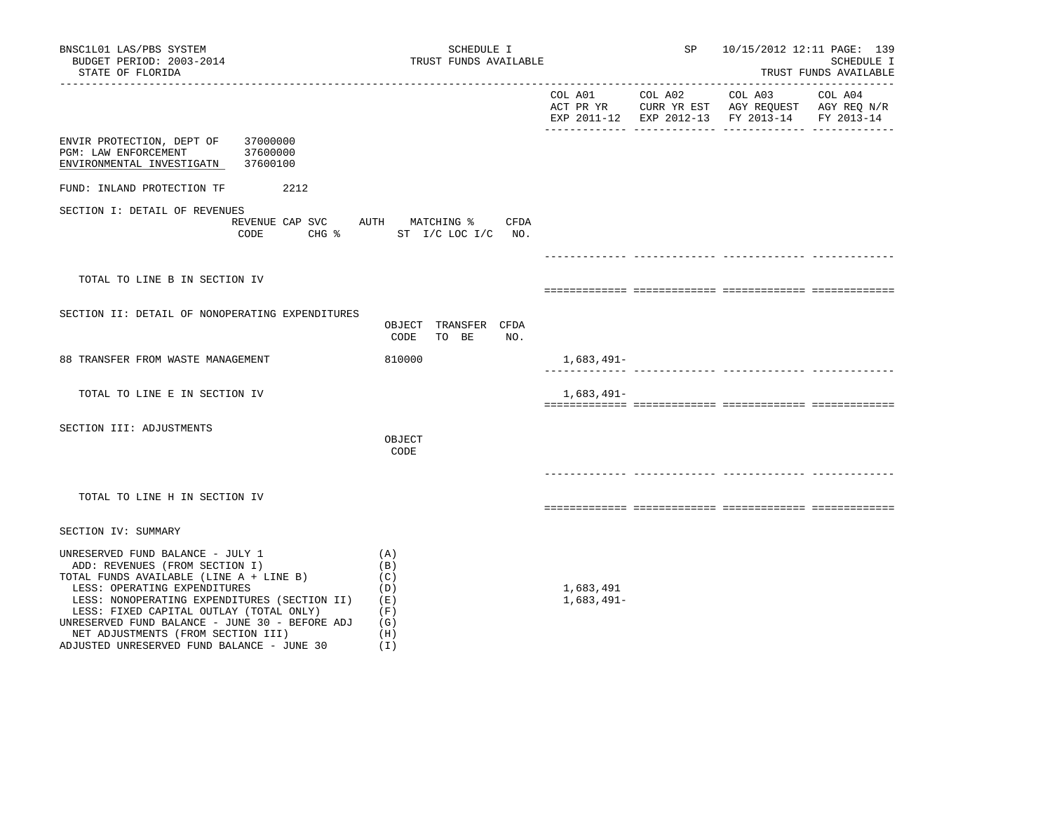| BNSC1L01 LAS/PBS SYSTEM<br>BUDGET PERIOD: 2003-2014<br>STATE OF FLORIDA                                                                                                                                                                                                                                                                                                        | SCHEDULE I<br>TRUST FUNDS AVAILABLE                         |                           | <b>SP</b> | 10/15/2012 12:11 PAGE: 139                    | SCHEDULE I<br>TRUST FUNDS AVAILABLE |
|--------------------------------------------------------------------------------------------------------------------------------------------------------------------------------------------------------------------------------------------------------------------------------------------------------------------------------------------------------------------------------|-------------------------------------------------------------|---------------------------|-----------|-----------------------------------------------|-------------------------------------|
|                                                                                                                                                                                                                                                                                                                                                                                |                                                             |                           |           | EXP 2011-12 EXP 2012-13 FY 2013-14 FY 2013-14 |                                     |
| ENVIR PROTECTION, DEPT OF 37000000<br>37600000<br>PGM: LAW ENFORCEMENT<br>ENVIRONMENTAL INVESTIGATN 37600100                                                                                                                                                                                                                                                                   |                                                             |                           |           |                                               |                                     |
| 2212<br>FUND: INLAND PROTECTION TF                                                                                                                                                                                                                                                                                                                                             |                                                             |                           |           |                                               |                                     |
| SECTION I: DETAIL OF REVENUES<br>REVENUE CAP SVC AUTH MATCHING %<br>CODE                                                                                                                                                                                                                                                                                                       | CFDA<br>CHG $\text{S}$ ST I/C LOC I/C NO.                   |                           |           |                                               |                                     |
| TOTAL TO LINE B IN SECTION IV                                                                                                                                                                                                                                                                                                                                                  |                                                             |                           |           |                                               |                                     |
| SECTION II: DETAIL OF NONOPERATING EXPENDITURES                                                                                                                                                                                                                                                                                                                                | OBJECT TRANSFER CFDA<br>CODE<br>TO BE<br>NO.                |                           |           |                                               |                                     |
| 88 TRANSFER FROM WASTE MANAGEMENT                                                                                                                                                                                                                                                                                                                                              | 810000                                                      | 1,683,491–                |           |                                               |                                     |
| TOTAL TO LINE E IN SECTION IV                                                                                                                                                                                                                                                                                                                                                  |                                                             | 1,683,491-                |           |                                               |                                     |
| SECTION III: ADJUSTMENTS                                                                                                                                                                                                                                                                                                                                                       | OBJECT<br>CODE                                              |                           |           |                                               |                                     |
| TOTAL TO LINE H IN SECTION IV                                                                                                                                                                                                                                                                                                                                                  |                                                             |                           |           |                                               |                                     |
| SECTION IV: SUMMARY                                                                                                                                                                                                                                                                                                                                                            |                                                             |                           |           |                                               |                                     |
| UNRESERVED FUND BALANCE - JULY 1<br>ADD: REVENUES (FROM SECTION I)<br>TOTAL FUNDS AVAILABLE (LINE A + LINE B)<br>LESS: OPERATING EXPENDITURES<br>LESS: NONOPERATING EXPENDITURES (SECTION II)<br>LESS: FIXED CAPITAL OUTLAY (TOTAL ONLY)<br>UNRESERVED FUND BALANCE - JUNE 30 - BEFORE ADJ<br>NET ADJUSTMENTS (FROM SECTION III)<br>ADJUSTED UNRESERVED FUND BALANCE - JUNE 30 | (A)<br>(B)<br>(C)<br>(D)<br>(E)<br>(F)<br>(G)<br>(H)<br>(1) | 1,683,491<br>$1,683,491-$ |           |                                               |                                     |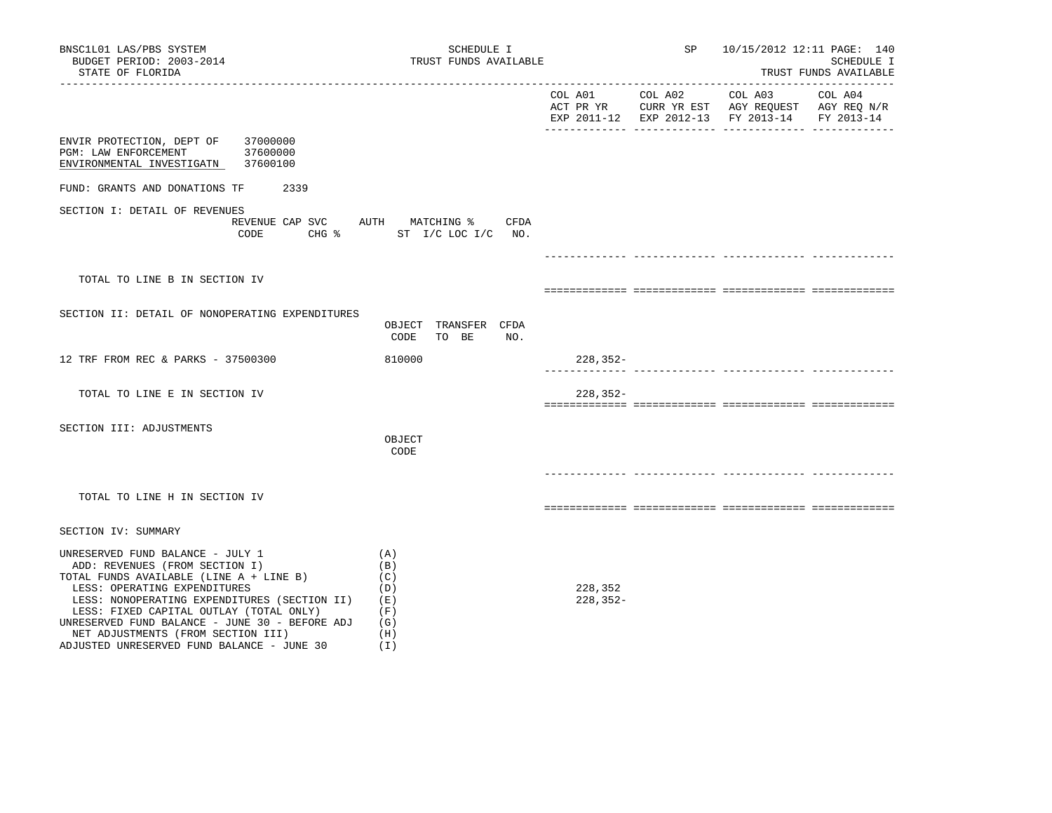| BNSC1L01 LAS/PBS SYSTEM<br>BUDGET PERIOD: 2003-2014<br>STATE OF FLORIDA                                                                                                                                                                                                                                                                                                        | SCHEDULE I<br>TRUST FUNDS AVAILABLE                           |                         | SP      | 10/15/2012 12:11 PAGE: 140                                                                                                         | SCHEDULE I<br>TRUST FUNDS AVAILABLE |
|--------------------------------------------------------------------------------------------------------------------------------------------------------------------------------------------------------------------------------------------------------------------------------------------------------------------------------------------------------------------------------|---------------------------------------------------------------|-------------------------|---------|------------------------------------------------------------------------------------------------------------------------------------|-------------------------------------|
|                                                                                                                                                                                                                                                                                                                                                                                |                                                               | COL A01                 | COL A02 | COL A03<br>ACT PR YR $\,$ CURR YR EST $\,$ AGY REQUEST $\,$ AGY REQ $\,$ N/R $\,$<br>EXP 2011-12 EXP 2012-13 FY 2013-14 FY 2013-14 | COL A04                             |
| ENVIR PROTECTION, DEPT OF 37000000<br>PGM: LAW ENFORCEMENT<br>37600000<br>ENVIRONMENTAL INVESTIGATN 37600100                                                                                                                                                                                                                                                                   |                                                               |                         |         |                                                                                                                                    |                                     |
| FUND: GRANTS AND DONATIONS TF 2339                                                                                                                                                                                                                                                                                                                                             |                                                               |                         |         |                                                                                                                                    |                                     |
| SECTION I: DETAIL OF REVENUES<br>REVENUE CAP SVC AUTH MATCHING %<br>CODE                                                                                                                                                                                                                                                                                                       | CFDA<br>CHG % ST I/C LOC I/C NO.                              |                         |         |                                                                                                                                    |                                     |
|                                                                                                                                                                                                                                                                                                                                                                                |                                                               |                         |         |                                                                                                                                    |                                     |
| TOTAL TO LINE B IN SECTION IV                                                                                                                                                                                                                                                                                                                                                  |                                                               |                         |         |                                                                                                                                    |                                     |
| SECTION II: DETAIL OF NONOPERATING EXPENDITURES                                                                                                                                                                                                                                                                                                                                | OBJECT TRANSFER CFDA<br>CODE<br>TO BE<br>NO.                  |                         |         |                                                                                                                                    |                                     |
| 12 TRF FROM REC & PARKS - 37500300                                                                                                                                                                                                                                                                                                                                             | 810000                                                        | $228, 352 -$            |         |                                                                                                                                    |                                     |
| TOTAL TO LINE E IN SECTION IV                                                                                                                                                                                                                                                                                                                                                  |                                                               | $228, 352 -$            |         |                                                                                                                                    |                                     |
| SECTION III: ADJUSTMENTS                                                                                                                                                                                                                                                                                                                                                       | OBJECT<br>CODE                                                |                         |         |                                                                                                                                    |                                     |
| TOTAL TO LINE H IN SECTION IV                                                                                                                                                                                                                                                                                                                                                  |                                                               |                         |         |                                                                                                                                    |                                     |
| SECTION IV: SUMMARY                                                                                                                                                                                                                                                                                                                                                            |                                                               |                         |         |                                                                                                                                    |                                     |
| UNRESERVED FUND BALANCE - JULY 1<br>ADD: REVENUES (FROM SECTION I)<br>TOTAL FUNDS AVAILABLE (LINE A + LINE B)<br>LESS: OPERATING EXPENDITURES<br>LESS: NONOPERATING EXPENDITURES (SECTION II)<br>LESS: FIXED CAPITAL OUTLAY (TOTAL ONLY)<br>UNRESERVED FUND BALANCE - JUNE 30 - BEFORE ADJ<br>NET ADJUSTMENTS (FROM SECTION III)<br>ADJUSTED UNRESERVED FUND BALANCE - JUNE 30 | (A)<br>(B)<br>(C)<br>(D)<br>(E)<br>(F)<br>(G)<br>(H)<br>( I ) | 228,352<br>$228, 352 -$ |         |                                                                                                                                    |                                     |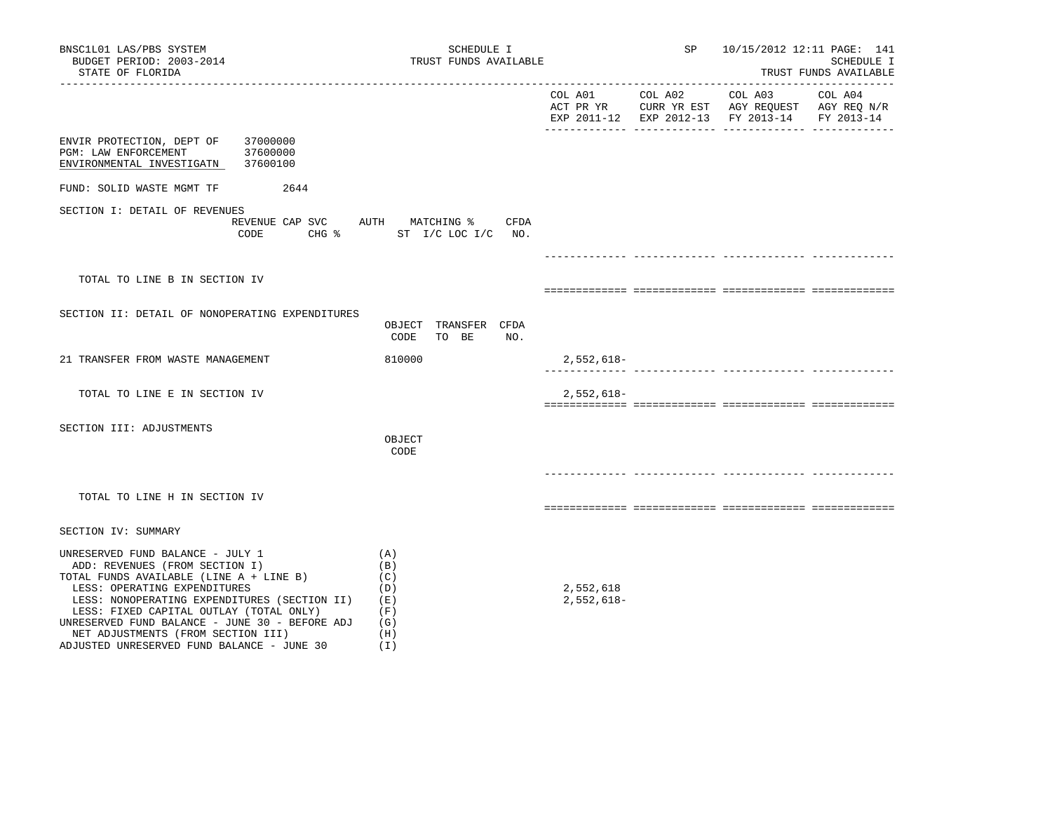| BNSC1L01 LAS/PBS SYSTEM<br>BUDGET PERIOD: 2003-2014<br>STATE OF FLORIDA                                                                                                                                                                                                                                                                                                        | SCHEDULE I<br>TRUST FUNDS AVAILABLE                                 |                           | SP | 10/15/2012 12:11 PAGE: 141                                                                                        | SCHEDULE I<br>TRUST FUNDS AVAILABLE |
|--------------------------------------------------------------------------------------------------------------------------------------------------------------------------------------------------------------------------------------------------------------------------------------------------------------------------------------------------------------------------------|---------------------------------------------------------------------|---------------------------|----|-------------------------------------------------------------------------------------------------------------------|-------------------------------------|
|                                                                                                                                                                                                                                                                                                                                                                                |                                                                     | COL A01 COL A02           |    | COL A03 COL A04<br>ACT PR YR CURR YR EST AGY REQUEST AGY REQ N/R<br>EXP 2011-12 EXP 2012-13 FY 2013-14 FY 2013-14 |                                     |
| ENVIR PROTECTION, DEPT OF<br>37000000<br>37600000<br>PGM: LAW ENFORCEMENT<br>ENVIRONMENTAL INVESTIGATN 37600100                                                                                                                                                                                                                                                                |                                                                     |                           |    |                                                                                                                   |                                     |
| FUND: SOLID WASTE MGMT TF<br>2644                                                                                                                                                                                                                                                                                                                                              |                                                                     |                           |    |                                                                                                                   |                                     |
| SECTION I: DETAIL OF REVENUES<br>CODE                                                                                                                                                                                                                                                                                                                                          | REVENUE CAP SVC AUTH MATCHING %<br>CFDA<br>CHG % ST I/C LOC I/C NO. |                           |    |                                                                                                                   |                                     |
|                                                                                                                                                                                                                                                                                                                                                                                |                                                                     |                           |    | _________________________________                                                                                 |                                     |
| TOTAL TO LINE B IN SECTION IV                                                                                                                                                                                                                                                                                                                                                  |                                                                     |                           |    |                                                                                                                   |                                     |
| SECTION II: DETAIL OF NONOPERATING EXPENDITURES                                                                                                                                                                                                                                                                                                                                | OBJECT TRANSFER CFDA<br>CODE<br>TO BE<br>NO.                        |                           |    |                                                                                                                   |                                     |
| 21 TRANSFER FROM WASTE MANAGEMENT                                                                                                                                                                                                                                                                                                                                              | 810000                                                              | 2,552,618-                |    |                                                                                                                   |                                     |
| TOTAL TO LINE E IN SECTION IV                                                                                                                                                                                                                                                                                                                                                  |                                                                     | $2,552,618-$              |    |                                                                                                                   |                                     |
| SECTION III: ADJUSTMENTS                                                                                                                                                                                                                                                                                                                                                       | OBJECT<br>CODE                                                      |                           |    |                                                                                                                   |                                     |
|                                                                                                                                                                                                                                                                                                                                                                                |                                                                     |                           |    |                                                                                                                   |                                     |
| TOTAL TO LINE H IN SECTION IV                                                                                                                                                                                                                                                                                                                                                  |                                                                     |                           |    |                                                                                                                   |                                     |
| SECTION IV: SUMMARY                                                                                                                                                                                                                                                                                                                                                            |                                                                     |                           |    |                                                                                                                   |                                     |
| UNRESERVED FUND BALANCE - JULY 1<br>ADD: REVENUES (FROM SECTION I)<br>TOTAL FUNDS AVAILABLE (LINE A + LINE B)<br>LESS: OPERATING EXPENDITURES<br>LESS: NONOPERATING EXPENDITURES (SECTION II)<br>LESS: FIXED CAPITAL OUTLAY (TOTAL ONLY)<br>UNRESERVED FUND BALANCE - JUNE 30 - BEFORE ADJ<br>NET ADJUSTMENTS (FROM SECTION III)<br>ADJUSTED UNRESERVED FUND BALANCE - JUNE 30 | (A)<br>(B)<br>(C)<br>(D)<br>(E)<br>(F)<br>(G)<br>(H)<br>(I)         | 2,552,618<br>$2,552,618-$ |    |                                                                                                                   |                                     |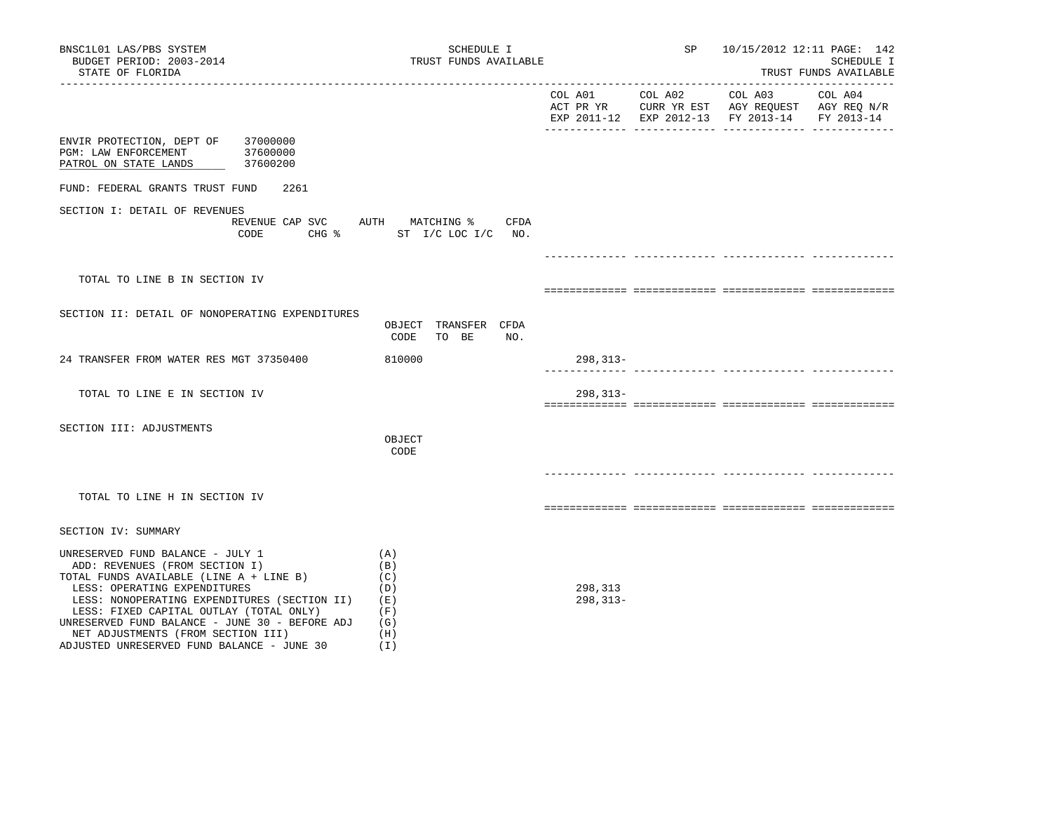| BNSC1L01 LAS/PBS SYSTEM<br>BUDGET PERIOD: 2003-2014<br>STATE OF FLORIDA                                                                                                                                                                                                                                                                                                        | SCHEDULE I<br>TRUST FUNDS AVAILABLE                              |                         | SP              |                                                                                                                     | 10/15/2012 12:11 PAGE: 142<br>SCHEDULE I<br>TRUST FUNDS AVAILABLE |
|--------------------------------------------------------------------------------------------------------------------------------------------------------------------------------------------------------------------------------------------------------------------------------------------------------------------------------------------------------------------------------|------------------------------------------------------------------|-------------------------|-----------------|---------------------------------------------------------------------------------------------------------------------|-------------------------------------------------------------------|
|                                                                                                                                                                                                                                                                                                                                                                                |                                                                  |                         | COL A01 COL A02 | COL A03<br>ACT PR YR $\,$ CURR YR EST $\,$ AGY REQUEST $\,$ AGY REQ $\rm N/R$<br>EXP 2011-12 EXP 2012-13 FY 2013-14 | COL A04<br>FY 2013-14                                             |
| ENVIR PROTECTION, DEPT OF 37000000<br>PGM: LAW ENFORCEMENT<br>37600000<br>PATROL ON STATE LANDS<br>37600200                                                                                                                                                                                                                                                                    |                                                                  |                         |                 |                                                                                                                     |                                                                   |
| FUND: FEDERAL GRANTS TRUST FUND<br>2261                                                                                                                                                                                                                                                                                                                                        |                                                                  |                         |                 |                                                                                                                     |                                                                   |
| SECTION I: DETAIL OF REVENUES<br>CODE                                                                                                                                                                                                                                                                                                                                          | REVENUE CAP SVC AUTH MATCHING % CFDA<br>CHG % ST I/C LOC I/C NO. |                         |                 |                                                                                                                     |                                                                   |
|                                                                                                                                                                                                                                                                                                                                                                                |                                                                  |                         |                 | ___________________________________                                                                                 |                                                                   |
| TOTAL TO LINE B IN SECTION IV                                                                                                                                                                                                                                                                                                                                                  |                                                                  |                         |                 |                                                                                                                     |                                                                   |
| SECTION II: DETAIL OF NONOPERATING EXPENDITURES                                                                                                                                                                                                                                                                                                                                |                                                                  |                         |                 |                                                                                                                     |                                                                   |
|                                                                                                                                                                                                                                                                                                                                                                                | OBJECT TRANSFER CFDA<br>CODE<br>TO BE<br>NO.                     |                         |                 |                                                                                                                     |                                                                   |
| 24 TRANSFER FROM WATER RES MGT 37350400                                                                                                                                                                                                                                                                                                                                        | 810000                                                           | $298, 313 -$            |                 |                                                                                                                     |                                                                   |
| TOTAL TO LINE E IN SECTION IV                                                                                                                                                                                                                                                                                                                                                  |                                                                  | $298, 313 -$            |                 |                                                                                                                     |                                                                   |
|                                                                                                                                                                                                                                                                                                                                                                                |                                                                  |                         |                 |                                                                                                                     |                                                                   |
| SECTION III: ADJUSTMENTS                                                                                                                                                                                                                                                                                                                                                       | OBJECT<br>CODE                                                   |                         |                 |                                                                                                                     |                                                                   |
|                                                                                                                                                                                                                                                                                                                                                                                |                                                                  |                         |                 |                                                                                                                     |                                                                   |
| TOTAL TO LINE H IN SECTION IV                                                                                                                                                                                                                                                                                                                                                  |                                                                  |                         |                 |                                                                                                                     |                                                                   |
| SECTION IV: SUMMARY                                                                                                                                                                                                                                                                                                                                                            |                                                                  |                         |                 |                                                                                                                     |                                                                   |
| UNRESERVED FUND BALANCE - JULY 1<br>ADD: REVENUES (FROM SECTION I)<br>TOTAL FUNDS AVAILABLE (LINE A + LINE B)<br>LESS: OPERATING EXPENDITURES<br>LESS: NONOPERATING EXPENDITURES (SECTION II)<br>LESS: FIXED CAPITAL OUTLAY (TOTAL ONLY)<br>UNRESERVED FUND BALANCE - JUNE 30 - BEFORE ADJ<br>NET ADJUSTMENTS (FROM SECTION III)<br>ADJUSTED UNRESERVED FUND BALANCE - JUNE 30 | (A)<br>(B)<br>(C)<br>(D)<br>(E)<br>(F)<br>(G)<br>(H)<br>(T)      | 298,313<br>$298, 313 -$ |                 |                                                                                                                     |                                                                   |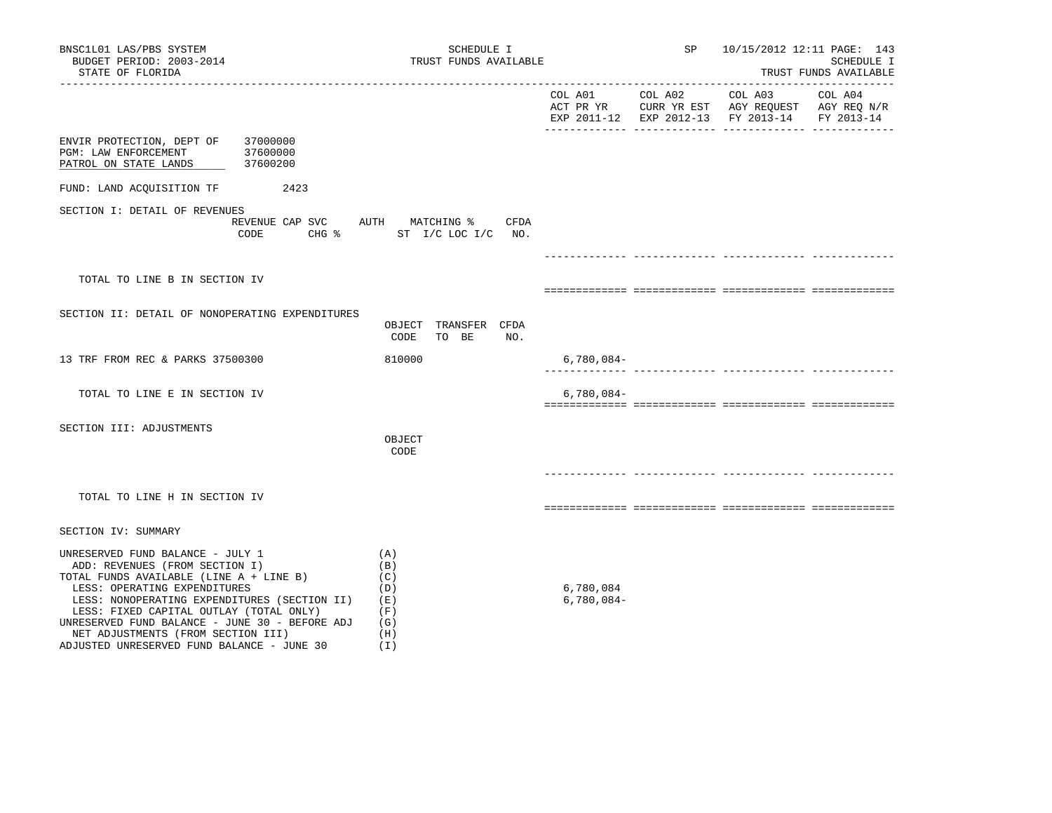| BNSC1L01 LAS/PBS SYSTEM<br>BUDGET PERIOD: 2003-2014<br>STATE OF FLORIDA                                                                                                                                                                                                                                                                                                        | SCHEDULE I<br>TRUST FUNDS AVAILABLE                                 |                           | SP      | 10/15/2012 12:11 PAGE: 143                                                                                                         | SCHEDULE I<br>TRUST FUNDS AVAILABLE |
|--------------------------------------------------------------------------------------------------------------------------------------------------------------------------------------------------------------------------------------------------------------------------------------------------------------------------------------------------------------------------------|---------------------------------------------------------------------|---------------------------|---------|------------------------------------------------------------------------------------------------------------------------------------|-------------------------------------|
| _______________________                                                                                                                                                                                                                                                                                                                                                        |                                                                     | COL A01                   | COL A02 | COL A03<br>ACT PR YR $\,$ CURR YR EST $\,$ AGY REQUEST $\,$ AGY REQ $\,$ N/R $\,$<br>EXP 2011-12 EXP 2012-13 FY 2013-14 FY 2013-14 | COL A04                             |
| ENVIR PROTECTION, DEPT OF<br>37000000<br>PGM: LAW ENFORCEMENT<br>37600000<br>PATROL ON STATE LANDS<br>37600200                                                                                                                                                                                                                                                                 |                                                                     |                           |         |                                                                                                                                    |                                     |
| FUND: LAND ACQUISITION TF 2423                                                                                                                                                                                                                                                                                                                                                 |                                                                     |                           |         |                                                                                                                                    |                                     |
| SECTION I: DETAIL OF REVENUES<br>CODE                                                                                                                                                                                                                                                                                                                                          | REVENUE CAP SVC AUTH MATCHING %<br>CFDA<br>CHG % ST I/C LOC I/C NO. |                           |         |                                                                                                                                    |                                     |
|                                                                                                                                                                                                                                                                                                                                                                                |                                                                     |                           |         | __________________________________                                                                                                 |                                     |
| TOTAL TO LINE B IN SECTION IV                                                                                                                                                                                                                                                                                                                                                  |                                                                     |                           |         |                                                                                                                                    |                                     |
| SECTION II: DETAIL OF NONOPERATING EXPENDITURES                                                                                                                                                                                                                                                                                                                                |                                                                     |                           |         |                                                                                                                                    |                                     |
|                                                                                                                                                                                                                                                                                                                                                                                | OBJECT TRANSFER CFDA<br>CODE<br>TO BE<br>NO.                        |                           |         |                                                                                                                                    |                                     |
| 13 TRF FROM REC & PARKS 37500300                                                                                                                                                                                                                                                                                                                                               | 810000                                                              | $6,780,084-$              |         |                                                                                                                                    |                                     |
| TOTAL TO LINE E IN SECTION IV                                                                                                                                                                                                                                                                                                                                                  |                                                                     | $6,780,084-$              |         |                                                                                                                                    |                                     |
| SECTION III: ADJUSTMENTS                                                                                                                                                                                                                                                                                                                                                       | OBJECT<br>CODE                                                      |                           |         |                                                                                                                                    |                                     |
|                                                                                                                                                                                                                                                                                                                                                                                |                                                                     |                           |         |                                                                                                                                    |                                     |
| TOTAL TO LINE H IN SECTION IV                                                                                                                                                                                                                                                                                                                                                  |                                                                     |                           |         |                                                                                                                                    |                                     |
| SECTION IV: SUMMARY                                                                                                                                                                                                                                                                                                                                                            |                                                                     |                           |         |                                                                                                                                    |                                     |
| UNRESERVED FUND BALANCE - JULY 1<br>ADD: REVENUES (FROM SECTION I)<br>TOTAL FUNDS AVAILABLE (LINE A + LINE B)<br>LESS: OPERATING EXPENDITURES<br>LESS: NONOPERATING EXPENDITURES (SECTION II)<br>LESS: FIXED CAPITAL OUTLAY (TOTAL ONLY)<br>UNRESERVED FUND BALANCE - JUNE 30 - BEFORE ADJ<br>NET ADJUSTMENTS (FROM SECTION III)<br>ADJUSTED UNRESERVED FUND BALANCE - JUNE 30 | (A)<br>(B)<br>(C)<br>(D)<br>( E )<br>(F)<br>(G)<br>(H)<br>(1)       | 6,780,084<br>$6,780,084-$ |         |                                                                                                                                    |                                     |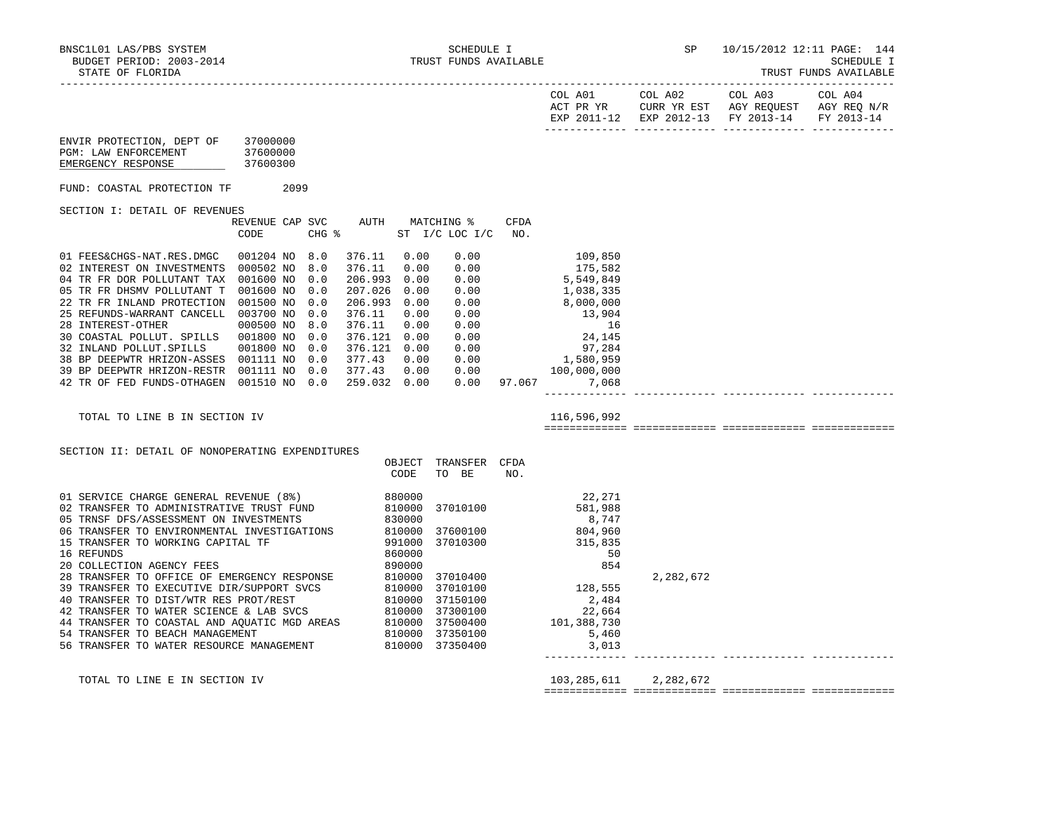TRUST FUNDS AVAILABLE

|                                                                                  |                      |  |              |      |                                                             |      |                                                                                                                                                                                                                                                                                                                   |           | COL A01 COL A02 COL A03 COL A04<br>$\begin{tabular}{lllllll} \bf{ACT} & \bf{PR} & \bf{YR} & \bf{CURR} & \bf{YR} & \bf{EST} & \bf{AGY} & \bf{REQUEST} & \bf{AGY} & \bf{REQ} & \bf{N/R} \end{tabular}$<br>EXP 2011-12 EXP 2012-13 FY 2013-14 FY 2013-14 |  |
|----------------------------------------------------------------------------------|----------------------|--|--------------|------|-------------------------------------------------------------|------|-------------------------------------------------------------------------------------------------------------------------------------------------------------------------------------------------------------------------------------------------------------------------------------------------------------------|-----------|-------------------------------------------------------------------------------------------------------------------------------------------------------------------------------------------------------------------------------------------------------|--|
| ENVIR PROTECTION, DEPT OF 37000000<br>PGM: LAW ENFORCEMENT<br>EMERGENCY RESPONSE | 37600000<br>37600300 |  |              |      |                                                             |      |                                                                                                                                                                                                                                                                                                                   |           |                                                                                                                                                                                                                                                       |  |
| FUND: COASTAL PROTECTION TF 2099                                                 |                      |  |              |      |                                                             |      |                                                                                                                                                                                                                                                                                                                   |           |                                                                                                                                                                                                                                                       |  |
| SECTION I: DETAIL OF REVENUES                                                    |                      |  |              |      |                                                             |      |                                                                                                                                                                                                                                                                                                                   |           |                                                                                                                                                                                                                                                       |  |
|                                                                                  | CODE                 |  |              |      | REVENUE CAP SVC AUTH MATCHING %<br>CHG % ST I/C LOC I/C NO. | CFDA |                                                                                                                                                                                                                                                                                                                   |           |                                                                                                                                                                                                                                                       |  |
| 01 FEES&CHGS-NAT.RES.DMGC 001204 NO 8.0                                          |                      |  | 376.11 0.00  |      | 0.00                                                        |      | 109,850                                                                                                                                                                                                                                                                                                           |           |                                                                                                                                                                                                                                                       |  |
| 02 INTEREST ON INVESTMENTS 000502 NO 8.0                                         |                      |  | 376.11       | 0.00 |                                                             |      |                                                                                                                                                                                                                                                                                                                   |           |                                                                                                                                                                                                                                                       |  |
| 04 TR FR DOR POLLUTANT TAX 001600 NO 0.0                                         |                      |  | 206.993 0.00 |      |                                                             |      |                                                                                                                                                                                                                                                                                                                   |           |                                                                                                                                                                                                                                                       |  |
| 05 TR FR DHSMV POLLUTANT T 001600 NO 0.0                                         |                      |  | 207.026 0.00 |      |                                                             |      |                                                                                                                                                                                                                                                                                                                   |           |                                                                                                                                                                                                                                                       |  |
| 22 TR FR INLAND PROTECTION 001500 NO 0.0                                         |                      |  | 206.993 0.00 |      |                                                             |      |                                                                                                                                                                                                                                                                                                                   |           |                                                                                                                                                                                                                                                       |  |
| 25 REFUNDS-WARRANT CANCELL 003700 NO 0.0                                         |                      |  | 376.11       | 0.00 |                                                             |      |                                                                                                                                                                                                                                                                                                                   |           |                                                                                                                                                                                                                                                       |  |
| 28 INTEREST-OTHER                                                                | 000500 NO 8.0        |  | 376.11 0.00  |      |                                                             |      |                                                                                                                                                                                                                                                                                                                   |           |                                                                                                                                                                                                                                                       |  |
| 30 COASTAL POLLUT. SPILLS 001800 NO 0.0                                          |                      |  | 376.121 0.00 |      |                                                             |      |                                                                                                                                                                                                                                                                                                                   |           |                                                                                                                                                                                                                                                       |  |
| 32 INLAND POLLUT. SPILLS 001800 NO 0.0                                           |                      |  | 376.121 0.00 |      |                                                             |      |                                                                                                                                                                                                                                                                                                                   |           |                                                                                                                                                                                                                                                       |  |
| 38 BP DEEPWTR HRIZON-ASSES 001111 NO 0.0 377.43 0.00                             |                      |  |              |      |                                                             |      |                                                                                                                                                                                                                                                                                                                   |           |                                                                                                                                                                                                                                                       |  |
| 39 BP DEEPWTR HRIZON-RESTR 001111 NO 0.0 377.43 0.00                             |                      |  |              |      |                                                             |      | $\begin{array}{cccc} 0.00 & & & 109\,,850 \\ 0.00 & & & 175\,,582 \\ 0.00 & & & 5\,,549\,,849 \\ 0.00 & & & 1\,,038\,,335 \\ 0.00 & & & 8\,,000\,,000 \\ 0.00 & & & 13\,,904 \\ 0.00 & & & 15\,,904 \\ 0.00 & & & 24\,,145 \\ 0.00 & & & 97\,,284 \\ 0.00 & & & 1\,,580\,,959 \\ 0.00 & & & 100\,,000\,,000 \\ 0$ |           |                                                                                                                                                                                                                                                       |  |
| 42 TR OF FED FUNDS-OTHAGEN 001510 NO 0.0 259.032 0.00                            |                      |  |              |      |                                                             |      | $0.00$ 97.067 7,068<br>--------------                                                                                                                                                                                                                                                                             |           |                                                                                                                                                                                                                                                       |  |
| TOTAL TO LINE B IN SECTION IV                                                    |                      |  |              |      |                                                             |      | 116,596,992                                                                                                                                                                                                                                                                                                       |           |                                                                                                                                                                                                                                                       |  |
|                                                                                  |                      |  |              |      |                                                             |      |                                                                                                                                                                                                                                                                                                                   |           |                                                                                                                                                                                                                                                       |  |
| SECTION II: DETAIL OF NONOPERATING EXPENDITURES                                  |                      |  |              |      |                                                             |      |                                                                                                                                                                                                                                                                                                                   |           |                                                                                                                                                                                                                                                       |  |
|                                                                                  |                      |  |              |      | OBJECT TRANSFER CFDA                                        |      |                                                                                                                                                                                                                                                                                                                   |           |                                                                                                                                                                                                                                                       |  |
|                                                                                  |                      |  |              | CODE | TO BE                                                       | NO.  |                                                                                                                                                                                                                                                                                                                   |           |                                                                                                                                                                                                                                                       |  |
|                                                                                  |                      |  |              |      |                                                             |      | $\begin{array}{cc} & 22\,,271 \\ 37010100 & 581\,,988 \\ 37600100 & 804\,,960 \end{array}$                                                                                                                                                                                                                        |           |                                                                                                                                                                                                                                                       |  |
|                                                                                  |                      |  |              |      |                                                             |      |                                                                                                                                                                                                                                                                                                                   |           |                                                                                                                                                                                                                                                       |  |
|                                                                                  |                      |  |              |      |                                                             |      |                                                                                                                                                                                                                                                                                                                   |           |                                                                                                                                                                                                                                                       |  |
|                                                                                  |                      |  |              |      |                                                             |      |                                                                                                                                                                                                                                                                                                                   |           |                                                                                                                                                                                                                                                       |  |
|                                                                                  |                      |  |              |      |                                                             |      | 315,835                                                                                                                                                                                                                                                                                                           |           |                                                                                                                                                                                                                                                       |  |
|                                                                                  |                      |  |              |      |                                                             |      | 50                                                                                                                                                                                                                                                                                                                |           |                                                                                                                                                                                                                                                       |  |
|                                                                                  |                      |  |              |      | 37010400                                                    |      | 854                                                                                                                                                                                                                                                                                                               |           |                                                                                                                                                                                                                                                       |  |
|                                                                                  |                      |  |              |      |                                                             |      |                                                                                                                                                                                                                                                                                                                   | 2,282,672 |                                                                                                                                                                                                                                                       |  |
|                                                                                  |                      |  |              |      |                                                             |      |                                                                                                                                                                                                                                                                                                                   |           |                                                                                                                                                                                                                                                       |  |
|                                                                                  |                      |  |              |      |                                                             |      | $\begin{array}{r} 128,555 \\ 2.48 \end{array}$                                                                                                                                                                                                                                                                    |           |                                                                                                                                                                                                                                                       |  |
|                                                                                  |                      |  |              |      | 37300100                                                    |      |                                                                                                                                                                                                                                                                                                                   |           |                                                                                                                                                                                                                                                       |  |
|                                                                                  |                      |  |              |      |                                                             |      |                                                                                                                                                                                                                                                                                                                   |           |                                                                                                                                                                                                                                                       |  |
|                                                                                  |                      |  |              |      |                                                             |      |                                                                                                                                                                                                                                                                                                                   |           |                                                                                                                                                                                                                                                       |  |
|                                                                                  |                      |  |              |      |                                                             |      | $\begin{array}{r} 22,65 \\ 101,388,730 \\ 5,460 \\ 3,013 \end{array}$                                                                                                                                                                                                                                             |           |                                                                                                                                                                                                                                                       |  |
|                                                                                  |                      |  |              |      |                                                             |      |                                                                                                                                                                                                                                                                                                                   |           |                                                                                                                                                                                                                                                       |  |
| TOTAL TO LINE E IN SECTION IV                                                    |                      |  |              |      |                                                             |      | 103,285,611                                                                                                                                                                                                                                                                                                       | 2,282,672 |                                                                                                                                                                                                                                                       |  |

============= ============= ============= =============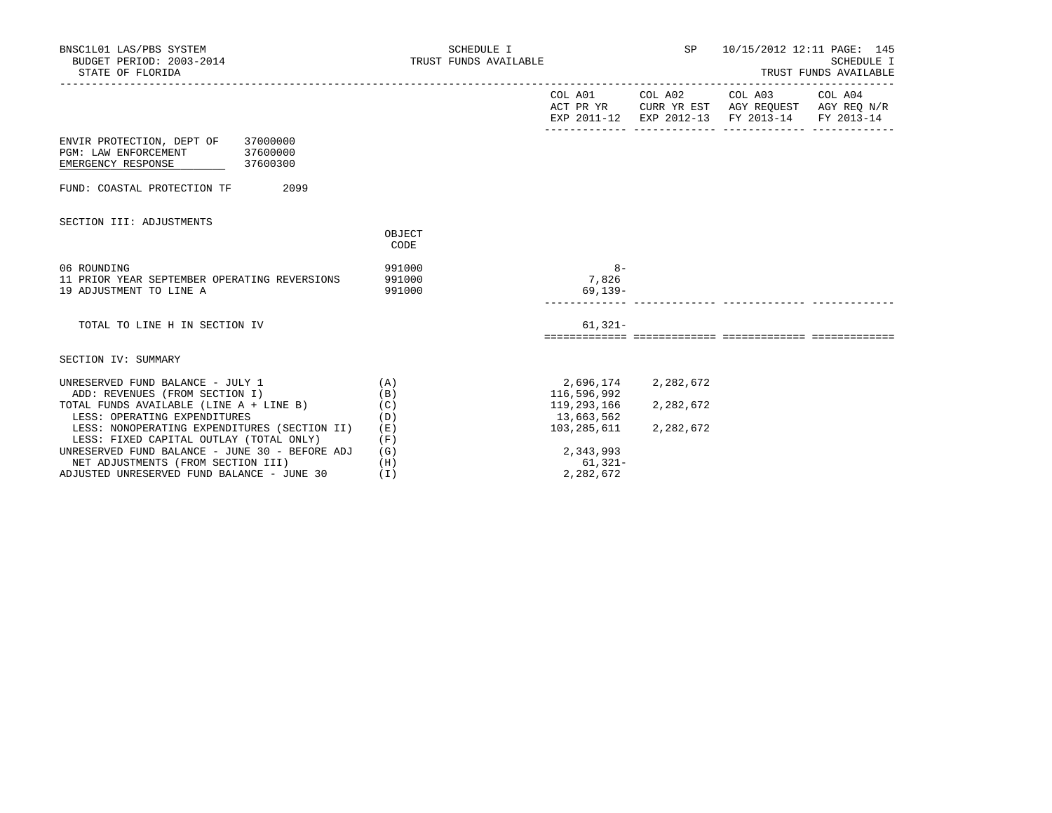| BNSC1L01 LAS/PBS SYSTEM<br>BUDGET PERIOD: 2003-2014<br>STATE OF FLORIDA                                                                              | SCHEDULE I<br>TRUST FUNDS AVAILABLE |                                                       |                        | SP 10/15/2012 12:11 PAGE: 145<br>TRUST FUNDS AVAILABLE                                                                            | SCHEDULE I |
|------------------------------------------------------------------------------------------------------------------------------------------------------|-------------------------------------|-------------------------------------------------------|------------------------|-----------------------------------------------------------------------------------------------------------------------------------|------------|
|                                                                                                                                                      |                                     |                                                       |                        | COL A01 COL A02 COL A03 COL A04<br>ACT PR YR CURR YR EST AGY REQUEST AGY REQ N/R<br>EXP 2011-12 EXP 2012-13 FY 2013-14 FY 2013-14 |            |
| ENVIR PROTECTION, DEPT OF 37000000<br>PGM: LAW ENFORCEMENT<br>37600000<br>EMERGENCY RESPONSE<br>$\frac{37600300}{ }$                                 |                                     |                                                       |                        |                                                                                                                                   |            |
| 2099<br>FUND: COASTAL PROTECTION TF                                                                                                                  |                                     |                                                       |                        |                                                                                                                                   |            |
| SECTION III: ADJUSTMENTS                                                                                                                             | OBJECT<br>CODE                      |                                                       |                        |                                                                                                                                   |            |
| 06 ROUNDING<br>11 PRIOR YEAR SEPTEMBER OPERATING REVERSIONS<br>19 ADJUSTMENT TO LINE A                                                               | 991000<br>991000<br>991000          | $8 -$<br>7,826<br>69,139-                             |                        |                                                                                                                                   |            |
| TOTAL TO LINE H IN SECTION IV                                                                                                                        |                                     | $61,321-$                                             |                        |                                                                                                                                   |            |
| SECTION IV: SUMMARY                                                                                                                                  |                                     |                                                       |                        |                                                                                                                                   |            |
| UNRESERVED FUND BALANCE - JULY 1<br>(A)<br>ADD: REVENUES (FROM SECTION I)<br>TOTAL FUNDS AVAILABLE (LINE A + LINE B)<br>LESS: OPERATING EXPENDITURES | (B)<br>(C)<br>(D)                   | 2,696,174<br>116,596,992<br>119,293,166<br>13,663,562 | 2,282,672<br>2,282,672 |                                                                                                                                   |            |
| LESS: NONOPERATING EXPENDITURES (SECTION II)<br>LESS: FIXED CAPITAL OUTLAY (TOTAL ONLY)                                                              | (E)<br>(F)                          | 103,285,611                                           | 2,282,672              |                                                                                                                                   |            |
| UNRESERVED FUND BALANCE - JUNE 30 - BEFORE ADJ<br>NET ADJUSTMENTS (FROM SECTION III)<br>ADJUSTED UNRESERVED FUND BALANCE - JUNE 30                   | (G)<br>(H)<br>(I)                   | 2,343,993<br>61,321-<br>2,282,672                     |                        |                                                                                                                                   |            |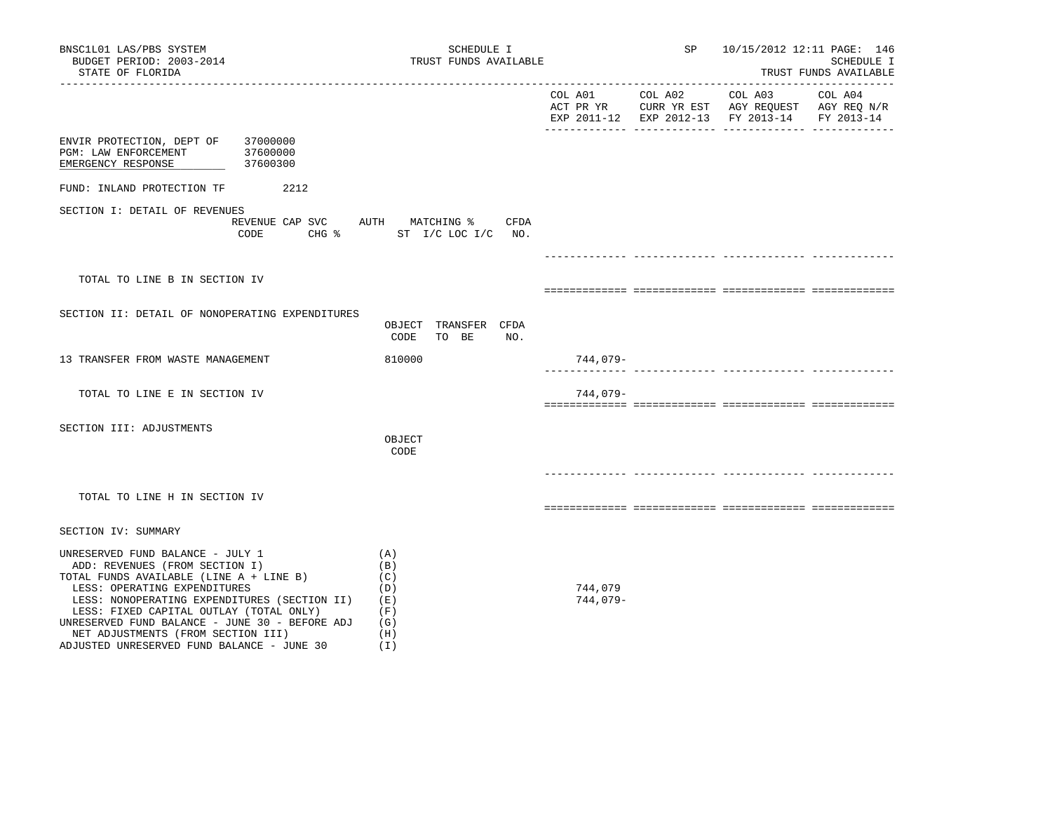| BNSC1L01 LAS/PBS SYSTEM<br>BUDGET PERIOD: 2003-2014<br>STATE OF FLORIDA                                                                                                                                                                                                                                                                                                                                                                         | SCHEDULE I<br>TRUST FUNDS AVAILABLE          |                     |         | SP<br>10/15/2012 12:11 PAGE: 146<br>SCHEDULE I<br>TRUST FUNDS AVAILABLE                                   |         |  |  |
|-------------------------------------------------------------------------------------------------------------------------------------------------------------------------------------------------------------------------------------------------------------------------------------------------------------------------------------------------------------------------------------------------------------------------------------------------|----------------------------------------------|---------------------|---------|-----------------------------------------------------------------------------------------------------------|---------|--|--|
|                                                                                                                                                                                                                                                                                                                                                                                                                                                 |                                              | COL A01             | COL A02 | COL A03<br>ACT PR YR CURR YR EST AGY REQUEST AGY REQ N/R<br>EXP 2011-12 EXP 2012-13 FY 2013-14 FY 2013-14 | COL A04 |  |  |
| ENVIR PROTECTION, DEPT OF<br>37000000<br>37600000<br>PGM: LAW ENFORCEMENT<br>37600300<br>EMERGENCY RESPONSE                                                                                                                                                                                                                                                                                                                                     |                                              |                     |         |                                                                                                           |         |  |  |
| FUND: INLAND PROTECTION TF<br>2212                                                                                                                                                                                                                                                                                                                                                                                                              |                                              |                     |         |                                                                                                           |         |  |  |
| SECTION I: DETAIL OF REVENUES<br>REVENUE CAP SVC AUTH MATCHING %<br>CODE                                                                                                                                                                                                                                                                                                                                                                        | CFDA<br>CHG % ST I/C LOC I/C NO.             |                     |         |                                                                                                           |         |  |  |
| TOTAL TO LINE B IN SECTION IV                                                                                                                                                                                                                                                                                                                                                                                                                   |                                              |                     |         |                                                                                                           |         |  |  |
|                                                                                                                                                                                                                                                                                                                                                                                                                                                 |                                              |                     |         |                                                                                                           |         |  |  |
| SECTION II: DETAIL OF NONOPERATING EXPENDITURES                                                                                                                                                                                                                                                                                                                                                                                                 | OBJECT TRANSFER CFDA<br>TO BE<br>NO.<br>CODE |                     |         |                                                                                                           |         |  |  |
| 13 TRANSFER FROM WASTE MANAGEMENT                                                                                                                                                                                                                                                                                                                                                                                                               | 810000                                       | 744,079-            |         |                                                                                                           |         |  |  |
| TOTAL TO LINE E IN SECTION IV                                                                                                                                                                                                                                                                                                                                                                                                                   |                                              | 744,079-            |         |                                                                                                           |         |  |  |
| SECTION III: ADJUSTMENTS                                                                                                                                                                                                                                                                                                                                                                                                                        | OBJECT<br>CODE                               |                     |         |                                                                                                           |         |  |  |
| TOTAL TO LINE H IN SECTION IV                                                                                                                                                                                                                                                                                                                                                                                                                   |                                              |                     |         |                                                                                                           |         |  |  |
| SECTION IV: SUMMARY                                                                                                                                                                                                                                                                                                                                                                                                                             |                                              |                     |         |                                                                                                           |         |  |  |
| UNRESERVED FUND BALANCE - JULY 1<br>(A)<br>ADD: REVENUES (FROM SECTION I)<br>(B)<br>TOTAL FUNDS AVAILABLE (LINE A + LINE B)<br>(C)<br>LESS: OPERATING EXPENDITURES<br>(D)<br>LESS: NONOPERATING EXPENDITURES (SECTION II)<br>( E )<br>LESS: FIXED CAPITAL OUTLAY (TOTAL ONLY)<br>(F)<br>UNRESERVED FUND BALANCE - JUNE 30 - BEFORE ADJ<br>(G)<br>(H)<br>NET ADJUSTMENTS (FROM SECTION III)<br>ADJUSTED UNRESERVED FUND BALANCE - JUNE 30<br>(I) |                                              | 744,079<br>744,079- |         |                                                                                                           |         |  |  |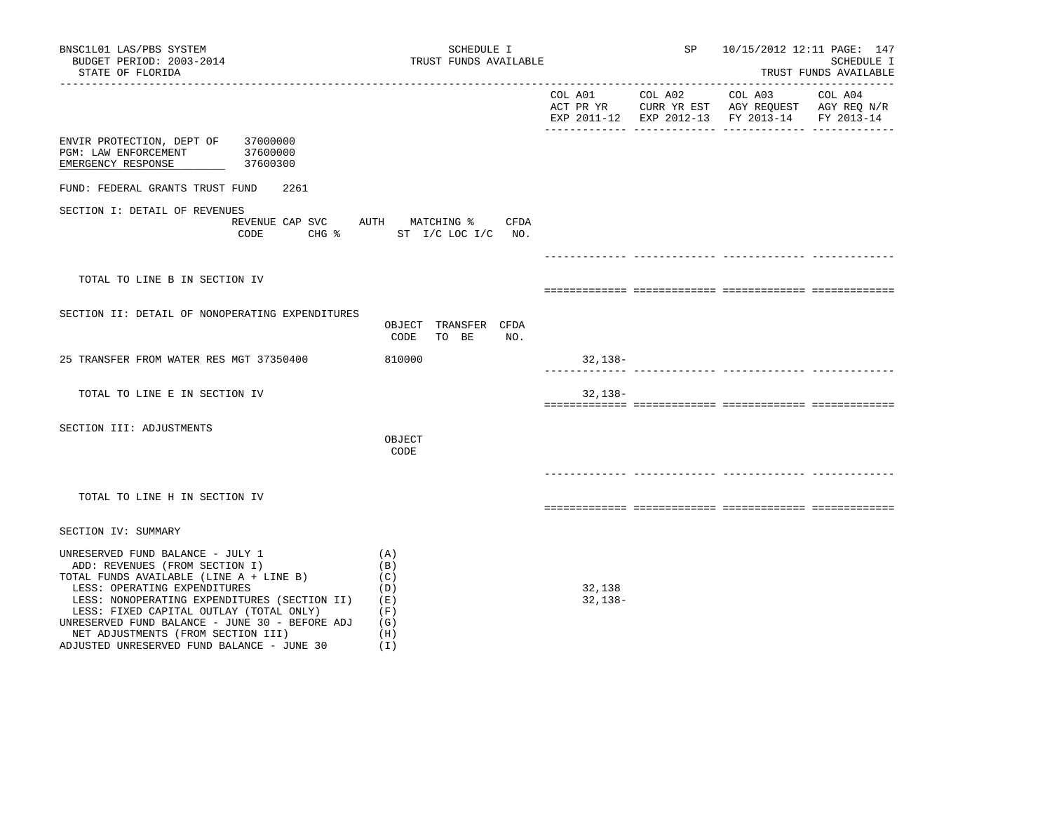| BNSC1L01 LAS/PBS SYSTEM<br>BUDGET PERIOD: 2003-2014<br>STATE OF FLORIDA                                                                                                                                                                                                                                                                                                        | SCHEDULE I<br>TRUST FUNDS AVAILABLE                              |                     | SP      | 10/15/2012 12:11 PAGE: 147<br>SCHEDULE I<br>TRUST FUNDS AVAILABLE                              |                       |  |
|--------------------------------------------------------------------------------------------------------------------------------------------------------------------------------------------------------------------------------------------------------------------------------------------------------------------------------------------------------------------------------|------------------------------------------------------------------|---------------------|---------|------------------------------------------------------------------------------------------------|-----------------------|--|
| --------------------                                                                                                                                                                                                                                                                                                                                                           |                                                                  | COL A01             | COL A02 | COL A03<br>ACT PR YR CURR YR EST AGY REQUEST AGY REQ N/R<br>EXP 2011-12 EXP 2012-13 FY 2013-14 | COL A04<br>FY 2013-14 |  |
| ENVIR PROTECTION, DEPT OF 37000000<br>PGM: LAW ENFORCEMENT<br>37600000<br>37600300<br>EMERGENCY RESPONSE                                                                                                                                                                                                                                                                       |                                                                  |                     |         |                                                                                                |                       |  |
| FUND: FEDERAL GRANTS TRUST FUND<br>2261                                                                                                                                                                                                                                                                                                                                        |                                                                  |                     |         |                                                                                                |                       |  |
| SECTION I: DETAIL OF REVENUES<br>CODE                                                                                                                                                                                                                                                                                                                                          | REVENUE CAP SVC AUTH MATCHING % CFDA<br>CHG % ST I/C LOC I/C NO. |                     |         |                                                                                                |                       |  |
|                                                                                                                                                                                                                                                                                                                                                                                |                                                                  |                     |         |                                                                                                |                       |  |
| TOTAL TO LINE B IN SECTION IV                                                                                                                                                                                                                                                                                                                                                  |                                                                  |                     |         |                                                                                                |                       |  |
| SECTION II: DETAIL OF NONOPERATING EXPENDITURES                                                                                                                                                                                                                                                                                                                                | OBJECT TRANSFER CFDA<br>CODE<br>TO BE<br>NO.                     |                     |         |                                                                                                |                       |  |
| 25 TRANSFER FROM WATER RES MGT 37350400                                                                                                                                                                                                                                                                                                                                        | 810000                                                           | 32,138-             |         |                                                                                                |                       |  |
| TOTAL TO LINE E IN SECTION IV                                                                                                                                                                                                                                                                                                                                                  |                                                                  | $32,138-$           |         |                                                                                                |                       |  |
| SECTION III: ADJUSTMENTS                                                                                                                                                                                                                                                                                                                                                       | OBJECT<br>CODE                                                   |                     |         |                                                                                                |                       |  |
| TOTAL TO LINE H IN SECTION IV                                                                                                                                                                                                                                                                                                                                                  |                                                                  |                     |         |                                                                                                |                       |  |
| SECTION IV: SUMMARY                                                                                                                                                                                                                                                                                                                                                            |                                                                  |                     |         |                                                                                                |                       |  |
| UNRESERVED FUND BALANCE - JULY 1<br>ADD: REVENUES (FROM SECTION I)<br>TOTAL FUNDS AVAILABLE (LINE A + LINE B)<br>LESS: OPERATING EXPENDITURES<br>LESS: NONOPERATING EXPENDITURES (SECTION II)<br>LESS: FIXED CAPITAL OUTLAY (TOTAL ONLY)<br>UNRESERVED FUND BALANCE - JUNE 30 - BEFORE ADJ<br>NET ADJUSTMENTS (FROM SECTION III)<br>ADJUSTED UNRESERVED FUND BALANCE - JUNE 30 | (A)<br>(B)<br>(C)<br>(D)<br>(E)<br>(F)<br>(G)<br>(H)<br>(I)      | 32,138<br>$32,138-$ |         |                                                                                                |                       |  |